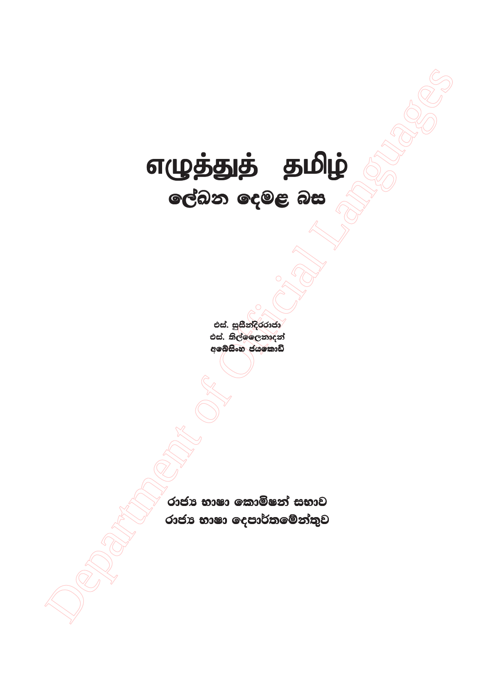# எழுத்துத் தமிழ் ලේඛන දෙමළ බස

එස්. සුසීන්දිරරාජා එස්. තිල්ලෛනාදන් අබෙසිංහ ජයකොඩි

රාජා භාෂා කොමිෂන් සභාව රාජා භාෂා දෙපාර්තමේන්තුව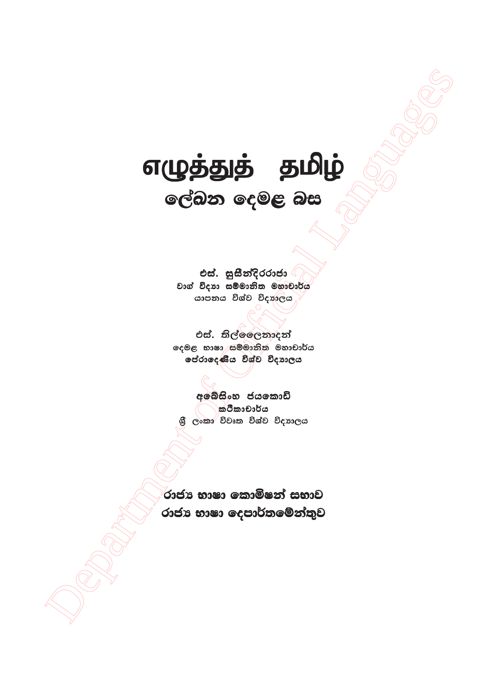# எழுத்துத் தமிழ் ලේඛන දෙමළ බස

එස්. සුසීන්දිරරාජා වාග් විදාහ සම්මානිත මහාචාර්ය යාපනය විශ්ව විදහලය

එස්. තිල්ලෙෙනාදන් දෙමළ භාෂා සම්මානිත මහාචාර්ය පේරාදෙණිය විශ්ව විදහාලය

අබේසිංහ ජයකොඩි ක්ථිකාචාර්ය ලංකා විවෘත විශ්ව විදහාලය

රාජා භාෂා කොමිෂන් සභාව රාජා භාෂා දෙපාර්තමේන්තුව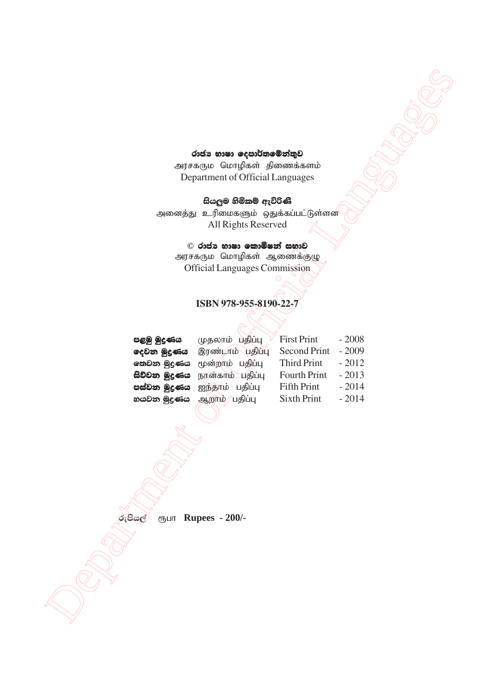#### රාජා භාෂා **දෙපාර්තමේන්තුව**

# **ish,qu ysñlï weúßKs ysñlï weúßKs**

## $\odot$  රාජා භාෂා කොමිෂන් සභාව

## **ISBN 978-955-8190-22-7**

|                 | රාජා භාෂා දෙපාර්තමේන්තුව                          |                    |         |  |  |
|-----------------|---------------------------------------------------|--------------------|---------|--|--|
|                 | அரசகரும மொழிகள் திணைக்களம்                        |                    |         |  |  |
|                 | Department of Official Languages                  |                    |         |  |  |
|                 |                                                   |                    |         |  |  |
|                 | සියලුම හිමිකම් ඇවිරිණි                            |                    |         |  |  |
|                 | அனைத்து உரிமைகளும் ஒதுக்கப்பட்டுள்ளன <sup>்</sup> |                    |         |  |  |
|                 | All Rights Reserved                               |                    |         |  |  |
|                 | © රාජා භාෂා කොමිෂන් සභාව                          |                    |         |  |  |
|                 | அரசகரும மொழிகள் ஆணைக்குழு                         |                    |         |  |  |
|                 | <b>Official Languages Commission</b>              |                    |         |  |  |
|                 |                                                   |                    |         |  |  |
|                 |                                                   |                    |         |  |  |
|                 | ISBN 978-955-8190-22-7                            |                    |         |  |  |
|                 |                                                   |                    |         |  |  |
| පළමු මුදණය      | முதலாம் பதிப்பு                                   | <b>First Print</b> | $-2008$ |  |  |
| දෙවන මුදුණය     | இரண்டாம் பதிப்பு                                  | Second Print       | $-2009$ |  |  |
|                 | <b>கை இதனை</b> மூன்றாம் பதிப்பு                   | <b>Third Print</b> | $-2012$ |  |  |
| සිව්වන මුදණය    | நான்காம் பதிப்பு                                  | Fourth Print       | $-2013$ |  |  |
| පස්වන මුදණය     | ஐந்தாம் பதிப்பு                                   | <b>Fifth Print</b> | $-2014$ |  |  |
| හයවන මුදුණය     | ஆறாம்/ பதிப்பு                                    | <b>Sixth Print</b> | $-2014$ |  |  |
|                 |                                                   |                    |         |  |  |
|                 |                                                   |                    |         |  |  |
|                 |                                                   |                    |         |  |  |
|                 |                                                   |                    |         |  |  |
|                 |                                                   |                    |         |  |  |
|                 |                                                   |                    |         |  |  |
|                 |                                                   |                    |         |  |  |
|                 |                                                   |                    |         |  |  |
| රුපියල්<br>ரூபா | <b>Rupees - 200/-</b>                             |                    |         |  |  |
|                 |                                                   |                    |         |  |  |
|                 |                                                   |                    |         |  |  |
|                 |                                                   |                    |         |  |  |
|                 |                                                   |                    |         |  |  |
|                 |                                                   |                    |         |  |  |
|                 |                                                   |                    |         |  |  |
|                 |                                                   |                    |         |  |  |
|                 |                                                   |                    |         |  |  |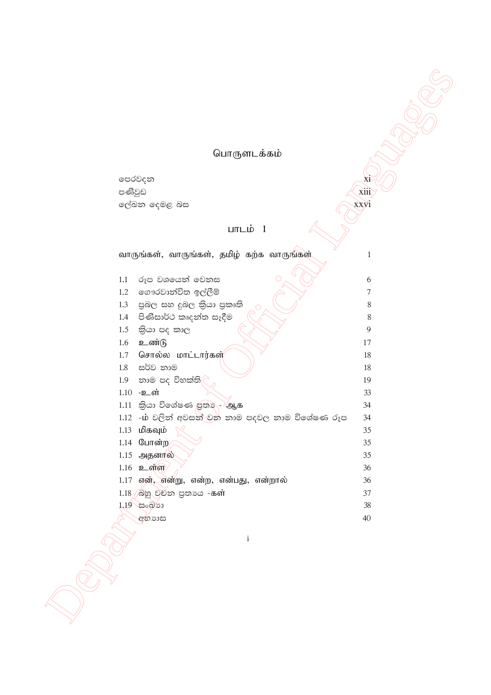# பொருளடக்கம்

xi  $\overrightarrow{xiii}$  $\sum_{i=1}^{n} \int_{0}^{1} (1-x^{i})^{2} dx$ 

xxyi

Article

පෙරවදන පණිවුඩ ලේඛන දෙමළ බස

# பாடம்  $1$

|                          | வாருங்கள், வாருங்கள், தமிழ் கற்க வாருங்கள்<br>$\mathbf{1}$ |
|--------------------------|------------------------------------------------------------|
|                          |                                                            |
| 1.1                      | රූප වශයෙන් වෙනස<br>6                                       |
| 1.2                      | ගෞරවාන්විත ඉල්ලීම්<br>$\tau$                               |
| 1.3                      | පුබල සහ දුබල කියා පුකෘති<br>8                              |
| 1.4                      | පිණිසාර්ථ කෘදන්ත සෑදීම<br>$8\,$                            |
| 1.5                      | කියා පද කාල<br>9                                           |
| உண்டு<br>1.6             | 17                                                         |
| 1.7                      | சொல்ல மாட்டார்கள்<br>18                                    |
| 1.8                      | සර්ව නාම<br>18                                             |
| 1.9                      | නාම පද විභක්ති<br>19                                       |
| $1.10 - 2$ ள்            | 33                                                         |
|                          | $1.11$ இல பெல்களை குறை - ஆக<br>34                          |
|                          | 1.12 -ம் වලින් අවසන් වන නාම පදවල නාම විශේෂණ රූප<br>34      |
| $1.13$ மிகவும்           | 35                                                         |
| 1.14 போன்ற               | 35                                                         |
| 1.15 அதனால்              | 35                                                         |
| $1.16$ <b>2</b> $\sigma$ | 36                                                         |
|                          | 1.17 என், என்று, என்ற, என்பது, என்றால்<br>36               |
|                          | 1.18 බහු වචන පුතාය -கள்<br>37                              |
| 1.19 සංඛ්යා              | 38                                                         |
| අභාගස                    | 40                                                         |
|                          |                                                            |
|                          | $\rm i$                                                    |
|                          |                                                            |
|                          |                                                            |
|                          |                                                            |
|                          |                                                            |
|                          |                                                            |
|                          |                                                            |
|                          |                                                            |
|                          |                                                            |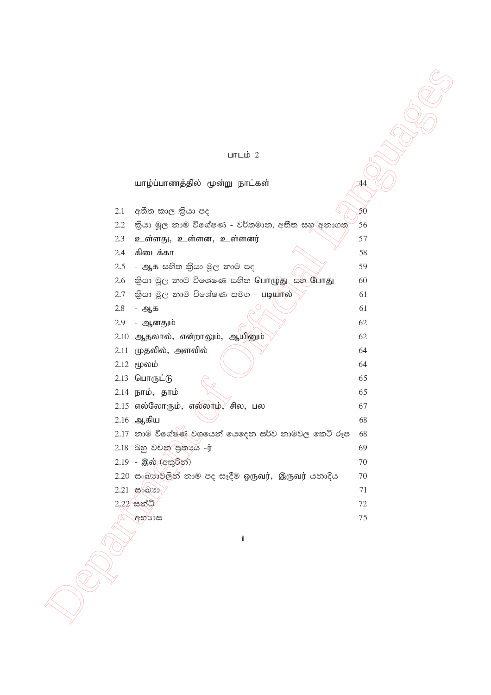#### $LmL$ ம் 2

யாழ்ப்பாணத்தில் மூன்று நாட்கள்

until 2<br>
uniform weight of order and the state of the state of the state of the state of the state of the state of the<br>
2.1 cities and Sen Let  $\alpha$ , and the state of Official Languages and the state of the state of the st  $2.1$  අතීත කාල කියා පද $\begin{pmatrix} \&3\end{pmatrix}$  $2.2$  කියා මූල නාම විශේෂණ - වර්තමාන, අතීත සහ $\langle$ අනාගත $\rangle$  56  $2.3$  உள்ளது, உள்ளன, உள்ளனர்  $\sim$  57  $2.4$  கிடைக்கா  $58$  $2.5$  - ஆக සහිත කියා මූල නාම පද $\sim$  2.5 - නාම පද  $2.6$  කියා මූල නාම විශේෂණ සහිත பொழுது සහ Currது 60  $2.7$  කියා මූල නාම විශේෂණ සමග - படியால்  $\sim$  61  $2.8 - 2.8 - 61$  $2.9$  - ஆனதும் 62  $2.10$  ஆதலால், என்றாலும், ஆயினும் $\sqrt{}$  62  $2.11$  முதலில், அளவில்  $\sim$   $\sim$   $\sim$   $\sim$  64  $2.12 \text{ (pow1)}$   $($   $)$   $)$  64  $2.13$   $\Omega$  $\Box$ IT(Ib)  $\angle$  65 2.14  $\overline{b}$ пம், தாம்  $\overline{\phantom{a}}$  65  $2.15$  எல்லோரும், எல்லாம், சில, பல  $67$  $2.16$  ஆகிய  $68$  $2.17$  නාම විශේෂණ වශයෙන් යෙදෙන සර්ව නාමවල කෙටි රූප  $68$ 2.18 බහු වචන පුතායෙ -ij 69  $2.19$  - இல் (අතුරින්)  $70$  $2.20$  සංඛානවලින් නාම පද සෑදීම ඉருவர், இருவர் යනාදිය 70 2'21 ixLHd 71  $2.22$ ්සන්ධි $\sqrt{2}$  $\alpha$ හි නායක 15 කරන ගැනීම නායකයක 15 කරන ගැනීම නායකයක 15 කරන ගැනීම නායකයක 15 කරන ගැනීම නායකයක 15 කරන ගැනීම නායකය

ii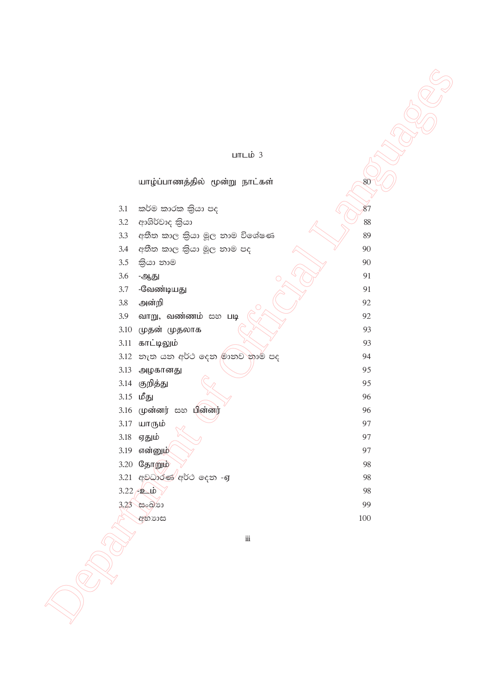### பாடம்  $3$

|                                      | $LITL\_D$ 3        |
|--------------------------------------|--------------------|
|                                      |                    |
| யாழ்ப்பாணத்தில் மூன்று நாட்கள்       | 80                 |
|                                      |                    |
| කර්ම කාරක කිුයා පද<br>3.1            | 87                 |
| ආශිර්වාද කියා<br>3.2                 | 88                 |
| අතීත කාල කිුයා මූල තාම විශේෂණ<br>3.3 | 89                 |
| අතීත කාල කියා මූල තාම පද<br>3.4      | 90                 |
| 3.5<br>කියා නාම                      | 90                 |
| $3.6\,$<br>ஆது                       | 91<br>O            |
| -வேண்டியது<br>3.7                    | 91                 |
| $3.8\,$<br>அன்றி                     | 92                 |
| வாறு, வண்ணம் සහ படி<br>3.9           | 92                 |
| முதன் முதலாக<br>3.10                 | 93                 |
| காட்டிலும்<br>3.11                   | 93                 |
| 3.12 නැත යන අර්ථ දෙන මානව නාම් පද    | 94                 |
| 3.13<br>அழகானது                      | 95                 |
| 3.14 குறித்து                        | 95                 |
| $3.15$ மீது                          | 96                 |
| 3.16 முன்னர் සහ பின்னர்              | 96                 |
| 3.17 யாரும்                          | 97                 |
| 3.18<br>ஏதும்                        | 97                 |
| 3.19 என்னுழ்                         | 97                 |
| 3.20 தோறும்                          | 98                 |
| 3.21 අවධාරණ අර්ථ දෙන -ஏ              | 98                 |
| $3.22 \div 2 \cdot 10$               | 98<br>99           |
| 3.23 සංඛ්රා                          | 100                |
| අභාගස                                |                    |
|                                      | $\dddot{\text{m}}$ |
|                                      |                    |
|                                      |                    |
|                                      |                    |
|                                      |                    |
|                                      |                    |
|                                      |                    |
|                                      |                    |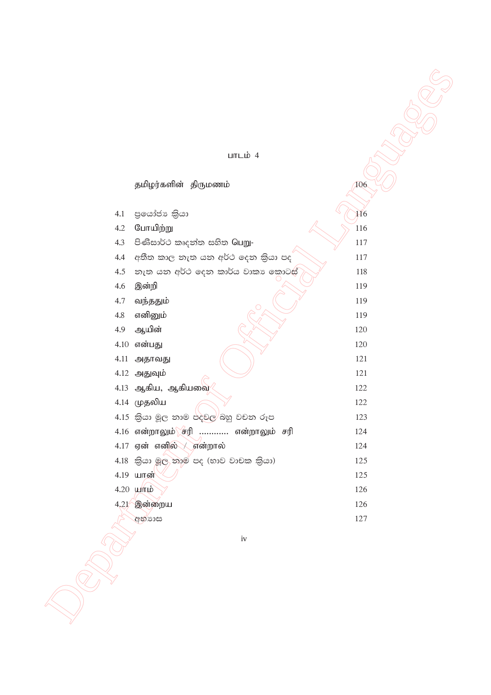#### $LITLID$  4

|         | பாடம் $4$                                       |                 |
|---------|-------------------------------------------------|-----------------|
|         |                                                 |                 |
|         | தமிழர்களின் திருமணம்                            | 106             |
|         |                                                 |                 |
| 4.1     | පුයෝජා කියා                                     | $\overline{H}6$ |
| 4.2     | போயிற்று                                        | 116             |
| 4.3     | පිණිසාර්ථ කෘදන්ත සහිත Guறு-                     | 117             |
| 4.4     | අතීත කාල නැත යන අර්ථ දෙන කියා පද                | 117             |
| 4.5     | නැත යන අර්ථ දෙන කාර්ය වාකා කොටස්                | 118             |
| 4.6     | இன்றி                                           | 119             |
| 4.7     | வந்ததும்                                        | 119             |
| $4.8\,$ | எனினும்                                         | 119             |
| 4.9     | ஆயின்                                           | 120             |
|         | $4.10$ என்பது                                   | 120             |
|         | 4.11 அதாவது                                     | 121             |
|         | 4.12 அதுவும்                                    | 121             |
|         | 4.13 ஆகிய, ஆகியவை                               | 122             |
|         | 4.14 முதலிய                                     | 122             |
|         | 4.15 කියා මූල නාම පදවල <sup>)</sup> බහු වචන රූප | 123             |
|         | 4.16 என்றாலும் சரி  என்றாலும் சரி               | 124             |
|         | $4.17$ ஏன் எனில் குன்றால்                       | 124             |
|         | 4.18 කියා මූල තාම පද (භාව වාචක කියා)            | 125             |
|         | 4.19 யான்                                       | 125             |
|         | $4.20$ $\mu$ mp                                 | 126             |
|         | 4,21 இன்றைய                                     | 126             |
|         | අභ්යාස                                          | 127             |
|         |                                                 |                 |
|         | iv                                              |                 |
|         |                                                 |                 |
|         |                                                 |                 |
|         |                                                 |                 |
|         |                                                 |                 |
|         |                                                 |                 |
|         |                                                 |                 |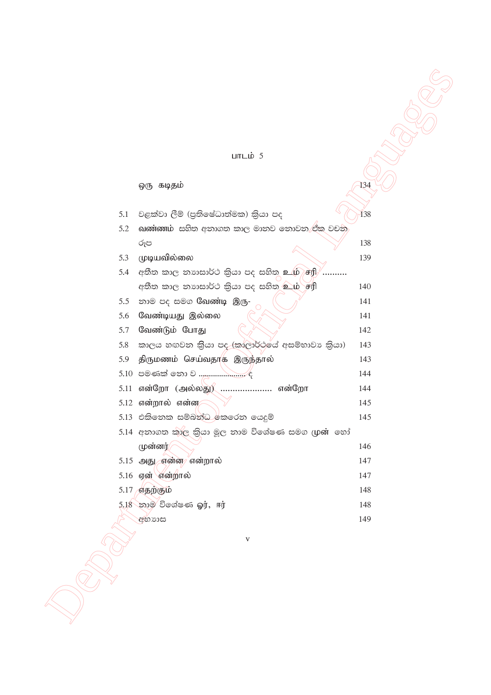#### $LITL\dot{\mathbf{D}}$  5

ஒரு கடிதம் 134 වළක්වා ලීම් (පුතිෂේධාත්මක) කියා පද  $5.1$ 138 வண்ணம் සහිත අනාගත කාල මානව නොවන ඒක වචන 5.2 රූප 138 5.3 முடியவில்லை 139 5.4 අතීත කාල තහාසාර්ථ කියා පද සහිත உழ் சரி .......... අතීත කාල නාහසාර්ථ කියා පද සහිත உம் சரி 140 5.5 නාම පද සමග வேண்டி இரு-141 5.6 வேண்டியது இல்லை 141 வேண்டும் போது 5.7 142 කාලය හඟවන කියා පද (කාලාර්ථයේ අසම්භාවා කියා) 5.8 143 5.9 திருமணம் செய்வதாக இருந்தால் 143 144 5.11 என்றோ (அல்லது) ...................... என்றோ 144  $5.12$  என்றால் என்ன $\epsilon$ 145 5.13 එකිනෙක සම්බන්ධ කෙරෙන යෙදුම් 145 5.14 අනාගත කාල කියා මූල නාම විශේෂණ සමග (ழன் හෝ (முன்னர் 146 5.15 அது என்ன என்றால் 147 5.16 ஏன் என்றால் 147 5.17 எதற்கும் 148 5.18 නාම විශේෂණ බා, ஈர் 148 අභාගස 149

 $\overline{\mathbf{v}}$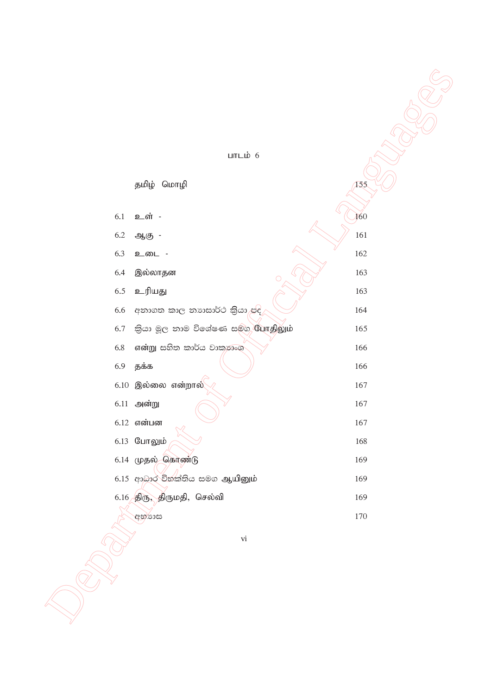|         | பாடம் $6$                               |         |
|---------|-----------------------------------------|---------|
|         |                                         |         |
|         | தமிழ் மொழி                              | 155     |
|         |                                         |         |
| 6.1     | உள் -                                   | 160     |
| $6.2\,$ | ஆகு -                                   | 161     |
| 6.3     | உடை -                                   | 162     |
| 6.4     | இல்லாதன<br>$\circ$                      | 163     |
| $6.5\,$ | உரியது                                  | 163     |
| 6.6     | අනාගත කාල නාාසාර්ථ කියා පිදි            | 164     |
| 6.7     | කියා මූල තාම විශේෂණ සමග <b>யோதிலும்</b> | 165     |
| 6.8     | என்று සහිත කාර්ය වාකාගංශ                | 166     |
| 6.9     | தக்க                                    | 166     |
|         | $6.10$ இல்லை என்றால்                    | $167\,$ |
|         | $6.11$ அன்று                            | $167\,$ |
|         | $6.12$ என்பன                            | 167     |
|         | 6.13 போலும்                             | 168     |
|         | $6.14$ முதல் கொண்டு                     | 169     |
|         | 6.15 ආධාර විභක්තිය සමග ஆயினும்          | 169     |
|         | $6.16$ திரு, திருமதி, செல்வி            | 169     |
|         | අභූගාස                                  | 170     |
|         | $\rm{vi}$                               |         |
|         |                                         |         |
|         |                                         |         |
|         |                                         |         |
|         |                                         |         |
|         |                                         |         |
|         |                                         |         |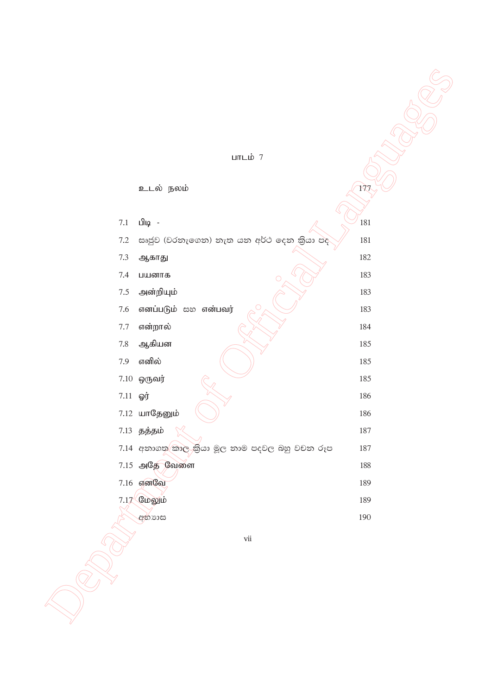$LmL$ ம் 7

 $21.14$  and  $24.16$  and  $24.16$  and  $24.16$  and  $24.16$  and  $24.16$  and  $24.16$  and  $24.16$  and  $24.16$  and  $24.16$  and  $24.16$  and  $24.16$  and  $24.16$  and  $24.16$  and  $24.16$  and  $24.16$  and  $24.16$  and  $24.16$  and  $24.1$ உடல் நலம் $\sqrt{177}$ 7.1 Lilig -  $\sqrt{181}$  $7.2$  සෘජූව (වරනැගෙන) නැත යන අර්ථ දෙන කියා පද $\sqrt{ \quad}$  181 7.3 ஆகாது 182 7.4 ци $\omega$ тв  $\omega$   $\omega$   $\omega$   $\omega$   $\omega$   $\omega$  183 7'5 md;wpAk; 183 7.6 எனப்படும் සහ என்பவர்  $\beta \sim$  383 7.7 என்றால்  $\bigcap_{n=1}^{\infty}$  184 7'8 Mfpad 185 7.9 எனில்  $(\hspace{0.8cm} \setminus \hspace{0.1cm})$  185  $7.10 \;$  ஒருவர்  $\qquad \qquad \qquad$  185  $7.11$   $\omega$   $\sigma$   $\sim$   $\sim$   $\sim$   $\sim$  186  $7.12$  шп $\mathbb{G}$ தனும்  $\qquad \qquad$  )  $\qquad \qquad$  186  $7.13$  தத்தம்  $\aleph$  187 7.14 අනාගත කාල කියා මූල නාම පදවල බහු වචන රූප 187 7.15 அதே வேளை 188 <u>7.16 எனவே</u> 189  $7.17$  Cuoglio  $189$ අභ්යාපය (190 $\,$ 

vii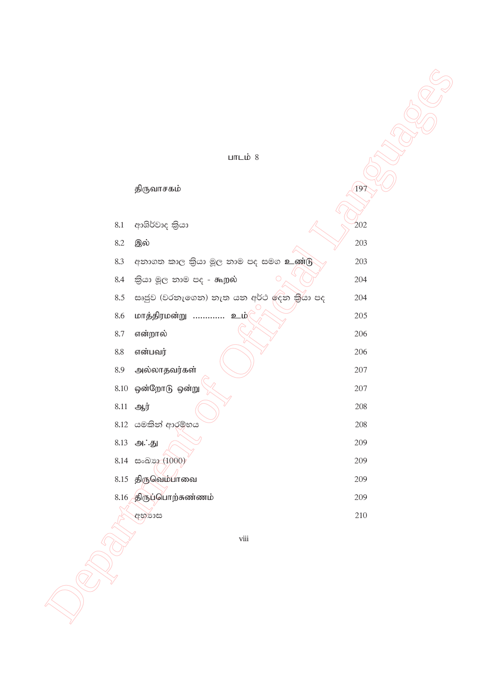#### $LITL\_$ ம் 8 திருவாசகம்  $(197$ ආශිර්වාද කියා 8.1  $202$ 8.2 இல் 203 අනාගත කාල කියා මූල නාම පද සමග உண்டு 8.3 203 කියා මූල නාම පද - கூறல் 8.4 204 සෘජුව (වරතැගෙන) නැත යන අර්ථ ඉදින කියා පද 8.5 204 மாத்திரமன்று ............. உம் 8.6 205 8.7 என்றால் 206 8.8 என்பவர் 206 8.9 அல்லாதவர்கள்  $207\,$ 8.10 ஒன்றோடு ஒன்று 207 8.11 ஆர் 208 8.12 යමකින් ආරම්භය 208 8.13 அ∴்து 209 8.14 සංඛාන (1000) 209 8.15 திருவெம்பாவை 209 8.16 திருப்பொற்சுண்ணம் 209 210 අභයාස

viii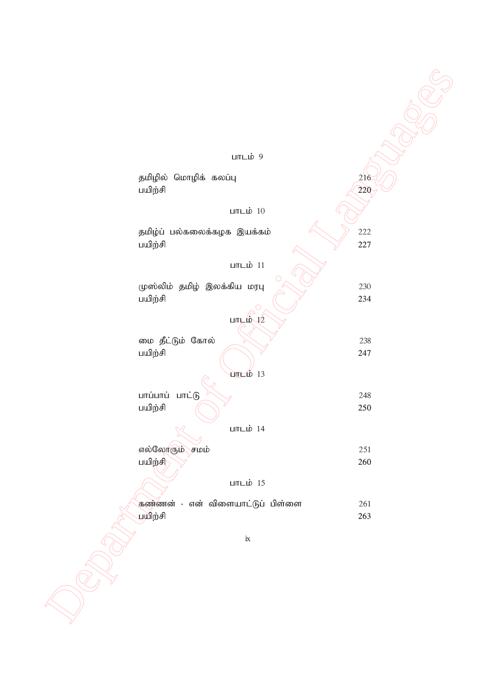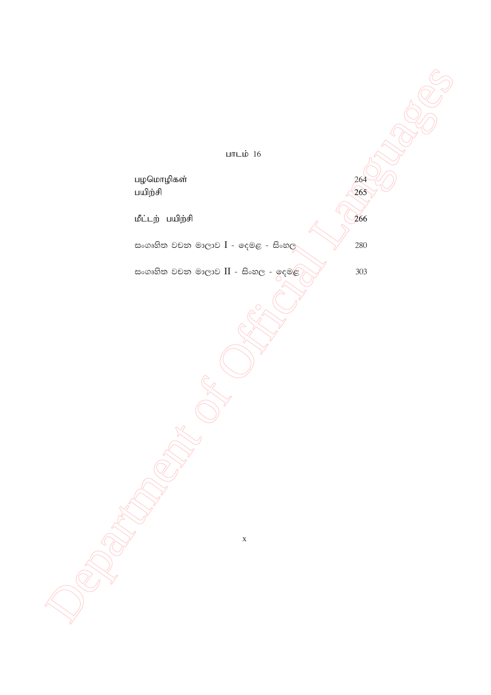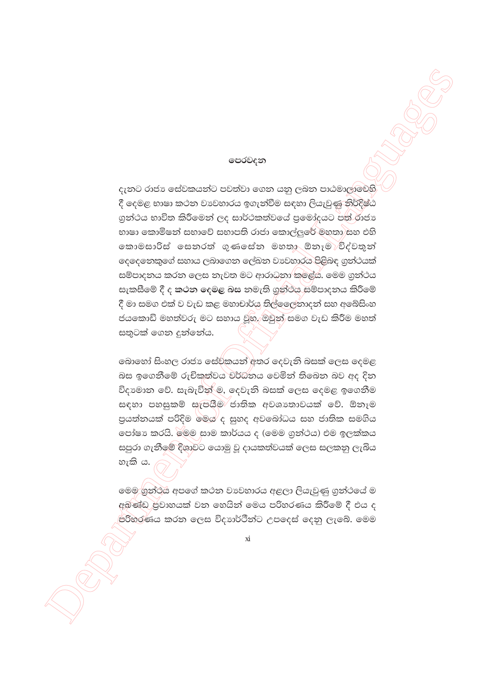#### පෙරවදන

දැනට රාජා සේවකයන්ට පවත්වා ගෙන යනු ලබන පාඨමාලාවෙහි දී දෙමළ භාෂා කථන වාවහාරය ඉගැන්වීම සඳහා ලියැවුණු නිර්දිෂ්ඨ ගුන්ථය භාවිත කිරීමෙන් ලද සාර්ථකත්වයේ පුමෝදයට පත් රාජා භාෂා කොමිෂන් සභාවේ සභාපති රාජා කොල්ලුරේ මහතා සහ එහි කොමසාරිස් සෙනරත් ගුණසේන මහතා ඕනෑම විද්වතුන් ලෙලෙනකුගේ සහාය ලබාගෙන ලේඛන වාවහාරය පිළිබඳ ගුන්ථයක් සම්පාදනය කරන ලෙස නැවත මට ආරාධනා කලේයි. මෙම ගුන්ථය සැකසීමේ දී ද කථන දෙමළ බස නමැති ගුන්ථය සම්පාදනය කිරීමේ දී මා සමග එක් ව වැඩ කළ මහාචාර්යු තිල්ලෛතාදන් සහ අබේසිංහ ජයකොඩි මහත්වරු මට සහාය වූහ. ඔවුන් සමග වැඩ කිරීම මහත් සතුටක් ගෙන දුන්නේය.

බොහෝ සිංහල රාජා සේව්කයන් අතර දෙවැනි බසක් ලෙස දෙමළ බස ඉගෙනීමේ රුචිකුත්වය වර්ධනය වෙමින් තිබෙන බව අද දින විදාමාන වේ. සැබැවින් ම, දෙවැනි බසක් ලෙස දෙමළ ඉගෙනීම සඳහා පහසුකම් සැපයීම ජාතික අවශාතාවයක් වේ. ඕනෑම පුයත්තයක් පරිදිම මෙය ද සුහද අවබෝධය සහ ජාතික සමගිය පෝෂා කරයි. මෙම සාම කාර්යය ද (මෙම ගුන්ථය) එම ඉලක්කය සපුරා ගැනීමේ දිශාවට යොමු වූ දායකත්වයක් ලෙස සලකනු ලැබිය හැකි ය.

මෙම ගුන්ථය අපගේ කථන වාවහාරය අළලා ලියැවුණු ගුන්ථයේ ම අබණ්ඩ පුවාහයක් වන හෙයින් මෙය පරිහරණය කිරීමේ දී එය ද පරිහරණය කරන ලෙස විදාාර්ථීන්ට උපදෙස් දෙනු ලැබේ. මෙම

 $\overline{x}$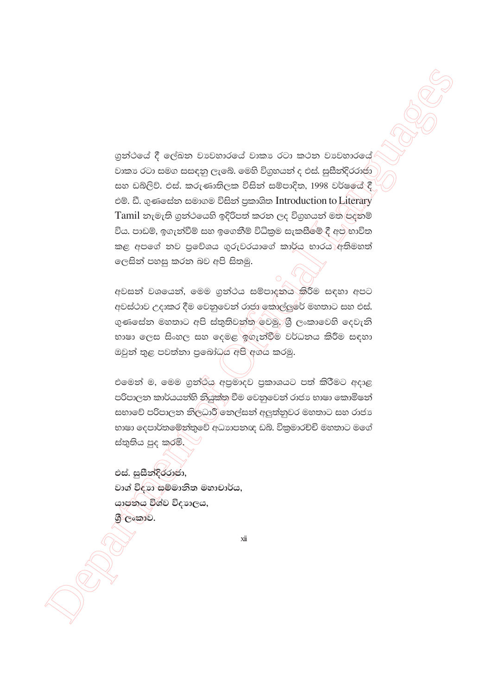ගුන්ථයේ දී ලේඛන වාවහාරයේ වාකා රටා කථන වාවහාරයේ වාකා රටා සමග සසඳනු ලැබේ. මෙහි විගුහයන් ද එස්. සුසීන්දිරරාජා සහ ඩබ්ලිව්. එස්. කරුණාතිලක විසින් සම්පාදිත, 1998 වර්ෂයේ දී එම්. ඩී. ගුණසේන සමාගම විසින් පුකාශිත Introduction to Literary Tamil නැමැති ගුන්ථයෙහි ඉදිරිපත් කරන ලද විගුහයන් මත පදනම් විය. පාඩම්, ඉගැන්වීම් සහ ඉගෙනීම් විධිකුම සැකසීමේ දී අප භාවිත කළ අපගේ නව පුවේශය ගුරුවරයාගේ කාර්ය භාරය අතිමහත් ලෙසින් පහසු කරන බව අපි සිතමු.

අවසන් වශයෙන්, මෙම ගුන්ථය සම්පාදනය කිරීම සඳහා අපට අවස්ථාව උදාකර දීම වෙනුවෙන් රාජා කොල්ලුරේ මහතාට සහ එස්. ගුණසේන මහතාට අපි ස්තුතිවන්ත වෙමු. ශී ලංකාවෙහි දෙවැනි භාෂා ලෙස සිංහල සහ දෙමළ ඉගැන්වීම වර්ධනය කිරීම සඳහා ඔවුන් තුළ පවත්නා පුබෝධය අපි අගය කරමු.

එමෙන් ම, මෙම ගුන්රිය අපුමාදව පුකාශයට පත් කිරීමට අදාළ පරිපාලන කාර්යයන්හි නියුක්ත වීම වෙනුවෙන් රාජා භාෂා කොමිෂන් සභාවේ පරිපාලන නිලධාරී නෙල්සන් අලුත්තුවර මහතාට සහ රාජා භාෂා දෙපාර්තමේන්තුවේ අධාහපනඥ ඩබ්. විකුමාරච්චි මහතාට මගේ ස්තුතිය පුද කරමි.

එස්. සුසීන්දිරරාජා, වාග් විදහා සම්මානිත මහාචාර්ය, යාපනය විශ්ව විදාහලය, ගි ලංකාව.

 $xii$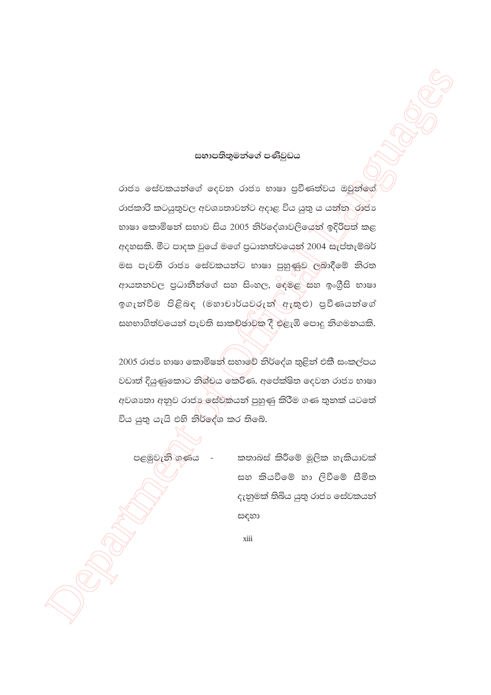#### සභාපතිතුමන්ගේ පණිවුඩය

රාජා සේවකයන්ගේ දෙවන රාජා භාෂා පුවීණත්වය ඔවුන්ගේ රාජකාරි කටයුතුවල අවශාතාවන්ට අදාළ විය යුතු ය යන්න රාජා භාෂා කොමිෂන් සභාව සිය 2005 නිර්දේශාවලියෙන් ඉදිරිපත් කළ අදහසකි. මීට පාදක වුයේ මගේ පුධානත්වයෙන් 2004 සැප්තැම්බර් මස පැවති රාජා සේවකයන්ට භාෂා පුහුණුව ලබාදීමේ නිරත ආයතනවල පුධානීන්ගේ සහ සිංහල, ඉදමළ සහ ඉංගීසි භාෂා ඉගැන්වීම පිළිබඳ (මහාචාර්යවරුන් ඇතුළු) පුවීණයන්ගේ සහභාගිත්වයෙන් පැවති සාකච්ඡාවක දී එළැඹි පොදු නිගමනයකි.

2005 රාජා භාෂා කොමිෂන් සභාවේ නිර්දේශ තුළින් එකී සංකල්පය වඩාත් දියුණුකොට නිශ්චය කෙරිණ. අපේක්ෂිත දෙවන රාජා භාෂා අවශාතා අනුව රාජා ලස්වකයන් පුහුණු කිරීම ගණ තුනක් යටතේ විය යුතු යැයි එහි නිර්දේශ කර තිබේ.

පළමුවැනි ගණය

කතාබස් කිරීමේ මූලික හැකියාවක් සහ කියවීමේ හා ලිවීමේ සීමිත දැනුමක් තිබිය යුතු රාජා සේවකයන් සඳහා

xiii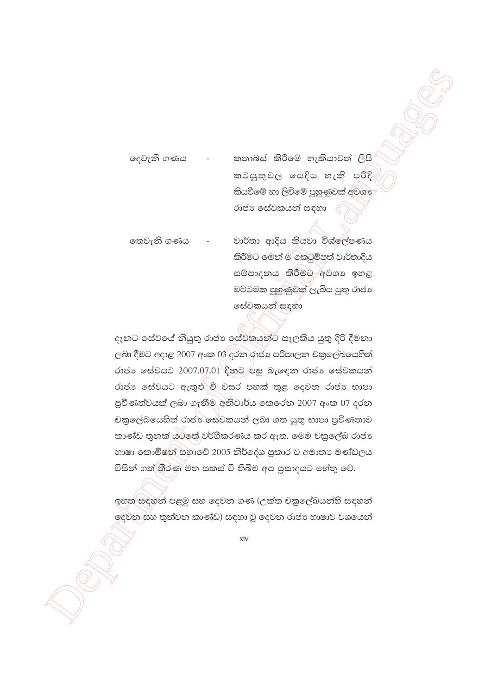කතාබස් කිරීමේ හැකියාවත් ලිපි දෙවැනි ගණය කටයුතුවල යෙදිය හැකි පරිදි කියවීමේ හා ලිවීමේ පුහුණුවක් අවශා රාජා සේවකයන් සඳහා

වාර්තා ආදිය කියවා විශ්ලේෂණය තෙවැනි ගණය කිරීමට මෙන් ම කෙටුම්පත් වාර්තාදිය සම්පාදනය කිරීමට අවශා ඉහළ මට්ටමක පුහුණුවක් ලැබිය යුතු රාජා සේවකයන් සඳහා

දැනට සේවයේ නියුතු රාජා සේවකයන්ට සැලකිය යුතු දිරි දීමනා ලබා දීමට අදාළ 2007 අංක 03 දරන රාජා පරිපාලන චකුලේඛයෙහිත් රාජා සේවයට 2007.07.01 දිනට පසු බැඳෙන රාජා සේවකයන් රාජා සේවයට ඇතුළු වී වසර පහක් තුළ දෙවන රාජා භාෂා පුවීණත්වයක් ලබා ගැනීම අනිවාර්ය කෙරෙන 2007 අංක 07 දරන චකුලේඛයෙහිත් රාජා සේවකයන් ලබා ගත යුතු භාෂා පුවීණතාව කාණ්ඩ තුනක් ය්ටතේ වර්ගීකරණය කර ඇත. මෙම චකුලේඛ රාජා භාෂා කොමිෂන් සභාවේ 2005 නිර්දේශ පුකාර ව අමාතා මණ්ඩලය විසින් ගත් තීරණ මත සකස් වී තිබීම අප පුසාදයට හේතු වේ.

ඉහත සඳහන් පළමු සහ දෙවන ගණ (උක්ත චකුලේඛයන්හි සඳහන් ලදවන සහ තුන්වන කාණ්ඩ) සඳහා වූ ලදවන රාජා භාෂාව වශයෙන්

xiv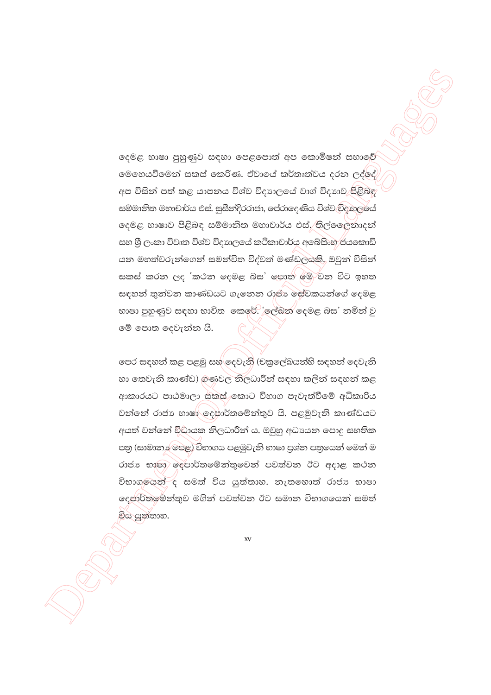දෙමළ භාෂා පුහුණුව සඳහා පෙළපොත් අප කොමිෂත් සභාවේ මෙහෙයවීමෙන් සකස් කෙරිණ. ඒවායේ කර්තෘත්වය දරන ලද්දේ අප විසින් පත් කළ යාපනය විශ්ව විදහාලයේ වාග් විදහාව පිළිබඳ සම්මානිත මහාචාර්ය එස්. සුසීන්දිරරාජා, පේරාදෙණිය විශ්ව විආාලයේ දෙමළ භාෂාව පිළිබඳ සම්මානිත මහාචාර්ය එස්, තිල්ලෛනාදන් සහ ශී ලංකා විවෘත විශ්ව විදාහලයේ කථිකාචාර්ය අබේසිංහ ජයකොඩි යන මහත්වරුන්ගෙන් සමන්විත විද්වත් මණ්ඩලයකි. ඔවුන් විසින් සකස් කරන ලද 'කථන දෙමළ බස' පොත මේ වන විට ඉහත සඳහන් තුන්වන කාණ්ඩයට ගැනෙන රාජා ඓ්වකයන්ගේ දෙමළ භාෂා පුහුණුව සඳහා භාවිත කෙරේ. 'ලේඛන දෙමළ බස' නමින් වු මේ පොත දෙවැන්න යි.

පෙර සඳහන් කළ පළමු සහ දෙවැනි (චකුලේඛයන්හි සඳහන් දෙවැනි හා තෙවැනි කාණ්ඩ) ගණවල නිලධාරීන් සඳහා කලින් සඳහන් කළ ආකාරයට පාඨමාලා සකස් කොට විභාග පැවැත්වීමේ අධිකාරිය වන්නේ රාජා භාෂා ලදපාර්තමේන්තුව යි. පළමුවැනි කාණ්ඩයට අයත් වන්නේ විඩායක නිලධාරීන් ය. ඔවුහු අධායන පොදු සහතික පතු (සාමානා පෙළ) විභාගය පළමුවැනි භාෂා පුශ්න පතුයෙන් මෙන් ම රාජා භාෂා ලදපාර්තමේන්තුවෙන් පවත්වන ඊට අදාළ කථන විභාගලයන් ද සමත් විය යුත්තාහ. නැතහොත් රාජා භාෂා දෙපාර්තමේන්තුව මගින් පවත්වන ඊට සමාන විභාගයෙන් සමත් විය යුත්තාහ.

 $XV$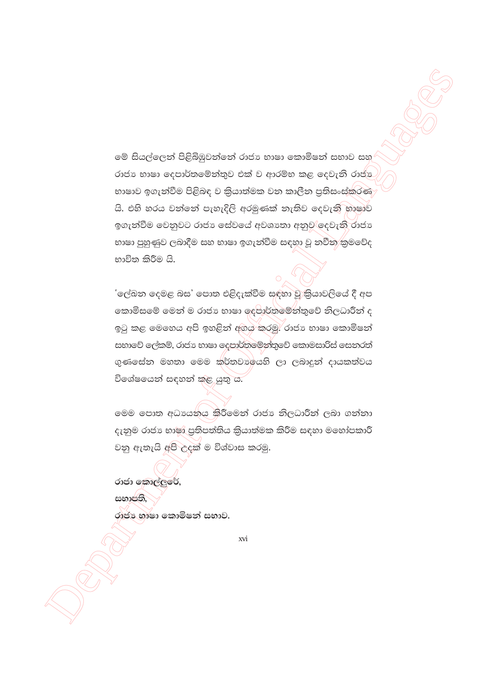මේ සියල්ලෙන් පිළිබිඹුවන්නේ රාජා භාෂා කොමිෂන් සභාව සහ රාජා භාෂා ලදපාර්තමේන්තුව එක් ව ආරම්භ කළ ලදවැනි රාජා භාෂාව ඉගැන්වීම පිළිබඳ ව කියාත්මක වන කාලීන පුතිසංස්කරණ යි. එහි හරය වන්නේ පැහැදිලි අරමුණක් නැතිව දෙවැනි භාෂාව ඉගැන්වීම වෙනුවට රාජා සේවයේ අවශාතා අනුව ලදවැනි රාජා භාෂා පුහුණුව ලබාදීම සහ භාෂා ඉගැන්වීම සඳහා වූ නවීන කුමවේද භාවිත කිරීම යි.

'ලේඛන දෙමළ බස' පොත එළිදැක්වීම සඳහා වූ කියාවලියේ දී අප කොමිසමේ මෙන් ම රාජා භාෂා දෙපාර්තමේන්තුවේ නිලධාරීන් ද ඉටු කළ මෙහෙය අපි ඉහළින් අගිය කරමු. රාජා භාෂා කොමිෂන් සභාවේ ලේකම්, රාජා භාෂා ලදපාර්තමේන්තුවේ කොමසාරිස් සෙනරත් ගුණසේන මහතා මෙම කර්තවාලයහි ලා ලබාදුන් දායකත්වය විශේෂයෙන් සඳහන් කුළ යුතු ය.

මෙම පොත අධායනය කිරීමෙන් රාජා නිලධාරීන් ලබා ගන්නා දැනුම රාජා භාෂ්©පුතිපත්තිය කියාත්මක කිරීම සඳහා මහෝපකාරී වනු ඇතැයි අපි උදක් ම විශ්වාස කරමු.

රාජා කොල්ලුරේ, සභාපති, රාජා භාෂා කොමිෂන් සභාව.

xvi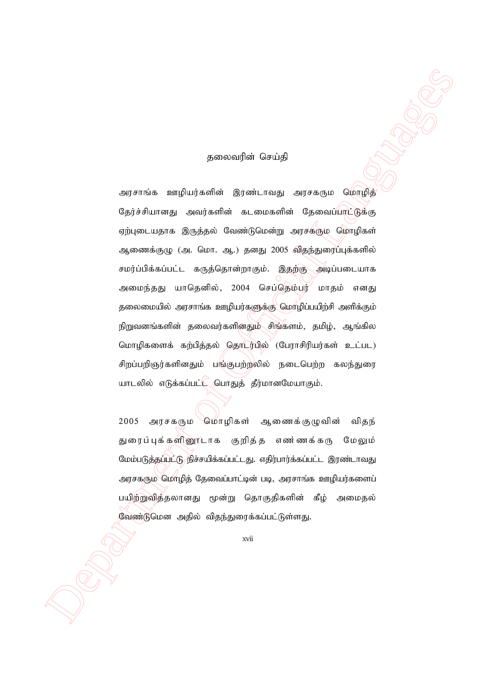#### தலைவரின் செய்தி

 Department of Official Languages அரசாங்க ஊழியர்களின் இரண்டாவது அரசகரும மொழித் தேர்ச்சியானது அவர்களின் கடமைகளின் தேவைப்பாட்டுக்கு ஏற்புடையதாக இருத்தல் வேண்டுமென்று அரசகரும மொழிகள் ஆணைக்குழு (அ. மொ. ஆ.) தனது 2005 விதந்துரைப்புக்களில் சமர்ப்பிக்கப்பட்ட கருத்தொன்றாகும். இதற்கு அடிப்படையாக அமைந்தது யாதெனில், 2004 செப்தெம்பர் மாதம் எனது தலைமையில் அரசாங்க ஊழியர்களுக்கு மொழிப்பயிற்சி அளிக்கும் நிறுவனங்களின் தலைவர்களினதும் சிங்களம், தமிழ், ஆங்கில மொழிகளைக் கற்பித்தல் தொடர்பில் (பேராசிரியர்கள் உட்பட) சிறப்பறிஞர்களினதும் பங்குபற்றலில் நடைபெற்ற கலந்துரை யாடலில் எடுக்கப்பட் $\bigcup$ பொதுத் தீர்மானமேயாகும்.

2005 அரசகரும மொழிகள் ஆணைக்குழுவின் விதந் துரைப்புக்களினூடாக குறித்த எண ணக்கரு மேலும் மேம்படுத்தப்பட்டு நிச்சயிக்கப்பட்டது. எதிர்பார்க்கப்பட்ட இரண்டாவது அரசகரும மொழித் தேவைப்பாட்டின் படி, அரசாங்க ஊழியர்களைப் பயிற்றுவித்தலானது மூன்று தொகுதிகளின் கீழ் அமைதல் வேண்டுமென அதில் விதந்துரைக்கப்பட்டுள்ளது.

xvii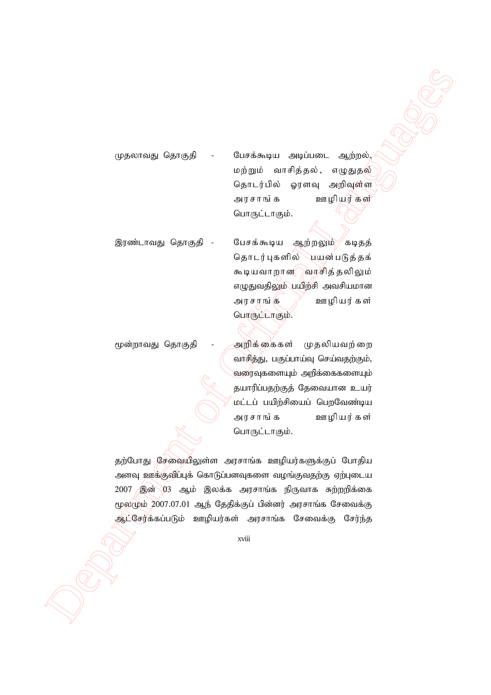முதலாவது தொகுதி - பேசக்கூடிய அடிப்படை ஆற்றல், மற்றும் வாசித்தல், எழுதுதல் தொடர்பில் ஓரளவு அறிவுள்ள அரசாங்க ஊழியர்கள்<sup>;</sup> பொருட்டாகும்.

 $\label{eq:3} The following QFTs that the following QFTs that the following QFTs that the following QFTs that the following QFTs that the following QFTs that the following QFTs that the following QFTs that the following QFTs that the following QFTs that the following QFTs that the following QFTs that the following QFTs that the following QFTs that the following QFTs that the following QFTs that the following QFTs that the following QFTs that the following QFTs that the following QFTs that the following QFTs that the following QFTs that the following QFTs that the following QFTs that the following QFTs that the following QFTs that the following QFTs that the following QFTs that the following QFTs that the following QFTs that the following QFTs that the following QFTs that the following QFTs that the following QFTs that the following QFTs that the following Q$ இரண்டாவது தொகுதி - பேசக்கூடிய ஆற்றலும் கடிதத் தொடர்புகளில் ``பயன்படுத்தக் கூடியவாறான**் வாசித் தலிலும்** எழுதுவதிலும் பயிற்சி அவசியமான அரசாங்கு  $\mathbb{N}$  ஊழியர்கள் பொருட்டாகும்.

மூன்றாவது தொகுதி - அறிக்கைகள் முதலியவற்றை வாசித்து, பகுப்பாய்வு செய்வதற்கும், வரைவுகளையும் அறிக்கைகளையும் தயாரிப்பதற்குத் தேவையான உயர் மட்டப் பயிற்சியைப் பெறவேண்டிய அரசாங்க ஊழியர்கள் பொருட்டாகும்.

தற்போது சேவையிலுள்ள அரசாங்க ஊழியர்களுக்குப் போதிய அளவு ஊக்குவிப்புக் கொடுப்பனவுகளை வழங்குவதற்கு ஏற்புடைய 2007 இன் 03 ஆம் இலக்க அரசாங்க நிருவாக சுற்றறிக்கை  $($ ழல $($ ழம் 2007.07.01 ஆந் தேதிக்குப் பின்னர் அரசாங்க சேவைக்கு ஆட்சேர்க்கப்படும் ஊழியர்கள் அரசாங்க சேவைக்கு சேர்ந்த

xviii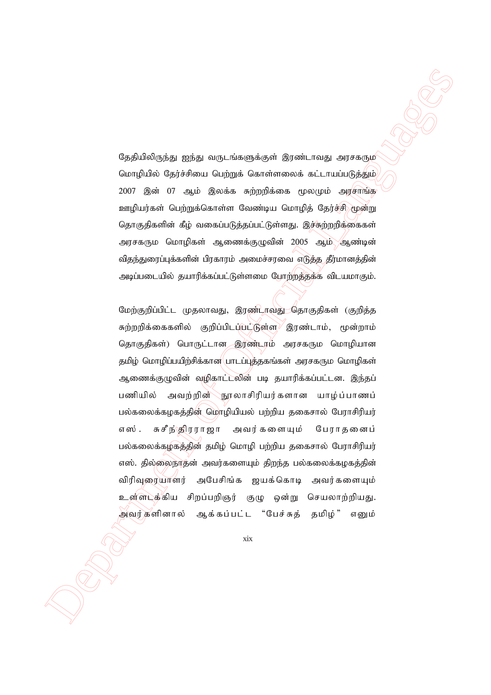தேதியிலிருந்து ஐந்து வருடங்களுக்குள் இரண்டாவது அரசகரும மொழியில் தேர்ச்சியை பெற்றுக் கொள்ளலைக் கட்டாயப்படுத்தும்  $2007$  இன்  $07$  ஆம் இலக்க சுற்றறிக்கை மூலமும் அரசாங்க ஊழியர்கள் பெற்றுக்கொள்ள வேண்டிய மொழித் தேர்ச்சி மூன்று தொகுதிகளின் கீழ் வகைப்படுத்தப்பட்டுள்ளது. இச்சுற்றறிக்கைகள் அரசகரும மொழிகள் ஆணைக்குழுவின் 2005 ஆம் ஆண்டின் விதந்துரைப்புக்களின் பிரகாரம் அமைச்சரவை எடுத்த தீர்மானத்தின் அடிப்படையில் தயாரிக்கப்பட்டுள்ளமை போற்றத்தக்க விடயமாகும்.

 $\Omega$ ppidologial misu argumentos de primeiras argumentos (1993)<br>
(απή) δίνο θρόπο (1993) (από το Οικοδομία Δαπάνων αποτελεί το Οικοδομία (από το Οικοδομία Δαπάνων από το Οικοδομία Παραπό το Οικοδομία (από το Οικοδομία Δα மேற்குறிப்பிட்ட முதலாவது, இரண்டாவது தொகுதிகள் (குறித்த சுற்றறிக்கைகளில் குறிப்பிடப்<del>ப</del>ட்டுள்ள<sup>)</sup> இரண்டாம், மூன்றாம் தொகுதிகள்) பொருட்டான இரண்டரம் அரசகரும மொழியான தமிழ் மொழிப்பயிற்சிக்கான பாடப்புத்தகங்கள் அரசகரும மொழிகள் ஆணைக்குழுவின் வழிகாட்டலின் படி தயாரிக்கப்பட்டன. இந்தப் பணியில் அவற்றின்∕நூலாசிரியர்களான யாழ்ப்பாணப் பல்கலைக்கழகத்தின் மொழியியல் பற்றிய தகைசால் பேராசிரியர் எஸ். சுசீந்ஞிரராஜா அவர்களையும் பேராதனைப் பல்கலைக்கழகத்தின் தமிழ் மொழி பற்றிய தகைசால் பேராசிரியர் எஸ். தில்லைநாதன் அவர்களையும் திறந்த பல்கலைக்கழகத்தின் விரிவுரையாளர் அபேசிங்க ஜயக்கொடி அவர்களையும் உள்ளடக்கிய சிறப்பறிஞர் குழு ஒன்று செயலாற்றியது. அவர்களினால் ஆக்கப்பட்ட "பேச்சுத் தமிழ்" எனும்

xix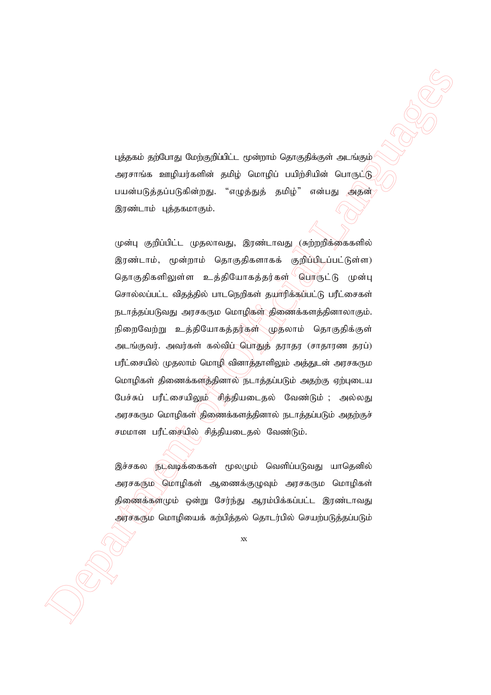புத்தகம் தற்போது மேற்குறிப்பிட்ட மூன்றாம் தொகுதிக்குள் அடங்கும் அரசாங்க ஊழியர்களின் தமிழ் மொழிப் பயிற்சியின் பொருட்டு பயன்படுத்தப்படுகின்றது. "எழுத்துத் தமிழ்" என்பது அதன் இரண்டாம் புத்தகமாகும்.

மத்தலம் தற்பாது மேற்றதிப்பேட் முன்றாம் தொகுதிக்குள் கூடங்கும்<br>அதலம் தற்பாது மேற்றதிப்பேட் முன்றாம் தொகுதிக்குள் கூடங்கும்<br>பான்பிக்கப்படுகின்ஸ் தாழ் மோழி பயிழ்சியில் பொருட்டில் செய்யில் பெரும்<br>இரண்டாம் புத்தவரைதுட் கூழுத முன்பு குறிப்பிட்ட முதலாவது, இரண்டாவது (சுற்றறிக்கைகளில் இரண்டாம், மூன்றாம் தொகுதிகளாகக் குறிப்பிடப்பட்டுள்ள) njhFjpfspYs;s cj;jpNahfj;ju;fs; nghUl;L Kd;G சொல்லப்பட்ட விதத்தில் பாடநெறிகள் தயாரிக்கப்பட்டு பரீட்சைகள் நடாத்தப்படுவது அரசகரும மொழிகள் திணைக்களத்தினாலாகும். நிறைவேற்று உத்தியோகத்தர்கள் முதலாம் தொகுதிக்குள் அடங்குவர். அவர்கள் கல்விப் பொதுத் தராதர (சாதாரண தரப்) பரீட்சையில் முதலாம் மொழி வினாத்தாளிலும் அத்துடன் அரசகரும மொழிகள் திணைக்களத்தினால் நடாத்தப்படும் அதற்கு ஏற்புடைய பேச்சுப் பரீட்சையிலும் சித்தியடைதல் வேண்டும் ; அல்லது அரசகரும மொழிகள் திணைக்களத்தினால் நடாத்தப்படும் அதற்குச் சமமான பரீட்சையில் சித்தியடைதல் வேண்டும்.

இச்சகல நடவடிக்கைகள் மூலமும் வெளிப்படுவது யாதெனில் அரசகரும மொழிகள் ஆணைக்குழுவும் அரசகரும மொழிகள் திணைக்கள்மும் ஒன்று சேர்ந்து ஆரம்பிக்கப்பட்ட இரண்டாவது அர்சகரும மொழியைக் கற்பித்தல் தொடர்பில் செயற்படுத்தப்படும்

xx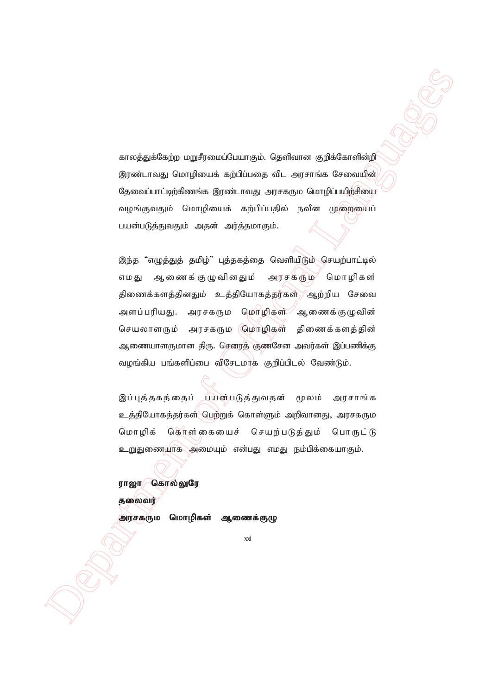காலத்துக்கேற்ற மறுசீரமைப்பேயாகும். தெளிவான குறிக்கோளின்றி இரண்டாவது மொழியைக் கற்பிப்பதை விட அரசாங்க சேவையின் தேவைப்பாட்டிற்கிணங்க இரண்டாவது அரசகரும மொழிப்பயிற்சியை வழங்குவதும் மொழியைக் கற்பிப்பதில் நவீன முறையைப் பயன்படுத்துவதும் அதன் அர்த்தமாகும்.

example of Official Languages of American Constrainers (2011)<br>
Septembent of Official Language Society of American Constrainers<br>
Septembent of Official Languages of American Constrainers<br>
Constrainers and the particular C இந்த "எழுத்துத் தமிழ்" புத்தகத்தை வெளியிடும் செயற்பாட்டில் எமது ஆணைக்குழுவினதும் அரசகரும் மொழிகள் திணைக்களத்தினதும் உத்தியோகத்தர்கள் ஆற்றிய சேவை அளப்பரியது. அரசகரும மொழிகள் ஆணைக்குழுவின் செயலாளரும் அரசகரும (மொழிகள் திணைக்களத்தின் ஆணையாளருமான திரு. செனரத் குணசேன அவர்கள் இப்பணிக்கு வழங்கிய பங்களிப்பை விசேடமாக குறிப்பிடல் வேண்டும்.

இப்புத்தகத்தைப் பயன்படுத்துவதன் மூலம் அரசாங்க <u>உத்தி</u>யோகத்தர்கள் பெற்றுக் கொள்ளும் அறிவானது, அரசகரும மொழிக் கொள்கையைச் செயற்படுத்தும் பொருட்டு உறுதுணையாக அமையும் என்பது எமது நம்பிக்கையாகும்.

ராஜா $\sqrt{a}$ கால்லுரே

தலைவர்

அரசகரும மொழிகள் ஆணைக்குழு

xxi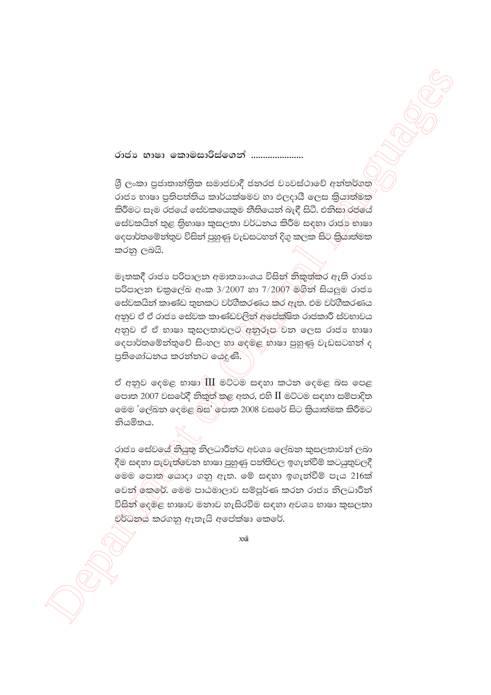රාජා භාෂා කොමසාරිස්ගෙන් ......................

ශී ලංකා පුජාතාන්තික සමාජවාදී ජනරජ වාවස්ථාවේ අන්තර්ගත රාජා භාෂා පුතිපත්තිය කාර්යක්ෂමව හා ඵලදායී ලෙස කියාත්මක කිරීමට සෑම රජයේ සේවකයෙකුම නීතියෙන් බැඳී සිටී. එනිසා රජයේ සේවකයින් තුළ තිභාෂා කුසලතා වර්ධනය කිරීම සඳහා රාජා භාෂා කරනු ලබයි.

මෑතකදී රාජා පරිපාලන අමාතාහංශය විසින් නිකුත්කර ඇති රාජා පරිපාලන චකුලේඛ අංක 3/2007 හා 7/2007 මගින් සියලුම රාජා සේවකයින් කාණ්ඩ තුනකට වර්ගීකරණය කර ඇත. එම වර්ගීකරණය අනුව ඒ ඒ රාජා සේවක කාණ්ඩවලින් අපේක්ෂිත රාජකාරී ස්වභාවය අනුව ඒ ඒ භාෂා කුසලතාවලට අනුරූප වන ලෙස රාජා භාෂා දෙපාර්තමේන්තුවේ සිංහල හා ලේමළ හාෂා පුහුණු වැඩසටහන් ද පුතිශෝධනය කරන්නට ශේදුණි.

ඒ අනුව දෙමළ භාෂා $\langle \text{III}$  මට්ටම සඳහා කථන දෙමළ බස පෙළ පොත 2007 වසරේදී තිකුත් කළ අතර, එහි II මට්ටම සඳහා සම්පාදිත මෙම 'ලේඛන දෙමළ බස' ල්පාත 2008 වසරේ සිට කියාත්මක කිරීමට නියමිතය.

රාජා සේවයේ නියුතු නිලධාරීන්ට අවශා ලේඛන කුසලතාවන් ලබා දීම සඳහා පැවැත්වෙන භාෂා පුහුණු පන්තිවල ඉගැන්වීම් කටයුතුවලදී මෙම පොත යොදා ගනු ඇත. මේ සඳහා ඉගැන්වීම් පැය 216ක් වෙන් කරේ. මෙම පාඨමාලාව සම්පූර්ණ කරන රාජා නිලධාරීන් විසින් දෙමළ භාෂාව මතාව හැසිරවීම සඳහා අවශා භාෂා කුසලතා වුර්ධනය කරගනු ඇතැයි අපේක්ෂා කෙරේ.

xxii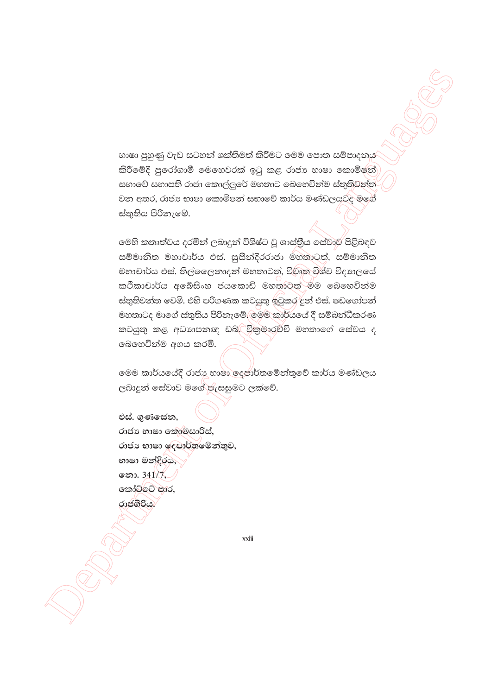භාෂා පුහුණු වැඩ සටහන් ශක්තිමත් කිරීමට මෙම පොත සම්පාදනය කිරීමේදී පුරෝගාමී මෙහෙවරක් ඉටු කළ රාජා භාෂා කොමිෂන් සභාවේ සභාපති රාජා කොල්ලුරේ මහතාට බෙහෙවින්ම ස්තුතිවන්ත වන අතර, රාජා භාෂා කොමිෂන් සභාවේ කාර්ය මණ්ඩලයටද මගේ ස්තුතිය පිරිනැමේ.

මෙහි කතෘත්වය දරමින් ලබාදුන් විශිෂ්ට වූ ශාස්තීය සේවාව පිළිබඳව සම්මානිත මහාචාර්ය එස්. සුසීන්දිරරාජා මහතාටත්, සම්මානිත මහාචාර්ය එස්. තිල්ලෛතාදත් මහතාටත්, විවෘත විශ්ව විදාහලයේ කථිකාචාර්ය අබේසිංහ ජයකොඩි මහතාටත් මම බෙහෙවින්ම ස්තුතිවන්ත වෙමි. එහි පරිගණක කටයුතු ඉටුකර දුන් එස්. ෂඩගෝපන් මහතාටද මාගේ ස්තුතිය පිරිනැමේ. මෙම කාර්යයේ දී සම්බන්ධීකරණ කටයුතු කළ අධාහපනඥ ඩබ්. විකුමාරච්චි මහතාගේ සේවය ද ඉබහෙවින්ම අගය කරමි.

මෙම කාර්යයේදී රාජා භාෂා ලදපාර්තමේන්තුවේ කාර්ය මණ්ඩලය ලබාදුන් සේවාව මගේ පැසසුමට ලක්වේ.

එස්. ගණසේන. රාජා භාෂා කොමසාරිස්, රාජා භාෂා ලෙපාර්තමේන්තුව, භාෂා මන්දිරය, නො. 341/7. කෝට්ටේ පාර, රාජ්ගිරියා

 $x\ddot{x}$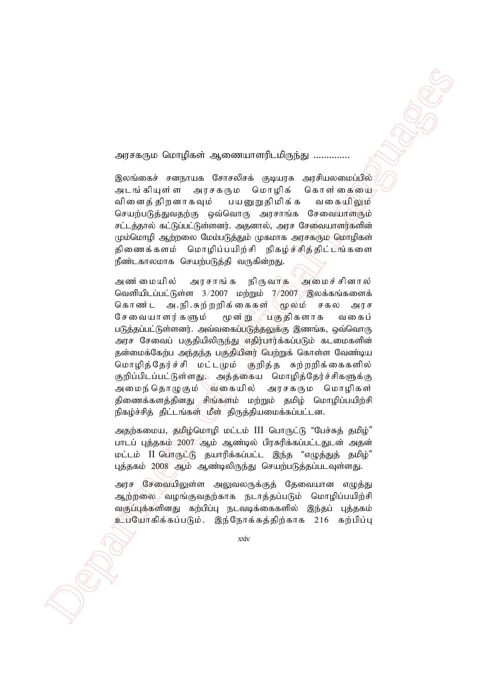அரசகரும மொழிகள் ஆணையாளரிடமிருந்து ..............

இலங்கைச் சனநாயக சோசலிசக் குடியாசு அாசியலமைப்பில் அடங்கியுள்ள அரசகரும மொழிக் கொள்கையை வினைத் திறனாகவும் பயனுறுதிமிக்க வகையிலும் செயற்படுத்துவதற்கு ஒவ்வொரு அரசாங்க சேவையாளரும் சட்டத்தால் கட்டுப்பட்டுள்ளனர். அதனால், அரச சேவையாளர்களின் மும்மொழி ஆற்றலை மேம்படுத்தும் முகமாக அரசகரும் மொழிகள் திணைக்களம் மொழிப்பயிற்சி நிகழ்ச்சித்திட்டிங்களை நீண்டகாலமாக செயற்படுத்தி வருகின்றது.

 Department of Official Languages அண்மையில் அரசாங்க நிருவாக அமைச்சினால் வெளியிடப்பட்டுள்ள  $3/2007$  மற்றும்  $7/2007$  இலக்கங்களைக் கொண்ட அ.நி.சுற்றறிக்கைகள் (மூலம் சகல அரச சேவையாளர்களும் மூன்று பகுதிகளாக வகைப் படுத்தப்பட்டுள்ளனர். அவ்வகைப்படுத்தலுக்கு இணங்க, ஒவ்வொரு அரச சேவைப் பகுதியிலிருந்து எதிர்பார்க்கப்படும் கடமைகளின் தன்மைக்கேற்ப அந்தந்த பகுதியினர் பெற்றுக் கொள்ள வேண்டிய மொழித்தேர்ச்சி மட்டமும் குறித்த சுற்றறிக்கைகளில் குறிப்பிடப்பட்டுள்ளது, அத்தகைய மொழித்தேர்ச்சிகளுக்கு அமைந்தொழுகும் \வகையில் அரசகரும மொழிகள் திணைக்களத்தினது சிங்களம் மற்றும் தமிழ் மொழிப்பயிற்சி நிகழ்ச்சித் திட்டங்கள் மீள் திருத்தியமைக்கப்பட்டன.

அதற்கமைய, திறிழ்மொழி மட்டம் III பொருட்டு "பேச்சுத் தமிழ்" பாடப் புத்தகம் 2007 ஆம் ஆண்டில் பிரசுரிக்கப்பட்டதுடன் அதன் <u>மட்டம் II பொருட்டு</u> தயாரிக்கப்பட்ட இந்த "எழுத்துத் தமிழ்" புத்தகம் 2008 ஆம் ஆண்டிலிருந்து செயற்படுத்தப்படவுள்ளது.

அரச சேவையிலுள்ள அலுவலருக்குத் தேவையான எழுத்து ஆற்றலை $\mathscr{S}$ வழங்குவதற்காக நடாத்தப்படும் மொழிப்பயிற்சி வகுப்புக்களினது கற்பிப்பு நடவடிக்கைகளில் இந்தப் புத்தகம் <u>உபயோகிக்கப்படும். இந்நோக்கத்திற்காக 216 கற்பிப்பு</u>

xxiv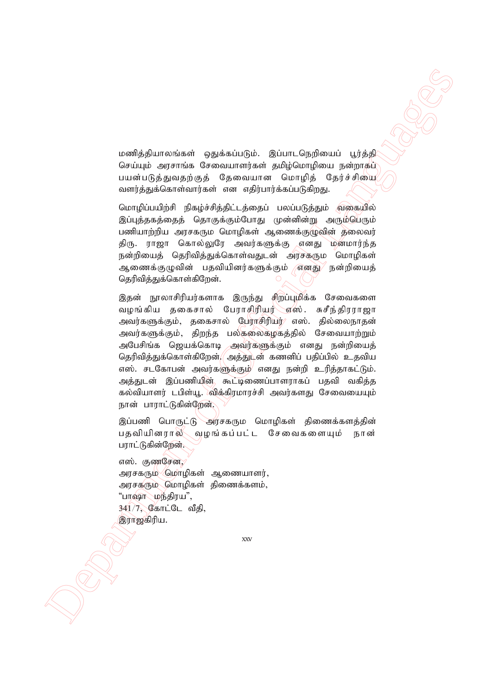மணித்தியாலங்கள் ஒதுக்கப்படும். இப்பாடநெறியைப் பூர்த்தி செய்யும் அரசாங்க சேவையாளர்கள் தமிழ்மொழியை நன்றாகப் பயன்படுத்துவதற்குத் தேவையான மொழித் தேர்ச்சியை வளர்த்துக்கொள்வார்கள் என எதிர்பார்க்கப்படுகிறது.

மொழிப்பயிற்சி நிகழ்ச்சித்திட்டத்தைப் பலப்படுத்தும் வகையில் இப்புத்தகத்தைத் தொகுக்கும்போது முன்னின்று அரும்பெரும் பணியாற்றிய அரசகரும மொழிகள் ஆணைக்குழுவின் தலைவர் திரு. ராஜா கொல்லுரே அவர்களுக்கு எனது மனமார்ந்த நன்றியைத் தெரிவித்துக்கொள்வதுடன் அரசகரும மொழிகள் ஆணைக்குழுவின் பதவியினர்களுக்கும் *எ*னது நன்றியைத் தெரிவித்துக்கொள்கிறேன்.

 $\label{eq:3} \begin{array}{ll} \hline \textbf{0} \textbf{0} & \textbf{0} \textbf{0} \\ \hline \textbf{0} \textbf{0} & \textbf{0} \textbf{0} \\ \hline \textbf{0} \textbf{0} & \textbf{0} \textbf{0} \\ \hline \textbf{0} \textbf{0} & \textbf{0} \textbf{0} \\ \hline \textbf{0} \textbf{0} & \textbf{0} \textbf{0} \\ \hline \textbf{0} \textbf{0} & \textbf{0} \textbf{0} \\ \hline \textbf{0} \textbf{0} & \textbf{0} \textbf{0} \\ \hline$ இதன் நூலாசிரியர்களாக இருந்து சிறப்புமிக்க சேவைகளை வழங்கிய தகைசால் பேராசிரியர்∖்ஏஸ். சுசீந்திரராஜா அவர்களுக்கும், தகைசால் பேராசிரியர்⁄ எஸ். தில்லைநாதன் அவர்களுக்கும், திறந்த பல்கலைகழகத்தில் சேவையாற்றும் அபேசிங்க ஜெயக்கொடி அவர்களுக்கும் எனது நன்றியைத் தெரிவித்துக்கொள்கிறேன். $\mid$  அத்துடன் கணனிப் பதிப்பில் உதவிய எஸ். சடகோபன் அவர்களுக்கும்<sup>/</sup> எனது நன்றி உரித்தாகட்டும். அத்துடன் இப்பணியின் கூட்டிணைப்பாளராகப் பதவி வகித்த கல்வியாளர் டபிள்யூ. விக்கிரமாரச்சி அவர்களது சேவையையும் நான் பாராட்டுகின்றேன்.

இப்பணி பொருட்டு அரசகரும மொழிகள் திணைக்களத்தின் பதவியினரால் வழங்கப்பட்ட சேவைகளையும் நான் பராட்டுகின்றேன்.

எஸ். குணசேன. அரசகரும் மொழிகள் ஆணையாளர், அரசகளும் மொழிகள் திணைக்களம். "பாஷா மந்திரய",  $341/7$ , கோட்டே வீதி, இராஜகிரிய.

xxv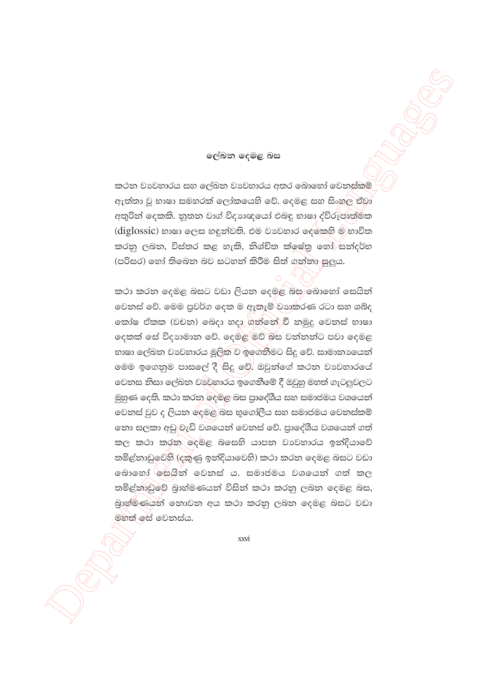#### ලේඛන දෙමළ බස

කථන වාවහාරය සහ ලේඛන වාවහාරය අතර බොහෝ වෙනස්කම් ඇත්තා වූ භාෂා සමහරක් ලෝකයෙහි වේ. දෙමළ සහ සිංහුල ඒවා අතුරින් දෙකකි. නූතන වාග් විදාහඥයෝ එබඳු භාෂා ද්විරූපාත්මක (diglossic) භාෂා ලෙස හඳුන්වති. එම වාවහාර ලේකෙහි ම හාවිත කරනු ලබන, විස්තර කළ හැකි, නිශ්චිත ක්ලෂ්තු හෝ සන්දර්භ (පරිසර) හෝ තිබෙන බව සටහන් කිරීම සිත් ගන්නා සුලුය.

කථා කරන දෙමළ බසට වඩා ලියන දෙමළ බස බොහෝ සෙයින් වෙනස් වේ. මෙම පුවර්ග දෙක ම ඇතැම් වාෘකරණ රටා සහ ශබ්ද කෝෂ ඒකක (වචන) බෙදා හදා ගන්නේුවී නමුදු වෙනස් භාෂා දෙකක් සේ විදහාමාන වේ. දෙමළ මව් බස වන්නන්ට පවා දෙමළ භාෂා ලේඛන වාවහාරය මූලික ව ඉගෙනීමට සිදු වේ. සාමානායෙන් මෙම ඉගෙනුම පාසලේ දී සිදු වේ. ඔවුන්ගේ කථන වාවහාරයේ වෙනස නිසා ලේඛන වාවුහාරය ඉගෙනීමේ දී ඔවුහු මහත් ගැටලුවලට මුහුණ දෙති. කථා කරන ලදමළ බස පාලේශීය සහ සමාජමය වශයෙන් වෙනස් වුව ද ලියන දෙමළු බස භූගෝලීය සහ සමාජමය වෙනස්කම් නො සලකා අඩු වැඩි වශයෙන් වෙනස් වේ. පාදේශීය වශයෙන් ගත් කල කථා කරන ලදමළ බසෙහි යාපන වාවහාරය ඉන්දියාවේ තමිළ්නාඩුවෙහි (දකුණු ඉන්දියාවෙහි) කථා කරන දෙමළ බසට වඩා බොහෝ ජිසශීන් වෙනස් ය. සමාජමය වශයෙන් ගත් කල තමිළ්නාඩුවේ බාහ්මණයන් විසින් කථා කරනු ලබන දෙමළ බස, බුාහ්මිණයන් නොවන අය කථා කරනු ලබන දෙමළ බසට වඩා මහත් සේ වෙනස්ය.

xxvi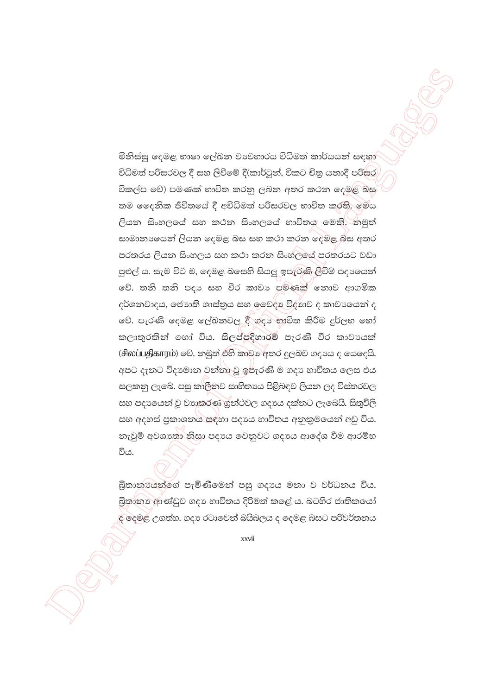මිනිස්සු දෙමළ භාෂා ලේඛන වාවහාරය විධිමත් කාර්යයන් සඳහා විධිමත් පරිසරවල දී සහ ලිවීමේ දී(කාර්ටූත්, විකට චිතු යතාදී පරිසර) විකල්ප වේ) පමණක් භාවිත කරනු ලබන අතර කථන දෙමළ බස තම දෛනික ජීවිතයේ දී අවිධිමත් පරිසරවල භාවිත කරති. මෙය ලියන සිංහලයේ සහ කථන සිංහලයේ භාවිතය මෙනි. නමුත් සාමානාගෙන් ලියන දෙමළ බස සහ කථා කරන දෙමළ බස අතර පරතරය ලියන සිංහලය සහ කථා කරන සිංහලයේ පරතරයට වඩා පුළුල් ය. සැම විට ම, දෙමළ බසෙහි සියලු ඉපැරැණි ලිවීම් පදායෙන් වේ. තනි තනි පදා සහ වීර කාවා පමණක් නොව ආගමික දර්ශනවාදය, ජොහති ශාස්තුය සහ ඉවෙදා විදාහව ද කාවාගෙන් ද වේ. පැරණි දෙමළ ලේඛනවල දී ගදා භාවිත කිරීම දුර්ලභ හෝ කලාතුරකින් හෝ විය. සිලප්පදිහාරම් පැරණි වීර කාවායක් (சிலப்பதிகாரம்) මව්. නමුත් එහි කාවන අතර දූලබව ගදායෙ ද යෙදෙයි. අපට දැනට විදා මාන වන්නා වූ ඉපැරණි ම ගදා භාවිතය ලෙස එය සලකනු ලැබේ. පසු කාලීනව සාහිතාය පිළිබඳව ලියන ලද විස්තරවල සහ පදායෙන් වූ වාහුකරණ ගුන්ථවල ගදාය දක්නට ලැබෙයි. සිතුවිලි සහ අදහස් පුකාශනය සඳහා පදායෙ භාවිතය අනුකුමයෙන් අඩු විය. නැවුම් අවශාත් නිසා පදාය වෙනුවට ගදාය ආදේශ වීම ආරම්භ විය.

බිතාන්ගියන්ගේ පැමිණීමෙන් පසු ගදායෙ මනා ව වර්ධනය විය. බිතානා ආණ්ඩුව ගදා භාවිතය දිරිමත් කළේ ය. බටහිර ජාතිකයෝ ල් දෙමළ උගත්හ. ගදා රටාවෙන් බයිබලය ද දෙමළ බසට පරිවර්තනය

xxvii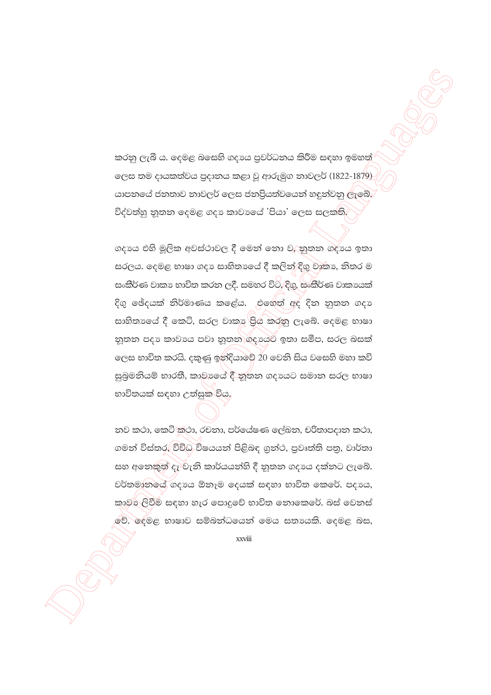කරනු ලැබී ය. දෙමළ බසෙහි ගදායෙ පුවර්ධනය කිරීම සඳහා ඉමහත් ලෙස තම දායකත්වය පුදානය කළා වූ ආරුමුග නාවලර් (1822-1879) යාපනයේ ජනතාව නාවලර් ලෙස ජනපියත්වයෙන් හඳුන්වනු ලැබේ. විද්වත්හු නූතන දෙමළ ගදා කාවායේ 'පියා' ලෙස සලක්ති.

ගදායෙ එහි මුලික අවස්ථාවල දී මෙන් නො ව,⁄නුතන ගදාය ඉතා සරලය. දෙමළ භාෂා ගදා සාහිතායේ දී කලින් දිගු වාකා, නිතර ම සංකීර්ණ වාකා භාවිත කරන ලදී. සමහර විට, දිගු, සංකීර්ණ වාකායක් දිගු ඡේදයක් නිර්මාණය කළේය. එහෙත් අද දින නුතන ගදා සාහිතාගෙය් දී කෙටි, සරල වාකා පිුය කරනු ලැබේ. දෙමළ භාෂා නුතන පදා කාවායෙ පවා නුතන ගදායෙට ඉතා සමීප, සරල බසක් ලෙස භාවිත කරයි. දකුණු ඉන්දියාවේ 20 වෙනි සිය වසෙහි මහා කවි සුබුමනියම් භාරතී, කාවායේ දී නූතන ගදායට සමාන සරල භාෂා භාවිතයක් සඳහා උත්සුක විය,

නව කථා, කෙටි කථා, රචනා, පර්යේෂණ ලේඛන, චරිතාපදාන කථා, ගමන් විස්තර, විවිධ විෂයයන් පිළිබඳ ගුන්ථ, පුවෘත්ති පතු, වාර්තා සහ අනෙකුත් දෑ වැනි කාර්යයන්හි දී නුතන ගදායෙ දක්නට ලැබේ. වර්තමානයේ ගදායෙ ඕනෑම දෙයක් සඳහා භාවිත කෙරේ. පදායෙ, කාවන ලිවීම සඳහා හැර පොදුවේ භාවිත නොකෙරේ. බස් වෙනස් වේ. දෙමළ භාෂාව සම්බන්ධයෙන් මෙය සතායකි. දෙමළ බස,

xxviii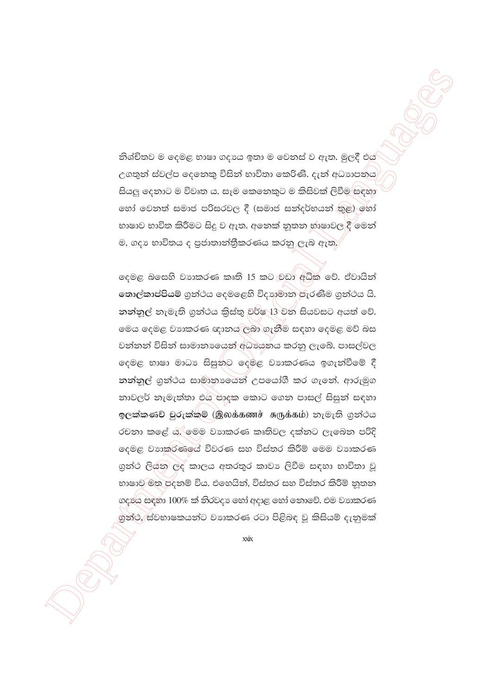නිශ්චිතව ම දෙමළ භාෂා ගදාගෙ ඉතා ම වෙනස් ව ඇත. මූලදී එය උගතුන් ස්වල්ප දෙනෙකු විසින් භාවිතා කෙරිණි. දැන් අධාහපනය සියලු දෙනාට ම විවෘත ය. සෑම කෙනෙකුට ම කිසිවක් ලිවීම සඳහා හෝ වෙනත් සමාජ පරිසරවල දී (සමාජ සන්දර්භයන් තුළ) හෝ භාෂාව භාවිත කිරීමට සිදු ව ඇත. අනෙක් නුතන භාෂාවල\දී මෙන් ම, ගදා භාවිතය ද පුජාතාන්තීකරණය කරනු ලැබ ඇත.

දෙමළ බසෙහි වාහකරණ කෘති 15 කට වඩා අධික වේ. ඒවායින් තොල්කාප්පියම් ගුන්ථය දෙමළෙහි විදාහමාන පැරණිම ගුන්ථය යි. නන්නුල් නැමැති ගුන්ථය කිස්තු වර්ෂ 13 වන සියවසට අයත් වේ. මෙය දෙමළ වාහකරණ ඥානය ලබා ගැනීම සඳහා දෙමළ මව් බස වන්නන් විසින් සාමානායෙන් අධායෙනය කරනු ලැබේ. පාසල්වල දෙමළ භාෂා මාධා සිසුනට දෙමළ වාාකරණය ඉගැන්වීමේ දී නන්නුල් ගුන්ථය සාමානාගෙන් උපයෝගී කර ගැනේ. ආරුමුග නාවලර් නැමැත්තා එය පාදක කොට ගෙන පාසල් සිසුන් සඳහා ඉලක්කණව් වුරුක්කම් (இலக்கணச் சுருக்கம்) නැමැති ගුන්ථය රචනා කළේ ය. මෙම වාහකරණ කෘතිවල දක්නට ලැබෙන පරිදි ලදමළ වාහකරණයේ විවරණ සහ විස්තර කිරීම් මෙම වාහකරණ ගුන්ථ ලියුනු ලද කාලය අතරතුර කාවා ලිවීම සඳහා භාවිතා වූ භාෂාව මත පදනම් විය. එහෙයින්, විස්තර සහ විස්තර කිරීම් නුතන ගදාය සඳහා 100% ක් තිරවදා හෝ අදාළ හෝ නොවේ. එම වාහකරණ ගුත්ථ,) ස්වභාෂකයන්ට වාාකරණ රටා පිළිබඳ වූ කිසියම් දැනුමක්

 $\overline{\text{xx}}$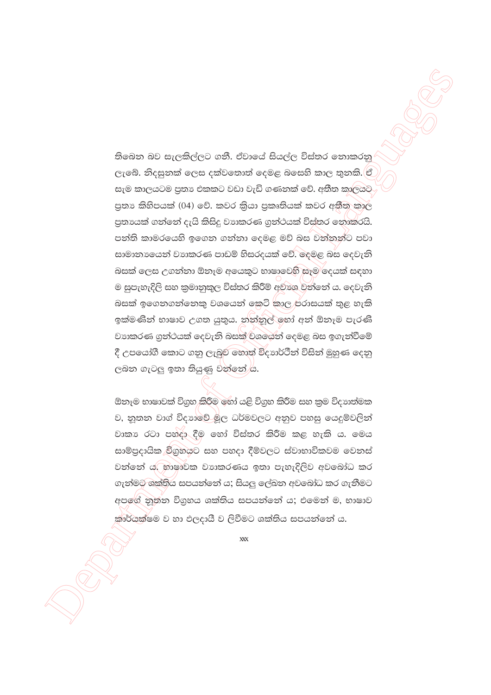තිබෙන බව සැලකිල්ලට ගනී. ඒවායේ සියල්ල විස්තර නොකරනු ලැබේ. නිදසුනක් ලෙස දක්වතොත් දෙමළ බසෙහි කාල තුනකි. ඒ සැම කාලයටම පුතා එකකට වඩා වැඩි ගණනක් වේ. අතීත කාලයට පුතා කිහිපයක් (04) වේ. කවර කියා පුකෘතියක් කවර අතීතු කාල පුතායක් ගන්නේ දැයි කිසිදු වාාකරණ ගුන්ථයක් විස්තර නොකරයි. පන්ති කාමරයෙහි ඉගෙන ගන්නා දෙමළ මව් බස වන්නන්ට පවා සාමානායෙන් වාහකරණ පාඩම් හිසරදයක් වේ. ලදමළ බස දෙවැනි බසක් ලෙස උගන්නා ඕනෑම අයෙකුට භාෂාවෙහි සෑම දෙයක් සඳහා ම සුපැහැදිලි සහ කුමානුකුල විස්තර කිරීම් අවාශ වන්නේ ය. දෙවැනි බසක් ඉගෙනගන්නෙකු වශයෙන් කෙටි කාල)පරාසයක් තුළ හැකි ඉක්මණින් භාෂාව උගත යුතුය. නන්නුල් ඉහා් අන් ඕනෑම පැරණි වාහකරණ ගුන්ථයක් දෙවැනි බසක් වශයෙන් දෙමළ බස ඉගැන්වීමේ දී උපයෝගී කොට ගනු ලැබුව හොත් විදාහර්ථීන් විසින් මුහුණ දෙනු ලබන ගැටලු ඉතා තියුණු වන්නේ යි.

ඕනෑම භාෂාවක් විගුහ කිරීම හෝ යළි විගුහ කිරීම සහ කුම විදාහත්මක ව, නුතන වාග් විදහාවේ මූල ධර්මවලට අනුව පහසු යෙදුම්වලින් වාකා රටා පහ්දා දීම හෝ විස්තර කිරීම කළ හැකි ය. මෙය සාම්පුදායික විගුහයට සහ පහදා දීම්වලට ස්වාභාවිකවම වෙනස් වන්නේ ය. හාෂාවක වාාකරණය ඉතා පැහැදිලිව අවබෝධ කර ගැන්මට ශක්තිය සපයන්නේ ය; සියලු ලේඛන අවබෝධ කර ගැනීමට අපගේ නුතන විගුහය ශක්තිය සපයන්නේ ය; එමෙන් ම, භාෂාව කාර්යක්ෂම ව හා ඵලදායී ව ලිවීමට ශක්තිය සපයන්නේ ය.

 $XXX$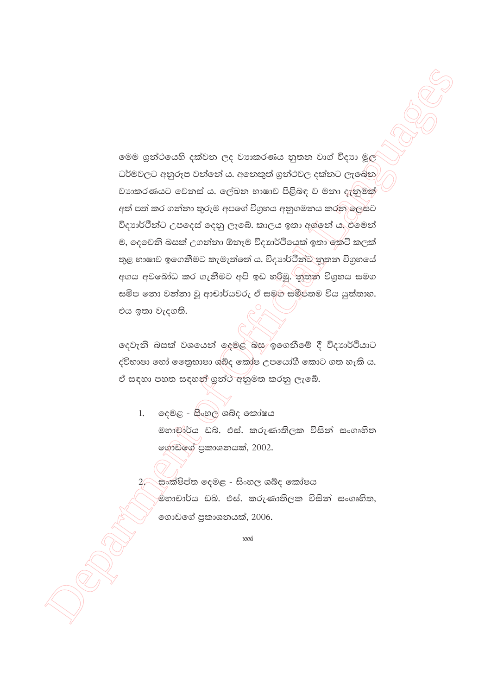මෙම ගුන්ථයෙහි දක්වන ලද වාහකරණය නුතන වාග් විදාහ මූල් ධර්මවලට අනුරූප වන්නේ ය. අනෙකුත් ගුන්ථවල දක්නට ලැබේන වාහකරණයට වෙනස් ය. ලේඛන භාෂාව පිළිබඳ ව මනා දැනුමක් අත් පත් කර ගන්නා තුරුම අපගේ විගුහය අනුගමනය කරනු ලෙසට විදාහර්ථීන්ට උපදෙස් දෙනු ලැබේ. කාලය ඉතා අග්නේ ය. එමෙන් ම, දෙවෙනි බසක් උගන්නා ඕනෑම විදාාර්ථියෙක් ඉතා කෙටි කලක් තුළ භාෂාව ඉගෙනීමට කැමැත්තේ ය. විදාාර්ථීන්ට තුතන විගුහයේ අගය අවබෝධ කර ගැනීමට අපි ඉඩ හරිමු. නුතුන් විගුහය සමග සමීප තො වන්නා වු ආචාර්යවරු ඒ සමග සමීපතම විය යුත්තාහ. එය ඉතා වැදගති.

දෙවැනි බසක් වශයෙන් දෙමළ බස ඉගෙනීමේ දී විදාහර්ථියාට ද්විභාෂා හෝ නෙනුභාෂා ශබ්ද කෝෂ උපයෝගී කොට ගත හැකි ය. ඒ සඳහා පහත සඳහන් ගුන්ථ අනුමත කරනු ලැබේ.

දෙමළ - සිංහල ශබ්ද කෝෂය  $1.$ මහාචාර්ය ඩබ්. එස්. කරුණාතිලක විසින් සංගෘහිත ගොඩගේ පුකාශනයක්, 2002.

2, සංක්ෂිප්ත දෙමළ - සිංහල ශබ්ද කෝෂය ම්හාචාර්ය ඩබ්. එස්. කරුණාතිලක විසින් සංගෘහිත, ගොඩගේ පුකාශනයක්, 2006.

xxxi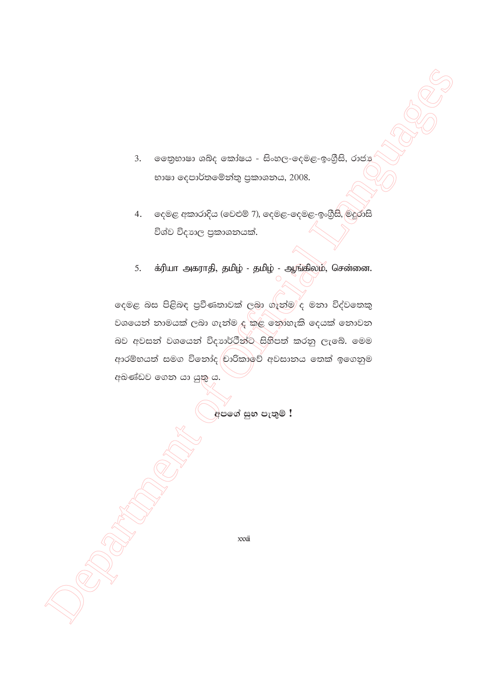- ලෙතුභාෂා ශබ්ද කෝෂය සිංහල-දෙමළ-ඉංගීුසි, රාජා  $3.$ භාෂා දෙපාර්තමේන්තු පුකාශනය, 2008.
- දෙමළ අකාරාදිය (වෙළුම් 7), දෙමළ-දෙමළ-ඉංගීුසි, මදුරාසි  $\overline{4}$ . විශ්ව විදාහල පුකාශනයක්.
- க்ரியா அகராதி, தமிழ் தமிழ் ஆங்கிலம், சென்னை. 5.

දෙමළ බස පිළිබඳ පුවීණතාවක් ලබා ගැන්ම් ද මනා විද්වතෙකු වශයෙන් නාමයක් ලබා ගැන්ම ද කළ නොහැකි දෙයක් නොවන බව අවසන් වශයෙන් විදාාර්ථීන්ට සිහිපත් කරනු ලැබේ. මෙම ආරම්භයත් සමග විනෝද වාරිකාවේ අවසානය තෙක් ඉගෙනුම අඛණ්ඩව ගෙන යා යුතු ය.

අපගේ සුභ පැතුම් !

xxxii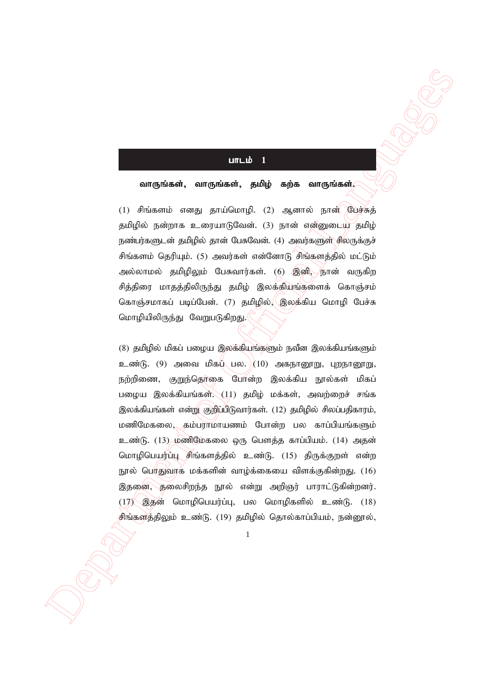### $\overline{\text{urLib}}$  1

#### வாருங்கள், வாருங்கள், தமிழ் கற்க வாருங்கள் $\zeta$

 $(1)$  சிங்களம் எனது தாய்மொழி.  $(2)$  ஆனால் நான் பேச்சுத் தமிழில் நன்றாக உரையாடுவேன். (3) நான் என்னுடைய தமிழ் நண்பர்களுடன் தமிழில் தான் பேசுவேன். (4) அவர்களுள் சிலருக்குச் சிங்களம் தெரியும். (5) அவர்கள் என்னோடு சிங்களத்தில் மட்டும் அல்லாமல் தமிழிலும் பேசுவார்கள். (6) இனி, நான் வருகிற சித்திரை மாதத்திலிருந்து தமிழ் இலக்கியங்களைக் கொஞ்சம் கொஞ்சமாகப் படிப்பேன். (7) தமிழில், $\langle$ இலக்கிய மொழி பேச்சு மொழியிலிருந்து வேறுபடுகிறது.

 Department of Official Languages  $(8)$  தமிழில் மிகப் பழைய இலக்கியங்களும் நவீன இலக்கியங்களும்  $\sum_{i=1}^{\infty}$ ண்டு. (9) அவை மிகப் பல.  $\left(10\right)$  அகநானூறு, புறநானூறு, நற்றிணை, குறுந்தொகை போன்ற இலக்கிய நூல்கள் மிகப் பழைய இலக்கியங்கள் $\chi(11)$  தமிழ் மக்கள், அவற்றைச் சங்க இலக்கியங்கள் என்று குறிப்பிடுவார்கள். (12) தமிழில் சிலப்பதிகாரம், மணிமேகலை, கம்பராமாயணம் போன்ற பல காப்பியங்களும் உண்டு. (13) மணிமேகலை ஒரு பௌத்த காப்பியம். (14) அதன் மொழிபெயர்ப்பு சிங்களத்தில் உண்டு. (15) திருக்குறள் என்ற நூல் பொதுவாக மக்களின் வாழ்க்கையை விளக்குகின்றது.  $(16)$ இதனை, தலைசிறந்த நூல் என்று அறிஞர் பாராட்டுகின்றனர்.  $(17)$  இதன் மொழிபெயர்ப்பு, பல மொழிகளில் உண்டு.  $(18)$ சிங்களத்திலும் உண்டு. (19) தமிழில் தொல்காப்பியம், நன்னூல்,

1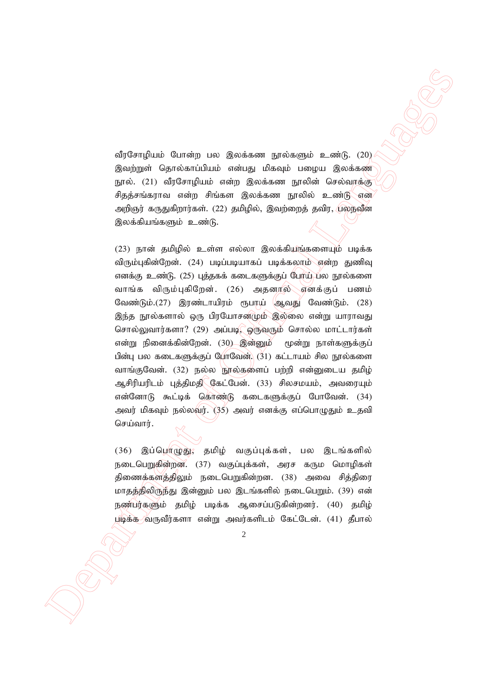வீரசோழியம் போன்ற பல இலக்கண நூல்களும் உண்டு. (20) இவற்றுள் தொல்காப்பியம் என்பது மிகவும் பழைய இலக்கண நூல். (21) வீரசோழியம் என்ற இலக்கண நூலின் செல்வாக்கு சிதத்சங்கராவ என்ற சிங்கள இலக்கண நூலில் உண்டு என அறிஞர் கருதுகிறார்கள். (22) தமிழில், இவற்றைத் தவிர, புலநவீன இலக்கியங்களும் உண்டு.

 $\label{eq:20} \begin{array}{ll} \mbox{SubGen}(finite \textit{Q} and \textit{Q} and \textit{Q} and \textit{Q} and \textit{Q} and \textit{Q} and \textit{Q} and \textit{Q} and \textit{Q} and \textit{Q} and \textit{Q} and \textit{Q} and \textit{Q} and \textit{Q} and \textit{Q} and \textit{Q} and \textit{Q} and \textit{Q} and \textit{Q} and \textit{Q} and \textit{Q} and \textit{Q} and \textit{Q} and \textit{Q} and \textit{Q} and \textit{Q} and \textit{Q} and \textit{Q} and \$ (23) நான் தமிழில் உள்ள எல்லா இலக்கியங்களையும் படிக்க விரும்புகின்றேன். (24) படிப்படியாகப் படிக்கலாம் என்ற துணிவு எனக்கு உண்டு. (25) புத்தகக் கடைகளுக்குப் போய் பல நூல்களை வாங்க விரும்புகிறேன். (26) அதனால் எனக்குப் பணம் வேண்டும்.(27) இரண்டாயிரம் ரூபாய் ஆவது வேண்டும். (28) இந்த நூல்களால் ஒரு பிரயோசனமும் இல்லை என்று யாராவது சொல்லுவார்களா? (29) அப்படி, ஒருவரும் சொல்ல மாட்டார்கள் என்று நினைக்கின்றேன். (30) இன்னும் மூன்று நாள்களுக்குப் பின்பு பல கடைகளுக்குப் போவேன். (31) கட்டாயம் சில நூல்களை வாங்குவேன். (32) நல்ல நூல்களைப் பற்றி என்னுடைய தமிழ் ஆசிரியரிடம் புத்திமதி கேட்பேன். (33) சிலசமயம், அவரையும் என்னோடு கூட்டிக் கொண்டு கடைகளுக்குப் போவேன்.  $(34)$ அவர் மிகவும் நல்லவர்.  $(35)$  அவர் எனக்கு எப்பொழுதும் உதவி செய்வார்.

 $(36)$  இப்பொழுது; தமிழ் வகுப்புக்கள், பல இடங்களில் நடைபெறுகின்றன. (37) வகுப்புக்கள், அரச கரும மொழிகள் திணைக்களத்திலும் நடைபெறுகின்றன. (38) அவை சித்திரை மாதத்திலிருந்து இன்னும் பல இடங்களில் நடைபெறும். (39) என் நண்பர்களும் தமிழ் படிக்க ஆசைப்படுகின்றனர். (40) கமிம் படிக்க வருவீர்களா என்று அவர்களிடம் கேட்டேன். (41) தீபால்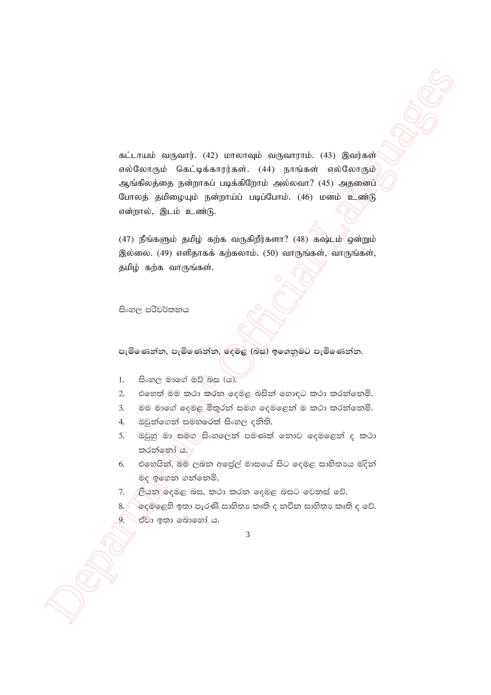$\begin{array}{lllllllllll} \multicolumn{3}{l}{{\bf x}{\bf i}}&{\bf i}&{\bf i}&{\bf i}&{\bf i}\\ &{\bf i}&{\bf i}&{\bf i}&{\bf i}&{\bf i}&{\bf i}\\ &{\bf i}&{\bf i}&{\bf i}&{\bf i}&{\bf i}\\ &{\bf i}&{\bf i}&{\bf i}&{\bf i}&{\bf i}\\ &{\bf i}&{\bf i}&{\bf i}&{\bf i}\\ &{\bf i}&{\bf i}&{\bf i}&{\bf i}\\ &{\bf i}&{\bf i}&{\bf i}\\ &{\bf i}&{\bf i}&{\bf i}\\ &{\bf i}&{\bf i}&{\bf i}\\ &{\bf i}&{\bf i}&{\bf i}\\ &{\bf i}&{\bf i}&{\bf i}\\ &{\bf i}&{\bf$ கட்டாயம் வருவார். (42) மாலாவும் வருவாராம். (43) இவர்கள் எல்லோரும் கெட்டிக்காரர்கள். (44) நாங்கள் எல்லோரும் ஆங்கிலத்தை நன்றாகப் படிக்கிறோம் அல்லவா? (45) அதனைப் போலத் தமிழையும் நன்றாய்ப் படிப்போம். (46) மனம் உண்டு என்றால், இடம் உண்டு.

 $(47)$  நீங்களும் தமிழ் கற்க வருகிறீர்களா?  $(48)$  கஷ்டம் ஒன்றும் இல்லை.  $(49)$  எளிதாகக் கற்கலாம்.  $(50)$  வாருங்கள், வாருங்கள், தமிழ் கற்க வாருங்கள்.

සිංහල පරිවර්තනය

පැමිණෙන්න, පැමිණෙන්න, <mark>ඳෙමළ (බස) ඉගෙනුමට පැමිණෙන්න.</mark>

- 1. සිංහල මාගේ මව් බස (ය).
- 2. එහෙත් මම කථා කරන ඉදමළ බසින් හොඳට කථා කරන්නෙමි.
- 3. මම මාගේ දෙමළ මිතුරන් සමග දෙමළෙන් ම කථා කරන්නෙමි.
- 4. ඔවුන්ගෙන් සමහරෙක් සිංහල දනිති.
- 5. ඔවුහු මා සමග සිංහලෙන් පමණක් නොව දෙමළෙන් ද කථා  $\mathfrak{g}$ රන්නෝ ය.
- 6. එහෙයින්, මම ලබන අලේල් මාසයේ සිට දෙමළ සාහිතාය මදින් මද ඉගෙන ගන්නෙමි.
- 7. ළියන දෙමළ බස, කථා කරන දෙමළ බසට වෙනස් වේ.
- $8/\sqrt{\,}$ ිදෙම්ලෙහි ඉතා පැරණි සාහිතා කෘති ද නවීන සාහිතා කෘති ද වේ.  $9.$  ප්වා ඉතා බොහෝ ය.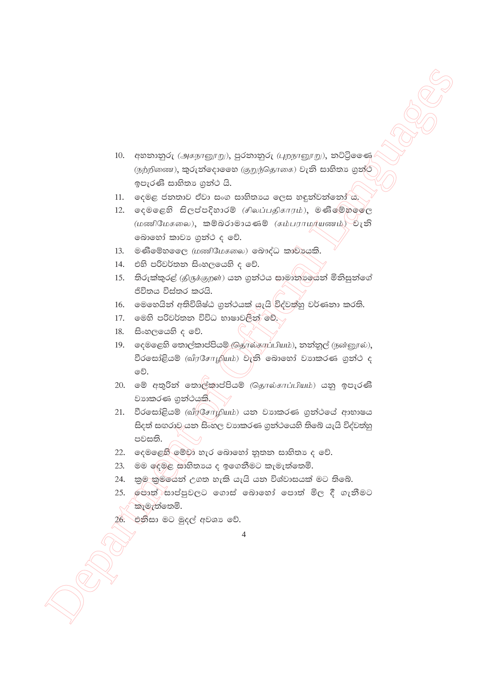- 10. අහනානුරු (அகநானூறு), පුරතානුරු (புறநானூறு), නට්ටිලෙණ (நற்றிணை), කුරුත්ලොලෙහ (குறுந்தொகை) වැනි සාහිතා ගුන්ථ ඉපැරණි සාහිතා ගුන්ථ යි.
- 11. ලදමළ ජනතාව ඒවා සංග සාහිතායෙ ලෙස හඳුන්වන්නෝ ය.
- $12.$  ලදමලෙහි සිලප්පදිහාරම් (சிலப்பதிகாரம்), මණිමේහලේල (மணிமேகலை), කම්බරාමායණම් (சும்பராமர்யணம்) වැනි බොහෝ කාවා ගුන්ථ ද වේ.
- 13. මණිමේහලෙල (மணிமேகலை) මොද්ධ කාවායකි.
- 14. එහි පරිවර්තන සිංහලයෙහි ද වේ.
- 15. තිරුක්කුරළු (திருக்குறள்) යන ගුන්ථය සාමානාගයන් මිනිසුන්ගේ ජිවිතය විස්තර කරයි.
- 16. මෙහෙයින් අතිවිශිෂ්ඨ ගුන්ථයක් යැයි විද්වත්හු වර්ණනා කරති.
- 17. මෙහි පරිවර්තන විවිධ භාෂාවලින් වේ.
- $18.$  සිංහලයෙහි ද වේ.
- 19. ஒூற்கு கைக்கைக்கே சொல்காப்பியம்), துதிவு (நன்னூல்), වීරසෝළියම් (வீரசோழியம்) වැනි බොහෝ වාාකරණ ගුන්ථ ද වේ.
- 20. මේ අතුරින් තොල්කාප්පියම් (தொல்காப்பியம்) යනු ඉපැරණි වාහාකරණ ගුන්ථයකි.
- 21. වීරසෝළියම් (வீரசோழியம்) යන වාාකරණ ගුන්ථයේ ආභාෂය සිදත් සඟරාව යන සිංහල වාහකරණ ගුන්ථයෙහි තිබේ යැයි විද්වත්හු පවසති.
- 22. දෙමළෙහි මේවා හැර බොහෝ නූතන සාහිතා ද වේ.
- 23. මම ලෙමළ සාහිතායෙ ද ඉගෙනීමට කැමැත්තෙමි.
- 24. කුම කුමයෙන් උගත හැකි යැයි යන විශ්වාසයක් මට තිබේ.
- 25. ලොත් සාප්පුවලට ගොස් බොහෝ පොත් මිල දී ගැනීමට ් කැමැත්තෙමි.
- 26. එනිසා මට මුදල් අවශා වේ.
	- $\overline{4}$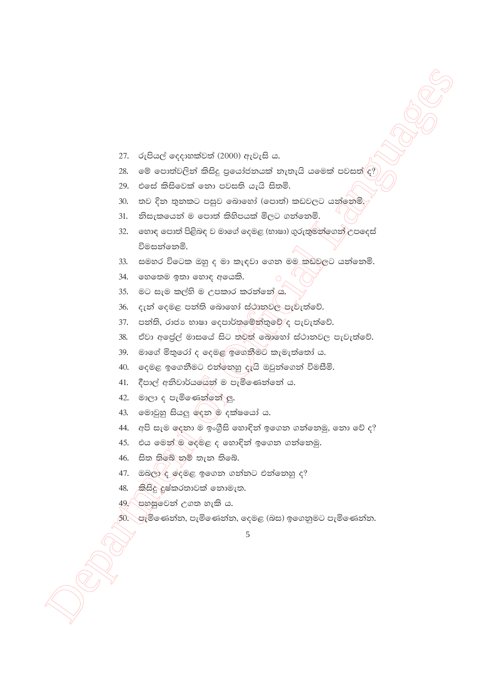- $27.$  රුපියල් දෙදාහක්වත් (2000) ඇවැසි ය.
- $28.$  මේ පොත්වලින් කිසිදු පුයෝජනයක් නැතැයි යමෙක් පවසත් $\langle \epsilon, \rangle$
- $29.$  එසේ කිසිවෙක් නො පවසති යැයි සිතමි.
- 30. තව දින තුනකට පසුව බොහෝ (පොත්) කඩවලට යන්නෙමි.
- $31.$  නිසැකයෙන් ම පොත් කිහිපයක් මිලට ගන්නෙමි.
- Department of Official Languages  $32.$   $\,$  eහාඳ පොත් පිළිබඳ ව මාගේ දෙමළ (භාෂා) ගුරුතුමන්ගෙන් උපදෙස් විමසන්නෙමි.
	- $33.$  සමහර විටෙක ඔහු ද මා කැඳවා ගෙන මම කඩුවලට යන්නෙමි.
	- 34.  $\circ$ හතෙම ඉතා හොඳ අයෙකි.
	- 35. මට සැම කල්හි ම උපකාර කරන්නේ ය.
	- 36. දැන් දෙමළ පන්ති බොහෝ ස්ථානුවල පැවැත්වේ.
	- $37.$  පන්ති, රාජා භාෂා දෙපාර්තමේන්තුවේ $\epsilon$  පැවැත්වේ.
	- 38. ඒවා අලේල් මාසයේ සිට තවත් බොහෝ ස්ථානවල පැවැත්වේ.
	- $39.$  මාගේ මිතුරෝ ද දෙමළ ඉගෙනීමට කැමැත්තෝ ය.
	- $40.$   $\sigma$ දමළ ඉගෙනීමට එන්නෙහු දැයි ඔවුන්ගෙන් විමසීමි.
	- $41.$  දීපාල් අනිවාර්යශේන් ම පැමිණෙන්නේ ය.
	- 42. මාලා ද පැමිණෙන්නේ <u>ල</u>.
	- 43. මොවුහු සියලු දෙන ම දක්ෂයෝ ය.
	- $44.$  අපි සැම ලදතා ම ඉංගීසි හොඳින් ඉගෙන ගන්නෙමු, නො වේ ද?
	- 45. එය මෙන් ම දෙමළ ද හොඳින් ඉගෙන ගන්නෙමු.
	- $46.$  සිත තිබේ නම් තැන තිබේ.
	- $47.$  ඔබලා $\xi$  ලදමළ ඉගෙන ගන්නට එන්නෙහු ද?
	- $48.$  කිසිදු දුෂ්කරතාවක් නොමැත.
	- $49$ , පහසුවෙන් උගත හැකි ය.
	- $50.$  පැමිණෙන්න, පැමිණෙන්න, දෙමළ (බස) ඉගෙනුමට පැමිණෙන්න.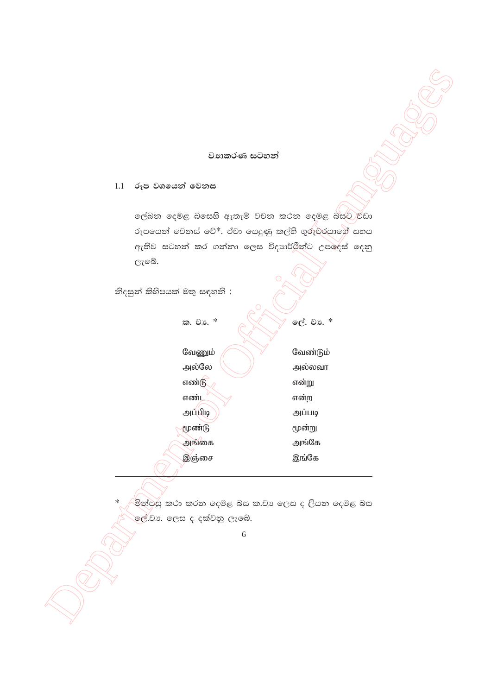### වාහාකරණ සටහන්

 $1.1$ රූප වශයෙන් වෙනස

ලේඛන දෙමළ බසෙහි ඇතැම් වචන කථන දෙමළ බස්ට වඩා රූපයෙන් වෙනස් වේ\*. ඒවා යෙදුණු කල්හි ගුරුවරයාගේ සහය ඇතිව සටහන් කර ගන්නා ලෙස විදාාර්ථීන්ට උපදෙස් දෙනු ලැබේ.

නිදසුන් කිහිපයක් මතු සඳහනි :

ක. වා. \* ලේ. වා. \* வேணும் வேண்டும் அல்லே அல்லவா எண்டு என்று எண்ட என்ற அப்பிடி அப்படி மூண்டு மூன்று அங்கை அங்கே இஞ்சை இங்கே

.<br>මින්පසු කථා කරන දෙමළ බස ක.වා ලෙස ද ලියන දෙමළ බස ලේ.්වා. ලෙස ද දක්වනු ලැබේ.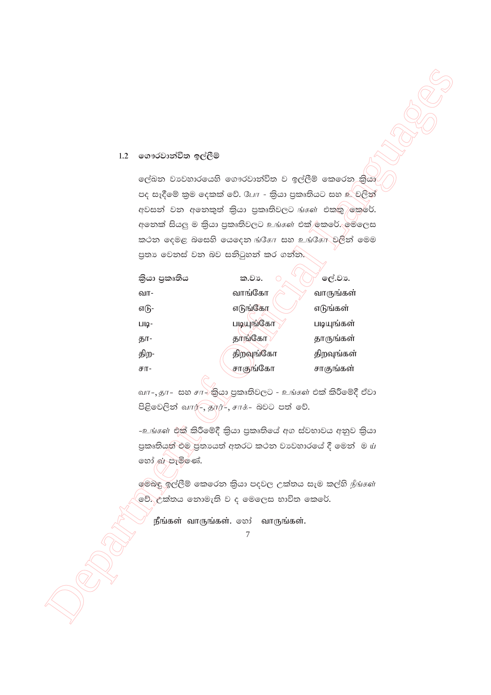#### 1.2 ගෞරවාන්විත ඉල්ලීම්

ලේඛන වාවහාරයෙහි ගෞරවාත්විත ව ඉල්ලීම් කෙරෙන කියා පද සෑදීමේ කුම ලෙකක් වේ. CLIT - කියා පුකෘතියට සහ உ්වලින් අවසන් වන අනෙකුත් කියා පුකෘතිවලට ங்கள் එකතු කෙරේ. අනෙක් සියලු ම කියා පුකෘතිවලට உங்கள் එක්/ඉකරේ. මෙලෙස කථන දෙමළ බසෙහි යෙදෙන ங்கோ සහ உங்கோ වලින් මෙම පුතා වෙනස් වන බව සනිටුහන් කර ගන්න.

| කියා පුකෘතිය | ක.වා.     | ලේ.වා.     |
|--------------|-----------|------------|
| வா-          | வாங்கோ    | வாருங்கள்  |
| எடு-         | எடுங்கோ   | எடுங்கள்   |
| படி-         | படியுங்கோ | படியுங்கள் |
| தா-          | தாங்கோ    | தாருங்கள்  |
| திற-         | திறவுங்கோ | திறவுங்கள் |
| சா-          | சாகுங்கோ  | சாகுங்கள்  |

வா-, தா- සහ சா $\rightarrow$ කියා පුකෘතිවලට - உங்கள் එක් කිරීමේදී ඒවා පිළිවෙලින් வார்-, தூர்-, சாக்- බවට පත් වේ.

-உங்கள் එක් කිරීමේදී කියා පුකෘතියේ අග ස්වභාවය අනුව කියා පුකෘතියත් එම පුතායත් අතරට කථන වාවහාරයේ දී මෙන් ම ய හෝ ක පැමිණේ.

මෙබඳු ඉල්ලීම් කෙරෙන කියා පදවල උක්තය සැම කල්හි நீங்கள் වේ. උක්තය නොමැති ව ද මෙලෙස භාවිත කෙරේ.

நீங்கள் வாருங்கள். ஒூ வாருங்கள்.

 $\overline{7}$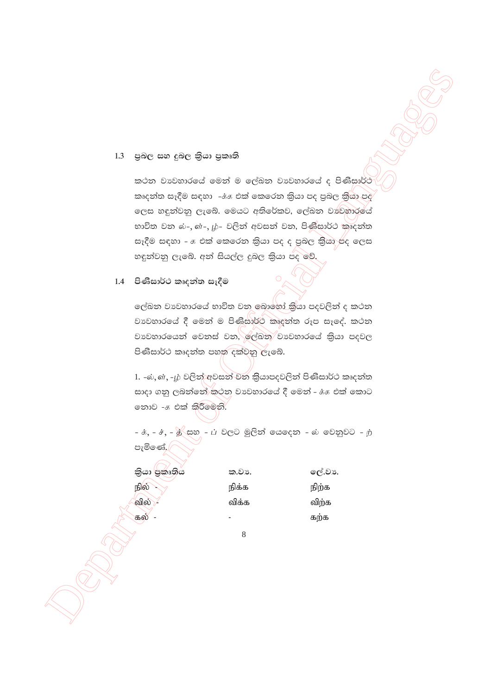#### පුබල සහ දුබල කිුයා පුකෘති  $1.3$

කථන වාවහාරයේ මෙන් ම ලේඛන වාවහාරයේ ද පිණිසාර්ථ කෘදන්ත සෑදීම සඳහා -ේෂ එක් කෙරෙන කියා පද පුබල කියා පද ලෙස හඳුන්වනු ලැබේ. මෙයට අතිරේකව, ලේඛන වාවුහාරයේ භාවිත වන බ-, බ-, ழ- වලින් අවසන් වන, පිණිසාර්ථ කෘදන්ත සෑදීම සඳහා –  $\pi$  එක් කෙරෙන කියා පද ද පුබල කියා පද ලෙස හඳුන්වනු ලැබේ. අන් සියල්ල දුබල කියා පද වේ.

# 1.4 පිණිසාර්ථ කෘදන්ත සෑදීම

ලේඛන වාවහාරයේ භාවිත වන බොහෝ කුියා පදවලින් ද කථන වාවහාරයේ දී මෙන් ම පිණිසාර්ථ කෘදන්ත රූප සෑදේ. කථන වාවහාරයෙන් වෙනස් වන, ලේඛන වාවහාරයේ කියා පදවල පිණිසාර්ථ කෘදන්ත පහත දක්වනු ලැබේ.

1. -ல், ள், -ம் වලින් අවසන් වන කියාපදවලින් පිණිසාර්ථ කෘදන්ත සාදා ගනු ලබන්නේ කථන වාවහාරයේ දී මෙන් - க்க එක් කොට තොව - එක් කිරීමෙනි.

 $-\dot{x}, -\dot{x}, -\dot{x}$  සහ  $-\dot{L}$  වලට මුලින් යෙදෙන - බ වෙනුවට - ற පැමිණේ.

| කියා පුකෘතිය | ක.වා. | ලේ.වා. |
|--------------|-------|--------|
| நில்         | நிக்க | நிற்க  |
| வில்         | விக்க | விற்க  |
| கல்          |       | கற்க   |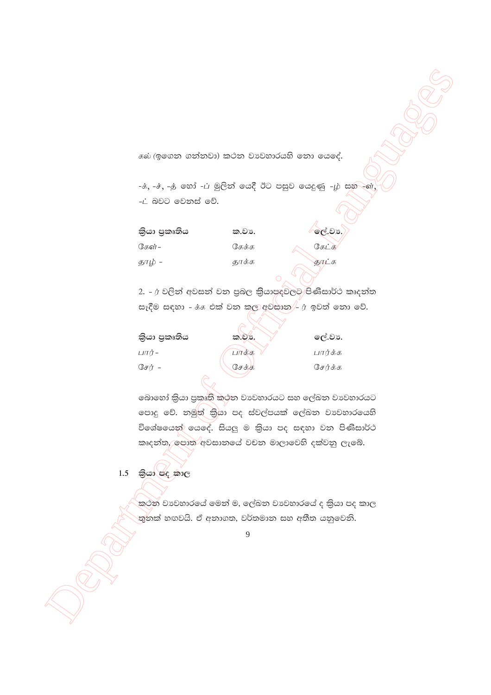கல் (ඉගෙන ගන්නවා) කථන වාහවහාරයහි නො යෙදේ.

-ச், -ச், -த் හෝ -ப் මූලින් යෙදී ඊට පසුව යෙදුණු -ழ் සහ -ගේ -ட் බවට වෙනස් වේ.

| කියා පුකෘතිය | ක.වා. | ලේ.වා., |
|--------------|-------|---------|
| கேள்–        | கேக்க | கேட்க   |
| தாழ் -       | தூக்க | காட்க   |
|              |       |         |

2. - ர වලින් අවසන් වන පුබල කියාපදවලට පිණිසාර්ථ කෘදන්ත සෑදීම සඳහා -  $\dot{\delta}$ . එක් වන කල අවසාන $\ket{-f}$  ඉවත් නො වේ.

| කියා පුකෘතිය | ක.වා. | ලේ.වා.  |
|--------------|-------|---------|
| பார் –       | பாக்க | பார்க்க |
| சேர் –       | சேக்க | சேர்க்க |
|              |       |         |

බොහෝ කියා පුකෘති කථන වාවහාරයට සහ ලේඛන වාවහාරයට පොදු වේ. නමුත් කියා පද ස්වල්පයක් ලේඛන වාවහාරයෙහි විශේෂයෙන් යෙදේ. සියලු ම කියා පද සඳහා වන පිණිසාර්ථ කෘදන්ත, පොත අවසානයේ වචන මාලාවෙහි දක්වනු ලැබේ.

# $1.5$  කියා පද කාල

කථන වාවහාරයේ මෙන් ම, ලේඛන වාවහාරයේ ද කියා පද කාල තුනක් හඟවයි. ඒ අනාගත, වර්තමාන සහ අතීත යනුවෙනි.

 $\overline{Q}$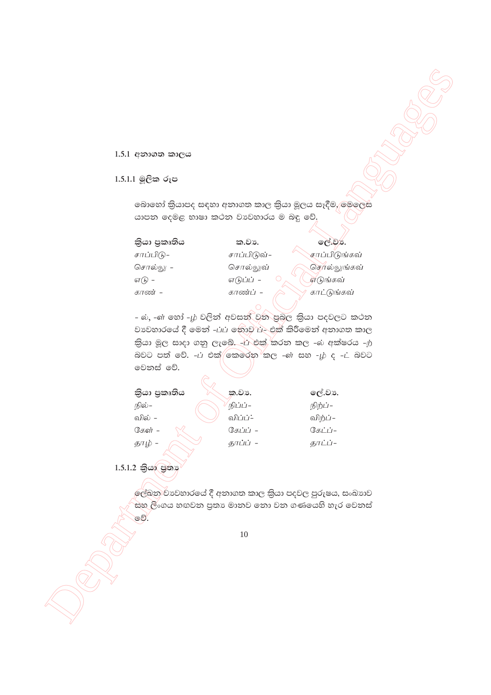# 1.5.1 අනාගත කාලය

# 1.5.1.1 මූලික රූප

බොහෝ කියාපද සඳහා අනාගත කාල කියා මූලය සෑදීම, මෙලෙස යාපන දෙමළ භාෂා කථන වාහවහාරය ම බඳු වේ.

| කියා පුකෘතිය | ක.වා.       | ලේ.වන.               |
|--------------|-------------|----------------------|
| சாப்பிடு–    | சாப்பிடுவ்- | <u>சாப்பிடுங்கவ்</u> |
| சொல்லு –     | சொல்லுவ்    | செரல்லுங்கவ்         |
| எ $(h)$ -    | எடுப்ப் -   | எடுங்கவ்             |
| காண் -       | காண்ப் -    | காட்டுங்கவ்          |
|              |             |                      |

- ல், -ள் හෝ -ழ் වලින් අවසන් වන පුබල කියා පදවලට කථන වාවහාරයේ දී මෙන් -பப் නොව ப- එක් කිරීමෙන් අනාගත කාල බවට පත් වේ. - $\dot{\mu}$  එක් $\bigcirc$ කරුන $\bigcirc$ කල - $\dot{\sigma}$  සහ - $\dot{\mu}$  ද - $\dot{\mu}$  බවට මෙනස් වේ.

|        | කියා පුකෘතිය | ක.වා.    | ලේ.වා.        |
|--------|--------------|----------|---------------|
| நில்–  |              | நிப்ப்–  | நிற்ப்–       |
| வில் – |              | விப்ப்:  | விற்ப் –      |
| கேள் - |              | கேப்ப் – | $(3\pi i)i$ - |
| தாழ் - |              | தாப்ப் - | தாட்ப்-       |

1.5.1.2 කියා පුතා

ලේඛන වාවහාරයේ දී අනාගත කාල කියා පදවල පුරුෂය, සංඛාාව සහ ලීංගය හඟවන පුතා මානව නො වන ගණයෙහි හැර වෙනස් වේ.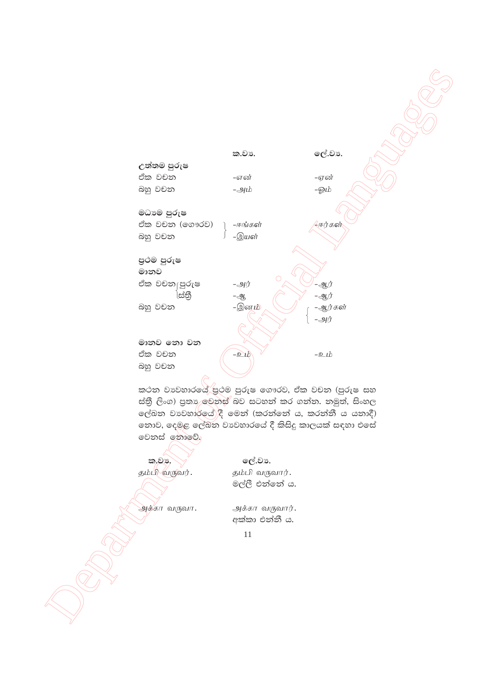

කථන වාවහාරයේ පුථම පුරුෂ ගෞරව, ඒක වචන (පුරුෂ සහ ස්තී ලිංග) පුතා මෙනස් බව සටහන් කර ගන්න. නමුත්, සිංහල ලේඛන වාවහාර්යේ $|$ දී මෙන් (කරන්නේ ය, කරන්නී ය යනාදී) තොව, දෙමළ ලේඛන වාහවාරයේ දී කිසිදු කාලයක් සඳහා එසේ වෙනස් තොවේ.

**la, en julio 1998.** october 1998.

தம்பி $\sqrt{\omega}$ நவர். தம்பி வருவார். මල්ලී එන්නේ ය.

அக்கா வருவா $\,$ . அக்கா வருவார் $\,$ .

අක්කා එන්නී ය.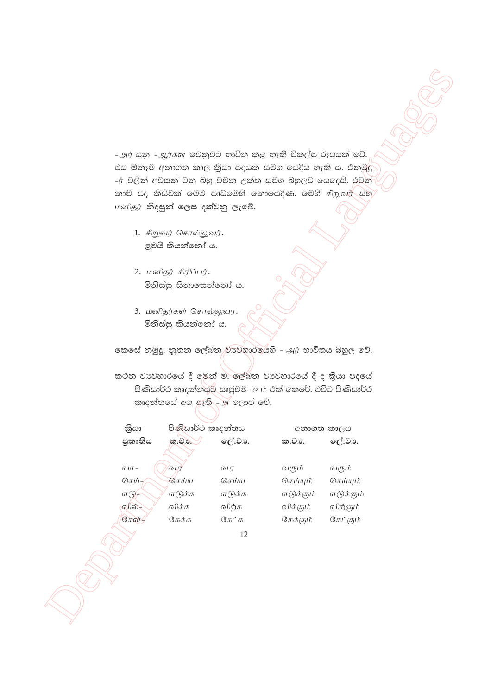-அர் යනු -ஆர்கள் වෙනුවට භාවිත කළ හැකි විකල්ප රූපයක් වේ. එය ඕනෑම අනාගත කාල කියා පදයක් සමග යෙදිය හැකි ය. එනමුදු -ர் වලින් අවසන් වන බහු වචන උක්ත සමග බහුලව යෙදෙයි. එවන් නාම පද කිසිවක් මෙම පාඩමෙහි නොයෙදිණ. මෙහි *சிறுவர்* සහ மனிதர் නිදසුන් ලෙස දක්වනු ලැබේ.

- 1. சிறுவர் சொல்லுவர். ළමයි කියන්නෝ ය.
- 2. மனிதர் சிரிப்பர். මිනිස්සු සිනාසෙන්නෝ ය.
- 3. மனிதர்கள் சொல்லுவர். මිනිස්සු කියන්නෝ ය.

කෙසේ නමුදු, නුතන ලේඛන වාවහාරයෙහි - அர் භාවිතය බහුල වේ.

කථන වාවහාරයේ දී මෙන් ම, ලේඛන වාවහාරයේ දී ද කියා පදයේ පිණිසාර්ථ කෘදත්තයට සෘජුවම -உம் එක් කෙරේ. එවිට පිණිසාර්ථ කෘදත්තයේ අග ඇති - அලොප් වේ.

| කියා       | පිණිසාර්ථ කෘදන්තය |        | අනාගත කාලය |           |
|------------|-------------------|--------|------------|-----------|
| පුකෘතිය    | ක.වා.             | ලේ.වා. | ක.වා.      | ලේ.වා.    |
| வா -       | வா                | வா     | வரும்      | வரும்     |
| செய்–      | செய்ய             | செய்ய  | செய்யும்   | செய்யும்  |
| எடு $\neg$ | எடுக்க            | எடுக்க | எடுக்கும்  | எடுக்கும் |
| வில்-      | விக்க             | விற்க  | விக்கும்   | விற்கும்  |
| கேள்-      | கேக்க             | கேட்க  | கேக்கும்   | கேட்கும்  |
|            |                   |        |            |           |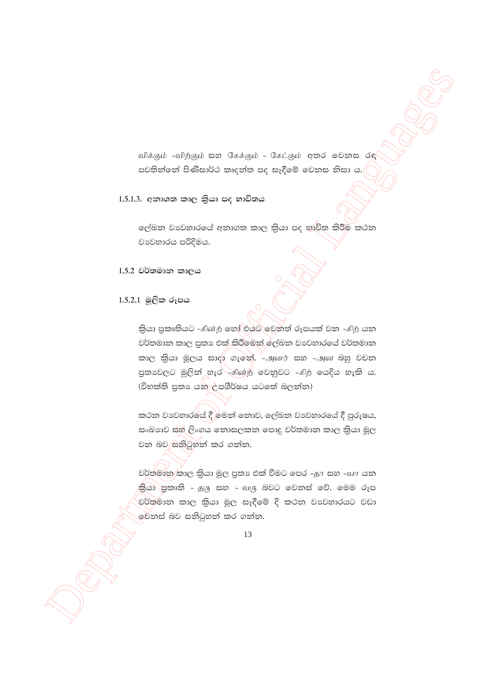விக்கும் -விற்கும் සහ கேக்கும் - கேட்கும் අතර මෙනස රඳ පවතින්නේ පිණිසාර්ථ කෘදන්ත පද සෑදීමේ වෙනස නිසා ය.

# 1.5.1.3. අනාගත කාල කියා පද භාවිතය

ලේඛන වාවහාරයේ අනාගත කාල කියා පද භාවිත කිරීම කථන වාවහාරය පරිදිමය.

 $1.5.2$  වර්තමාන කාලය

# 1.5.2.1 මූලික රූපය

තියා පුකෘතියට - கின்ற හෝ එයට වෙනත් රූපයක් වන - கிற යන වර්තමාන කාල පුතා එක් කිරීමෙන් ලේඛන වාවහාරයේ වර්තමාන කාල කියා මූලය සාදා ගැනේ. -அனர் සහ -அன බහු වචන පුතාවලට මුලින් හැර - නිහේற වෙනුවට - නිற යෙදිය හැකි ය. (විභක්ති පුතා යන උපශීර්ෂය යටතේ බලන්න)

කථන වාවහාරයේ දී මෙන් නොව, ලේඛන වාවහාරයේ දී පුරුෂය, සංඛාහව සහ ලිංගය නොසලකන පොදු වර්තමාන කාල කියා මූල වන බව සනිටුහන් කර ගන්න.

වර්තමාන කාල කියා මූල පුතා එක් වීමට පෙර -தா සහ -வா යන කියා පුකෘති – தரு සහ – வரு බවට වෙනස් වේ. මෙම රූප වර්තමාන කාල කියා මුල සෑදීමේ දි කථන වාවහාරයට වඩා මේනස් බව සනිටුහන් කර ගන්න.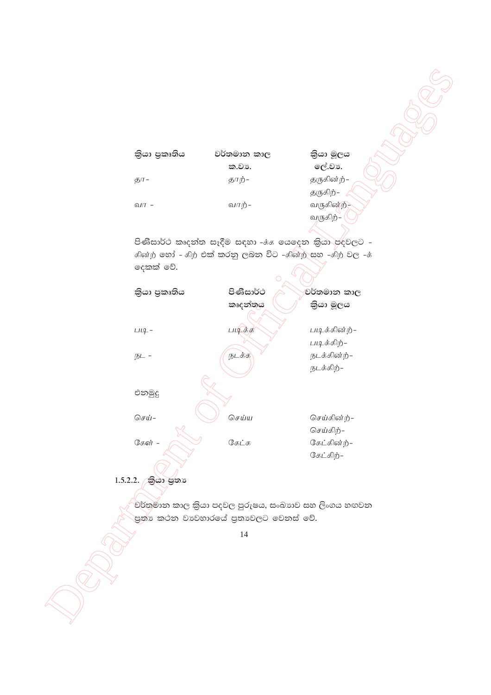

පිණිසාර්ථ කෘදන්ත සැදීම සඳහා - $\dot{\tau}$ ණ ගෙදෙන කියා පදවලට  $f$ ණි $\dot{p}$  හෝ -  $f$ ற் එක් කරනු ලබන විට - $f$ ුණ් $\dot{p}$  සහ - $f$ ற் වල - $\dot{f}$ ලදකක් වේ.



 $1.5.2.2.$  කියා ජුතා

වර්තුමාන කාල කියා පදවල පුරුෂය, සංඛාාව සහ ලිංගය හඟවන .<br>පුත්ා කථන වාවහාරයේ පුතාවලට වෙනස් වේ.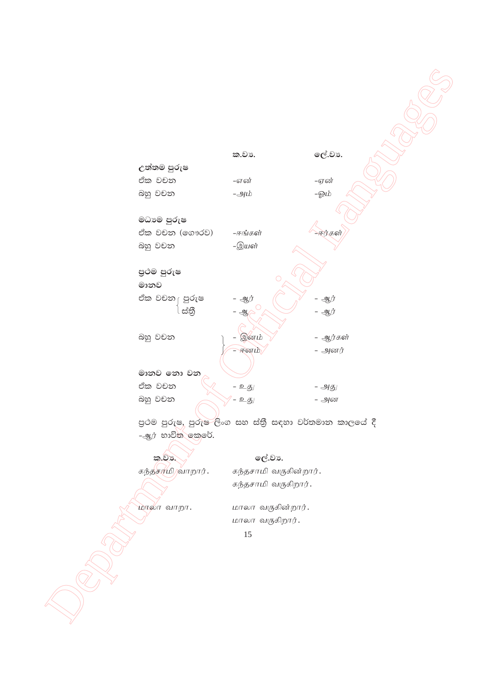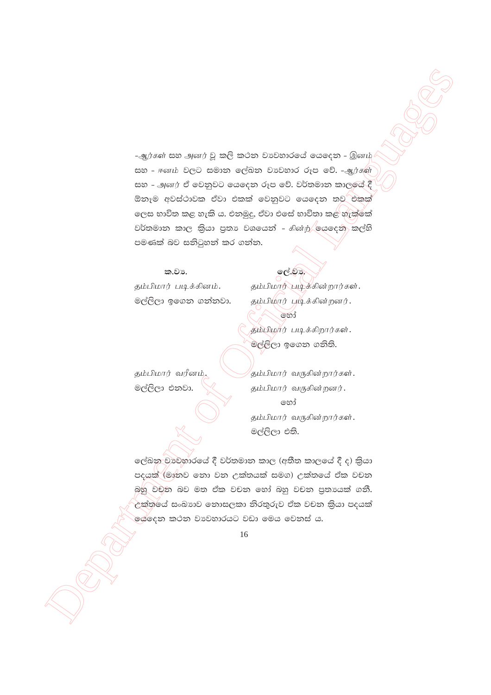$\begin{array}{lllllllllll} \hline \textbf{S} & \textbf{S} & \textbf{S} & \textbf{S} & \textbf{S} & \textbf{S} & \textbf{S} & \textbf{S} & \textbf{S} & \textbf{S} & \textbf{S} & \textbf{S} & \textbf{S} & \textbf{S} & \textbf{S} & \textbf{S} & \textbf{S} & \textbf{S} & \textbf{S} & \textbf{S} & \textbf{S} & \textbf{S} & \textbf{S} & \textbf{S} & \textbf{S} & \textbf{S} & \textbf{S} & \textbf{S} & \textbf{S} & \text$  $-$ ஆர்கள் සහ அனர் වූ කලි කථන වාවහාරයේ යෙදෙන - இனம் සහ - ஈனம் වලට සමාන ලේඛන වාවහාර රූප වේ. -*ஆ*ர்கள் සහ - அனர் ඒ වෙනුවට යෙදෙන රූප වේ. වර්තමාන කාලයේ දී ඕනෑම අවස්ථාවක ඒවා එකක් වෙනුවට යෙදෙන තව එකක් ලෙස භාවිත කළ හැකි ය. එනමුදු, ඒවා එසේ භාවිතා කළ හැක්කේ වර්තමාන කාල කියා පුතා වශයෙන් -  $\epsilon$ ின்ற ලයදෙන කල්හි පමණක් බව සනිටුහන් කර ගන්න.

ක.වා. **1988 ක.**වා. **1988** 

jk;gpkhu; gbf;fpdk;. jk;gpkhu; gbf;fpd;whu;fs;. මල්ලිලා ඉගෙන ගන්නවා.  $\qquad$  தம்பிமார் படிக்கின்றனர். තෝ தம்பிமார் படிக்கிறார்கள். මල්ළිලා ඉගෙන ගනිති.

தம்பிமார் வரீனம், $\sim$ தம்பிமார் வருகின்றார்கள்.  $\mathfrak{G}$ ලිලා එනවා.  $\diagdown\bigtimes$  தம்பிமார் வருகின்றனர். තෝ தம்பிமார் வருகின்றார்கள். මල්ලිලා එති.

ලේඛනු වාවහාරයේ දී වර්තමාන කාල (අතීත කාලයේ දී ද) කියා පදයක් (මානව නො වන උක්තයක් සමග) උක්තයේ ඒක වචන බහු වචන බව මත ඒක වචන හෝ බහු වචන පුතායක් ගනී.  $\epsilon$ ක්තයේ සංඛාාව නොසලකා නිරතුරුව ඒක වචන කියා පදයක් ලේදෙන කථන වාවහාරයට වඩා මෙය වෙනස් ය.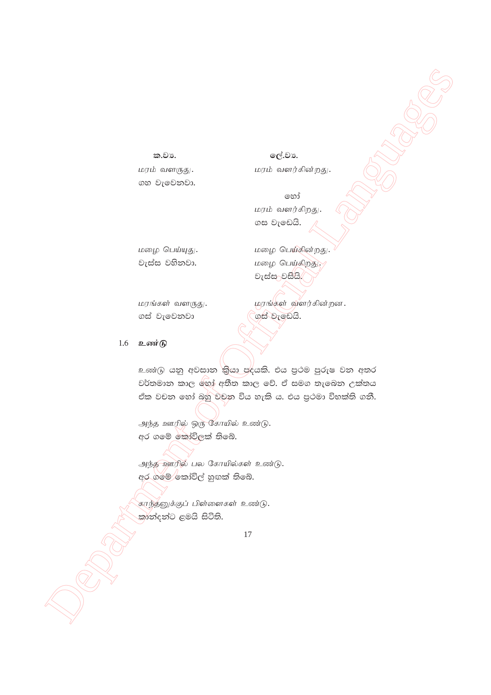#### ක.වා.

மரம் வளருது. ගහ වැමෙනවා.

ලේ.වා. மரம் வளர்கின்றது.

෨෯ மரம் வளர்கிறது. ගස වැඩෙයි.

மழை பெய்யுது. වැස්ස වහිනවා.

மழை பெய்கின்றது. மழை பெய்கிறது. වැස්සාවසියි.

மரங்கள் வளருது. ගස් වැවෙනවා

<u> மரங்கள் வளர்கின்றன.</u> ගස් වැඩෙයි.

#### 1.6 உண $\widehat{B}$

உண்டு යනු අවසාන කියා පදයකි. එය පුථම පුරුෂ වන අතර වර්තමාන කාල තෝ අතීත කාල වේ. ඒ සමග තැබෙන උක්තය ඒක වචන හෝ බහු වචන විය හැකි ය. එය පුථමා විභක්ති ගනී.

அந்த ஊரில் ஒரு கோயில் உண்டு. අර ගමේ කෝවිලක් තිබේ.

அந்த ஊரில் பல கோயில்கள் உண்டு. අර ගමේ කෝවිල් හුගක් තිබේ.

காந்தனுக்குப் பிள்ளைகள் உண்டு. කාන්දන්ට ළමයි සිටිති.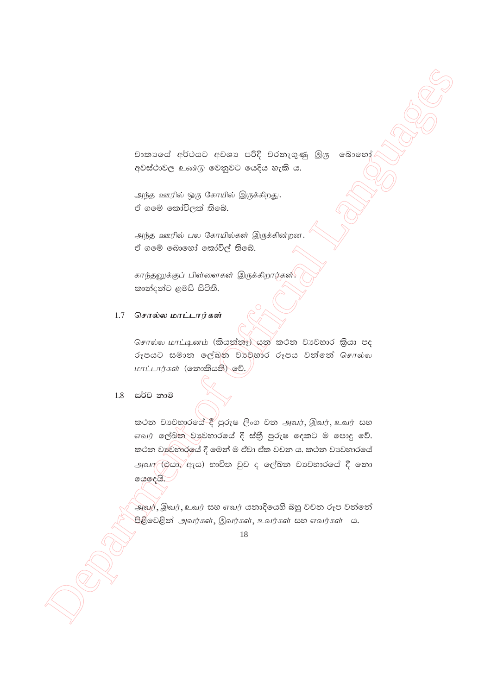වාකායේ අර්ථයට අවශා පරිදි වරතැගුණු இரு- බොහෝ අවස්ථාවල உண்டு වෙනුවට යෙදිය හැකි ය.

அந்த ஊரில் ஒரு கோயில் இருக்கிறது. ඒ ගමේ කෝවිලක් තිබේ.

அந்த ஊரில் பல கோயில்கள் இருக்கின்றன. ඒ ගමේ බොහෝ කෝවිල් තිබේ.

காந்தனுக்குப் பிள்ளைகள் இருக்கிறார்கள். කාන්දන්ට ළමයි සිටිති.

#### சொல்ல மாட்டார்கள் 1.7

சொல்ல மாட்டினம் (කියන්නෑ) යන් කථන වාවහාර කියා පද රූපයට සමාන ලේඛුන වාවුහාර රූපය වන්නේ சொல்ல மாட்டார்கள் (தைவகி) தி.

#### 1.8 සර්ව නාම

කථන වාහවාරයේ දී පුරුෂ ලිංග වන அவர், இவர், உவர் සහ எவர் ලේඛන වාවහාරයේ දී ස්තුී පුරුෂ දෙකට ම පොදු වේ. කථන වාව්හාරයේ දී මෙන් ම ඒවා ඒක වචන ය. කථන වාවහාරයේ அவா⁄ (එයා, ඇය) භාවිත වුව ද ලේඛන වාවහාරයේ දී නො ගයදෙයි.

அவர், இவர், உவர் සහ எவர் යතාදියෙහි බහු වචන රූප වත්තේ .<br>පිළිවෙළින් அவர்கள், இவர்கள், உவர்கள் සහ எவர்கள் ය.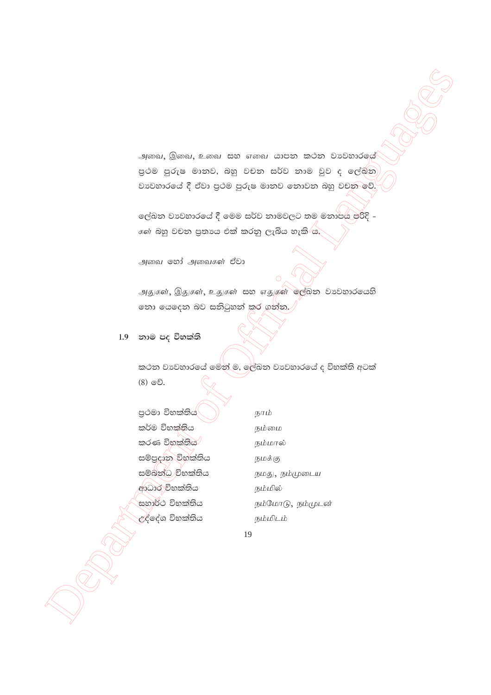அவை, இவை, உவை සහ எவை යාපන කථන වාවහාරයේ පුථම පුරුෂ මානව, බහු වචන සර්ව නාම වුව ද ලේඛින වාවහාරයේ දී ඒවා පුථම පුරුෂ මානව නොවන බහු වචන වේ.

ලේඛන වාවහාරයේ දී මෙම සර්ව නාමවලට තම මනාපය පරිදි -*க*ள் බහු වචන පුතාගෙ එක් කරනු ලැබිය හැකි ය.

அவை லீ அவைகள் ඒවා

அதுகள், இதுகள், உதுகள் සහ எதுகள் ஒர்வை பையை නො යෙදෙන බව සනිටුහන් කර ගන්න. $\sqrt{ }$ 

1.9 නාම පද විභක්ති

 $\int_{-\infty}^{\infty}$ 

කථන වාවහාරයේ මෙන් ම, ලේඛන වාවහාරයේ ද විභක්ති අටක් (8) වේ.

| පුථමා විභක්තිය    |
|-------------------|
| කර්ම විභක්තිය     |
| කරණ විභක්තිය      |
| සම්පුදාන විභක්තිය |
| සම්බන්ධ විභක්තිය  |
| ආධාර විභක්තිය     |
| සහාර්ථ විභක්තිය   |
| උද්දේශ විභක්තිය   |
|                   |

நாம் நம்மை நம்மால் நமக்கு நமது, நம்முடைய நம்மில் நம்மோடு, நம்முடன் நம்மிடம்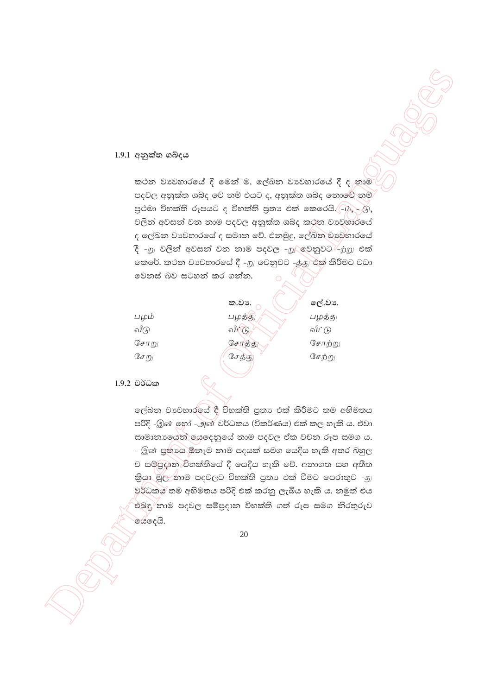### $1.9.1$  අනුක්ත ශබ්දය

කථන වාවහාරයේ දී මෙන් ම, ලේඛන වාවහාරයේ දී ද නාම පදවල අනුක්ත ශබ්ද වේ නම් එයට ද, අනුක්ත ශබ්ද නොවේ නම් පුථමා විභක්ති රූපයට ද විභක්ති පුතා එක් කෙරෙයි. (-ip, - ගු, වලින් අවසන් වන නාම පදවල අනුක්ත ශබ්ද කථන වාවුහාරයේ ද ලේඛන වා වහාරයේ ද සමාන වේ. එනමුදු, ලේඛන වා වුහාරයේ දී -<u>m</u> වලින් අවසන් වන නාම පදවල -<u>m/</u> වෙනුවට -<u>ற்m</u> එක් කෙරේ. කථන වාවහාරයේ දී -றු වෙනුවට -த்து එක් කිරීමට වඩා වෙනස් බව සටහන් කර ගන්න.

|      | ක.වා.       | ලේ.වා. |
|------|-------------|--------|
| பழம் | பழத்த       | பழத்து |
| வீடு | வீட்<br>(h) | வீட்டு |
| சோறு | சோத்த       | சோற்று |
| சேறு | சேத்து      | சேற்று |
|      |             |        |

1.9.2 වර්ධක

ලේඛන වාවහාරලය් දී විභක්ති පුතා එක් කිරීමට තම අභිමතය පරිදි -இன் ඉහා -அன் වර්ධකය (විකර්ණය) එක් කල හැකි ය. ඒවා සාමානායෙන් ගෙදෙනුයේ නාම පදවල ඒක වචන රූප සමග ය. - இன் පුතායෙ ඕනෑම නාම පදයක් සමග යෙදිය හැකි අතර බහුල ව සම්පුදාන විභක්තියේ දී යෙදිය හැකි වේ. අනාගත සහ අතීත කියා මුල නාම පදවලට විභක්ති පුතා එක් වීමට පෙරාතුව -නු වර්ධකය තම අභිමතය පරිදි එක් කරනු ලැබිය හැකි ය. නමුත් එය එබඳු නාම පදවල සම්පුදාන විභක්ති ගත් රූප සමග නිරතුරුව ගේදෙයි.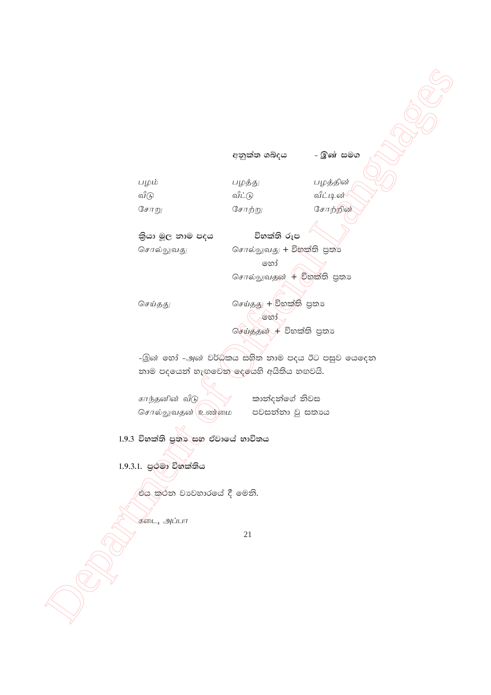අනුක්ත ශබ්දය

பழத்து பழம் வீடு வீட்டு சோறு

சோற்று

பழத்தின் வீட்டின் சோற்றின்

- இன் **ස**මග

තියා මූල නාම පදය

சொல்லுவது

சொல்லுவது + විහක්ති පුත්

විභක්ති රූප

හෝ சொல்லுவதன் + විභක්ති පුතා

செய்தது

 $G$ சய்தது  $+$ ව්භක්ති පුතා , හෝ செய்ததன் + විභක්ති පුතා

-இன் හෝ -அன் වර්ධකය සහිත නාම පදය ඊට පසුව යෙදෙන නාම පදයෙන් හැඟුවෙන දෙයෙහි අයිතිය හඟවයි.

காந்தனின் வீடு சொல்லுவதன் உணவை

කාන්දන්ගේ නිවස පවසන්නා වූ සතාය

1.9.3 විභක්ති පුතා සහ ඒවායේ භාවිතය

1.9.3.1. පු*ර්*මා විභක්තිය

එය කුථන වාවහාරයේ දී මෙනි.

கடை, அப்பா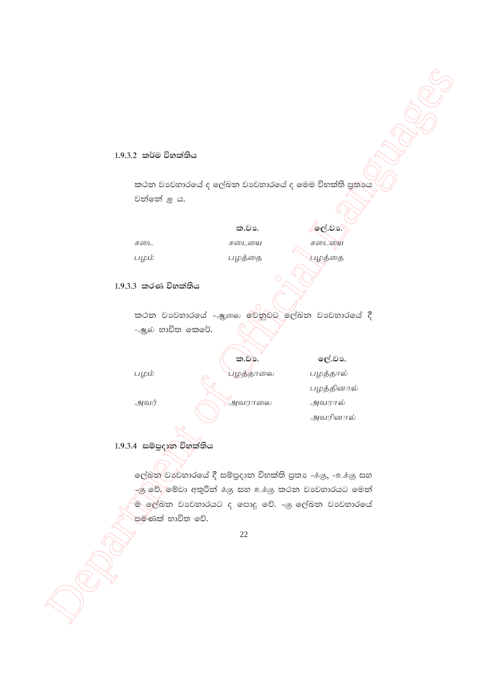#### 1.9.3.2 කර්ම විභක්තිය

කථන වාවහාරයේ ද ලේඛන වාවහාරයේ ද මෙම විභක්ති පුතාය වන්නේ ஐ ය.

|      | ක.වා.  | ලේ.වා. |
|------|--------|--------|
| கடை  | கடையை  | கடையை  |
| பழம் | பழத்தை | பழத்தை |

# $1.9.3.3$  කරණ විභක්තිය

කථන වාහවාරයේ -ஆකை වේනුවට ලේඛන වාහනාරයේ දී -ஆல் භාවිත කෙරේ.

|      | ක.වා.          | ලේ.වා.     |
|------|----------------|------------|
| பழம் | பழத்தாலை       | பழத்தால்   |
|      |                | பழத்தினால் |
| அவர் | <i>அவரா</i> லை | அவரால்     |
|      |                | அவரினால்   |

# 1.9.3.4 සම්පුදාන විහක්තිය

ලේඛන වාවහාරයේ දී සම්පුදාන විභක්ති පුතා -ප. ලෙ, -உக்கு සහ ැළු වේ. මේවා අතුරින්  $\dot{\vec{a}}$ ළු සහ உ $\dot{\vec{a}}$ ළු කථන වා වහාරයට මෙන් .<br>ම ලේඛන වාවහාරයට ද පොදු වේ. -ෂු ලේඛන වාවහාරයේ පමණක් භාවිත වේ.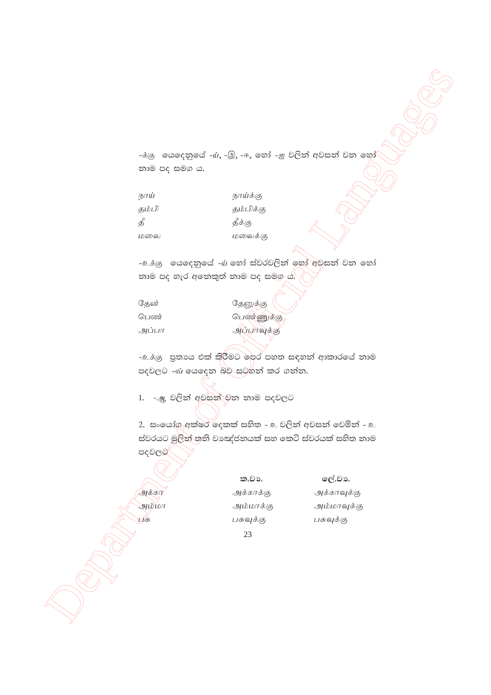-க்கு යෙදෙනුයේ - $\dot{u}$ , -இ, -ஈ, හෝ -ஐ වලින් අවසන් වන හෝ නාම පද සමග ය.

| நாய்  | நாய்க்கு  |
|-------|-----------|
| கம்பி | தம்பிக்கு |
| தீ    | தீக்கு    |
| பலவை  | மலைக்கு   |

-உக்கு கெஷ்ஜாவ் -ய் හෝ ස්වරවලින් හෝ අවසන් වන හෝ තාම පද හැර අනෙකුත් නාම පද සමග ය $\mathcal{S}$ 

| கேன்  | தேனுக்கு    |
|-------|-------------|
| பெண்  | பெண்ணுக்கு  |
| அப்பா | அப்பாவுக்கு |

-உக்கு පුතාය එක් කිරීමට ලෙර පහත සඳහන් ආකාරයේ නාම පදවලට -බ යෙදෙන බව සටහන් කර ගන්න.

1. -அ වලින් අවසන් වන නාම පදවලට

 $250$ <br>  $250$  exact growd  $-4$ ,  $B_n - r$ , used  $-$ g  $D(x)$  (clocks)  $D(x)$  exact  $D(x)$ <br>  $200$ <br>  $200$ <br>  $200$ <br>  $200$ <br>  $200$ <br>  $200$ <br>  $200$ <br>  $200$ <br>  $200$ <br>  $200$ <br>  $200$ <br>  $200$ <br>  $200$ <br>  $200$ <br>  $200$ <br>  $200$ <br>  $200$ <br>  $200$ <br>  $200$ <br>  $200$  $2.$  සංයෝග අක්ෂර දෙකක් සහිත - உ වලින් අවසන් වෙමින් - உ ස්වරයට මූලින් තුනි වාඤ්ජනයක් සහ කෙටි ස්වරයක් සහිත නාම පදවලබ

23 ක.වා. ලද්.වා. அக்கா $\eta$ க்காக்கு அக்காவுக்கு அம்மா $m$  அம்மாக்கு அம்மாவுக்கு  $\Box$ சு வான்கு முதல் முத்த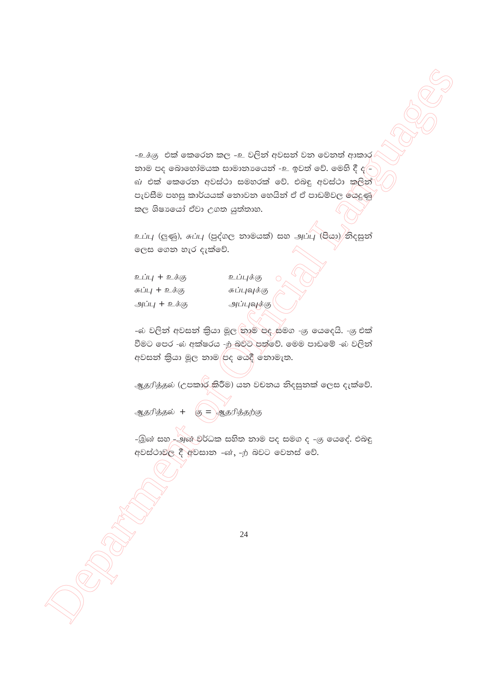-உக்கு එක් කෙරෙන කල -உ වලින් අවසන් වන වෙනත් ආකාර නාම පද බොහෝමයක සාමානායෙන් -உ ඉවත් වේ. මෙහි දී ද $\epsilon$ බා එක් කෙරෙන අවස්ථා සමහරක් වේ. එබඳු අවස්ථා කුලින් පැවසීම පහසු කාර්යයක් නොවන හෙයින් ඒ ඒ පාඩම්වල ශේදුණු කල ශිෂායෝ ඒවා උගත යුත්තාහ.

உப்பு (ලුණු), சுப்பு (පුද්ගල නාමයක්) සහ அப்பு (පියා) තිදසුන් ලෙස ගෙන හැර දැක්වේ.

உப்பு + உக்கு சுப்பு + உக்கு அப்பு + உக்கு

உப்புக்கு சுப்புவுக்கு அப்புவுக்கு

-බ වලින් අවසන් කියා මූල නාම පද සමග -යු යෙදෙයි. -යු එක් වීමට පෙර -බ අක්ෂරය -ற බවට පත්වේ. මෙම පාඩමේ -බ වලින් අවසන් කියා මූල නාම පද යෙදී නොමැත.

ஆதரித்தல் (උපකාර කිරීම) යන වචනය නිදසුනක් ලෙස දැක්වේ.

ஆதரித்தல் + கு $=$  ஆதரித்தற்கு

-இன் සහ –அன் වර්ධක සහිත නාම පද සමග ද –கு යෙදේ. එබඳු අවස්ථාවල දී අවසාන -ன், -ற் බවට මෙනස් වේ.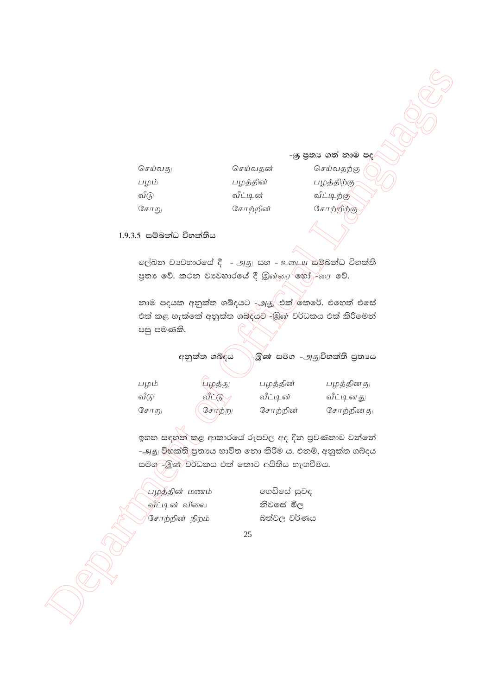-ශු පුතා ගත් නාම පද

செய்வகு செய்வகன் பழம் பழத்தின் வீடு வீட்டின் ேசாறு சோற்றின்

செய்வகற்கு பழத்திற்கு வீட்டிற்கு சோற்றிற்கு

1.9.3.5 සම්බන්ධ විභක්තිය

ලේඛන වාවහාරයේ දී - அது සහ - உடைய සම්බන්ධ විභක්ති 

නාම පදයක අනුක්ත ශබ්දයට -<u>அத</u>ு එක් කෙරේ. එහෙත් එසේ එක් කළ හැක්කේ අනුක්ත ශබ්දයට -මූණ වර්ධකය එක් කිරීමෙන් පසු පමණකි.

> අනුක්ත ශබ්දය -ුඹිණ සමග -அசு විභක්ති පුතායෙ

| பழத்து | பழத்தின் | பழத்தினது |
|--------|----------|-----------|
| வீட்டு | வீட்டின் | வீட்டினது |
| சோற்று | சோற்றின் | சோற்றினது |
|        |          |           |

ඉහත සඳහන් කළ ආකාරයේ රූපවල අද දින පුවණතාව වන්නේ -அது විභක්ති පුතායෙ භාවිත නො කිරීම ය. එනම්, අනුක්ත ශබ්දය සමග—ුමුණ වර්ධකය එක් කොට අයිතිය හැඟවීමය.

பழத்தின் மணம் வீட்டின் விலை <sup>⁄</sup>சோற்றின் நிறம்

ගෙඩියේ සුවඳ නිවසේ මිල බත්වල වර්ණය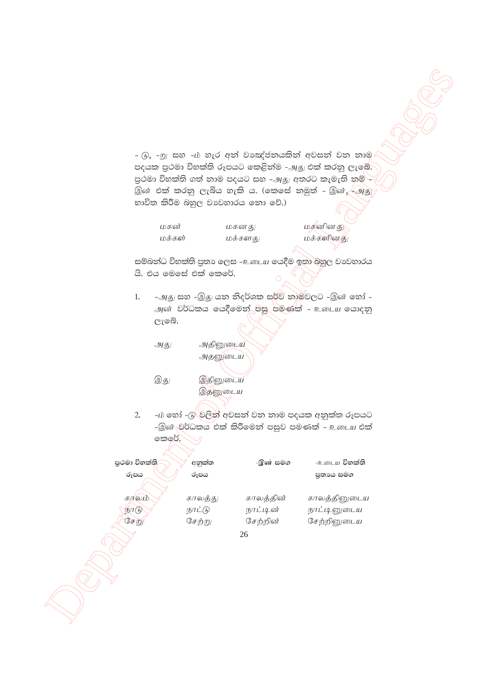$\begin{array}{lllllllllll} \multicolumn{3}{l}{} & \frac{1}{2} & \frac{1}{2} & \frac{1}{2} & \frac{1}{2} & \frac{1}{2} & \frac{1}{2} & \frac{1}{2} & \frac{1}{2} & \frac{1}{2} & \frac{1}{2} & \frac{1}{2} & \frac{1}{2} & \frac{1}{2} & \frac{1}{2} & \frac{1}{2} & \frac{1}{2} & \frac{1}{2} & \frac{1}{2} & \frac{1}{2} & \frac{1}{2} & \frac{1}{2} & \frac{1}{2} & \frac{1}{2} & \frac{1}{2} & \frac{1}{$ 26 - டு, -று සහ -ம் හැර අන් වාඤ්ජනයකින් අවසන් වන නාම පදයක පුථමා විභක්ති රූපයට කෙළින්ම -அ<sub>ජි</sub>/ එක් කරනු ලැබේ. පුථමා විභක්ති ගත් නාම පදයට සහ -அது අතරට කැමැති නම් $\mathord{\mathop{=}}$ இன் එක් කරනු ලැබිය හැකි ය. (කෙසේ නමුත් - இன், $\sqrt{-9}$ தු භාවිත කිරීම බහුල වාපවහාරය නො වේ.) மகன் மகனகு $\vert$  மகன் மகனினகு $\vert$ மக்கள் மக்களது மக்களினது සම්බන්ධ විභක්ති පුතා ලෙස -உடைய යෙදීම ඉතා බහුල වාවහාරය යි. එය මෙසේ එක් කෙරේ. 1. -அது සහ -இது යන නිදර්ශක සර්ව නාමවලට -இன் හෝ -அன் වර්ධකය යෙදීමෙන් පසු පමණක් - உ*டைய* යොදනු ලැබේ. அது அதினுடைய அதனுடைய இது இதினுடைய இதனுடைய 2. – $\dot{\mu}$  හෝ - $\beta$ ්වලින් අවසන් වන නාම පදයක අනුක්ත රූපයට -இன் වර්ධකය එක් කිරීමෙන් පසුව පමණක් - உடைய එක් කරේ. **m%:ud úNla;s wkqla; -,d iu. - ;** cila **úNla;s remh rEmh m%;Hh iu.** கரலம் $\searrow$  காலத்து காலத்தின் காலத்தினுடைய நீரடு $\gamma$  நாட்டு நாட்டின் நாட்டினுடைய சேறு பேற்று செற்றின் சேற்றினுடைய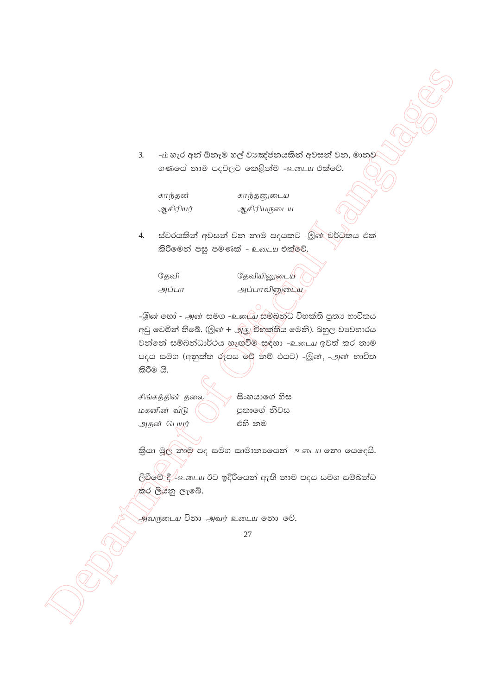-ம் හැර අන් ඕනෑම හල් වාඤ්ජනයකින් අවසන් වන, මානව  $3.$ ගණයේ තාම පදවලට කෙළිත්ම -உடைய එක්වේ.

காந்தன் ஆசிரியர்

காந்தனுடைய ஆசிரியருடைய

ස්වරයකින් අවසන් වන නාම පදයකට -இன වර්ධකය එක් 4. කිරීමෙන් පසු පමණක් - உடைய එක්මුව්.

கேவி அப்பா தேவியினுடைய அப்பாவினுடைய

-இன் හෝ - அன் සමග -உ.யை සම්බන්ධ විභක්ති පුතා භාවිතය අඩු වෙමින් තිබේ. (இன் + அது විහක්තිය මෙනි). බහුල වාවහාරය වත්තේ සම්බන්ධාර්ථය හැඟවීම සඳහා -உடைய ඉවත් කර තාම පදය සමග (අනුක්ත රූපය මේ නම් එයට) -இன், -அன் භාවිත කිරීම යි.

சிங்கத்தின் தலை மகனின் வீடு அகன் பெயர்

සිංහයාගේ හිස පුතාගේ නිවස එහි නම

කියා මූල නාම පද සමග සාමානාගෙන් -உடைய නො යෙදෙයි.

ලිවීමේ දී $\perp$ உ. யை ඊට ඉදිරියෙන් ඇති නාම පදය සමග සම්බන්ධ කර ලියනු ලැබේ.

அீவருடைய විනා அவர் உடைய නො වේ.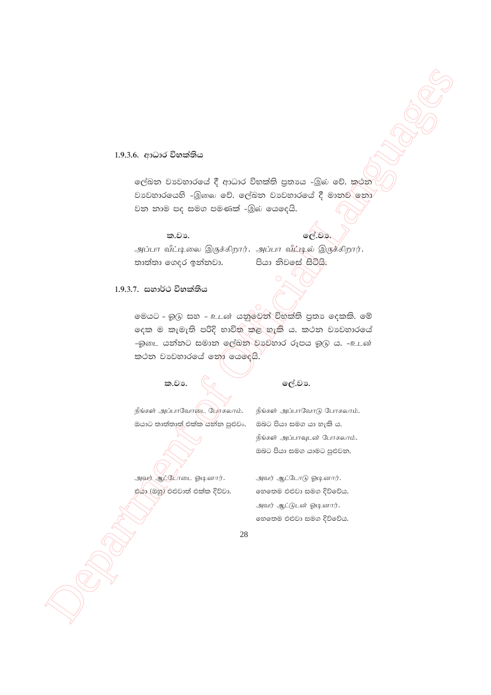#### 1.9.3.6. ආධාර විභක්තිය

ලේඛන වාවහාරයේ දී ආධාර විභක්ති පුතායෙ -இல் වේ. කථන වාවහාරයෙහි -இකෙ වේ. ලේඛන වාවහාරයේ දී මානව නො වන නාම පද සමග පමණක් -இல் යෙදෙයි.

#### ක.වා.

**ලේ.වා.** 

அப்பா வீட்டிலை இருக்கிறார். அப்பா வீழ்டில் இருக்கிறார். තාත්තා ගෙදර ඉන්නවා. පියා නිවලස් සිටියි.

### 1.9.3.7. සහාර්ථ විභක්තිය

මෙයට - ඉුடு සහ - உடன் යනුවෙන් විභක්ති පුතා දෙකකි. මේ දෙක ම කැමැති පරිදි භාවිත කළ හැකි ය. කථන වාවහාරයේ -ඹුක∟ යන්නට සමාන ලල්ඛන වාහුනාර රූපය බුල ය. -உடன் කථන වාහවහාරයේ නෝ යෙදෙයි.

### ක.වා.

### ලේ.වා.

நீங்கள் அப்பாவோடை போகலாம். ඔයාට තාත්තාත් එක්ක යන්න පුළුවං. ඔබට පියා සමග යා හැකි ය.

நீங்கள் அப்பாவோடு போகலாம். நீங்கள் அப்பாவுடன் போகலாம். ඔබට පියා සමග යාමට පුළුවන.

அவர் ஆட்டோடை ஓடினார். එයා (ඔහු) එළුවාත් එක්ක දිව්වා. அவர் ஆட்டோடு ஓடினார். හෙතෙම එළුවා සමග දිව්වේය. அவர் ஆட்டுடன் ஓடினார். ගහතම එළුවා සමග දිව්වේය.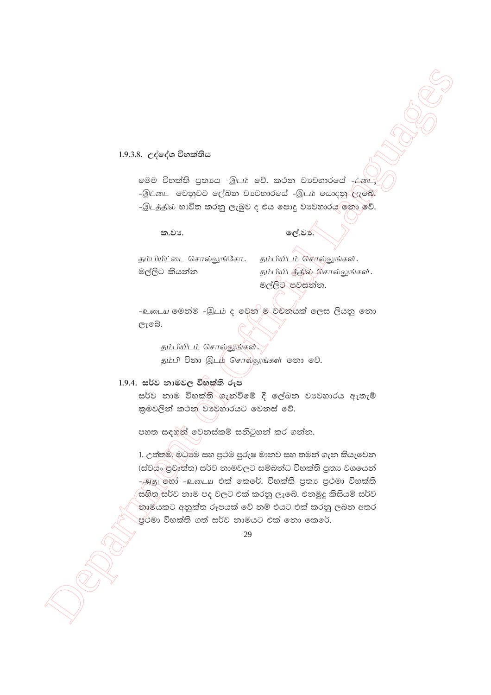# 1.9.3.8. උද්දේශ විභක්තිය

මෙම විභක්ති පුතාය -இடம் වේ. කථන වාවහාරයේ -ட்டை, -இட்டை වෙනුවට ලේඛන වාහවාරයේ -இடம் යොදනු ලැබේ. -இடத்தில் භාවිත කරනු ලැබුව ද එය පොදු වාවහාරය මතා වේ.

ක.වා.

# ලේ.වන.

<u>தம்பியிட்டை</u> சொல்லுங்கோ. මල්ලිට කියන්න

தம்பியிடம் சொல்லுங்கள். தம்பியிடத்தில் சொல்லுங்கள். මල්ලිට පවසන්න.

-உடைய මෙන්ම -இடம் ද වෙන ම වචනයක් ලෙස ලියනු නො ලැබේ.

தம்பியிடம் சொல்லுங்கள். தம்பி විනා இடம் சொல்லுங்கள் உரை உரி.

### 1.9.4. සර්ව නාමවල විභක්ති රූප

සර්ව නාම විභක්ති ගැන්වීමේ දී ලේඛන වාවහාරය ඇතැම් කුමවලින් කථන වාවුහාරයට වෙනස් වේ.

පහත සඳහන් වෙනස්කම් සනිටුහන් කර ගන්න.

1. උත්තම්, මධාමෙ සහ පුථම පුරුෂ මානව සහ තමන් ගැන කියැවෙන (ස්වයි පුවෘත්ත) සර්ව නාමවලට සම්බන්ධ විභක්ති පුතා වශයෙන් - அது හෝ -உடைய එක් කෙරේ. විභක්ති පුතා පුථමා විභක්ති සහිත සර්ව නාම පද වලට එක් කරනු ලැබේ. එනමුදු කිසියම් සර්ව නාමයකට අනුක්ත රූපයක් වේ නම් එයට එක් කරනු ලබන අතර පුථමා විභක්ති ගත් සර්ව නාමයට එක් නො කෙරේ.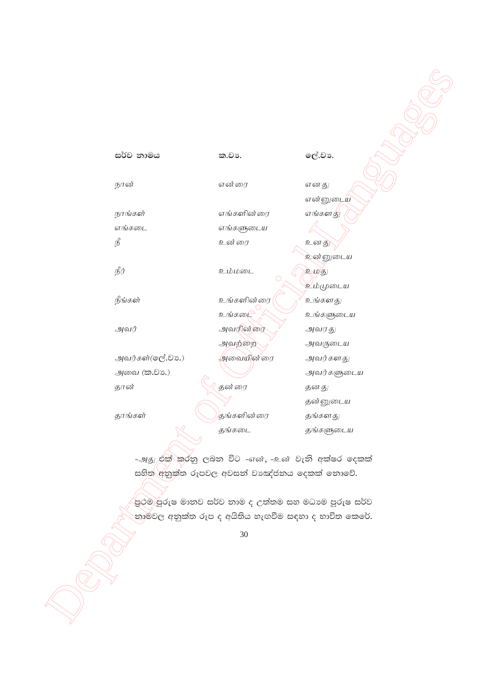#### ලේ.වා. සර්ව නාමය ක.වා. நான் என்ரை எனது என்னுடைய நாங்கள் எங்களின்ரை எங்களது எங்கடை எங்களுடைய  $\mathcal{L}^{\circ}$ உன்ரை உனது உன்னுடைய நீர் உம்மடை உமகு உம்முடைய நீங்கள் உங்களின்ரை உங்களது உங்கடை உங்களுடைய அவர் அவரின்ரை அவரது அவற்றை அவருடைய அவர்கள்(ஒල්.වා.) அவையின்ரை அவர்களது அவை (க. ூ.) அவர்களுடைய தன்ரை தான் தனது தன்னுடைய தாங்கள் தங்களின்ரை தங்களது தங்கடை தங்களுடைய

-அது එක්`කරනු ලබන විට -என், -உன் වැනි අක්ෂර ලදකක් සහිත අනුක්ත රූපවල අවසන් වාඤ්ජනය දෙකක් නොවේ.

පුථම පුරුෂ මානව සර්ව නාම ද උත්තම සහ මධාවෙ පුරුෂ සර්ව .<br>`නාම්වල අනුක්ත රූප ද අයිතිය හැඟවීම සඳහා ද භාවිත කෙරේ.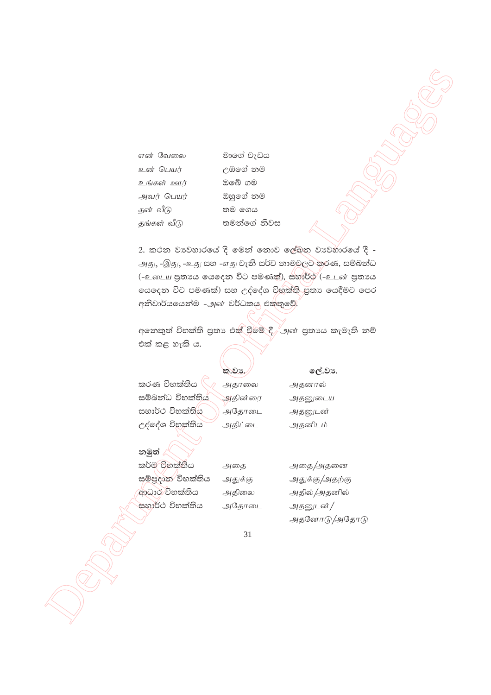என் வேலை உன் பெயர் <u>உங்கள் ஊர்</u> அவர் பெயர் தன் வீடு தங்கள் வீடு

මාගේ වැඩය උඹගේ නම ඔබේ ගම ඔහුගේ නම තම ගෙය තමන්ගේ නිවස

2. කථන වාවහාරයේ දි මෙන් නොව ලේඛන වාවහාරයේ දී -அது, -இது, -உது සහ -எது වැනි සර්ව නාමවලට කරණ, සම්බන්ධ (-உடைய පුතායෙ යෙදෙන විට පමණක්), සහාර්ථ (-உடன் පුතායෙ ගයදෙන විට පමණක්) සහ උද්දේශ විභක්ති පුතා යෙදීමට පෙර අනිවාර්යයෙන්ම -அன் වර්ධකයු එක්තුවේ.

අනෙකුත් විභක්ති පුතා එක් වීමේ දී, அன் පුතායෙ කැමැති නම් එක් කළ හැකි ය.

|                               | ක.වර්.  |
|-------------------------------|---------|
| කරණ විභක්තිය                  | அதாலை   |
| සම්බන්ධ විභක්තිය              | அதின்ரை |
| සහාර්ථ විභක්ති <mark>ය</mark> | அதோடை   |
| උද්දේශ විහක්තිය               | அதிட்டை |
|                               |         |

ලේ.වා.

அதனால் அதனுடைய அதனுடன் அதனிடம்

# නමුත් කර්ම විභක්තිය

සම්පුදාන විභක්තිය ආධාර විභක්තිය සහාර්ථ විභක්තිය

அதை/அதனை அதுக்கு/அதற்கு அதில் /அதனில் அதனுடன் / அதனோடு/அதோடு

31

அதை

அதுக்கு

அதிலை

அதோடை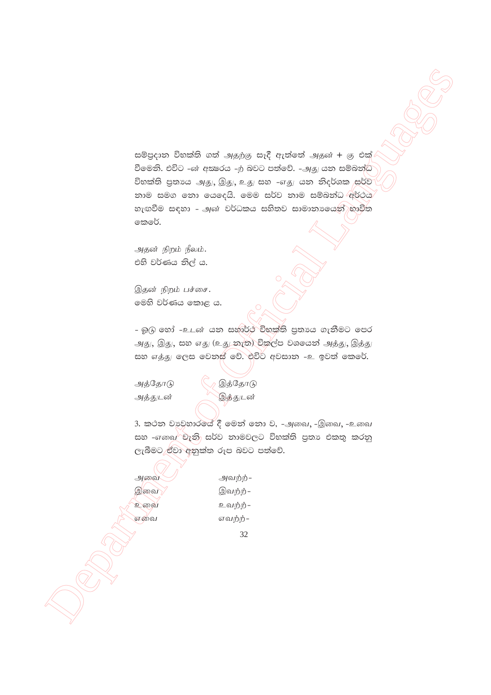සම්පුදාන විභක්ති ගත් அதற்கு සෑදී ඇත්තේ அதன் + கு එක් වීමෙනි. එවිට -ன் අකුරය -ற බවට පත්වේ. -அகு යන සම්බන්ධ විභක්ති පුතායෙ அது, இது, உது සහ -எது යන නිදර්ශක සර්ව නාම සමග නො යෙදෙයි. මෙම සර්ව නාම සම්බන්ධ අර්ථය හැඟවීම සඳහා – அன் වර්ධකය සහිතව සාමානාගෙන් භාවිත කෙරේ.

அதன் நிறம் நீலம். එහි වර්ණය නිල් ය.

இதன் நிறம் பச்சை. මෙහි වර්ණය කොළ ය.

- බු(6) හෝ -உடன் යන සහාර්ථ විභක්ති පුතායෙ ගැනීමට පෙර அது, இது, සහ எது (உது නැත) විකල්ප වශයෙන් அத்து, இத்து සහ எத்து ලෙස වෙනස් වේ. එවිට අවසාන -உ ඉවත් කෙරේ.

அத்தோடு அத்துடன்

இத்தோடு இத்துடன்

3. කථන වාවහාරයේ දී මෙන් නො ව, -அவை, -இவை, -உவை සහ –எකෲ<sup>)</sup> වැනි සර්ව නාමවලට විභක්ති පුතා එකතු කරනු ලැබීමට ඒවා අනුක්ත රූප බවට පත්වේ.

அவை இவை உவை என்வ

அவற்ற்-இவற்ற்-உவற்ற்-எவற்ற்-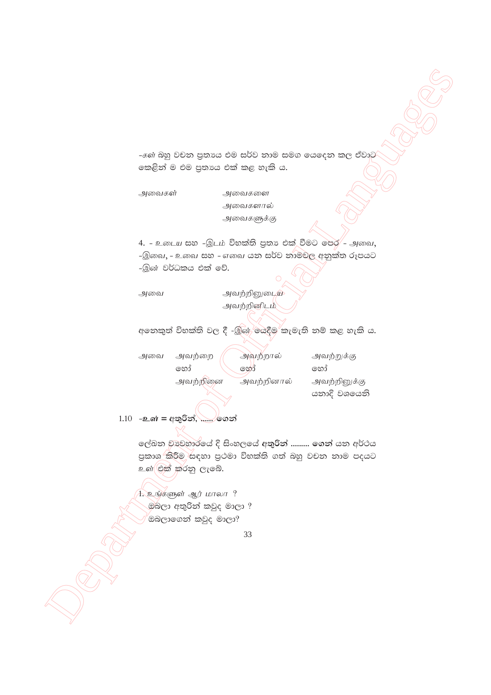-கள் බහු වචන පුතාගෙ එම සර්ව නාම සමග යෙදෙන කල ඒවාට කෙළින් ම එම පුතාය එක් කළ හැකි ය.

அவைகள்

அவைகளால் அவைகளுக்கு

அவைகளை

4. - உடைய සහ -இடம் විභක්ති පුතා එක් වීමට පෙර - அவை, -இவை, - உவை සහ - எவை යන සර්ව නාමවල අනුක්ත රූපයට -இன் වර්ධකය එක් වේ.

அவை

<u>அவற்றினுடைய</u> அவற்றினிடம்

අනෙකුත් විභක්ති වල දී -இன் යෙදීම කැමැති නම් කළ හැකි ය.

| அவை | அவற்றை   | அவற்றால்   | அவற்றுக்கு   |
|-----|----------|------------|--------------|
|     | හෝ       | හෝ         | හොර          |
|     | அவற்றினை | அவற்றினால் | அவற்றினுக்கு |
|     |          |            | යනාදි වශයෙනි |

# 1.10 -உள் = අතුරින්, ...... ගෙන්

ලේඛන වාවහාරයේ දි සිංහලයේ අතුරින් ......... ගෙන් යන අර්ථය පුකාශ කිරීම සඳහා පුථමා විභක්ති ගත් බහු වචන තාම පදයට உள்(එක්)කරනු ලැබේ.

1. உங்களுள் ஆர் மாலா ? . මබලා අතුරින් කවුද මාලා ? <sup>"</sup>ඔබලාගෙන් කවුද මාලා?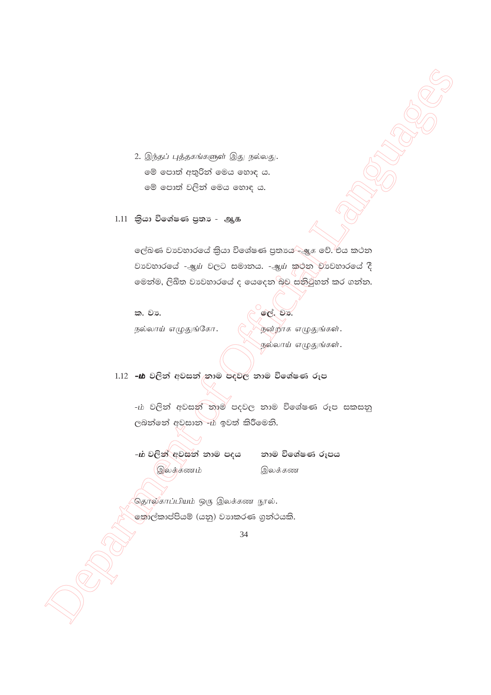2. இந்தப் புத்தகங்களுள் இது நல்லது. මේ පොත් අතුරින් මෙය හොඳ ය. මේ පොත් වලින් මෙය හොඳ ය.

 $1.11$  කියා විශේෂණ පුතා - ஆக

ලේඛණ වාවහාරයේ කියා විශේෂණ පුතායෙ/--මූ. වේ.<sup>)</sup>එය කථන වාවහාරයේ - ஆய் වලට සමානය. - ஆய் කුරන වාවහාරයේ දී මෙන්ම, ලිඛිත වාවහාරයේ ද යෙදෙන බව සනිටුහන් කර ගන්න.

ක. වා. நல்லாய் எழுதுங்கோ. OC. 23.

நன்றாக எழுதுங்கள். நல்லாய் எழுதுங்கள்.

1.12 -ம் වලින් අවසන් තාම පදවල නාම විශේෂණ රූප

-ம் වලින් අවසන් තාම පදවල නාම විශේෂණ රූප සකසනු ලබන්නේ අවසාන - ර ඉවත් කිරීමෙනි.

-ம் වලින් අවසන් නාම පදය (இலக்கணம்

නාම විශේෂණ රූපය இலக்கண

தொல்காப்பியம் ஒரு இலக்கண நூல். තොල්කාප්පියම් (යනු) වාාකරණ ගුත්ථයකි.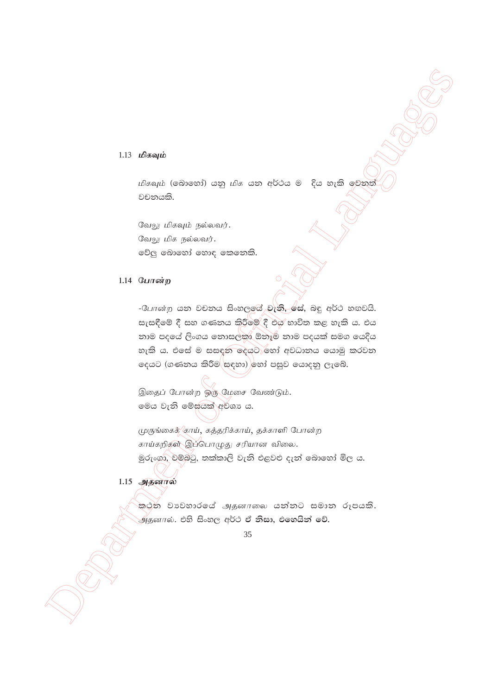#### $1.13$  மிகவும்

மிகவும் (බොහෝ) යනු மிக යන අර්ථය ම දිය හැකි මෙනත වචනයකි.

வேலு மிகவும் நல்லவர். வேலு மிக நல்லவர். වේලු බොහෝ හොඳ කෙනෙකි.

#### 1.14 போன்ற

- போன்ற යන වචනය සිංහලයේ වැනි, සේ, බඳු අර්ථ හඟවයි. සැසඳීමේ දී සහ ගණනය කිරීමේ දී එය භාවිත කළ හැකි ය. එය නාම පදයේ ලිංගය නොසලකා ඕනෑම නාම පදයක් සමග යෙදිය හැකි ය. එසේ ම සසඳත දෙයට හෝ අවධානය යොමු කරවන දෙයට (ගණනය කිරීම සඳහා) හෝ පසුව යොදනු ලැබේ.

இதைப் போன்ற ஒரு மேசை வேண்டும். මෙය වැනි මේසයක් අවශා ය.

முருங்கைக் 'காய், கத்தரிக்காய், தக்காளி போன்ற காய்கறிகள் இப்பொழுது சரியான விலை. මුරුංගා, චම්බටු, තක්කාලි වැනි එළවළු දැන් බොහෝ මිල ය.

# 1.15 அதனால்

<u>කරන වාවහාරයේ அதனாலை යන්නට සමාන රූපයකි.</u>  $\stackrel{1}{\rightarrow}$ தனால். එහි සිංහල අර්ථ ඒ නිසා, එහෙයින් වේ.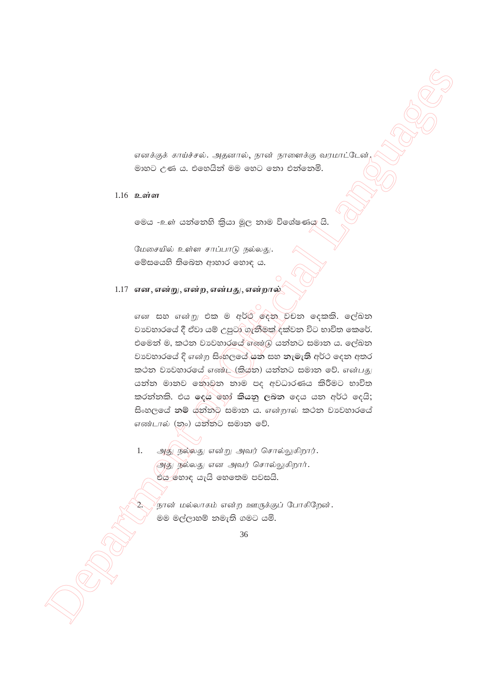எனக்குக் காய்ச்சல். அதனால், நான் நாளைக்கு வரமாட்டேன் මාහට උණ ය. එහෙයින් මම හෙට නො එන්නෙමි.

# $1.16$  உள்ள

මෙය -உள் යත්තෙහි කියා මූල තාම විශේෂණය යි.

மேசையில் உள்ள சாப்பாடு நல்லது. මේසයෙහි තිබෙන ආහාර හොඳ ය.

# $1.17$  என, என்று, என்ற, என்பது, என்றால்

என සහ என்று එක ම අර්ථ ලදන වචන දෙකකි. ලේඛන වාවහාරයේ දී ඒවා යම් උපුටා ගැනීමක් දක්වන විට භාවිත කෙරේ. එමෙන් ම, කථන වානවහාරයේ බහා යු යන්නට සමාන ය. ලේඛන වාවහාරයේ දි என்ற සිංහලයේ යන සහ නැමැති අර්ථ දෙන අතර කථන වාවහාරයේ எண்ட (කියන) යන්නට සමාන වේ. என்பது යන්න මානව නොවන නාම පද අවධාරණය කිරීමට භාවිත කරත්තකි. එය දෙය හෝ කියනු ලබන දෙය යන අර්ථ දෙයි; සිංහලයේ නම් යන්නට සමාන ය. என்றால் කථන වාවහාරයේ எண்டால் (නං) යන්නට සමාන වේ.

 $1.$ அது நல்லது என்று அவர் சொல்லுகிறார். அது நல்லது என அவர் சொல்லுகிறார். එය හොඳ යැයි හෙතෙම පවසයි.

<sup>'</sup>நான் மல்லாகம் என்ற ஊருக்குப் போகிறேன்**.** මම මල්ලාහම් නමැති ගමට යමි.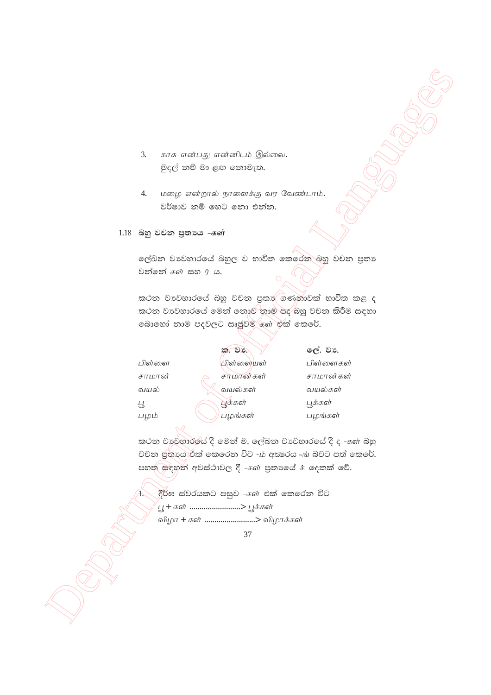- $3.$ காசு என்பது என்னிடம் இல்லை. මුදල් නම් මා ළඟ නොමැත.
- மழை என்றால் நாளைக்கு வர வேண்டாம்.  $\overline{4}$ . වර්ෂාව නම් හෙට තො එන්න.
- 1.18 බහු වචන පුතායෙ கள்

ලේඛන වාවහාරයේ බහුල ව භාවිත කෙරෙන බහු වචන පුතා වන්නේ  $\pi$ ණ සහ $\pi$  ය.

කථන වාවහාරයේ බහු වචන පුතා ගණනාවක් භාවිත කළ ද කථන වාවහාරයේ මෙන් නොව නාම පද බහු වචන කිරීම සඳහා බොහෝ නාම පදවලට සෘජූවම ගණ එක් කෙරේ.

|        | ක. වා.    | ලේ. වා.   |
|--------|-----------|-----------|
| பிள்ளை | பிள்ளையள் | பிள்ளைகள் |
| சாமான் | சாமான்கள் | சாமான்கள் |
| வயல்   | வயல்கள்   | வயல்கள்   |
| Ц      | பூக்கள்   | பூக்கள்   |
| பழும்  | பழங்கள்   | பழங்கள்   |

කථන වාවහාරයේ දී මෙන් ම, ලේඛන වාවහාරයේ දී ද -கள் බහු වචන ඡුතායා එක් කෙරෙන විට -ග අකුරය -ඟ බවට පත් කෙරේ. පහත සඳහන් අවස්ථාවල දී - ගේ පුතාගේ ය දෙකක් වේ.

දීර්ඝ ස්වරයකට පසුව - $\epsilon$ ள் එක් කෙරෙන විට 'பூ <del>+</del> கள் .........................> பூக்கள் விழா + கள் ........................> விழாக்கள்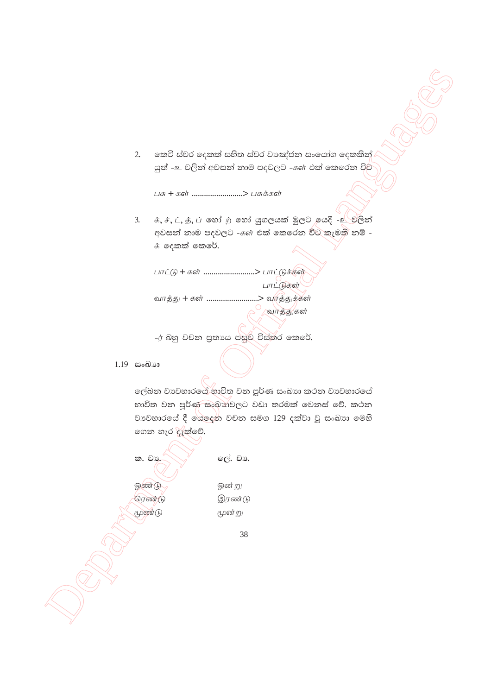කෙටි ස්වර දෙකක් සහිත ස්වර වාඤ්ජන සංයෝග දෙකකින්  $2.$ යුත් -உ වලින් අවසන් නාම පදවලට - $\epsilon$ ள் එක් කෙරෙන විට

பசு + கள் .........................> பசுக்கள்

க், ச், ட், த், ப் හෝ ற் හෝ යුගලයක් මුලට ,ඉයදී -<u>உ</u> වලින්  $3.$ අවසන් නාම පදවලට - $\epsilon$ ள் එක් කෙරෙන විට කැමති නම් -**க்** ලදකක් කෙරේ.

பாட்டு + கள் ........................> பாட்டுக்கள் பாட்டுகள் வாத்து + கள் ........................> வாத்துக்கள் வாத்துகள்

-ர் බහු වචන පුතාය පසුව විස්තර කෙරේ.

 $1.19$  සංඛාන

ලේඛන වාවහාරයේ භාවිත වන පූර්ණ සංඛාා කථන වාවහාරයේ භාවිත වන පූර්ණ සංඛාාවලට වඩා තරමක් වෙනස් වේ. කථන වාවහාරයේ දී ගයලෙන වචන සමග 129 දක්වා වූ සංඛාග මෙහි ගෙන හැර දැක්වේ.

ක. වා. ஒண்டு ரெண்டு மூண்டு

ලේ. වා.

ஒன் று

மூன்று

இரண்டு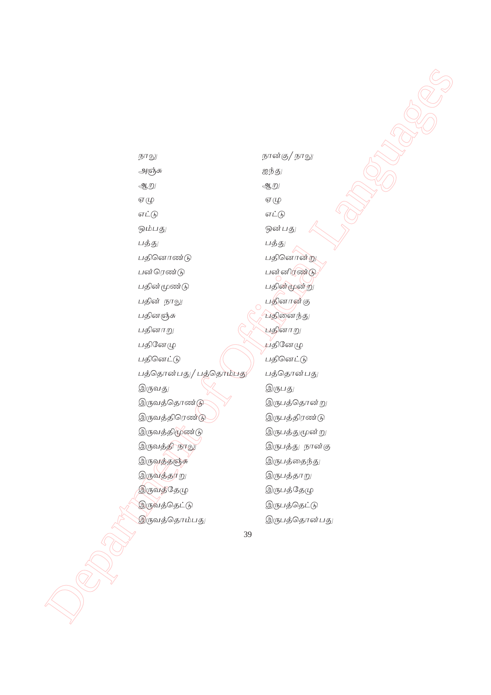Department of Official Languages ehY ehd;F/ ehY அஞ்சு *மறைத்து* MW MW  $\mathcal{I}(\mathfrak{L}) \qquad \qquad \mathcal{I}(\mathfrak{L})$  $\sigma \dot{\mathcal{L}}(\mathfrak{h})$   $\sigma \dot{\mathcal{L}}(\mathfrak{h})$ ஒம்பது *மைத்திரை வார்த்திரும் பது* பத்து $\hspace{1.6cm}$  பத்து பதினொண்டு முற்றும் மதினொன்று பன் ரெண்டு $\qquad \qquad \qquad$ பன் னிரண்டு பதின்மூண்டு *பதின்மூன்று* பதின் நாலு $\qquad \qquad \qquad \qquad$ பதினர்ன்கு பதினஞ்சு $\bigcap$  பதினைந்து பதினாறு  $\mathbb{C}$ ் பதினாறு பதினேமு $\bigcup$ பதினேமு பதினெட்டு $\left(\begin{array}{c} \overline{\phantom{a}}\\ \overline{\phantom{a}}\\ \end{array}\right)$  பதினெட்டு பத்தொன்பது/ பத்தொம்பது $\qquad$  பத்தொன்பது இருவது  $\mathbb{X}$  இருபது இருவத்தொண்டு $\bigvee$  இருபத்தொன்று இருவத்திரெண்டு $\bigcup$  இருபத்திரண்டு இருவத்திமூண்டு மார்ப்பிய இருபத்துமூன்று இருவத்தி நாலு மையை இருபத்து நான்கு இருவத்தஞ்சு *இருபத்தைந்து* இருவத்த $\pi$ று , இருபத்தாறு இருவத்தேழு மார்ப்பிய இருபத்தேழு இருவத்தெட்டு $\qquad \qquad \textcircled{1}$ இருவத்தொம்பது இருபத்தொன்பது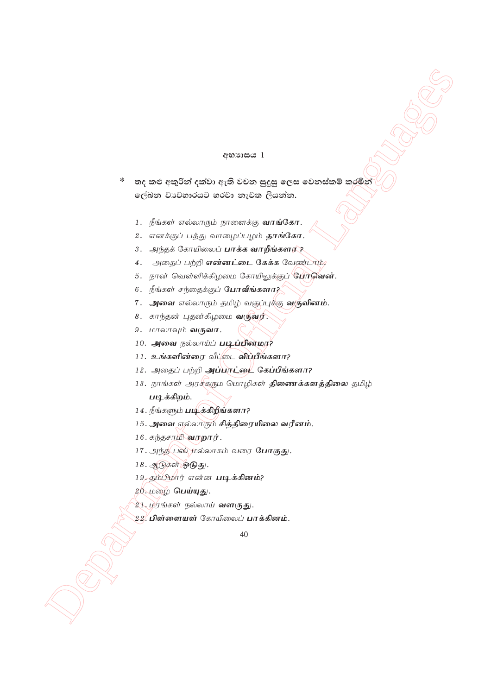#### අභාගය 1

තද කළු අකුරින් දක්වා ඇති වචන සුදුසු ලෙස වෙනස්කම් කරමින්  $\ast$ ලේඛන වාවහාරයට හරවා නැවත ලියන්න.

- 1. நீங்கள் எல்லாரும் நாளைக்கு **வாங்கோ.**
- 2. எனக்குப் பத்து வாழைப்பழம் **தாங்கோ.**
- 3. அந்தக் கோயிலைப் பாக்க வாறீங்களா??
- 4. அதைப் பற்றி என்னட்டை கேக்க வேண்டாம்,
- 5. நான் வெள்ளிக்கிழமை கோயிலுக்குப் **போவென்.**
- 6. நீங்கள் சந்தைக்குப் போவீங்களா?
- 7. அவை எல்லாரும் தமிழ் வகுப்புக்கு **வருவினம்.**
- 8. காந்தன் புதன்கிழமை வருவர்.
- 9. மாலாவும் வருவா.
- 10. அவை நல்லாய்ப் படிப்பினமர?
- 11. உங்களின்ரை வீட்டை விப்பீங்களா?
- 12. அதைப் பற்றி அப்பாட்டை கேப்பீங்களா?
- 13. நாங்கள் அரசீகரும மொழிகள் **திணைக்களத்திலை** தமிழ் படிக்கிறம்.
- 14. நீங்களும் படிக்கிறீங்களா?
- 15. அவை எல்லாரும் சித்திரையிலை வரீனம்.
- 16. கந்தசாமி வரறார்.
- 17. அந்த பஸ் மல்லாகம் வரை போகுது.
- 18. ஆடுகள் ஓடுது.
- 19. தம்பிமார் என்ன படிக்கினம்?
- 20. மழை பெய்யுது.
- 21. மரங்கள் நல்லாய் **வளருது.**
- 22, **பிள்ளையள்** கோயிலைப் **பாக்கினம்.**

 $40$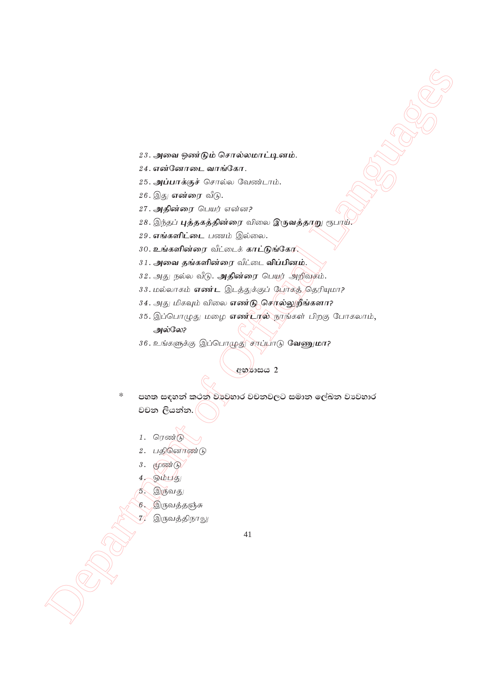- 23. அவை ஒண்டும் சொல்லமாட்டினம்.
- 24. **எ**ன்னோடை வாங்கோ.
- $25.$  அப்பாக்குச் சொல்ல வேண்டாம்.
- 26. இது **என்ரை** வீடு.
- 27. **அதின்ரை** பெயர் என்ன?
- 28. இந்தப் **புத்தகத்தின்ரை** விலை இருவத்தாறு ரூபாய்.
- 29. **எங்களிட்டை** பணம் இல்லை.
- $30.$  **உங்களின்ரை** வீட்டைக் **காட்டுங்கோ**,
- $31.$  அவை தங்களின்ரை வீட்டை **விப்பினம்.**
- 32. அது நல்ல வீடு. **அதின்ரை** பெயர் அறிவுகம்.
- 33. மல்லாகம் **எண்ட** இடத்துக்குப் போகத் தெரியுமா?
- 34. அது மிகவும் விலை **எண்டு சொல்லுறீங்களா?**
- 35. இப்பொழுது மழை எண்டால் நாங்கள் பிறகு போகலாம், அல்லே?
- 36. உங்களுக்கு இப்பொழுது சாப்பாடு **வேணுமா?**

**අභ**ර්භය 2

- $2\pi$ , symmetry control Control control is anti-<br>
2.6. symmetry and  $\sigma/\sigma$  Control control is anti-<br>
2.6. symmetry control 2.0. symmetry in the control control control control control control control control control cont  $^*$  පහත සඳහන් කථන වාවුහාර වචනවලට සමාන ලේඛන වාවහාර වචන ලියන්න.
	- $1.$  ரெண்டு
	- $2.$  பதினொண்டு
	- $3.$   $(4)$   $(6)$
	- $4.$  pulled
	- 5. இருவது
		- இருவத்தஞ்சு
	- இருவத்திநாலு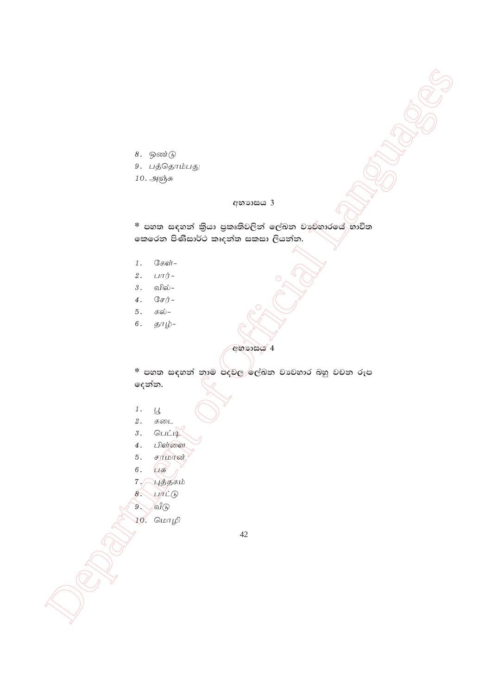$8.$  ஒண்டு

- 9. பத்தொம்பது
- $10.$  அஞ்சு

#### **wNHdih 3**

<u>\* පහත සඳහන් කි</u>යා පුකෘතිවලින් ලේඛන වාව්නාරයේ භාවිත කෙරෙන පිණිසාර්ථ කෘදන්ත සකසා ලියන්න.

- $1.$  சேள்-
- 2.  $L\Pi\dot{\Pi}$ -
- $3.$  ഖിல்–
- $4.$   $\mathbb{G}$ *s* $\dot{\mathbb{J}}$ -
- 5. கல்-
- 6.  $5\pi\dot{\psi}$ -

**අභා**හය 4

 $\frac{1}{2}$ <br>  $\frac{1}{2}$ <br>  $\frac{1}{2}$ <br>  $\frac{1}{2}$ <br>  $\frac{1}{2}$ <br>  $\frac{1}{2}$ <br>  $\frac{1}{2}$ <br>  $\frac{1}{2}$ <br>  $\frac{1}{2}$ <br>  $\frac{1}{2}$ <br>  $\frac{1}{2}$ <br>  $\frac{1}{2}$ <br>  $\frac{1}{2}$ <br>  $\frac{1}{2}$ <br>  $\frac{1}{2}$ <br>  $\frac{1}{2}$ <br>  $\frac{1}{2}$ <br>  $\frac{1}{2}$ <br>  $\frac{1}{2}$ <br>  $\frac{1}{2}$ <br> <u>\* පහත සඳහන් නාම පදවල ්ල්බන වාවහාර බහු වචන රූප</u> @දන්න.

- 1. g{
- $2.$  கடை
- $3.$  Quilq
- $4.$  பிள்ளை
- $5.$   $FIDR$
- $6.$   $\sqrt{g}$
- $7. \bigtriangleup$ yğg $\pi$ ıb
- $8.$   $UTLG$
- $9.$  of  $\theta$
- 10. மொழி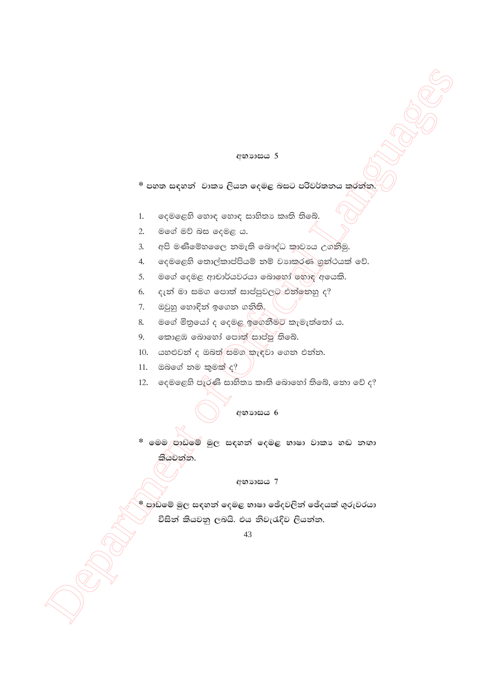#### **අභා**හය 5

\* පහත සඳහන් වාකාෘ ලියන දෙමළ බසට පරිවර්තනය කරන්න.

- දෙමළෙහි හොඳ හොඳ සාහිතා කෘති තිබේ.  $1.$
- මගේ මව් බස දෙමළ ය.  $\overline{2}$ .
- අපි මණිමේහලෙෙ නමැති බෞද්ධ කාවාය උගනිමු.  $3.$
- දෙමළෙහි තොල්කාප්පියම් නම් වාාකරණ ගුන්ථයක් වේ. 4.
- මගේ දෙමළ ආචාර්යවරයා බොහෝ හොඳ අයෙකි. 5.
- දැන් මා සමග පොත් සාප්පුවලට එන්නෙහු ද? 6.
- ඔවුහු හොඳින් ඉගෙන ගනිති. 7.
- මගේ මිතුයෝ ද දෙමළ ඉගෙනීමට කැමැත්තෝ ය. 8.
- කොළඹ බොහෝ පොත් සාප්පූ තිබේ.  $9.$
- 10. යහළුවන් ද ඔබත්/සමග කැඳවා ගෙන එන්න.
- $11.$  ඔබගේ නම කුමක් ද?
- 12. දෙමළෙහි පැරණි සාහිතා කෘති බොහෝ තිබේ, නො වේ ද?

\* මෙම පාඩමේ මුල සඳහන් දෙමළ භාෂා වාකා හඬ නඟා කියවන්න.

අභාහසය 7

\* පාඩමේ මුල සඳහන් දෙමළ භාෂා ඡේදවලින් ඡේදයක් ගුරුවරයා විසින් කියවනු ලබයි. එය නිවැරැදිව ලියන්න.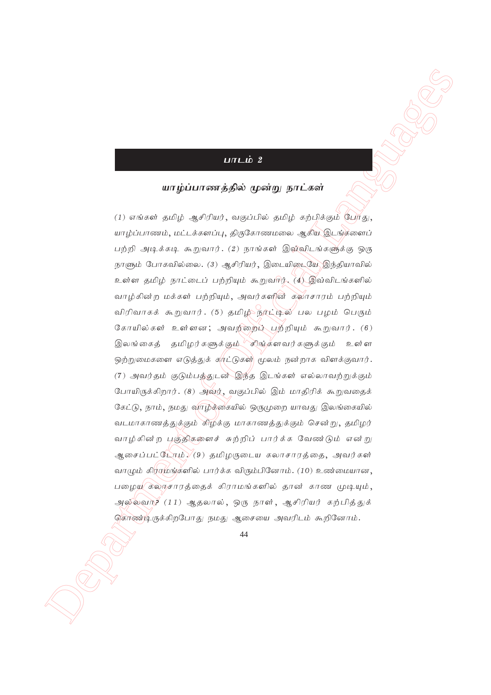# <u>பாடம்</u> 2

### **ahog; ghzj ; jpy; %d ; W ehl ; fs; ;**

**DITE OF 2**<br> **DEPARTMENT OF AND CONFICIAL ART CONFICIAL ACTIVE ACTIVE CONFICIAL ACTIVE CONFICIAL ACTIVE CONFICIAL ACTIVE CONFICIAL ACTIVE CONFICIAL ACTIVE CONFICIAL ACTIVE CONFICIAL ACTIVE CONFICIAL ACTIVE CONFICIAL ACTIV**  $(1)$  எங்கள் தமிழ் ஆசிரியர், வகுப்பில் தமிழ் கற்பிக்கும் போகு யாழ்ப்பாணம், மட்டக்களப்பு, திருகோணமலை ஆகிய இடங்களைப் பற்றி அடிக்கடி கூறுவார். (2) நாங்கள் இவ்விடங்களுக்கு ஒரு நாளும் போகவில்லை. (3) ஆசிரியர், இடையிடையே இந்தியாவில் உள்ள தமிழ் நாட்டைப் பற்றியும் கூறுவார். (4) இவ்விடங்களில் வாழ்கின்ற மக்கள் பற்றியும், அவர்களின் தலாசாரம் பற்றியும் விரிவாகக் கூறுவார். (5) தமிழ்்ந<u>ர்</u>ட்டில் பல பழம் பெரும் கோயில்கள் உள்ளன; அவற்றைப் பற்றியும் கூறுவார். (6) இலங்கைத் தமிழர்களுக்கும் சிங்களவர்களுக்கும் உள்ள ஒற்றுமைகளை எடுத்துக் காட்டுகள் மூலம் நன்றாக விளக்குவார். (7) அவர்தம் குடும்பத்துடன் இந்த இடங்கள் எல்லாவற்றுக்கும் போயிருக்கிறார். (8) அவர், வகுப்பில் இம் மாதிரிக் கூறுவதைக் கேட்டு, நாம், நமது வாழ்த்கையில் ஒருமுறை யாவது இலங்கையில் வடமாகாணத்துக்கும் கிழக்கு மாகாணத்துக்கும் சென்று, தமிழர் வாழ்கின்ற பகுதிகளைச் சுற்றிப் பார்க்க வேண்டும் என்று ஆசைப்பட்டோம் $\sqrt(9)$  தமிழருடைய கலாசாரத்தை, அவர்கள் வாழும் கிரமுங்களில் பார்க்க விரும்பினோம். (10) உண்மையான, பழைய கலாசாரத்தைக் கிராமங்களில் தான் காண முடியும், அல்லவா? (11) ஆதலால், ஒரு நாள், ஆசிரியர் கற்பித்துக் கொண்டிருக்கிறபோது நமது ஆசையை அவரிடம் கூறினோம்.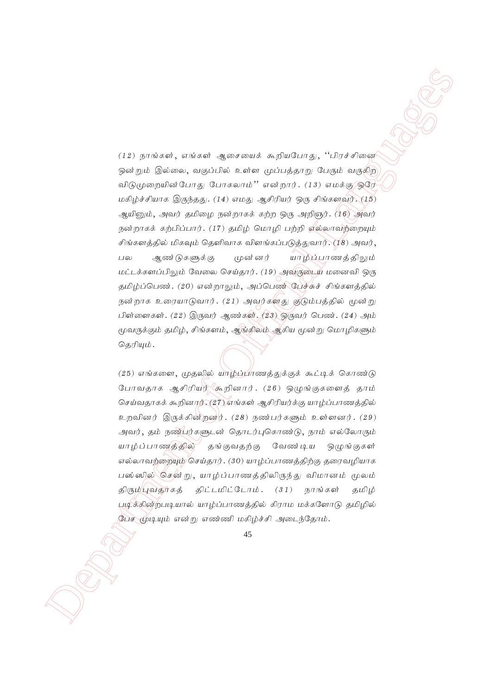$(12)$  govidately a whole<br>discrepance is a simple superconduction of the first government of the state<br>government of the government of the first government of  $\mathcal{L}(\mathcal{L}_{\mathcal{L}})$ <br>and  $\mathcal{L}_{\mathcal{L}}$  and  $\mathcal{L}_{\mathcal{L}}$  a  $(12)$  நாங்கள், எங்கள் ஆசையைக் கூறியபோது, ''பிரச்சினை ஒன்றும் இல்லை, வகுப்பில் உள்ள முப்பத்தாறு பேரும் வருகிற விடுமுறையின் போது போகலாம்'' என்றார்.  $(13)$  எமக்கு ஒரே மகிழ்ச்சியாக இருந்தது. (14) எமது ஆசிரியர் ஒரு சிங்களவர்.  $(15)$ ஆயினும், அவர் தமிழை நன்றாகக் கற்ற ஒரு அறிஞர்.  $\langle Y6 \rangle$  அவர் நன்றாகக் கற்பிப்பார். (17) தமிழ் மொழி பற்றி ஏல்லாவற்றையும் சிங்களத்தில் மிகவும் தெளிவாக விளங்கப்படுத்துவார். (18) அவர், பல ஆண்டுகளுக்கு முன்னர் யாழ்ப்பாணத்திலும் மட்டக்களப்பிலும் வேலை செய்தார். (19) அவருடைய மனைவி ஒரு தமிழ்ப்பெண். (20) என்றாலும், அப்பெண் பேச்சுச் சிங்களத்தில் நன்றாக உரையாடுவார். (21) அவர்களது குடும்பத்தில் மூன்று பிள்ளைகள்.  $(22)$  இருவர் ஆண்கள்.  $(23)$  ஒருவர் பெண்.  $(24)$  அம் மூவருக்கும் தமிழ், சிங்களம், ஆங்கிலம் ஆகிய மூன்று மொழிகளும் தெரியும்.

 $(25)$  எங்களை, முதலில் யாழ்ப்பாணத்துக்குக் கூட்டிக் கொண்டு போவதாக ஆசிரியர் $\sqrt{x}$ கறினார். (26) ஒழுங்குகளைத் தாம் செய்வதாகக் கூறினார். (27) எங்கள் ஆசிரியர்க்கு யாழ்ப்பாணத்தில் உறவினர் இருக்கின்றன $j$ . (28) நண்பர்களும் உள்ளனர். (29) அவர், தம் நண்பர்களுடன் தொடர்புகொண்டு, நாம் எல்லோரும் யாழ்ப்பாணத்தில் தங்குவதற்கு வேண்டிய ஒழுங்குகள் எல்லாவற்றையும் செய்தார். (30) யாழ்ப்பாணத்திற்கு தரைவழியாக பஸ்ஸில்\'சென் று, யாழ்ப்பாணத்திலிருந்து விமானம் மூலம் திரும்புவதூகத் திட்டமிட்டோம்.  $(31)$  நாங்கள் தமிழ் பூடிக்கின்றபடியால் யாழ்ப்பாணத்தில் கிராம மக்களோடு தமிழில் பேச மூடியும் என்று எண்ணி மகிழ்ச்சி அடைந்தோம்.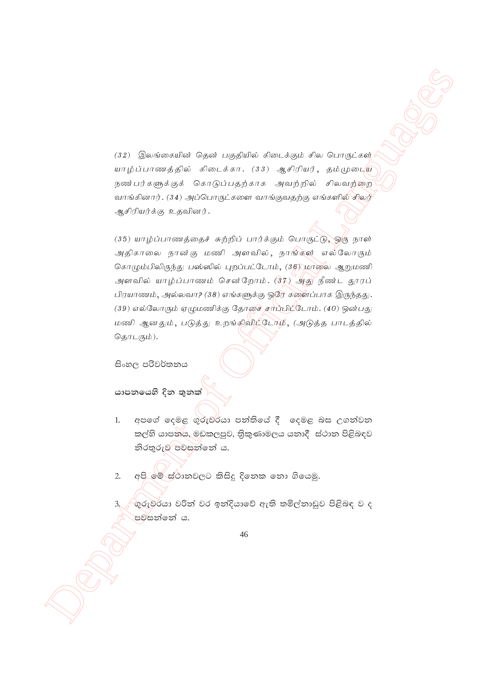$(32)$  இலங்கையின் தென் பகுதியில் கிடைக்கும் சில பொருட்கள் யாழ்ப்பாணத்தில் கிடைக்கா. (33) ஆசிரியர், தம்முடைய நண்பர்களுக்குக் கொடுப்பதற்காக அவற்றில் சிலவற்றை வாங்கினார். (34) அப்பொருட்களை வாங்குவதற்கு எங்களில் சிலர் ஆசிரியர்க்கு உதவினர்.

 Department of Official Languages  $(35)$  யாழ்ப்பாணத்தைச் சுற்றிப் பார்க்கும் பொருட்டு, ஒரு நாள் அதிகாலை நான்கு மணி அளவில், நாங்கள் எல்லோரும் கொழும்பிலிருந்து பஸ்ஸில் புறப்பட்டோம்,  $(36)$  மாலை ஆறுமணி அளவில் யாழ்ப்பாணம் சென்றோம்.  $(37)$  அது நீண்ட தூரப்  $\Box$ ரயாணம், அல்லவா? (38) எங்களுக்கு ஒரே களைப்பாக இருந்தது.  $(39)$  எல்லோரும் ஏழுமணிக்கு தோசை சாப்பி $\dot{\psi}$ டோம். (40) ஒன்பது மணி ஆனதும், படுத்து உறங்கிவிட்டோம், (அடுத்த பாடத்தில் தொடரும்).

සිංහල පරිවර්තනය

යාපනයෙහි දින <u>තු</u>නක්

1. අපගේ දෙමළ ගුරුවර්යා පන්තියේ දී දෙමළ බස උගන්වන කල්හි යාපනය, මඩකලපුව, තිකුණාමලය යනාදී ස්ථාන පිළිබඳව  $\mathfrak{H}$ රතුරුව පවසන්නේ ය.

2. අපි මේ ස්ථානවලට කිසිදු දිනෙක නො ගියෙමු.

 $\mathfrak{g}$ රුවරයා වරින් වර ඉන්දියාවේ ඇති තමිල්තාඩුව පිළිබඳ ව ද පව්සන්නේ ය.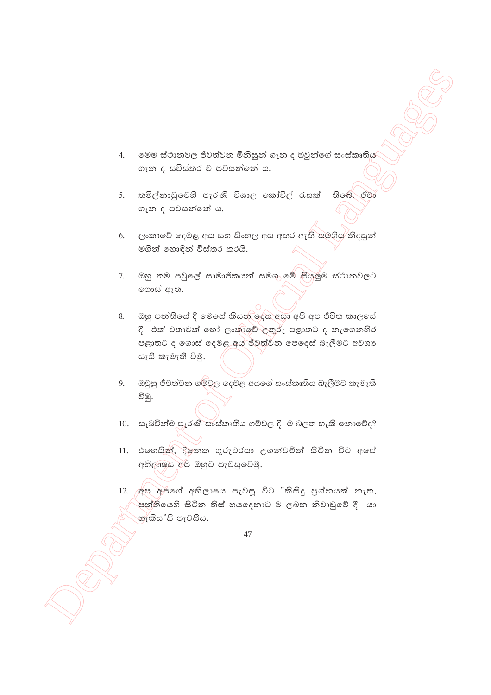- $4.$ මෙම ස්ථානවල ජීවත්වන මිනිසුන් ගැන ද ඔවුන්ගේ සංස්කෘතිය ගැන ද සවිස්තර ව පවසන්නේ ය.
- තමිල්නාඩුවෙහි පැරණි විශාල කෝවිල් රැසක් තිබේ. ඒවා  $5.$ ගැන ද පවසන්නේ ය.
- ලංකාවේ දෙමළ අය සහ සිංහල අය අතර ඇති සමගිය තිදසුන් 6. මගින් හොඳින් විස්තර කරයි.
- ඔහු තම පවුලේ සාමාජිකයන් සමගු මේ සියලුම ස්ථානවලට  $7.$ ගොස් ඇත.
- ඔහු පන්තියේ දී මෙසේ කියන් දෙය අසා අපි අප ජීවිත කාලයේ 8. දී එක් වතාවක් හෝ ලංකාවේ උතුරු පළාතට ද තැගෙනහිර පළාතට ද ගොස් දෙමළ අය ජීවත්වින පෙදෙස් බැලීමට අවශා යැයි කැමැති වීමු.
- 9. ඔවුහු ජීවත්වන ගම්වල දෙමළ අයගේ සංස්කෘතිය බැලීමට කැමැති වීමු.
- 10. සැබවින්ම පැරණි සංස්කෘතිය ගම්වල දී ම බලත හැකි නොවේද?
- 11. එහෙයින්, දිනෙක ගුරුවරයා උගන්වමින් සිටින විට අපේ අභිලාෂය අපි ඔහුට පැවසුවෙමු.
- 12. අප අපගේ අභිලාෂය පැවසූ විට "කිසිදු පුශ්නයක් නැත, පත්තියෙහි සිටින තිස් හයදෙනාට ම ලබන නිවාඩුවේ දී යා හැකිය"යි පැවසීය.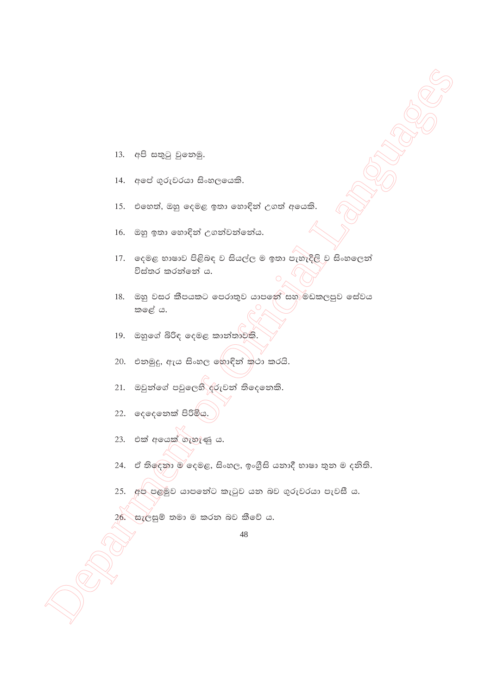- 13. අපි සතුටු වුනෙමු.
- 14. අපේ ගුරුවරයා සිංහලයෙකි.
- එහෙත්, ඔහු දෙමළ ඉතා හොඳින් උගත් අයෙකි. 15.
- 16. ඔහු ඉතා හොඳින් උගන්වන්නේය.
- 17. දෙමළ භාෂාව පිළිබඳ ව සියල්ල ම ඉතා පැහැදිලි ව සිංහලෙත් විස්තර කරන්නේ ය.
- 18. ඔහු වසර කීපයකට පෙරාතුව යාපනේ සහ මඩකලපුව සේවය කඳේ ය.
- 19. ඔහුගේ බිරිඳ දෙමළ කාන්තාවකි.
- 20. එනමුදු, ඇය සිංහල ඉහාඳින් කථා කරයි.
- 21. ඔවුන්ගේ පවුලෙහි දරුවන් තිදෙනෙකි.
- 22. දෙදෙනෙක් පිරිමිය.
- 23. එක් අයෙක් ගැහැණු ය.
- ඒ තිලෙනා ම දෙමළ, සිංහල, ඉංගීුසි යනාදී භාෂා තුන ම දනිති. 24.
- 25. අප පළමුව යාපනේට කැටුව යන බව ගුරුවරයා පැවසී ය.

26. සැලසුම් තමා ම කරන බව කීවේ ය.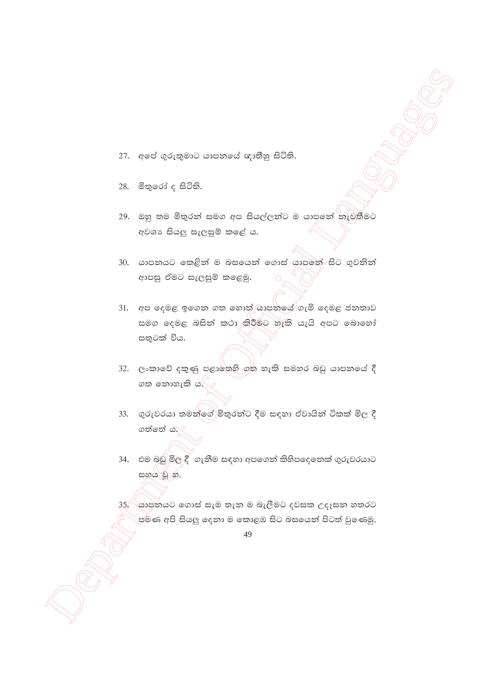- 27. අපේ ගුරුතුමාට යාපනයේ ඥාතීහු සිටිති.
- 28. මිතුරෝ ද සිටිති.
- 29. ඔහු තම මිතුරත් සමග අප සියල්ලත්ට ම යාපනේ තැවතීමට අවශා සියලු සැලසුම් කළේ ය.
- 30. යාපනයට කෙළින් ම බසයෙන් ගොස් යාපනේ සිට ගුවනින් ආපසු ඒමට සැලසුම් කළෙමු.
- 31. අප දෙමළ ඉගෙන ගත හොත් සාපනයේ ගැමි දෙමළ ජනතාව සමග දෙමළ බසින් කථා කිරීමට හැකි යැයි අපට බොහෝ සතුටක් විය.
- 32. ලංකාවේ දකුණු පළාතෙහි ගත හැකි සමහර බඩු යාපනයේ දී ගත තොහැකි ය. $\bigtriangledown$
- 33. ගුරුවරයා තමන්ගේ)මිකුරන්ට දීම සඳහා ඒවායින් ටිකක් මිල දී ගත්තේ ය.
- 34. එම බඩු මිල දී ගැනීම සඳහා අපගෙන් කිහිපදෙනෙක් ගුරුවරයාට සහය වූ හ.

35, යාපුතයට ගොස් සැම තැන ම බැලීමට දවසක උදෑසන හතරට ප්මණ අපි සියලු දෙනා ම කොළඹ සිට බසයෙන් පිටත් වුණෙමු.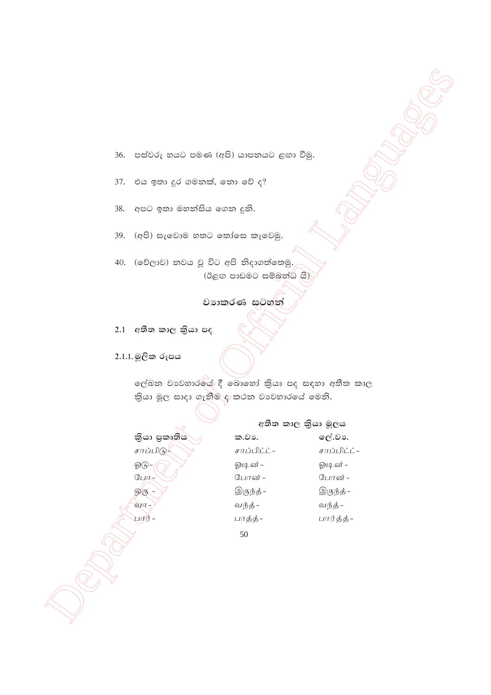36. පස්වරු හයට පමණ (අපි) යාපනයට ළඟා වීමු.

- එය ඉතා දුර ගමනක්, නො වේ ද? 37.
- අපට ඉතා මහත්සිය ගෙන දුනි. 38.
- (අපි) සැවොම හතට තෝසෙ කෑවෙමු. 39.

40. (වේලාව) නවය වූ විට අපි නිදාගත්තෙමු. (ඊළඟ පාඩමට සම්බන්ධ යි)

# වාහතරණ සටහන්

2.1 අතීත කාල කියා පද

2.1.1. මූලික රූපය

ලේඛන වාවහාරයේ දී බොහෝ කියා පද සඳහා අතීත කාල කියා මූල සාදා ගැනීම දැකථන වාවහාරයේ මෙනි.

තියා පුකෘතිය சாப்பிடு ஓடு- $GLH D =$ வாட ਪਾਰੀ ਹੈ –

|              | අතීත කාල කියා මූලය |
|--------------|--------------------|
| ක.වා.        | ලේ.වා.             |
| சாப்பிட்ட் – | சாப்பிட்ட் –       |
| ஓடின் –      | ஓடின் -            |
| போன் –       | போன் –             |
| இருந்த்–     | இருந்த் –          |
| வந்த் -      | வந்த் -            |
| பாத்த் -     | பார்த்த்–          |
| 50           |                    |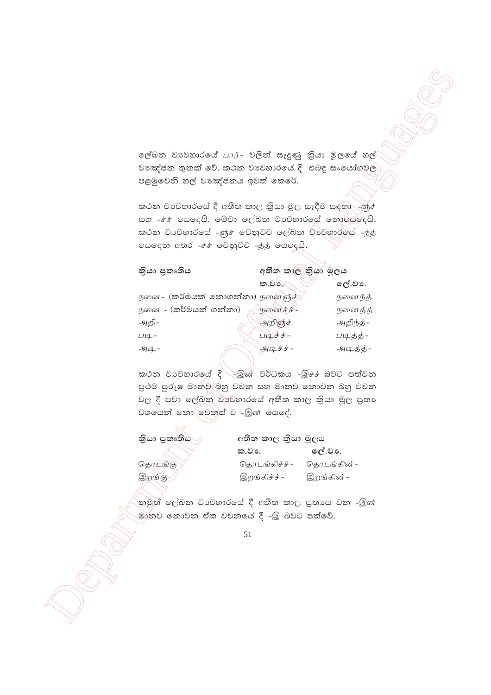| ලේඛන වාවහාරයේ பார்- වලින් සෑදුණු කියා මූලයේ හල්                                       |                            |             |  |
|---------------------------------------------------------------------------------------|----------------------------|-------------|--|
| වාඤ්ජන තුනක් වේ. කථන වාවහාරයේ දී  එබඳු සංයෝගමල                                        |                            |             |  |
| පළමුවෙනි හල් වාඤ්ජනය ඉවත් කෙරේ.                                                       |                            |             |  |
| කථන වාවහාරයේ දී අතීත කාල කියා මූල සෑදීම සඳහා -ஞ්ச்                                    |                            |             |  |
| සහ -ச்ச் යෙදෙයි. මේවා ලේඛන වාහවහාර ෙය් නොයේදෙයි.                                      |                            |             |  |
| කථන වාවහාරයේ -ஞ්ச වෙනුවට ලේඛන වාවහාරමය් -ந்த்                                         |                            |             |  |
| යෙදෙන අතර -ச்ச் වෙනුවට -த்த் යෙදෙයි.                                                  |                            |             |  |
| කියා පුකෘතිය                                                                          | අතීත කාල කියා මූලය         |             |  |
|                                                                                       | ක.වා./                     | ලේ.වා.      |  |
| $\mathcal{L}_{1}$ னை– (කර්මයක් නොගන්නා) நனைஞ்ச் $\setminus$                           |                            | நனைந்த்     |  |
| நனை – (කර්මයක් ගන්නා)                                                                 | நனைச்ச் –                  | நனைத்த்     |  |
| அறி–                                                                                  | அறிஞ்ச்                    | அறிந்த்–    |  |
| $114 -$                                                                               | படிச்ச் –                  | படித்த்-    |  |
| $-44 -$                                                                               | அடிச்ச் –                  | அடித்த்-    |  |
| කථන වාවහාර ෙද් `ිමුණ් වර්ධකය -මූ## බවට පත්වන                                          |                            |             |  |
| පුථම පුරුෂ මාන්ව⁄බහු වචන සහ මානව නොවන බහු වචන                                         |                            |             |  |
| වල දී පවා ලේඛන වාවහාරයේ අතීත කාල කියා මූල පුතා                                        |                            |             |  |
| වශයෙන් නො ලවතුස් ව -இன் යෙදේ.                                                         |                            |             |  |
| තියා පුකෘතිය                                                                          | අතීත කාල කියා මූලය         |             |  |
|                                                                                       | ලේ.වා.<br>ක.වා.            |             |  |
| தொடங்கு                                                                               | தொடங்கிச்ச் –              | தொடங்கின் – |  |
| இறங்கு                                                                                | இறங்கிச்ச் –<br>இறங்கின் – |             |  |
|                                                                                       |                            |             |  |
| නමුත් ලේඛන වාවහාරයේ දී අතීත කාල පුතායෙ වන -இன்<br>මාතව නොවන ඒක වචනයේ දී -இ බවට පත්වේ. |                            |             |  |
|                                                                                       | 51                         |             |  |
|                                                                                       |                            |             |  |
|                                                                                       |                            |             |  |
|                                                                                       |                            |             |  |
|                                                                                       |                            |             |  |
|                                                                                       |                            |             |  |
|                                                                                       |                            |             |  |
|                                                                                       |                            |             |  |

| කියා පුකෘතිය |
|--------------|
|              |
| QHH/HH/H     |

|         | ක.වා.         | ලේ.ව <b>ා.</b> |
|---------|---------------|----------------|
| தொடங்கு | கொடங்கிச்ச் – | கொடங்கின் –    |
| இறங்கு  | இறங்கிச்ச் –  | இறங்கின் –     |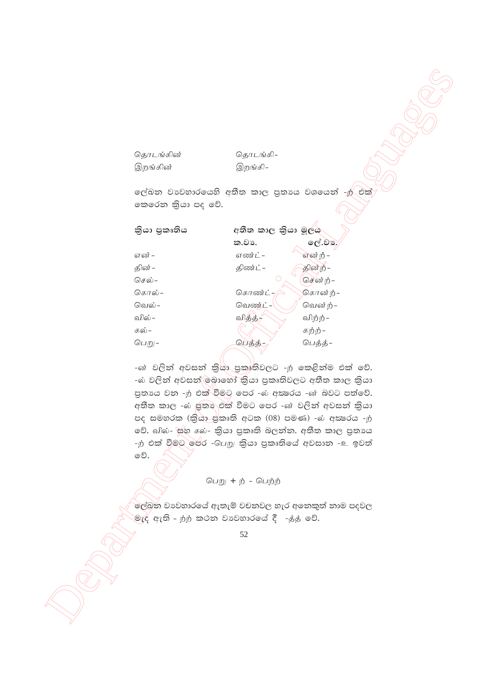| தொடங்கின்                                            | தொடங்கி–            |          |  |
|------------------------------------------------------|---------------------|----------|--|
| இறங்கின்                                             | இறங்கி–             |          |  |
|                                                      |                     |          |  |
| ලේඛන වාවහාරයෙහි අතීත කාල පුතායෙ වශයෙන් -ற් එක්       |                     |          |  |
| කෙරෙන කියා පද වේ.                                    |                     |          |  |
|                                                      |                     |          |  |
| කියා පුකෘතිය                                         | අතීත කාල කියා මූලය  |          |  |
|                                                      | ක.වා.               | ලේ.වස    |  |
| என் -                                                | எண்ட் -             | என்ற் -  |  |
| தின் –                                               | திண்ட் -            | தின்ற் - |  |
| செல் –                                               |                     | சென்ற் – |  |
| கொல் –                                               | கொண்ட் -            | கொன்ற்–  |  |
| வெல் –                                               | வெண்ட் -            | வென்ற் – |  |
| வில் –                                               | வித்த் <del>,</del> | விற்ற் – |  |
| கல் -                                                |                     | கற்ற் –  |  |
| பெறு–                                                | பெத்த்              | பெத்த்-  |  |
|                                                      |                     |          |  |
| -ன் වලින් අවසන් කියා පුකෘතිවලට -ற කෙළින්ම එක් වේ.    |                     |          |  |
| -බ වලින් අවසන් ලබාහෝ කියා පුකෘතිවලට අතීත කාල කියා    |                     |          |  |
| පුතාගෙ වන -ற එක් වීමට පෙර -බ අකුරෙය -ன බවට පත්වේ.    |                     |          |  |
| අතීත කාල -බ පුතා එක් වීමට පෙර -ன වලින් අවසන් කියා    |                     |          |  |
| පද සමහරක (කියා ජුකෘති අටක (08) පමණ) -බ අකුෂරය -ற     |                     |          |  |
| වේ. வில்- සහ கல்- කියා පුකෘති බලන්න. අතීත කාල පුතායෙ |                     |          |  |
| -ற் එක් වීමට පෙර -பெறு කියා පුකෘතියේ අවසාන -உ ඉවත්   |                     |          |  |
| වේ.                                                  |                     |          |  |
|                                                      |                     |          |  |
|                                                      | பெறு + ற் - பெற்ற்  |          |  |
|                                                      |                     |          |  |
| ලේඛන වාවහාරයේ ඇතැම් වචනවල හැර අනෙකුත් නාම පදවල       |                     |          |  |
| මැද් ඇති – றற කථන වා වහාරයේ දී   -த்த වේ.            |                     |          |  |
|                                                      | 52                  |          |  |
|                                                      |                     |          |  |
|                                                      |                     |          |  |
|                                                      |                     |          |  |
|                                                      |                     |          |  |
|                                                      |                     |          |  |
|                                                      |                     |          |  |
|                                                      |                     |          |  |

### பெறு $+ \dot{p}$  - பெற்ற்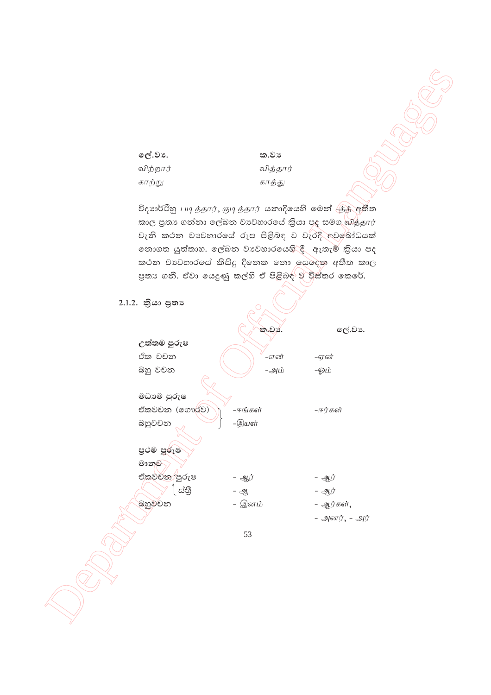```
ලේ.වා.
                            ක.වා
விற்றார்
                            விக்கார்
காற்று
                            காத்து
```
විදහාර්ථිනු படித்தார், குடித்தார் යනාදියෙහි මෙන්  $\overline{\left<\beta\right>}$ අතීතකාල පුතා ගත්තා ලේඛන වාවහාරයේ කියා පද සමග வித்தார் වැනි කථන වාහවාරයේ රූප පිළිබඳ ව වැරදි අවබෝධයක් නොගත යුත්තාහ. ලේඛන වාවහාරයෙහි⁄ුදී ඇතැම් කිුයා පද කථන වාවහාරයේ කිසිදු දිනෙක නො යෙදෙන අතීත කාල පුතා ගනී. ඒවා යෙදුණු කල්හි ඒ පිළිබඳ<sup>ු</sup>ව විස්තර කෙරේ.

| 2.1.2. කියා පුතා |         |               |
|------------------|---------|---------------|
|                  | ක.වා.   | ලේ.වා.        |
| උත්තම පුරුෂ      |         |               |
| ඒක වචන           | –என்    | -ஏன்          |
| බහු වචන          | -அம்    | -ஓம்          |
|                  |         |               |
| මධාම පුරුෂ       |         |               |
| ඒකවචන (ගෞර්ව)    | –ஈங்கள் | –ஈர்கள்       |
| බහුවචන           | -இயன்   |               |
| පුථම පුරුෂ       |         |               |
| මානුව            |         |               |
| ඒකවචන පුරුෂ      | - ஆர்   | - ஆர்         |
| ස්තී             | - ஆ     | - ஆர்         |
| බහුවචන           | – இனம்  | - ஆர்கள்,     |
|                  |         | - அனர், - அர் |
|                  | 53      |               |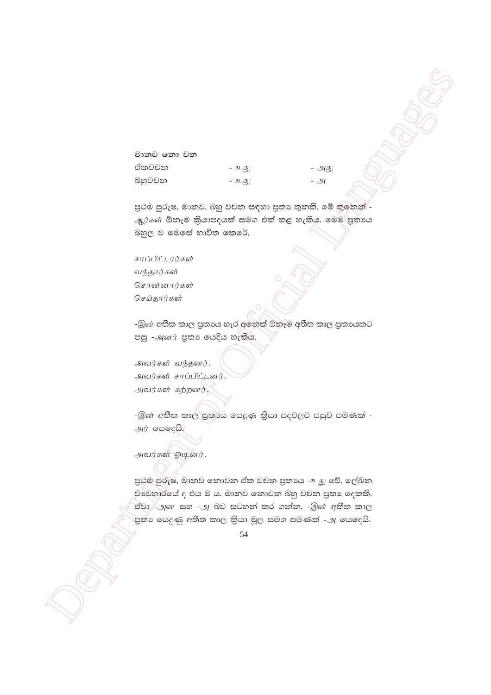මානව **නො** වන ඒකවචන - <u>உது</u> - - அது nyqjpk - cJ - m

පුථම පුරුෂ, මානව, බහු වචන සඳහා පුතා තුනකි. මේ කුඉනන්' - $\mathcal{A}$ ந்கள் ඕනෑම කියාපදයක් සමග එක් කළ හැකිය. මෙම පුතායෙ බහුල ව මෙසේ භාවිත කෙරේ.

சாப்பிட்டார்கள் வந்தார்கள் சொன்னார்கள் செய்தார்கள்

-இன் අතීක කාල පුතායෙ හැර අනෙක් ඕනෑම අතීත කාල පුතායකට පසු -அனர் පුතා යෙදිය හැකිය.

அவர்கள் வந்தனர். அவர்கள் சாப்பிட் $\mathcal L$ னர். அவர்கள் கற்றனர்,

-இன் අතීත කාල් පුතායෙ යෙදුණු කියා පදවලට පසුව පමණක් - $M$ j ලයදෙයි.

அவர்கள் ஓடினர்.

 $\begin{pmatrix}\n\frac{1}{2} & \frac{1}{2} & \frac{1}{2} & \frac{1}{2} & \frac{1}{2} & \frac{1}{2} & \frac{1}{2} & \frac{1}{2} & \frac{1}{2} & \frac{1}{2} & \frac{1}{2} & \frac{1}{2} & \frac{1}{2} & \frac{1}{2} & \frac{1}{2} & \frac{1}{2} & \frac{1}{2} & \frac{1}{2} & \frac{1}{2} & \frac{1}{2} & \frac{1}{2} & \frac{1}{2} & \frac{1}{2} & \frac{1}{2} & \frac{1}{2} & \frac{1}{2} & \frac{1}{$ පුථම පූරුෂ, මානව නොවන ඒක වචන පුතායෙ -உது වේ. ලේඛන වාවහාරයේ ද එය ම ය. මානව නොවන බහු වචන පුතා දෙකකි. ජීවා $\overline{f}$ -அன සහ -அ බව සටහන් කර ගන්න. -இன் අතීත කාල පුතා යෙදුණු අතීත කාල කියා මූල සමග පමණක් *-அ* යෙදෙයි.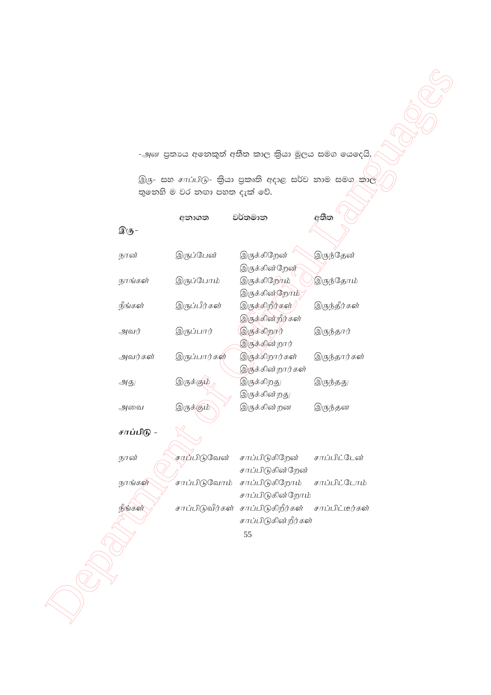-அன පුතායෙ අනෙකුත් අතීත කාල කියා මූලය සමග යෙදෙයි.

இரு- සහ சாப்பிடு- කියා පුකෘති අදාළ සර්ව නාම සමග කාල තුතෙහි ම වර නඟා පහත දැක් වේ.

| இரு–       | අනාගත           | වර්තමාන                                  | අතීත            |
|------------|-----------------|------------------------------------------|-----------------|
| நான்       | இருப்பேன்       | இருக்கிறேன்<br>இருக்கின்றேன்             | இருந்தேன்       |
| நாங்கள்    | இருப்போம்       | இருக்கிறோ <u>ம்</u><br>இருக்கின்றோம்     | இருந்தோம்       |
| நீங்கள்    | இருப்பீர்கள்    | இருக்கிறீர்கள்<br>இருக்கின்றீர்கள்       | இருந்தீர்கள்    |
| அவர்       | இருப்பார்       | இருக்கிறார்<br>இருக்கின் றார்            | இருந்தார்       |
| அவர்கள்    | இருப்பார்கள்    | இருக்கிறார்கள்<br>இருக்கின்றார்கள்       | இருந்தார்கள்    |
| அது        | இருக்கும்       | இருக்கிறது<br>இருக்கின்றது               | இருந்தது        |
| அவை        | இருக்கும்       | இருக்கின்றன                              | இருந்தன         |
| சாப்பிடு - |                 |                                          |                 |
| நான்       | சாப்பிடுவேன்    | சாப்பிடுகிறேன்<br>சாப்பிடுகின்றேன்       | சாப்பிட்டேன்    |
| நாங்கள்    | சாப்பிடுவோம்    | சாப்பிடுகிறோம்<br>சாப்பிடுகின்றோம்       | சாப்பிட்டோம்    |
| நீங்கள்    | சாப்பிடுவீர்கள் | சாப்பிடுகிறீர்கள்<br>சாப்பிடுகின்றீர்கள் | சாப்பிட்டீர்கள் |
|            |                 | 55                                       |                 |
|            |                 |                                          |                 |
|            |                 |                                          |                 |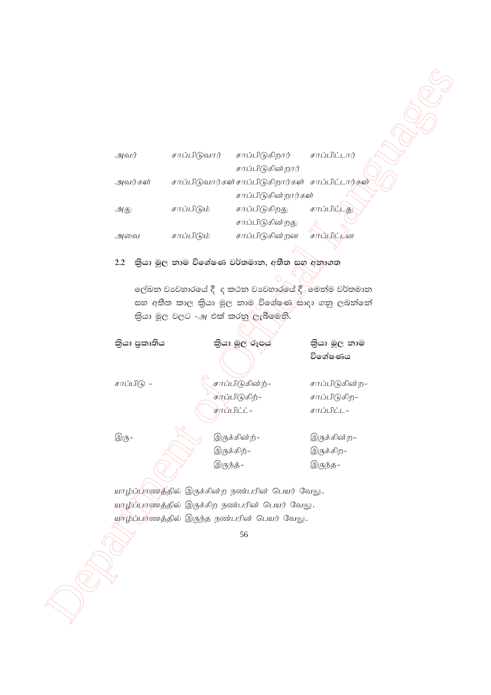| அவர்    | சாப்பிடுவார் | சாப்பிடுகிறார்                                   | சாப்பிட்டார் |
|---------|--------------|--------------------------------------------------|--------------|
|         |              | சாப்பிடுகின்றார்                                 |              |
| அவர்கள் |              | சாப்பிடுவார்கள்சாப்பிடுகிறார்கள் சாப்பிட்டார்கள் |              |
|         |              | சாப்பிடுகின்றார்கள்                              |              |
| அது     | சாப்பிடும்   | சாப்பிடுகிறது                                    | சாப்பிப்டது  |
|         |              | சாப்பிடுகின்றது                                  |              |
| அவை     | சாப்பிடும்   | சாப்பிடுகின்றன                                   | சாப்பிட்டன   |

# 2.2 කියා මූල නාම විශේෂණ වර්තමාන, අතීත සහ අනාගත

| அவர்                                                       | சாப்பிடுவார் | சாப்பிடுகிறார்                                               | சாப்பிட்டார்        |  |
|------------------------------------------------------------|--------------|--------------------------------------------------------------|---------------------|--|
|                                                            |              | சாப்பிடுகின்றார்                                             |                     |  |
| அவர்கள்                                                    |              | சாப்பிடுவார்கள்சாப்பிடுகிறார்கள் சாப்பிட்டார்கள்             |                     |  |
|                                                            |              | சாப்பிடுகின்றார்கள்                                          |                     |  |
| அது                                                        | சாப்பிடும்   | சாப்பிடுகிறது                                                | சாப்பிட்டத          |  |
|                                                            |              | சாப்பிடுகின்றது                                              |                     |  |
| அவை                                                        | சாப்பிடும்   | சாப்பிடுகின்றன                                               | சாப்பிட் <i>µ</i> ன |  |
|                                                            |              |                                                              |                     |  |
| 2.2                                                        |              | කියා මූල නාම විශේෂණ වර්තමාන, අතීත සහ අනාගත                   |                     |  |
|                                                            |              |                                                              |                     |  |
|                                                            |              | ලේඛන වාවහාරයේ දී ද කථන වාවහාරයේ දී, මෙන්ම වර්තමාන            |                     |  |
|                                                            |              | සහ අතීත කාල කියා මූල නාම <sub>ු</sub> විශේෂණ)සාදා ගනු ලබන්නේ |                     |  |
|                                                            |              | තියා මූල වලට -அ එක් කරනු ලැබීමෙනි.                           |                     |  |
|                                                            |              |                                                              |                     |  |
| කියා පුකෘතිය                                               |              | කියා මූල රූපය                                                | කියා මූල නාම        |  |
|                                                            |              |                                                              | විශේෂණය             |  |
| சாப்பிடு -                                                 |              | சாப்பிடுகின்ற்–                                              | சாப்பிடுகின்ற–      |  |
|                                                            |              | சாப்பிடுகிற்-                                                | சாப்பிடுகிற–        |  |
|                                                            |              | சுரப்பிட்ட் –                                                | சாப்பிட்ட–          |  |
|                                                            |              |                                                              |                     |  |
| $\textcircled{\scriptsize 3}\textcircled{\scriptsize 5}$ - |              | இருக்கின்ற்-                                                 | இருக்கின்ற–         |  |
|                                                            |              | இருக்கிற்–                                                   | இருக்கிற–           |  |
|                                                            |              | இருந்த்–                                                     | இருந்த–             |  |
|                                                            |              |                                                              |                     |  |
|                                                            |              | யாழ்ப்பாணத்தில் இருக்கின்ற நண்பரின் பெயர் வேலு.              |                     |  |
|                                                            |              | யாழ்ப்பாண்த்தில் இருக்கிற நண்பரின் பெயர் வேலு.               |                     |  |
|                                                            |              | யூர்ழ்ப்பர்ணத்தில் இருந்த நண்பரின் பெயர் வேலு.               |                     |  |
|                                                            |              | 56                                                           |                     |  |
|                                                            |              |                                                              |                     |  |
|                                                            |              |                                                              |                     |  |
|                                                            |              |                                                              |                     |  |
|                                                            |              |                                                              |                     |  |
|                                                            |              |                                                              |                     |  |
|                                                            |              |                                                              |                     |  |
|                                                            |              |                                                              |                     |  |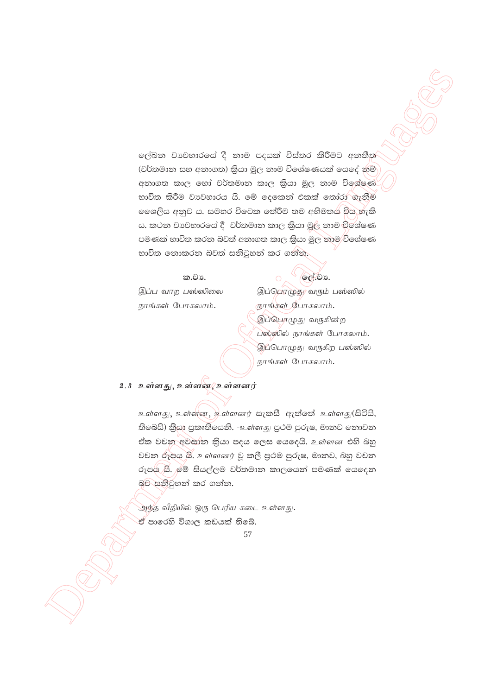ලේඛන වාවහාරයේ දී නාම පදයක් විස්තර කිරීමට අනතීත (වර්තමාන සහ අනාගත) කියා මූල නාම විශේෂණයක් යෙදේ නම් අනාගත කාල හෝ වර්තමාන කාල කියා මූල නාම විශේෂණ භාවිත කිරීම වාවහාරය යි. මේ දෙකෙන් එකක් තෝරා ගැනීම ලෛශලිය අනුව ය. සමහර විටෙක තේරීම තම අභිමතය විය හැකි ය. කථන වාවහාරයේ දී වර්තමාන කාල කියා මූල නාම විශේෂණ පමණක් භාවිත කරන බවත් අනාගත කාල කියා මුල නාම/විශේෂණ භාවිත නොකරන බවත් සනිටුහන් කර ගන්න.

#### ක.වා.

ලල්.ව**ා**.

இப்பொழுது வரும் பஸ்ஸில்

இப்ப வாற பஸ்ஸிலை நாங்கள் போகலாம்.

ரூாங்கள் போகலாம். இப்பொழுது வருகின்ற பஸ்ஸில் நாங்கள் போகலாம். இப்பொழுது வருகிற பஸ்ஸில் நாங்கள் போகலாம்.

#### 2.3 உள்ளது, உள்ளன. உள்ளனர்

உள்ளது, உள்ளன, உள்ளனர் සැකසී ඇත්තේ உள்ளது(සිටියි, තිබෙයි) කිුයා පුකෘතියෙනි. -உள்ளது පුථම පුරුෂ, මානව නොවන ඒක වචන අවසාන කියා පදය ලෙස යෙදෙයි. உள்ளன එහි බහු වචන රූපය යි. உள்ளனர் වූ කලී පුථම පුරුෂ, මානව, බහු වචන රූපය ⁄යි.)මේ සියල්ලම වර්තමාන කාලයෙන් පමණක් යෙදෙන බව සනිටුහන් කර ගන්න.

அந்த வீதியில் ஒரு பெரிய கடை உள்ளது. ඒ පාරෙහි විශාල කඩයක් තිබේ.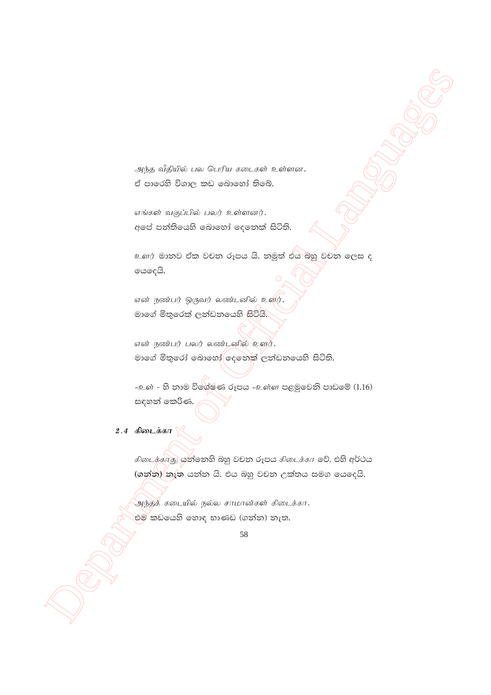அந்த வீதியில் பல பெரிய கடைகள் உள்ளன. ඒ පාරෙහි විශාල කඩ බොහෝ තිබේ.

எங்கள் வகுப்பில் பலர் உள்ளனர். අපේ පන්තියෙහි බොහෝ දෙනෙක් සිටිති.

 $\epsilon$ ණා මානව ඒක වචන රූපය යි. නමුත් එය බහු වචන ලෙස ද ගෙදෙයි.

என் நண்பர் ஒருவர் லண்டனில் உளிர். මාගේ මිතුරෙක් ලන්ඩනයෙහි සිටියි.

என் நண்பர் பலர் லண்டனில் உளூ். මාගේ මිතුරෝ බොහෝ $\bigcirc$ දෙනෙක් ලත්ඩනයෙහි සිටිති.

 $-$ உள் - හි නාම විශේෂණ රූපය -உள்ள පළමුවෙනි පාඩමේ  $(1.16)$ සඳහන් කෙරිණ.

# 2.4 கிடைக்கா

 $\begin{pmatrix} 0 \\ 0 \end{pmatrix}$ <br>  $\begin{pmatrix} 0 \\ 0 \end{pmatrix}$   $\begin{pmatrix} 0 \\ 0 \end{pmatrix}$   $\begin{pmatrix} 0 \\ 0 \end{pmatrix}$   $\begin{pmatrix} 0 \\ 0 \end{pmatrix}$   $\begin{pmatrix} 0 \\ 0 \end{pmatrix}$   $\begin{pmatrix} 0 \\ 0 \end{pmatrix}$   $\begin{pmatrix} 0 \\ 0 \end{pmatrix}$   $\begin{pmatrix} 0 \\ 0 \end{pmatrix}$   $\begin{pmatrix} 0 \\ 0 \end{pmatrix}$   $\begin{pmatrix} 0 \\ 0 \end{pmatrix}$  கிடைக்காது குறிலை ஜெ වචන රූපය கிடைக்கா මව්. එහි අර්ථය  $\frac{1}{2}$  (ගන්න) නැත යන්න යි. එය බහු වචන උක්තය සමග යෙදෙයි.

அந்தக் கடையில் நல்ல சாமான்கள் கிடைக்கா $\,$ . එම කඩයෙහි හොඳ භාණඩ (ගන්න) නැත.

<sup>58</sup>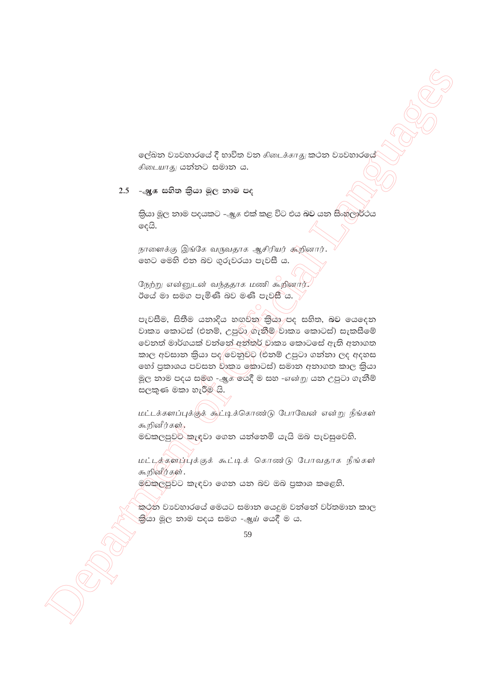ලේඛන වාපවහාරයේ දී භාවිත වන கிடைக்காது කථන වාපවහාරයේ கிடையாது යන්නට සමාන ය.

### $2.5$  – ஆக සහිත කියා මූල නාම පද

කියා මූල නාම පදයකට -அசු එක් කළ විට එය බව යන සිංහලාර්ථය දෙයි.

நாளைக்கு இங்கே வருவதாக ஆசிரியர் கூறினார். හෙට මෙහි එන බව ගුරුවරයා පැවසී ය.

நேற்று என்னுடன் வந்ததாக மணி கூறினார். ඊයේ මා සමග පැමිණි බව මණි පැව<del>සී</del>ිය.

පැවසීම, සිතීම යනාදිය හඟුවන කියා පද සහිත, බව යෙදෙන වාකා කොටස් (එනම්, උපුරිා ගැනීම් වාකා කොටස්) සැකසීමේ වෙනත් මාර්ගයක් වන්නේ අන්තර් වාකා කොටසේ ඇති අනාගත කාල අවසාන කියා පද/වෙනුවට (එනම් උපුටා ගන්නා ලද අදහස තෝ පුකාශය පවසන වාකා කොටස්) සමාන අනාගත කාල කියා මූල නාම පදය සමග - ஆக යෙදී ම සහ -என்று යන උපුටා ගැනීම් සලකුණ මකා හැරීම් යි.

மட்டக்களப்புக்குக் கூட்டிக்கொண்டு போவேன் என்று நீங்கள் கூறினீர்கள்,

මඩකලපුවට කැඳවා ගෙන යන්නෙමි යැයි ඔබ පැවසුවෙහි.

மட்டக்களப்புக்குக் கூட்டிக் கொண்டு போவதாக நீங்கள் கூறினீர்கள்.

මඩකලපුවට කැඳවා ගෙන යන බව ඔබ පුකාශ කළෙහි.

කථන වාවහාරයේ මෙයට සමාන යෙදුම වන්නේ වර්තමාන කාල කියා මූල තාම පදය සමග -ஆய் යෙදී ම ය.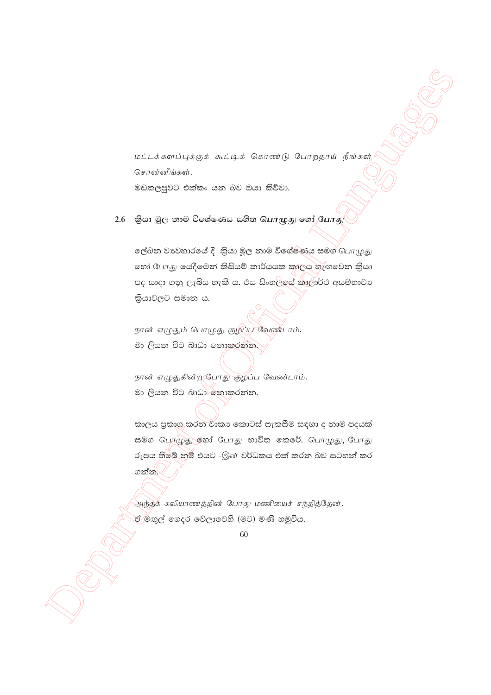மட்டக்களப்புக்குக் கூட்டிக் கொண்டு போறதாய் நீங்கள் சொன்னீங்கள். මඩකලපුවට එක්කං යන බව ඔයා කිව්වා.

# $2.6$  කියා මූල නාම විශේෂණය සහිත பொழுது හෝ போது

ලේඛන වාවහාරයේ දී කියා මූල නාම විශේෂණය සමග් பொழுது லෝ போது යෙදීමෙන් කිසියම් කාර්යයක කාලය හැඟවෙන කියා පද සාදා ගනු ලැබිය හැකි ය. එය සිංහලයේ කාලාර්ථ අසම්භාවා කියාවලට සමාන ය.

நான் எழுதும் பொழுது குழப்பு வேண்டாம். මා ලියන විට බාධා නොකරන්න.

நான் எழுதுகின்ற போது குழப்ப வேண்டாம். මා ලියන විට බාධා නොකරන්න.

කාලය පුකාශු,කරන වාකා කොටස් සැකසීම සඳහා ද නාම පදයක් සමග பெரழுது லே3் போது භාවිත කෙරේ. பொழுது, போது රූපය තිබේ නම් එයට -இன் වර්ධකය එක් කරන බව සටහන් කර ගන්න.⁄

அந்தக் கலியாணத்தின் போது மணியைச் சந்தித்தேன். ඒ ම්ඟුල් ගෙදර වේලාවෙහි (මට) මණි හමුවිය.

<sup>60</sup>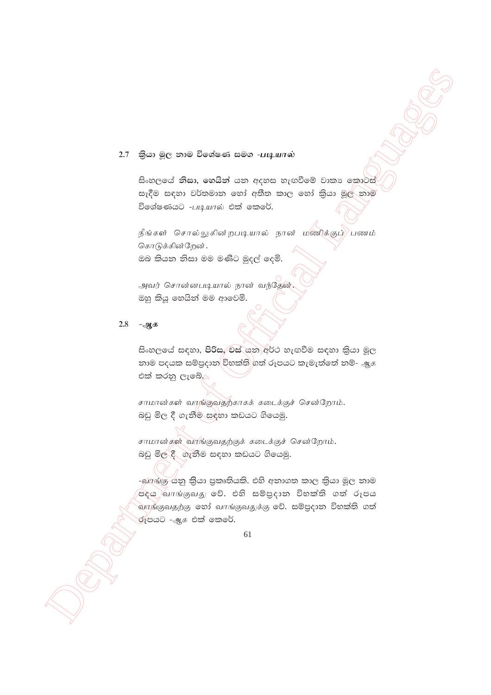### $2.7$  බියා මූල නාම විශේෂණ සමග -**படியால்**

.<br>සිංහලයේ **නිසා, හෙයින්** යන අදහස හැඟවීමේ වාකා කොටස් සෑදීම සඳහා වර්තමාන හෝ අතීත කාල හෝ කියා මුල් නාම විශේෂණයට  $-$ படியால் එක් කෙරේ.

நீங்கள் சொல்லுகின்றபடியால் நான் மணிக்குப் $\rangle$ பணம் கொடுக்கின்றேன். ඔබ කියන නිසා මම මණිට මුදල් දෙමි.

அவர் சொன்னபடியால் நான் வந்தேன். ඔහු කියු හෙයින් මම ආවෙමි.

### <u>2.8 -ஆக</u>

සිංහලයේ සඳහා, පිරිස, වස් යන අර්ථ හැඟවීම සඳහා කියා මූල නාම පදයක සම්පුදාන විභක්ති ගත් රූපයට කැමැත්තේ නම්- ஆக tla lrkq ,efí'

சாமான்கள் வாங்குவதற்காகக் கடைக்குச் சென்றோம். බඩු මිල දී ගැනීම සඳහා කඩයට ගියෙමු.

சாமான்கள் வாங்குவதற்குக் கடைக்குச் சென்றோம். බඩු මිල දී ගැනීම සඳහා කඩයට ගියෙමු.

 $2.7$  6,50 g(c and 50 costs at see -unpervalse <br>  $2.7$  6,50 g(c and 50 costs at see -unpervalse )<br>  $2.7$  6,50 g(c) and costs at see -unpervalse )<br>  $2.7$  6,50 g(c) and costs at any operation and contribute in  $\frac{1}{2}$  (a -බොක්ෂු-යනු කියා පුකෘතියකි. එහි අනාගත කාල කියා මූල නාම පදය බා $\pi$ ங்குவது වේ. එහි සම්පුදාන විභක්ති ගත් රූපය  $\alpha$ ாங்குவதற்கு හෝ வாங்குவதுக்கு වේ. සම්පුදාන විභක්ති ගත් ල්ෑපයට *-அக* එක් කෙරේ.

<sup>61</sup>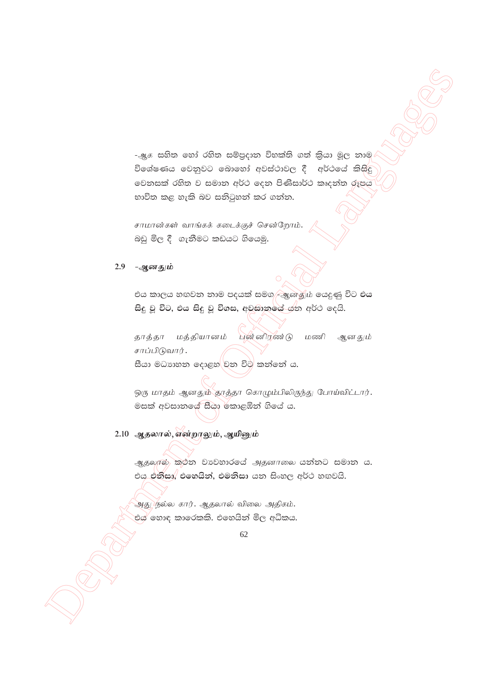-அූ. සහිත හෝ රහිත සම්පුදාන විභක්ති ගත් කිුයා මූල නාම විශේෂණය වෙනුවට බොහෝ අවස්ථාවල දී අර්ථයේ කිසිදු වෙනසක් රහිත ව සමාන අර්ථ දෙන පිණිසාර්ථ කෘදන්ත රූපය භාවිත කළ හැකි බව සනිටුහන් කර ගන්න.

சாமான்கள் வாங்கக் கடைக்குச் சென்றோம். බඩු මිල දී ගැනීමට කඩයට ගියෙමු.

### 2.9 -ஆனதும்

එය කාලය හඟවන නාම පදයක් සමග ළඹු කුණු ර යෙදුණු විට එය සිදු වූ විට, එය සිදු වූ විගස, අවසානයේ යුත අර්ථ දෙයි.

மத்தியானம் புன் னிரண்டு மணி ஆனதும் தாத்தா சாப்பிடுவார். සීයා මධාහන දොළහ වන විට කන්නේ ය.

ஒரு மாதம் ஆனதும் தாத்தா கொழும்பிலிருந்து போய்விட்டார். මසක් අවසානයේ සීයා කොළඹින් ගියේ ය.

## 2.10 ஆதலால், என்றாலும், ஆயினும்

ஆதலால் කුථන වාවහාරයේ அதனாலை යන්නට සමාන ය. එය එනිසා, එහෙයින්, එමනිසා යන සිංහල අර්ථ හඟවයි.

அது நல்ல கார். ஆதலால் விலை அதிகம். එය ්හොඳ කාරෙකකි. එහෙයින් මිල අධිකය.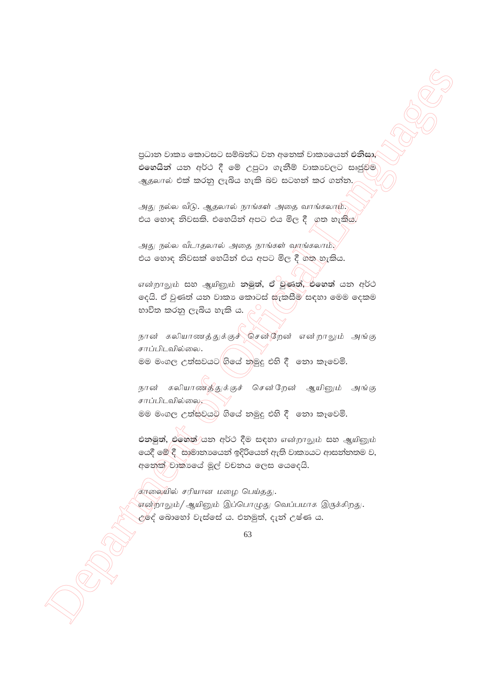පුධාන වාකා කොටසට සම්බන්ධ වන අනෙක් වාකාශෙන් එනිසා, එහෙයින් යන අර්ථ දී මේ උපුටා ගැනීම් වාකාවලට සෘජුවම ஆதலால் එක් කරනු ලැබිය හැකි බව සටහන් කර ගන්න.

அது நல்ல வீடு. ஆதலால் நாங்கள் அதை வாங்கலாம். එය හොඳ නිවසකි. එහෙයින් අපට එය මිල දී ගත හැකිය.

அது நல்ல வீடாதலால் அதை நாங்கள் வாங்கலாம். එය හොඳ නිවසක් හෙයින් එය අපට මිල දී ගත හැකිය.

என்றாலும் සහ ஆயினும் නමුත්, ඒ වුණත්, එහෙත් යන අර්ථ ලදයි. ඒ වුණත් යන වාකා කොටස් සැකසීම සඳහා මෙම දෙකම භාවිත කරනු ලැබිය හැකි ය.

நான் கலியாணத்துக்குச்∕சென்றேன் என்றாலும் அங்கு சாப்பிடவில்லை. මම මංගල උත්සවයට ගියේ නමුදු එහි දී තො කෑවෙමි.

நான் கலியாணத்துக்குச் சென்றேன் ஆயினும் அங்கு சாப்பிடவில்லை මම මංගල උත්සවයට ගියේ නමුදු එහි දී නො කෑවෙමි.

එනමුත්, එහෙත් යන අර්ථ දීම සඳහා என்றாலும் සහ ஆயினும் යෙදී මේ දී සාමානායෙන් ඉදිරියෙන් ඇති වාකායට ආසන්නතම ව, අනෙක් වාකාගේ මූල් වචනය ලෙස යෙදෙයි.

தாலையில் சரியான மழை பெய்தது. என்றாலும்/ ஆயினும் இப்பொழுது வெப்பமாக இருக்கிறது. <u>උ</u>ර්ද් බොහෝ වැස්සේ ය. එනමුත්, දැන් උෂ්ණ ය.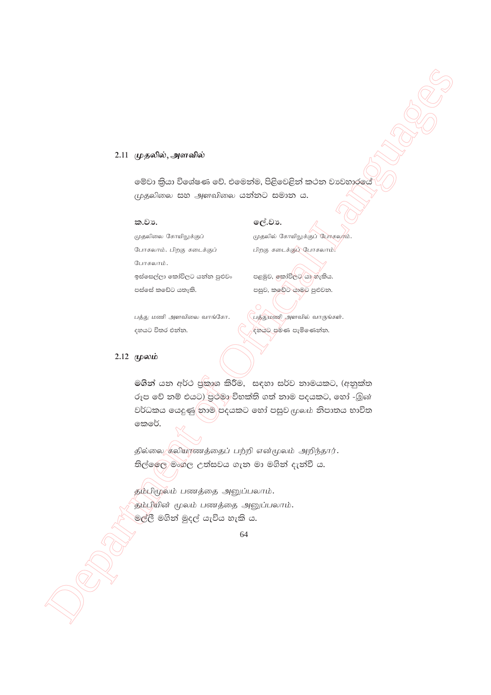#### 2.11 முதலில், அளவில்

මේවා කියා විශේෂණ වේ. එමෙන්ම, පිළිවෙළින් කථන වාවහාරයේ (முதலிலை සහ அளவிலை යන්නට සමාන ය.

#### ක.වා.

முதலிலை கோயிலுக்குப் போகலாம். பிறகு கடைக்குப் போகலாம். ඉස්සෙල්ලා කෝවිලට යන්න පුළුවං පස්සේ කඩේට යතැකි.

ලේ.වා. முதலில் கோயிலுக்குப் போகலும்.

பிறகு கடைக்குப் போகலாம்.

පළමුව, ඉකා්විලට යා හැකිය. පසුව, කුවේට යාමට පුළුවන.

பத்து மணி அளவிலை வாங்கோ. දහයට විතර එන්න.

பத்துமணி அளவில் வாருங்கள். ඳහයට පමණ පැමිණෙන්න.

#### $2.12$  (пролів

මගින් යන අර්ථ ජුකාශ කිරීම, සඳහා සර්ව නාමයකට, (අනුක්ත රූප වේ නම් එයට) පුථමා විභක්ති ගත් නාම පදයකට, හෝ -இன் වර්ධකය යෙදුණු තාම පදයකට හෝ පසුව ආගාර නිපාතය භාවිත කෙරේ.

தில்லை கலியரணத்தைப் பற்றி என்மூலம் அறிந்தார். තිල්ලෙල මංගල උත්සවය ගැන මා මගින් දැන්වී ය.

தம்பிமூலம் பணத்தை அனுப்பலாம். தம்பியின் மூலம் பணத்தை அனுப்பலாம். මල්ලී මගින් මුදල් යැවිය හැකි ය.

<sup>64</sup>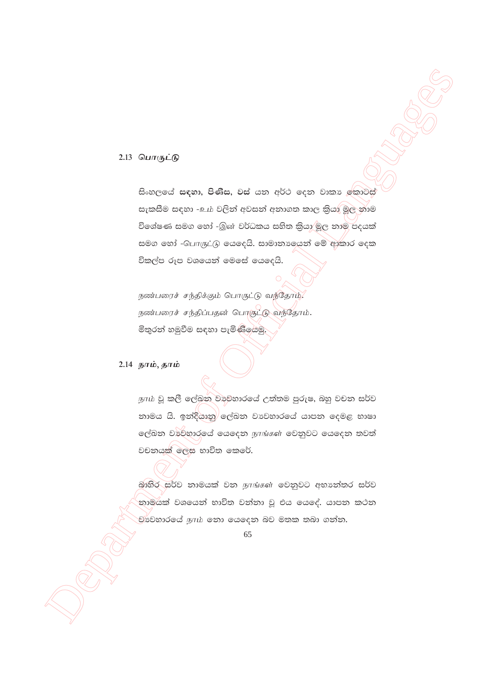### 2.13 பொருட்டு

සිංහලයේ සඳහා, පිණිස, වස් යන අර්ථ දෙන වාකා ඉකාටස් සැකසීම සඳහා -உம் වලින් අවසන් අනාගත කාල කියා මූල නාම විශේෂණ සමග හෝ -இன் වර්ධකය සහිත කියා මූල නාම පදයක් සමග හෝ -பொருட்டு යෙදෙයි. සාමානාගෙන් මේ ආකාර දෙක විකල්ප රූප වශයෙන් මෙසේ යෙදෙයි.

ருண்பரைச் சந்திக்கும் பொருட்டு வந்தோம். நண்பரைச் சந்திப்பதன் பொருட்டு வந்தோம். මිතුරත් හමුවීම සඳහා පැමිණියෙමු.

#### 2.14 நாம், தாம்

நாம் වූ කලී ලේඛන වාහනාරයේ උත්තම පුරුෂ, බහු වචන සර්ව නාමය යි. ඉන්දීයානු ලේඛන වාවහාරයේ යාපන දෙමළ භාෂා ලේඛන වාවිහාරයේ යෙදෙන நாங்கள் වෙනුවට යෙදෙන තවත් වචනයක් ලෙස භාවිත කෙරේ.

තාමයක් වශයෙන් භාවිත වන්නා වු එය යෙඳේ. යාපන කථන .<br>චා්වහාරයේ நாம் නො යෙදෙන බව මතක තබා ගන්න.

<sup>65</sup>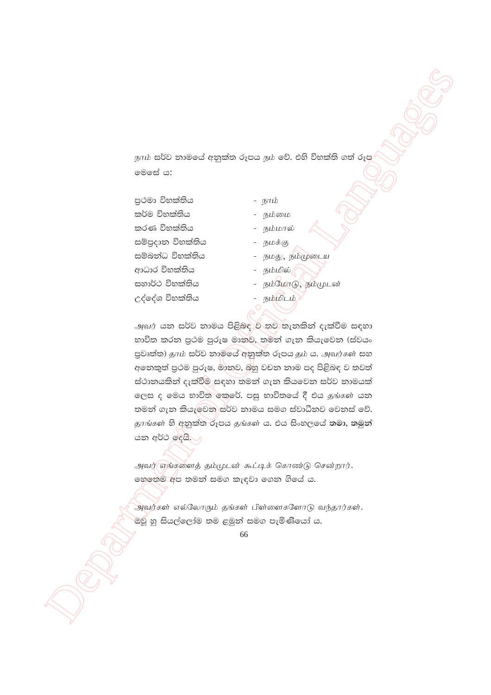நாம் සර්ව නාමයේ අනුක්ත රූපය நம் වේ. එහි විභක්ති ගත් රූප මෙසේ ය:

පුථමා විභක්තිය කර්ම විභක්තිය කරණ විභක්තිය සම්පුදාන විභක්තිය සම්බන්ධ විභක්තිය ආධාර විභක්තිය සහාර්ථ විභක්තිය උද්දේශ විභක්තිය

- நாம்
- நம்மை
- நம்மால்
- நமக்கு
- நமது, நம்முடைய
- நம்மில் /
- **நம்மோடு, நம்முடன்**
- நம்மிடம்

அவர் යන සර්ව නාමය පිළිබඳ∑ව තව තැනකින් දැක්වීම සඳහා භාවිත කරන පුථම පුරුෂ මානව, තමන් ගැන කියැවෙන (ස්වයං පුවෘත්ත) தாம் සර්ව නාම්යේ අනුක්ත රූපය தம் ය. அவர்கள் සහ අනෙකුත් පුථම පුරුෂ, මාතුව, බහු වචන නාම පද පිළිබඳ ව තවත් ස්ථානයකින් දැක්වීම සඳහා තමන් ගැන කියවෙන සර්ව නාමයක් ලෙස ද මෙය භාවිත මකුරේ. පසු භාවිතයේ දී එය தங்கள் යන තමන් ගැන කියැලවන සර්ව නාමය සමග ස්වාධීනව වෙනස් වේ. தாங்கள் හි අනුක්ත රූපය தங்கள் ය. එය සිංහලයේ තමා, තමුන් යන අර්ථ දෙයි. )

அவர் எங்களைத் தம்முடன் கூட்டிக் கொண்டு சென்றார். හෙතෙම අප තමන් සමග කැඳවා ගෙන ගියේ ය.

அவர்கள் எல்லோரும் தங்கள் பிள்ளைகளோடு வந்தார்கள். ඔවු හු සියල්ලෝම තම ළමුන් සමග පැමිණියෝ ය.

<sup>66</sup>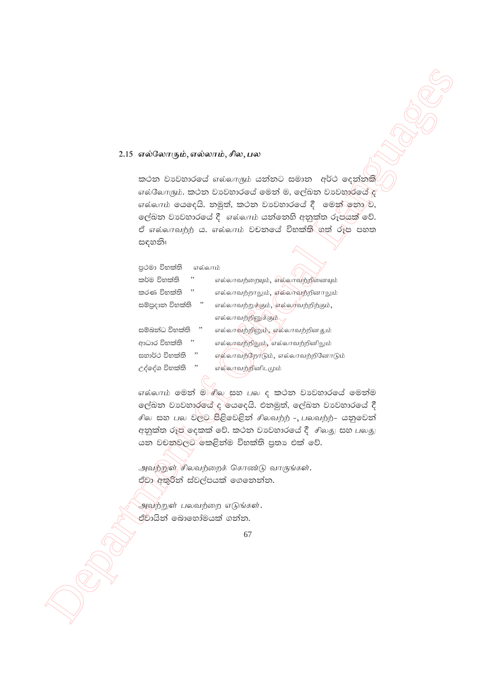#### 2.15 எல்லோரும், எல்லாம், சில, பல

කථන වාවහාරයේ எல்லாரும் යන්නට සමාන අර්ථ දෙන්නකි  $\sigma$ ல்லோரும். කථන වාවහාරයේ මෙන් ම, ලේඛන වාවහාරයේ අ எல்லாம் கைக்கே. தூதி, கூப்தை செல்லாக்கீ செல்லை சி, ලේඛන වාවහාරයේ දී எல்லாம் යන්නෙහි අනුක්ත රූපයක් වේ. ඒ எல்லாவற்ற் ය. எல்லாம் වචනලය් විභක්ති ගත් රූප පහත සඳහනිඃ

| පුථමා විභක්ති<br>எல்லாம் |                                     |
|--------------------------|-------------------------------------|
| ,,<br>කර්ම විභක්ති       | எல்லாவற்றையும், எல்லாவற்றினையும்    |
| ,,<br>කරණ විභක්ති        | எல்லாவற்றாலும், எல்லாவற்றினாலும்    |
| , ,<br>සම්පුදාන විභක්ති  | எல்லாவற்றுக்கும், எல்லாவற்றிற்கும், |
|                          | எல்லாவற்றினுக்கும்                  |
| ,,<br>සම්බන්ධ විභක්ති    | எல்லாவற்றினும், எல்லாவற்றினதும்     |
| ,,<br>ආධාර විභක්ති       | எல்லாவற்றிலும், 'எல்லாவற்றினிலும்   |
| ,,<br>සහාර්ථ විභක්ති     | எல்லாவற்றோடும், எல்லாவற்றினோடும்    |
| ,,<br>උද්දේශ විභක්ති     | எல்லாவற்றினிடமும்                   |
|                          |                                     |

எல்லாம் මෙන් මැசில සහ பல ද කථන වාවහාරයේ මෙන්ම ලේඛන වාවහාරයේ ද රියදෙයි. එනමුත්, ලේඛන වාවහාරයේ දී சில සහ பல වලට පිළිවෙළින් சிலவற்ற் -, பலவற்ற்- යනුවෙන් අනුක්ත රූප් දෙකක් වේ. කථන වාවහාරයේ දී  $\hat{f}$  ආගහු සහ பலது යන වචනුවලට කෙළින්ම විභක්ති පුතා එක් වේ.

அவற்றுள் சிலவற்றைக் கொண்டு வாருங்கள். ඒවා අතුරින් ස්වල්පයක් ගෙනෙන්න.

அவற்றுள் பலவற்றை எடுங்கள். ඒවායින් බොහෝමයක් ගන්න.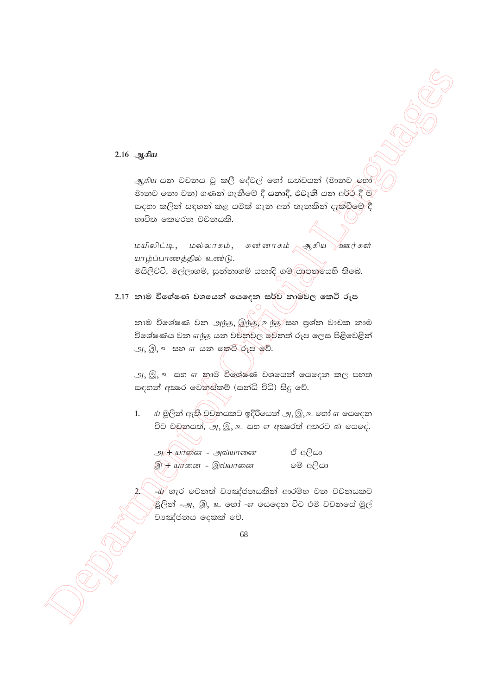### 2.16 ஆகிய

ஆகிய යන වචනය වූ කලී දේවල් හෝ සත්වයන් (මානව හෝ මානව නො වන) ගණන් ගැනීමේ දී යනාදි, එවැනි යන අර්ථ දී ම සඳහා කලින් සඳහන් කළ යමක් ගැන අන් තැනකින් දැක්වීමේ දී භාවිත කෙරෙන වචනයකි.

<u>மயிலிட்டி, மல்லாகம், சுன்னாகம் ஆகிய ஹார்கள்</u> யாழ்ப்பாணத்தில் உண்டு. මයිලිට්ටි, මල්ලාහම්, සුන්නාහම් යනාදි ගම් යාපන්යෙහි තිබේ.

2.17 නාම විශේෂණ වශයෙන් යෙදෙන සර්ව නාමවල කෙටි රූප

නාම විශේෂණ වන அந்த, இந்த, உந்த/සහ පුශ්න වාචක නාම විශේෂණය වන எந்த යන වචනවල මවනත් රූප ලෙස පිළිවෙළින් அ, இ, உ සහ எ යන කෙටි රූප වේ.

அ, இ, உ සහ எ නාම විශේෂණ වශයෙන් යෙදෙන කල පහත සඳහන් අකුරෙ වෙනස්කම් (සන්ධි විධි) සිදු වේ.

ய் මූලින් ඇති වචනයකට ඉදිරියෙන් அ, இ, உ හෝ எ යෙදෙන  $1.$ විට වචනයත්, அ, இ, உ සහ எ අකුරෙත් අතරට வ යෙදේ.

| அ $\#$ யானை – அவ்யானை                                 | ඒ අලියා  |
|-------------------------------------------------------|----------|
| <del>இ<math>\overline{A}</math> யா</del> னை – இவ்யானை | මේ අලියා |

-ඨ/ හැර වෙනත් වාඤ්ජනයකින් ආරම්භ වන වචනයකට .<br>මූලිත් -அ, இ, உ හෝ -எ යෙදෙත විට එම වචතයේ මූල් වාඤ්ජනය දෙකක් වේ.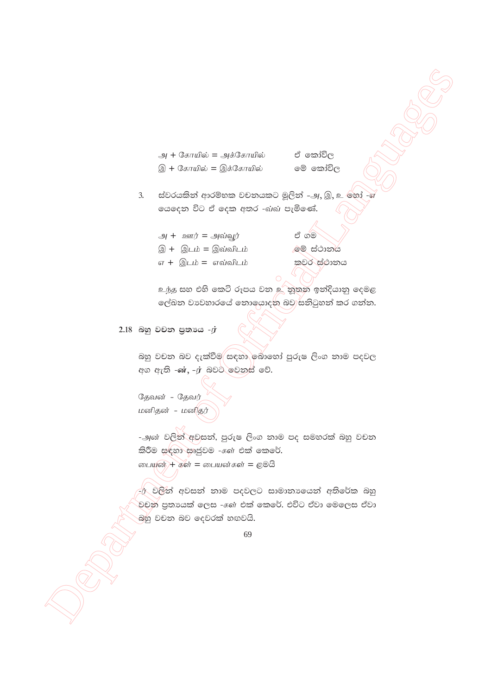அ + கோயில் = அக்கோயில் இ + கோயில் = இக்கோயில்

ඒ කෝවිල මේ කෝවිල

- ස්වරයකින් ආරම්භක වචනයකට මූලින් -அ. இ. உ හෝ -ශ  $\overline{3}$ . ගයදෙන විට ඒ දෙක අතර -வ்வ පැමිණේ.
	- அ $+$  ஊர் = அவ்வூர் ඒ ගම මේ ස්ථානය இ + இடம் = இவ்விடம் எ $+$  இடம் = எவ்விடம் කවර ස්ථානය

<u>உந்த සහ එහි කෙටි රූපය වන *உ*්තුතන ඉන්දියානු</u> දෙමළ ලේඛන වාවහාරයේ නොයොදන බවු සනිටුහන් කර ගන්න.

 $2.18$  බහු වචන පුතායෙ - $\dot{T}$ 

බහු වචන බව දැක්වීම සඳහා බොහෝ පුරුෂ ලිංග නාම පදවල අග ඇති -ன், -ர் බවට මෙනස් වේ.

தேவன் - தேவர் மனிதன் - மனிதர்

-அன் වලින් අවසන්, පුරුෂ ලිංග නාම පද සමහරක් බහු වචන කිරීම සඳහා සෘජුවම - ගේ එක් කෙරේ. பையுன் + கள் = பையன்கள் = ළමයි

ණ වලින් අවසන් නාම පදවලට සාමානායෙන් අතිරේක බහු වචන පුතායක් ලෙස - $\epsilon$ ள் එක් කෙරේ. එවිට ඒවා මෙලෙස ඒවා බහු වචන බව දෙවරක් හඟවයි.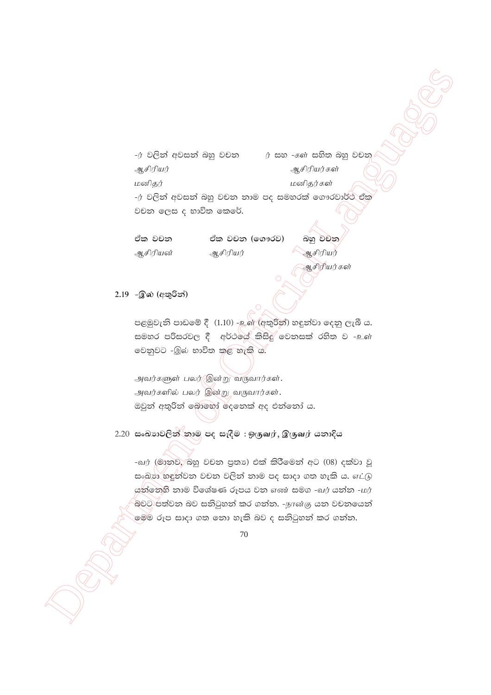$\frac{1}{2}$   $\frac{1}{2}$   $\frac{1}{2}$   $\frac{1}{2}$   $\frac{1}{2}$   $\frac{1}{2}$   $\frac{1}{2}$   $\frac{1}{2}$   $\frac{1}{2}$   $\frac{1}{2}$   $\frac{1}{2}$   $\frac{1}{2}$   $\frac{1}{2}$   $\frac{1}{2}$   $\frac{1}{2}$   $\frac{1}{2}$   $\frac{1}{2}$   $\frac{1}{2}$   $\frac{1}{2}$   $\frac{1}{2}$   $\frac{1}{2}$   $\frac{1}{2}$  - $\dot{y}$  වලින් අවසන් බහු වචන $\dot{y}$  සහ - $\dot{s}$ ள் සහිත බහු වචන Mrpupau; Mrpupau;fs; மனிகர் மனிகர்கள் - $\dot{\sigma}$  වලින් අවසන් බහු වචන නාම පද සමහරක් ගෞරවාර්ථ ඒක වචන ලෙස ද භාවිත කෙරේ.

ඒක වචන ඒක වචන (ගෞරව) බහු වචන ஆசிரியன் ஆசிரியர் — ஆசிரியர் ஆசிரியர்கள்

 $2.19$  -இல் (අතුරින්)

පළමුවැනි පාඩමේ දී  $(1.10)$  -உள் (අතුරින්) හඳුන්වා දෙනු ලැබී ය. සමහර පරිසරවල දී අර්ථලය කිසිදු වෙනසක් රහිත ව -உள் වෙනුවට -இல் භාවිත කළ හැකි ය.

அவர்களுள் பலர் $\circ$ இன்று வருவார்கள். அவர்களில் பலர் இன்று வருவார்கள். ඔවුන් අතුරින් බොහෝ රදනෙක් අද එන්නෝ ය.

2.20 සංඛානවලින් නාම පද සැදීම : ஒருவர், இருவர் යනාදිය

-வர் (මානුව, බහු වචන පුතා) එක් කිරීමෙන් අට (08) දක්වා වූ සංඛාග හඳුන්වන වචන වලින් නාම පද සාදා ගත හැකි ය.  $\sigma L$ டு යන්තෙහි නාම විශේෂණ රූපය වන எண සමග -வர் යන්න -மர் .<br>බවට පත්වන බව සනිටුහන් කර ගන්න. -நான்கு යන වචනයෙන් ලම්ම රූප සාදා ගත නො හැකි බව ද සනිටුහන් කර ගන්න.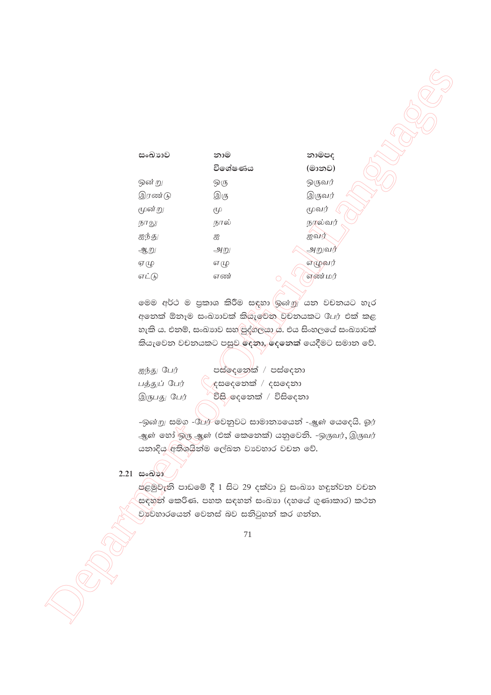| සංඛාාව | නාම       | නාමපද   |
|--------|-----------|---------|
|        | විශේෂණය   | (මානව)  |
| ஒன் று | ஒரு       | ஒருவர்  |
| இரண்டு | இரு       | இருவர்  |
| மூன்று | $\ell\mu$ | மூவர்   |
| நாலு   | நால்      | நரல்வர் |
| ஐந்து  | ஐ         | ஐவர்    |
| ஆறு    | அறு       | அறுவர்  |
| ஏழு    | எ மு      | எழுவர்  |
| எட்டு  | எண்       | எண் மர் |
|        |           |         |

UNITED STATES

මෙම අර්ථ ම පුකාශ කිරීම සඳහා <mark>ශුன்று යන වචනයට හැර</mark> අනෙක් ඕනෑම සංඛාාවක් කියැවෙන වචනයකට பேர එක් කළ හැකි ය. එනම්, සංඛාහව සහ පුද්ගලයා ය. එය සිංහලයේ සංඛාහවක් කියැවෙන වචනයකට පසුව දෙනා, දෙනෙක් යෙදීමට සමාන වේ.

| ஐந்து பேர்   | පස්දෙනෙක් / පස්දෙනා    |
|--------------|------------------------|
| பத்துப் பேர் | ⁄දසලෙනක් / දසලදනා      |
| இருபது பேர்  | විසි දෙනෙක් / විසිදෙනා |

-ඉன்று සමග -பேர் වෙනුවට සාමානාගෙන් -ஆள் යෙදෙයි. ஓர் ஆள் லூ ஒரு ஆள் (එක් කෙනෙක්) යනුවෙනි. -ஒருவர், இருவர் යනාදිය අතිශයින්ම ලේඛන වාවහාර වචන වේ.

 $2.21$  සංඛාන

පළමුවැනි පාඩමේ දී 1 සිට 29 දක්වා වූ සංඛාා හඳුන්වන වචන සඳහන් කෙරිණ. පහත සඳහන් සංඛාා (දහයේ ගුණාකාර) කථන වාවහාරයෙන් වෙනස් බව සතිටුහන් කර ගන්න.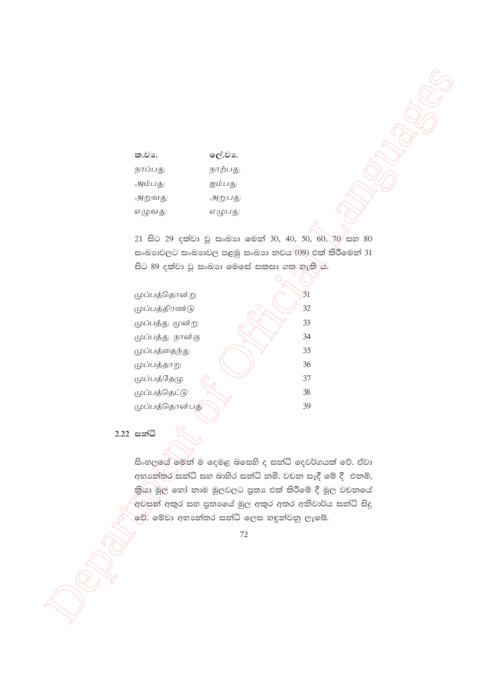| ක.වා.   | ලේ.වා.  |
|---------|---------|
| நாப்பது | நாற்பது |
| அம்பது  | ஐம்பது  |
| அறுவது  | அறுபது  |
| எழுவது  | எழுபது  |

21 සිට 29 දක්වා වූ සංඛාග මෙන් 30, 40, 50, 60, 70 සහ 80 සංඛාාවලට සංඛාාවල පළමු සංඛාා තවය (09) එක් කි්රීමෙන් 31 සිට 89 දක්වා වූ සංඛාග මෙසේ සකසා ගතු-හැකි ය.

> $\overline{3}1$ 32

> 33

34 35

36 37

38 39

முப்பத்தொன்று முப்பத்திரண்டு முப்பத்து மூன்று முப்பத்து நான்கு முப்பத்தைந்து முப்பத்தாறு முப்பத்தேழு முப்பத்தெட்டு முப்பத்தொன்பத

2.22 සන්ධි

සිංහලලේ මෙත් ම දෙමළ බසෙහි ද සත්ධි දෙවර්ගයක් වේ. ඒවා අභාන්තර සන්ධි සහ බාහිර සන්ධි නමි. වචන සෑදී මේ දී එනම්, කියා මූල් හෝ නාම මූලවලට පුතා එක් කිරීමේ දී මූල වචනයේ අවසන් අකුර සහ පුතාගේ මුල අකුර අතර අතිවාර්ය සත්ධි සිදු මේ. මේවා අභාන්තර සන්ධි ලෙස හඳුන්වනු ලැබේ.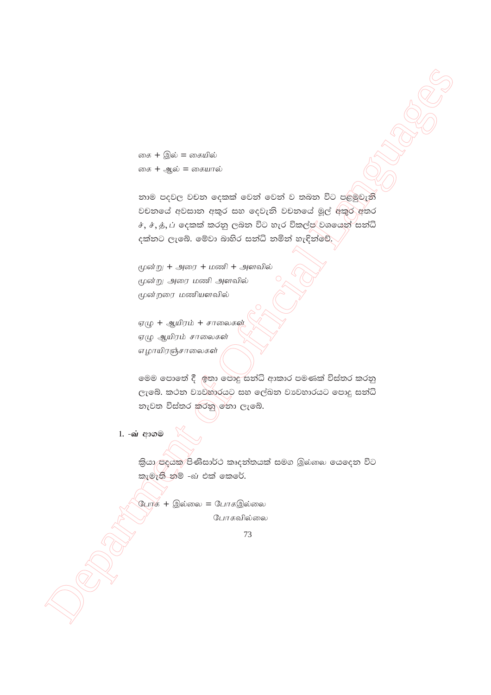கை + இல் = கையில் கை + *ஆ*ல் = கையால்

 $\cos t + \frac{1}{4}6t = \cos \theta + \frac{1}{4}6t$ <br>  $\cos t + \frac{1}{4}6t = \cos \theta + \frac{1}{4}6t$ <br>  $\cos t + \frac{1}{4}6t = \cos \theta + \frac{1}{4}6t$ <br>  $\cos t + \frac{1}{4}6t$ <br>  $\cos t + \frac{1}{4}6t$ <br>  $\cos t + \frac{1}{4}6t$ <br>  $\cos t + \frac{1}{4}6t$ <br>  $\cos t + \frac{1}{4}6t$ <br>  $\cos t + \frac{1}{4}6t$ <br>  $\cos t + \frac{1}{4}6t$ <br>  $\cos t + \$ නාම පදවල වචන දෙකක් වෙන් වෙන් ව තබන විට පළමුවැනි වචනයේ අවසාන අකුර සහ දෙවැනි වචනයේ මූල් අකුර අතර  $\dot{x}, \dot{x}, \dot{y}, \dot{\mu}$  දෙකක් කරනු ලබන විට හැර විකල්ප් වශයෙන් සන්ධි දක්නට ලැබේ. මේවා බාහිර සත්ධි නමින් හැඳින්වේ.

மூன்று  $+$  அரை  $+$  மணி  $+$  அளவில் மூன்று அரை மணி அளவில் மூன்றரை மணியளவில்

ஏழு + ஆயிரம் + சாலைகள் ஏழு ஆயிரம் சாலைகள் எழாயிரஞ்சாலைகள்

මෙම පොතේ දී ඉතා පොදු සන්ධි ආකාර පමණක් විස්තර කරනු ලැබේ. කථන වාවහාරයට සහ ලේඛන වාවහාරයට පොදු සන්ධි නැවත විස්තර කරනු මනා ලැබේ.

**1. - வ்** ආගම

කියා පදයක පිණිසාර්ථ කෘදන්තයක් සමග இல்லை යෙදෙන විට කැමැති නම් -බ එක් කෙරේ.

போக + இல்லை = போகஇல்லை போகவில்லை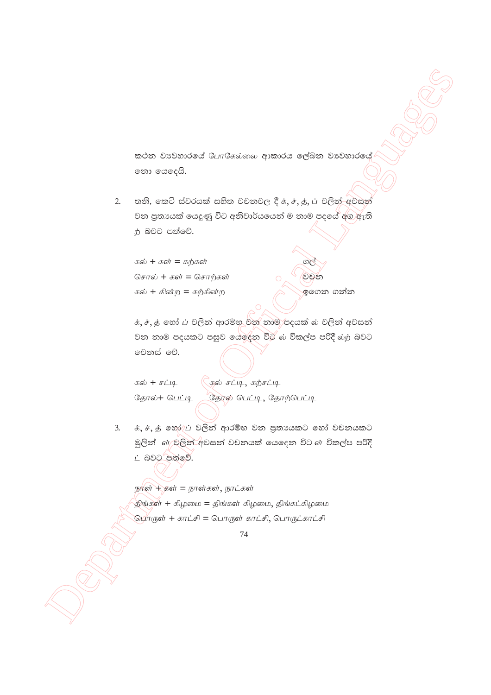කථන වාවහාරයේ போகேல்லை ආකාරය ලේඛන වාවහාරයේ නො යෙදෙයි.

තනි, කෙටි ස්වරයක් සහිත වචනවල දී  $\dot{x}, \dot{t}, \dot{y}, \dot{\mu}$  වලින් අවසන්  $2.$ වන පුතායක් යෙදුණු විට අනිවාර්යයෙන් ම නාම පදයේ අග ඇති ற் බවට පත්වේ.

கல் + கள் = கற்கள் சொல் + கள் = சொற்கள் கல் + கின்ற = கற்கின்ற

ඉගෙන ගන්න

වචන

க், ச், த் හෝ ப වලින් ආරම්භ වන නාම පදයක් ல වලින් අවසන් වන නාම පදයකට පසුව යෙදෙන විට බ විකල්ප පරිදී බා බවට මෙනස් වේ.

```
கல் + சட்டி
தோல்+ பெட்டி
```
 $\widetilde{C}$ குல் சட்டி, கற்சட்டி தோல் பெட்டி, தோற்பெட்டி

க், ச், த் හෝ⁄ුப் වලින් ආරම්භ වන පුතායකට හෝ වචනයකට  $3.$ මූලින් ගේ වලින් අවසන් වචනයක් යෙදෙන විට ගේ විකල්ප පරිදී ட் බවට පත්වේ.

நாள் + கள் = நாள்கள், நாட்கள் திங்கள் + கிழமை = திங்கள் கிழமை, திங்கட்கிழமை <u> பொருள் + காட்சி = பொருள் காட்சி, பொருட்காட்சி</u>

<sup>74</sup>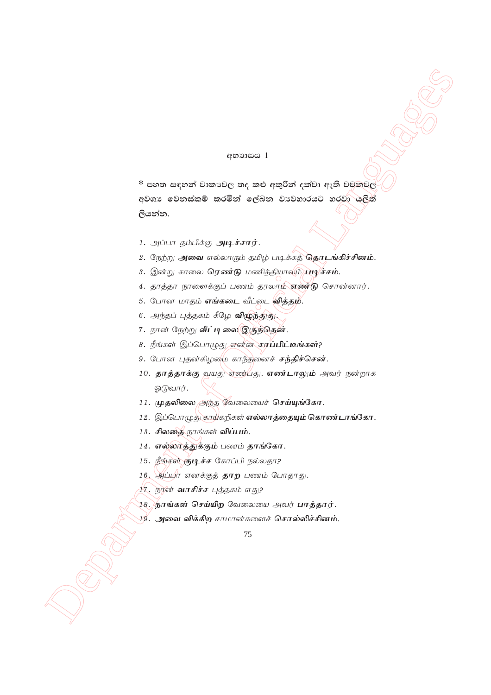#### **අභාගසය** 1

 $^*$  පහත සඳහන් වාකාවල තද කළු අකුරින් දක්වා ඇති වචනවල අවශා වෙනස්කම් කරමින් ලේඛන වාවහාරයට හරවා යුලිත් ලියන්න.

- 1. அப்பா தம்பிக்கு அடிச்சார்.
- 2. நேற்று அவை எல்லாரும் தமிழ் படிக்கத் தொடங்கிச்சினம்.
- 3. இன்று காலை ரெண்டு மணித்தியாலும் படிச்சம்.
- 4. தாத்தா நாளைக்குப் பணம் தரலாம் எண்டு சொன்னார்.
- 5. போன மாதம் எங்கடை வீட்டை வித்தம்.
- 6. அந்தப் புத்தகம் கீழே **விழுந்துது.**
- 7. நான் நேற்று வீட்டிலை இருந்தென்.
- 8. நீங்கள் இப்பொழுது என்ன சரப்பிட்டீங்கள்?
- 9. போன புதன்கிழமை காந்தனைச் சந்திச்சென்.
- 10. தாத்தாக்கு வயது எண்பது. எண்டாலும் அவர் நன்றாக ஓடுவார்.
- 11. முதலிலை அந்த வேலையைச் செய்யுங்கோ.
- 12. இப்பொழுத் காய்கறிகள் எல்லாத்தையும் கொண்டாங்கோ.
- 13. சிலதை நாங்கள் விப்பம்.
- 14. எல்லாத்துக்கும் பணம் தாங்கோ.
- 15. நீங்கள் குடிச்ச கோப்பி நல்லதா?
- 16. அப்பா எனக்குத் தாற பணம் போதாது.
- 17. நூன் **வாசிச்ச** புத்தகம் எது?
- <u>18. நாங்கள் செய்யிற</u> வேலையை அவர் **பாத்தார்**.
- ⊉9். அவை விக்கிற சாமான்களைச் சொல்லிச்சினம்.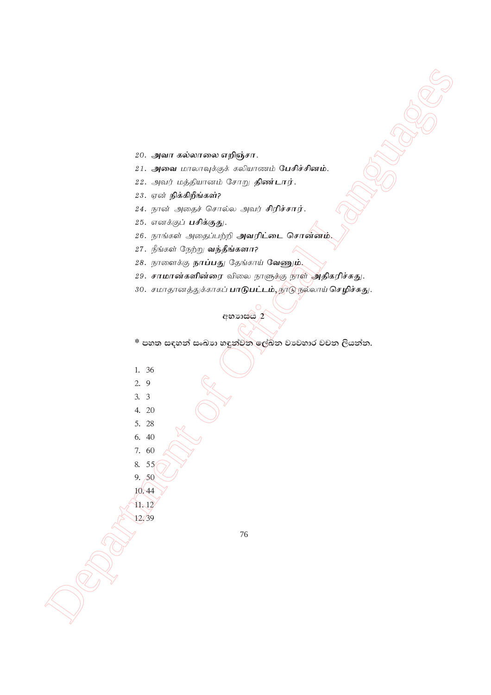#### 20. அவா கல்லாலை எறிஞ்சா.

- $21.$  அவை மாலாவுக்குக் கலியாணம் **பேசிச்சினம்.**
- 22. அவர் மத்தியானம் சோறு **திண்டார்**.
- 23. ஏன் **நிக்கிறீங்கள்?**
- 24. நான் அதைச் சொல்ல அவர் சிரிச்சார்.
- 25. எனக்குப் **பசிக்குது**.
- 26. நாங்கள் அதைப்பற்றி **அவரிட்டை சொன்னம்.**
- $27.$  நீங்கள் நேற்று **வந்தீங்களா?**
- 28. நாளைக்கு **நாப்பது** தேங்காய் வேணும்.
- 29. சா**மான்களின்ரை** விலை நாளுத்கு நாள் அதிகரிச்சுது.
- 30. சமாதானத்துக்காகப் **பாடுபட்டம்,** நூடு நல்லாய் **செழிச்சுது**.

**අභා**ාස<mark>ය 2</mark>

 $^*$  පහත සඳහන් සංඛාග හඳුන්වන ලේඛන වාවහාර වචන ලියන්න.

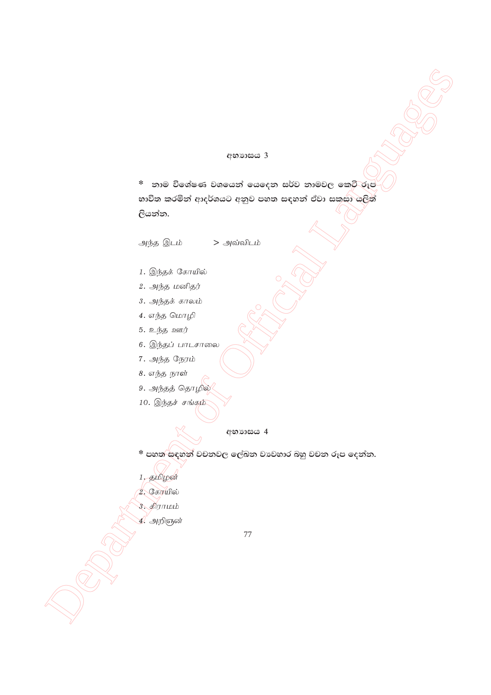#### අභාගය 3

> அவ்விடம்

\* නාම විශේෂණ වශයෙන් යෙදෙන සර්ව නාමවල කෙටි රූප භාවිත කරමින් ආදර්ශයට අනුව පහත සඳහන් ඒවා සකුසා යලිත් ලියන්න.

அந்த இடம்

- 1. இந்தக் கோயில்
- 2. அந்த மனிதர்
- 3. அந்தக் காலம்
- 4. எந்த மொழி
- 5. உந்த ஊர்
- 6. இந்தப் பாடசாலை
- 7. அந்த நேரம்
- 8. எந்த நாள்
- 9. அந்தத் தொழில்
- 10. இந்தச் சங்கும்

#### අභාගය 4

- \* පහත සඳහන් වචනවල ලේඛන වාවහාර බහු වචන රූප දෙන්න.
- $1,$  தமிழன்
- 2. கோயில்
- 3. திராமம்
- 4. அறிஞன்
- 77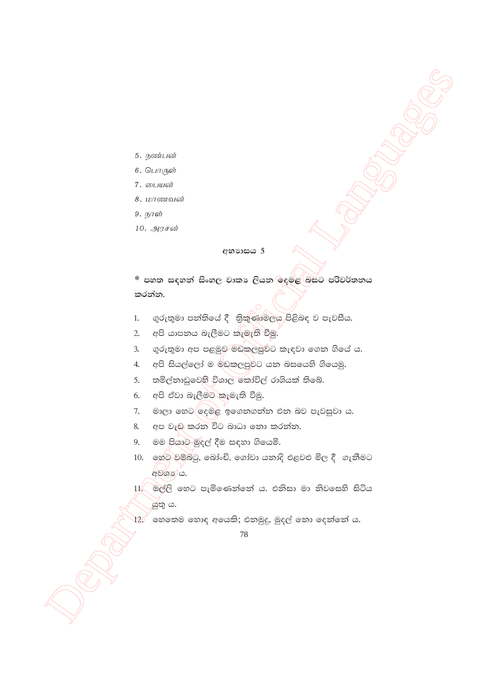- 5. நண்பன்
- 6. பொருள்
- 7. பையன்
- 8. மாணவன்
- 9. நாள்
- 10. அரசன்

#### **අභා**ාසය 5

\* පහත සඳහන් සිංහල වාකා ලියන ලදුමළ බසට පරිවර්තනය කරන්න.

- ගුරුතුමා පන්තියේ දී තිකුණාමලය පිළිබඳ ව පැවසීය.  $1.$
- 2. අපි යාපනය බැලීමට කැමැති වීමු.
- ගුරුතුමා අප පළමුව මඩකලපුවට කැඳවා ගෙන ගියේ ය.  $\mathbf{3}$
- 4. අපි සියල්ලෝ ම මඩකලපුවට යන බසයෙහි ගියෙමු.
- 5. තමිල්නාඩුවෙහි විශාල කෝවිල් රාශියක් තිබේ.
- 6. අපි ඒවා බැලීමට කැමැති වීමු.
- 7. මාලා හෙට $\bigcirc$ ලදමළ ඉගෙනගන්න එන බව පැවසුවා ය.
- 8. අප වැඩ කරන විට බාධා නො කරන්න.
- මම පියාට මුදල් දීම සඳහා ගියෙමි. 9.
- 10. හෙට වම්බටු, බෝංචි, ගෝවා යනාදි එළවළු මිල දී ගැනීමට අමගාන් ය.

11. මල්ලි හෙට පැමිණෙන්නේ ය. එනිසා මා නිවසෙහි සිටිය ශ්තු ය.

ගහතෙම හොඳ අයෙකි; එනමුදු, මුදල් තො දෙන්නේ ය.  $\overline{12}$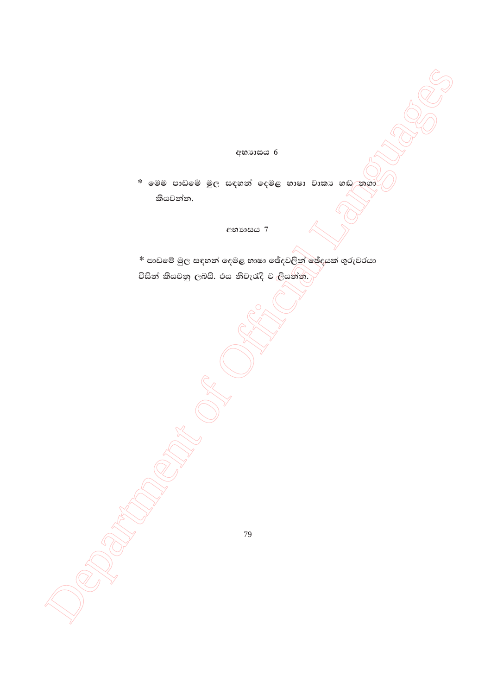අභාගය 6

\* මෙම පාඩමේ මුල සඳහන් දෙමළ භාෂා වාකා හඬ නගා කියවන්න.

**අභා**යය 7

\* පාඩමේ මුල සඳහන් දෙමළ භාෂා ඡේදවලින් ඡේදයක් ගුරුවරයා විසින් කියවනු ලබයි. එය නිවැරැදි වැලියන්න.)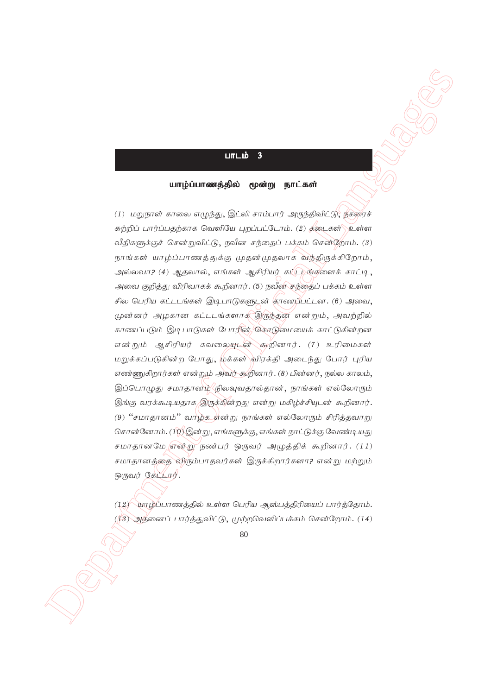#### $LITL$ ம் 3

#### யாழ்ப்பாணத்தில் மூன்று நாட்கள்

**Limits 3**<br> **United States of Official Languages (Communited States)**<br>
(1) regiment aware integral  $\mathbb{Q}$  is a curve of organization of phonon states of  $\mathbb{Q}$ <br>  $\mathbb{Q}$  is a control of organization (c) and the states (1) மறுநாள் காலை எழுந்து, இட்லி சாம்பார் அருந்திவிட்டு, நகரைச் சுற்றிப் பார்ப்பதற்காக வெளியே புறப்பட்டோம். (2) தடைகள்  $\rangle$ உள்ள வீதிகளுக்குச் சென்றுவிட்டு, நவீன சந்தைப் பக்கம் சென்றோம்.  $(3)$ நாங்கள் யாழ்ப்பாணத்துக்கு முதன்முதலாக வந்திருக்கிறோம், அல்லவா? (4) ஆதலால், எங்கள் ஆசிரியர் கட்டுங்களைக் காட்டி, அவை குறித்து விரிவாகக் கூறினார். (5) நவீன சந்தைப் பக்கம் உள்ள சில பெரிய கட்டடங்கள் இடிபாடுகளுடன் காணப்பட்டன. (6) அவை, முன்னர் அழகான கட்டடங்களாக இருந்தன என்றும், அவற்றில் காணப்படும் இடிபாடுகள் போரின், கொடுமையைக் காட்டுகின்றன என்றும் ஆசிரியர் கவலையுடன் கூறினார். (7) உரிமைகள் மறுக்கப்படுகின்ற போது, <mark>மக்கள்`</mark>விரக்கி அடைந்து போர் புரிய எண்ணுகிறார்கள் என்றும் அவர் கூறினார். (8) பின்னர், நல்ல காலம், இப்பொழுது சமாதானம்<sup>⁄</sup>நிலவுவதால்தான், நாங்கள் எல்லோரும் இங்கு வரக்கூடியதாக இருக்கின்றது என்று மகிழ்ச்சியுடன் கூறினார். (9) "சமாதானம்" வாழ்க என்று நாங்கள் எல்லோரும் சிரித்தவாறு சொன்னோம். ( $10$ ) இன்று, எங்களுக்கு, எங்கள் நாட்டுக்கு வேண்டியது சமாதானமே என்று நண்பர் ஒருவர் அழுத்திக் கூறினார். (11) சமாதானத்தை விரும்பாதவர்கள் இருக்கிறார்களா? என்று மற்றும்  $Q(5)$ 

 $(12)$ யாழ்ப்பாணத்தில் உள்ள பெரிய ஆஸ்பத்திரியைப் பார்த்தோம்.  $(13)$  அதனைப் பார்த்துவிட்டு, முற்றவெளிப்பக்கம் சென்றோம்.  $(14)$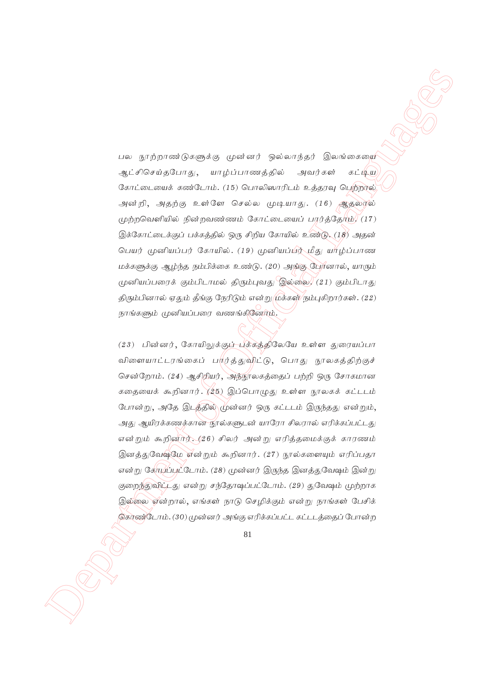பல நூற்றாண்டுகளுக்கு முன்னர் ஒல்லாந்தர் இலங்கையை ஆட்சிசெய்தபோது, யாழ்ப்பாணத்தில் அவர்கள் கட்டிய கோட்டையைக் கண்டோம். (15) பொலிஸாரிடம் உத்தரவு பெற்றால், அன்றி, அதற்கு உள்ளே செல்ல முடியாது.  $(16)$  ஆதலால்  $\mu$ ற்றவெளியில் நின்றவண்ணம் கோட்டையைப் பரர்த்தோம்,  $(17)$ இக்கோட்டைக்குப் பக்கத்தில் ஒரு சிறிய கோயில் உண்டு.  $(18)$  அதன் பெயர் முனியப்பர் கோயில். (19) முனியப்பிர் மீது யாழ்ப்பாண  $L$ மக்களுக்கு ஆழ்ந்த நம்பிக்கை உண்டு. (20) அந்கு பேர்னால், யாரும்  $\mu$ னியப்பரைக் கும்பிடாமல் திரும்புவது இல்லை, (21) கும்பிடாது திரும்பினால் ஏதும் தீங்கு நேரிடும் என்று முக்கள் நம்புகிறார்கள். (22) நாங்களும் முனியப்பரை வணங்கினேர்ம்.

 $\label{eq:3.1} \begin{array}{ll} \textbf{C} & \textbf{C} & \textbf{C} \\ \textbf{D} & \textbf{C} & \textbf{C} & \textbf{C} \\ \textbf{D} & \textbf{C} & \textbf{C} & \textbf{C} \\ \textbf{D} & \textbf{C} & \textbf{C} & \textbf{C} \\ \textbf{D} & \textbf{C} & \textbf{C} & \textbf{C} \\ \textbf{D} & \textbf{C} & \textbf{C} & \textbf{C} \\ \textbf{D} & \textbf{C} & \textbf{C} & \textbf{C} \\ \textbf{D} & \textbf{C} & \$  $(23)$  பின்னர், கோயிலுக்குப் பக்கத்திலேயே உள்ள துரையப்பா விளையாட்டரங்கைப் ப<mark>ர்ர்த்துவிட்டு, பொது நூலகத்திற்குச்</mark> சென்றோம். (24) ஆசிரியர், அந்நூலகத்தைப் பற்றி ஒரு சோகமான கதையைக் கூறினார்.  $(25)$  இப்பொழுது உள்ள நூலகக் கட்டடம் போன்று, அதே இடத்தில் முன்னர் ஒரு கட்டடம் இருந்தது என்றும், அது ஆயிரக்கணக்கான நூல்களுடன் யாரோ சிலரால் எரிக்கப்பட்டது என்றும் கூறினார். (26) சிலர் அன்று எரித்தமைக்குக் காரணம் இனத்துவேஷ்மே என்றும் கூறினார். (27) நூல்களையும் எரிப்பதா என்று கேர $\mu$ ப்பூட்டோம். (28) முன்னர் இருந்த இனத்துவேஷம் இன்று குறைந்துவிட்டது என்று சந்தோஷப்பட்டோம். (29) துவேஷம் முற்றாக இல்லை என்றால், எங்கள் நாடு செழிக்கும் என்று நாங்கள் பேசிக் கொண்டோம். (30) முன்னர் அங்கு எரிக்கப்பட்ட கட்டடத்தைப் போன்ற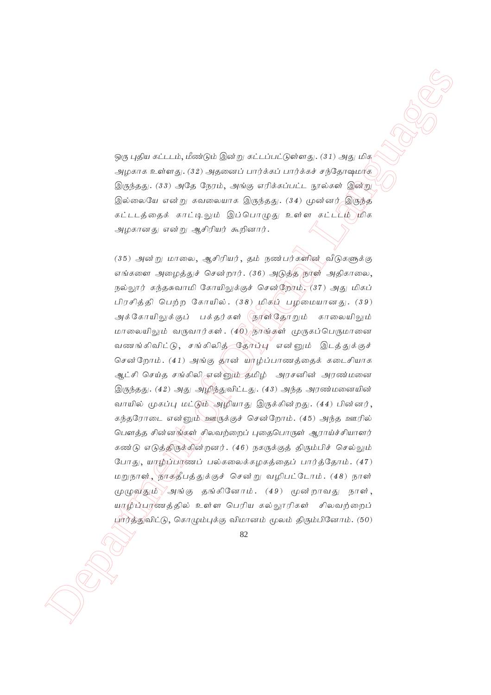ஒரு புதிய கட்டடம், மீண்டும் இன்று கட்டப்பட்டுள்ளது. (31) அது மிக அழகாக உள்ளது. (32) அதனைப் பார்க்கப் பார்க்கச் சந்தோஷமாக  $\textcircled{g}$ ருந்தது. (33) அதே நேரம், அங்கு எரிக்கப்பட்ட நூல்கள் இன்று இல்லையே என்று கவலையாக இருந்தது.  $(34)$  முுன்னர் இருந்த கட்டடத்தைக் காட்டிலும் இப்பொழுது உள்ள கட்ட<sup>பூ</sup>ழ்)மிக அழகானது என்று ஆசிரியர் கூறினார்.

 $\label{eq:3d} \begin{array}{ll} \displaystyle \langle \phi_{i\bar{0}} \rangle \otimes \phi_{\bar{0}}^{\mu} \otimes \phi_{\bar{0}}^{\mu} \otimes \phi_{\bar{0}}^{\mu} \otimes \phi_{\bar{0}}^{\mu} \otimes \phi_{\bar{0}}^{\mu} \otimes \phi_{\bar{0}}^{\mu} \otimes \phi_{\bar{0}}^{\mu} \otimes \phi_{\bar{0}}^{\mu} \otimes \phi_{\bar{0}}^{\mu} \otimes \phi_{\bar{0}}^{\mu} \otimes \phi_{\bar{0}}^{\mu} \otimes \phi_{\bar{0}}^{\mu} \otimes \phi_{\bar{$  $(35)$  அன்று மாலை, ஆசிரியர், தம் நண்பர்களின் வீடுகளுக்கு எங்களை அழைத்துச் சென்றார்.  $(36)$  அடுத்த நூள் அதிகாலை, நல்லூர் கந்தசுவாமி கோயிலுக்குச் சென்றோம்,  $(37)$  அது மிகப் பிரசித்தி பெற்ற கோயில்.  $(38)$  மிக $\natural$  பிழமையானது.  $(39)$ அக்கோயிலுக்குப் பக்தர்கள் (நரன்தோறும் காலையிலும் மாலையிலும் வருவார்கள். ( $4\overline{0}$ ) நூங்கள் முருகப்பெருமானை வணங்கிவிட்டு, சங்கிலித் தோப்பு என்னும் இடத்துக்குச் சென்றோம்.  $(41)$  அங்கு தான் யாழ்ப்பாணக்கைக் கடைசியாக ஆட்சி செய்த சங்கிலி என்னும் தமிழ் அரசனின் அரண்மனை  $\bigcirc$ ருந்தது. (42) அது அழிந்துவிட்டது. (43) அந்த அரண்மனையின் வாயில் முகப்பு மட்டு<del>ம் அழி</del>யாது இருக்கின்றது. (44) பின்னர், <u>கந்தரோடை என்னும் ஊருக்குச் சென்றோம். (45) அந்த ஊரில்</u> பௌத்த சின்னங்கள் சிலவற்றைப் புதைபொருள் ஆராய்ச்சியாளர் கண்டு எடுத்திருக்கின்றனர். (46) நகருக்குத் திரும்பிச் செல்லும் போது, யாழ்ப்பாணப் பல்கலைக்கழகத்தைப் பார்த்தோம்.  $(47)$ மறுநாள், நாகதீபத்துக்குச் சென்று வழிபட்டோம். (48) நாள்  $\mu$ மு வதும் $\sqrt{3}$ க்கு தங்கினோம். (49) மூன்றாவது நாள், யாழிப்பாணத்தில் உள்ள பெரிய கல்லூரிகள் சிலவற்றைப் பார்த்துவிட்டு, கொமும்புக்கு விமானம் மூலம் திரும்பினோம். (50)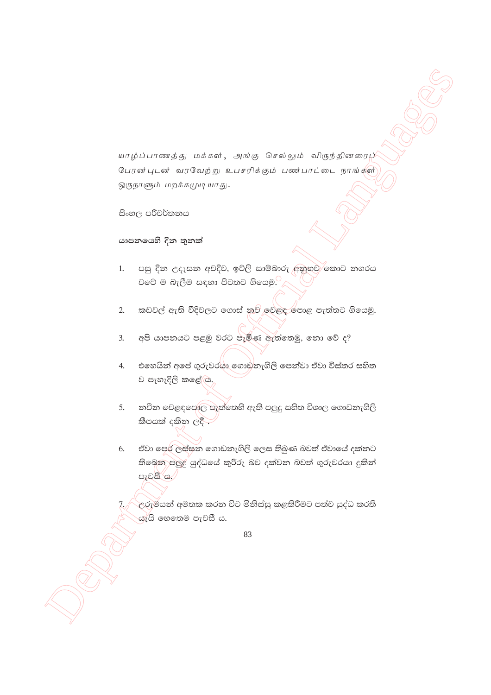யாழ்ப்பாணத்து மக்கள், அங்கு செல்லும் விருந்தினரைப் பேரன்புடன் வரவேற்று உபசரிக்கும் பண்பாட்டை நாங்களி ஒருநாளும் மறக்கமுடியாது.

සිංහල පරිවර්තනය

# යාපනයෙහි දින තුනක්

- පසු දින උදෑසන අවදිව, ඉට්ලි සාම්බාරු අනුභව කොට නගරය  $1.$ වටේ ම බැලීම සඳහා පිටතට ගියෙමු.
- කඩවල් ඇති වීදිවලට ගොස් නුව් වෙළඳ පොළ පැත්තට ගියෙමු.  $2.$
- $3.$ අපි යාපනයට පළමු වරට පැමිණ ඇත්තෙමු, නො වේ ද?
- $\overline{4}$ . එහෙයින් අපේ ගුරුවරයා ගොඩනැගිලි පෙන්වා ඒවා විස්තර සහිත ව පැහැදිලි කළේ ය.
- 5. නවීන වෙළඳපොල පැත්තෙහි ඇති පලුදු සහිත විශාල ගොඩනැගිලි කීපයක් දකින ලදී
- ඒවා පෙර ලස්සන ගොඩනැගිලි ලෙස තිබුණ බවත් ඒවායේ දක්නට 6. තිබෙන පලුදු යුද්ධයේ කුරිරු බව දක්වන බවත් ගුරුවරයා දුකින් පැවසී ය.

උරුමයන් අමතක කරන විට මිනිස්සු කළකිරීමට පත්ව යුද්ධ කරති යැයි හෙතෙම පැවසී ය.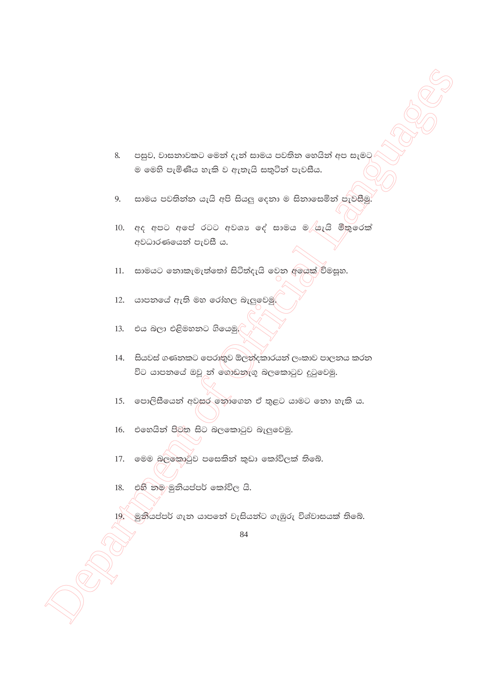- පසුව, වාසනාවකට මෙන් දැන් සාමය පවතින හෙයින් අප සැමට 8. ම මෙහි පැමිණිය හැකි ව ඇතැයි සතුටින් පැවසීය.
- සාමය පවතින්න යැයි අපි සියලු දෙනා ම සිනාසෙමින් පැවසීමු. 9.
- 10. අද අපට අපේ රටට අවශා ලද් සාමය ම යැයි මිතුරෙක් අවධාරණයෙන් පැවසී ය.

සාමයට නොකැමැත්තෝ සිටිත්දැයි වෙන අලයක් විමසූහ.  $11.$ 

- යාපනයේ ඇති මහ රෝහල බැලුවෙමු 12.
- 13. එය බලා එළිමහතට ගියෙමු.
- 14. සියවස් ගණනකට පෙරාතුව ඕලන්දකාරයන් ලංකාව පාලනය කරන විට යාපනයේ ඔවු න් ගොඩනැගූ බලකොටුව දුටුවෙමු.
- 15. පොලිසීයෙන් අවසර නොගෙන ඒ තුළට යාමට නො හැකි ය.
- එහෙයින් පිටත සිට බලකොටුව බැලුවෙමු. 16.
- මෙම බලකොටුව පසෙකින් කුඩා කෝවිලක් තිබේ. 17.
- එහි නම මුනියප්පර් කෝවිල යි. 18.

19. මුනියප්පර් ගැන යාපනේ වැසියන්ට ගැඹුරු විශ්වාසයක් තිබේ.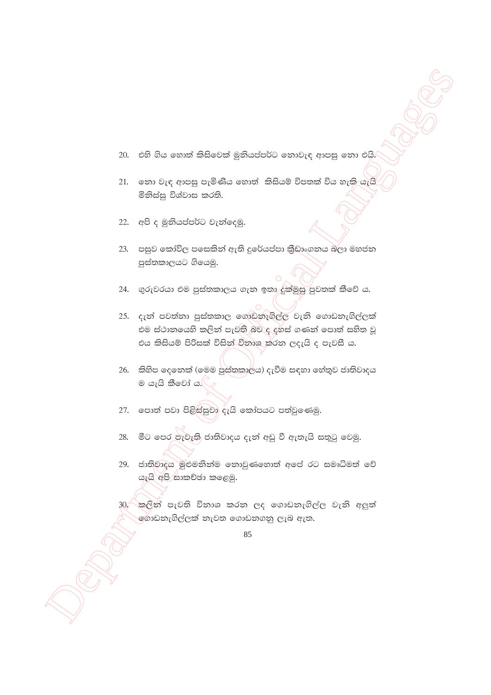- 20. එහි ගිය හොත් කිසිවෙක් මූනියප්පර්ට නොවැඳ ආපසු නො එයි.
- $21.$  වනා වැඳ ආපසු පැමිණිය හොත් කිසියම් විපතක් විය හැකි-යැයි මිනිස්සු විශ්වාස කරති.
- $22.$  අපි ද මුනියප්පර්ට වැන්දෙමු.
- $23.$  පසුව කෝවිල පසෙකින් ඇති දුරේයප්පා කීඩාංගනය බලා මහජන පුස්තකාලයට ගියෙමු.
- 24. ගුරුවරයා එම පුස්තකාලය ගැන ඉතා දුක්මුසු පුවතක් කීවේ ය.
- $M$   $\alpha$ 55 θει υπηκέ βιθεσίας έβθασίαζε στηνέης ητας στη είδη.<br>
2) του τις την προβλει του διάσιλο δουταί δεν περί της του τις του θα το στην προσφαλικο του προσφαλικού του προσφαλικού του προσφαλικού του προσφαλικού του 25. දැන් පවත්නා පුස්තකාල ගොඩනැගිල්ල වැනි ගොඩනැගිල්ලක් එම ස්ථානයෙහි කලින් පැවති බව ද දුහස් ගණන් පොත් සහිත වූ එය කිසියම් පිරිසක් විසින් විතාශ කරන ලදැයි ද පැවසී ය.
	- $26$ . කිහිප දෙනෙක් (මෙම පුස්තකාලය) දැවීම සඳහා හේතුව ජාතිවාදය ම යැයි කීවෝ ය. $\bigcap$
	- 27. පොත් පවා පිළිස්සුවා දැයි කෝපයට පත්වුණෙමු.
	- 28. මීට පෙර පැවැති ජාතිවාදය දැන් අඩු වී ඇතැයි සතුටු වෙමු.
	- 29. ජාතිවාදය මුළුමනින්ම නොවුණහොත් අපේ රට සමෘධිමත් වේ යැයි අපි සාකච්ඡා කළෙමු.
	- $30/\epsilon$ කලින් පැවති විනාශ කරන ලද ගොඩනැගිල්ල වැනි අලුත් ණාඩනැගිල්ලක් නැවත ගොඩනගනු ලැබ ඇත.

<sup>85</sup>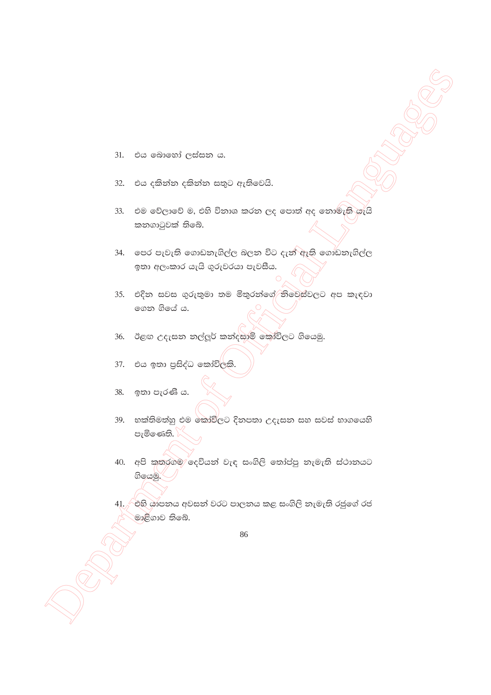- එය බොහෝ ලස්සන ය. 31.
- එය දකින්න දකින්න සතුට ඇතිවෙයි. 32.
- 33. එම වේලාවේ ම, එහි විනාශ කරන ලද පොත් අද නොමැති යැයි කනගාටුවක් තිබේ.
- 34. පෙර පැවැති ගොඩනැගිල්ල බලන විට දැන් ඇති ගොඩනැගිල්ල ඉතා අලංකාර යැයි ගුරුවරයා පැවසීය.
- 35. එදින සවස ගුරුතුමා තම මිතුරත්ගේ නිවෙස්වලට අප කැඳවා ගෙන ගියේ ය.
- ඊළඟ උදැසන නල්ලූර් කන්දසාම් කෝවිලට ගියෙමු. 36.
- එය ඉතා පුසිද්ධ කෝවි<mark>ලකි.</mark> 37.
- ඉතා පැරණි ය. 38.
- 39. භක්තිමත්හූ එම කෝවිලට දිනපතා උදැසන සහ සවස් භාගයෙහි පැමිණෙති.
- 40. අපි කතරගම දෙවියන් වැඳ සංගිලි තෝප්පු නැමැති ස්ථානයට ගියෙමු.
- 41. එහි ශාපනය අවසන් වරට පාලනය කළ සංගිලි නැමැති රජුගේ රජ මාළිගාව තිබේ.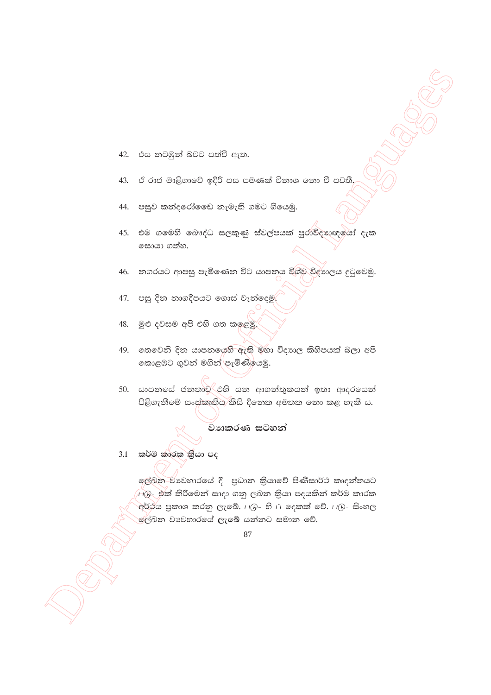- 42. එය නටඹුන් බවට පත්වී ඇත.
- ඒ රාජ මාළිගාවේ ඉදිරි පස පමණක් විනාශ නො වී පවතී. 43.
- 44. පසුව කන්දරෝ ෙෙඩ නැමැති ගමට ගියෙමු.
- 45. එම ගමෙහි බෞද්ධ සලකුණු ස්වල්පයක් පුරාවිදාහඥයෝ දැක සොයා ගත්හ.
- 46. නගරයට ආපසු පැමිණෙන විට යාපනය විශ්ව විදාගලය දුටුවෙමු.
- 47. පසු දින නාගදීපයට ගොස් වැන්දෙමු
- මුළු දවසම අපි එහි ගත කලෙමු. 48.
- 49. තෙවෙනි දින යාපනයෙහි ඇති මහා විදාාල කිහිපයක් බලා අපි කොළඹට ගුවන් මගින් පැමිණියෙමු.
- 50. යාපනයේ ජනතාව එහි යන ආගන්තුකයන් ඉතා ආදරයෙන් පිළිගැනීමේ සංස්කෘතිය කිසි දිනෙක අමතක නො කළ හැකි ය.

වාහකරණ සටහන්

3.1 කර්ම කාරක කියා පද

ලේඛන වාවහාරයේ දී පුධාන කියාවේ පිණිසාර්ථ කෘදන්තයට ුගු - එක් කිරීමෙන් සාදා ගනු ලබන කියා පදයකින් කර්ම කාරක අර්ථය පුකාශ කරනු ලැබේ. படு– හි ப දෙකක් වේ. படு– සිංහල .<br>මල්බන වාවහාරයේ ලැබේ යන්නට සමාන වේ.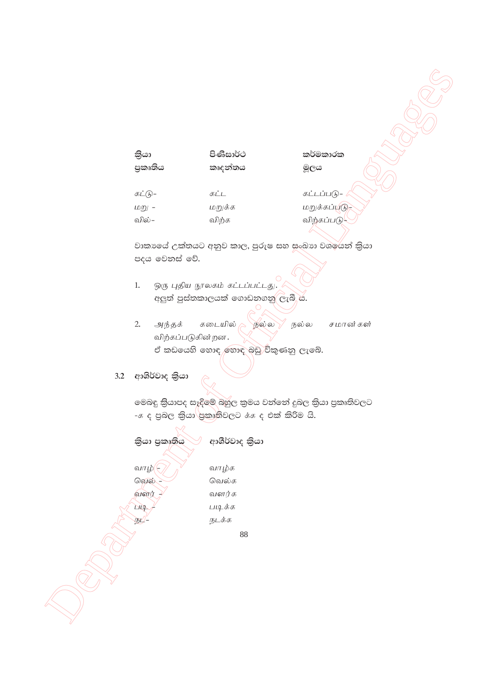#### පිණිසාර්ථ කියා පුකෘතිය කෘදන්තය

කර්මකාරක මූලය

 $E(\widehat{h})$ -கட்ட மறு -மறுக்க வில்– விற்க

கட்டப்படு-மறுக்கப்படு-விற்கப்படு-

වාකාගේ උක්තයට අනුව කාල, පුරුෂ සහ සංඛාග වශරේන් කියා පදය වෙනස් වේ.

- ஒரு புதிய நூலகம் கட்டப்பட்டது.  $1.$ අලුත් පුස්තකාලයක් ගොඩනගනු ලැබී ය.
- $2.$ அந்தக் கடையில் நல்ல நல்ல சமான்கள் விற்கப்படுகின்றன. ඒ කඩයෙහි හොඳ හොඳ බඩු විකුණනු ලැබේ.

# 3.2 ආශිර්වාද කියා

මෙබඳු කියාපද සෑදිමේ බහුල කුමය වන්නේ දුබල කියා පුකෘතිවලට -க ද පුබල කියා පුකෘතිවලට க்க ද එක් කිරිම යි.

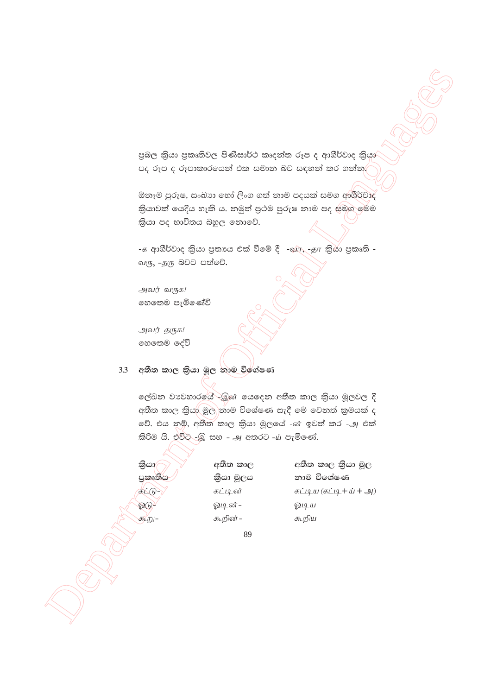පුබල කියා පුකෘතිවල පිණිසාර්ථ කෘදන්ත රූප ද ආශීර්වාද කියා පද රූප ද රූපාකාරයෙන් එක සමාන බව සඳහන් කර ගන්න.

ඕනෑම පුරුෂ, සංඛාග හෝ ලිංග ගත් නාම පදයක් සමග ආශීර්වාද කියාවක් යෙදිය හැකි ය. නමුත් පුථම පුරුෂ නාම පද සමග මෙම කියා පද භාවිතය බහුල නොවේ.

-க ආශීර්වාද කියා පුතාගෙ එක් වීමේ දී -බල, -தா කියා පුකෘති -வரு, -தரு බවට පත්වේ.

அவர் வருக! හෙතෙම පැමිණේවි

அவர் தருக! හෙතෙම දේවි

# 3.3 අතීත කාල කියා මූල තාම විශේෂණ

ලේඛන වාවහාරයේ -මූණ යෙදෙන අතීත කාල කියා මූලවල දී අතීත කාල කියා මූල නාම විශේෂණ සැදී මේ වෙනත් කුමයක් ද වේ. එය නම්, අතීත කාල කියා මූලයේ -ன ඉවත් කර -அ එක් කිරිම යි. එවිට -ුමූ සහ - அ අතරට - $\dot{u}$  පැමිණේ.

තියා/ පුකෘතිය  $\underline{\text{H}}\underline{\text{H}}$ ஓடு  $\bigoplus_{i=1}^{n}$ 

අතීත කාල කියා මූල නාම විශේෂණ கட்டிய $(\text{sing} + \text{w} + \text{g})$ ஓடிய கூறிய

89

අතීත කාල

කියා මූලය

கட்டின்

ஓடின் -

கூறின் –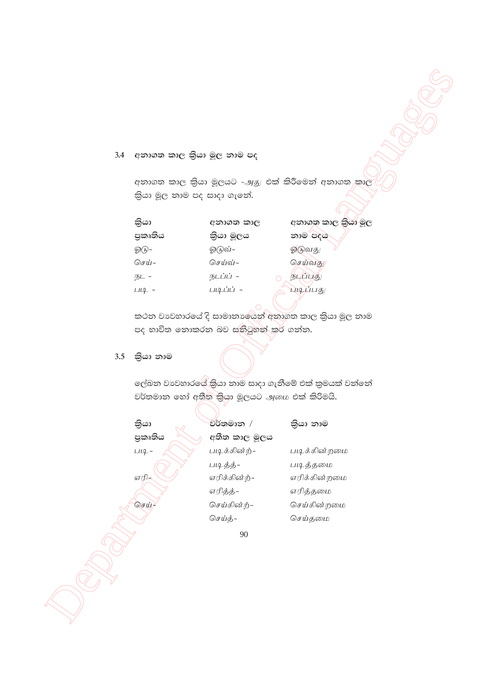# 3.4 අනාගත කාල කියා මූල නාම පද

| කියා    | අනාගත කාල | අනාගත කාල කියා මූල |
|---------|-----------|--------------------|
| පුකෘතිය | කියා මූලය | නාම පදය            |
| ஓடு–    | ஓடுவ்–    | ஓடுவது             |
| செய்–   | செய்வ்-   | செய்வது            |
| நட –    | நடப்ப் -  | ப்புது<br>நப       |
| படி -   | படிப்ப் – | படிப்பகு           |
|         |           |                    |

# 3.5 කියා නාම

|     | 3.4 අනාගත කාල කියා මූල නාම පද |                                              |                                                     |
|-----|-------------------------------|----------------------------------------------|-----------------------------------------------------|
|     |                               |                                              | අනාගත කාල කියා මූලයට -அது එක් කිරීමෙන් අනාගත කාල    |
|     | තියා මූල නාම පද සාදා ගැනේ.    |                                              |                                                     |
|     |                               |                                              |                                                     |
|     | කියා                          | අනාගත කාල                                    | අනාගත කාල කියා මූල                                  |
|     | පුකෘතිය                       | කියා මූලය                                    | නාම පදය                                             |
|     | ஓடு-                          | ஓடுவ்-                                       | ஓடுவது                                              |
|     | செய்–                         | செய்வ்-                                      | செய்வது                                             |
|     | நட -                          | நடப்ப் –<br>$\circ$                          | நடப்புது                                            |
|     | $\overline{\mu}$ -            | படிப்ப் –                                    | படிப்பது                                            |
|     |                               |                                              | කථන වාවහාරයේ දි සාමානාශේයන් අනාගත කාල කියා මූල නාම  |
|     |                               | පද භාවිත නොකරන බව සතිටුහන් කර් ගන්න.         |                                                     |
|     |                               |                                              |                                                     |
| 3.5 | කියා නාම                      |                                              |                                                     |
|     |                               |                                              |                                                     |
|     |                               |                                              | ලේඛන වාවහාරයේ කියා නාම සාදා ගැනීමේ එක් කුමයක් වන්නේ |
|     |                               | වර්තමාන හෝ අතීත කිුයා මූලයට அமை එක් කිරිමයි. |                                                     |
|     |                               |                                              |                                                     |
|     | කියා                          | වර්තමාන /                                    | කියා නාම                                            |
|     | පුකෘතිය                       | අතීත කාල මූලය                                |                                                     |
|     | $114 -$                       | படிக்கின்ற்–                                 | படிக்கின்றமை                                        |
|     |                               | படித்த்-                                     | படித்தமை                                            |
|     | <u>எரி-</u>                   | எரிக்கின்ற்-                                 | எரிக்கின்றமை                                        |
|     | செய்                          | எரித்த்-<br>செய்கின்ற்-                      | எரித்தமை<br>செய்கின்றமை                             |
|     |                               | செய்த்-                                      | செய்தமை                                             |
|     |                               |                                              |                                                     |
|     |                               | 90                                           |                                                     |
|     |                               |                                              |                                                     |
|     |                               |                                              |                                                     |
|     |                               |                                              |                                                     |
|     |                               |                                              |                                                     |
|     |                               |                                              |                                                     |
|     |                               |                                              |                                                     |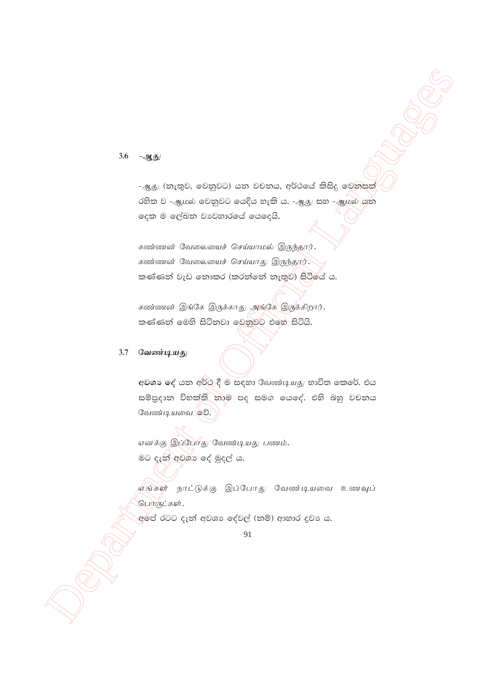3.6  $-2.5$ 

-அது (නැතුව, වෙනුවට) යන වචනය, අර්ථයේ කිසිදු වෙනසක් රහිත ව -ஆமல் වෙනුවට යෙදිය හැකි ය. -ஆது සහ -ஆமல் යුන දෙක ම ලේඛන වාවහාරයේ යෙදෙයි.

கண்ணன் வேலையைச் செய்யாமல் இருந்தார். கண்ணன் வேலையைச் செய்யாது இருந்தார். කණ්ණන් වැඩ නොකර (කරන්නේ නැතුව) සිටියේ ය.

கண்ணன் இங்கே இருக்காது அங்கே இருக்கிறார். කණ්ණන් මෙහි සිටිනවා වෙනුවට එමෙ සිටියි.

#### 3.7 வேண்டியது

අවශා දේ යන අර්ථ දී ම සඳහා வேண்டியது භාවිත කෙරේ. එය සම්පුදාන විභක්ති තාම පද සමග යෙදේ. එහි බහු වචනය வேண்டியவை ஓி.

எனக்கு இப்போது வேண்டியது பணம். මට දැන් අවශා දේ මුදල් ය. .<br>எங்கள் நாட்டுக்கு இப்போது வேண்டியவை உணவுப் பொருட்கள்.

අමේ රටට දැන් අවශා දේවල් (නම්) ආහාර දුවා ය.

<sup>91</sup>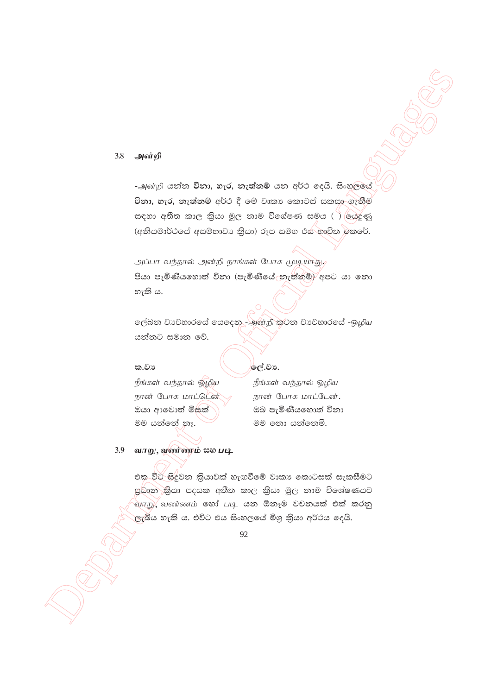#### 3.8 அன்றி

-அன்றி යන්න විනා, හැර, නැත්නම් යන අර්ථ දෙයි. සිංහලුයේ විනා, හැර, නැත්නම් අර්ථ දී මේ වාකා කොටස් සකසා ගැනීම සඳහා අතීත කාල කියා මූල නාම විශේෂණ සමය ( ) යෙදුණු (අනියමාර්ථයේ අසම්භාවා කියා) රූප සමග එය භාවිත කෙරේ.

அப்பா வந்தால் அன்றி நாங்கள் போக முடியாது. පියා පැමිණියහොත් විනා (පැමිණියේ නැත්නම්) අපට යා නො හැකි ය.

ලේඛන වාවහාරයේ යෙදෙන - அன்றி කුටන වාවහාරයේ -ஒழிய යන්නට සමාන වේ.

# ක.වා

# ලේ.වා.

நீங்கள் வந்தால் ஒழிய நான் போக மாட்டென் ඔයා ආවොත් මිසක් මම යන්නේ නෑ.

நீங்கள் வந்தால் ஒழிய நான் போக மாட்டேன். ඔබ පැමිණියහොත් විනා මම තො යන්නෙමි.

3.9 வாறு, வண்ணம் **ഓ** படி

> එක විට සිදුවන කියාවක් හැඟවීමේ වාකා කොටසක් සැකසීමට පුධාන කියා පදයක අතීත කාල කියා මූල තාම විශේෂණයට வாறு, வண்ணம் හෝ படி යන ඕනෑම වචනයක් එක් කරනු ලැබිිය හැකි ය. එවිට එය සිංහලයේ මිශු කිුියා අර්ථය දෙයි.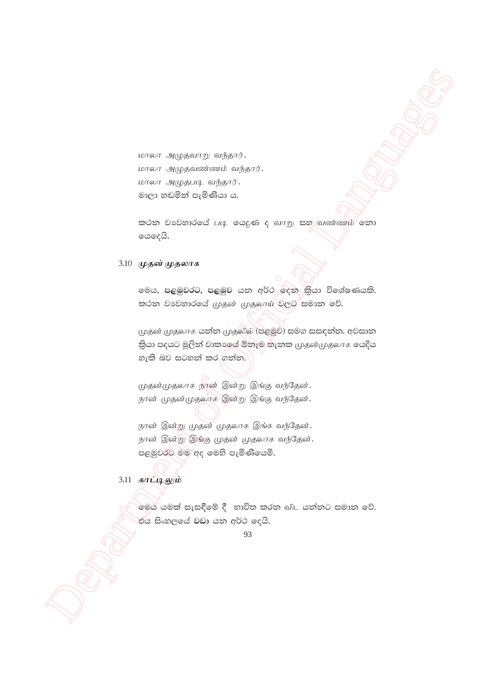மாலா அழுதவாறு வந்தார். மாலா அழுதவண்ணம் வந்தார். மாலா அழுதபடி வந்தார். මාලා හඬමින් පැමිණියා ය.

 $\infty$ ර්න වාවහාරයේ படி යෙදුණ ද வாறு සහ $\wedge$ வண்ணும் $\sim$ නා ගෙදෙයි.

#### 3.10 முதன் முதலாக

ලමය, පළමුවරට, පළමුව යන අර්ථ ලදින කියා විශේෂණයකි.  $\mathcal{L}$ කථන වාවහාරයේ  $\mu$ தன்  $\mu$ தலா $\mu$ ්වලව සමාන වේ.

 $\begin{array}{l} \hbox{mean\_a}, \hbox{square\_a}, \hbox{square\_a}, \hbox{square\_a}, \hbox{square\_a}, \hbox{square\_a}, \hbox{square\_a}, \hbox{square\_a}, \hbox{square\_a}, \hbox{square\_a}, \hbox{square\_a}, \hbox{square\_a}, \hbox{square\_a}, \hbox{square\_a}, \hbox{triangle\_a}, \hbox{triangle\_a}, \hbox{triangle\_a}, \hbox{triangle\_a}, \hbox{triangle\_a}, \hbox{triangle\_a}, \hbox{triangle\_a}, \hbox{triangle\_a}, \hbox{triangle\_a}, \hbox{triangle\_a}, \hbox{triangle\_a}, \hbox{triangle\_a}, \hbox{triangle$  $\mu$ தன் முதலாக යන්න  $\mu$ தலில் (පළමුව) සමග සසඳන්න. අවසාන කියා පදයට මූලින් වාකාලය් ඕනෑම තැනක முதன்முதலாக යෙදිය හැකි බව සටහන් කර $|$ ගන්න.

முதன்முதலாக நான் இன்று இங்கு வந்தேன். நான் முதன்முதலாக இன்று இங்கு வந்தேன்.

நான் இன்று முதன் முதலாக இங்க வந்தேன். நான் இன்று இத்கு முதன் முதலாக வந்தேன். පළමුවරට මම අද මෙහි පැමිණියෙමි.

3'11 **fhlbYk ; ;**

 $\hat{\mathcal{C}}$ මය යමක් සැසඳීමේ දී භාවිත කරන බ $\mathbb{L}$  යන්නට සමාන වේ. .<br>එය සිංහලයේ වඩා යන අර්ථ දෙයි.

<sup>93</sup>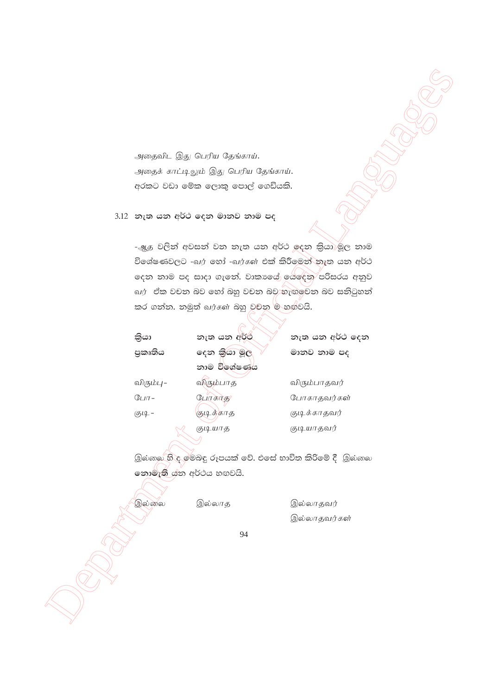|                        | அதைவிட இது பெரிய தேங்காய்.                             |                 |  |
|------------------------|--------------------------------------------------------|-----------------|--|
|                        | அதைக் காட்டிலும் இது பெரிய தேங்காய்.                   |                 |  |
|                        | අරකට වඩා මේක ලොකු පොල් ගෙඩියකි.                        |                 |  |
|                        |                                                        |                 |  |
|                        | 3.12 නැත යන අර්ථ දෙන මානව නාම පද                       |                 |  |
|                        |                                                        |                 |  |
|                        | -ஆத වලින් අවසන් වන නැත යන අර්ථ ඉදන කියා)මූල නාම        |                 |  |
|                        | විශේෂණවලට -வர் හෝ -வர்கள் එක් කිරීමෙන් නැත යන අර්ථ     |                 |  |
|                        | දෙන නාම පද සාදා ගැනේ. වාකාගේ ශේදෙන පරිසරය අනුව         |                 |  |
|                        | வர்   ඒක වචන බව හෝ බහු වචන බව හැඟුවෙන බව සනිටුහන්      |                 |  |
|                        | කර ගන්න. නමුත් வர்கள் බහු වචන ම හඟවයි.                 |                 |  |
|                        |                                                        |                 |  |
| කියා                   | නැත යන අර්ථ                                            | නැත යන අර්ථ දෙන |  |
| පුකෘතිය                | දෙන කියා මූල                                           | මානව නාම පද     |  |
|                        | නාම විශේෂණය                                            |                 |  |
| விரும்பு–              | விரும்பாத                                              | விரும்பாதவர்    |  |
| $GLIT -$               | போகாத                                                  | போகாதவர்கள்     |  |
| குடி -                 | குடித்காத                                              | குடிக்காதவர்    |  |
|                        | குடியாத                                                | குடியாதவர்      |  |
|                        |                                                        |                 |  |
|                        | இல்லை හි ද මෙබඳු රූපයක් වේ. එසේ භාවිත කිරිමේ දී  இல்லை |                 |  |
| නොමැති යන අර්ථය හඟවයි. |                                                        |                 |  |
|                        |                                                        |                 |  |
| இல்லை                  | இல்லாத                                                 | இல்லாதவர்       |  |
|                        |                                                        | இல்லாதவர்கள்    |  |
|                        | 94                                                     |                 |  |
|                        |                                                        |                 |  |
|                        |                                                        |                 |  |
|                        |                                                        |                 |  |
|                        |                                                        |                 |  |
|                        |                                                        |                 |  |
|                        |                                                        |                 |  |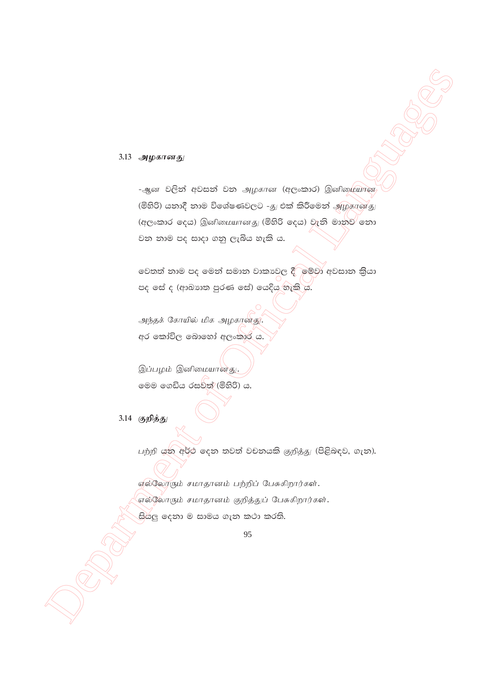3.13 அழகானது

-ஆன වලින් අවසන් වන அழகான (අලංකාර) இனிழையான (මිහිරි) යනාදී නාම විශේෂණවලට -து එක් කිරීමෙන් அழகானது (අලංකාර දෙය) இனிமையானது (මිහිරි දෙය) වැනි මානුව නො වන නාම පද සාදා ගනු ලැබිය හැකි ය.

වෙතත් නාම පද මෙන් සමාන වාකාවල දී මම්වා අවසාන කියා පද පේ ද (ආඛාහත පුරණ සේ) යෙදිය හැකි ය.

அந்தக் கோயில் மிக அழகானது. අර කෝවිල බොහෝ අලංකාර ය.

இப்பழம் இனிமையானது. මෙම ගෙඩිය රසවත් (මිහිරි) ය.

3.14 குறித்து

பற்றி යන අර්ථ දෙන තවත් වචනයකි குறித்து (පිළිබඳව, ගැන).

எல்லோரும் சமாதானம் பற்றிப் பேசுகிறார்கள். எல்லோரும் சமாதானம் குறித்துப் பேசுகிறார்கள். සියලු දෙනා ම සාමය ගැන කථා කරති.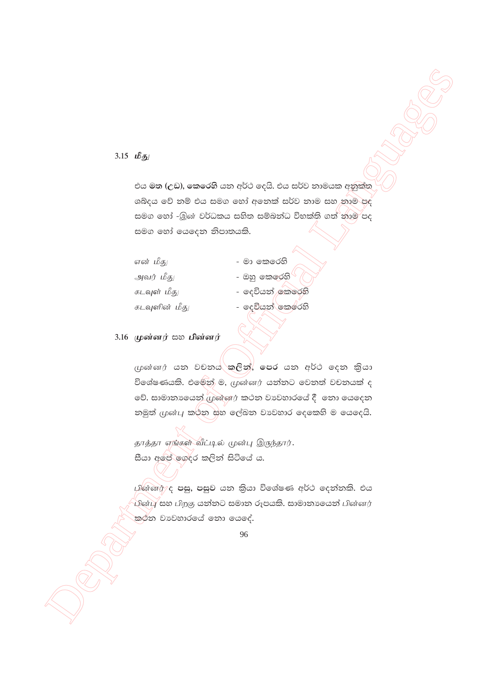#### 3.15  $\mathbf{L} \mathbf{S}$

එය මත (උඩ), කෙරෙහි යන අර්ථ දෙයි. එය සර්ව නාමයක අනුක්ත ශබ්දය වේ නම් එය සමග හෝ අනෙක් සර්ව නාම සහ තාම පද සමග හෝ -இன் වර්ධකය සහිත සම්බන්ධ විභක්ති ගත් නාම පද සමග හෝ යෙදෙන නිපාතයකි.

| என் மீது      | - මා කෙරෙහි           |
|---------------|-----------------------|
| அவர் மீது     | - ඔහු කෙරෙහි <u>V</u> |
| கடவுள் மீது   | - දෙවියන් කෙරෙහි      |
| கடவுளின் மீது | - දෙවියන් කෙරෙහි      |

### 3.16 முன்னர்  $\cos$  பின்னர்

முன்னர் යන වචනය කුලින්, පෙර යන අර්ථ දෙන කියා විශේෂණයකි. එමෙන් ම, முன்னர் යන්නට වෙනත් වචනයක් ද වේ. සාමානායෙන් முன்னர் කථන වාවහාරයේ දී නො යෙදෙන නමුත් முன்பு කර්න සහ ලේඛන වාවහාර දෙකෙහි ම යෙදෙයි.

தாத்தா எங்கள் வீட்டில் முன்பு இருந்தார். සීයා අපේ ගෙදර කලින් සිටියේ ය.

பின்னர்/ද පසු, පසුව යන කියා විශේෂණ අර්ථ දෙන්නකි. එය .<br>പിன்பு සහ பிறகு යන්නට සමාන රූපයකි. සාමානාගෙන් பின்னர் කුළුන වාවහාරයේ නො යෙදේ.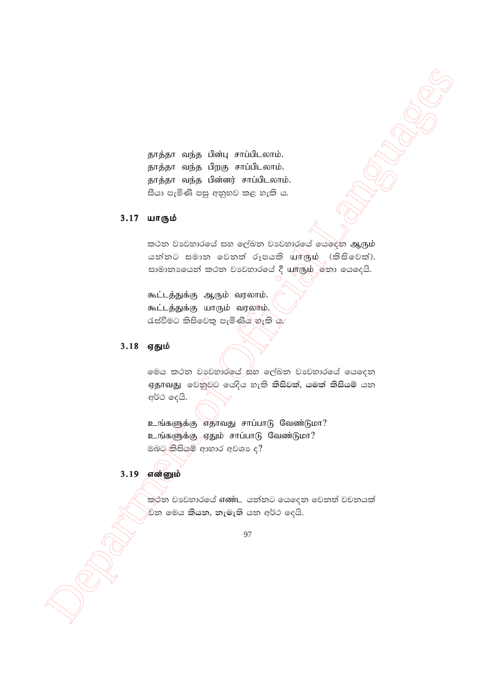தாத்தா வந்த பின்பு சாப்பிடலாம். தாத்தா வந்த பிறகு சாப்பிடலாம். தாத்தா வந்த பின்னர் சாப்பிடலாம். සීයා පැමිණි පසු අනුභව කළ හැකි ය.

# 3.17 யாரும்

කථන වාවහාරයේ සහ ලේඛන වාවහාරයේ යෙදෙන ஆரும் යන්නට සමාන වෙනත් රූපයකි யாரும் (කිසිවෙක්). සාමානායෙන් කථන වාවහාරයේ දී யாரும் හො යෙදෙයි.

கூட்டத்துக்கு ஆரும் வரலாம். கூட்டத்துக்கு யாரும் வரலாம்.  $\alpha$ ස්වීමට කිසිවෙකු පැමිණිය හැකි ය.

# $3.18$  ஏதும்

**STEAT suite Simily aviational.**<br>
Steady with form with cont.<br>  $\frac{1}{2}$  and  $\frac{1}{2}$  control cont.<br>  $\frac{1}{2}$  and  $\frac{1}{2}$  control control.<br>  $\frac{1}{2}$  control control control.<br>  $\frac{1}{2}$  control control control control @මය කථන වාවුහාරලය්\_සහ ලේඛන වාවහාරයේ යෙදෙන ஏதாவது වෙනුවට **යෙදිය හැකි කිසිවක්, යමක් කිසියම්** යන අර්ථ දෙයි.

உங்களுக்கு எதாவது சாப்பாடு வேண்டுமா? உங்களுக்கு<sub>)</sub> ஏதும் சாப்பாடு வேண்டுமா? ඔබට $\frac{1}{2}$ කිසියම් ආහාර අවශා ද $?$ 

# 3.19 என்னும்

කුථින වාපිහාරයේ **எண்ட** යන්නට යෙදෙන වෙනත් වචනයක් .<br>විත මෙය **කියත, තැමැති** යත අර්ථ දෙයි.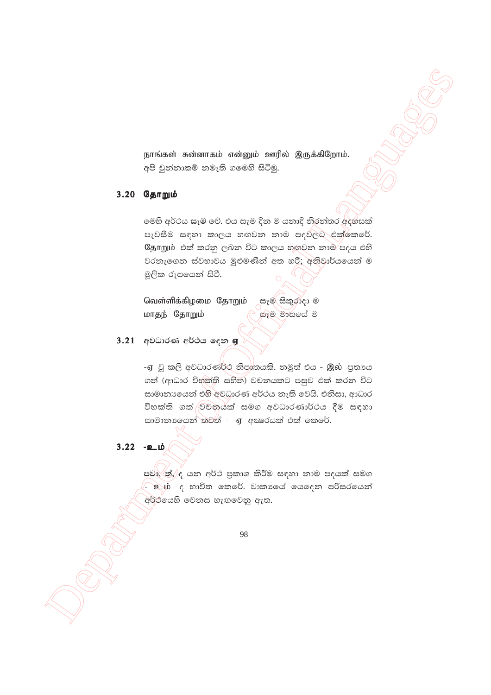நாங்கள் சுன்னாகம் என்னும் ஊரில் இருக்கிறோம். අපි චුන්නාකම් නමැති ගමෙහි සිටිමු.

# 3.20 தோறும்

මෙහි අර්ථය සැම වේ. එය සැම දින ම යනාදි නිරන්තර අදහසක් පැවසීම සඳහා කාලය හඟවන නාම පදවලට එක්කෙරේ. தோறும் එක් කරනු ලබන විට කාලය හඟුවන නාම පදය එහි වරනැගෙන ස්වභාවය මුළුමණින් අත හරී; අනිවාර්යයෙන් ම මූලික රූපයෙන් සිටී.

வெள்ளிக்கிழமை தோறும் கෑ@ கிஜ்ஜீ ? සෑම මාසයේ ම மாதந் தோறும்

# 3.21 අවධාරණ අර්ථය දෙන **ஏ**

-ஏ වූ කලි අවධාරණර්ථ නිපාතයකි. නමුත් එය - இல் පුතායෙ ගත් (ආධාර විභක්ති සහිත) වචනයකට පසුව එක් කරන විට සාමානායෙන් එහි අවධාරණ අර්ථය නැති වෙයි. එනිසා, ආධාර විභක්ති ගත් වචනයක් සමග අවධාරණාර්ථය දීම සඳහා සාමානායෙන් තවත් - -ஏ අකුරයක් එක් කෙරේ.

 $3.22 - 20$ 

පවා, ත්, ද යන අර්ථ පුකාශ කිරීම සඳහා නාම පදයක් සමග <u> වාග් ද භාවිත කෙරේ. වාකාගේ යෙදෙන පරිසරයෙන්</u> අර්ථයෙහි වෙනස හැඟවෙනු ඇත.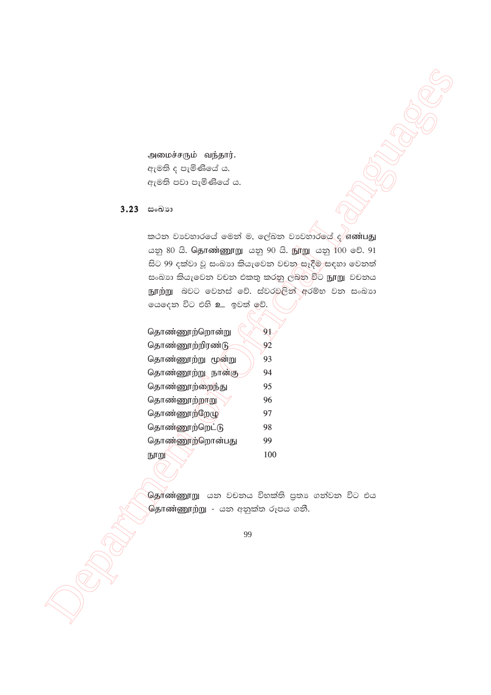அமைச்சரும் வந்தார். ඇමති ද පැමිණියේ ය. ඇමති පවා පැමිණියේ ය.

### 3.23 සංඛාන

කථන වානවහාරයේ මෙන් ම, ලේඛන වානවහාරයේ ද $/$ எண்பது ஜை 80 යි. தொண்ணூறு கஜ 90 යි. நூறு கஜ 100 වේ. 91 සිට 99 දක්වා වූ සංඛාග කියැවෙන වචන සෑදීම සඳහා වෙනත් සංඛාා කියැවෙන වචන එකතු කරනු ලබන විට நூறு වචනය நூற்று බවට වෙනස් වේ. ස්වරවලින් අරම්භ වන සංඛාග යෙදෙන විට එහි <u>உ</u> ඉවත් ලව්.

| தொண்ணூற்றொன்று                 | 91  |
|--------------------------------|-----|
| தொண்ணூற்றிரண்டு                | 92  |
| தொண்ணூற்று மூன்று              | 93  |
| தொண்ணூற்று <sub>்</sub> நான்கு | 94  |
| தொண்ணூற்றைந்து                 | 95  |
| தொண்ணூற்றாறு                   | 96  |
| தொண்ணூற்றேழு                   | 97  |
| தொண்ணூற்றெட்டு                 | 98  |
| தொண்ணூற்றொன்பது                | 99  |
| நூறு                           | 100 |

.<br>**ශිනුாண்ணூறு යන වචනය විභක්ති පුතා ගත්වන විට එය**  $\overline{\mathbb{G}}$ தாண்ணூற்று - යන අනුක්ත රූපය ගනී.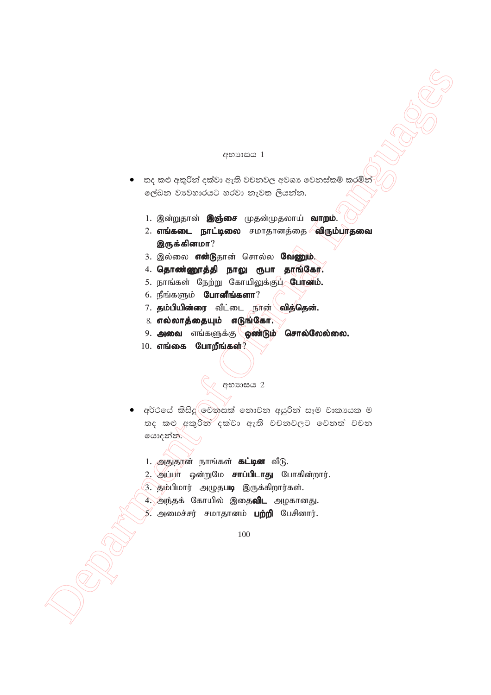#### අභාගසය 1

- තද කළු අකුරින් දක්වා ඇති වචනවල අවශා වෙනස්කම් කරමින් ලේඛන වාවහාරයට හරවා නැවත ලියන්න.
	- 1. இன்றுதான் **இஞ்சை** முதன்முதலாய் **வாறம்**.
	- 2. **எங்கடை நாட்டிலை** சமாதானத்தை **விரும்பாதவை** இருக்கினமா $?$
	- 3. இல்லை என்டுதான் சொல்ல வேணும்.
	- $4.$  தொண்ணூத்தி நாலு ரூபா தாங்கோ.
	- 5. நாங்கள் நேற்று கோயிலுக்குப்<sub>/</sub> **போனம்.**
	- $6.$  நீங்களும் போனீங்களா?
	- 7. தம்பியின்ரை வீட்டை நான் வித்தென்.
	- $8.$  எல்லாத்தையும் எடுங்கோ.
	- $9.$  அவை எங்களுக்கு ஜண்டும் சொல்லேல்லை.
	- $10.$  எங்கை போறீங்கள்?

# $\mathbb{Q}$  *erosses* 2

- $\begin{array}{lllllllll} \mathbf{C} & \text{for some } \mathbf{C} \in \mathbb{R}^n & \text{for some } \mathbf{C} \in \mathbb{R}^n & \text{for some } \mathbf{C} \in \mathbb{R}^n \text{ for some } \mathbf{C} \in \mathbb{R}^n \text{ for some } \mathbf{C} \in \mathbb{R}^n \text{ for some } \mathbf{C} \in \mathbb{R}^n \text{ for some } \mathbf{C} \in \mathbb{R}^n \text{ for some } \mathbf{C} \in \mathbb{R}^n \text{ for some } \mathbf{C} \in \mathbb{R}^n \text$ අර්ථයේ කිසිදු $\bigcirc$ වනසක් නොවන අයුරින් සෑම වාකායක ම තද කළු අකුරින් දක්වා ඇති වචනවලට වෙනත් වචන යොදන්න.
	- 1. அதுதான் நாங்கள் **கட்டின** வீடு.
	- 2. அப்பா ஒன்றுமே **சாப்பிடாது** போகின்றார்.
	- 3. தம்பிமார் அழுத**படி** இருக்கிறார்கள்.
	- 4. அந்தக் கோயில் இதை**விட** அழகானது.
	- 5. அமைச்சர் சமாதானம் **பற்றி** பேசினார்.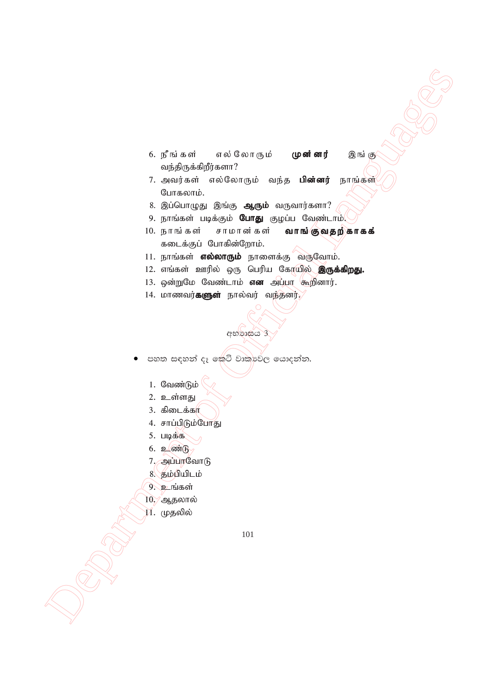- 6. நீங்கள் எல்லோரும் **முன்னர்** இங்கு வந்திருக்கிறீர்களா?
- 7. அவர்கள் எல்லோரும் வந்த **பின்னர்** நாங்கள் போகலாம்.
- 8. இப்பொழுது இங்கு **ஆரும்** வருவார்களா?
- 9. நாங்கள் படிக்கும் **போது** குழப்ப வேண்டாம்.
- 6. primation of Officers of Officers of Officers and the same of  $\mathcal{R}$  and  $\mathcal{R}$  and  $\mathcal{R}$  and  $\mathcal{R}$  and  $\mathcal{R}$  and  $\mathcal{R}$  and  $\mathcal{R}$  and  $\mathcal{R}$  and  $\mathcal{R}$  and  $\mathcal{R}$  and  $\mathcal{R}$  and  $\mathcal{R}$  and 10. நாங்கள் சாமானகள் **வாங்குவதற்காகக்** கடைக்குப் போகின்றோம்.
	- 11. நாங்கள் எல்லாரும் நாளைக்கு வருவோம்.
	- 12. எங்கள் ஊரில் ஒரு பெரிய கோயில் **இருக்கிறது.**
	- 13. ஒன்றுமே வேண்டாம் **என** அப்பா கூறினார்.

appeas 3

14. மாணவர்**களுள்** நால்வர் வந்தனர்.

පහත සඳහන් දෑ කේටි වාකාවේල යොදන්න.

- 1. வேண்டும்
- 2. உள்ளது
- $3.$  கிடைக்கா
- 4. சாப்பிடும்போது
- $5.$   $\Box$   $\phi$  $\ddot{\phi}$   $\ddot{\phi}$
- $6.$  2  $\omega$
- 7. அப்பரவோடு
- $8.$  தம்பியிடம்
- 9. உங்கள்
- 10. ஆதலால்
- $11.$  முதலில்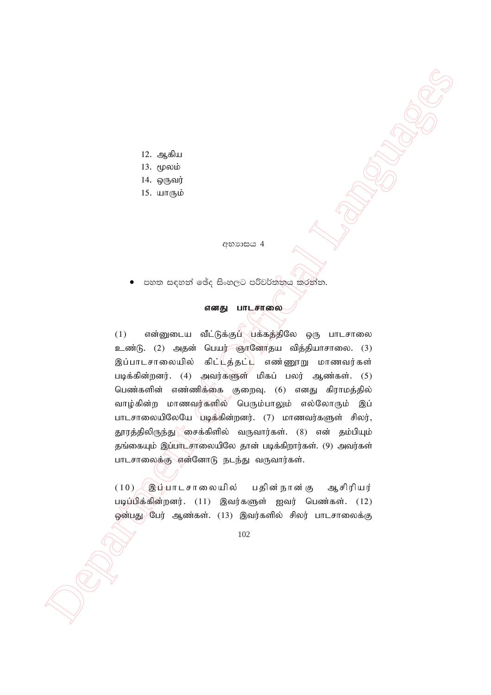- 12. ஆகிய
- 13. மூலம்
- $14.$  ஒருவர்
- 15. யாரும்

අභාගය 4

පහත සඳහන් ඡේද සිංහලට පරිවර්තනය කරන්න.

#### எனது பாடசாலை

 $\begin{array}{lllllllll} \textbf{12. & \textbf{a.g.} & \textbf{a.g.}\\ \textbf{22. & \textbf{a.g.} & \textbf{a.g.}\\ \textbf{33. & \textbf{0.g.}} & \textbf{14. & \textbf{0.g.} & \textbf{0.g.}\\ \textbf{45. & \textbf{0.g.}} & \textbf{0.g.}\\ \textbf{5. & \textbf{0.g.}} & \textbf{0.g.}\\ \textbf{6. & \textbf{0.g.}} & \textbf{0.g.}\\ \textbf{7. & \textbf{0.g.}} & \textbf{0.g.}\\ \textbf{8. & \textbf{0.g.}} & \textbf{$  $(1)$  என்னுடைய வீட்டுக்குப் $\Diamond$ பக்கத்திலே ஒரு பாடசாலை உண்டு. (2) அதன் பெயர் ஞானோதய வித்தியாசாலை. (3) இப்பாடசாலையில் கிட் $\overline{\mathsf{L}}$ த்தட் $\overline{\mathsf{L}}$  எண்ணூறு மாணவர்கள் படிக்கின்றனர்.  $(4)$  அவர்களுள் மிகப் பலர் ஆண்கள்.  $(5)$ பெண்களின் எண்ணிக்கை குறைவு. (6) எனது கிராமத்தில் வாழ்கின்ற மாணவர்களில் பெரும்பாலும் எல்லோரும் இப் பாடசாலையிலேயே படிக்கின்றனர். (7) மாணவர்களுள் சிலர், தூரத்திலிருந்து \ ீசைக்கிளில் வருவார்கள். (8) என் தம்பியும் தங்கையும் இப்பாடசாலையிலே தான் படிக்கிறார்கள். (9) அவர்கள் பாடசாலைக்கு என்னோடு நடந்து வருவார்கள்.

 $(10)$   $(20)$ ப்பாடசாலையில் பதின்நான்கு ஆசிரியர் படிப்பிக்கின்றனர்.  $(11)$  இவர்களுள் ஐவர் பெண்கள்.  $(12)$ ஓன்பது பேர் ஆண்கள். (13) இவர்களில் சிலர் பாடசாலைக்கு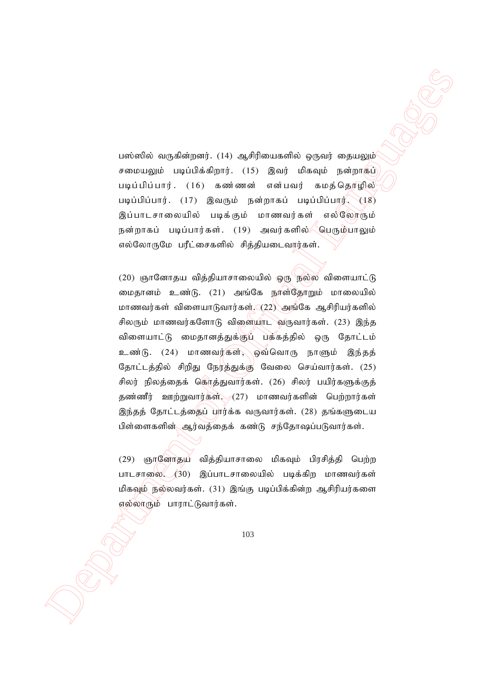பஸ்ஸில் வருகின்றனர். (14) ஆசிரியைகளில் ஒருவர் தையலும் சமையலும் படிப்பிக்கிறார்.  $(15)$  இவர் மிகவும் நன்றாகுப் படிப்பிப்பார்.  $(16)$  கண ணன் என்பவர் கமத்தொழில் படிப்பிப்பார். (17) இவரும் நன்றாகப் படிப்பிப்பார். (18) இப்பாடசாலையில் படிக்கும் மாணவர்கள் எல்லோரும் நன்றாகப் படிப்பார்கள். (19) அவர்களில் $\diagup$ பெரும்பாலும் எல்லோருமே பரீட்சைகளில் சித்தியடைவார்கள்.

ນທ່ານຕີ ແຫຼງຜົນສັງເໜ່ງ. (14) ຂອງທີງໂອເມສະຫັດວ່າ ຊາງແຫ່ງ ແຫຼງແໜ່ງ<br>ກອດສະມອນຂໍ ມອນເມືອດອີງກາງ. (15) ຂອງທີງໂອເມສະຫັດວ່າ ຊາງແຫ່ງ ແຫຼງແໜ່ງ<br>ກອດສະມອນຂໍ ມອນເມືອດອີງກາງ. (15) ຂອງທີ່ ອະດີດອີງການ ບໍ່ມາເປັນເຫາງ<br>10.000 ເປັນ 2000 ເປັນ  $(20)$  நோனோகய விக்கியாசாலையில் ஒரு நல்ல விளையாட்டு மைதானம் உண்டு. (21) அங்கே நாள்தோறும் மாலையில் மாணவர்கள் விளையாடுவார்கள் $\mathcal{L}(22)$  அங்கே ஆசிரியர்களில் சிலரும் மாணவர்களோடு விளையாட வருவார்கள்.  $(23)$  இந்த விளையாட்டு மைதானத்துக்குப் பக்கத்தில் ஒரு தோட்டம் உண்டு. (24) மாணவர்கள், ஒவ்வொரு நாளும் இந்தத் தோட்டத்தில் சிறிது நேரத்துக்கு வேலை செய்வார்கள். (25) சிலர் நிலத்தைக் கொத்துவார்கள். (26) சிலர் பயிர்களுக்குத் தண்ணீர் ஊற்றுவார்கள் $\sim$  (27) மாணவர்களின் பெற்றார்கள் இந்தத் தோட்டத்தைப் பார்க்க வருவார்கள். (28) தங்களுடைய பிள்ளைகளின் ஆர்வத்தைக் கண்டு சந்தோஷப்படுவார்கள்.

(29) ஞானோதய வித்தியாசாலை மிகவும் பிரசித்தி பெற்ற பாடசாலை.  $(30)$  இப்பாடசாலையில் படிக்கிற மாணவர்கள் மிகவும் நல்லவர்கள். (31) இங்கு படிப்பிக்கின்ற ஆசிரியர்களை  $\overline{\mathfrak{g}}$ ல்லாரும் பாராட்டுவார்கள்.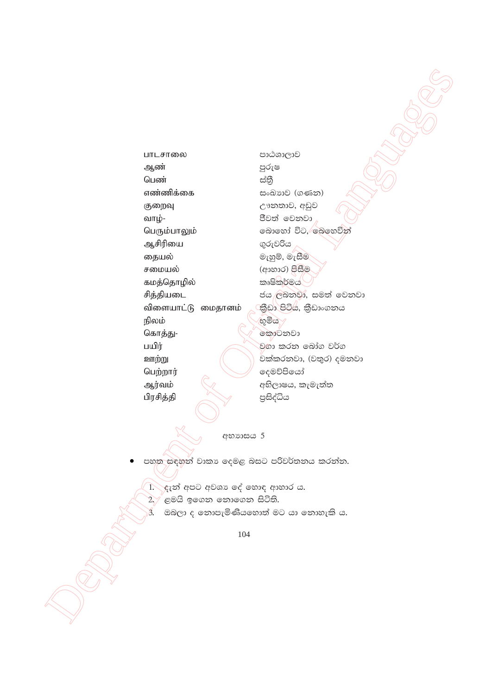பாடசாலை ஆண் பெண் எண்ணிக்கை குறைவு வாழ்-பெரும்பாலும் ஆசிரியை தையல் சமையல் கமத்தொழில் சித்தியடை விளையாட்டு மைதானம் நிலம் கொத்து-பயிர் ஊற்று பெற்றார் ஆர்வம் பிரசித்தி

පාඨශාලාව පුරුෂ ස්තී සංඛාාව (ගණන) ඌනතාව, අඩුව ජීවත් වෙනවා බොහෝ විට, බෙහෙවින් ගුරුවරිය මැහුම්, මැසීම (ආහාර) පිසීම කෘෂිකර්මය ජය ලබනවා, සමත් වෙනවා කීඩා පිටිය, කීඩාංගනය  $\otimes$ මිය $\vee$ ෩෩෩ වගා කරන බෝග වර්ග වක්කරනවා, (වතුර) දමනවා දෙමව්පියෝ අභිලාෂය, කැමැත්ත පුසිද්ධිය

අභාගාසය 5

පහත සඳහන් වාකා දෙමළ බසට පරිවර්තනය කරන්න.

1. දැන් අපට අවශා දේ හොඳ ආහාර ය.

ළමයි ඉගෙන නොගෙන සිටිති.  $\sum$ 

 $\overline{\mathcal{A}}$ 

ඔබලා ද තොපැමිණියහොත් මට යා තොහැකි ය.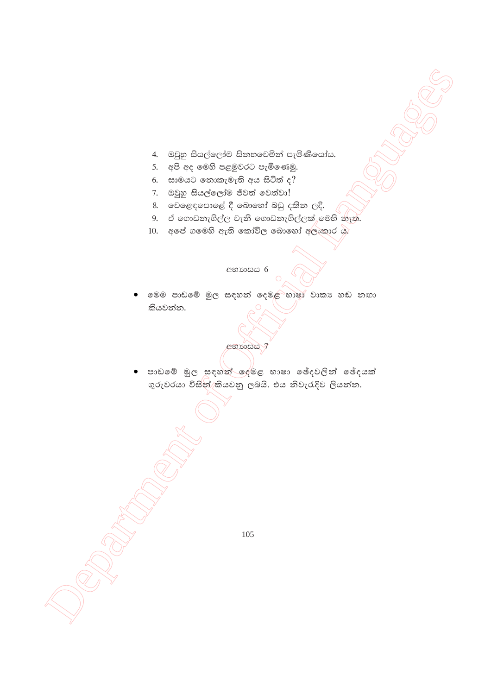- 4. ඔවුහු සියල්ලෝම සිනහවෙමින් පැමිණියෝය.
- 5. අපි අද මෙහි පළමුවරට පැමිණෙමු.
- $6.$  සාමයට නොකැමැති අය සිටිත් ද $?$
- 7. ඔවුහු සියල්ලෝම ජීවත් වෙත්වා!
- 8. වෙළෙඳපොළේ දී බොහෝ බඩු දකින ලදි.
- 9. ඒ ගොඩනැගිල්ල වැනි ගොඩනැගිල්ලක් මෙහි නැත.
- 10. අපේ ගමෙහි ඇති කෝවිල බොහෝ අලංකාර ය.

#### අභාගාසය 6

මෙම පාඩමේ මූල සඳහන් දෙමළ භාෂා වාකා හඬ නඟා කියවන්න.

අභාගයය 7

• පාඩමේ මුල සඳහන් දෙමළ භාෂා ඡේදවලින් ඡේදයක් ගුරුවරයා විසින්/කියවනු ලබයි. එය නිවැරැදිව ලියන්න.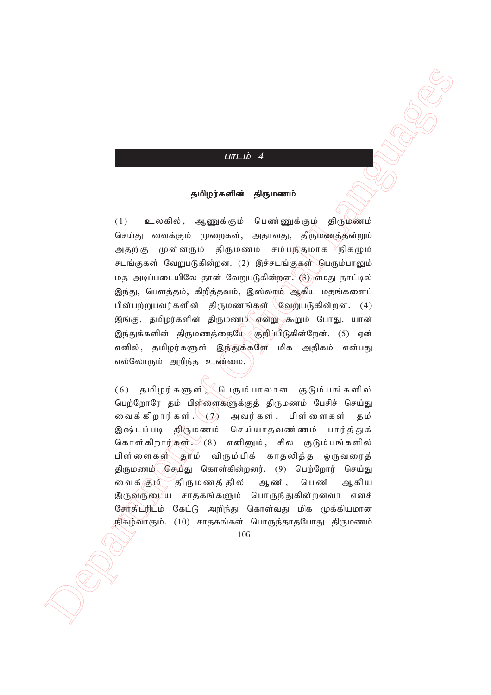# $L$  $\overline{u}$  $\overline{L}$  $\overline{b}$  $\overline{4}$

#### தமிழர்களின் திருமணம்

 $\label{eq:21} \begin{array}{ll} \mbox{\textbf{(a)}} & \mbox{\textbf{(b)}} & \mbox{\textbf{(c)}} & \mbox{\textbf{(d)}} \\ \mbox{\textbf{(a)}} & \mbox{\textbf{(a)}} & \mbox{\textbf{(a)}} & \mbox{\textbf{(a)}} \\ \mbox{\textbf{(b)}} & \mbox{\textbf{(a)}} & \mbox{\textbf{(a)}} & \mbox{\textbf{(a)}} & \mbox{\textbf{(a)}} \\ \mbox{\textbf{(b)}} & \mbox{\textbf{(b)}} & \mbox{\textbf{(b)}} & \mbox{\textbf{(b)}} & \mbox{\textbf{(b)}} \\ \mbox{\textbf{(b)}} & \mbox{\textbf{(b)}} & \mbox{\text$  $(1)$  உலகில், ஆணுக்கும் பெண்ணுக்கும் திருமணம் செய்து வைக்கும் முறைகள், அதாவது, திருமணத்தன்றும் அதற்கு முன்னரும் திருமணம் சம்பந்தமாக<sup>)</sup>நிகழும் சடங்குகள் வேறுபடுகின்றன. (2) இச்சடங்குகள் பெரும்பாலும் மத அடிப்படையிலே தான் வேறுபடுகின்றன. (3) எமது நாட்டில் இந்து, பௌத்தம், கிறித்தவம், இஸ்லாம் ஆகிய மதங்களைப் பின்பற்றுபவர்களின் திருமணங்கள் $\sqrt{2\pi}$ யிறுபடுகின்றன.  $(4)$ இங்கு, தமிழர்களின் திருமணம் என்று கூறும் போது, யான் இந்துக்களின் திருமணத்தையே சூறிப்பிடுகின்றேன். (5) ஏன் எனில், தமிழர்களுள் இந்துக்களே மிக அதிகம் என்பது எல்லோரும் அறிந்த உண்மை.

 $(6)$  தமிழர்களுள் $\searrow$ பெரும்பாலான குடும்பங்களில் பெற்றோரே தம் பிள்ளைகளுக்குத் திருமணம் பேசிச் செய்து வைக்கிறார்கள். $\setminus\zeta$  அவர்கள், பிள்ளைகள் தம் இஷ்டப்படி திருமணம் செய்யாதவண்ணம் பார்த்துக் கொள்கிறார்கள் $\mathcal{L}(\mathbf{8})$  எனினும், சில குடும்பங்களில் பிள்ளைகள் தாம் விரும்பிக் காதலித்த ஒருவரைத் திருமணம் $\sqrt{\omega}$ சுயீது கொள்கின்றனர். (9) பெற்றோர் செய்து வைக்கு ம திருமணத்தில் ஆண், பெண் ஆகிய இருவருடைய சாதகங்களும் பொருந்துகின்றனவா எனச் சேர்திட்ரிட்ம் கேட்டு அறிந்து கொள்வது மிக முக்கியமான நிகழ்வாகும். (10) சாதகங்கள் பொருந்தாதபோது திருமணம்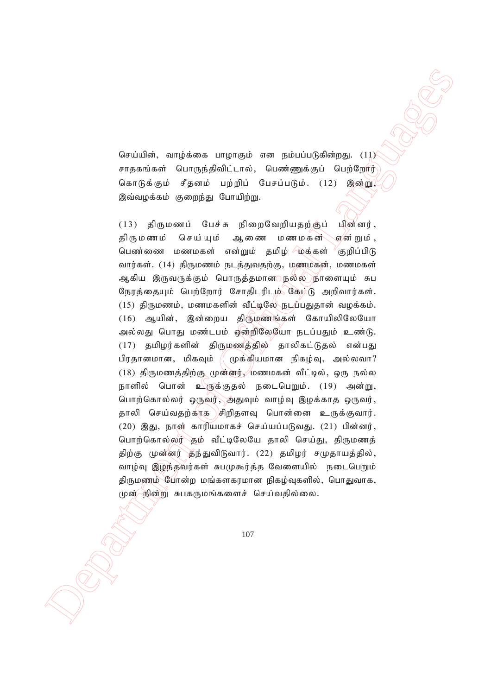செய்யின், வாழ்க்கை பாழாகும் என நம்பப்படுகின்றது. (11) சாதகங்கள் பொருந்திவிட்டால், பெண்ணுக்குப் பெற்றோர் கொடுக்கும் சீதனம் பற்றிப் பேசப்படும்.  $(12)$  இன்று, இவ்வழக்கம் குறைந்து போயிற்று.

 $(a\cdot p)\hat{d}ab, \quad \text{surrho} \text{ is a unique, } \quad (a\cdot p)\hat{d}ab, \quad (b\cdot p)\hat{d}ab, \quad (c\cdot p)\hat{d}ab, \quad (d\cdot p)\hat{d}ab, \quad (e\cdot p)\hat{d}ab, \quad (f\cdot p)\hat{d}ab, \quad (g\cdot p)\hat{d}ab, \quad (h\cdot p)\hat{d}ab, \quad (i\cdot p)\hat{d}ab, \quad (j\cdot p)\hat{d}ab, \quad (k\cdot p)\hat{d}ab, \quad (k\cdot p)\hat{d}ab, \quad (l\cdot p)\hat{d}ab, \quad (l\cdot p)\hat{d$  $(13)$  திருமணப் பேச்சு நிறைவேறியதற்குப் பின்னர், திருமணம் செய்யும் ஆணை மணமகன் என்றும், பெண்ணை மணமகள் என்றும் தமிழ் ⁄மத்கள் <sup>√</sup>குறிப்பிடு வார்கள். (14) திருமணம் நடத்துவதற்கு, மணமகன், மணமகள் ஆகிய இருவருக்கும் பொருத்தமான நல்ல நாளையும் சுப நேரத்தையும் பெற்றோர் சோதிடரிடம் கேட்டு அறிவார்கள்.  $(15)$  திருமணம், மணமகளின் வீட்டிலே நடிப்பதுதான் வழக்கம். (16) ஆயின், இன்றைய திருமுணங்கள் கோயிலிலேயோ அல்லது பொது மண்டபம் ஒன்றிலேயோ நடப்பதும் உண்டு. (17) தமிழர்களின் திருமணத்தில் தாலிகட்டுதல் என்பது பிரதானமான, மிகவும்  $\parallel$  முக்கியமான நிகழ்வு, அல்லவா?  $(18)$  திருமணத்திற்கு முன்னர், மணமகன் வீட்டில், ஒரு நல்ல நாளில் பொன் உளுக்குதல் நடைபெறும். (19) அன்று, பொற்கொல்லர் ஒருவர், அதுவும் வாழ்வு இழக்காத ஒருவர், தாலி செய்வதற்காக சிறிதளவு பொன்னை உருக்குவார்.  $(20)$  இது, நாள் காரியமாகச் செய்யப்படுவது.  $(21)$  பின்னர், பொற்கொல்லர் கும் வீட்டிலேயே தாலி செய்து, திருமணத் திற்கு முன்னர் தந்துவிடுவார். (22) தமிழர் சமுதாயத்தில், வாழ்வு இழந்தவர்கள் சுபமுகூர்த்த வேளையில் நடைபெறும் திருமணம் போன்ற மங்களகரமான நிகழ்வுகளில், பொதுவாக, முன் நின்று சுபகருமங்களைச் செய்வதில்லை.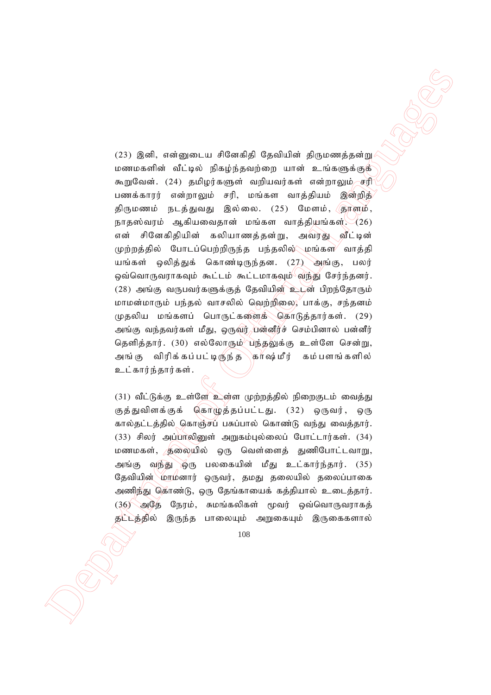23) (βασί), από μημα με εθανασία (βαραδιαία εθαγκεται και με το Ολλαδα (βαραδιαία εθαγκεται και με το Ολλαδα (βαραδιαία εθαγκεται και με το Ολλαδα (βαραδιαία (βαραδιαία (βαραδιαία (βαραδιαία (βαραδιαία Δαραδα)<br>
παρτίων κ  $(23)$  இனி, என்னுடைய சினேகிதி தேவியின் திருமணத்தன்று மணமகளின் வீட்டில் நிகழ்ந்தவற்றை யான் உங்களுக்குக் கூறுவேன். (24) தமிழர்களுள் வறியவர்கள் என்றாலும் சரி பணக்காரர் என்றாலும் சரி, மங்கள வாத்தியம் இன்றித் திருமணம் நடத்துவது இல்லை. (25) மேளம், தொளம், நாதஸ்வரம் ஆகியவைதான் மங்கள வாத்தியங்கள்,  $(26)$ என் சினேகிதியின் கலியாணத்தன்று, அவரது வீட்டின்  $\langle \psi \rangle$ ற்றத்தில் போடப்பெற்றிருந்த பந்தலில் $\gtrsim$ மங்கள $\sim$  வாத்தி யங்கள் ஒலித்துக் கொண்டிருந்தன. (27) அங்கு, பலர் <u>ஒ</u>வ்வொருவராகவும் கூட்டம் கூட்டமாகவும் விந்து சேர்ந்கனர்.  $(28)$  அங்கு வருபவர்களுக்குத் தேவியின் உடன் பிறந்தோரும் மாமன்மாரும் பந்தல் வாசலில் வெற்றிலை, பாக்கு, சந்தனம் முதலிய மங்களப் பொருட்களைக் கொடுத்தார்கள். (29) அங்கு வந்தவர்கள் மீது, ஒருவர் பன்னீர்ச் செம்பினால் பன்னீர் தெளித்தார். (30) எல்லோரும் பந்தலுக்கு உள்ளே சென்று, அங்கு விரிக்கப்பட்டிருந்த காஷ்மீர் கம்பளங்களில் உட்கார்ந்தார்கள்.

 $(31)$  வீட்டுக்கு உள்ளே உள்ள முற்றத்தில் நிறைகுடம் வைத்து குத்துவிளக்குக் கொழுத்தப்பட்டது. (32) ஒருவர், ஒரு கால்தட்டத்தில் கொஞ்சப் பசுப்பால் கொண்டு வந்து வைத்தார்.  $(33)$  சிலர் அப்பாலினுள் அறுகம்புல்லைப் போட்டார்கள்.  $(34)$ மணமகள், தலையில் ஒரு வெள்ளைத் துணிபோட்டவாறு, அங்கு வந்து ஒரு பலகையின் மீது உட்கார்ந்தார். (35) தேவியின் மாமனார் ஒருவர், தமது தலையில் தலைப்பாகை அணிந்து கொண்டு, ஒரு தேங்காயைக் கத்தியால் உடைத்தார்.  $(36)$  அடுத நேரம், சுமங்கலிகள் மூவர் ஒவ்வொருவராகத் தட்டத்தில் இருந்த பாலையும் அறுகையும் இருகைகளால்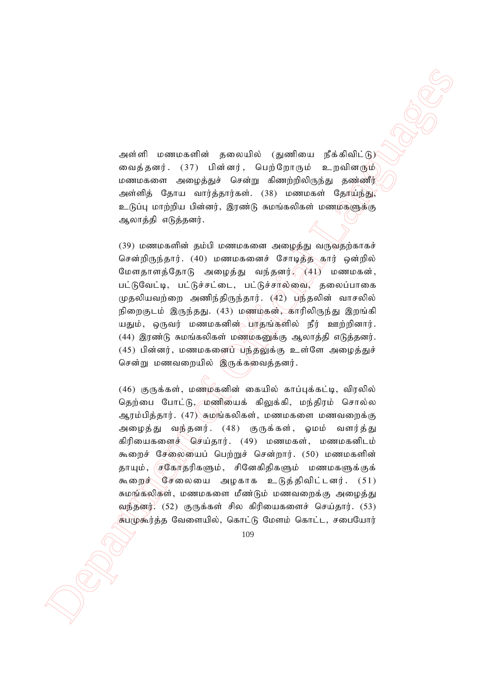அள்ளி மணமகளின் தலையில் (துணியை நீக்கிவிட்டு) வைத்தனர். (37) பின்னர், பெற்றோரும் உறவினரும் மணமகளை அழைத்துச் சென்று கிணற்றிலிருந்து தண்ணீர் அள்ளித் தோய வார்த்தார்கள். (38) மணமகள் தேர்யந்து, உடுப்பு மாற்றிய பின்னர், இரண்டு சுமங்கலிகள் மணமகளுக்கு ஆலாத்தி எடுத்தனர்.

 $(39)$  மணமகளின் தம்பி மணமகனை அழைத்து வருவதற்காகச் சென்றிருந்தார். (40) மணமகனைச் சோடித்த கார் ஒன்றில் மேளதாளத்தோடு அழைத்து வந்தனர் $\bigcap (41)$  மணமகன், பட்டுவேட்டி, பட்டுச்சட்டை, பட்டுச்சால்வை, தலைப்பாகை முதலியவற்றை அணிந்திருந்தார்.  $(42)$  பந்தலின் வாசலில் நிறைகுடம் இருந்தது. (43) மணமகன், காரிலிருந்து இறங்கி யதும், ஒருவர் மணமகனின் $\simeq$ பரதங்களில் நீர் ஊற்றினார்.  $(44)$  இரண்டு சுமங்கலிகள் மணமகனுக்கு ஆலாத்தி எடுத்தனர்.  $(45)$  பின்னர், மணமகனைப் பந்தலுக்கு உள்ளே அழைத்துச் சென்று மணவறையில் இருக்கவைத்தனர்.

According the Secondary of Gaussian Controller (Alexander)<br>
Secondary of Controller (Alexander)<br>
Department of Official Canadia Capital Capital Capital Capital Capital Capital Capital Capital Capital Capital Capital Capit  $(46)$  குருக்கள், மணம்கனின் கையில் காப்புக்கட்டி, விரலில் தெற்பை போட்டு, மணியைக் கிலுக்கி, மந்திரம் சொல்ல ஆரம்பித்தார்.  $(47)$  சுமங்கலிகள், மணமகளை மணவறைக்கு அழைத்து வந்தனர். (48) குருக்கள், ஓமம் வளர்த்து கிரியைகளைச் செய்தார். (49) மணமகள், மணமகனிடம் கூறைச் சேலையைப் பெற்றுச் சென்றார். (50) மணமகளின் காயும், செகோதரிகளும், சினேகிதிகளும் மணமகளுக்குக் கூறைச் சேலையை அழகாக உடுத்திவிட்டனர்.  $(51)$ சுமங்கலிகள், மணமகளை மீண்டும் மணவறைக்கு அமைத்து வந்தனர்.<sup>2</sup> (52) குருக்கள் சில கிரியைகளைச் செய்தார். (53) சுபமுகூர்த்த வேளையில், கொட்டு மேளம் கொட்ட, சபையோர்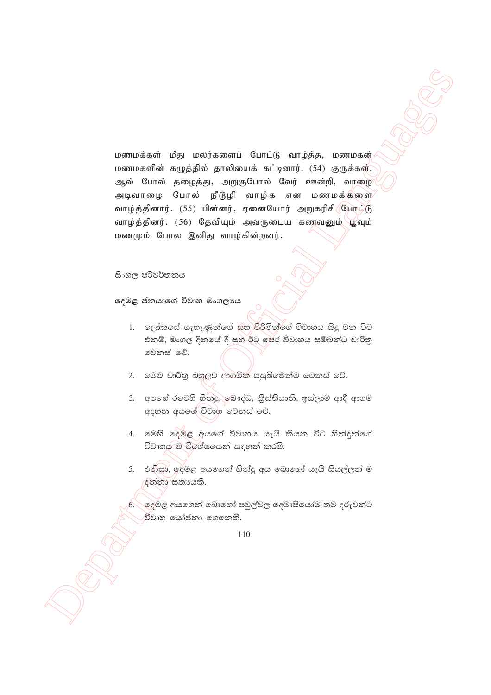மணமக்கள் மீது மலர்களைப் போட்டு வாழ்த்த, மணமகன் மணமகளின் கழுத்தில் தாலியைக் கட்டினார். (54) குருக்கள், ஆல் போல் தழைத்து, அறுகுபோல் வேர் ஊன்றி, வரழை அடிவாழை போல் நீடுழி வாழ்க என மணமக்களை வாழ்த்தினார். (55) பின்னர், ஏனையோர் அறுகரிசி போட்டு வாழ்த்தினர். (56) தேவியும் அவருடைய கணவனும் பூவும் மணமும் போல இனிது வாழ்கின்றனர்.

### සිංහල පරිවර්තනය

දෙමළ ජනයාගේ විවාහ මංගලාය

- 1. ලෝකයේ ගැහැණුන්ගේ සහ පිරිමින්ගේ විවාහය සිදු වන විට එනම්, මංගල දිනයේ දී සහ ඊට පෙර විවාහය සම්බන්ධ චාරිතු මෙනස් වේ.
- මෙම චාරිතු බහුලව ආගමික පසුබිමෙන්ම වෙනස් වේ.  $2.$
- 3. අපගේ රටෙහි හිත්දු, බෞද්ධ, කිස්තියානි, ඉස්ලාම් ආදී ආගම් අදහන අයගේ විවාහ වෙනස් වේ.
- 4. මෙහි දෙමළ අයගේ විවාහය යැයි කියන විට හින්දුන්ගේ විවාහය ම විශේෂයෙන් සඳහන් කරමි.
- 5. එනිසා, ඉදමළ අයගෙන් හින්දු අය බොහෝ යැයි සියල්ලන් ම ඳුන්නා සතායකි.

ලදුමළ අයගෙන් බොහෝ පවුල්වල දෙමාපියෝම තම දරුවන්ට විවාහ යෝජනා ගෙනෙති.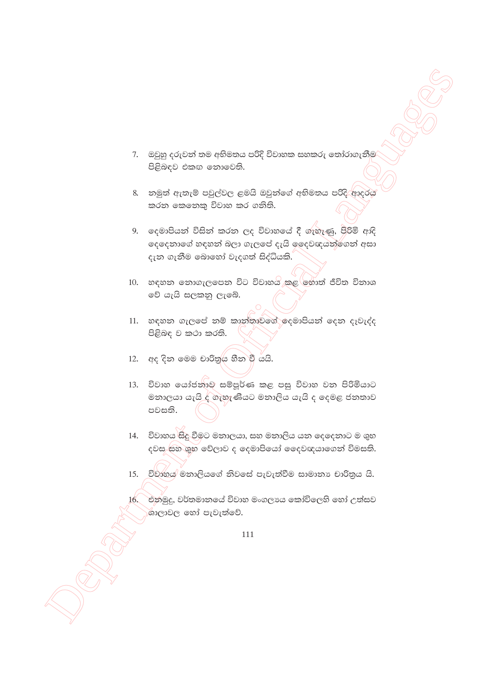- 7. ඔවුහු දරුවන් තම අභිමතය පරිදි විවාහක සහකරු තෝරාගැනීම පිළිබඳව එකඟ නොවෙති.
- 8. නමුත් ඇතැම් පවුල්වල ළමයි ඔවුන්ගේ අභිමතය පරිදි/ආදරය කරන කෙනෙකු විවාහ කර ගනිති.
- 9. දෙමාපියන් විසින් කරන ලද විවාහයේ දී ගැහැණු, පිරිමි ආදි දෙදෙනාගේ හඳහන් බලා ගැලපේ දැයි ඉදෙවඥයන්ගෙන් අසා දැන ගැනීම බොහෝ වැදගත් සිද්ධියකි.
- 10. හඳහන තොගැලපෙන විට විවාහය කළ හොත් ජීවිත විනාශ වේ යැයි සලකනු ලැබේ.
- 11. හඳහන ගැලපේ නම් කාන්තාව්ගේ දෙමාපියන් දෙන දෑවැද්ද පිළිබඳ ව කථා කරති.
- 12. අද දින මෙම චාරිතුය හීන වී යයි.
- 13. විවාහ යෝජනාව සම්පූර්ණ කළ පසු විවාහ වන පිරිමියාට මනාලයා යැයි ද ගැහැණියට මනාලිය යැයි ද දෙමළ ජනතාව පවසති.
- 14. විවාහය සිදු වීමට මනාලයා, සහ මනාලිය යන දෙදෙනාට ම ශුභ දවස සහ ශුභ වේලාව ද ලදමාපියෝ දෛවඥයාගෙන් විමසති.
- විවාහය මනාලියගේ නිවසේ පැවැත්වීම සාමානා චාරිතුය යි. 15.
- 16. එනමුදු, වර්තමානයේ විවාහ මංගලාය කෝවිලෙහි හෝ උත්සව ශාලාවල හෝ පැවැත්වේ.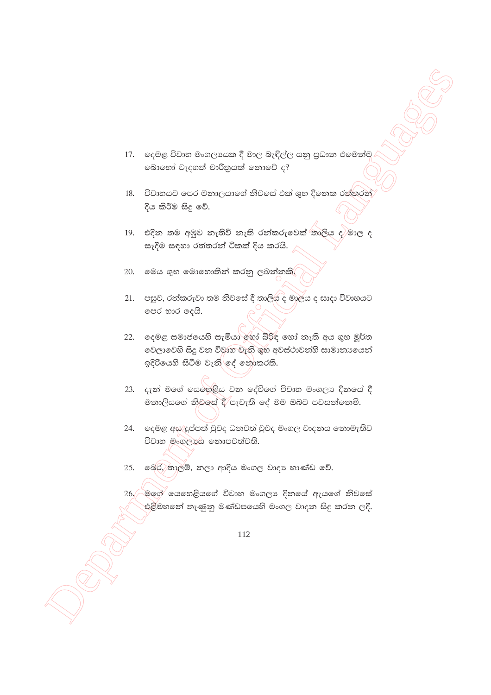- 17. දෙමළ විවාහ මංගලායක දී මාල බැඳිල්ල යනු පුධාන එමෙන්ම බොහෝ වැදගත් චාරිතුයක් නොවේ ද?
- 18. විවාහයට පෙර මනාලයාගේ නිවසේ එක් ශුභ දිනෙක රත්තරන් දිය කිරීම සිදු වේ.
- 19. එදින තම අඹුව නැතිවී නැති රන්කරුවෙක් තාලිය ද/මාල ද සෑදීම සඳහා රත්තරන් ටිකක් දිය කරයි.
- 20. මෙය ශුභ මොහොතින් කරනු ලබන්නකි.
- 21. පසුව, රත්කරුවා තම නිවසේ දී තාලියි ද මාලය ද සාදා විවාහයට පෙර භාර දෙයි.
- 22. ලෙමළ සමාජයෙහි සැමියා හෝ බිරිඳ හෝ තැති අය ශුභ මූර්ත වෙලාවෙහි සිදු වන විවාහ වැනි ශුභ අවස්ථාවන්හි සාමානායෙන් ඉදිරියෙහි සිටීම වැනි ලද් නොකරති.
- 23. දැන් මගේ යෙහෙළිය වන දේවිගේ විවාහ මංගලා දිනයේ දී මනාලියගේ නිවසේ දී පැවැති දේ මම ඔබට පවසන්නෙමි.
- 24. ලෙමළ අස දුප්පත් වුවද ධනවත් වුවද මංගල වාදනය නොමැතිව විවාහ මංගලායෙ නොපවත්වති.
- 25. බෙර/තාලම්, නලා ආදිය මංගල වාදා භාණ්ඩ වේ.
- 26. මගේ යෙහෙළියගේ විවාහ මංගලා දිනයේ ඇයගේ නිවසේ එළීමහතේ තැණුනු මණ්ඩපයෙහි මංගල වාදන සිදු කරන ලදී.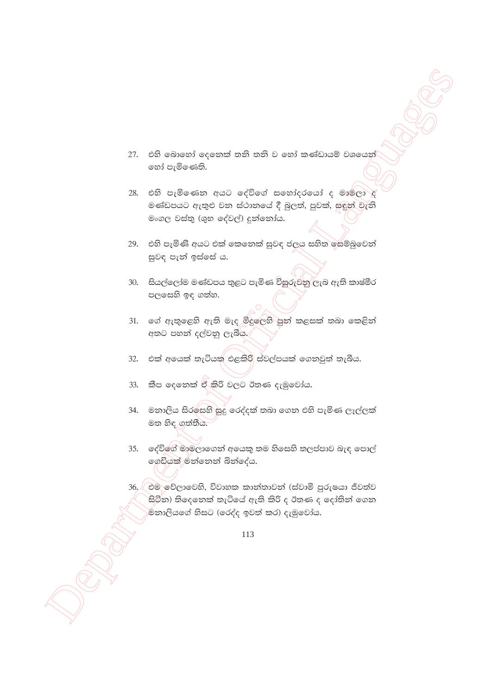- 27. එහි බොහෝ දෙනෙක් තනි තනි ව හෝ කණ්ඩායම් වශයෙන් හෝ පැමිණෙති.
- 28. එහි පැමිණෙන අයට දේවිගේ සහෝදරයෝ ද මාම්ලා ද මණ්ඩපයට ඇතුළු වන ස්ථානයේ දී බුලත්, පුවක්, සඳුන් වැනි මංගල වස්තු (ශුභ දේවල්) දුන්නෝය.
- 29. එහි පැමිණි අයට එක් කෙනෙක් සුවඳ ජලය සහිත සෙම්බුවෙන් සුවඳ පැන් ඉස්සේ ය.
- 30. සියල්ලෝම මණ්ඩපය තුළට පැමිණ විසුරුවනු ලැබ ඇති කාෂ්මීර පලසෙහි ඉඳ ගත්හ.
- 31. ගේ ඇතුළෙහි ඇති මැද මිදුලෙහි පුන් කළසක් තබා කෙළින් අතට පහත් දල්වනු ලැබීය.⁄
- $32.$ එක් අයෙක් තැටියකු එළකිරි ස්වල්පයක් ගෙනවුත් තැබීය.
- කීප දෙනෙක් ඒ කිරි වලට ඊතණ දැමුවෝය. 33.
- 34. මනාලිය සිරසෙහි සුදු රෙද්දක් තබා ගෙන එහි පැමිණ ලෑල්ලක් මත හිඳ ගත්තීය.
- 35. ෙදේවිගේ මාමලාගෙන් අයෙකු තම හිසෙහි තලප්පාව බැඳ පොල් ගෙඩියක් මන්නෙන් බින්දේය.
- 36, එම වේලාවෙහි, විවාහක කාන්තාවන් (ස්වාමි පුරුෂයා ජීවත්ව සිටින) තිදෙනෙක් තැටියේ ඇති කිරි ද ඊතණ ද දෝතින් ගෙන .<br>මිනාලියගේ හිසට (රෙද්ද ඉවත් කර) දැමුවෝය.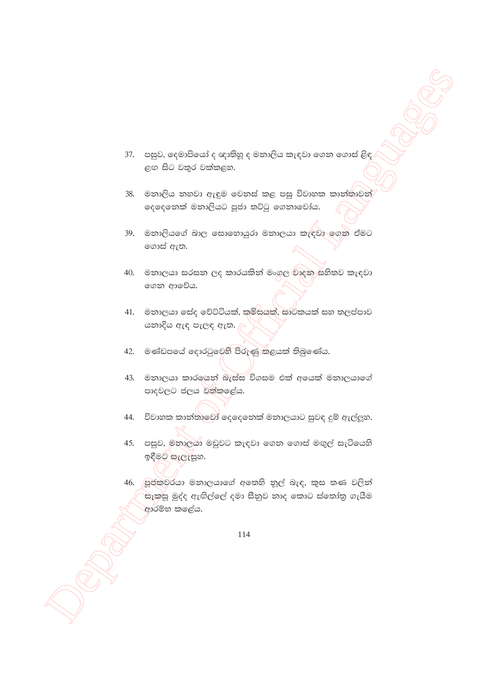- 37. පසුව, දෙමාපියෝ ද ඥාතිහූ ද මනාලිය කැඳවා ගෙන ගොස් ළිඳ ළඟ සිට වතුර වක්කළහ.
- 38. මනාලිය නහවා ඇඳුම වෙනස් කළ පසු විවාහක කාන්තාවන් දෙදෙනෙක් මනාලියට පූජා තට්ටු ගෙනාවෝය.
- 39. මනාලියගේ බාල සොහොයුරා මනාලයා කැඳවා ගෙන් ඒමට ගොස් ඇත.
- 40. මනාලයා සරසන ලද කාරයකින් මංගල වාදන සහිතව කැඳවා ගෙන ආවේය.
- 41. මනාලයා සේද වේට්ටියක්, කමිසයුක්, සාටකයක් සහ තලප්පාව යනාදිය ඇඳ පැලඳ ඇත.
- 42. මණ්ඩපයේ දොරටුවෙහි පිරුණු කළයක් තිබුණේය.
- 43. මනාලයා කාරලයින් බැස්ස විගසම එක් අයෙක් මනාලයාගේ පාදවලට ජලය වත්කළේය.
- 44. විවාහක කාත්තාවෝ දෙදෙනෙක් මනාලයාට සුවඳ දුම් ඇල්ලූහ.
- 45. පසුව, මතාලයා මඩුවට කැඳවා ගෙන ගොස් මඟුල් සැටියෙහි ඉඳීමට සැලැසූහ.
- 46. පුජකුවරයා මනාලයාගේ අතෙහි නුල් බැඳ, කුස තණ වලින් සැකසූ මුද්ද ඇඟිල්ලේ දමා සීනුව නාද කොට ස්තෝතු ගැයීම ආරම්භ කලේය.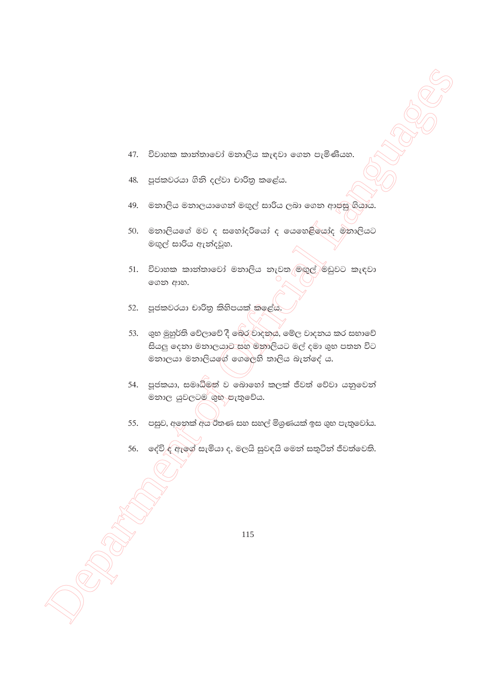- විවාහක කාන්තාවෝ මනාලිය කැඳවා ගෙන පැමිණියහ. 47.
- පූජකවරයා ගිනි දල්වා චාරිතු කළේය. 48.
- මනාලිය මනාලයාගෙන් මඟුල් සාරිය ලබා ගෙන ආපසු ගියාය. 49.
- 50. මනාලියගේ මව ද සහෝදරියෝ ද යෙහෙළියෝද මනාලියට මඟුල් සාරිය ඇත්දවූහ.
- 51. විවාහක කාන්තාවෝ මනාලිය නැවත මඟුල් මඩුවට කැඳවා ගෙන ආහ.
- 52. පූජකවරයා චාරිතු කිහිපයක් කලේය.
- 53. ශුභ මුහුර්ති වේලාවේ දී බෙර වාදනය, මේල වාදනය කර සභාවේ සියලු දෙනා මනාලයාට සහ මනාලියට මල් දමා ශුභ පතන විට මනාලයා මනාලියගේ ගෙලෙහි තාලිය බැන්දේ ය.
- 54. පූජකයා, සමෘධීමත් ව බොහෝ කලක් ජීවත් වේවා යනුවෙන් මනාල යුවලටම ශුභ පැතුවේය.
- 55. පසුව, අනෙක් අය ඊතණ සහ සහල් මිශුණයක් ඉස ශුභ පැතුවෝය.
- 56. දේවි ද ඇගේ සැමියා ද, මලයි සුවඳයි මෙන් සතුටින් ජීවත්වෙති.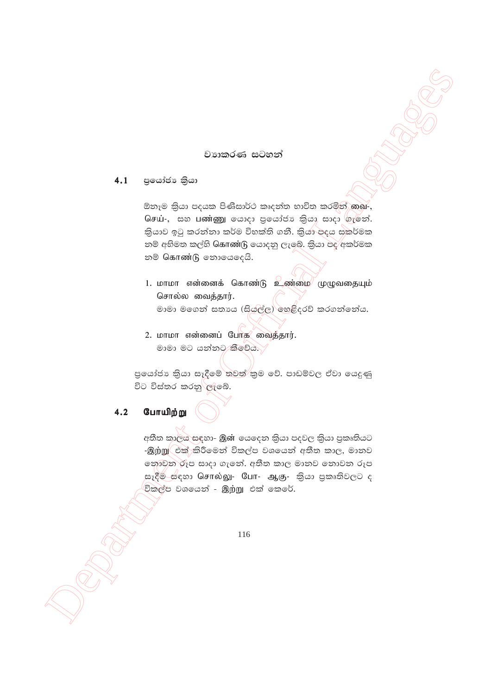## වාහතරණ සටහන්

 $4.1$ පුයෝජා කියා

> ඕනෑම කියා පදයක පිණිසාර්ථ කෘදන්ත භාවිත කරමින් ගබු-, செய்-, සහ பண்ணு கொஜை குக்கிக்க இது காஜ் சென். කියාව ඉටු කරන්නා කර්ම විභක්ති ගනී. කියා පදය සකර්මක නම් අභිමත කල්හි கொண்டு යොදනු ලැබේ. කියා පද අකර්මක  $\mathfrak{D}$ ® கொண்டு உைைக்

- 1. மாமா என்னைக் கொண்டு உண்மை முழுவதையும் சொல்ல வைக்கார். මාමා මගෙන් සතායෙ (සියුල්ල) හෙළිදරව් කරගන්නේය.
- 2. மாமா என்னைப் போக வைத்தார். මාමා මට යන්නට කීවේය.

පුයෝජා කියා සෑදීමේ තවත් කුම වේ. පාඩම්වල ඒවා යෙදුණු විට විස්තර කරනු ලැබේ.

### போயிற்று  $4.2$

අතීත කාලය සඳහා- இன் ගෙදෙන කියා පදවල කියා පුකෘතියට -இற்று එක් කිරීමෙන් විකල්ප වශයෙන් අතීත කාල, මානව නොවත රූප සාදා ගැනේ. අතීත කාල මානව නොවන රූප සෑදීම සඳහා சொல்லு- போ- ஆகு- කියා පුකෘතිවලට ද විකල්ප වශයෙන් - இற்று එක් කෙරේ.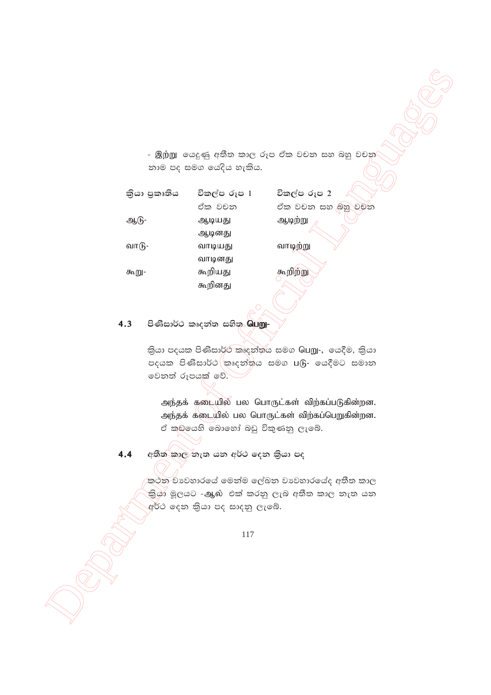|                                                                                   |                                     | - இற்று  යෙදුණු අතීත කාල රූප ඒක වචන සහ බහු වචන     |  |
|-----------------------------------------------------------------------------------|-------------------------------------|----------------------------------------------------|--|
|                                                                                   | නාම පද සමග යෙදිය හැකිය.             |                                                    |  |
| තියා පුකෘතිය                                                                      | විකල්ප රූප 1                        | විකල්ප රූප 2                                       |  |
|                                                                                   | ඒක වචන                              | ඒක වචන සහ බහු වචන                                  |  |
| ஆடு-                                                                              | ஆடியது                              | ஆடிற்று                                            |  |
|                                                                                   | ஆடினது                              |                                                    |  |
| வாடு-                                                                             | வாடியது                             | வாடிற்று                                           |  |
| கூறு-                                                                             | வாடினது<br>கூறியது                  | கூறிற்று                                           |  |
|                                                                                   | கூறினது                             |                                                    |  |
|                                                                                   |                                     |                                                    |  |
|                                                                                   |                                     |                                                    |  |
| 4.3                                                                               | පිණිසාර්ථ කෘදන්ත සහිත <b>ිබµறு-</b> |                                                    |  |
|                                                                                   |                                     | කියා පදයක පිණිසාර්ථ කෘදන්තය සමග Guறு-, යෙදීම, කියා |  |
|                                                                                   |                                     | පදයක පිණිසාර්ථ කෘදන්තය සමග ⊔டு- යෙදීමට සමාන        |  |
|                                                                                   | වෙනත් රූපයක් වේ.                    |                                                    |  |
|                                                                                   |                                     |                                                    |  |
|                                                                                   |                                     | அந்தக் கடையில் பல பொருட்கள் விற்கப்படுகின்றன.      |  |
| அந்தக் கடையில் பல பொருட்கள் விற்கப்பெறுகின்றன.<br>ඒ කඩයෙහි බොහෝ බඩු විකුණනු ලැබේ. |                                     |                                                    |  |
|                                                                                   |                                     |                                                    |  |
| 4.4                                                                               | අතීත කාල තැත යන අර්ථ දෙන කියා පද    |                                                    |  |
|                                                                                   |                                     |                                                    |  |
| කථන වාවහාරයේ මෙන්ම ලේඛන වාවහාරයේද අතීත කාල                                        |                                     |                                                    |  |
|                                                                                   | අර්ථ දෙන කියා පද සාදනු ලැබේ.        | කියා මූලයට -ஆல் එක් කරනු ලැබ අතීත කාල නැත යන       |  |
|                                                                                   |                                     |                                                    |  |
|                                                                                   | 117                                 |                                                    |  |
|                                                                                   |                                     |                                                    |  |
|                                                                                   |                                     |                                                    |  |
|                                                                                   |                                     |                                                    |  |
|                                                                                   |                                     |                                                    |  |
|                                                                                   |                                     |                                                    |  |
|                                                                                   |                                     |                                                    |  |

# 4.3 **msKsid¾: lDoka; iys;** ngW-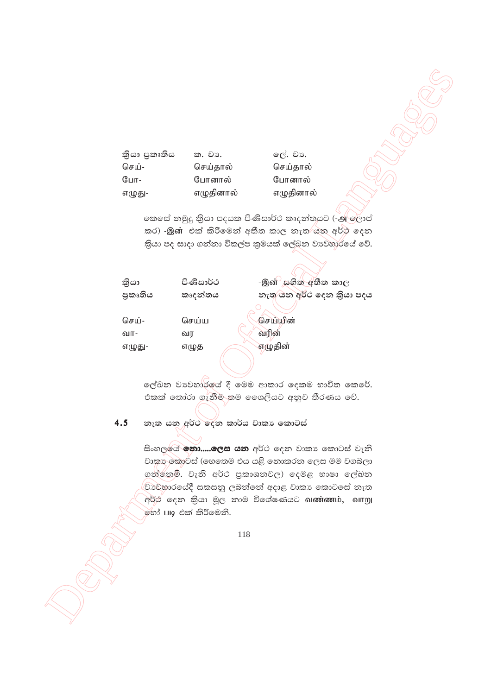කියා පුකෘතිය ක. වා. செய்-செய்தால்  $@uT -$ போனால் எழுதினால் எழுது-

ලේ. වා. செய்தால் போனால் எழுதினால்

කෙසේ නමුදු කියා පදයක පිණිසාර්ථ කෘදන්තයට (-அලොප් කර) -இன் එක් කිරීමෙන් අතීත කාල නැත යනු අර්ථ දෙන කියා පද සාදා ගන්නා විකල්ප කුමයක් ලේඛන වාවහාරයේ වේ.

| පිණිසාර්ථ | -இள் සහිත අතීත කාල         |
|-----------|----------------------------|
| කෘදන්තය   | නැතු යනු අර්ථ දෙන කියා පදය |
| செய்ய     | செய்யின்                   |
| வர        | வரின்                      |
| எழுத      | எழுதின்                    |
|           |                            |

ලේඛන වාවහාර්ලය් දී මෙම ආකාර දෙකම භාවිත කෙරේ. එකක් තෝරා ගැනීම තම ශෛලියට අනුව තීරණය වේ.

නැත යනු අර්ථ දෙන කාර්ය වාකා කොටස්  $4.5$ 

> සිංහල**ේ නො.....ලෙස යන** අර්ථ දෙන වාකා කොටස් වැනි වාකා කොටස් (හෙතෙම එය යළි නොකරන ලෙස මම වගබලා ගන්නෙමි. වැනි අර්ථ පුකාශනවල) දෙමළ භාෂා ලේඛන වාවහාරයේදී සකසනු ලබන්නේ අදාළ වාකා කොටසේ නැත අර්ථ දෙන කියා මූල නාම විශේෂණයට வண்ணம், வாறு මහා් ⊔ழ එක් කිරීමෙනි.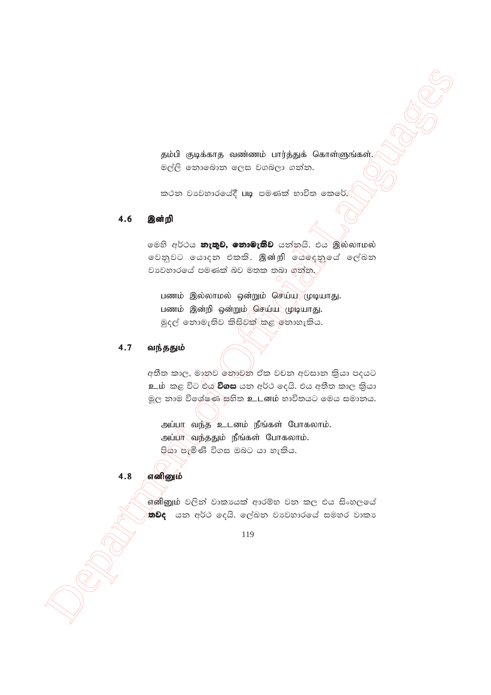தம்பி குடிக்காத வண்ணம் பார்த்துக் கொள்ளுங்கள். මල්ලි නොබොන ලෙස වගබලා ගන්න.

කථන වාවහාරයේදී **படி** පමණක් භාවිත කෙරේ.

#### 4.6 இன்றி

මෙහි අර්ථය **නැතුව, නොමැතිව** යන්නයි. එය මුல்லாமல் වෙනුවට යොදන එකකි. இன்றி යෙදෙනුයේ ලේඛන වාවහාරයේ පමණක් බව මතක තබා ගත්ත.

பணம் இல்லாமல் ஒன்றும் செய்ய முடியாது. பணம் இன்றி ஒன்றும் செய்ய மூடியாது. මුදල් නොමැතිව කිසිවක් කළ නොහැකිය.

#### $4.7$ வந்ததும்

අතීත කාල, මානුව තොවන ඒක වචන අවසාන කිුයා පදයට உம். කළ විට එය **විගස** යන අර්ථ දෙයි. එය අතීත කාල කියා මූල නාම විශේෂණ සහිත உடனம் භාවිතයට මෙය සමානය.

அப்பா வந்த உடனம் நீங்கள் போகலாம். அப்பா வந்ததும் நீங்கள் போகலாம். පියා පැමිණි විගස ඔබට යා හැකිය.

#### 4.8 எனினும்

எனினும் වලින් වාකායක් ආරම්භ වන කල එය සිංහලයේ තවද යන අර්ථ දෙයි. ලේඛන වාවහාරයේ සමහර වාකා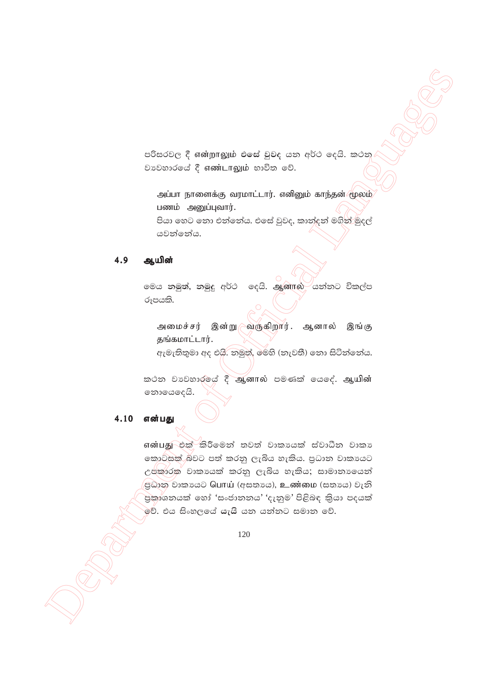පරිසරවල දී என்றாலும் එසේ වුවද යන අර්ථ දෙයි. කථන වාවහාරයේ දී எண்டாலும் භාවිත වේ.

அப்பா நாளைக்கு வரமாட்டார். எனினும் காந்தன் மூலம் பணம் அனுப்புவார். පියා හෙට තො එන්නේය. එසේ වුවද, කාන්දන් මගින් මුදල් යවන්නේය.

#### 4.9 ஆயின்

මෙය නමුත්, නමුදු අර්ථ දෙයි. ஆனால் යන්නට විකල්ප රූපයකි.

அமைச்சர் இன்று ⁄வருகிறார். ஆனால் இங்கு தங்கமாட்டார்.

ඇමැතිතුමා අද එයි. නමුත්, මෙහි (නැවතී) නො සිටින්නේය.

කථන වාවහාරුයේ දී ஆனால் පමණක් යෙදේ. ஆயின் නොයෙදෙයි.

#### $4.10$ என்பது

என்பது එක් කිරීමෙන් තවත් වාකායක් ස්වාධීන වාකා කොටසක් බවට පත් කරනු ලැබිය හැකිය. පුධාන වාකායෙට උප්කාරක වාකායෙක් කරනු ලැබිය හැකිය; සාමානායෙන් ஜில் ூறைக்கி பொய் (අසතාය), உண்மை (සතාය) වැනි පුකාශනයක් හෝ 'සංජානනය' 'දැනුම' පිළිබඳ කියා පදයක් වේ. එය සිංහලයේ යැයි යන යන්නට සමාන වේ.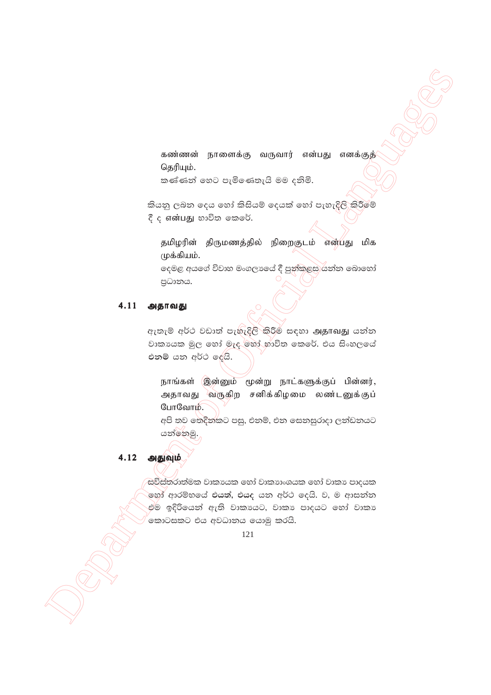கண்ணன் நாளைக்கு வருவார் என்பது எனக்குத் தெரியும்.

කණ්ණන් හෙට පැමිණෙතැයි මම දනිමි.

කියනු ලබන දෙය හෝ කිසියම් දෙයක් හෝ පැහැදිලි කිරීමේ දී ද என்பது භාවිත කෙරේ.

தமிழரின் திருமணத்தில் நிறைகுடம் என்பது மிக முக்கியம். දෙමළ අයගේ විවාහ මංගලායේ දී පුත්කළස යන්න බොහෝ

පුධානය.

# $4.11$  அதாவது

ඇතැම් අර්ථ වඩාත් පැහැදිලි කිරීම් සඳහා அதாவது යන්න වාකායක මූල හෝ මැද හෝ භාවිත කෙරේ. එය සිංහලයේ එනම් යන අර්ථ දේයි.

நாங்கள் இன்னும் மூன்று நாட்களுக்குப் பின்னர், அதாவது வருகிற சனிக்கிழமை லண்டனுக்குப் போவோம்.

අපි තව තෙදින්කට පසු, එනම්, එන සෙනසුරාදා ලන්ඩනයට යන්නෙමු.

4.12 அதுவும்

සවිස්තරාත්මක වාකායෙක හෝ වාකාාංශයක හෝ වාකා පාදයක .<br>මහා අාරම්භයේ එ**යත්,** එයද යන අර්ථ දෙයි. ව, ම ආසන්න එම ඉදිරියෙන් ඇති වාකායෙට, වාකා පාදයට හෝ වාකා ,<br>කොටසකට එය අවධානය යොමු කරයි.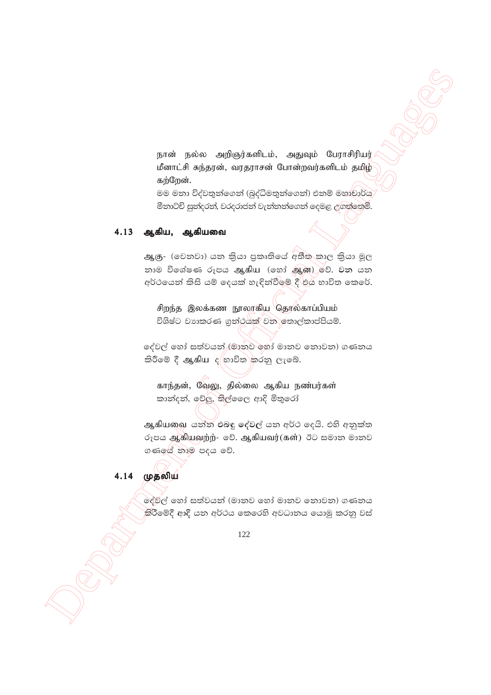நான் நல்ல அறிஞர்களிடம், அதுவும் பேராசிரியர் மீனாட்சி சுந்தரன், வரதராசன் போன்றவர்களிடம் தமிழ் கற்றேன்.

මම මනා විද්වතුන්ගෙන් (බුද්ධිමතුන්ගෙන්) එනම් මහුචාර්ය මීනාට්චි සුත්දරත්, වරදරාජන් වැන්නන්ගෙන් දෙමළ උගත්තෙමි.

# 4.13 ஆகிய, ஆகியவை

ஆகு-(වෙනවා) යන කියා පුකෘතියේ අතීත කාල කියා මූල නාම විශේෂණ රූපය ஆகிய (හෝ ஆன) වේ. වන යන අර්ථයෙන් කිසි යම් දෙයක් හැඳින්වීමේ දී එය භාවිත කෙරේ.

சிறந்த இலக்கண நூலாகிய தொல்காப்பியம் විශිෂ්ට වාහකරණ ගුන්ථයක් වන තොල්කාප්පියම්.

දේවල් හෝ සත්වයන් ⁄මානව හෝ මානව නොවන) ගණනය කිරීමේ දී ஆகிய ද<sup>්</sup>හාවිත කරනු ලැබේ.

காந்தன், வேலு, தில்லை ஆகிய நண்பர்கள் කාන්දන්, වේලු, තිල්වෛ ආදි මිතුරෝ

ஆகியவை යන්න එබඳු දේවල් යන අර්ථ දෙයි. එහි අනුක්ත රූපය ஆகியவற்ற்- වේ. ஆகியவர்(கள்) ඊට සමාන මානව ගණයේ නාම පදය වේ.

# 4.14 முதலிய

ලේවල් හෝ සත්වයන් (මානව හෝ මානව නොවන) ගණනය කිරීමේදී ආදි යන අර්ථය කෙරෙහි අවධානය යොමු කරනු වස්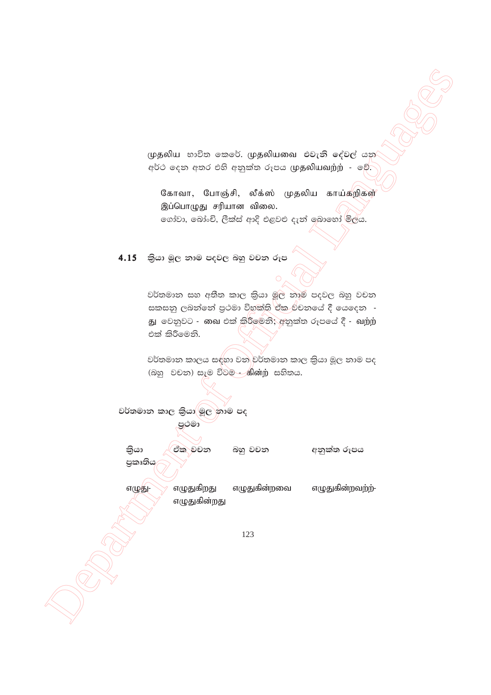முதலிய භාවිත කෙරේ. முதலியவை එවැනි දේවල් යන අර්ථ දෙන අතර එහි අනුක්ත රූපය முதலியவற்ற் - වේ.

கோவா, போஞ்சி, லீக்ஸ் முதலிய காய்கறிகள் இப்பொழுது சரியான விலை. ගෝවා, බෝංචි, ලීක්ස් ආදි එළවළු දැන් ඉබාහෝ මිලය.

4.15 කියා මුල නාම පදවල බහු වචන රූප

වර්තමාන සහ අතීත කාල කියා මුල තාම පදවල බහු වචන සකසනු ලබන්නේ පුථමා විභක්ති ඒක වචනයේ දී යෙදෙන -එක් කිරීමෙනි.

වර්තමාන කාලය සඳහා වන වර්තමාන කාල කියා මූල නාම පද 

වර්තමාන කාල කියා මූල නාම පද පුථමා කියා ඒක වචන බහු වචන අනුක්ත රූපය පුකෘතිය எழுதுகிறது எழுதுகின்றவை எழுதுகின்றவற்ற்-எழுது-எழுதுகின்றது 123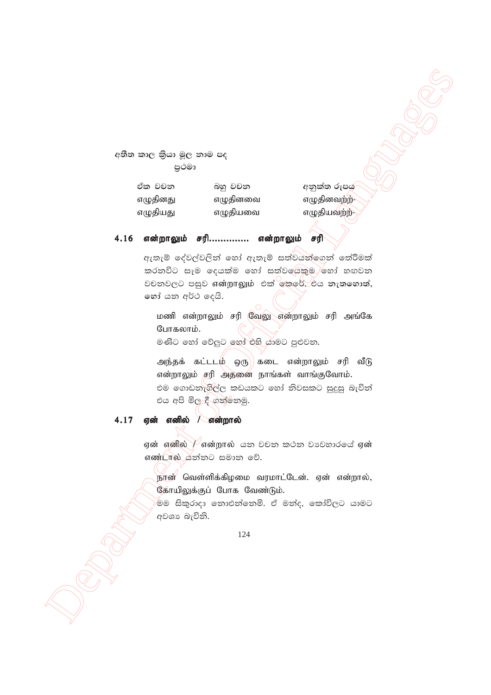අතීත කාල කියා මූල නාම පද පුථමා

| ඒක වචන   | බහු වචන  |
|----------|----------|
| எழுதினது | எழுதினவை |
| எழுதியது | எழுதியவை |

අනුක්ත රූපය எழுதினவற்ற-எழுதியவற்ற-

### 4.16 என்றாலும் சரி.............. என்றாலும் சரி

ඇතැම් දේවල්වලින් හෝ ඇතැම් සත්වයන්ගෙන් තේරීමක් කරනවිට සෑම දෙයක්ම හෝ සත්වයෙකුම හෝ හඟවන වචනවලට පසුව என்றாலும் එක් කෙරේ. එය නැතහොත්, හෝ යන අර්ථ දෙයි.

மணி என்றாலும் சரி வேலு என்றாலும் சரி அங்கே போகலாம்.

මණිට හෝ වේලට හෝ එහි යාමට පුළුවන.

அந்தக் கட்டடம் ஒரு) கடை என்றாலும் சரி வீடு என்றாலும் சரி அதனை நாங்கள் வாங்குவோம். එම ගොඩනැගිල්ල කඩයකට හෝ නිවසකට සුදුසු බැවින් එය අපි මිල දී ගත්තෙමු.

#### 4.17 ஏன் எனில் / என்றால்

ஏன் எனில்  $V$ என்றால் යන වචන කථන වාවහාරයේ ஏன் எண்டால் க்கில் கூலை உரி.

நான் வெள்ளிக்கிழமை வரமாட்டேன். ஏன் என்றால், கோயிலுக்குப் போக வேண்டும்.

මම සිකුරාදා නොඑන්නෙමි. ඒ මන්ද, කෝවිලට යාමට අවශා බැවිනි.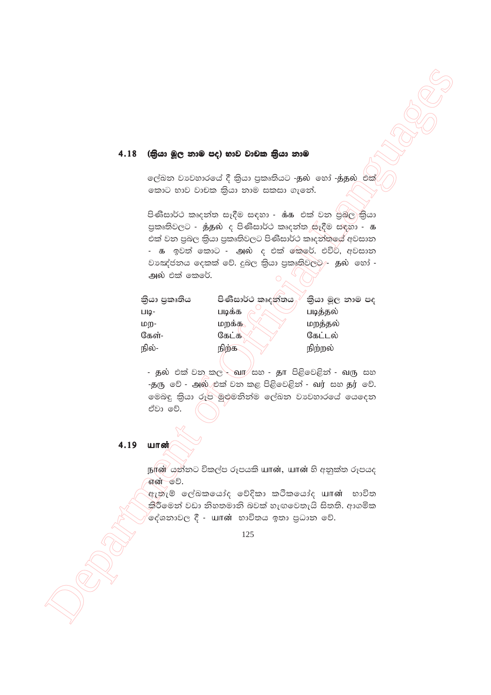#### (කියා මූල නාම පද) භාව වාචක කියා නාම 4.18

ලල්බන වාවහාරයේ දී කියා පුකෘතියට -தුல හෝ -த்தුல එක් කොට භාව වාචක කියා නාම සකසා ගැනේ.

පිණිසාර්ථ කෘදන්ත සෑදීම සඳහා - ස්. ෙ එක් වන පුබල කියා පුකෘතිවලට - த்தல் ද පිණිසාර්ථ කෘදන්ත සෑදීම සඳහා - க එක් වන පුබල කියා පුකෘතිවලට පිණිසාර්ථ කෘදන්තයේ අවසාන - க ඉවත් කොට - அல் ද එක් කෙරේ. එවිට, අවසාන වාඤ්ජනය දෙකක් වේ. දුබල කියා පුකෘතිවලට⁄- தல හෝ -அல் එක් කෙරේ.

| කියා පුකෘතිය | පිණිසාර්ථ කෘදන්තය | කියා මූල නාම පද |
|--------------|-------------------|-----------------|
| ШQ-          | படிக்க            | படித்தல்        |
| மற-          | மறக்க             | மறத்தல்         |
| கேள்-        | கேட்க             | கேட்டல்         |
| நில்-        | நிற்க             | நிற்றல்         |
|              |                   |                 |

- தல் එක් වන කල - வா/සහ - தா පිළිවෙළින් - வரு සහ -தரு වේ - அல் එක් වන කළ පිළිවෙළින් - வர் සහ தர் වේ. මෙබඳු කියා රූප මුළුමනින්ම ලේඛන වාවහාරයේ යෙදෙන ඒවා වේ.

4.19 யான்

> ந(ன் යුන්තට විකල්ප රූපයකි யான், யான் හි අනුක්ත රූපයද என் ூ.

> ඇතැම් ලේඛකයෝද වේදිකා කථිකයෝද யான் භාවිත කිරීමෙන් වඩා නිහතමානි බවක් හැඟවෙතැයි සිතති. ආගමික ⁄දේශනාවල දී - யான் භාවිතය ඉතා පුධාන වේ.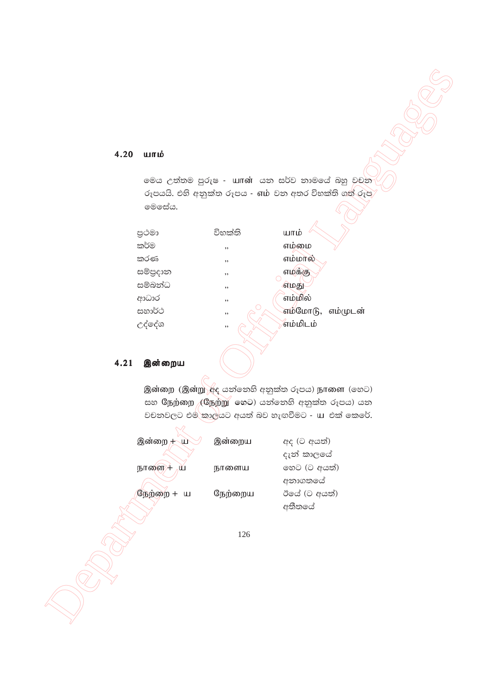# 4.20 யாம்

මෙය උත්තම පුරුෂ - urrன් යන සර්ව නාමයේ බහු වචන මෙසේය.

| පුථමා          | විභක්ති | யாம்              |
|----------------|---------|-------------------|
| කර්ම           | , ,     | எம்மை             |
| කරණ            | , ,     | எம்மால்           |
| සම්පුදාන       | , ,     | எமக்கு            |
| සම්බන්ධ        | , ,     | எமது              |
| ආධාර<br>සහාර්ථ | , ,     | எம்மில்           |
|                | , ,     | எம்மோடு, எம்முடன் |
| උද්දේශ         | , ,     | <i>ீ</i> எம்மிடம் |
|                |         |                   |

# 4.21 இன்றைய

இன்றை (இன்று சீද යන්නෙහි අනුක්ත රූපය) நாளை (හෙට) සහ ශී நற்றை (ශී நற்று හෙට) යන්නෙහි අනුක්ත රූපය) යන වචනවලට එම කාල්යට අයත් බව හැඟවීමට - u එක් කෙරේ.

| இன்றை + ய            | இன்றைய  | අද (ට අයත්)<br>දැන් කාලයේ |
|----------------------|---------|---------------------------|
| நாளை/+\\ ய           | நாளைய   | හෙට (ට අයත්)              |
| நேற்றை +<br>$\sqcup$ | நேற்றைய | අනාගතයේ<br>ඊයේ (ට අයත්)   |
|                      |         | අතීතයේ                    |
|                      | 126     |                           |
|                      |         |                           |
|                      |         |                           |
|                      |         |                           |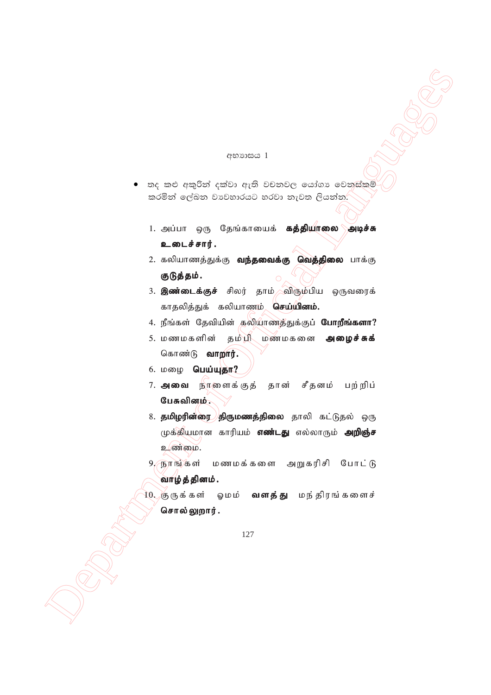### අභාගසය 1

- තද කළු අකුරින් දක්වා ඇති වචනවල යෝගා වෙනස්කම් කරමින් ලේඛන වාවහාරයට හරවා නැවත ලියන්න. $\overline{\phantom{x}}$ 
	- 1. அப்பா ஒரு தேங்காயைக் **கத்தியாலை அடிச்சு** உடைச்சார்.
	- 2. கலியாணத்துக்கு **வந்தவைக்கு வெத்திலை** பாக்கு குடுத்தம்.
	- 3. இண்டைக்குச் சிலர் தாம் விரும்பிய ஒருவரைக் காதலித்துக் கலியாணம் **செய்யினம்.**
	- 4. நீங்கள் தேவியின் தலியாணத்துக்குப் **போறீங்களா?**
	- 5. மணமகளின் தம்பி மணமகனை அழைச்சுக் கொண்டு **வாறார்.**
	- $6.$  மழை பெய்யுதா?
	- 7. **அவை** நீாளைக்குத் தான் சீதனம் பற்றிப் பேசுவினம்.
- openings )<br>
openings )<br>  $\alpha_{1} = \alpha_{1} + \alpha_{2} + \alpha_{3} + \alpha_{4} + \alpha_{5} + \alpha_{6} + \alpha_{7} + \alpha_{8} + \alpha_{9} + \alpha_{10} + \alpha_{11} + \alpha_{12} + \alpha_{13} + \alpha_{14} + \alpha_{15} + \alpha_{16} + \alpha_{17} + \alpha_{18} + \alpha_{19} + \alpha_{10} + \alpha_{11} + \alpha_{12} + \alpha_{13} + \alpha_{14} + \alpha_{15} + \alpha_{16} + \alpha_{17} + \alpha_{18} + \alpha_{$ 8. **தமிழரின்ரை திருமணத்திலை** தாலி கட்டுதல் ஒரு முக்கியமான காரியம் **எண்டது** எல்லாரும் **அறிஞ்ச** உண்மை.
	- 9, நாங்கள் மணமக்களை அறுகரிசி போட்டு வாழ்த்தினம்.
	- 10. சூருக்கள் ஓமம் **வளத்து** மந்திரங்களைச் சொல்லுறார்.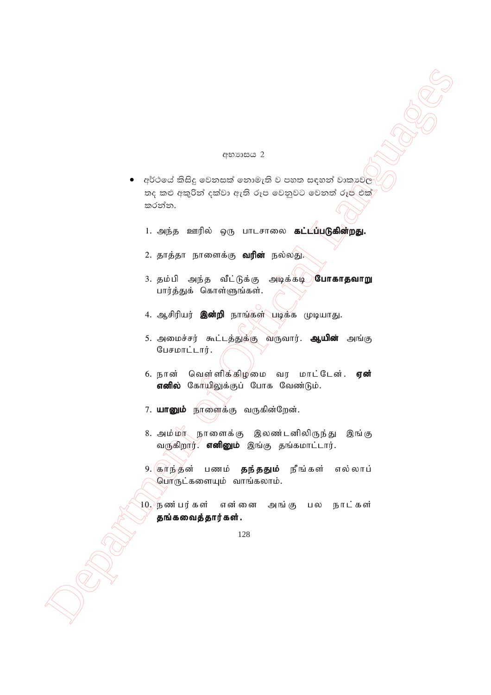### අභාගය 2

- encourages and the second control of the second control of the second control of the second control of the second control of the second control of the second control of the second control of the second control of the seco අර්ථයේ කිසිදු වෙනසක් නොමැති ව පහත සඳහන් වාකාවල තද කළු අකුරින් දක්වා ඇති රූප වෙනුවට වෙනත් රූප එක් කරන්න.
	- 1. அந்த ஊரில் ஒரு பாடசாலை **கட்டப்படுகின்றது.**
	- 2. தாத்தா நாளைக்கு **வரின்** நல்லது.
	- 3. தம்பி அந்த வீட்டுக்கு அடிக்கடி **போகாதவாறு** பார்த்துக் கொள்ளுங்கள்.
	- 4. ஆசிரியர் **இன்றி** நாங்கள் படிக்க முடியாது.
	- 5. அமைச்சர் கூட்டத்துக்கு வருவார். **ஆயின்** அங்கு  $\mathcal G$ பசமாட்டார்.
	- 6. நான் வெள்ளிக்கிழமை வர மாட்டேன். **ஏன்** எனில் கோயிலுக்குப் போக வேண்டும்.
	- 7. யானும் நாளைக்கு வருகின்றேன்.
	- 8. அம்மா நாளைக்கு இலண்டனிலிருந்து இங்கு வருகிறார். எனினும் இங்கு தங்கமாட்டார்.
	- 9. குரிந்தன் பணம் **தந்ததும்** நீங்கள் எல்லாப் பொருட்களையும் வாங்கலாம்.
	- $10$ . நண்பர்கள் என்னை அங்கு, பல நாட்கள் தங்கவைத்தார்கள்.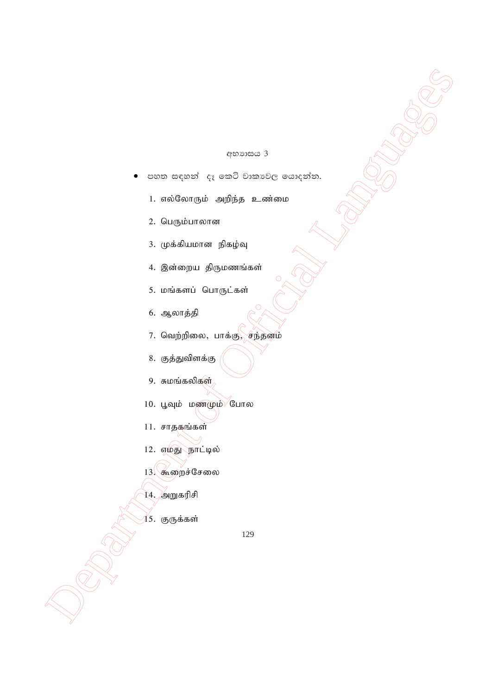### $e^{cos\theta}$

- $\begin{array}{ll}\n & \text{as an example, } \\
 & \text{as an example, } \\
 & \text{as an example, } \\
 & \text{L} \text{ and } \\
 & \text{L} \text{ and } \\
 & \text{L} \text{ and } \\
 & \text{L} \text{ and } \\
 & \text{L} \text{ and } \\
 & \text{L} \text{ and } \\
 & \text{L} \text{ and } \\
 & \text{L} \text{ and } \\
 & \text{L} \text{ and } \\
 & \text{L} \text{ and } \\
 & \text{L} \text{ and } \\
 & \text{L} \text{ and } \\
 & \text{L} \text{ and } \\
 & \text{L} \text{ and } \\
 & \text{L} \text{ and } \\
 & \$ පහත සඳහන්  $\epsilon_{\tilde{t}}$  කෙටි වාකාවල යොදන්න.
	- 1. எல்லோரும் அறிந்த உண்மை
	- 2. பெரும்பாலான
	- 3. முக்கியமான நிகழ்வு
	- 4. இன்றைய திருமணங்கள்
	- 5. மங்களப் பொருட்கள்
	- 6. ஆலாத்தி
	- 7. வெற்றிலை, பாக்கு, சந்தனம்
	- 8. குத்துவிளக்கு
	- $9.$  சுமங்கலிகள்
	- $10.$  பூவும் மணமும் போல
	- $11.$  சாதகங்கள்
	- 12. எமது நாட்டில்
	- $13.$  கூறைச்சேலை
	- 14. அறுகரிசி
	- $15.$  குருக்கள்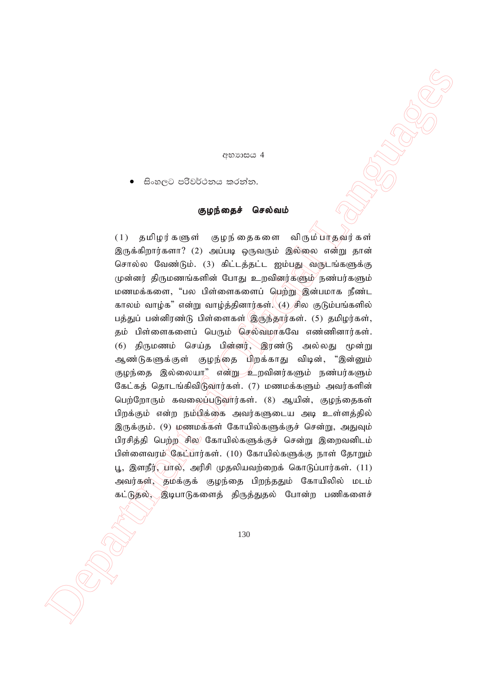### අභ**ාසය** 4

සිංහලට පරිවර්ථනය කරන්න.

### குழந்தைச் செல்வம்

 $\begin{array}{ll} & & & \\ \bullet\qquad \mathcal{C}.\; \alpha\in\mathbb{N}\ \ \text{Suppose}\; \mathbb{Q} \text{ is a nontrivial}\\ & \bullet\qquad \mathcal{C}.\; \alpha\in\mathbb{N}\ \ \text{Suppose}\; \mathbb{Q} \text{ is a nontrivial}\\ & \bullet\qquad \mathcal{C}.\; \alpha\in\mathbb{N}\ \ \text{Suppose}\; \mathbb{Q} \text{ is a nontrivial}\\ & \bullet\qquad \mathcal{C}.\; \alpha\in\mathbb{N}\ \ \text{Suppose}\; \mathbb{Q} \text{ is a nontrivial}\\ & \bullet\qquad \mathcal{C}.\; \alpha\in\mathbb{$  $(1)$  தமிழர்களுள் குழந்தைகளை விரும்பாதவர்கள் இருக்கிறார்களா? (2) அப்படி ஒருவரும் இல்லை என்று தான் சொல்ல வேண்டும். (3) கிட்டத்தட்ட ஐம்பது வருடங்களுக்கு முன்னர் திருமணங்களின் போது உறவினர்களும் நண்பர்களும் மணமக்களை, "பல பிள்ளைகளைப் பெற்று இன்பமாக நீண்ட காலம் வாழ்க" என்று வாழ்த்தினார்கள். $\langle 4 \rangle$ சில குடும்பங்களில் பத்துப் பன்னிரண்டு பிள்ளைகள் இருந்தார்கள். (5) தமிழர்கள், தம் பிள்ளைகளைப் பெரும் செல்வமாகவே எண்ணினார்கள். (6) திருமணம் செய்த பின்னர், இரண்டு அல்லது மூன்று ஆண்டுகளுக்குள் குழந்தை பிறக்காது விடின், "இன்னும் குழந்தை இல்லையா" என்று உறவினர்களும் நண்பர்களும் கேட்கத் தொடங்கிவிடுவார்கள். (7) மணமக்களும் அவர்களின் பெற்றோரும் கவலைப்படுவார்கள். (8) ஆயின், குழந்தைகள் பிறக்கும் என்ற நம்பிக்கை அவர்களுடைய அடி உள்ளத்தில் இருக்கும். (9) மணமக்கள் கோயில்களுக்குச் சென்று, அதுவும் பிரசித்தி பெற்ற சில கோயில்களுக்குச் சென்று இறைவனிடம் பிள்ளைவரம் கேட்பார்கள். (10) கோயில்களுக்கு நாள் தோறும் பூ, இளநீர், $\chi$ ால், அரிசி முதலியவற்றைக் கொடுப்பார்கள்.  $(11)$ அவர்கள், தமக்குக் குழந்தை பிறந்ததும் கோயிலில் மடம் கட்டுதல், இடிபாடுகளைத் திருத்துதல் போன்ற பணிகளைச்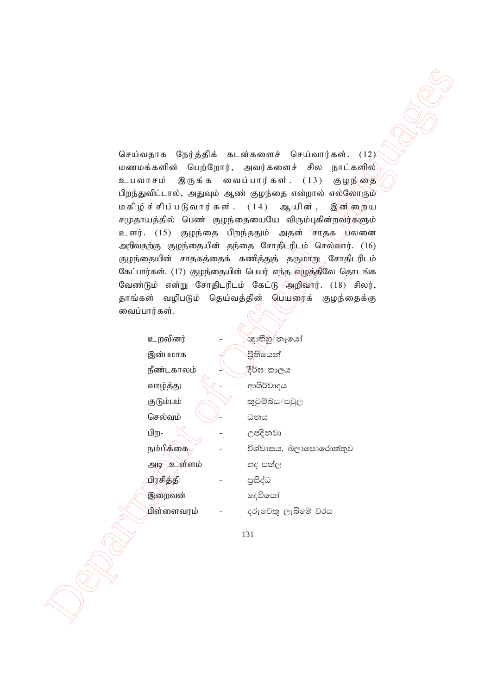Department of Official Languages செய்வதாக நேர்த்திக் கடன்களைச் செய்வார்கள்.  $(12)$ மணமக்களின் பெற்றோர், அவர்களைச் சில நாட்களில் உபவாசம் இருக்க வைப்பார்கள்.  $(13)$  குழந்தை பிறந்துவிட்டால், அதுவும் ஆண் குழந்தை என்றால் எல்லோரும் மகிழ்ச்சிப்படுவார்கள்.  $(14)$  ஆயின், இன $\tilde{m}$ றைய சமுதாயத்தில் பெண் குழந்தையையே விரும்புகின்றவர்களும் உளர். (15) குழந்தை பிறந்ததும் அதன் சாதக யலனை அறிவதற்கு குழந்தையின் தந்தை சோதிடரிடம் செல்வார். (16) குழந்தையின் சாதகத்தைக் கணித்துத் தருமாறு சோதிடரிடம் கேட்பார்கள். (17) குழந்தையின் பெயர் எந்த எழுத்திலே தொடங்க வேண்டும் என்று சோதிடரிடம் கேட்டு அறிவார்.  $(18)$  சிலர், தாங்கள் வழிபடும் தெய்வத்தின் பெயரைக் குழந்தைக்கு வைப்பார்கள்.

| உறவினர்            | ඥාතීහු/නෑයෝ            |
|--------------------|------------------------|
| இன்பமாக            | පීතියෙන්               |
| நீண்டகாலம்         | දීර්ඝ කාලය             |
| வாழ்த்து           | ආශිර්වාදය              |
| குடும்பம்          | කුටුම්බය/පවුල          |
| செல்வம்            | ධනය                    |
| பிற-               | උපදිනවා                |
| நம்பிக்கை          | විශ්වාසය, බලාපොරොත්තුව |
| ள்ளம்<br>919<br>்உ | හද පත්ල                |
| பிரசித்தி          | පුසිද්ධ                |
| இறைவன்             | දෙවියෝ                 |
| பிள்ளைவரம்         | දරුවෙකු ලැබීමේ වරය     |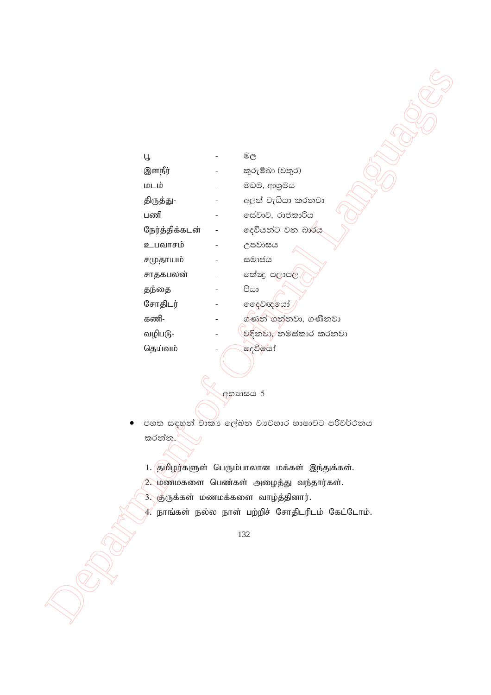| Ц              | $^{\circledR}$        |
|----------------|-----------------------|
|                |                       |
| இளநீர்         | කුරුම්බා (වතුර)       |
| மடம்           | මඩම, ආශුමය            |
| திருத்து-      | අලුත් වැඩියා කරනවා    |
| பணி            | සේවාව, රාජකාරිය       |
| நேர்த்திக்கடன் | දෙවියන්ට වන බාරය      |
| உபவாசம்        | උපවාසය                |
| சமுதாயம்       | සමාජය                 |
| சாதகபலன்       | කේෂද පලාපල            |
| தந்தை          | පියා                  |
| சோதிடர்        | ල දෙවඥ යෝ             |
| கணி-           | ග්ණන් ගන්නවා, ගණිනවා  |
| வழிபடு-        | චඳිනවා, නමස්කාර කරනවා |
| தெய்வம்        | දෙවිරෝ                |

අභාසය 5

පහත සඳහන් වාකා ලේඛන වාවහාර භාෂාවට පරිවර්ථනය කරන්න.

1. தமிழர்களுள் பெரும்பாலான மக்கள் இந்துக்கள்.

- 2. மணமகளை பெண்கள் அழைத்து வந்தார்கள்.
- 3. குருக்கள் மணமக்களை வாழ்த்தினார்.
- $\overline{\mathcal{X}}$  நாங்கள் நல்ல நாள் பற்றிச் சோதிடரிடம் கேட்டோம்.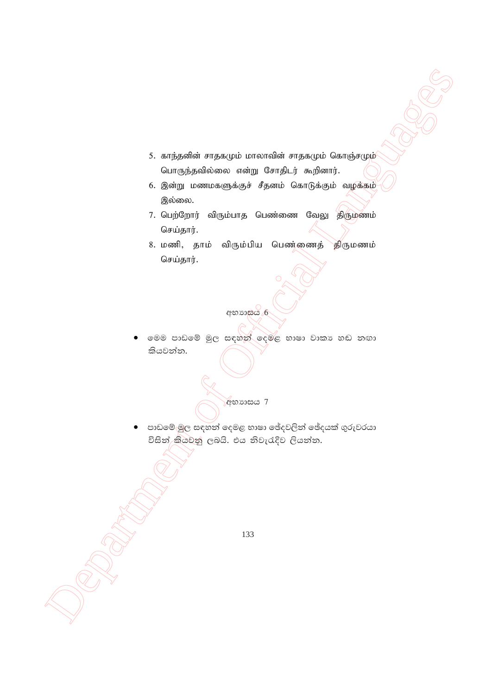- 5. காந்தனின் சாதகமும் மாலாவின் சாதகமும் கொஞ்சமும் பொருந்தவில்லை என்று சோதிடர் கூறினார்.
- 6. இன்று மணமகளுக்குச் சீதனம் கொடுக்கும் வழக்கம் இல்லை.
- 7. பெற்றோர் விரும்பாத பெண்ணை வேலு திருமணம் செய்தார்.
- 8. மணி, தாம் விரும்பிய பெண்ணைத் திருமணம் செய்தார்.

අභාහසය 6

මෙම පාඩමේ මුල සඳහන් දෙමළ භාෂා වාකා හඬ නඟා කියවන්න.

**අභා**හය 7

පාඩමේ මුල සඳහන් දෙමළ භාෂා ඡේදවලින් ඡේදයක් ගුරුවරයා විසින් කියවනු ලබයි. එය නිවැරැදිව ලියන්න.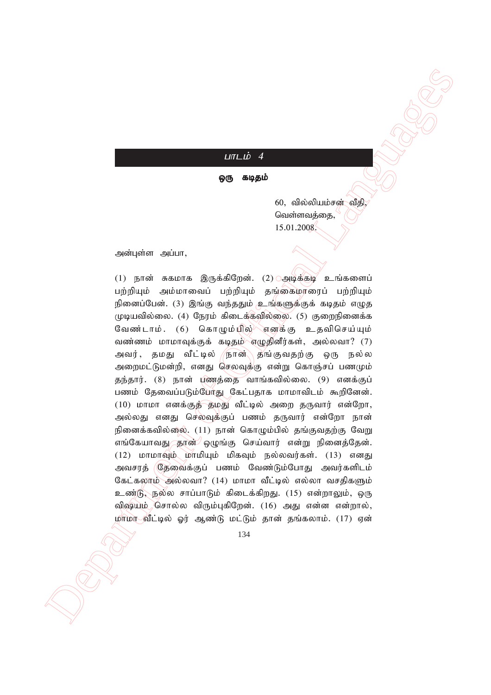# $L$  $\overline{u}$  $\overline{L}$  $\overline{b}$   $\overline{4}$

ஒரு கடிதம்

 $60,$  வில்லியம்சன் வீதி, வெள்ளவக்கை. 15.01.2008.

அன்புள்ள அப்பா,

Lattitude of  $\Theta$  analyged  $\theta$  and  $\theta$  and  $\theta$  and  $\theta$  and  $\theta$  and  $\theta$  and  $\theta$  and  $\theta$  and  $\theta$  and  $\theta$  and  $\theta$  and  $\theta$  and  $\theta$  and  $\theta$  and  $\theta$  and  $\theta$  and  $\theta$  and  $\theta$  and  $\theta$  and  $\theta$  and  $\theta$  and  $\theta$  (1) நான் சுகமாக இருக்கிறேன். (2) அடிக்குட் உங்களைப் பற்றியும் அம்மாவைப் பற்றியும் தங்கைமாரைப் பற்றியும் நினைப்பேன். (3) இங்கு வந்ததும் உங்களுக்குக் கடிதம் எழுத முடியவில்லை. (4) நேரம் கிடைக்கவில்லை. (5) குறைநினைக்க வேண்டாம். (6) கொழும்யில் எனக்கு உதவிசெய்யும் வண்ணம் மாமாவுக்குக் கடிதம் எழுதினீர்கள், அல்லவா?  $(7)$ அவர், தமது வீட்டில் /நான்\ தங்குவதற்கு ஒரு நல்ல அறைமட்டுமன்றி, எனது செலவுக்கு என்று கொஞ்சப் பணமும் தந்தார். (8) நான் புணத்தை வாங்கவில்லை. (9) எனக்குப் பணம் தேவைப்படும்போது கேட்பதாக மாமாவிடம் கூறினேன்.  $(10)$  மாமா எனக்குத் தமது வீட்டில் அறை தருவார் என்றோ, அல்லது எனது செல்வுக்குப் பணம் தருவார் என்றோ நான் நினைக்கவில்லை. (11) நான் கொழும்பில் தங்குவதற்கு வேறு எங்கேயாவது தான் ஒழுங்கு செய்வார் என்று நினைத்தேன்.  $(12)$  மாமாவும் மாமியும் மிகவும் நல்லவர்கள்.  $(13)$  எனது அவசரத் (தேவைக்குப் பணம் வேண்டும்போது அவர்களிடம் கேட்கலாம் அல்லவா? (14) மாமா வீட்டில் எல்லா வசதிகளும் உண்டு, நல்ல சாப்பாடும் கிடைக்கிறது. (15) என்றாலும், ஒரு விஷயம் சொல்ல விரும்புகிறேன். (16) அது என்ன என்றால், மாமா வீட்டில் ஓர் ஆண்டு மட்டும் தான் தங்கலாம். (17) ஏன்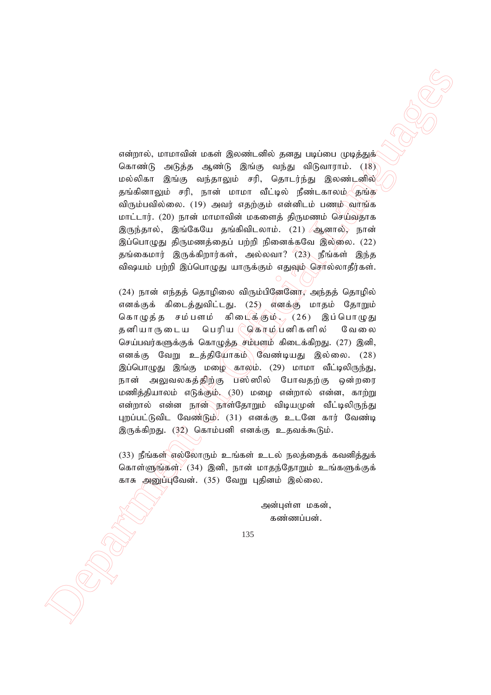என்றால், மாமாவின் மகள் இலண்டனில் தனது படிப்பை முடித்துக் கொண்டு அடுத்த ஆண்டு இங்கு வந்து விடுவாராம். (18) மல்லிகா இங்கு வந்தாலும் சரி, தொடர்ந்து இலண்டனில் தங்கினாலும் சரி, நான் மாமா வீட்டில் நீண்டகாலம் <mark>தங்க</mark> விரும்பவில்லை. (19) அவர் எதற்கும் என்னிடம் பணம் வாங்க மாட்டார். (20) நான் மாமாவின் மகளைத் திருமணம் செய்வதாக இருந்தால், இங்கேயே தங்கிவிடலாம். (21) ஆனால், நான் இப்பொழுது திருமணத்தைப் பற்றி நினைக்கவே இல்லை. (22) தங்கைமார் இருக்கிறார்கள், அல்லவா?  $(23)$  நீங்கள் இந்த விஷயம் பற்றி இப்பொழுது யாருக்கும் எதுவும் சொல்லாதீர்கள்.

αλαχτιά, ιοπτειδία μεντά βρασκά, αλλά ραυχι μείοποι μηχανόμενος δεν την προσωπική του τοποίου το Οφορού (19)<br>
Με τα σχετικά θεται προσωπική δεν την προσωπική της προσωπική του τοποίου το Οφορού (19)<br>
Με τα σχετικά θεται  $(24)$  நான் எந்தத் தொழிலை விரும்பினேனோ, அந்தத் தொழில் எனக்குக் கிடைத்துவிட்டது. (25) எனக்கு மாதம் தோறும் கொழுத்த சம்பளம் கிடைக்கும்.  $(26)$  இப்பொழுது தனியாருடைய பெரிய (ஜெோம்பனிகளில் வேலை செய்பவர்களுக்குக் கொழுத்த சம்பளம் கிடைக்கிறது.  $(27)$  இனி, எனக்கு வேறு உத்தியோகம் வேண்டியது இல்லை. (28) இப்பொழுது இங்கு மழை காலம். (29) மாமா வீட்டிலிருந்து, நான் அலுவலகத்திற்கு பஸ்ஸில் போவதற்கு ஒன்றரை மணித்தியாலம் எடுக்கும். (30) மழை என்றால் என்ன, காற்று என்றால் என்ன நான்\நாள்தோறும் விடியமுன் வீட்டிலிருந்து புறப்பட்டுவிட வேண்டும். (31) எனக்கு உடனே கார் வேண்டி இருக்கிறது. (32) கொம்பனி எனக்கு உதவக்கூடும்.

 $(33)$  நீங்கள் எல்லோரும் உங்கள் உடல் நலத்தைக் கவனித்துக் கொள்ளுங்கள்; $(34)$  இனி, நான் மாகந்தோறும் உங்களுக்குக் காசு அனுப்புவேன். (35) வேறு புதினம் இல்லை.

> அன்புள்ள மகன், கண்ணப்பன்.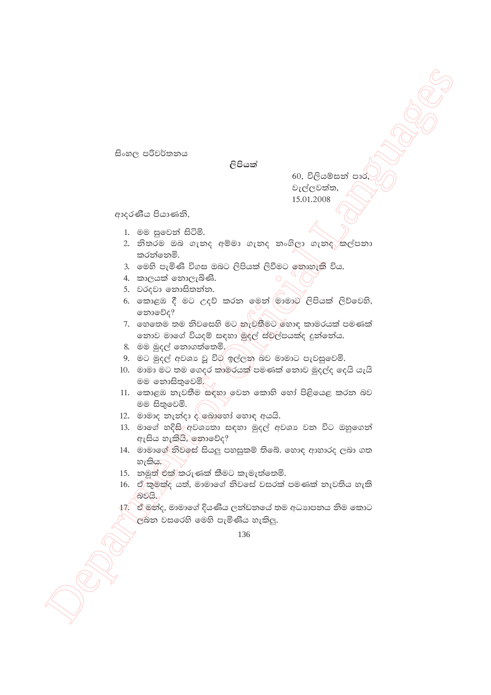සිංහල පරිවර්තනය

ලිපියක්

60, විලියම්සන් පාර වැල්ලවත්ත, 15.01.2008

ආදරණීය පියාණනි,

- 1. මම සුවෙන් සිටිමි.
- 2. නිතරම ඔබ ගැනද අම්මා ගැනද නංගිලා ගැනද කල්පනා කරන්නෙමි.
- 3. මෙහි පැමිණි විගස ඔබට ලිපියක් ලිවීමට නොහැකි විය.
- 4. කාලයක් නොලැබිණි.
- 5. වරදවා නොසිතන්න.
- 6. කොළඹ දී මට උදව් කරන මෙන් මාමාට ලිපියක් ලිව්වෙහි, නොවේද?
- 7. හෙතෙම තම නිවසෙහි මට තැවතීමට හොඳ කාමරයක් පමණක් නොව මාගේ වියදම් සඳහා මුදල් ස්වල්පයක්ද දුන්නේය.
- 8. මම මුදල් නොගත්තෙමි,
- 9. මට මුදල් අවශා වූ විරැ ඉල්ලන බව මාමාට පැවසුවෙමි.
- 10. මාමා මට තම ගෙදර කාමරයක් පමණක් නොව මුදල්ද දෙයි යැයි මම තොසිතුවෙමි.
- 11. කොළඹ නැවතීම සඳහා වෙන කොහි හෝ පිළියෙළ කරන බව මම සිතුවෙමි.
- 12. මාමාද නැන්දා ද බොහෝ හොඳ අයයි.
- 13. මාගේ හදිසි $\gamma$ අවශානා සඳහා මුදල් අවශා වන විට ඔහුගෙන් ඇසිය හැකියි, නොවේද?
- 14. මාමාගේ නිවලස් සියලු පහසුකම් තිබේ. හොඳ ආහාරද ලබා ගත හැකිය.
- 15. නමුත් එක් කරුණක් කීමට කැමැත්තෙමි.
- $16.$  ඒ කුමක්ද යත්, මාමාගේ නිවගේ වසරක් පමණක් නැවතිය හැකි බවයි.
- 17. ි ඒ මන්ද, මාමාගේ දියණිය ලන්ඩනයේ තම අධාහපනය නිම කොට ල්බ්න වසරෙහි මෙහි පැමිණිය හැකිලු.

<sup>136</sup>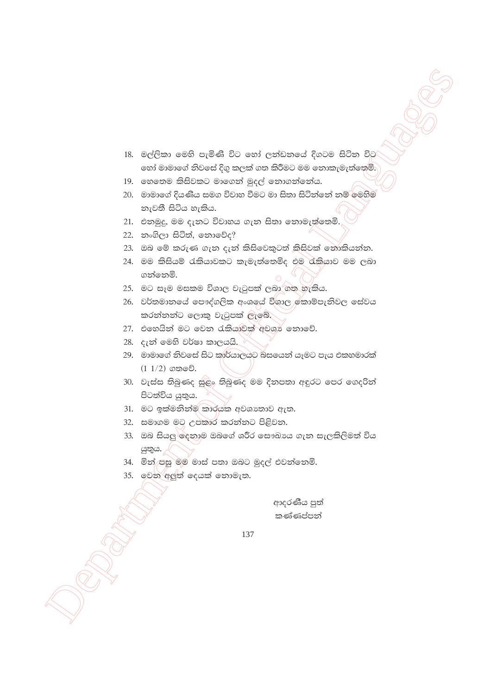- 18. මල්ලිකා මෙහි පැමිණි විට හෝ ලත්ඩනයේ දිගටම සිටින විට හෝ මාමාගේ නිවසේ දිගු කලක් ගත කිරීමට මම නොකැමැත්තෙමි.
- 19. හෙතෙම කිසිවකට මාගෙන් මුදල් නොගන්නේය.
- 20. මාමාගේ දියණිය සමග විවාහ වීමට මා සිතා සිටිත්තේ නම් මෙහිම නැවතී සිටිය හැකිය.
- 21. එනමුදු, මම දැනට විවාහය ගැන සිතා නොමැත්තෙමි.
- 22. නංගිලා සිටිත්, නොවේද?
- 23. ඔබ මේ කරුණ ගැන දැන් කිසිවෙකුටත් කිසිවක් නොකියන්න.
- 24. මම කිසියම් රැකියාවකට කැමැත්තෙමිද එම රැකියාව මම ලබා ගන්නෙමි.
- 25. මට සෑම මසකම විශාල වැටුපක් ලබා ගත හැකිය.
- 26. වර්තමානයේ පෞද්ගලික අංශයේ විශාල)කොම්පැනිවල සේවය කරන්නන්ට ලොකු වැටුපක් ලැබේ.
- 27. එහෙයින් මට වෙන රැකියාවක් අවශා නොවේ.
- 28. දැන් මෙහි වර්ෂා කාලයයි.
- 29. මාමාගේ නිවසේ සිට කුාර්යාලයට බසයෙන් යෑමට පැය එකහමාරක්  $(1\ 1/2)$  ගතවේ.
- 30. වැස්ස තිබුණද සුළං තිබුණද මම දිනපතා අඳුරට පෙර ගෙදරින් පිටත්විය යුතුය.
- 31. මට ඉක්මනින්ම කාරයක අවශාතාව ඇත.
- 32. සමාගම මට උපකාර කරන්නට පිළිවන.
- 33. ඔබ සියලු ලදනාම ඔබගේ ශරීර සෞඛායෙ ගැන සැලකිලිමත් විය යුතුය.
- 34. මින් පසු මම මාස් පතා ඔබට මුදල් එවන්නෙමි.
- 35. වෙන අලුත් දෙයක් නොමැත.

ආදරණීය පුත් කණ්ණප්පන්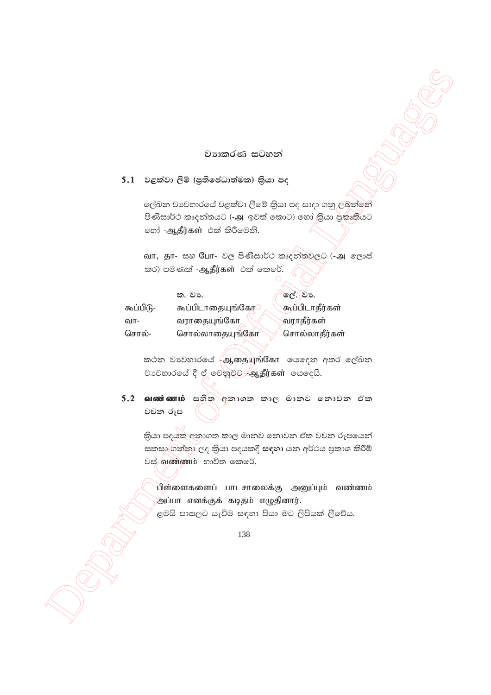# වාහකරණ සටහන්

# $5.1$  වළක්වා ලීම් (පුතිෂේධාත්මක) කියා පද

ලේඛන වාවහාරයේ වළක්වා ලීමේ කියා පද සාදා ගනු ලබන්නේ පිණිසාර්ථ කෘදන්තයට (-அ ඉවත් කොට) හෝ කියා පුකෘතියට හෝ -ஆதீர்கள் එක් කිරීමෙනි.

வா, தா- සහ யோ- වල පිණිසාර්ථ කෘදනිතවලට (-அ ලොප් කර) පමණක් -ஆதீர்கள் එක් කෙරේ.

|           | ක. වා.           | ලේ. වා.         |
|-----------|------------------|-----------------|
| கூப்பிடு- | கூப்பிடாதையுங்கோ | கூப்பிடாதீர்கள் |
| வா-       | வராதையுங்கோ      | வராதீர்கள்      |
| சொல்-     | சொல்லாதையுங்கோ   | சொல்லாதீர்கள்   |

කථන වාවහාරයේ <del>(</del>ஆ. தயுங்கோ යෙදෙන අතර ලේඛන වාවහාරයේ දී ඒ වෙනුවට ஆதீர்கள் යෙදෙයි.

5.2 வண்ணம் සහිත අනාගත කාල මානව නොවන ඒක වචන රූප

කියා පදයක අනාගත කාල මානව නොවන ඒක වචන රූපයෙන් සකසා ගන්නා ලද කියා පදයකදී සඳහා යන අර්ථය පුකාශ කිරීම් වස් வண்ணம் භාවිත කෙරේ.

பிள்ளைகளைப் பாடசாலைக்கு அனுப்பும் வண்ணம் <u>.<br>அப்பா எனக்குக் கடித</u>ம் எழுதினார்.

ළමයි පාසලට යැවීම සඳහා පියා මට ලිපියක් ලීවේය.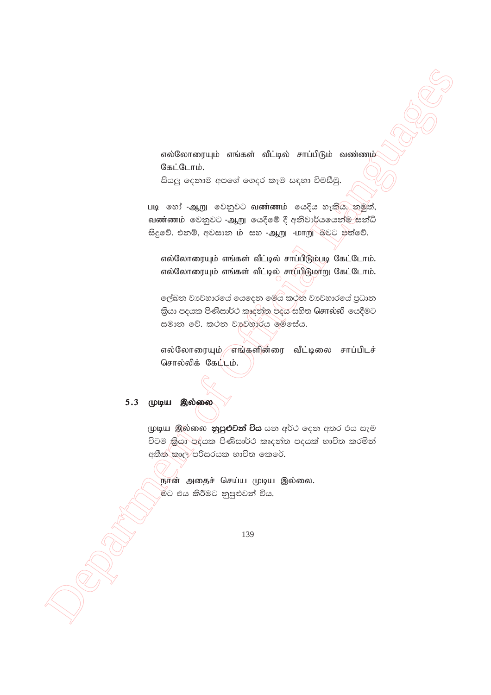எல்லோரையும் எங்கள் வீட்டில் சாப்பிடும் வண்ணம் கேட்டோம்.

සියලු දෙනාම අපගේ ගෙදර කෑම සඳහා විමසීමු.

படி හෝ -ஆறு වෙනුවට வண்ணம் கෙදිය හැකිය, නමුත්, வண்ணம் වෙනුවට -ஆறு යෙදීමේ දී අනිවාර්යයෙන්ම සන්ධි සිදුවේ. එනම්, අවසාන ib සහ -ஆறு -iomm බවට පත්වේ.

எல்லோரையும் எங்கள் வீட்டில் சாப்பிடும்படி கேட்டோம். எல்லோரையும் எங்கள் வீட்டில் சாப்பிடுமாறு கேட்டோம்.

ලේඛන වාවහාරයේ යෙදෙන මෙය කථන වාවහාරයේ පුධාන කියා පදයක පිණිසාර්ථ කෘදත්ත පදය සහිත Gசால்லி යෙදීමට සමාන වේ. කථන වාහනාරය මෙසේය.

எல்லோரையும் எங்களின்ரை வீட்டிலை சாப்பிடச் சொல்லிக் கேட்டம்.

# 5.3 முடிய இல்லை

முடிய இல்லை **නුපුළුවන් විය** යන අර්ථ දෙන අතර එය සැම විටම කියා පදයක පිණිසාර්ථ කෘදන්ත පදයක් භාවිත කරමින් අතීත කාල පරිසරයක භාවිත කෙරේ.

நான் அதைச் செய்ய முடிய இல்லை. මට එය කිරීමට නුපුළුවන් විය.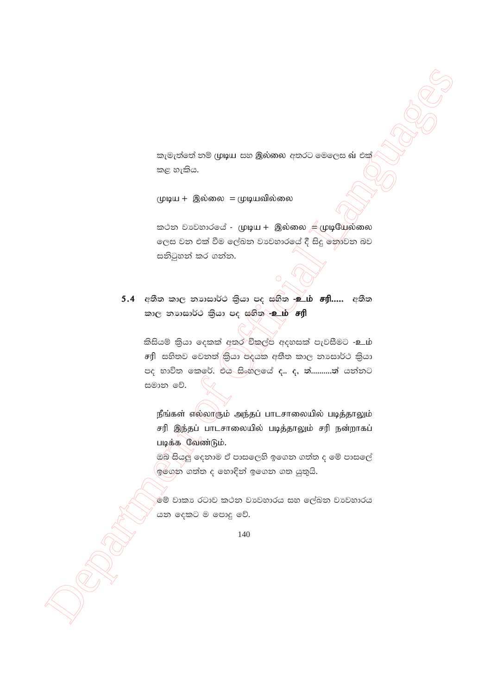කැමැත්තේ නම් முடிய සහ இல்லை අතරට මෙලෙස வ එක් කළ හැකිය.

முடிய + இல்லை = முடியவில்லை

கூ் වාවහාරයේ - முடிய + இல்லை ஆழுயேல்லை ලෙස වන එක් වීම ලේඛන වාහනාරයේ දී සිදු නොවන බව සනිටුහන් කර ගන්න.

5.4 අතීත කාල නාහසාර්ථ කියා පද සහිත <mark>-உம் சரி.....</mark> අතීත කාල නාාසාර්ථ කියා පද සහිත - உம் சரி

කිසියම් කියා දෙකක් අතර විකල්ප අදහසක් පැවසීමට -உம் சரி සහිතව වෙනත්/කියා පදයක අතීත කාල නාසාර්ථ කියා පද භාවිත කෙරේ. එය සිංහලයේ ද.. ද, ත්...........ත් යන්නට සමාන වේ.

நீங்கள் எல்லாரும் அந்தப் பாடசாலையில் படித்தாலும் சரி இந்தப் பாடசாலையில் படித்தாலும் சரி நன்றாகப் படிக்க வேண்டும்.

ඔබ සියලු දෙනාම ඒ පාසලෙහි ඉගෙන ගත්ත ද මේ පාසලේ ් ඉ්ගේන ගත්ත ද හොඳින් ඉගෙන ගත යුතුයි.

මේ වාකා රටාව කථන වාවහාරය සහ ලේඛන වාවහාරය යන දෙකට ම පොදු වේ.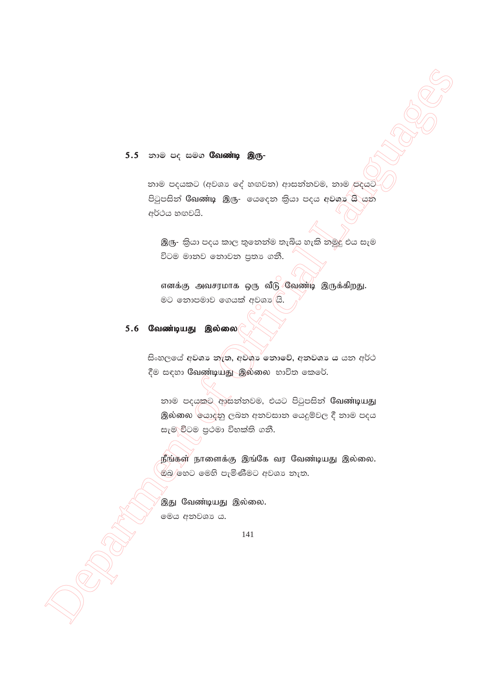### 5.5 கால் சே கூல **வேண்டி இரு-**

නාම පදයකට (අවශා ලේ හඟවන) ආසන්නවම, නාම පදයට පිටුපසින් Conண்டி இரு- ගෙදෙන කියා පදය අවශා යි යන අර්ථය හඟවයි.

இரு- කියා පදය කාල තුනෙන්ම තැබිය හැකි නමුදු එය සැම විටම මානව නොවන පුතා ගනී.

எனக்கு அவசரமாக ஒரு வீடு வேண்டி இருக்கிறது. මට තොපමාව ගෙයක් අවශා යි.

### 5.6 வேண்டியது இல்லை

සිංහලයේ අවශා නැත, අවශා නොවේ, අනවශා ය යන අර්ථ දීම සඳහා Calண்டியது இல்லை භාවිත කෙරේ.

නාම පදයකට ආසන්නවම, එයට පිටුපසින් Cவண்டியது இல்லை ලයාද්නු ලබන අනවසාන යෙදුම්වල දී නාම පදය සැම විටම පුථමා විභක්ති ගනී.

நீங்கள் நாளைக்கு இங்கே வர வேண்டியது இல்லை. ඕබ)හෙට මෙහි පැමිණීමට අවශා තැත.

இது வேண்டியது இல்லை. මෙය අනවශා ය.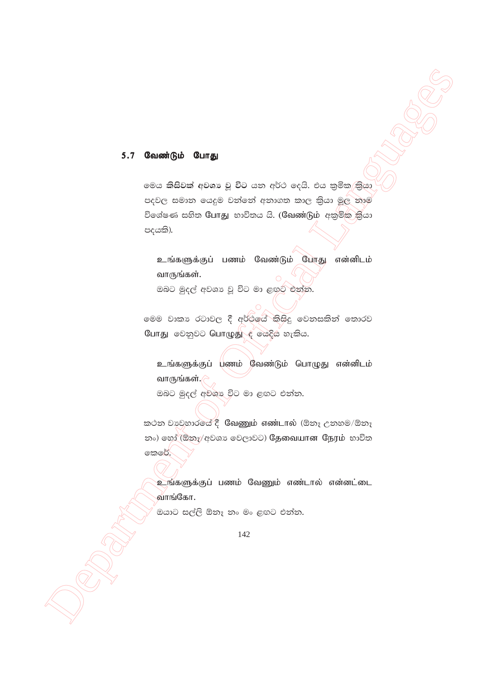#### $5.7$ வேண்டும் போது

මෙය කිසිවක් අවශා වූ විට යන අර්ථ දෙයි. එය කුමික කියා පදවල සමාන යෙදුම වන්නේ අනාගත කාල කියා මුල නාම විශේෂණ සහිත Cunහු භාවිතය යි. (Cவண்டும் අකුමික කියා පදයකි).

உங்களுக்குப் பணம் வேண்டும் போது என்னிடம் வாருங்கள். ඔබට මුදල් අවශා වූ විට මා ළඟුට එන්න.

මෙම වාකා රටාවල දී අර්ථයේ කිසිදු වෙනසකින් තොරව போது වෙනුවට பொழுது  $\epsilon$  க்ஜேக் லாகிக.

உங்களுக்குப் பணம் வேண்டும் பொழுது என்னிடம் வாருங்கள்.  $\curvearrowright$ ඔබට මුදල් අවශා විට මා ළඟට එන්න.

කථන වාවහාරයේ දී ශිඛුණුගාර් எண்டால் (ඕනෑ උනහම/ඕනෑ නං) හෝ (ඕනෑ/අවශා වෙලාවට) தேவையான நேரம் භාවිත කෙරේ.

உங்களுக்குப் பணம் வேணும் எண்டால் என்னட்டை வாங்கோ.

ඔයාට සල්ලි ඕනෑ නං මං ළඟට එන්න.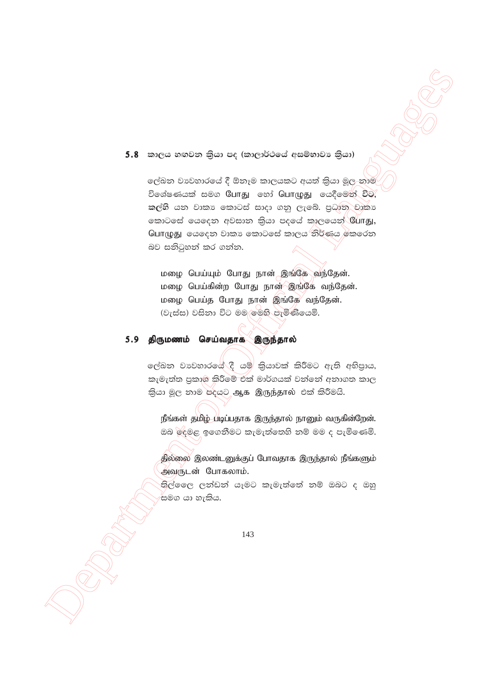# 5.8 කාලය හඟවන කියා පද (කාලාර්ථයේ අසම්භාවා කියා)

ලේඛන වාවහාරයේ දී ඕනෑම කාලයකට අයත් කියා මූල-නාම විශේෂණයක් සමග யோது හෝ பொழுது යෙදීමෙන් විට, කල්හි යන වාකා කොටස් සාදා ගනු ලැබේ. පුධාන වෘකා வைටසේ යෙදෙන අවසාන කියා පදයේ කාලයෙන් போது, பொழுது යෙදෙන වාකා කොටසේ කාලය නිර්ණය කෙරෙන බව සනිටුහන් කර ගන්න.

மழை பெய்யும் போது நான் இங்கே வந்தேன். மழை பெய்கின்ற போது நான் இங்கே வந்தேன். மழை பெய்த போது நான் இங்கே வந்தேன். (වැස්ස) වසිනා විට මම මෙහි පැමිණියෙමි.

# 5.9 திருமணம் செய்வதாக இருந்தால்

ලේඛන වාවහාරයේ දී යම් කියාවක් කිරීමට ඇති අභිපුාය, කැමැත්ත පුකාශ කිරීමේ එක් මාර්ගයක් වන්නේ අනාගත කාල කියා මූල නාම පදයට ஆக இருந்தால் එක් කිරීමයි.

நீங்கள் தமிழ் படிப்பதாக இருந்தால் நானும் வருகின்றேன். ඔබ ලදමළ ඉගෙනීමට කැමැත්තෙහි නම් මම ද පැමිණෙමි.

தில்லை இலண்டனுக்குப் போவதாக இருந்தால் நீங்களும் அவருடன் போகலாம்.

තිල්ලෛ ලන්ඩන් යෑමට කැමැත්තේ නම් ඔබට ද ඔහු සමග යා හැකිය.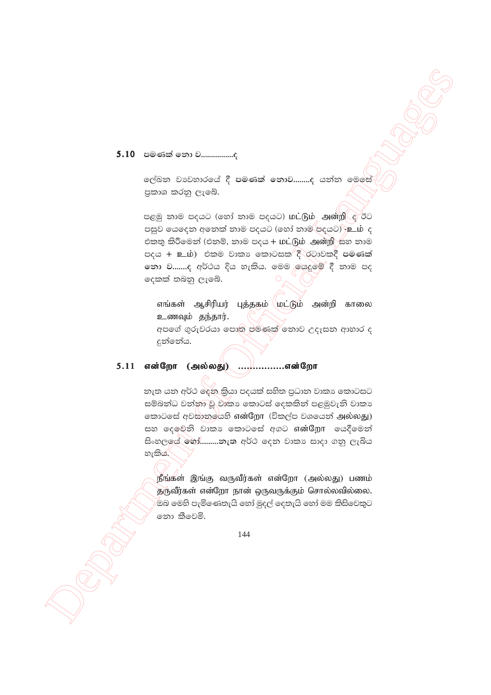# 5.10 පමණක් නො ව...................

ලල්ඛන වාවහාරයේ දී පමණක් නොව……..ද යන්න මෙ<del>සේ</del> පුකාශ කරනු ලැබේ.

පළමු නාම පදයට (හෝ නාම පදයට) **மட்டும் அன்றி** *e* **ඊ**ට පසුව යෙදෙන අනෙක් නාම පදයට (හෝ නාම පදයට) -ි ු රා ද එකතු කිරීමෙන් (එනම්, නාම පදය + மட்டும் அன்றி සහ නාම පදය + உம்) එකම වාකා කොටසක දී රටාවකදී පමණක් නො ව.......ද අර්ථය දිය හැකිය. මෙම යෙදුමේ දී නාම පද දෙකක් තබනු ලැබේ.

எங்கள் ஆசிரியர் புத்தகம் மட்டும் அன்றி காலை உணவும் தந்தார்.

අපගේ ගුරුවරයා පොත පමණක් නොව උදෑසන ආහාර ද දුන්නේය.

# 5.11 என்றோ (அல்லது) ....,............என்றோ

නැත යන අර්ථ දෙන කියා පදයක් සහිත පුධාන වාකා කොටසට සම්බන්ධ වන්නා වූ වාකා කොටස් දෙකකින් පළමුවැනි වාකා කොටසේ අවසානයේහි என்றோ (විකල්ප වශයෙන් அல்லது) සහ දෙවෙනි වාකා කොටසේ අගට என்றோ යෙදීමෙන් සිංහලයේ හෝ.........නැත අර්ථ දෙන වාකා සාදා ගනු ලැබිය හැකිය.

நீங்கள் இங்கு வருவீர்கள் என்றோ (அல்லது) பணம் தருவீர்கள் என்றோ நான் ஒருவருக்கும் சொல்லவில்லை. ඔබ මෙහි පැමිණෙතැයි හෝ මුදල් දෙතැයි හෝ මම කිසිවෙකුට නො කීවෙමි.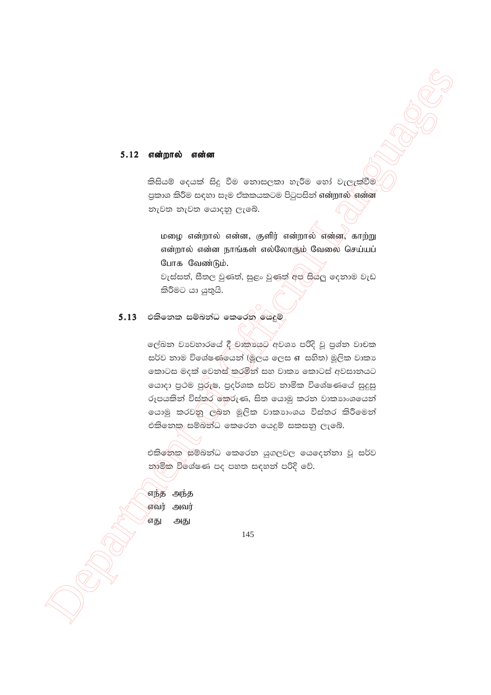#### 5.12 என்றால் என்ன

කිසියම් දෙයක් සිදු වීම නොසලකා හැරීම හෝ වැලැක්වීම පුකාශ කිරීම සඳහා සෑම ඒකකයකටම පිටුපසින් என்றால் என்ன නැවත නැවත යොදනු ලැබේ.

மழை என்றால் என்ன, குளிர் என்றால் என்ன, காற்று என்றால் என்ன நாங்கள் எல்லோரும் வேலை செய்யப் போக வேண்டும். වැස්සත්, සීතල වුණත්, සුළං වුණත් අප සියල දෙනාම වැඩ

කිරීමට යා යුතුයි.

## 5.13 එකිනෙක සම්බන්ධ කෙරෙන යෙදුම්

ලේඛන වාවහාරයේ දී වාකායෙට අවශා පරිදි වූ පුශ්න වාචක සර්ව නාම විශේෂණ්යෙන් (මූලය ලෙස எ සහිත) මූලික වාකා කොටස මදක් වෙනස් කරමින් සහ වාකා කොටස් අවසානයට ගොදා පුථම පුරුෂ, පුදර්ශක සර්ව නාමික විශේෂණයේ සුදුසු රූපයකින් විස්තර කෙරුණ, සිත යොමු කරන වාකාාංශයෙන් යොමු කරවනු ලබන මූලික වාකාාංශය විස්තර කිරීමෙන් එකිනෙකු සම්බන්ධ කෙරෙන යෙදුම් සකසනු ලැබේ.

එකිනේක සම්බන්ධ කෙරෙන යුගලවල යෙදෙන්නා වූ සර්ව නාමික විශේෂණ පද පහත සඳහන් පරිදි වේ.

எந்த அந்த எவர் அவர் எது அது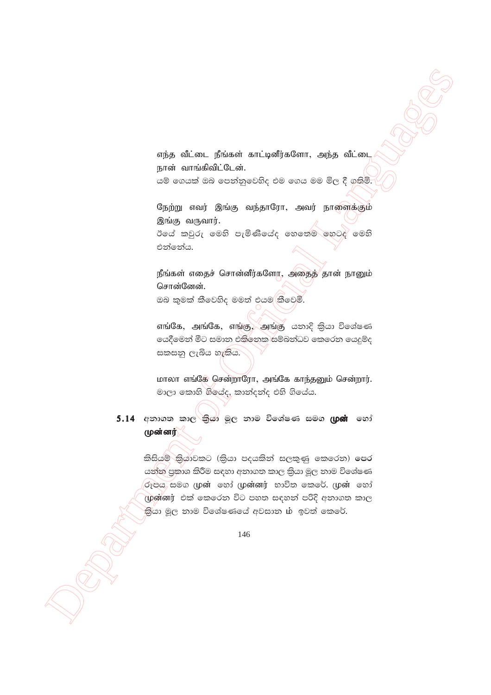எந்த வீட்டை நீங்கள் காட்டினீர்களோ, அந்த வீட்டை நான் வாங்கிவிட்டேன்.

යම් ගෙයක් ඔබ පෙන්නුවෙහිද එම ගෙය මම මිල දී ගතිමි.

நேற்று எவர் இங்கு வந்தாரோ, அவர் நாளைக்கும் இங்கு வருவார்.

ඊයේ කවුරු මෙහි පැමිණියේද හෙතෙම හෙටදු මෙහි එන්නේය.

நீங்கள் எதைச் சொன்னீர்களோ, அதைத் தான் நானும் சொன்னேன்.

ඔබ කුමක් කීවෙහිද මමත් එයම(කීවෙමි.

எங்கே, அங்கே, எங்கு, அங்கு கலை? திகை சென்களை යෙදීමෙන් මීට සමාන එකිනෙක සම්බන්ධව කෙරෙන යෙදුම්ද සකසනු ලැබිය හැකිය.

மாலா எங்கே சென்றாரோ, அங்கே காந்தனும் சென்றார். මාලා කොහි ගියේද, කාන්දන්ද එහි ගියේය.

5.14 අනාගත කාල<sup>\</sup>කිුයා මූල නාම විශේෂණ සමග (**ழன்** හෝ முன்னர்

> කිසියම් කියාවකට (කියා පදයකින් සලකුණු කෙරෙන) පෙර යන්න පුකාශ කිරීම සඳහා අනාගත කාල කියා මූල නාම විශේෂණ රූපය සමග முன் හෝ முன்னர் භාවිත කෙරේ. முன் හෝ முன்னர் එක් කෙරෙන විට පහත සඳහන් පරිදි අනාගත කාල .<br>කියා මූල නාම විශේෂණයේ අවසාන ib ඉවත් කෙරේ.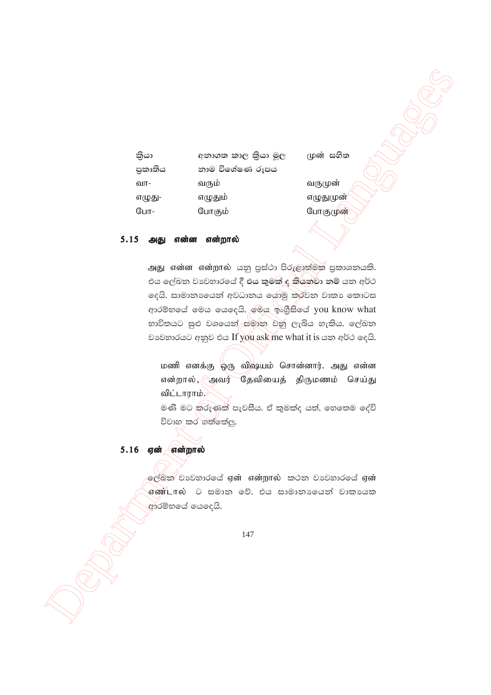| කියා    | අනාගත කාල කියා මූල | ( I |
|---------|--------------------|-----|
| පුකෘතිය | නාම විශේෂණ රූපය    |     |
| வா-     | வரும்              | 6   |
| எழுது-  | எழுதும்            | 6   |
| போ-     | போகும்             | G   |
|         |                    |     |

 $\mathsf{I}$ ගේ සහිත

பருமுன் τ(ழது(ழன<mark>்</mark> 8பாகுமுன்

#### $5.15$  அது என்ன என்றால்

 $\frac{d\omega}{d\omega}$  a sexuage such  $\frac{d\omega}{d\omega}$  are  $\frac{d\omega}{d\omega}$  and  $\frac{d\omega}{d\omega}$  and  $\frac{d\omega}{d\omega}$  is  $\frac{d\omega}{d\omega}$  and  $\frac{d\omega}{d\omega}$  and  $\frac{d\omega}{d\omega}$  and  $\frac{d\omega}{d\omega}$  and  $\frac{d\omega}{d\omega}$  and  $\frac{d\omega}{d\omega}$  and  $\frac{d\omega}{d\omega}$ அது என்ன என்றால் යනු පුස්ථා පිරුළාත්මක පුකාශනයකි. එය ලේඛන වා¤වහාරයේ දී එය <mark>කුමක් ද කියන</mark>වා නම් යන අර්ථ ලදයි. සාමානායෙන් අවධානය යොමු කරවන වාකා කොටස ආරම්භයේ මෙය යෙදෙයි. මෙය ඉංගීසියේ you know what භාවිතයට සුළු වශයෙන් සමාන වනු ලැබිය හැකිය. ලේඛන වාවහාරයට අනුව එය If you ask me what it is යන අර්ථ දෙයි.

மணி எனக்கு ஒரு விஷயம் சொன்னார். அது என்ன என்றால்,  $\epsilon$ அவர் தேவியைத் திருமணம் செய்து விட்டாராம்.

මණි මට කරුණක් පැවසීය. ඒ කුමක්ද යත්, හෙතෙම දේවි විවාහ කර ගත්තේලු.

## $5.16$  ஏன் என்றால்

 $\,$ ලේඛන $\,$  වාවහාරයේ  $\,$ ஏன் என்றால் කථන වාවහාරයේ  $\,$ ஏன்  $\overline{\mathfrak{g}}$ ண்டால்  $\ominus$  සමාන වේ. එය සාමානායෙන් වාකායක ආරම්භයේ යෙදෙයි.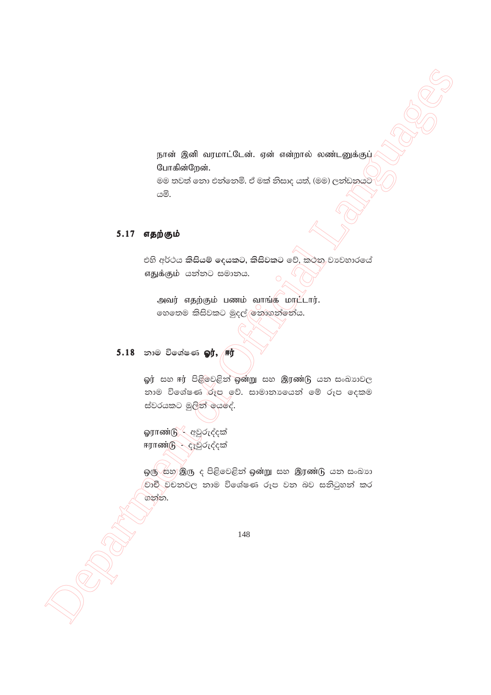நான் இனி வரமாட்டேன். ஏன் என்றால் லண்டனுக்குப் போகின்றேன். මම තවත් නො එන්නෙමි. ඒ මක් නිසාද යත්, (මම) ලන්ඩනයට

යමි.

## 5.17 எதற்கும்

එහි අර්ථය කිසියම් දෙයකට, කිසිවකට වේ, කථන වාවහාරයේ எதுக்கும் යන්නට සමානය.

அவர் எதற்கும் பணம் வாங்கு மாட்டார். හෙතෙම කිසිවකට මුදල් ලිනාගන්නේය.

## 5.18 නාම විශේෂණ **ஓர், சுர்**

ஓர் සහ ஈர் පිළිවෙළින් ஒன்று සහ இரண்டு යන සංඛාගවල නාම විශේෂණ රූප වේ. සාමානායෙන් මේ රූප දෙකම ස්වරයකට මුලින් යෙදේ.

**ஓராண்டு -** අවුරුද්දක් ஈராண்டு - දෑවුරුද්දක්

ஒரு සහ இரு ද පිළිවෙළින් ஒன்று සහ இரண்டு යන සංඛාග වාචී වචනවල නාම විශේෂණ රූප වන බව සනිටුහන් කර ගන්න.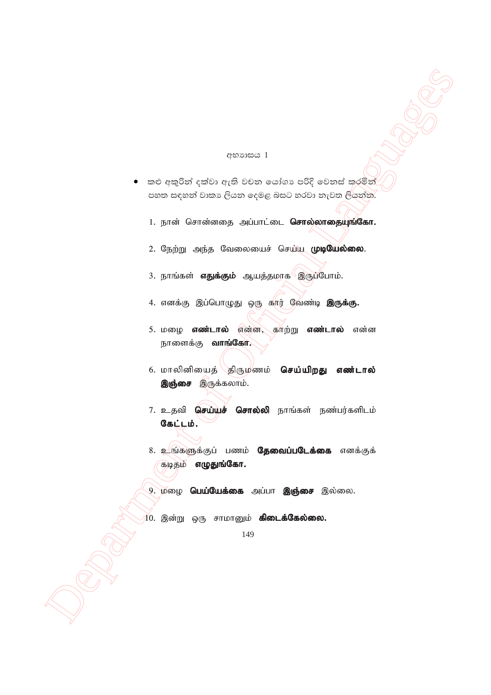#### අභාගය 1

- කළු අකුරින් දක්වා ඇති වචන යෝගා පරිදි වෙනස් කරමින්  $\bullet$ පහත සඳහන් වාකා ලියන දෙමළ බසට හරවා නැවත ලියන්න.
	- 1. நான் சொன்னதை அப்பாட்டை **சொல்லாதையுங்கோ.**
	- 2. நேற்று அந்த வேலையைச் செய்ய முழயேல்லை.
	- 3. நாங்கள் **எதுக்கும்** ஆயத்தமாக இருப்போம்.
	- 4. எனக்கு இப்பொழுது ஒரு கார் வேண்டி **இருக்கு.**
	- 5. மழை **எண்டால்** என்ன, காற்று **எண்டால்** என்ன நாளைக்கு **வாங்கோ.**
	- 6. மாலினியைத் திருமணம் **செய்யிறது எண்டால்** இஞ்சை இருக்கலாம்.
	- 7. உதவி **செய்யச் சொல்லி** நாங்கள் நண்பர்களிடம் கேட்டம்.
	- 8. உங்களுக்குப் பணம் **தேவைப்படேக்கை** எனக்குக் கடிதம் **எழுதுங்கோ.**
	- 9. மழை **பெய்யேக்கை** அப்பா இஞ்சை இல்லை.
	- )<br>10. இன்று ஒரு சாமானும் **கிடைக்கேல்லை.**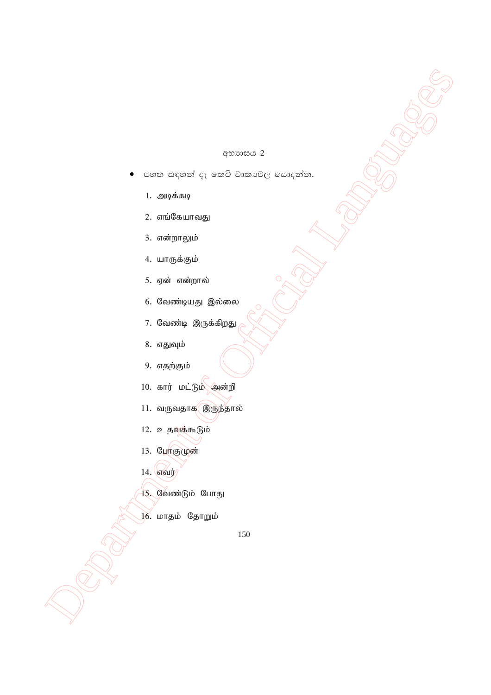#### අභාගාසය 2

- පහත සඳහන් දෑ කෙටි වාකාවල යොදන්න.
	- 1. அடிக்கடி
	- 2. எங்கேயாவது
	- 3. என்றாலும்
	- 4. யாருக்கும்
	- 5. ஏன் என்றால்
	- 6. வேண்டியது இல்லை
	- 7. வேண்டி இருக்கிறது
	- 8. எதுவும்
	- 9. எதற்கும்
	- 10. கார் மட்டும் அன்றி
	- 11. வருவதாக இருந்தால்
	- 12. உதவக்கூடும்
	- 13. போகுமுன்
	- 14. எவர்
	- 15. வேண்டும் போது
	- 16. மாதம் தோறும்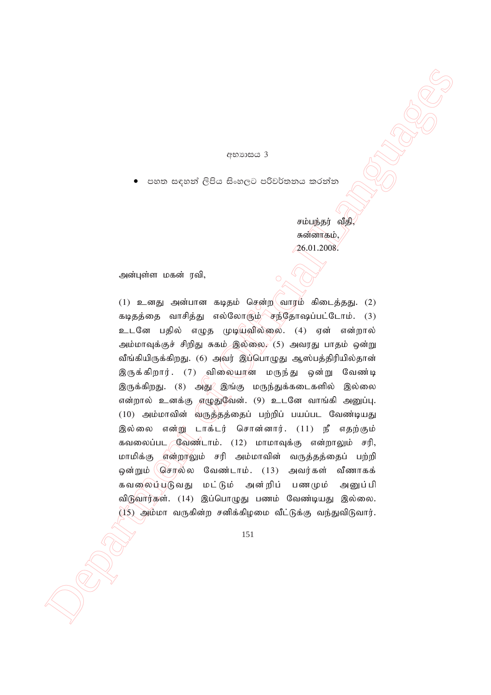#### අභාගය 3

පහත සඳහන් ලිපිය සිංහලට පරිවර්තනය කරන්න

சம்பந்தர் வீதி சுன்னாகம், 26.01.2008.

அன்புள்ள மகன் ரவி,

 $\begin{array}{ll} & & & \\ & & & \\ \hline \end{array} \hskip .2in \begin{minipage}{0.99\textwidth} \begin{tabular}{c} {\small \textbf{0.90\textwidth} \begin{tabular}{c} {\small \textbf{0.90\textwidth} \begin{tabular}{c} {\small \textbf{0.90\textwidth} \begin{tabular}{c} {\small \textbf{0.90\textwidth} \begin{tabular}{c} {\small \textbf{0.90\textwidth} \begin{tabular}{c} {\small \textbf{0.90\textwidth} \begin{tabular}{c} {\small \textbf{0.90\textwidth} \begin{tabular}{c} {\small \textbf{0.90\textwidth}$ (1) உனது அன்பான கடிதம் சென்ற $\langle$  வாரம் கிடைத்தது. (2) கடிதத்தை வாசித்து எல்லோரும் சந்தோஷப்பட்டோம்.  $(3)$ உடனே பதில் எழுத முடியவில்லை. (4) ஏன் என்றால் அம்மாவுக்குச் சிறிது சுகம் இல்லை,  $(5)$  அவரது பாதம் ஒன்று வீங்கியிருக்கிறது. (6) அவர் இப்பொழுது ஆஸ்பத்திரியில்தான் இருக்கிறார். (7) விலையான மருந்து ஒன்று வேண்டி இருக்கிறது. (8) அது $\ell$ இங்கு மருந்துக்கடைகளில் இல்லை என்றால் உனக்கு எழுதுவேன். (9) உடனே வாங்கி அனுப்பு.  $(10)$  அம்மாவின் வருத்தத்தைப் பற்றிப் பயப்பட வேண்டியது இல்லை என்று டாக்டர் சொன்னார். (11) நீ எதற்கும் கவலைப்பட  $\mathbb C$ வண்டாம். (12) மாமாவுக்கு என்றாலும் சரி, மாமிக்கு என்றாலும் சரி அம்மாவின் வருத்தத்தைப் பற்றி ஒன்றும் (செர்ல்ல வேண்டாம். (13) அவர்கள் வீணாகக் கவலைப்படுவது மட்டும் அன்றிப் பணமும் அனுப்பி விடுவார்கள். (14) இப்பொழுது பணம் வேண்டியது இல்லை.  $(15)$  அம்மா வருகின்ற சனிக்கிழமை வீட்டுக்கு வந்துவிடுவார்.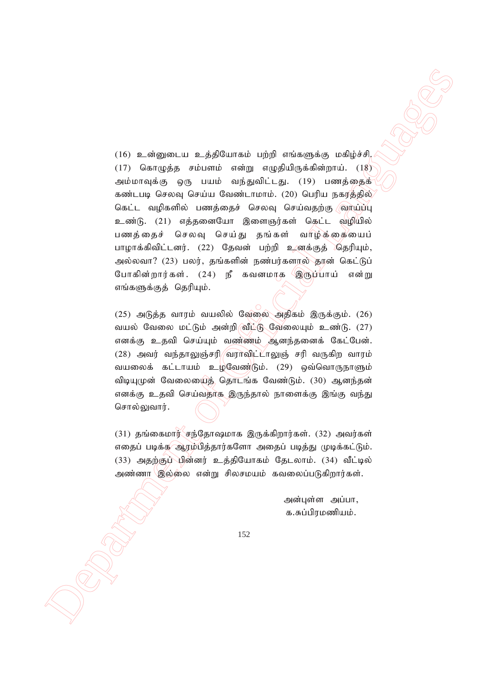(16)  $\alpha$  airgament of  $\alpha$  dependent of the subsection  $\alpha$  dependent of  $\beta$  and  $\beta$  and  $\beta$  and  $\beta$  and  $\beta$  and  $\beta$  and  $\beta$  and  $\beta$  and  $\beta$  and  $\beta$  and  $\beta$  and  $\beta$  and  $\beta$  and  $\beta$  and  $\beta$  and  $\beta$  and  $\beta$  $(16)$  உன்னுடைய உத்தியோகம் பற்றி எங்களுக்கு மகிழ்ச்சி. (17) கொழுத்த சம்பளம் என்று எழுதியிருக்கின்றாய்.  $(18)$ அம்மாவுக்கு ஒரு பயம் வந்துவிட்டது. (19) பணத்தைக் கண்டபடி செலவு செய்ய வேண்டாமாம். (20) பெரிய நகரத்தில் கெட்ட வழிகளில் பணத்தைச் செலவு செய்வதற்கு வாய்ப்பு உண்டு. (21) எத்தனையோ இளைஞர்கள் கெட்ட வழியில் பணத்தைச் செலவு செய்து தங்கள் வாழ்க்கையைப் பாழாக்கிவிட்டனர். (22) தேவன் பற்றி உனக்குத் கெரியும், அல்லவா? (23) பலர், தங்களின் நண்பர்களால் தான் கெட்டுப் போகின்றார்கள். (24) நீ கவனமாக இருப்பாய் என்று எங்களுக்குத் தெரியும்.

 $(25)$  அடுத்த வாரம் வயலில் வேலை அதிகம் இருக்கும்.  $(26)$ வயல் வேலை மட்டும் அன்றி வீட்டு வேலையும் உண்டு. (27) எனக்கு உதவி செய்யும் வண்ணம் ஆனந்தனைக் கேட்பேன்.  $(28)$  அவர் வந்தாலுஞ்சரி $/$ வராவிட் $L$ ாலுஞ் சரி வருகிற வாரம் வயலைக் கட்டாயம் உழவேண்டும்.  $(29)$  ஒவ்வொருநாளும் விடியுமுன் வேலையைத் தொடங்க வேண்டும். (30) ஆனந்தன் எனக்கு உதவி செய்வதாக இருந்தால் நாளைக்கு இங்கு வந்து சொல்லுவார்.

 $(31)$  தங்கைமார் சந்தோஷமாக இருக்கிறார்கள்.  $(32)$  அவர்கள் எதைப் படிக்க ஆரம்பித்தார்களோ அதைப் படித்து முடிக்கட்டும்.  $(33)$  அதற்குப் பின்னர் உத்தியோகம் தேடலாம்.  $(34)$  வீட்டில் அண்ணா இல்லை என்று சிலசமயம் கவலைப்படுகிறார்கள்.

> அன்புள்ள அப்பா, க.சுப்பிரமணியம்.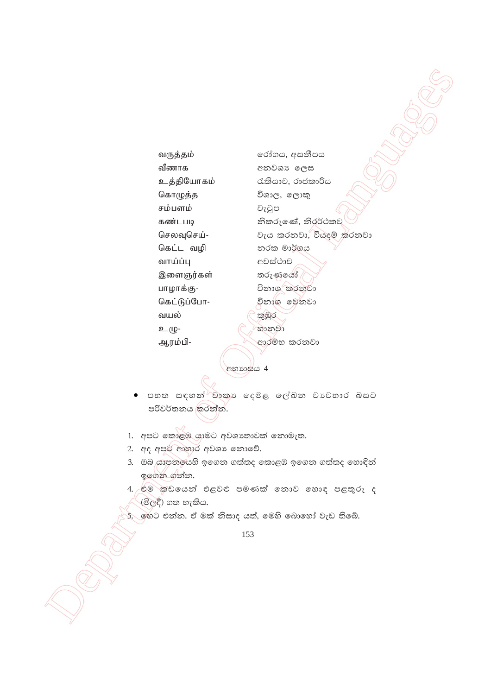வருத்தம் வீணாக உத்தியோகம் கொழுத்த சம்பளம் கண்டபடி செலவுசெய்-கெட்ட வழி வாய்ப்பு இளைஞர்கள் பாழாக்கு-கெட்டுப்போ-வயல் உமு-ஆரம்பி-

රෝගය, අසනීපය අනවශා ලෙස රැකියාව, රාජකාරිය විශාල, ලොකු වැටුප නිකරුණේ, නිරර්ථකව වැය කරනවා, වියදම් කරනවා නරක මාර්ගය අවස්ථාව තරුණයෝ විනාශ කරනුවා විනාශ මෙනවා කුඹුර හානවා ආරම්භ කරනවා

අභාගස්ය 4

- පහත සඳහන්<sup>∂</sup>වාකා දෙමළ ලේඛන වාවහාර බසට පරිවර්තනය කරන්න.
- 1. අපට කොළඹ යාමට අවශාතාවක් තොමැත.
- 2. අද අපුම ආහාර අවශා නොවේ.
- 3. ඔබ යාපනයෙහි ඉගෙන ගත්තද කොළඹ ඉගෙන ගත්තද හොඳින් ඉගෙන ගන්න.
- 4. එම කඩයෙන් එළවළු පමණක් නොව හොඳ පළතුරු ද (මිලදී) ගත හැකිය.
- .<br>5. හෙට එන්න. ඒ මක් නිසාද යත්, මෙහි බොහෝ වැඩ තිබේ.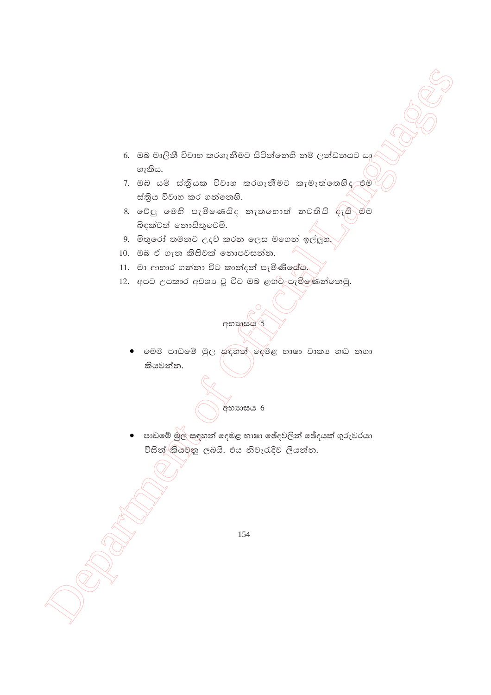- 6. ඔබ මාලිනී විවාහ කරගැනීමට සිටින්නෙහි නම් ලන්ඩනයට යා හැකිය.
- 7. ඔබ යම් ස්තියක විවාහ කරගැනීමට කැමැත්තෙහිද එම ස්තිය විවාහ කර ගන්නෙහි.
- 8. වේලු මෙහි පැමිණෙයිද තැතහොත් තවතියි දැයි මම බිඳක්වත් නොසිතුවෙමි.
- 9. මිතුරෝ තමනට උදව් කරන ලෙස මගෙන් ඉල්ලුහ.
- $10.$  ඔබ ඒ ගැන කිසිවක් නොපවසන්න.
- 11. මා ආහාර ගන්නා විට කාන්දන් පැමිණියේය.
- 12. අපට උපකාර අවශා වූ විට ඔබ ළඟ්ට පැමිණෙන්නෙමු.



 $\bullet$  මෙම පාඩමේ මුල සඳහන් මැමළ භාෂා වාකා හඬ නගා කියවන්න.

**අභා**ාසය 6

 $\bullet$  පාඩමේ මුල සඳහන් දෙමළ භාෂා ඡේදවලින් ඡේදයක් ගුරුවරයා විසින් කියවනු ලබයි. එය නිවැරැදිව ලියන්න.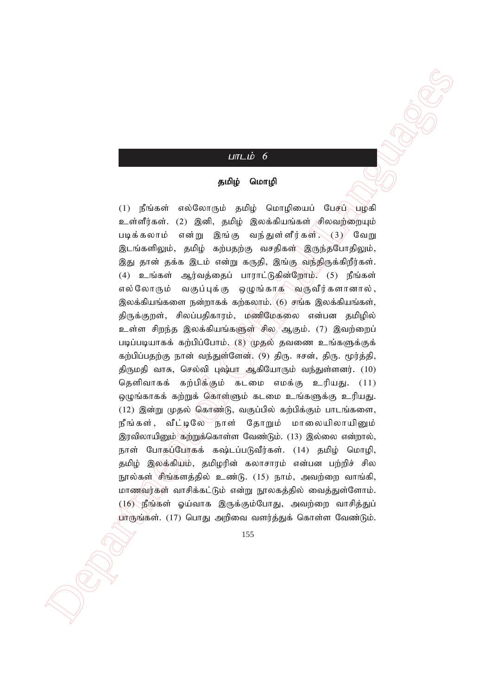## $L$ пт $L$ ம் 6

#### தமிழ் மொழி

 $\label{eq:21} \begin{array}{ll} \mbox{\textbf{(B1.4, B) }} \mbox{\textbf{(C1.4, B) }} \mbox{\textbf{(D1.4, B) }} \mbox{\textbf{(D2.4, B) }} \mbox{\textbf{(D3.4, B) }} \mbox{\textbf{(D4.4, B) }} \mbox{\textbf{(D5.4, B) }} \mbox{\textbf{(D6.4, B) }} \mbox{\textbf{(D6.4, B) }} \mbox{\textbf{(D6.4, B) }} \mbox{\textbf{(D6.4, B) }} \mbox{\textbf{(D6.4, B) }} \mbox{\textbf{(D6.4, B) }} \mbox{\textbf{(D6.$  $(1)$  நீங்கள் எல்லோரும் தமிழ் மொழியைப் பேசப் $\bigcup_{i=1}^{\infty}$ பழகி உள்ளீர்கள். (2) இனி, தமிழ் இலக்கியங்கள் சிலவற்றையும் படிக்கலாம் என்று இங்கு வந்துள்ளீர்கள் $\mathcal{S}(\mathcal{S})$  வேறு <u>இடங்களிலும், தமிழ் கற்பதற்கு வசதிகள் இருந்தபோதிலும்,</u> இது தான் தக்க இடம் என்று கருதி, இங்கு வந்திருக்கிறீர்கள்.  $(4)$  உங்கள் ஆர்வத்தைப் பாராட்டுகின்றோம்?  $(5)$  நீங்கள் எல்லோரும் வகுப்புக்கு ஒழுங்காக வருவீர்களானால், இலக்கியங்களை நன்றாகக் கற்கலாம். $\vert\hspace{-1mm}(\mathbf{6})\hspace{-1mm}\vert$  ரங்க இலக்கியங்கள், திருக்குறள், சிலப்பதிகாரம், மணிமேகலை என்பன தமிழில் உள்ள சிறந்த இலக்கியங்களுள் சில, ஆகும். (7) இவற்றைப் படிப்படியாகக் கற்பிப்போம். (8) முதல் தவணை உங்களுக்குக் கற்பிப்பதற்கு நான் வந்துள்ளேன். (9) திரு. ஈசன், திரு. மூர்த்தி, திருமதி வாசு, செல்வி புஷ்பா ஆகியோரும் வந்துள்ளனர். (10) தெளிவாகக் கற்பிக்கும் கடமை எமக்கு உரியது.  $(11)$ ஒழுங்காகக் கற்றுக் கொள்ளும் கடமை உங்களுக்கு உரியது.  $(12)$  இன்று முதல் கொண்டு, வகுப்பில் கற்பிக்கும் பாடங்களை, நீங்கள், வீட்டிலே நாள் தோறும் மாலையிலாயினும் இரவிலாயினும் கற்றுக்கொள்ள வேண்டும். (13) இல்லை என்றால், நாள் போகுப்போகக் கஷ்டப்படுவீர்கள். (14) தமிழ் மொழி, தமிழ் இலக்கியம், தமிழரின் கலாசாரம் என்பன பற்றிச் சில நூல்கள் சிங்களத்தில் உண்டு. (15) நாம், அவற்றை வாங்கி, மாணவர்கள் வாசிக்கட்டும் என்று நூலகத்தில் வைத்துள்ளோம்.  $(16)$  நீங்கள் ஓய்வாக இருக்கும்போது, அவற்றை வாசித்துப் பாருங்கள். (17) பொது அறிவை வளர்த்துக் கொள்ள வேண்டும்.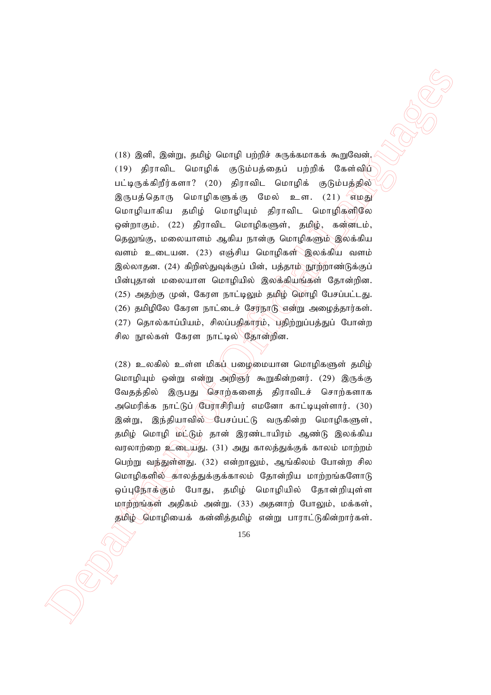$\label{eq:31} \begin{array}{ll} \multicolumn{3}{l}{\textbf{(18)} \text{ [5nd]}, \textbf{2nd}; \textbf{3nd}; \textbf{4ord}(\theta) \text{ triple to the following algorithm,}\\ \begin{minipage}[c]{0.96\text{ [b]} \text{ [5nd]}, \textbf{2nd}; \textbf{2nd}; \textbf{2nd}; \textbf{2nd}; \textbf{2nd}; \textbf{2nd}; \textbf{2nd}; \textbf{2nd}; \textbf{2nd}; \textbf{2nd}; \textbf{2nd}; \textbf{2nd}; \textbf{2nd}; \textbf{2nd}; \textbf{2nd}; \textbf{2nd}; \textbf{2nd}; \textbf$  $(18)$  இனி, இன்று, தமிழ் மொழி பற்றிச் சுருக்கமாகக் கூறுவேன். (19) திராவிட மொழிக் குடும்பத்தைப் பற்றிக் கேள்விப் பட்டிருக்கிறீர்களா? (20) திராவிட மொழிக் குடும்பத்தில் இருபத்தொரு மொழிகளுக்கு மேல் உள. (21) எழது மொழியாகிய தமிழ் மொழியும் திராவிட மொழிகளிலே ஒன்றாகும். (22) திராவிட மொழிகளுள், தமிழ், கன்னடம், தெலுங்கு, மலையாளம் ஆகிய நான்கு மொழிகளும் இலக்கிய வளம் உடையன. (23) எஞ்சிய மொழிகள் இலக்கிய வளம் இல்லாதன. (24) கிறிஸ்துவுக்குப் பின், பத்தாம் நூற்றாண்டுக்குப் பின்புதான் மலையாள மொழியில் இலக்கியங்கள் தோன்றின.  $(25)$  அதற்கு முன், கேரள நாட்டிலும் தமிழ் மொழி பேசப்பட்டது.  $(26)$  தமிழிலே கேரள நாட்டைச் சேர்நாடு என்று அழைத்தார்கள்.  $(27)$  தொல்காப்பியம், சிலப்பதிகாரம், பதிற்றுப்பத்துப் போன்ற சில நூல்கள் கேரள நாட்டில் தோன்றின.

 $(28)$  உலகில் உள்ள மிக $\mu$ ் பழைமையான மொழிகளுள் தமிழ் மொழியும் ஒன்று என்று அறிஞர் கூறுகின்றனர். (29) இருக்கு வேதத்தில் இருபது சொற்களைத் திராவிடச் சொற்களாக அமெரிக்க நாட்டுப் **பேராசிரியர் எமனோ காட்டியுள்ளார்.** (30) இன்று, இந்தியாவில் பேசப்பட்டு வருகின்ற மொழிகளுள், தமிழ் மொழி மட்டும் தான் இரண்டாயிரம் ஆண்டு இலக்கிய வரலாற்றை உடையது. (31) அது காலத்துக்குக் காலம் மாற்றம் பெற்று வந்துள்ளது. (32) என்றாலும், ஆங்கிலம் போன்ற சில மொழிகளில் காலத்துக்குக்காலம் தோன்றிய மாற்றங்களோடு ஒப்புநோக்கும் போது, தமிழ் மொழியில் தோன்றியுள்ள மாற்றங்கள் அதிகம் அன்று. (33) அதனாற் போலும், மக்கள், தமிழ் மொழியைக் கன்னித்தமிழ் என்று பாராட்டுகின்றார்கள்.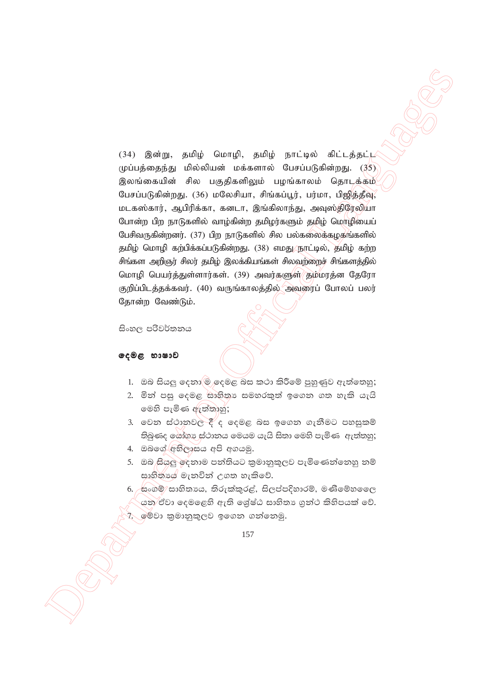34) **2**2 της προσέληση του Παρακουλουντου (14) 22 της προσέληση του Παρακουλουντου (14) 23 της προσέληση (15) (34) της προσέληση (15) (34) της προσέληση (15) (34) της προσέληση (15) (34) της προσέληση (15) (34) της προσέ (34) இன்று, தமிழ் மொழி, தமிழ் நாட்டில் கிட்டத்தட்ட  $(\psi)$ ப்பத்தைந்து மில்லியன் மக்களால் பேசப்படுகின்றது.  $(35)$ இலங்கையின் சில பகுதிகளிலும் பழங்காலம் தொடக்கம் பேசப்படுகின்றது. (36) மலேசியா, சிங்கப்பூர், பர்மா, பிஜித்தீவு, மடகஸ்கார், ஆபிரிக்கா, கனடா, இங்கிலாந்து, அவுஸ்திரேலியா போன்ற பிற நாடுகளில் வாழ்கின்ற தமிழர்களும் தமிழ் மொழியைப் பேசிவருகின்றனர்.  $(37)$  பிற நாடுகளில் சில பல்கலைக்கழகங்களில் தமிழ் மொழி கற்பிக்கப்படுகின்றது. (38) எமது நூட்டில், தமிழ் கற்ற சிங்கள அறிஞர் சிலர் தமிழ் இலக்கியங்கள் சிலவற்றைச் சிங்களத்தில் மொழி பெயர்த்துள்ளார்கள். (39) அவர்களுள் தமீமரத்ன தேரோ குறிப்பிடத்தக்கவர். (40) வருங்காலத்தில் அவரைப் போலப் பலர் தோன்ற வேண்டும்.

සිංහල පරිවර්තනය

#### ලෙළ භාෂාව

- 1. ඔබ සියලු දෙනා@ි දෙමළ බස කථා කිරීමේ පුහුණුව ඇත්තෙහු;
- 2. මින් පසු දෙමළ සාහිතා සමහරකුත් ඉගෙන ගත හැකි යැයි මෙහි පැමිණ ඇත්තාහු;
- 3. වෙන ස්ථානවල දී ද දෙමළ බස ඉගෙන ගැනීමට පහසුකම්  $\mathfrak{H}$ බණද යෝගා ස්ථානය මෙයම යැයි සිතා මෙහි පැමිණ ඇත්තුහු;
- 4. ඔබගේ අභිලාසය අපි අගයමු.
- 5. ඔබ සියලු ඉදනාම පන්තියට කුමානුකූලව පැමිණෙන්නෙහු නම් සාහිතාය මැනවින් උගත හැකිවේ.
- $6.$  සංගම්/සාහිතාය, තිරුක්කුරළ්, සිලප්පදිහාරම්, මණිමේහ ෛ යන ඒවා දෙමළෙහි ඇති ශේෂ්ඨ සාහිතා ගුන්ථ කිහිපයක් වේ. 7. මේවා කුමානුකුලව ඉගෙන ගන්නෙමු.

<sup>157</sup>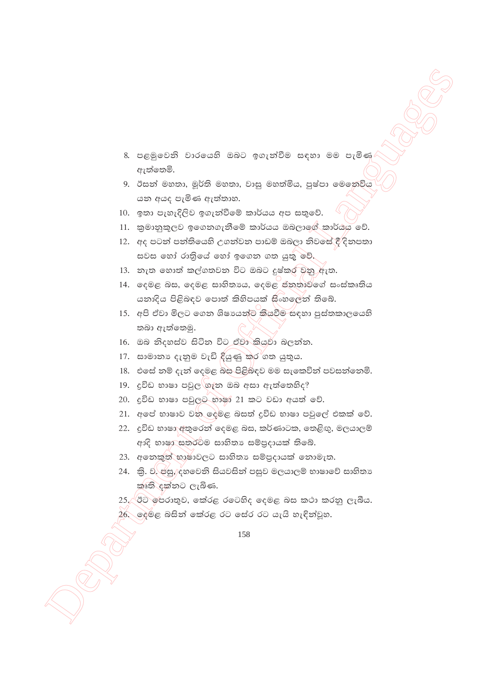- 8. පළමුවෙනි වාරයෙහි ඔබට ඉගැන්වීම සඳහා මම පැමිණ ඇත්තෙමි.
- 9. ඊසත් මහතා, මූර්ති මහතා, වාසු මහත්මිය, පුෂ්පා මෙනෙවිය යන අයද පැමිණ ඇත්තාහ.
- 10. ඉතා පැහැදිලිව ඉගැන්වීමේ කාර්යය අප සතුවේ.
- 11. කුමානුකූලව ඉගෙනගැනීමේ කාර්යය ඔබලාගේ කාර්යය වේ.
- 12. අද පටන් පන්තියෙහි උගන්වන පාඩම් ඔබලා නිවසේ දී දිනපතා සවස හෝ රාතියේ හෝ ඉගෙන ගත යුතු වේ.
- 13. නැත හොත් කල්ගතවන විට ඔබට දුෂ්කර වනු ඇත.
- 14. දෙමළ බස, දෙමළ සාහිතාය, දෙමළ ජනතාවගේ සංස්කෘතිය යනාදිය පිළිබඳව පොත් කිහිපයක් සිංහලෙන් තිබේ.
- 15. අපි ඒවා මිලට ගෙන ශිෂායන්ට කියවීම සඳහා පුස්තකාලයෙහි තබා ඇත්තෙමු.
- 16. ඔබ නිදහස්ව සිටින විට ඒවා කියුවා බලන්න.
- 17. සාමානා දැනුම වැඩි ඳියුණු කර<sup>්</sup>ගත යුතුය.
- 18. එසේ නම් දැන් දෙමළ බස පිළිබිඳව මම සැකෙවින් පවසන්නෙමි.
- 19. දුවිඩ භාෂා පවුල<sup>්</sup>ගැන ඔබ අසා ඇත්තෙහිද?
- 20. දුවිඩ භාෂා පවුලට භාෂා 21 කට වඩා අයත් වේ.
- 21. අපේ භාෂාව වන ලදුමළ බසත් දුවිඩ භාෂා පවුලේ එකක් වේ.
- 22. දුවිඩ භාෂා අතුරෙන් දෙමළ බස, කර්ණාටක, තෙළිඟු, මලයාලම් ආදි භාෂා සතරටම සාහිතා සම්පුදායක් තිබේ.
- 23. අනෙකුත් භාෂාවලට සාහිතා සම්පුදායක් නොමැත.
- 24. කි. ව. එසු, දහවෙනි සියවසින් පසුව මලයාලම් භාෂාවේ සාහිතා කෘති දක්නට ලැබිණ.
- 25. ඊට පෙරාතුව, කේරළ රටෙහිද දෙමළ බස කථා කරනු ලැබීය.
- $26$ . ලදුමළ බසින් කේරළ රට සේර රට යැයි හැඳින්වූහ.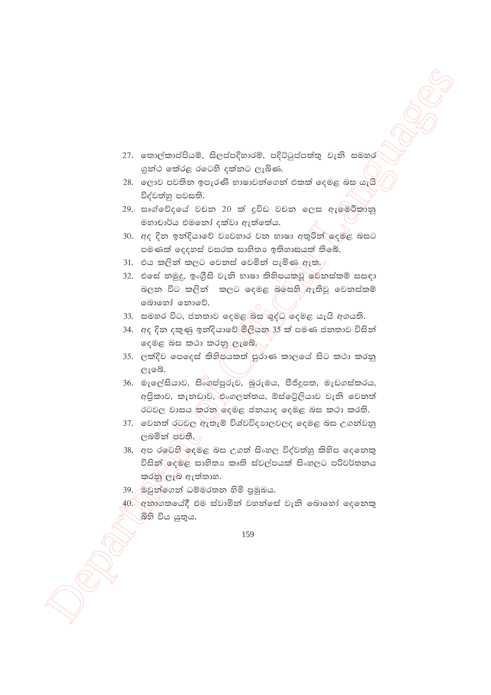- 27. තොල්කාප්පියම්, සිලප්පදිහාරම්, පදිට්ටුප්පත්තු වැනි සමහර ගුන්ථ කේරළ රටෙහි දක්නට ලැබිණ.
- 28. ලොව පවතින ඉපැරණි භාෂාවන්ගෙන් එකක් දෙමළ බස යැයි විද්වත්හු පවසති.
- 29. සෘග්වේදයේ වචන 20 ක් දුවිඩ වචන ලෙස ඇම්මරිකානු මහාචාර්ය එමනෝ දක්වා ඇත්තේය.
- 30. අද දින ඉන්දියාවේ වාවහාර වන භාෂා අතුරින් ලදමළ බසට පමණක් දෙදහස් වසරක සාහිතා ඉතිහාසුයක් තිබේ.
- 31. එය කලින් කලට වෙනස් වෙමින් පැමිණ ඇත.
- 32. එසේ නමුදු, ඉංගීසි වැනි භාෂා කිහිපයකවූ මෙනස්කම් සසඳා බලන විට කලින් කලට දෙමළ බසෙහි ඇතිවූ වෙනස්කම් බොහෝ නොවේ.
- 33. සමහර විට, ජනතාව දෙමළ බස ශුද්ධ දෙමළ යැයි අගයති.
- 34. අද දින දකුණු ඉන්දියාවේ මිලියන 35 ක් පමණ ජනතාව විසින් දෙමළ බස කථා කරනු ලැබේ.
- 35. ලක්දිව පෙදෙස් කිහිපයකත් පුරාණ කාලයේ සිට කථා කරනු ලැබේ.
- 36. මැලේසියාව, සිංගුප්පුරුව, බුරුමය, පීජිදූපත, මැඩගස්කරය, අපිකාව, කැනඩාව, එංගලන්තය, ඕස්ටේලියාව වැනි වෙනත් රටවල වාසය කරනු දෙමළ ජනයාද දෙමළ බස කථා කරති.
- 37. වෙනත් රටවල ඇතැම් විශ්වවිදාහලවලද දෙමළ බස උගන්වනු ලබමින් පවතී. 1
- 38. අප රලේහි ලදමළ බස උගත් සිංහල විද්වත්හු කිහිප ලදනෙකු විසින් ලදමළ සාහිතා කෘති ස්වල්පයක් සිංහලට පරිවර්තනය කරනු ලැබ ඇත්තාහ.
- 39. ඔවුන්ගෙන් ධම්මරතන හිමි පුමුඛය.
- 40. අනාගතයේදී එම ස්වාමින් වහන්සේ වැනි බොහෝ දෙනෙකු බිහි විය යුතුය.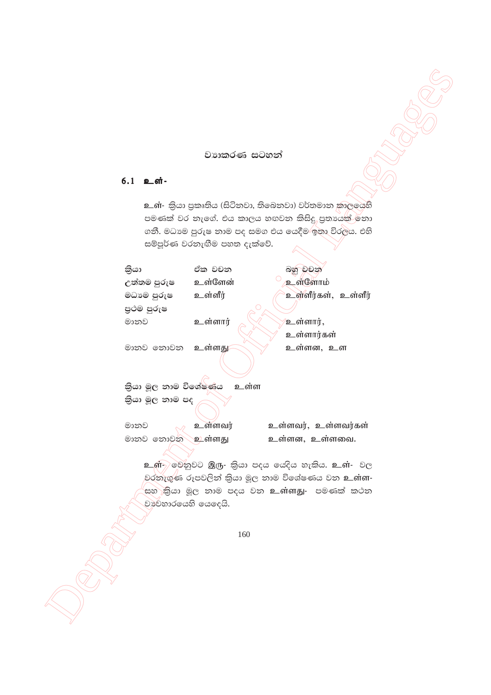## වාහතරණ සටහන්

## 6.1 உள்-

உள்- කියා පුකෘතිය (සිටිනවා, තිබෙනවා) වර්තමාන කාලයෙහි පමණක් වර තැගේ. එය කාලය හඟවන කිසිදු, පුතායෙක් නො ගනී. මධාමෙ පුරුෂ තාම පද සමග එය යෙදීම⁄ඉතා විරලය. එහි සම්පූර්ණ වරතැඟීම පහත දැක්වේ.

| කියා                         | ඒක වචන  | බහු වචන             |  |  |  |
|------------------------------|---------|---------------------|--|--|--|
| උත්තම පුරුෂ                  | உள்ளேன் | உள்ளோம்             |  |  |  |
| මධා ෙපුරුෂ                   | உள்ளீர் | உள்ளீர்கள், உள்ளீர் |  |  |  |
| පුථම පුරුෂ                   |         |                     |  |  |  |
| මානව                         | உள்ளார் | உள்ளார்,            |  |  |  |
|                              |         | உள்ளார்கள்          |  |  |  |
| මානව නොවන                    | உள்ளது  | உள்ளன, உள           |  |  |  |
|                              |         |                     |  |  |  |
| තියා මූල නාම විශේෂණය<br>உள்ள |         |                     |  |  |  |
| කියා මූල නාම පද              |         |                     |  |  |  |
| මානව                         | உள்ளவர் | உள்ளவர், உள்ளவர்கள் |  |  |  |
| මානව නොවන                    | உள்ளது  | உள்ளன, உள்ளவை.      |  |  |  |
|                              |         |                     |  |  |  |

உள் ஒல்ஜூට இரு- திக පදය கேரே லாகிக. உள்- වල වරතැගුණ රූපවලින් කියා මූල නාම විශේෂණය වන உள்ள-.<br>සහ කියා මූල නාම පදය වන **உள்ளது-** පමණක් කථන වාවෙහාරයෙහි යෙදෙයි.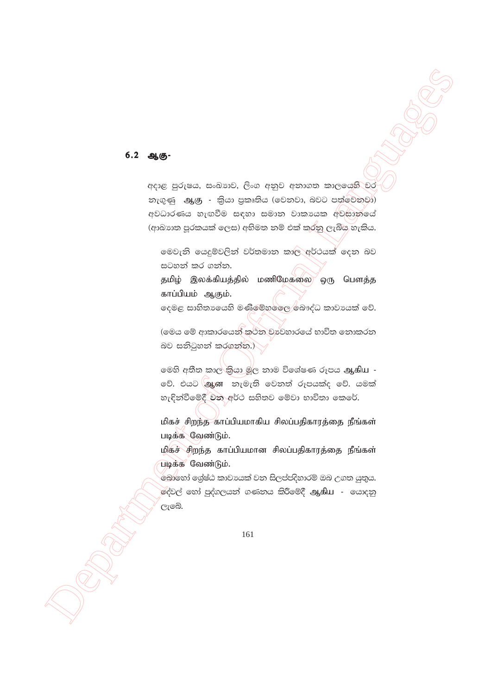#### 6.2 ஆகு-

අදාළ පුරුෂය, සංඛාාව, ලිංග අනුව අනාගත කාලයෙහි වර නැගුණු ஆகு - කියා පුකෘතිය (වෙනවා, බවට පත්වෙනවා) අවධාරණය හැඟවීම සඳහා සමාන වාකායක අවසානයේ (ආඛාහක පූරකයක් ලෙස) අභිමත නම් එක් කරනු ලැබිය හැකිය.

මෙවැනි යෙදුම්වලින් වර්තමාන කාල අර්ථයක් දෙන බව සටහන් කර ගන්න.

தமிழ் இலக்கியத்தில் மணிமேகலை ஒரு பௌத்த காப்பியம் ஆகும்.

දෙමළ සාහිතායෙහි මණිමේහලෙළ බෞද්ධ කාවායක් වේ.

(මෙය මේ ආකාරයෙන් කථන වාවහාරයේ භාවිත නොකරන බව සනිටුහන් කරගන්න.)

මෙහි අතීත කාල කියා මූල නාම විශේෂණ රූපය ஆகிய -වේ. එයට මුෑඟ නැමැති වෙනත් රූපයක්ද වේ. යමක් හැඳින්වීමේදී වන අර්ථ සහිතව මේවා භාවිතා කෙරේ.

மிகச் சிறந்த காப்பியமாகிய சிலப்பதிகாரத்தை நீங்கள் படிக்க வேண்டும்.

மிகச் சிறந்த காப்பியமான சிலப்பதிகாரத்தை நீங்கள் படிக்க வேண்டும்.

.<br>`බොහෝ ශේෂ්ඨ කාවායක් වන සිලප්පදිහාරම් ඔබ උගත යුතුය. ල්වල් හෝ පුද්ගලයන් ගණනය කිරීමේදී ஆகிய - යොදනු ලැබේ.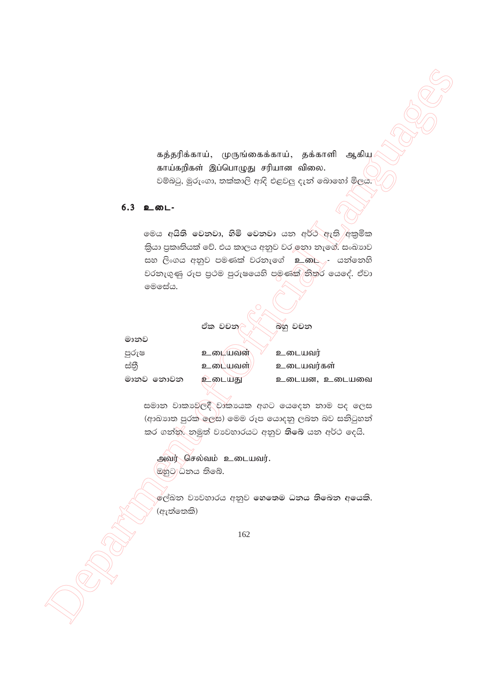கத்தரிக்காய், முருங்கைக்காய், தக்காளி ஆகிய காய்கறிகள் இப்பொழுது சரியான விலை. වම්බටු, මුරුංගා, තක්කාලි ආදි එළවලු දැන් බොහෝ මිලය.

## $6.3$  உடை-

මෙය අයිති වෙනවා, හිමි වෙනවා යන අර්ථ ඇති /අකුමික කියා පුකෘතියක් වේ. එය කාලය අනුව වර ඉතා තැගේ. සංඛාාව සහ ලිංගය අනුව පමණක් වරතැගේ உ. . - යන්තෙහි වරතැගුණු රූප පුථම පුරුෂයෙහි පමණක් තිතර යෙදේ. ඒවා මෙසේය.

|           | ඒක වචන     | බහු වචන       |
|-----------|------------|---------------|
| මානව      |            |               |
| පුරුෂ     | உடையவன்    | உடையவர்       |
| ස්තී      | உடையவள     | உடையவர்கள்    |
| මානව නොවන | டையது<br>உ | உடையன, உடையவை |

සමාන වාකාවෙලදී වෘකායක අගට යෙදෙන නාම පද ලෙස (ආඛාහක පුරක් ලෙස) මෙම රූප යොදනු ලබන බව සනිටුහන් කර ගත්ත. නමුත් වාවහාරයට අනුව තිබේ යන අර්ථ දෙයි.

அவர் செல்வம் உடையவர். ඔහුට ධනය තිබේ.

ලේඛන වාවහාරය අනුව හෙතෙම ධනය තිබෙන අයෙකි. (ඇත්තෙකි)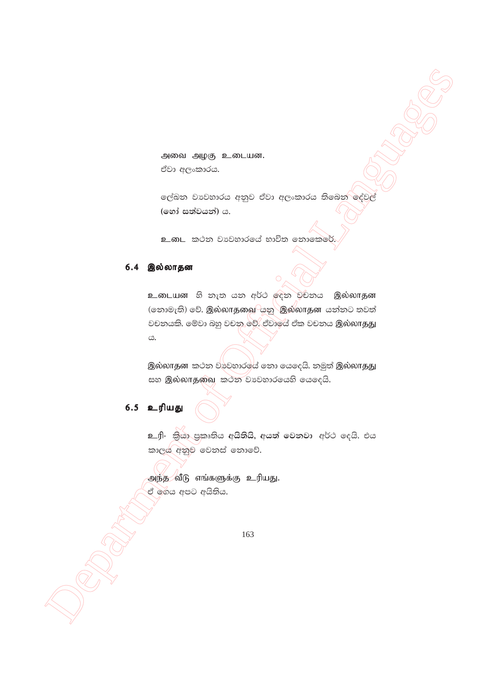அவை அழகு உடையன. ඒවා අලංකාරය.

ලේඛන වාවහාරය අනුව ඒවා අලංකාරය තිබෙන $\overline{\phantom{\big|}}$ දේවල් **(තෝ සත්වයන්) ය.** 

<u>உ</u>.<br> කටන වාවහාරයේ භාවිත නොකෙරේ

#### $6.4$  இல்லாதன

Anton Algo Lancular.<br>
Concernsion<br>
Contents contents.<br>
Contents and Algo Lancular Concernsion Concerns and Concerns and Concerns and Concerns and Concerns and Concerns and Concerns and Concerns and Concerns and Concerns a உடையன හි නැත යන අර්ථ ලදන වචනය இல்லாதன (නොමැති) වේ. இல்லாதவை $\sim$ යනු $\sim$ இல்லாதன යන්නට තවත් වචනයකි. මේවා බහු වචනු වේ. ඒවායේ ඒක වචනය இல்லாதது  $\mathfrak{S}.$ 

இல்லாதன $\,$  කථන වාවහාරල $\,$ ය් නො යෙදෙයි. නමුත් இல்லாதது සහ இல்லாதவை කථන වාවහාරයෙහි යෙදෙයි.

## 6.5 உரியது

<u>உரி- කියා පුකෘතිය අයිතියි, අයත් වෙනවා අර්ථ දෙයි. එය</u> කාලය අනුව වෙනස් නොවේ.

அந்த வீடு எங்களுக்கு உரியது. ඒ ගෙය අපට අයිතිය.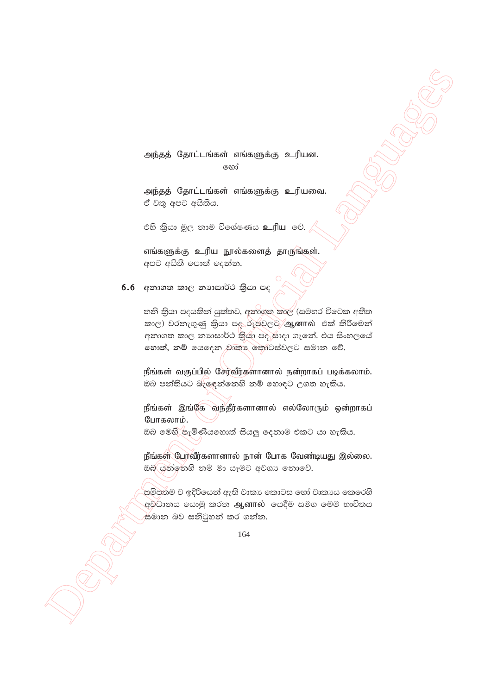அந்தத் தோட்டங்கள் எங்களுக்கு உரியன. හෝ

அந்தத் தோட்டங்கள் எங்களுக்கு உரியவை. ඒ වතු අපට අයිතිය.

එහි කියා මූල තාම විශේෂණය உரிய වේ.

எங்களுக்கு உரிய நூல்களைத் தாருங்கள். අපට අයිති පොත් දෙන්න.

# $6.6$  අනාගත කාල නාාසාර්ථ කියා පද

තනි කියා පදයකින් යුක්තව, අනාගත කාල (සමහර විටෙක අතීත කාල) වරතැගුණු කියා පදරූපවලට ஆனால் එක් කිරීමෙන් අනාගත කාල නාහසාර්ථ කියා පද සාදා ගැනේ. එය සිංහලයේ හොත්, නම් යෙදෙන වෘකා කොටස්වලට සමාන වේ.

நீங்கள் வகுப்பில் சேர்வீர்களானால் நன்றாகப் படிக்கலாம். ඔබ පත්තියට බැලඳත්තෙහි නම් හොඳට උගත හැකිය.

நீங்கள் இங்கே வந்தீர்களானால் எல்லோரும் ஒன்றாகப் போகலாம்.

ඔබ මෙහි පැමිණියහොත් සියලු දෙනාම එකට යා හැකිය.

நீங்கள் போவீர்களானால் நான் போக வேண்டியது இல்லை. ඔබ ශ්න්තෙහි නම් මා යෑමට අවශා නොවේ.

.<br>සමීපතම ව ඉදිරියෙන් ඇති වාකා කොටස හෝ වාකාය කෙරෙහි අවධානය යොමු කරන ஆனால் යෙදීම සමග මෙම භාවිතය සමාන බව සනිටුහන් කර ගන්න.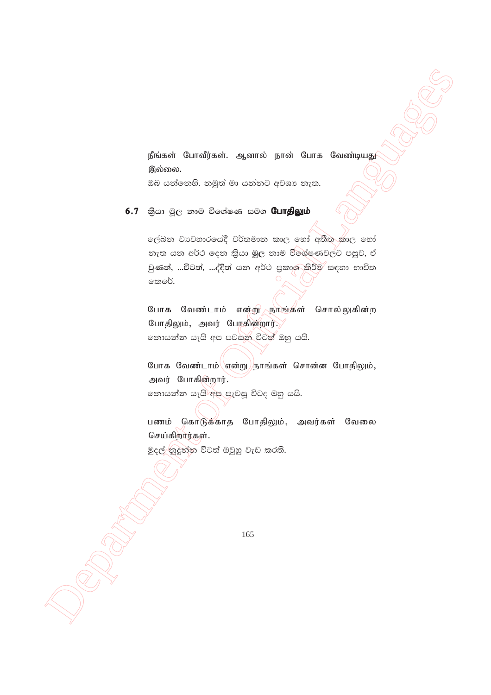நீங்கள் போவீர்கள். ஆனால் நான் போக வேண்டியது இல்லை.

ඔබ යන්තෙහි. නමුත් මා යන්නට අවශා තැත.

6.7 කියා මූල නාම විශේෂණ සමග **போதிலும்** 

ලේඛන වාවහාරයේදී වර්තමාන කාල හෝ අතීත කාල හෝ නැත යන අර්ථ දෙන කියා මූල නාම විශේෂණවලට පසුව, ඒ වුණත්, …විටත්, …ද්දිත් යන අර්ථ පුකාශ කිරීම සඳහා භාවිත කෙරේ.

போக வேண்டாம் என்று நாங்கள் சொல்லுகின்ற போதிலும், அவர் பேரகின்றார். නොයන්න යැයි අප පවසන විටත් ඔහු යයි.

போக வேண்டாம்\ளன்று)நாங்கள் சொன்ன போதிலும், அவர் போகின்றார். නොයන්න යැයි අප පැවසූ විටද ඔහු යයි.

பணம் கொடுக்காத போதிலும், அவர்கள் வேலை செய்கிறார்கள்.

මුදල් කුදුන්න විටත් ඔවුහු වැඩ කරති.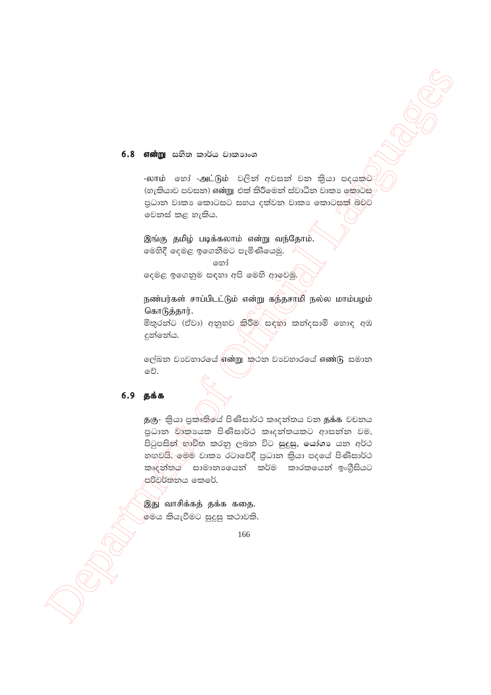#### $6.8$  என்று සහිත කාර්ය වාකාාංශ

-லாம் හෝ -அட்டும் වලින් අවසන් වන කියා පදයකට (හැකියාව පවසන) என்று එක් කිරීමෙන් ස්වාධීන වාකා ඉකාටස පුධාන වාකා කොටසට සහය දක්වන වාකා කොටසක් බවුව වෙනස් කළ හැකිය.

இங்கு தமிழ் படிக்கலாம் என்று வந்தோம். මෙහිදී දෙමළ ඉගෙනීමට පැමිණියෙමු.

හෝ

දෙමළ ඉගෙනුම සඳහා අපි මෙහි ආවෙමු.

நண்பர்கள் சாப்பிடட்டும் என்று கந்தசாமி நல்ல மாம்பழம் கொடுத்தார்.

මිතුරන්ට (ඒවා) අනුභව කිරීම සඳහා කන්දසාමි හොඳ අඹ දුන්නේය.

ලේඛන වාවහාරයේ <mark>ගණා ක</mark>ථන වාවහාරයේ ගණ (ිු සමාන වේ.

## $6.9<sub>566</sub>$

தகு- කියා පුකෘතියේ පිණිසාර්ථ කෘදන්තය වන தக்க වචනය පුධාන වාකායක පිණිසාර්ථ කෘදන්තයකට ආසන්න වම, පිටුපසින් භාවිත කරනු ලබන විට සුදුසු, යෝගා යන අර්ථ හඟවයි. මෙම වාකා රටාවේදී පුධාන කියා පදයේ පිණිසාර්ථ කෘදන්තය සාමානායෙන් කර්ම කාරකයෙන් ඉංගීසියට පරිවර්තනය කෙරේ.

இது வாசிக்கத் தக்க கதை. මේය කියැවීමට සුදුසු කථාවකි.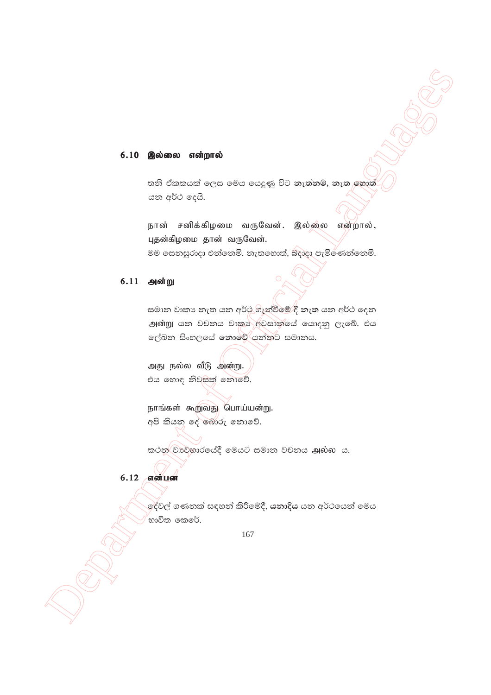#### 6.10 இல்லை என்றால்

තනි ඒකකයක් ලෙස මෙය යෙදුණු විට නැත්නම්, නැත හොත් යන අර්ථ දෙයි.

நான் சனிக்கிழமை வருவேன். இல்லை என்றால், புதன்கிழமை தான் வருவேன். මම සෙනසුරාදා එන්නෙමි. නැතහොත්, බදාදා පැමිණෙන්නෙමි.

#### 6.11 அன்று

සමාන වාකා නැත යන අර්ථණැන්වීමේ දී නැත යන අර්ථ දෙන அன்று යන වචනය වාකා අවසාන්යේ යොදනු ලැබේ. එය ලේඛන සිංහලයේ නොවේ යන්නට සමානය.

அது நல்ல வீடு அன்று. එය හොඳ නිවසක් නොවේ.

நாங்கள் கூறுவது பொய்யன்று. අපි කියන දේ බොරු නොවේ.

කථන වාවහාරයේදී මෙයට සමාන වචනය அல்ல ය.

## $6.12$  என்பன

ල<sup>ද්</sup>වල් ගණනක් සඳහන් කිරීමේදී, **යනාදිය** යන අර්ථයෙන් මෙය භාවිත කෙරේ.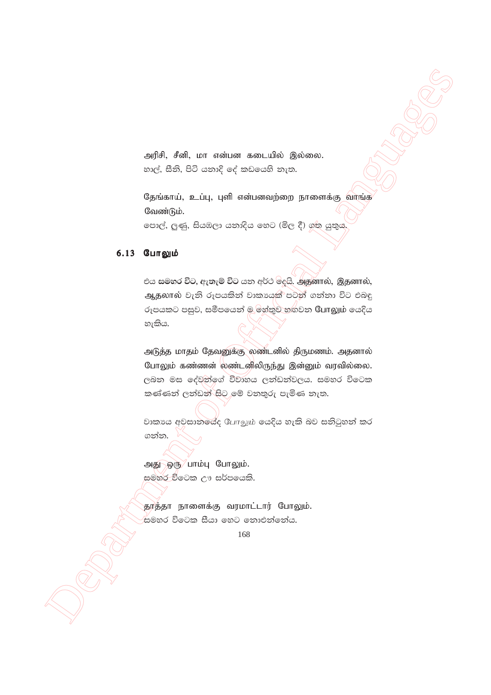அரிசி, சீனி, மா என்பன கடையில் இல்லை. හාල්, සීනි, පිටි යනාදි දේ කඩයෙහි නැත.

தேங்காய், உப்பு, புளி என்பனவற்றை நாளைக்கு வாங்க வேண்டும்.

පොල්, ලුණු, සියඹලා යනාදිය හෙට (මිල දී) ගත යුතුය

#### 6.13 போலும்

එය සමහර විට, ඇතැම් විට යන අර්ථ ලිදයි. அதனால், இதனால், ஆதலால் වැනි රූපයකින් වාකායෙක් පටන් ගන්නා විට එබඳු රුපයකට පසුව, සමීපයෙන් ම හේතුව හඟවන யோலும் යෙදිය හැකිය.

அடுத்த மாதம் தேவனுக்கு லண்டனில் திருமணம். அதனால் போலும் கண்ணன் <mark>லண்டனிலிருந்து இன்னும் வரவில்லை.</mark> ලබන මස දේවත්ගේ විවාහය ලත්ඩත්වලය. සමහර විටෙක කණ්ණන් ලන්ඩන් සිට මේ වනතුරු පැමිණ නැත.

වාකායෙ අවසානයේද போலும் යෙදිය හැකි බව සනිටුහන් කර ගන්න.

அது ஒரு பாம்பு போலும். සමහර වීටෙක ඌ සර්පයෙකි.

தூத்தா நாளைக்கு வரமாட்டார் போலும். .<br>සමහර විටෙක සීයා හෙට නොඑන්නේය.

<sup>168</sup>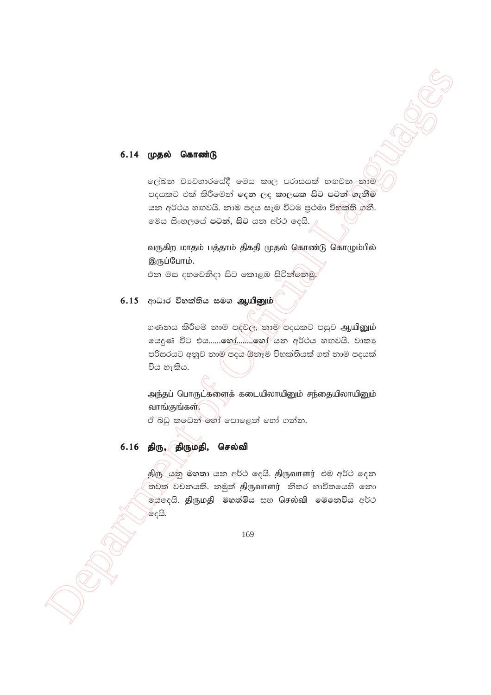#### 6.14 முதல் கொண்டு

ලේඛන වාවහාරයේදී මෙය කාල පරාසයක් හඟවන නාම පදයකට එක් කිරීමෙන් දෙන ලද කාලයක සිට පටන් ගැනීම යන අර්ථය හඟවයි. නාම පදය සැම විටම පුථමා විභක්ති ගනී. මෙය සිංහලයේ පටන්, සිට යන අර්ථ දෙයි.

வருகிற மாதம் பத்தாம் திகதி முதல் கொண்டு கொழும்பில் இருப்போம்.

එන මස දහවෙනිදා සිට කොළඹ සිටින්නෙමු

#### $6.15$  ආධාර විභක්තිය සමග ஆயினும்

ගණනය කිරීමේ නාම පදවල, නාම පදයකට පසුව ஆயினும் ලයදුණ විට එය.......හෝ.........හෝ යන අර්ථය හඟවයි. වාකා පරිසරයට අනුව තාම පදය ඕනෑම විභක්තියක් ගත් තාම පදයක් විය හැකිය.

அந்தப் பொருட்களைக் கடையிலாயினும் சந்தையிலாயினும் வாங்குங்கள்.

ඒ බඩු කඩෙන් හෝ පොළෙන් හෝ ගන්න.

## 6.16 திரு, திருமதி, செல்வி

திரு යනු මහතා යන අර්ථ දෙයි. திருவாளர் එම අර්ථ දෙන තවත් වචනයකි. නමුත් திருவாளர் නිතර භාවිතයෙහි නො .<br>මයදෙයි. **திருமதி මහත්මිය සහ Gசல்வி මෙනෙවිය අර්**ථ ලෙයි.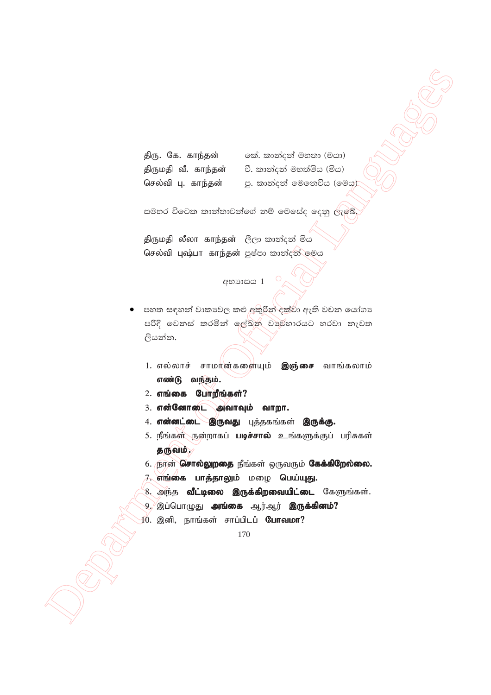| திரு. கே. காந்தன்  |                     |
|--------------------|---------------------|
|                    | திருமதி வீ. காந்தன் |
| செல்வி பு. காந்தன் |                     |

තේ. කාන්දන් මහතා (මයා) වී. කාන්දන් මහත්මිය (මිය) පු. කාත්දත් මෙතෙවිය (මෙයු)

සමහර විටෙක කාන්තාවන්ගේ නම් මෙසේද දෙනු ලැබේ.

திருமதி லீலா காந்தன்  $\mathcal{C}_\mathbb{C}$ ു කාන්දන් මිය செல்வி புஷ்பா காந்தன் පුෂ්පා කාන්දන් **මෙය** 

# අභාගයය  $1^\circ$

- **Department of Control Control Control Control Control Control Control Control Control Control Control Control Control Control Control Control Control Control Control Control Control Control Control Control Control Cont** පහත සඳහන් වාකාවල කළු අකුරින්`දක්වා ඇති වචන යෝගා පරිදි වෙනස් කරමින් ලේඛන වා<sub>වි</sub>හාරයට හරවා නැවත ලියන්න.
	- 1. எல்லாச் சாமான்களையும் **இஞ்சை** வாங்கலாம் எண்டு வந்தம்.
	- $2.$  எங்கை போறீங்கள்?
	- $3.$  என்னோடை அவாவும் வாறா.
	- 4. என்னட்டை இருவது புத்தகங்கள் இருக்கு.
	- 5. நீங்கள் நன்றாகப் **படிச்சால்** உங்களுக்குப் பரிசுகள் தருவம்.,
	- 6. நான் சொல்லுறதை நீங்கள் ஒருவரும் கேக்கிறேல்லை.
	- 7. எங்கை பாத்தாலும் மழை பெய்யுது.
	- 8. அந்த **வீட்டிலை இருக்கிறவையிட்டை** கேளுங்கள்.
	- 9. இப்பொழுது **அங்கை** ஆர்ஆர் **இருக்கினம்?**
	- $10.$  இனி, நாங்கள் சாப்பிடப் **போவமா?**

<sup>170</sup>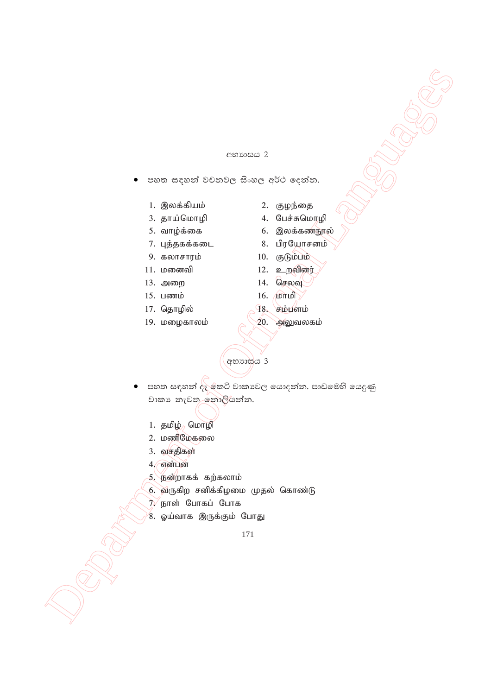#### අභාගය 2

- පහත සඳහන් වචනවල සිංහල අර්ථ දෙන්න.
	- 1. ,yf ;fpak ; 2. Foe ;ij
	- 3. jha ;nkhop 4. Ngr ;Rnkhop
	-
	- 7. புத்தகக்கடை 8. பிரயோசனம்
	- 9. fyhrhuk; 10. FLk ;gk ;
	-
	- 13. அறை 14. செலவு
	-
	- 17. தொழில்  $\bigcap_{i=1}^{\infty} R_i$  சம்பளம்
	-
- 
- 
- 5. வாழ்க்கை 6. இலக்கண்நூல்
	-
	-
- 11. kidtp 12. cwtpdu;
	-
- $15. \text{ L}$ ணம்  $16. \text{ L}$ ள்மி
	-
- 19. மழைகாலம் $\bigotimes$  20. அலுவலகம்

අභාගය 3

- $\begin{array}{lllllllllll} \multicolumn{3}{l}{{\bf x} & \multicolumn{3}{l}{{\bf x} & \multicolumn{3}{l}{{\bf x} & \multicolumn{3}{l}{{\bf x} & \multicolumn{3}{l}{{\bf x} & \multicolumn{3}{l}{{\bf x} & \multicolumn{3}{l}{{\bf x} & \multicolumn{3}{l}{{\bf x} & \multicolumn{3}{l}{{\bf x} & \multicolumn{3}{l}{{\bf x} & \multicolumn{3}{l}{{\bf x} & \multicolumn{3}{l}{{\bf x} & \multicolumn{3}{l}{{\bf x} & \multicolumn{3}{l}{{\bf x$ පහත සඳහන් දැ`ුකටි වාකාවල යොදන්න. පාඩමෙහි යෙදුණු වාකා නැවත නොලියන්න.
	- 1. தமிழ் $_{2}$  மொழி
	- 2. மணிமேகலை
	- $3.$  வசதிகள்
	- $4,$ என்பன
	- 5. நன்றாகக் கற்கலாம்
	- $6.$  வருகிற சனிக்கிழமை முதல் கொண்டு
	- $7\sqrt{6}$ நாள் போகப் போக
	- 8. ஓய்வாக இருக்கும் போது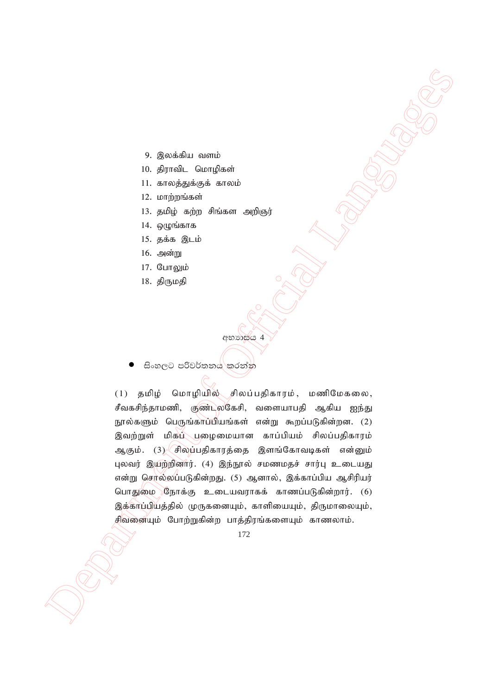- 9. இலக்கிய வளம்
- 10. திராவிட மொழிகள்
- 11. காலத்துக்குக் காலம்
- $12.$   $L$ оп $\dot{m}$  др $\dot{m}$  абзай
- 13. தமிழ் கற்ற சிங்கள அறிஞர்
- $14.$  ஒழுங்காக
- $15.$  தக்க $\mathbb{R}$ டம்
- 16. அன்று
- 17. போலும்
- 18. திருமதி

අභාහසය 4

සිංහලට පරිවර්තනය කරන්න

9. Specially, a summingly and the state of Office the Special Language School (1) and the system of Official Languages of Official Languages of Official Languages of Official Languages of Official Languages of Official La  $(1)$  தமிழ் மொழியில் சிலப்பதிகாரம், மணிமேகலை, சீவகசிந்தாமணி, குண்டலகேசி, வளையாபதி ஆகிய ஐந்து நூல்களும் பெருங்காப்பியங்கள் என்று கூறப்படுகின்றன. (2) இவற்றுள் மிகப் புழைமையான காப்பியம் சிலப்பதிகாரம் ஆகும். (3) சிலப்பதிகாரத்தை இளங்கோவடிகள் என்னும் புலவர் இயற்றினார். (4) இந்நூல் சமணமதச் சார்பு உடையது என்று செர்ல்லப்படுகின்றது. (5) ஆனால், இக்காப்பிய ஆசிரியர் பொதுமை நோக்கு உடையவராகக் காணப்படுகின்றார்.  $(6)$ இக்காப்பியத்தில் முருகனையும், காளியையும், திருமாலையும், சிவனையும் போற்றுகின்ற பாத்திரங்களையும் காணலாம்.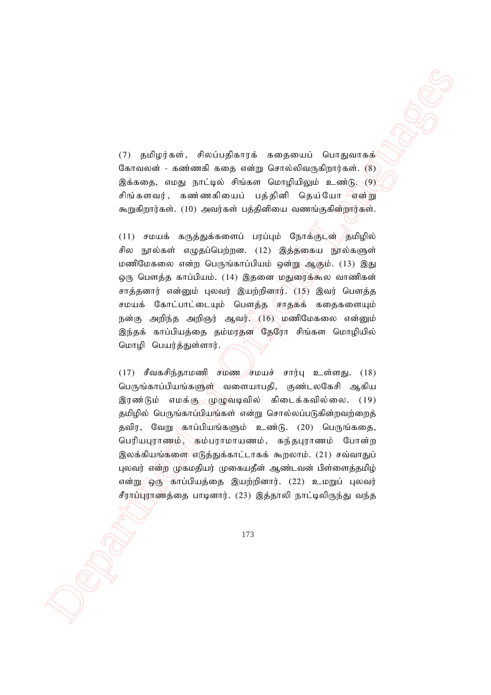$(7)$  தமிழர்கள், சிலப்பதிகாரக் கதையைப் பொதுவாகக் கோவலன் - கண்ணகி கதை என்று சொல்லிவருகிறார்கள்.  $(8)$ இக்கதை, எமது நாட்டில் சிங்கள மொழியிலும் உண்டு.  $(9)$ சிங்களவர், கண்ணகியைப் பத்தினி தெய்யோ என்று கூறுகிறார்கள். (10) அவர்கள் பத்தினியை வணங்குகின்றார்கள்.

 $(11)$  சமயக் கருத்துக்களைப் பரப்பும் நோக்குடன் /தமிழில் சில நூல்கள் எழுதப்பெற்றன. (12) இத்தகைய நூல்களுள் மணிமேகலை என்ற பெருங்காப்பியம் ஒன்று ஆகும். (13) இது ஒரு பௌத்த காப்பியம். (14) இதனை மதுரைக்கூல வாணிகன் சாத்தனார் என்னும் புலவர் இயற்றினார். (15) இவர் பௌத்த சமயக் கோட்பாட்டையும் பௌத்த சாதகக் கதைகளையும் நன்கு அறிந்த அறிஞர் ஆவர் $\sqrt{(16)}$  மணிமேகலை என்னும் இந்தக் காப்பியத்தை தம்மரதன தேரோ சிங்கள மொழியில் மொழி பெயர்த்துள்ளார்.

Department of Official Languages (18) (18)<br>
(27) and engineering a magnetic computer of the system of Computer of Computer of Computer of Computer of Computer of Computer of Computer of Computer of Computer of Computer o  $(17)$  சீவகசிந்தாமணி சமண $\rightarrow$ சமயச் சார்பு உள்ளது.  $(18)$ பெருங்காப்பியங்களுள் வளையாபதி, குண்டலகேசி ஆகிய இரண்டும் எமக்கு முழுவடிவில் கிடைக்கவில்லை.  $(19)$ தமிழில் பெருங்காப்பியங்கள் என்று சொல்லப்படுகின்றவற்றைத் தவிர, வேறு $\kappa$ காப்பியங்களும் உண்டு. (20) பெருங்கதை, பெரியபுராணம், கிம்பராமாயணம், கந்தபுராணம் போன்ற இலக்கியங்களை எடுத்துக்காட்டாகக் கூறலாம். (21) சவ்வாதுப் புலவர் என்ற முகமதியர் முகையதீன் ஆண்டவன் பிள்ளைத்தமிழ் என்று ஒரு காப்பியத்தை இயற்றினார். (22) உமறுப் புலவர் சீராப்புராணத்தை பாடினார். (23) இத்தாலி நாட்டிலிருந்து வந்த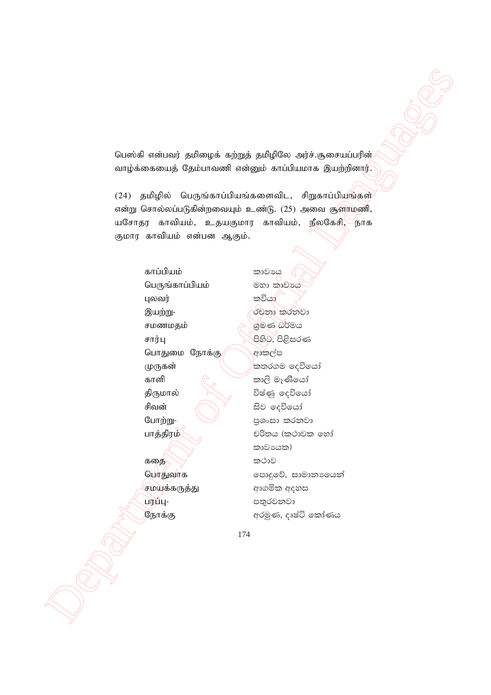பெஸ்கி என்பவர் தமிழைக் கற்றுத் தமிழிலே அர்ச்.சூசையப்பரின் வாழ்க்கையைத் தேம்பாவணி என்னும் காப்பியமாக இயற்றினார்.

தமிழில் பெருங்காப்பியங்களைவிட, சிறுகாப்பியங்கள்  $(24)$ என்று சொல்லப்படுகின்றவையும் உண்டு. (25) அவை சூளாமணி, யசோதர காவியம், உதயகுமார காவியம், நீலகேசி, நாக குமார காவியம் என்பன ஆகும்.

> காப்பியம் பெருங்காப்பியம் புலவர் இயற்று-சமணமதம் சார்பு பொதுமை நோக்கு (முருகன் காளி **கிருமால்** சிவன் போற்று-பாத்திரம் கதை பொதுவாக சமயக்கருத்து ப்ரம்பு-நோக்கு

කාවාය මහා කාවායෙ කවියා රචනා කරනවා ශුමණ බර්මය පිහිට, පිළිසරණ ආකල්ප කතරගම දෙවියෝ කාලි මෑණියෝ විෂ්ණු ලදවියෝ සිව දෙවියෝ පුශංසා කරනවා චරිතය (කථාවක හෝ කාවායක) කථාව පොදුවේ, සාමානායෙන් ආගමික අදහස පතුරවනවා අරමුණ, දෘෂ්ටි කෝණය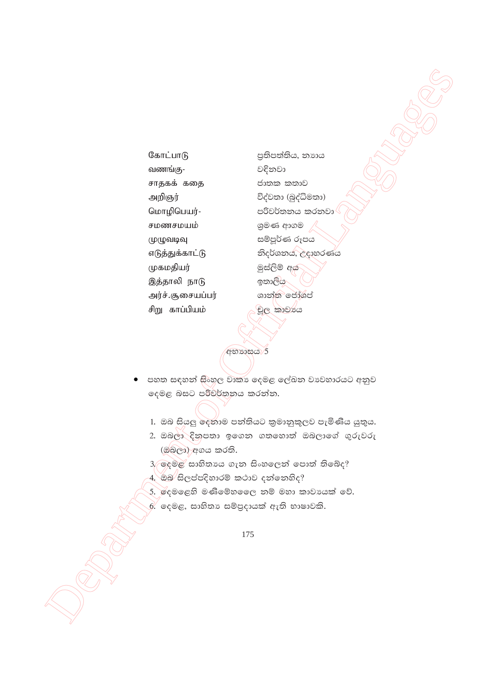கோட்பாடு வணங்கு-சாதகக் கதை அறிஞர் மொழிபெயர்-சமணசமயம் (முழுவடிவு எடுத்துக்காட்டு முகமதியர் இத்தாலி நாடு அர்ச்.சூசையப்பர் சிறு காப்பியம்

පුතිපත්තිය, නාහය වදිනවා ජාතක කතාව විද්වතා (බුද්ධිමතා) පරිවර්තනය කරනවා ශුමණ ආගම සම්පුර්ණ රූපය නිදර්ශනය, උදාහරණය මුස්ලිම් අය ඉතාලිය ශාන්ත ජෝශප් චුල කාවාය

අභාගය 5

- පහත සඳහන් <del>සි</del>ංහල වාකා දෙමළ ලේඛන වාවහාරයට අනුව දෙමළ බසට පරිවර්තනය කරන්න.
	- 1. ඔබ සියලු ලදනාම පන්තියට කුමානුකූලව පැමිණිය යුතුය.
	- 2. ඔබලා දිනුපතා ඉගෙන ගතහොත් ඔබලාගේ ගුරුවරු (ඔබ්ලා) අගය කරති.
	- 3, ඉදමළ සාහිතායෙ ගැන සිංහලෙන් පොත් තිබේද?
	-
	- 5. දෙමළෙහි මණිමේහලෙෙ නම් මහා කාවායක් වේ.
	- .<br>6. දෙමළ, සාහිතා සම්පුදායක් ඇති භාෂාවකි.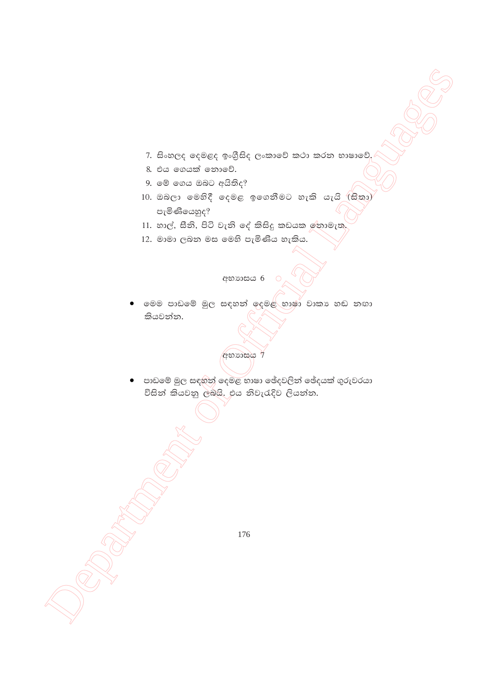- 7. සිංහලද දෙමළද ඉංගීුසිද ලංකාවේ කථා කරන භාෂාවේ.
- 8. එය ගෙයක් තොවේ.
- 9. මේ ගෙය ඔබට අයිතිද?
- 10. ඔබලා මෙහිදී දෙමළ ඉගෙනීමට හැකි යැයි (සිතා) පැමිණියෙහුද?
- 11. හාල්, සීනි, පිටි වැනි දේ කිසිදු කඩයක රනාමැත.
- 12. මාමා ලබන මස මෙහි පැමිණිය හැකිය.

අභාගාසය $6$   $\circ$ 

මෙම පාඩමේ මුල සඳහන් ඉදමළ භාෂා වාකා හඬ නඟා කියවන්න.



 $\bullet$  පාඩමේ මුල සඳහන් දෙමළ භාෂා ඡේදවලින් ඡේදයක් ගුරුවරයා විසින් කියවනු ලබයි. එය නිවැරැදිව ලියන්න.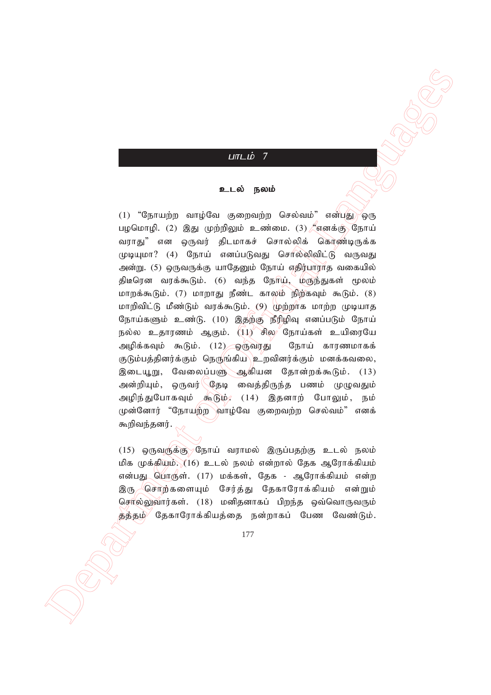## $LITLID$  7

#### உடல் நலம்

 Department of Official Languages  $(1)$  "நோயுற்ற வாம்வே குறைவற்ற செல்வம்" என்பது ஒரு பழமொழி. (2) இது முற்றிலும் உண்மை. (3)  $\ell$ எனக்கு நோய் வராது" என ஒருவர் திடமாகச் சொல்லிக் கொண்டிருக்க  $(\mu\mu\mu\mu\mu\sigma)$  (4) நோய் எனப்படுவது சொல்லிவிட்டு வருவது அன்று. (5) ஒருவருக்கு யாதேனும் நோய் எதிர்பாராத வகையில் திடீரென வரக்கூடும். (6) வந்த நோய், முருந்துகள் மூலம் மாறக்கூடும். (7) மாறாது நீண்ட காலம் நிற்கவும் கூடும். (8) மாறிவிட்டு மீண்டும் வரக்கூடும். (9) முற்றாக மாற்ற முடியாத நோய்களும் உண்டு. (10) இதற்கு நீரிழிவு எனப்படும் நோய் நல்ல உதாரணம் ஆகும்.  $(11)$  சில நோய்கள் உயிரையே அழிக்கவும் கூடும். (12) ஒருவரது நோய் காரணமாகக் குடும்பத்தினர்க்கும் நெருங்கிய $\setminus$ உறவினர்க்கும் மனக்கவலை, இடையூறு, வேலைப்பளு ஆகியன தோன்றக்கூடும். (13) அன்றியும், ஒருவர் <sup>(</sup>தேடி வைத்திருந்த பணம் முழுவதும் அழிந்துபோகவும் கூடும், (14) இதனாற் போலும், நம் முன்னோர் "நோயற்ற வாழ்வே குறைவற்ற செல்வம்" எனக் கூறிவந்தனர்.

 $(15)$  ஒருவருக்கு $\sqrt{3}$ நாய் வராமல் இருப்பதற்கு உடல் நலம் மிக முக்கியம்.  $(16)$  உடல் நலம் என்றால் தேக ஆரோக்கியம் என்பது பொருள். (17) மக்கள், தேக - ஆரோக்கியம் என்ற இரு கொற்களையும் சேர்த்து தேகாரோக்கியம் என்றும் செரல்லுவார்கள். (18) மனிதனாகப் பிறந்த ஒவ்வொருவரும் த்த்தம் $\rangle'$  தேகாரோக்கியத்தை நன்றாகப் பேண வேண்டும்.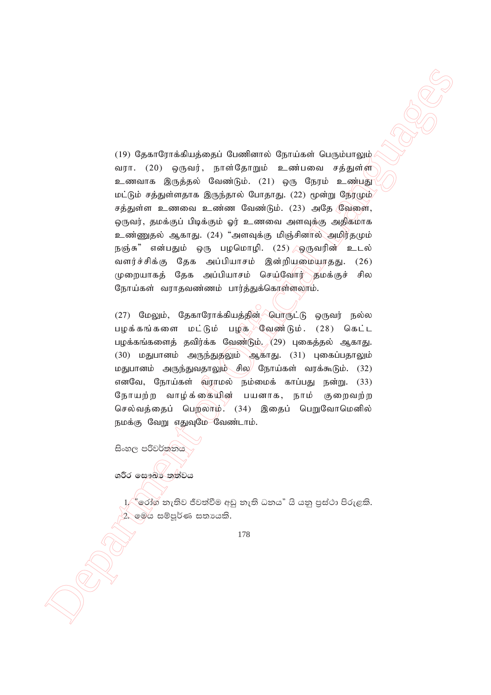(19) Gean Captachuskanski Grandhamalı Gearlannis (19) Gean Captainski Gearlannis (19) Gean Captainski Gearlannis (19) Gearlannis (19) Gearlannis (19) Gearlannis (19) Gearlannis (19) Gearlannis (19) Gearlannis (19) Gearlan (19) தேகாரோக்கியத்தைப் பேணினால் நோய்கள் பெரும்பாலும் வரா. (20) ஒருவர், நாள்தோறும் உண்பவை சத்துள்ள உணவாக இருத்தல் வேண்டும். (21) ஒரு நேரம் உண்பது மட்டும் சத்துள்ளதாக இருந்தால் போதாது. (22) மூன்று நேரமும் சத்துள்ள உணவை உண்ண வேண்டும். (23) அதே வேளை, ஒருவர், தமக்குப் பிடிக்கும் ஓர் உணவை அளவுக்கு அதிகமாக உண்ணுதல் ஆகாது. (24) "அளவுக்கு மிஞ்சினால் அமிர்தமும் நஞ்சு" என்பதும் ஒரு பழமொழி. (25) இருவரின் உடல் வளர்ச்சிக்கு தேக அப்பியாசம் இன்றியமையாதது. (26) முறையாகத் தேக அப்பியாசம் செய்வோர் தமக்குச் சில நோய்கள் வராதவண்ணம் பார்த்துக்கொள்ளலாம்.

(27) மேலும், தேகாரோக்கியத்தின் டொருட்டு ஒருவர் நல்ல பழக்கங்களை மட்டும் பழக கேண்டும். (28) கெட்ட பழக்கங்களைத் தவிர்க்க வேண்டும். (29) புகைத்தல் ஆகாது. (30) மதுபானம் அருந்துதலும் ஆகாது. (31) புகைப்பதாலும் மதுபானம் அருந்துவதாலும் சில $\parallel$  நோய்கள் வரக்கூடும். (32) எனவே, நோய்கள் வராமல் நம்மைக் காப்பது நன்று. (33) நோயற்ற வாழ்க்கையின் பயனாக, நாம் குறைவற்ற செல்வத்தைப் பெறலாம். (34) இதைப் பெறுவோமெனில் நமக்கு வேறு எதுவுமே வேண்டாம்.

සිංහල පරිවර්<mark>න</mark>නය

ශරීර **සෞඛ්ර් තත්වය** 

 $1/\alpha$ ්රෝග නැතිව ජීවත්වීම අඩු නැති ධනය" යි යනු පුස්ථා පිරුළකි. 2. මෙය සම්පූර්ණ සතායකි.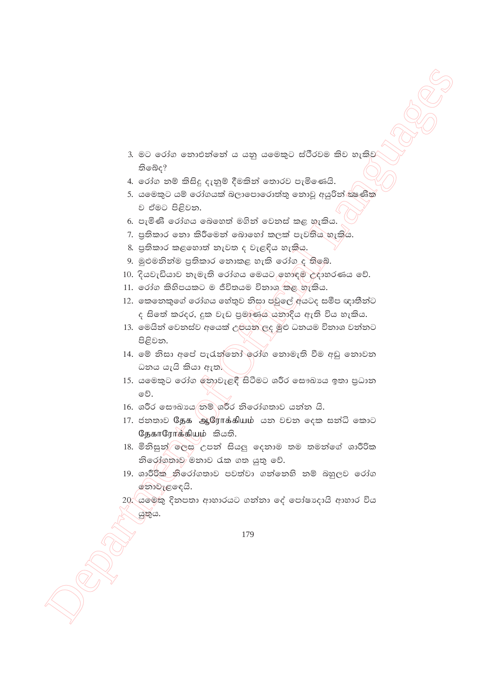- 3. මට රෝග නොඑන්නේ ය යනු යමෙකුට ස්ථීරවම කිව හැකිව තිබෙද?
- 4. රෝග නම් කිසිදු දැනුම් දීමකින් තොරව පැමිණෙයි.
- 5. යමෙකුට යම් රෝගයක් බලාපොරොත්තු නොවූ අයුරින් කළුනික ව ඒමට පිළිවන.
- 6. පැමිණි රෝගය බෙහෙත් මගින් වෙනස් කළ හැකිය.
- 7. පුතිකාර නො කිරීමෙන් බොහෝ කලක් පැවතිය හැකිය.
- 8. පුතිකාර කළහොත් තැවත ද වැළඳිය හැකිය.
- 9. මුළුමනින්ම පුතිකාර නොකළ හැකි රෝග ද තිබේ.
- 10. දියවැඩියාව නැමැති රෝගය මෙයට හොඳුම් උදාහරණය වේ.
- 11. රෝග කිහිපයකට ම ජීවිතයම විනාශ කළ හැකිය.
- 12. කෙතෙකුගේ රෝගය හේතුව නිසා පවුලේ අයටද සමීප ඥාතීන්ට ද සිතේ කරදර, දුක වැඩ පුමාණය යනාදිය ඇති විය හැකිය.
- 13. මෙයින් වෙනස්ව අයෙක් උපයන ලද මුළු ධනයම විනාශ වන්නට පිළිවන.
- 14. මේ නිසා අපේ පැරැත්තෝ රෝග නොමැති වීම අඩු නොවන ධනය යැයි කියා ඇත.
- 15. යමෙකුට රෝග නොවැළඳී සිටීමට ශරීර සෞඛායෙ ඉතා පුධාන වේ.
- 16. ශරීර සෞඛාය තම් ශරීර නිරෝගතාව යන්න යි.
- 17. ජනතාව தேக ஆரோக்கியம் යන වචන ලෙක සන්ධි කොට தேகாரோக்கியும் කියති.
- 18. මිනිසුන් ලෙස උපන් සියලු දෙනාම තම තමන්ගේ ශාරීරික නිරෝගතාව මනාව රැක ගත යුතු වේ.
- 19. ශාරීරික නිරෝගතාව පවත්වා ගන්නෙහි නම් බහුලව රෝග ෩ඁවැළඳෙයි.
- 20 යමෙකු දිනපතා ආහාරයට ගන්නා දේ පෝෂාදායි ආහාර විය යුතුය.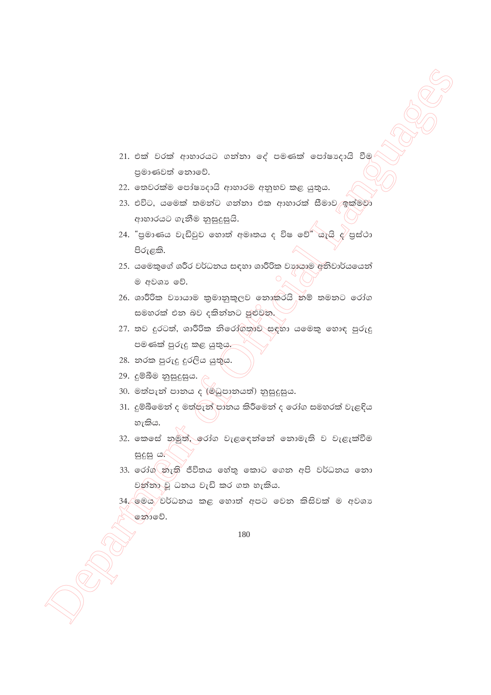- 21. එක් වරක් ආහාරයට ගන්නා ලද් පමණක් පෝෂාදායි වීම පුමාණවත් තොවේ.
- 22. තෙවරක්ම පෝෂාදායි ආහාරම අනුභව කළ යුතුය.
- 23. එවිට, යමෙක් තමන්ට ගන්නා එක ආහාරක් සීමාව ඉක්මවා ආහාරයට ගැනීම නුසුදුසුයි.
- 24. "පුමාණය වැඩිවුව හොත් අමෘතය ද විෂ වේ" යැයි  $g'$ පුස්ථා පිරුළකි.
- 25. යමෙකුගේ ශරීර වර්ධනය සඳහා ශාරීරික වාහයාම අනිවාර්යයෙන් ම අවශා වේ.
- 26. ශාරීරික වාහයාම කුමානුකූලව නොකරයි නම් තමනට රෝග සමහරක් එන බව දකින්නට පුළුවන.
- 27. තව දුරටත්, ශාරීරික නිරෝගතාව සඳහා යමෙකු හොඳ පුරුදු පමණක් පුරුදු කළ යුතුය.
- 28. නරක පුරුදු දුරලිය යුතුය.
- 29. දුම්බීම නුසුදුසුය.  $\rho$
- 30. මත්පැන් පානය ද (මිධුපානයත්) නුසුදුසුය.
- 31. දුම්බීමෙන් ද මත්පැන් පානය කිරීමෙන් ද රෝග සමහරක් වැළඳිය හැකිය.
- 32. කෙසේ නමුත්, රෝග වැළඳෙන්නේ නොමැති ව වැළැක්වීම සුදුසු ය.
- 33. රෝග*ි*නැති ජීවිතය හේතු කොට ගෙන අපි වර්ධනය නො වන්තා වූ ධනය වැඩි කර ගත හැකිය.
- 34. මෙය වර්ධනය කළ හොත් අපට වෙන කිසිවක් ම අවශා නොවේ.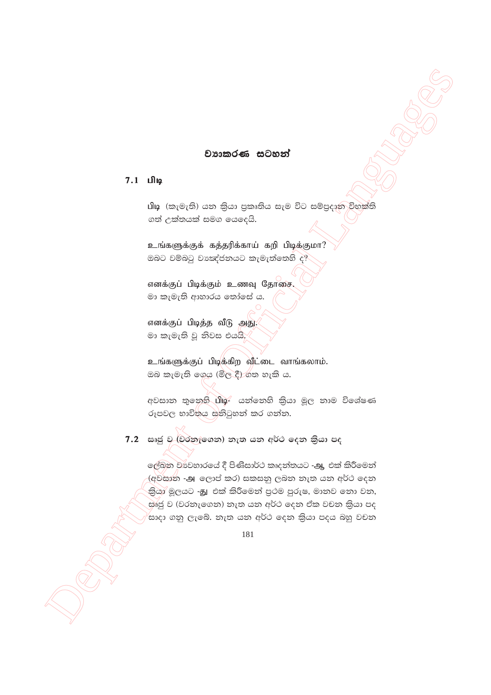#### වාහාකරණ සටහන්

## 7.1 பிடி

பிடி (කැමැති) යන කියා පුකෘතිය සැම විට සම්පුදාන විභක්ති ගත් උක්තයක් සමග යෙදෙයි.

உங்களுக்குக் கத்தரிக்காய் கறி பிடிக்குமா? ඔබට වම්බටු වාකඳ්ජනයට කැමැත්තෙහි ද?

எனக்குப் பிடிக்கும் உணவு தோசை. මා කැමැති ආහාරය තෝසේ ය.

எனக்குப் பிடித்த வீடு அது. මා කැමැති වූ නිවස එයයි.

உங்களுக்குப் பிடிக்கிற வீட்டை வாங்கலாம். ඔබ කැමැති ගෙය (මිල දී) ගත හැකි ය.

අවසාන තුනෙහි பிடி- යන්නෙහි කියා මූල නාම විශේෂණ රූපවල භාවිතය සනිටුහන් කර ගන්න.

# 7.2 සෘජු ව (වර්තැ්ගෙන) නැත යන අර්ථ දෙන කියා පද

ලේඛන වාවහාරයේ දී පිණිසාර්ථ කෘදන්තයට -ஆ එක් කිරීමෙන් (අවසාන -அ ලොප් කර) සකසනු ලබන නැත යන අර්ථ දෙන කියා මූලයට -නු එක් කිරීමෙන් පුථම පුරුෂ, මානව නො වන, සුණු ව (වරතැගෙන) තැත යන අර්ථ දෙන ඒක වචන කියා පද ,<br>සාදා ගනු ලැබේ. නැත යන අර්ථ දෙන කියා පදය බහු වචන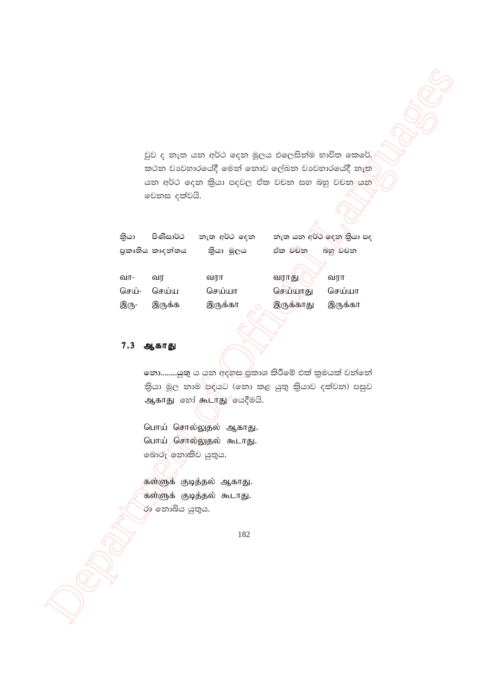$\frac{1}{2}$   $\frac{1}{2}$   $\frac{1}{2}$   $\frac{1}{2}$   $\frac{1}{2}$   $\frac{1}{2}$   $\frac{1}{2}$   $\frac{1}{2}$   $\frac{1}{2}$   $\frac{1}{2}$   $\frac{1}{2}$   $\frac{1}{2}$   $\frac{1}{2}$   $\frac{1}{2}$   $\frac{1}{2}$   $\frac{1}{2}$   $\frac{1}{2}$   $\frac{1}{2}$   $\frac{1}{2}$   $\frac{1}{2}$   $\frac{1}{2}$   $\frac{1}{2}$  වුව ද නැත යන අර්ථ දෙන මූලය එලෙසින්ම භාවිත කෙරේ. කථන වාවහාරයේදී මෙන් නොව ලේඛන වාවහාරයේදී නැත යන අර්ථ දෙන කියා පදවල ඒක වචන සහ බහු වචන යන වෙනස දක්වයි.

| කියා |                 | පිණිසාර්ථ නැත අර්ථ දෙන | නැත යන අර්ථ දෙන කියා පද |
|------|-----------------|------------------------|-------------------------|
|      | පුකෘතිය කෘදන්තය | කියා මූලය              | ඒක වචන<br>බහු වචන       |

| வா-   | வா     | வரா     | வராது     | வரா     |
|-------|--------|---------|-----------|---------|
| செய்- | செய்ய  | செய்யா  | செய்யாது  | செய்யா  |
| இரு-  | இருக்க | இருக்கா | இருக்காது | இருக்கா |

# 7.3 ஆகாது

**නො........යුතු** ය යුතු අදහස ජුකාශ කිරීමේ එක් කුමයක් වන්නේ .<br>කියා මූල නාම<sup>්</sup>පද්යට (නො කළ යුතු කියාව දක්වන) පසුව ஆகாது கூர் கூடாது/ கேஜேகி.

பொய் சொல்லுதல் ஆகாது. பொய் சொல்லுதல் கூடாது. බොරු නොකිව යුතුය.

கள்ளுக் குடித்தல் ஆகாது. கள்ளுக் குடித்தல் கூடாது. රා $r'$ තොබිය යුතුය.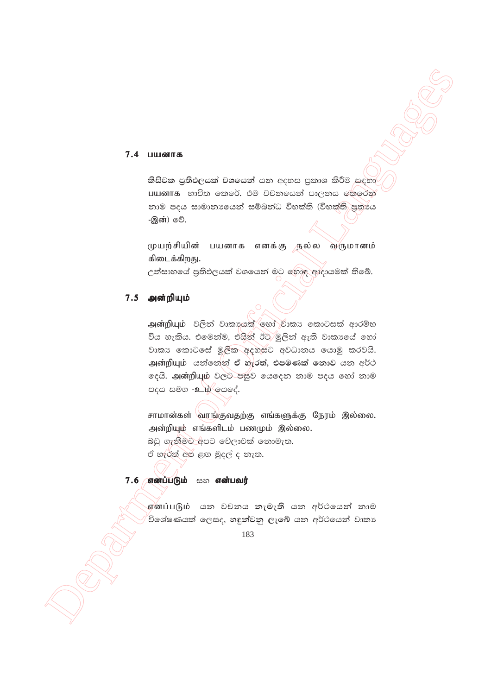#### 7.4 பயனாக

කිසිවක පුතිඵලයක් වශයෙන් යන අදහස පුකාශ කිරීම සඳහා பயனாக භාවිත කෙරේ. එම වචනයෙන් පාලනය කෙරෙන් නාම පදය සාමානායෙන් සම්බන්ධ විභක්ති (විභක්ති පුතායෙ -இன்) ூி.

முயற்சியின் பயனாக எனக்கு நல்ல வருமானம் கிடைக்கிறது.

උත්සාහයේ පුතිඵලයක් වශයෙන් මට හොඳ ආදායමක් තිබේ.

# 7.5 அன்றியும்

அன்றியும் වලින් වාකායක හෝ වාකා කොටසක් ආරම්භ විය හැකිය. එමෙන්ම, එයින් ඊට මුලින් ඇති වාකායේ හෝ වාකා කොටසේ මූලික අදහසට අවධානය යොමු කරවයි. அன்றியும் යන්නෙන් ඒ හැරත්, එපමණක් නොව යන අර්ථ ලෙයි. அன்றியும் වලට පසුව යෙදෙන නාම පදය හෝ නාම පදය සමග -உழ ලයදේ.

சாமான்கள் வாங்குவதற்கு எங்களுக்கு நேரம் இல்லை. அன்றியும் எங்களிடம் பணமும் இல்லை. බඩු ගැනීමට අපට වේලාවක් නොමැත. ඒ හැරත් අප ළඟ මුදල් ද නැත.

# 7.6 எனப்படும் සහ என்பவர்

எனப்படும் යන වචනය නැමැති යන අර්ථයෙන් නාම ,<br>විශේෂණයක් ලෙසද, හඳුන්වනු ලැබේ යන අර්ථයෙන් වාකා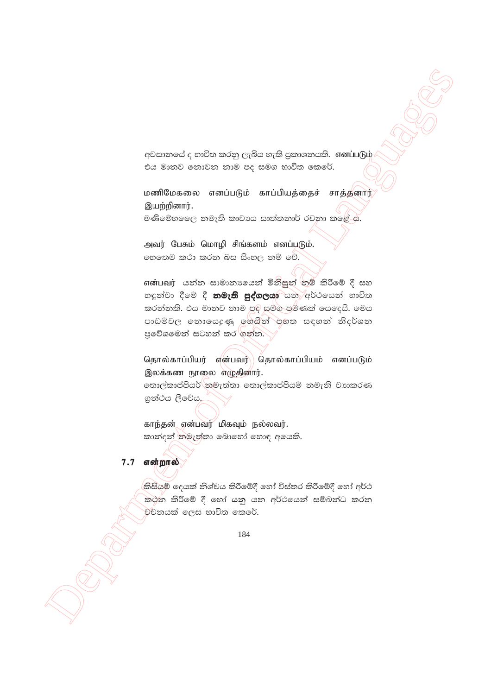අවසානයේ ද භාවිත කරනු ලැබිය හැකි පුකාශනයකි. எனப்படும் එය මානව නොවන නාම පද සමග භාවිත කෙරේ.

மணிமேகலை எனப்படும் காப்பியத்தைச் சாத்தனார் இயற்றினார்.

මණිමේහලෙෙ නමැති කාවායෙ සාත්තනාර් රචනා කළේ ය.

அவர் பேசும் மொழி சிங்களம் எனப்படும். හෙතෙම කථා කරන බස සිංහල නම් වේ.

என்பவர் යන්න සාමානායෙන් මිනිසුන් නම් කිරීමේ දී සහ හඳුන්වා දීමේ දී **නමැති පුද්ගලයා** යනු අර්ථයෙන් භාවිත කරත්තකි. එය මාතව තාම පුදි සමග පමණක් යෙදෙයි. මෙය පාඩම්වල නොයෙදුණු ඉහයින් පහත සඳහන් නිදර්ශන පුවේශමෙන් සටහන් කර ගන්න.

தொல்காப்பியர் என்பவர்\ தொல்காப்பியம் எனப்படும் இலக்கண நூலை எழுதினார். නොල්කාප්පියර් තමැත්තා තොල්කාප්පියම් තමැති වාාකරණ ගුන්ථය ලීවේය.

காந்தன் என்பவர் மிகவும் நல்லவர். කාන්දන් නමැත්තා බොහෝ හොඳ අයෙකි.

# $7.7$  என்றால்

කිසියම් දෙයක් නිශ්චය කිරීමේදී හෝ විස්තර කිරීමේදී හෝ අර්ථ කථන කිරීමේ දී හෝ යනු යන අර්ථයෙන් සම්බන්ධ කරන වචනයක් ලෙස භාවිත කෙරේ.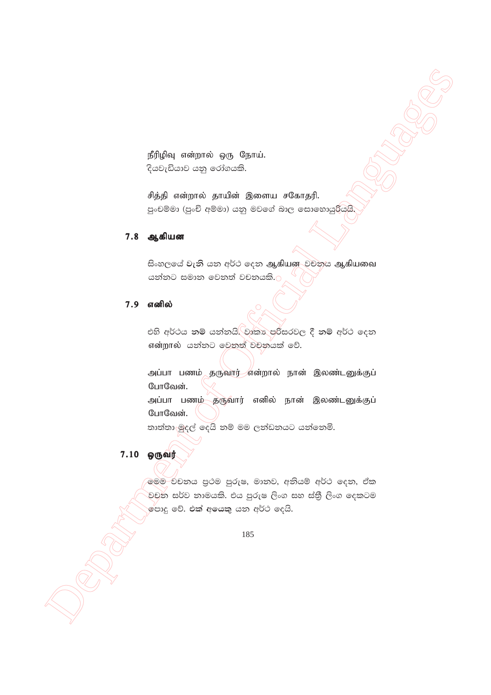நீரிழிவு என்றால் ஒரு நோய். දියවැඩියාව යනු රෝගයකි.

சித்தி என்றால் தாயின் இளைய சகோதரி. පුංචම්මා (පුංචි අම්මා) යනු මවගේ බාල සොහොයුරියුයි.

### 7.8 ஆகியன

සිංහලයේ වැනි යන අර්ථ දෙන ஆகியன වචනය ஆகியவை යන්නට සමාන වෙනත් වචනයකි.<mark>ට</mark>

# 7.9 எனில்

එහි අර්ථය නම් යන්නයි. වෘකා පරිසරවල දී නම් අර්ථ දෙන என்றால் යන්නට වෙනත් වචනයක් වේ.

அப்பா பணம் தருவார் என்றால் நான் இலண்டனுக்குப் போவேன்.

அப்பா பணம் தருவார் எனில் நான் இலண்டனுக்குப் போவேன்.

තාත්තා මුදල් දෙයි නම් මම ලන්ඩනයට යන්නෙමි.

# 7.10 ஒருவர்

මෙම චචනය පුථම පුරුෂ, මානව, අනියම් අර්ථ දෙන, ඒක වචන සර්ව නාමයකි. එය පුරුෂ ලිංග සහ ස්තීු ලිංග දෙකටම ,<br>මපාදු වේ. එක් අයෙකු යන අර්ථ දෙයි.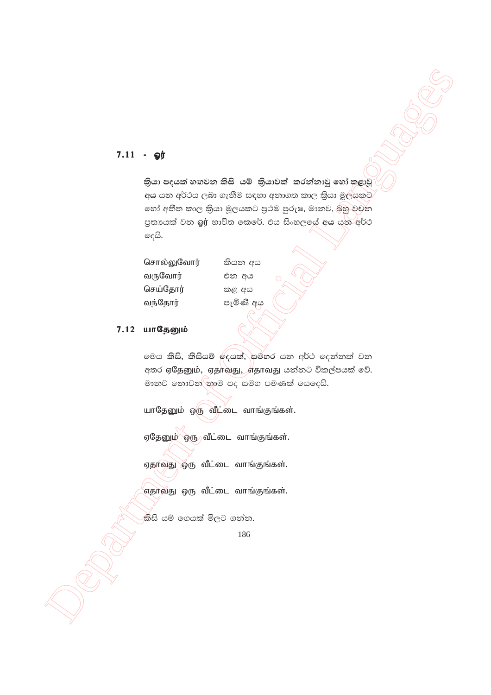# $7.11 - Qg$

කියා පදයක් හඟවන කිසි යම් කියාවක් කරන්නාවු හෝ කළාවු අය යන අර්ථය ලබා ගැනීම සඳහා අනාගත කාල කියා මූල්යකට හෝ අතීත කාල කියා මූලයකට පුථම පුරුෂ, මානව, බහු වචන පුතායක් වන බූi භාවිත කෙරේ. එය සිංහලලය් අය යන අර්ථ දෙයි.

| சொல்லுவோர் |
|------------|
| வருவோர்    |
| செய்தோர்   |
| வந்தோர்    |

කියන අය එන අය කළ අය පැමිණි අය

#### 7.12 யாதேனும்

මෙය කිසි, කිසියම් ලදයක්, සමහර යන අර්ථ ලෙන්නක් වන අතර ஏ\$ேனும், ஏதாவது, எதாவது යන්නට විකල්පයක් වේ. මානව නොවන තාම පද සමග පමණක් යෙදෙයි.

யாதேனும் ஒரு வீட்டை வாங்குங்கள்.

ஏதேனும் ஒரு வீட்டை வாங்குங்கள்.

ஏதாவது ஒரு வீட்டை வாங்குங்கள்.

எதாவது ஒரு வீட்டை வாங்குங்கள்.

කිසි යම් ගෙයක් මිලට ගන්න.

<sup>186</sup>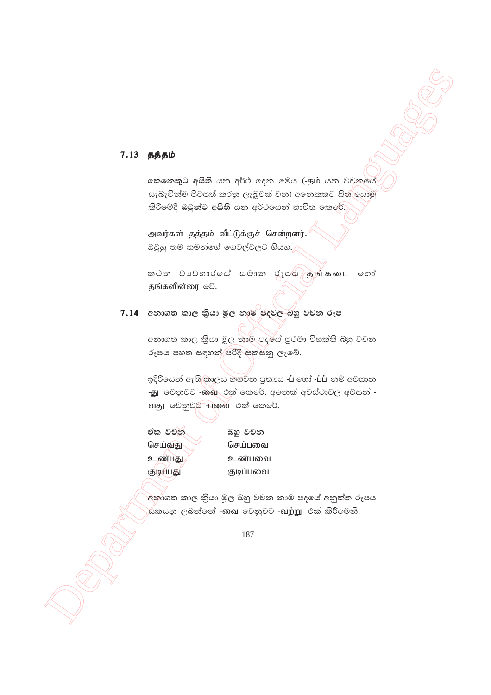### 7.13 தத்தம்

කෙනෙකුට අයිති යන අර්ථ දෙන මෙය (-தம் යන වචනමය් සැබැවින්ම පිටපත් කරනු ලැබුවක් වන) අනෙකකට සිතු යොමු කිරීමේදී ඔවුන්ට අයිති යන අර්ථයෙන් භාවිත කෙරේ.

அவர்கள் தத்தம் வீட்டுக்குச் சென்றனர். ඔවුහු තම තමන්ගේ ගෙවල්වලට ගියහ.

<u>කථන වාවහාරයේ සමාන රූපයි හුங்கடை හෝ</u> தங்களின்ரை ூ.

7.14 අනාගත කාල කියා මූල නාම පදවල බහු වචන රූප

අනාගත කාල කියා මූල නාම පදයේ පුථමා විභක්ති බහු වචන රූපය පහත සඳහන්/පරිදි සකසනු ලැබේ.

ඉදිරියෙන් ඇති කාලය හඟවන පුතායෙ -Li හෝ -LiLi නම් අවසාන -து වෙනුවට -බාබු එක් කෙරේ. අනෙක් අවස්ථාවල අවසන් -வது වෙනුවට பலை එක් කෙරේ.

ඒක වචන් செய்வது உண்பது குடிப்பது

බහු වචන செய்பவை உண்பவை குடிப்பவை

අනාගත කාල කියා මූල බහු වචන නාම පදයේ අනුක්ත රූපය .<br>සකසනු ලබන්නේ -ඹඛ වෙනුවට -ඛற்று එක් කිරීමෙනි.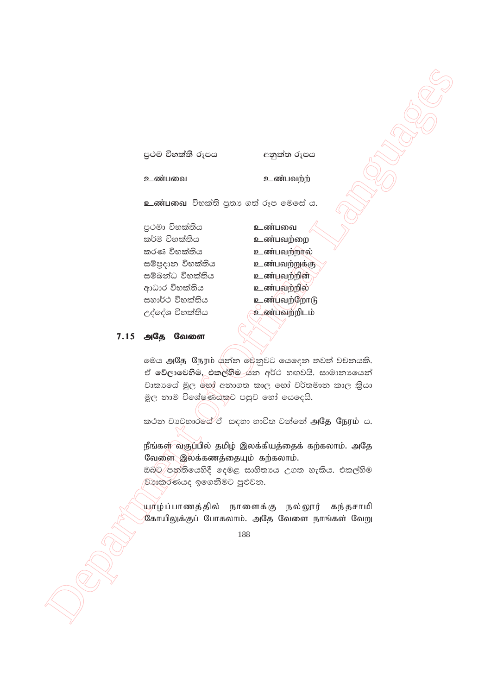පුථම විභක්ති රූපය

අනුක්ත රූපය

உண்பவை

உண்பவற்ற

உண்பவை විභක්ති පුතා ගත් රූප මෙසේ ය.

පුථමා විභක්තිය කර්ම විභක්තිය කරණ විභක්තිය සම්පුදාන විභක්තිය සම්බන්ධ විභක්තිය ආධාර විභක්තිය සහාර්ථ විභක්තිය උද්දේශ විභක්තිය

உண்பவை உண்பவற்றை உண்பவற்றால் உண்பவற்றுக்கு உண்பவற்றின் உண்பவற்றில் உண்பவற்றோடு உண்பவற்றிடம்

#### 7.15 அதே வேளை

මෙය அதே நேரம் යින්න මෙනුවට යෙදෙන තවත් වචනයකි. ඒ වේලාවෙහිම, එකල්හිම යන අර්ථ හඟවයි. සාමානායෙන් වාකාගේ මුල හෝ අනාගත කාල හෝ වර්තමාන කාල කියා මූල නාම විශේෂණයකට පසුව හෝ යෙදෙයි.

කථන වාවහාරයේ ඒ සඳහා භාවිත වන්නේ அதே நேரம் ය.

நீங்கள் வகுப்பில் தமிழ் இலக்கியத்தைக் கற்கலாம். அதே வேளை இலக்கணத்தையும் கற்கலாம்.

ඔබට පත්තියෙහිදී දෙමළ සාහිතායෙ උගත හැකිය. එකල්හිම වහාකරණයද ඉගෙනීමට පුළුවන.

யூர்ழ்ப்பாணத்தில் நாளைக்கு நல்லூர் கந்தசாமி கோயிலுக்குப் போகலாம். அதே வேளை நாங்கள் வேறு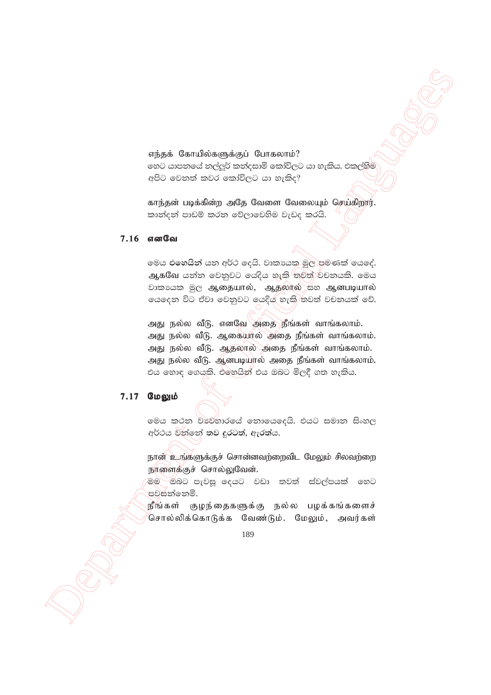எந்தக் கோயில்களுக்குப் போகலாம்? හෙට යාපනයේ නල්ලූර් කන්දසාමි කෝවිලට යා හැකිය. එකල්හිම් අපිට වෙනත් කවර කෝවිලට යා හැකිද?

காந்தன் படிக்கின்ற அதே வேளை வேலையும் செய்கிறார். කාත්දන් පාඩම් කරන වේලාවෙහිම වැඩද කරයි.

#### 7.16 எனவே

ලමය එ<mark>හෙයින්</mark> යන අර්ථ දෙයි. වාකායක මූල පමණක් යෙදේ. ஆகவே යන්න වෙනුවට යෙදිය හැකි <mark>නවත්</mark>ථවනයකි. මෙය ிகைக் இரு ஆதையால், ஆதலால் கூ ஆனபடியால் ගෙදෙන විට ඒවා වෙනුවට යෙදියු හැකි තවත් වචනයක් වේ.

Might Contributionships is Greenority.<br>
Might Contributionships is Greenority of Contractions of Contractions in the contract of Contractions in the contract of Contractions in the contract of Contractions of Contraction அது நல்ல வீடு. எனவே அதை நீங்கள் வாங்கலாம். அது நல்ல வீடு. ஆகையால் அதை நீங்கள் வாங்கலாம். அது நல்ல வீடு. ஆதலால் அதை நீங்கள் வாங்கலாம். அது நல்ல வீடு. ஆனபடியால் அதை நீங்கள் வாங்கலாம். එය හොඳ ගෙයකි. එහෙයින් එය ඔබට මිලදී ගත හැකිය.

### 7.17 மேலும்

මෙය කථන වාවිහාරයේ නොයෙදෙයි. එයට සමාන සිංහල අර්ථය වන්නේ **තව දුරටත්, ඇරත්ය.** 

நான் உங்களுக்குச் சொன்னவற்றைவிட மேலும் சிலவற்றை நாளைக்குச் சொல்லுவேன்.

මම ඔබට පැවසූ දෙයට වඩා තවත් ස්වල්පයක් හෙට පවසන්නෙමි.

நீங்கள் குழந்தைகளுக்கு நல்ல பழக்கங்களைச் சொல்லிக்கொடுக்க வேண்டும். மேலும், அவர்கள்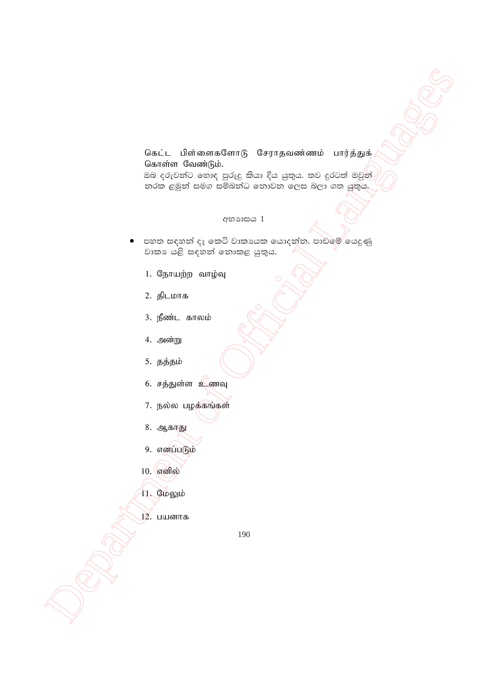# கெட்ட பிள்ளைகளோடு சேராதவண்ணம் பார்த்துக் கொள்ள வேண்டும்.

ඔබ දරුවන්ට හොඳ පුරුදු කියා දිය යුතුය. තව දුරටත් ඔවුන් නරක ළමුන් සමග සම්බන්ධ නොවන ලෙස බලා ගත යුතුය.

#### අභාගය 1

- පහත සඳහන් දෑ කෙටි වාකායක යොදන්න. පාඩමේ යෙදුණු වාකා යළි සඳහන් නොකළ යුතුය.
	- 1. நோயற்ற வாழ்வு
	- 2. திடமாக
	- 3. நீண்ட காலம்
	- 4. அன்று
	- 5. தத்தம்
	- 6. சத்துள்ள உணவு
	- 7. நல்ல பழக்கங்கள்
	- 8. ஆகாது
	- 9. எனப்படும்
	- $10.$  எனில்
	- 11. மேலும்
		-
	- 12. பயனாக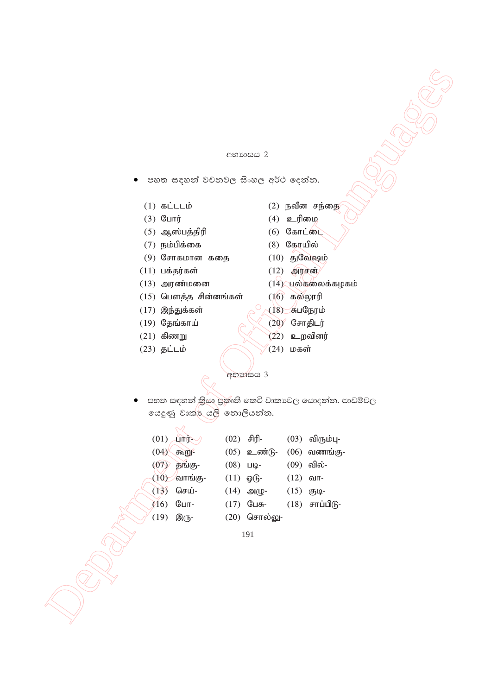#### අභාගය 2

- පහත සඳහන් වචනවල සිංහල අර්ථ දෙන්න.
	-
	- (3) போர்  $(4)$  உரிமை
	- $(5)$  ஆஸ்பத்திரி  $(6)$  கோட்டை
	- (7) நம்பிக்கை  $(8)$  கோயில்
	- (9) சோகமான கதை  $(10)$  துவேஷம்
	- (11) பக்தர்கள்  $(12)$  அரசன்
	-
	- $(15)$  பௌத்த சின்னங்கள்  $(16)$  கல்லூரி
	- (17) இந்துக்கள்  $\int_{0}^{0} \sqrt{18}$  சுபநேரம்
	-
	-
	-
- (1) கட்டடம்  $(2)$  நவீன சந்தை
	-
	-
	-
	-
	-
- $(13)$  அரண்மனை  $(14)$ பல்கலைக்கழகம்
	-
	-
- (19) தேங்காய் $\bigcirc \bigotimes \bigotimes (20)$  சோதிடர்
- $(21)$  கிணறு  $(22)$  உறவினர்
- (23) தட்டம்  $(24)$  மகள்

|                                     | අභාගාසය 2                                         |
|-------------------------------------|---------------------------------------------------|
|                                     |                                                   |
| පහත සඳහන් වචනවල සිංහල අර්ථ දෙන්න.   |                                                   |
|                                     |                                                   |
| $(1)$ கட்டடம்                       | $(2)$ நவீன சந்தை                                  |
| $(3)$ போர்                          | $(4)$ உரிமை<br>$(6)$ கோட்டை                       |
| $(5)$ ஆஸ்பத்திரி<br>$(7)$ நம்பிக்கை | (8) கோயில்                                        |
| $(9)$ சோகமான கதை                    | $(10)$ துவேஷம்                                    |
| $(11)$ பக்தர்கள்                    | $(12)$ அரசன்                                      |
| $(13)$ அரண்மனை                      | $(14)$ பல்கலைக்கழகம்                              |
| $(15)$ பௌத்த சின்னங்கள்             | $(16)$ கல்லூரி                                    |
| $(17)$ இந்துக்கள்                   | $(18)$ சுபநேரம்                                   |
| $(19)$ தேங்காய்                     | $(20)$ சோதிடர்                                    |
| $(21)$ கிணறு                        | $(22)$ உறவினர்                                    |
| $(23)$ தட்டம்                       | $(24)$ மகள்                                       |
|                                     |                                                   |
|                                     | අභාගසය 3                                          |
|                                     | පහත සඳහන් කියා පුකෘති කෙටි වාකාවල යොදන්න. පාඩම්වල |
| යෙදුණු වාක්ර යලි නොලියන්න.          |                                                   |
|                                     |                                                   |
| $(01)$ $\lim_{\sim}$ $\frac{1}{2}$  | $(02)$ சிரி-<br>$(03)$ விரும்பு-                  |
| $(04)$ $\sqrt{m}$                   | $(05)$ உண்டு-<br>$(06)$ வணங்கு-                   |
| (07)<br><b>தங்கு-</b>               | $(08)$ LIIQ-<br>(09) வில்-                        |
| $(10)$ வாங்கு-                      | $(11)$ @ 6<br>(12)<br>வா-                         |
| செய்-<br>(13)                       | $(14)$ அழு-<br>$(15)$ குடி-                       |
| (16)<br>$@{\sqcup}$ п-              | $(17)$ பேசு-<br>$(18)$ சாப்பிடு-                  |
| (19)<br>இரு-                        | $(20)$ சொல்லு-                                    |
|                                     | 191                                               |
|                                     |                                                   |
|                                     |                                                   |
|                                     |                                                   |
|                                     |                                                   |
|                                     |                                                   |
|                                     |                                                   |
|                                     |                                                   |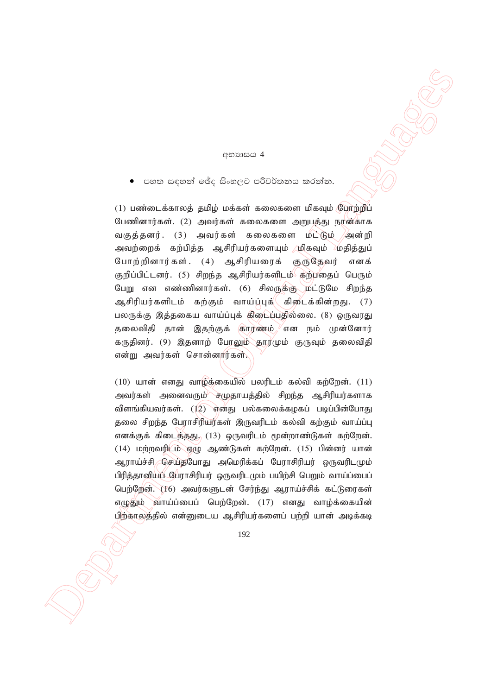#### අභාගය 4

පහත සඳහන් ඡේද සිංහලට පරිවර්තනය කරන්න.

 $(32222 \times 10^{-10} \text{ cm}^2 \text{ s}^2)$ <br>  $(4222 \times 10^{-10} \text{ cm}^2 \text{ s}^2)$ <br>  $(5222 \times 10^{-10} \text{ cm}^2 \text{ s}^2)$ <br>  $(11)$  main<br>various strategic probable interesting and propriety formula languages and<br>  $(10)$  main various  $(11)$  and  $($  $(1)$  பண்டைக்காலத் தமிழ் மக்கள் கலைகளை மிகவும் போற்றிப் பேணினார்கள். (2) அவர்கள் கலைகளை அறுபத்து நான்காக வகுத்தனர். (3) அவர்கள் கலைகளை மட்டும் /அன்றி அவற்றைக் கற்பித்த ஆசிரியர்களையும் முிகவும் மதித்துப் போற்றினார்கள். (4) ஆசிரியரைக் குருதேவர் எனக் குறிப்பிட்டனர். (5) சிறந்த ஆசிரியர்களிடம் கற்பதைப் பெரும் பேறு என எண்ணினார்கள். (6) சிலருக்கு மட்டுமே சிறந்த ஆசிரியர்களிடம் கற்கும் வாய்ப்புக்( கிடைக்கின்றது. (7) பலருக்கு இத்தகைய வாய்ப்புக் கிடைப்பதில்லை. (8) ஒருவரது தலைவிதி தான் இதற்குக் காரணம். $\sqrt{s}$ என நம் முன்னோர் கருதினர். (9) இதனாற் போலும் தார்மும் குருவும் தலைவிதி என்று அவர்கள் சொன்னார்கள்.

 $(10)$  யான் எனது வாழ்க்கையில் பலரிடம் கல்வி கற்றேன்.  $(11)$ அவர்கள் அனைவரும்<sup>⁄ு</sup>ச்முதாயத்தில் சிறந்த ஆசிரியர்களாக விளங்கியவர்கள்.  $(12)$  எனது பல்கலைக்கழகப் படிப்பின்போது தலை சிறந்த பேராசிரியர்கள் இருவரிடம் கல்வி கற்கும் வாய்ப்பு எனக்குக் கிடைத்தது,  $(13)$  ஒருவரிடம் மூன்றாண்டுகள் கற்றேன்.  $(14)$  மற்றவரிடம் எழு ஆண்டுகள் கற்றேன்.  $(15)$  பின்னர் யான் ஆராய்ச்சி செய்தபோது அமெரிக்கப் பேராசிரியர் ஒருவரிடமும் பிரித்தானியப் பேராசிரியர் ஒருவரிடமும் பயிற்சி பெறும் வாய்ப்பைப் பெற்றேன். (16) அவர்களுடன் சேர்ந்து ஆராய்ச்சிக் கட்டுரைகள் எமுகிம் வாய்ப்பைப் பெற்றேன்.  $(17)$  எனது வாம்க்கையின் பிற்காலத்தில் என்னுடைய ஆசிரியர்களைப் பற்றி யான் அடிக்கடி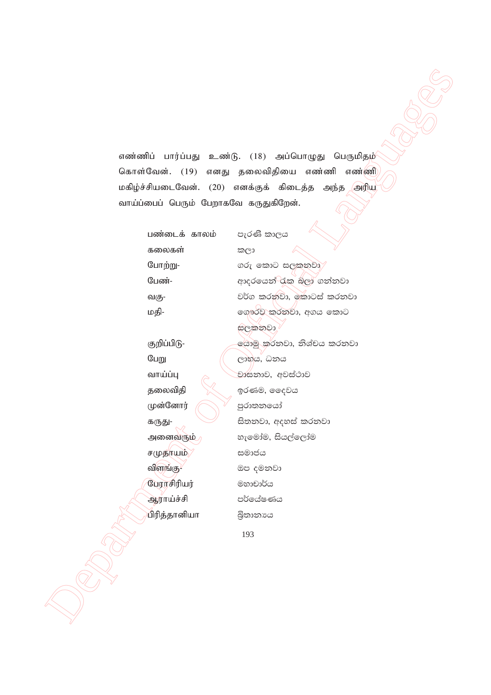எண்ணிப் பார்ப்பது உண்டு. (18) அப்பொழுது பெருமிதம் கொள்வேன். (19) எனது தலைவிதியை எண்ணி எண்ணி மகிழ்ச்சியடைவேன். (20) எனக்குக் கிடைத்த அந்த அரிய வாய்ப்பைப் பெரும் பேறாகவே கருதுகிறேன்.

கலைகள் කලා

சமுதாயம்/ கூலக்க  $\mathbb{C}$ புராசிரியர் $\qquad \qquad \mathbb{C}$ லை செல்

 $\begin{CD} \textbf{F}(\textbf{a},\textbf{b}) = \textbf{F}(\textbf{a},\textbf{b}) = \textbf{F}(\textbf{a},\textbf{b}) = \textbf{F}(\textbf{a},\textbf{b}) = \textbf{F}(\textbf{a},\textbf{b}) = \textbf{F}(\textbf{a},\textbf{b}) = \textbf{F}(\textbf{a},\textbf{b}) = \textbf{F}(\textbf{a},\textbf{b}) = \textbf{F}(\textbf{a},\textbf{b}) = \textbf{F}(\textbf{a},\textbf{b}) = \textbf{F}(\textbf{a},\textbf{b}) = \textbf{F}$ பண்டைக் காலம் පැරණි කාලය போற்று-  $O(\sigma \sigma)$  வை $O$  සලකනවා பேண்- wdorfha - water - water and discrept and all or and all or any or any set o **வகு- hravid in the blue කරනවා, කොටස් කරනවා** kija- kija- f. romana v. romana v.h florija v.h florija v.h florija v.h florija v.h florija v.h florija v.h fl සලකනවා குறிப்பிடு- கூறிய குறிப்பிடு கூறு கூறிப்பிடு-பேறு  $\sqrt{2}$  (இல்லை) கொள்  $\liminf$   $\cos$   $\cos$  $\mathfrak g$ ை final brand for  $\mathfrak g$ රණම, ඉදෙවය முன்னோர்  $\bigcap$  ஜூலைவீ  $f(x) = \bigcup_{x,y,z \in \mathbb{R}^d} f(x,y,z)$ සිතනවා, අදහස් කරනවා அனைவரும் **by auxiliary ishes** and all and an extent of the set of the set of the set of the set of the set of th  $\text{mmin}(B)$  ගප දමනවා ஆராய்ச்சி පර්ලය්ෂණය ிரித்தானியா : බිතානාය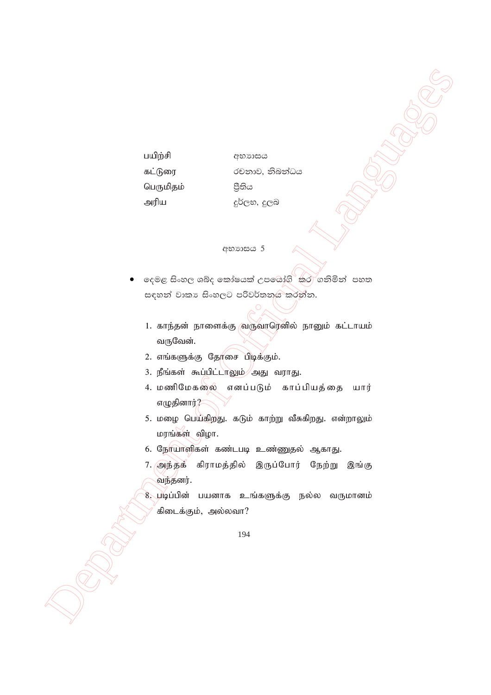பயிற்சி අභාගසය கட்டுரை රචනාව, නිබන්ධය பெருமிதம் පීතිය அரிய දුර්ලභ, දුලබ

#### **අභා**හය 5

- දෙමළ සිංහල ශබ්ද කෝෂයක් උපශෝගි<sup>ට</sup>කට ගනිමින් පහත සඳහන් වාකා සිංහලට පරිවර්තනය කරන්න.
	- 1. காந்தன் நாளைக்கு வருவாரெனில் நானும் கட்டாயம் வருவேன்.
	- 2. எங்களுக்கு தோசை பிடிக்கும்.
	- 3. நீங்கள் கூப்பிட்டாலும் அது வராது.
	- 4. மணிமேகலை எனப்படும் காப்பியத்தை யார் எழுதினார்?
	- 5. மழை பெய்கிறது. கடும் காற்று வீசுகிறது. என்றாலும் மரங்கள் விழா.
	- 6. நேர்யாளிகள் கண்டபடி உண்ணுதல் ஆகாது.
	- 7. அந்தக் கிராமத்தில் இருப்போர் நேற்று இங்கு வந்தனர்.
	- 8. படிப்பின் பயனாக உங்களுக்கு நல்ல வருமானம் கிடைக்கும், அல்லவா?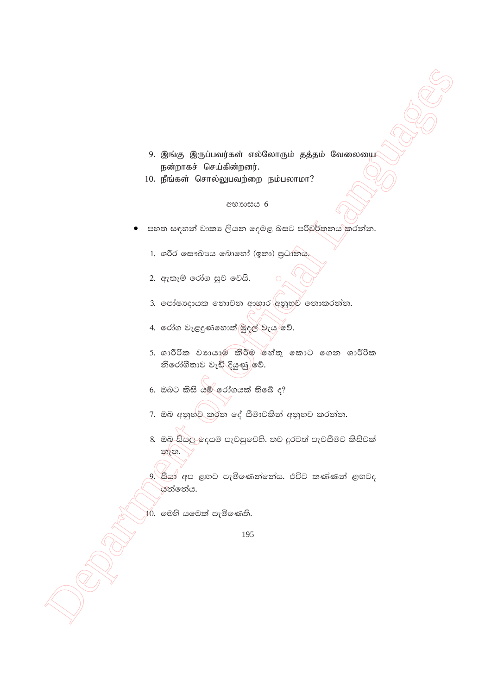- 9. இங்கு இருப்பவர்கள் எல்லோரும் தத்தம் வேலையை நன்றாகச் செய்கின்றனர்.
- 10. நீங்கள் சொல்லுபவற்றை நம்பலாமா?

### අභාගසය 6

- පහත සඳහන් වාකා ලියන දෙමළ බසට පරිවර්තනය කරන්න.
	- 1. ශරීර ලසෟඛාපය බොහෝ (ඉතා) පුධානය.
	- 2. ඇතැම් රෝග සුව වෙයි.
	- 3. පෝෂාදායක තොවන ආහාර අනුභ්ව නොකරන්න.
	- 4. රෝග වැළදුණහොත් මුදල් වැය වේ.
	- 5. ශාරීරික වහායාම කිරීම හේතු කොට ගෙන ශාරීරික නිරෝගීතාව වැඩි දියුණු)වේ.
	- 6. ඔබට කිසි යම් රෝගයක් තිබේ ද?
	- 7. ඔබ අනුභ්ව කරන දේ සීමාවකින් අනුභව කරන්න.
	- 8. ඔබ සියලු ලදයම පැවසුවෙහි. තව දුරටත් පැවසීමට කිසිවක් නැත.
	- 9. සීයා අප ළඟට පැමිණෙන්නේය. එවිට කණ්ණන් ළඟටද යන්නේය.

 $10.$  මෙහි යමෙක් පැමිණෙති.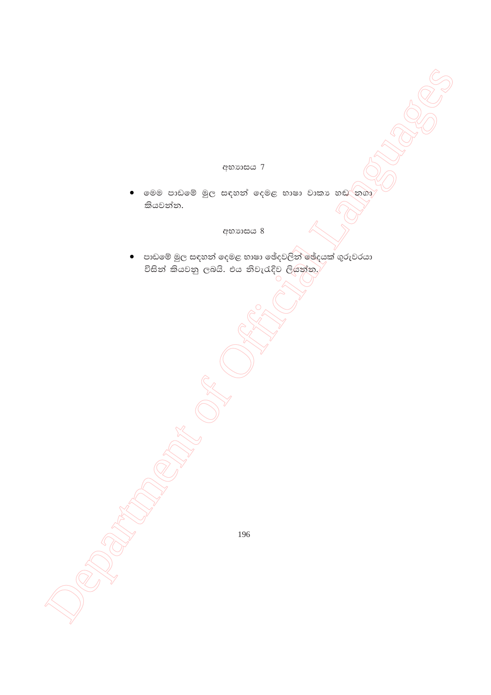# අභාගාසය 7

මෙම පාඩමේ මුල සඳහන් දෙමළ භාෂා වාකා හඬ<sup>්</sup>නගා කියවන්න.

# අභාගසය 8

පාඩමේ මුල සඳහන් දෙමළ භාෂා ඡේදවලින් ඡේදයක් ගුරුවරයා  $\bullet$ විසින් කියවනු ලබයි. එය නිවැරැදිව ලියන්න,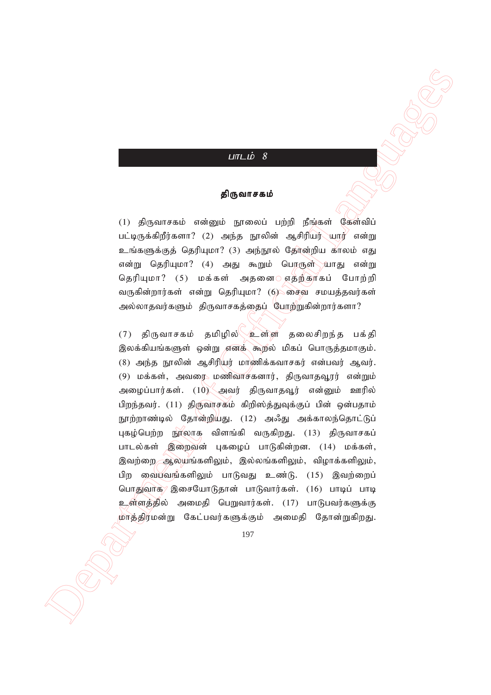### $LITLID 8$

#### திருவாசகம்

 $(1)$  திருவாசகம் என்னும் நூலைப் பற்றி நீங்கள் கேள்விப்  $\mu$ பட்டிருக்கிறீர்களா? (2) அந்த நூலின் ஆசிரியர் $\mu$ யார் என்று உங்களுக்குத் தெரியுமா? (3) அந்நூல் தேர்ன்றிய காலம் எது என்று தெரியுமா? (4) அது கூறும் பெரருள் $\sqrt{u}$ பாது என்று தெரியுமா? (5) மக்கள் அதனை எதற்காகப் போற்றி வருகின்றார்கள் என்று தெரியுமா?  $(6)$  சைவ சமயத்தவர்கள் அல்லாதவர்களும் திருவாசகத்தைப் போற்றுகின்றார்களா?

 $\label{eq:21} \begin{array}{ll} \textbf{LILL} \hat{\mathbf{B}} & \textbf{DQ} \textbf{S} \textbf{U} \textbf{I} \textbf{I} \textbf{B} & \textbf{DQ} \textbf{I} \textbf{I} \textbf{I} \textbf{I} \textbf{I} \textbf{I} \textbf{I} \textbf{I} \textbf{I} \textbf{I} \textbf{I} \textbf{I} \textbf{I} \textbf{I} \textbf{I} \textbf{I} \textbf{I} \textbf{I} \textbf{I} \textbf{I} \textbf{I} \textbf{I} \textbf{I} \textbf{I$  $(7)$  திருவாசகம் தமிழில் $\sqrt{2}$ ள்ள தலைசிறந்த பக்தி இலக்கியங்களுள் ஒன்று எனக் கூறல் மிகப் பொருத்தமாகும்.  $(8)$  அந்த நூலின் ஆசிரியர் மாணிக்கவாசகர் என்பவர் ஆவர்.  $(9)$  மக்கள், அவரை மணிவாசகனார், திருவாதவூரர் என்றும் அழைப்பார்கள். (10) அவர் திருவாதவூர் என்னும் ஊரில் பிறந்தவர். (11) திருவாசகம் கிறிஸ்த்துவுக்குப் பின் ஒன்பதாம் நூற்றாண்டில் தோன்றியது. (12) அஃது அக்காலந்தொட்டுப் புகழ்பெற்ற நூலாக விளங்கி வருகிறது.  $(13)$  திருவாசகப் பாடல்கள் இறைவன் புகழைப் பாடுகின்றன. (14) மக்கள், இவற்றை ஆலயங்களிலும், இல்லங்களிலும், விழாக்களிலும், பிற வைபவங்களிலும் பாடுவது உண்டு.  $(15)$  இவற்றைப் பொதுவாக இசையோடுதான் பாடுவார்கள். (16) பாடிப் பாடி உள்ளத்தில் அமைதி பெறுவார்கள். (17) பாடுபவர்களுக்கு மாத்திரமன்று கேட்பவர்களுக்கும் அமைதி தோன்றுகிறது.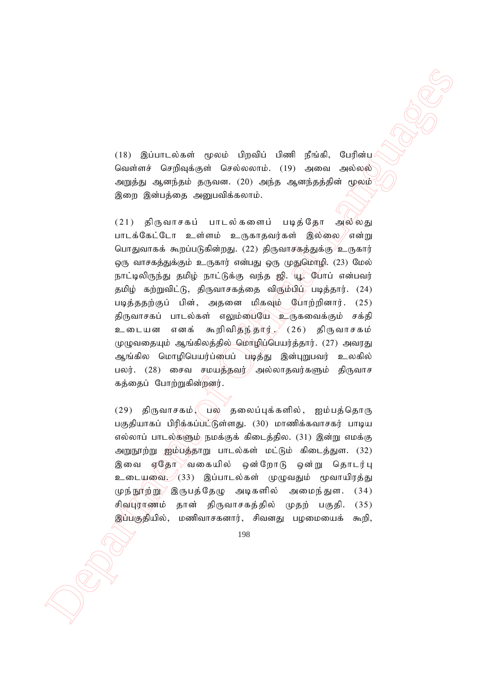(18) இப்பாடல்கள் மூலம் பிறவிப் பிணி நீங்கி, பேரின்ப வெள்ளச் செறிவுக்குள் செல்லலாம். (19) அவை அல்லல் அறுத்து ஆனந்தம் தருவன. (20) அந்த ஆனந்தத்தின் மூலம் இறை இன்பத்தை அறுபவிக்கலாம்.

(18) இப்பாடங்கள் ஒலன் பிறகிப் மிகள் நீங்கி, போரின்சில் செயல் செயல் செயல் செயல் செயல் செயல் செயல் செயல் செயல் செயல் செயல் செயல் செயல் செயல் செயல் செயல் செயல் செயல் செயல் செயல் செயல் செயல் செயல் செயல் செயல் செயல் செயல் செயல  $(21)$  திருவாசகப் பாடல்களைப் படிக்கோ அல்லது பாடக்கேட்டோ உள்ளம் உருகாதவர்கள் இல்லை//என்று பொதுவாகக் கூறப்படுகின்றது. (22) திருவாசத்த்துக்கு உருகார் ஒரு வாசகத்துக்கும் உருகார் என்பது ஒரு முதுமொழி. (23) மேல் நாட்டிலிருந்து தமிழ் நாட்டுக்கு வந்த ஜி. யூ. போப் என்பவர் தமிழ் கற்றுவிட்டு, திருவாசகத்தை விரும்பிப் படித்தார். (24) படித்ததற்குப் பின், அதனை மிகவும் போற்றினார். (25) திருவாசகப் பாடல்கள் எலும்பையே உருகவைக்கும் சக்தி உடையன எனக் கூறிவிதந்தார்., (26) திருவாசகம் முழுவதையும் ஆங்கிலத்தில் மொழிப்பெயர்த்தார். (27) அவரது ஆங்கில மொழிபெயர்ப்பைப் படித்து இன்புறுபவர் உலகில் பலர். (28) சைவ சமயத்தவர் $\#$ அல்லாதவர்களும் திருவாச கத்தைப் போற்றுகின்றனர்.

 $(29)$  திருவாசகம், பல தலைப்புக்களில், ஐம்பத்தொரு பகுதியாகப் பிரிக்கப்பட்டுள்ளது. (30) மாணிக்கவாசகர் பாடிய எல்லாப் பாடல்களும் நமக்குக் கிடைத்தில. (31) இன்று எமக்கு அறுநூற்று ஐம்பத்தாறு பாடல்கள் மட்டும் கிடைத்துள. (32) இவை ஏதோ வகையில் ஒன்றோடு ஒன்று தொடர்பு உடையலை. (33) இப்பாடல்கள் முழுவதும் மூவாயிரத்து முந்நூற்று $\sqrt{g}$ ருபத்தேழு அடிகளில் அமைந்துள.  $(34)$ சிவபுராணம் தான் திருவாசகத்தில் முதற் பகுதி. (35) இப்பகுதியில், மணிவாசகனார், சிவனது பழமையைக் கூறி,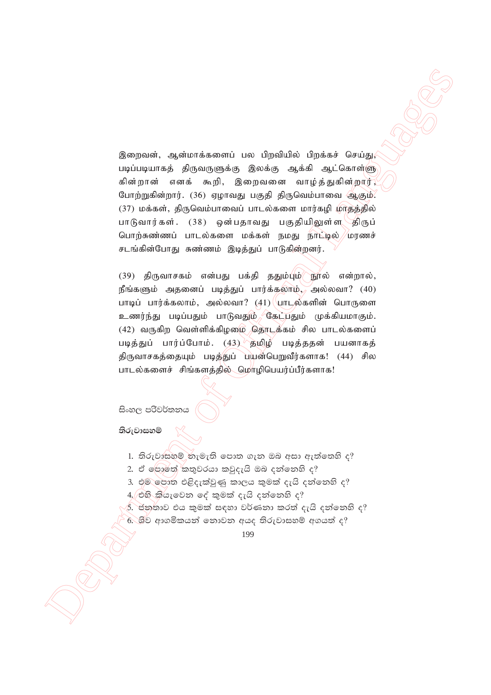இறைவன், ஆன்மாக்களைப் பல பிறவியில் பிறக்கச் செய்து, படிப்படியாகத் திருவருளுக்கு இலக்கு ஆக்கி ஆட்கொள்ளு கின்றான் எனக் கூறி, இறைவனை வாழ்த்துகின்றார், போற்றுகின்றார். (36) ஏழாவது பகுதி திருவெம்பாவை ஆகும்.  $(37)$  மக்கள், திருவெம்பாவைப் பாடல்களை மார்கழி மாதத்தில் பாடுவார்கள். (38) ஒன்பதாவது பகுதியிலுள்ள√திருப் பொற்சுண்ணப் பாடல்களை மக்கள் நமது நாட்டில் //மரணச் சடங்கின்போது சுண்ணம் இடித்துப் பாடுகின்றனர்.

Beautometer capturines and the fluid fluid of the sixter of Offices of Offices and the Contemporary of Official Languages and the Contemporary of Official Capturines and the Contemporary of Official Capturines and the Con  $(39)$  திருவாசகம் என்பது பக்தி ததும்பும் நூல் என்றால்,  $\mathbf{g}$ ங்களும் அதனைப் படித்துப் பார்க்கலாம், அல்லவா? (40) பாடிப் பார்க்கலாம், அல்லவா $?$   $(41)$  பாடில்களின் பொருளை உணர்ந்து படிப்பதும் பாடுவதும் கேட்பதும் முக்கியமாகும்.  $(42)$  வருகிற வெள்ளிக்கிழமை தொடக்கம் சில பாடல்களைப் படித்துப் பார்ப்போம்.  $(43)$  தமிழ் படித்ததன் பயனாகத் திருவாசகத்தையும் படித்துப் பயன்பெறுவீர்களாக! (44) சில பாடல்களைச் சிங்களத்தில் மொழிபெயர்ப்பீர்களாக!

සිංහල පරිවර්තනය

**තිරුවාසහම්** 

- $1.$  තිරුවාසහම් නැමැති පොත ගැන ඔබ අසා ඇත්තෙහි ද?
- $2.$  ඒ ලොතේ කතුවරයා කවුදැයි ඔබ දත්තෙහි ද?
- 3. එම පොත එළිදැක්වුණු කාලය කුමක් දැයි දන්නෙහි ද?  $4,$  එහි කියැවෙන දේ කුමක් දැයි දන්නෙහි ද?
- $\delta$ . ජනුතාව එය කුමක් සඳහා වර්ණනා කරත් දැයි දන්නෙහි ද?
- $6.$  ශීව ආගමිකයන් නොවන අයද තිරුවාසහම් අගයත් ද?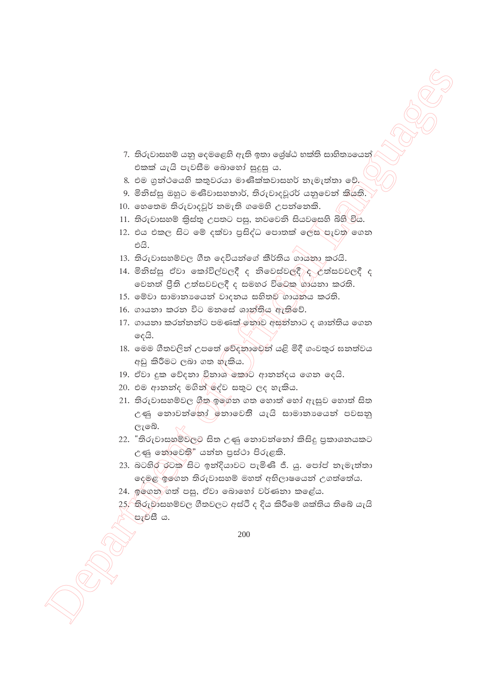- 7. තිරුවාසහම් යනු ලෙමළෙහි ඇති ඉතා ලශ්ෂ්ඨ භක්ති සාහිතායෙන් එකක් යැයි පැවසීම බොහෝ සුදුසු ය.
- 8. එම ගුන්ථයෙහි කතුවරයා මාණික්කවාසහර් නැමැත්තා වේ.
- 9. මිනිස්සු ඔහුට මණිවාසහතාර්, තිරුවාදවූරර් යනුවෙන් කියති.
- 10. හෙතෙම තිරුවාදවූර් නමැති ගමෙහි උපන්නෙකි.
- 11. තිරුවාසහම් කිුස්තු උපතට පසු, නවවෙනි සියවලසහි බිහි විය.
- 12. එය එකල සිට මේ දක්වා පුසිද්ධ පොතක් ලෙස පැවත ගෙන එයි.
- 13. තිරුවාසහම්වල ගීත දෙවියන්ගේ කීර්තිය ගායනා කරයි.
- 14. මිනිස්සු ඒවා කෝවිල්වලදී ද නිවෙස්වලදී ද උත්සවවලදී ද වෙනත් ජිති උත්සවවලදී ද සමහර විවෙකු ගායනා කරති.
- 15. මේවා සාමානායෙන් වාදනය සහිතුව ගායනය කරති.
- 16. ගායනා කරන විට මනසේ ශාන්තිය ඇතිවේ.
- 17. ගායනා කරන්නන්ට පමණක් ඉතාව අසන්නාට ද ශාන්තිය ගෙන දෙයි.
- 18. මෙම ගීතවලින් උපතේ වේදනාවෙන් යළි මිදී ගංවතුර ඝනත්වය අඩු කිරීමට ලබා ගත හැකිය.
- 19. ඒවා දුක වේදනා විනාශ කොට ආනන්දය ගෙන දෙයි.
- 20. එම ආනන්ද මගින් දේව සතුට ලද හැකිය.
- 21. තිරුවාසහම්වල ගීත ඉගෙන ගත හොත් හෝ ඇසුව හොත් සිත උණු නොවන්නෝ නොවෙති යැයි සාමානායෙන් පවසනු ලැබේ.
- 22. "තිරුවාසහම්වලව සිත උණු නොවන්නෝ කිසිදු පුකාශනයකට උණු නොවෙති" යන්න පුස්ථා පිරුළකි.
- 23. බටහිර රටක සිට ඉන්දියාවට පැමිණි ජී. යු. පෝප් නැමැත්තා දෙමළ ඉගෙන තිරුවාසහම් මහත් අභිලාෂයෙන් උගත්තේය.
- 24. ඉගෙන ගත් පසු, ඒවා බොහෝ වර්ණනා කළේය.
- 25,්තිරුවාසහම්වල ගීතවලට අස්ථි ද දිය කිරීමේ ශක්තිය තිබේ යැයි පැවසී ය.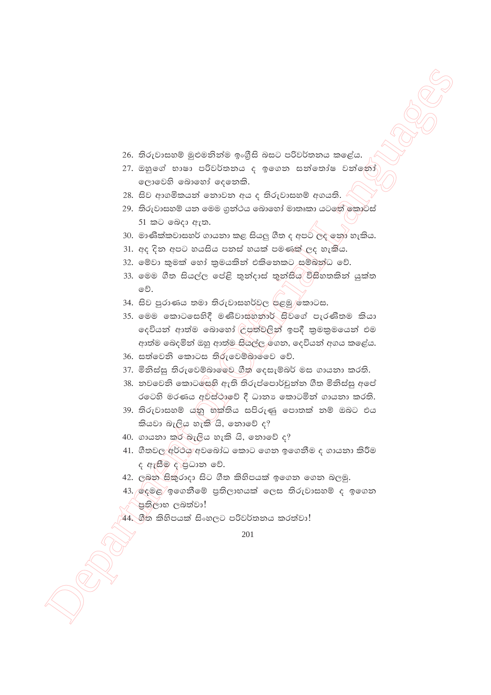- 26. තිරුවාසහම් මුළුමනින්ම ඉංගීසි බසට පරිවර්තනය කළේය.
- 27. ඔහුගේ භාෂා පරිවර්තනය ද ඉගෙන සන්තෝෂ වන්නෝ ලොවෙහි බොහෝ දෙනෙකි.
- 28. සිව ආගමිකයන් නොවන අය ද තිරුවාසහම් අගයති.
- 29. තිරුවාසහම් යන මෙම ගුන්ථය බොහෝ මාතෘකා යටතේ කොටස් 51 කට ඉබදා ඇත.
- 30. මාණික්කවාසහර් ගායනා කළ සියලු ගීත ද අපට ලද ඉනු හැකිය.
- 31. අද දින අපට හයසිය පනස් හයක් පමණක් ලද හැකිය.
- 32. මේවා කුමක් හෝ කුමයකින් එකිනෙකට සම්බන්ධ වේ.
- 33. මෙම ගීත සියල්ල පේළි තුන්දාස් කුන්සිය විසිහතකින් යුක්ත වේ.
- 34. සිව පුරාණය තමා තිරුවාසහර්වල පළමු කොටස.
- 35. මෙම කොටසෙහිදී මණිවාසනතාර් සිවගේ පැරණිතම කියා දෙවියන් ආත්ම බොහෝ ලිපුත්වලින් ඉපදී කුමකුමයෙන් එම ආත්ම බෙදමින් ඔහු ආත්ම සියල්ල රගන, දෙවියන් අගය කළේය.
- 36. සත්වෙනි කොටස තිරුවෙම්බාර්වෙ වේ.
- 37. මිනිස්සු තිරුවෙම්බාමෙව ගීත් දෙසැම්බර් මස ගායනා කරති.
- 38. නවවෙනි කොටසෙහි ඇති තිරුප්පොර්චුන්න ගීත මිනිස්සු අපේ රටෙහි මරණය අවස්ථාවේ දී ධානා කොටමින් ගායනා කරති.
- 39. තිරුවාසහම් යනු භක්තිය සපිරුණු පොතක් නම් ඔබට එය කියවා බැලිය හැකි යි, නොවේ ද?
- 40. ගායනා කර් බැලිය හැකි යි, නොවේ ද?
- 41. ගීතවල අර්ථය අවබෝධ කොට ගෙන ඉගෙනීම ද ගායනා කිරීම ද ඇසීම දාපුධාන වේ.
- 42. ලබන සිකුරාදා සිට ගීත කිහිපයක් ඉගෙන ගෙන බලමු.
- 43. ලදමළ ඉගෙනීමේ පුතිලාභයක් ලෙස තිරුවාසහම් ද ඉගෙන ් පුතිලාභ ලබත්වා!
- 44. ගීත කිහිපයක් සිංහලට පරිවර්තනය කරත්වා!

<sup>201</sup>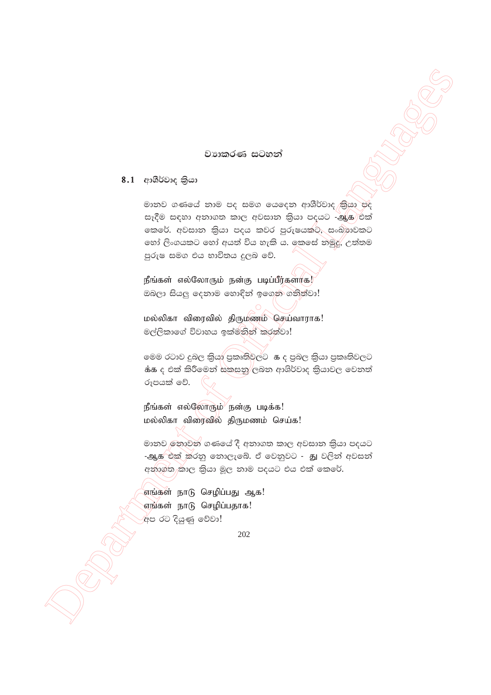### වාහකරණ සටහන්

# 8.1 ආශීර්වාද කියා

මානව ගණයේ නාම පද සමග යෙදෙන ආශීර්වාද කියා පද සෑදීම සඳහා අනාගත කාල අවසාන කියා පදයට -ஆக එක් කෙරේ. අවසාන කියා පදය කවර පුරුෂයකට, සංඛ්යාවකට හෝ ලිංගයකට හෝ අයත් විය හැකි ය. කෙසේ නමුදු, උත්තම පුරුෂ සමග එය භාවිතය දුලබ වේ.

நீங்கள் எல்லோரும் நன்கு படிப்பீர்களாக! ඔබලා සියලු දෙනාම හොඳින් ඉගෙන ගනික්වා!

மல்லிகா விரைவில் திருமணம் செய்வாராக! මල්ලිකාගේ විවාහය ඉක්මනින් කරත්වා!

 $\dot{\mathbf{a}}$ ය ද එක් කිරීමෙන් සකසනු $/$ ලබන ආශිර්වාද කියාවල වෙනත් රූපයක් වේ.

நீங்கள் எல்லோரும் நன்கு படிக்க! மல்லிகா விரைவில் திருமணம் செய்க!

මානව නොවන ගණයේ දී අනාගත කාල අවසාන කියා පදයට -ஆக<sup>/</sup>එක් කරනු නොලැබේ. ඒ වෙනුවට - து වලින් අවසන් අනාගත කාල කියා මූල නාම පදයට එය එක් කෙරේ.

எங்கள் நாடு செழிப்பது ஆக! எங்கள் நாடு செழிப்பதாக! .<br>අප රට දියුණු වේවා!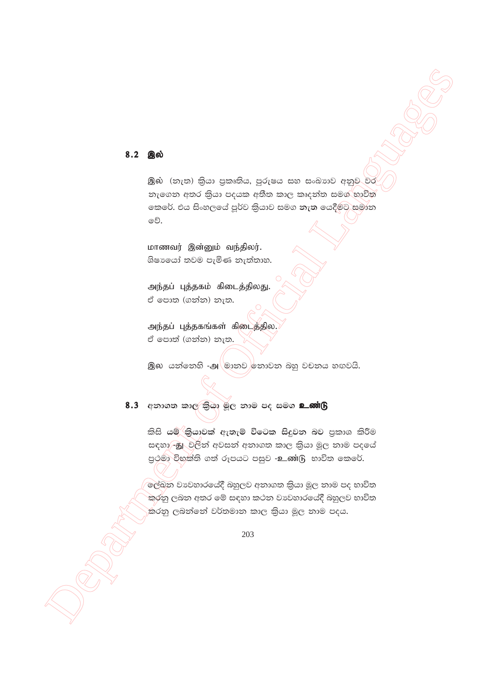### 8.2 இல்

இல் (නැත) කියා පුකෘතිය, පුරුෂය සහ සංඛාහව අනුව වර නැගෙන අතර කියා පදයක අතීත කාල කෘදන්ත සමග භාවිත කෙරේ. එය සිංහලයේ පූර්ව කියාව සමග නැත යෙදීමට සමාන වේ.

மாணவர் இன்னும் வந்திலர். ශිෂායෝ තවම පැමිණ නැත්තාහ.

அந்தப் புத்தகம் கிடைத்திலது. ඒ පොත (ගන්න) නැත.

அந்தப் புத்தகங்கள் கிடைத்தில. ඒ පොත් (ගන්න) නැත.

இல. යන්නෙහි -அ\මානව නොවන බහු වචනය හඟවයි.

# 8.3 අනාගත කාල කියා මූල නාම පද සමග உண்டு

කිසි යම් කියාවක් ඇතැම් විටෙක සිදුවන බව පුකාශ කිරීම සඳහා හු වලින් අවසන් අනාගත කාල කියා මූල නාම පදයේ පුථමා විභක්ති ගත් රූපයට පසුව -உண்டு භාවිත කෙරේ.

ලේඛන වාවහාරයේදී බහුලව අනාගත කියා මූල නාම පද භාවිත කරනු ලබන අතර මේ සඳහා කථන වාපවහාරයේදී බහුලව භාවිත කරනු ලබන්නේ වර්තමාන කාල කියා මූල නාම පදය.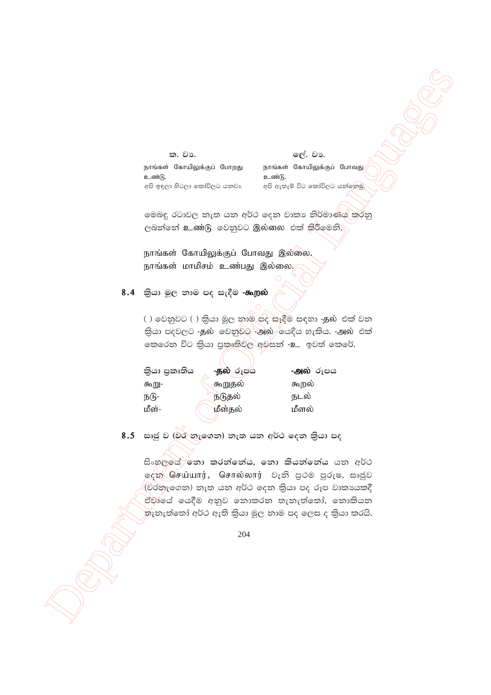ක. වා.

ලේ. වා.

நாங்கள் கோயிலுக்குப் போறது உண்டு. අපි ඉඳලා හිටලා කෝවිලට යනවා. நாங்கள் கோயிலுக்குப் போவது உண்டு. අපි ඇතැම් විට කෝවිලට යන්නෙ<u>මු</u>

මෙබඳු රටාවල නැත යන අර්ථ දෙන වාකා නිර්මාණය කරනු ලබන්නේ உண்டு වෙනුවට இல்லை එක් කිරීමෙනි.

நாங்கள் கோயிலுக்குப் போவது இல்லை. நாங்கள் மாமிசம் உண்பது இல்லை.

8.4 කියා මූල නාම පද සැදීම -கூறல்

() වෙනුවට () කියා මූල නාම පද සෑදීම සඳහා -தல் එක් වන තියා පදවලට -தல වෙනුවට -அல் යෙදිය හැකිය. -அல் එක් තෙරෙන විට කියා පුකෘතිවල අවසන් -உ ඉවත් කෙරේ.

| කියා පුකෘතිය | <b>-தல் රූපය</b> | <b>-அல்</b> රූපය |
|--------------|------------------|------------------|
| கூறு-        | கூறுதல்          | கூறல்            |
| நடு-         | நடுதல்           | நடல்             |
| மீள்-        | மீள்தல்          | மீளல்            |

8.5 සෘජු ව (විර නැගෙන) නැත යන අර්ථ දෙන කියා පද

සිංහලයේ නො කරන්නේය, නො කියන්නේය යන අර්ථ ஒஜ் செய்யார், சொல்லார் **பெ**லி පூ**்** පුරුෂ, සෘජුව (වරතැගෙන) නැත යන අර්ථ දෙන කියා පද රූප වාකායකදී ඒවායේ යෙදීම අනුව නොකරන තැනැත්තෝ, නොකියන තැනැත්තෝ අර්ථ ඇති කියා මූල නාම පද ලෙස ද කියා කරයි.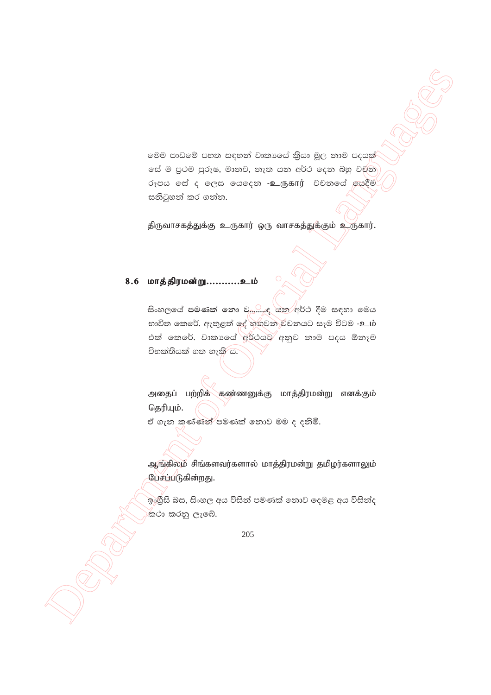මෙම පාඩමේ පහත සඳහන් වාකාගේ කිුයා මූල නාම පදයක් යේ ම පුථම පුරුෂ, මානව, නැත යන අර්ථ දෙන බහු වචන රූපය සේ ද ලෙස ගෙදෙන -உருகார் වචනගේ ගෙදීම සනිටුහන් කර ගන්න.

திருவாசகத்துக்கு உருகார் ஒரு வாசகத்துக்கும் உருகார்.

# 8.6 மாத்திரமன்று...........உம்

සිංහලයේ පමණක් නො ව.......ද යන අර්ථ දීම සඳහා මෙය භාවිත කෙරේ. ඇතුළත් දේ හඟුවන විචනයට සෑම විටම -உம் එක් කෙරේ. වාකායේ අර්ථයට අනුව නාම පදය ඕනෑම විභක්තියක් ගත හැකි ය.

அதைப் பற்றிக் கண்ணனுக்கு மாத்திரமன்று எனக்கும் தெரியும்.

ඒ ගැන කණ්ණන් පමණක් නොව මම ද දනිමි.

ஆங்கிலம் சிங்களவர்களால் மாத்திரமன்று தமிழர்களாலும் பேசப்படுகின்றது.

ඉංගීසි බස, සිංහල අය විසින් පමණක් නොව දෙමළ අය විසින්ද ⁄කථා කරනු ලැබේ.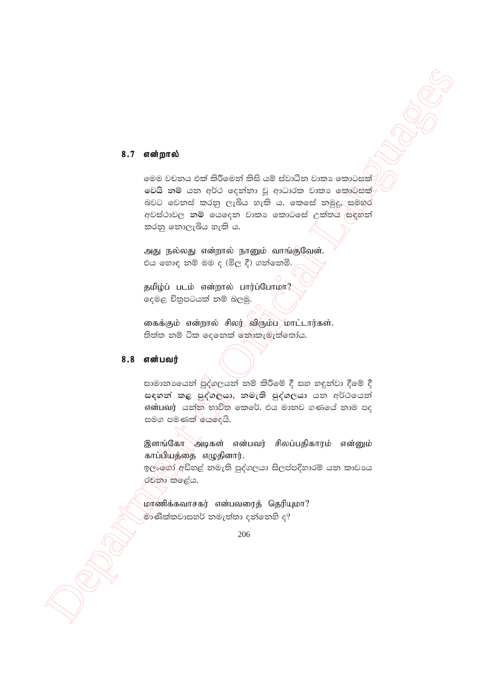#### 8.7 என்றால்

මෙම වචනය එක් කිරීමෙන් කිසි යම් ස්වාධීන වාකා කොටසක් වෙයි නම් යන අර්ථ දෙන්නා වූ ආධාරක වාකා කොට්සක් බවට වෙනස් කරනු ලැබිය හැකි ය. කෙසේ නමුදු, සමහර අවස්ථාවල නම් යෙදෙන වාකා කොටසේ උක්තය සඳහන් කරනු නොලැබිය හැකි ය.

அது நல்லது என்றால் நானும் வாங்குவேன். එය හොඳ නම් මම ද (මිල දී) ගන්නෙමි.

தமிழ்ப் படம் என்றால் பார்ப்போமா? දෙමළ චිතුපටයක් තම් බලමු.

கைக்கும் என்றால் சிலர் விரும்ப மாட்டார்கள். තිත්ත නම් ටික දෙනෙක් නොකැමැත්තෝය.

### 8.8 என்பவர்

සාමානායෙන් සුද්ගලයන් නම් කිරීමේ දී සහ හඳුන්වා දීමේ දී සඳහන් කළ පුද්ගලයා, නමැති පුද්ගලයා යන අර්ථයෙන් என்பவர் යන්න භාවිත කෙරේ. එය මානව ගණයේ නාම පද සමග පමණක් යෙදෙයි.

இளங்கோ அடிகள் என்பவர் சிலப்பதிகாரம் என்னும் காப்பியத்தை எழுதினார்.

ඉල්ලෝ අඩිහළ් නමැති පුද්ගලයා සිලප්පදිහාරම් යන කාවාය රචනා කළේය.

மாணிக்கவாசகர் என்பவரைத் தெரியுமா? මාණික්කවාසහර් නමැත්තා දන්නෙහි ද?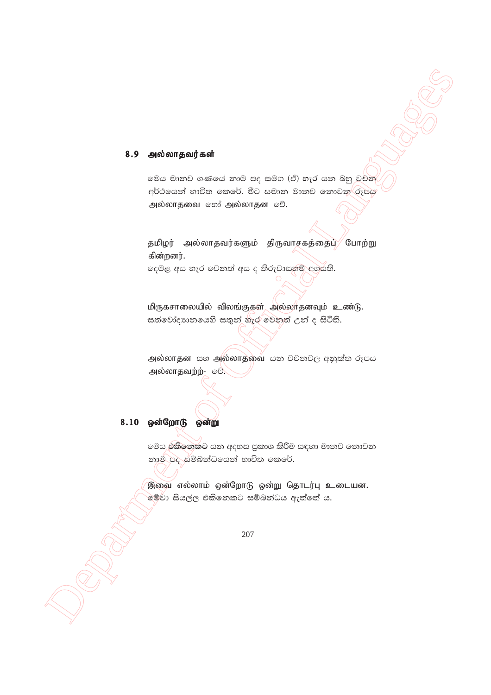#### 8.9 அல்லாதவர்கள்

මෙය මානව ගණයේ නාම පද සමග (ඒ) හැර යන බහු වචන අර්ථයෙන් භාවිත කෙරේ. මීට සමාන මානව නොවන රූපය அல்லாதவை ஒரி அல்லாதன ஒி.

தமிழர் அல்லாதவர்களும் திருவாசகத்தைப் போற்று கின்றனர்.

දෙමළ අය හැර වෙනත් අය ද තිරුවාසහම් අගයති.

மிருகசாலையில் விலங்குகள் அல்லாதனவும் உண்டு. සත්වෝදාාතයෙහි සතුන් නැර වෙනත් උන් ද සිටිති.

அல்லாதன සහ அல்லாதவை යන වචනවල අනුක්ත රූපය அல்லாதவற்ற்- ூ.

# 8.10 ஒன்றோடு ஒன்று

මෙය එකිනෙකට යන අදහස පුකාශ කිරීම සඳහා මානව නොවන නාම පද සම්බන්ධයෙන් භාවිත කෙරේ.

இவை எல்லாம் ஒன்றோடு ஒன்று தொடர்பு உடையன. මේවා සියල්ල එකිනෙකට සම්බන්ධය ඇත්තේ ය.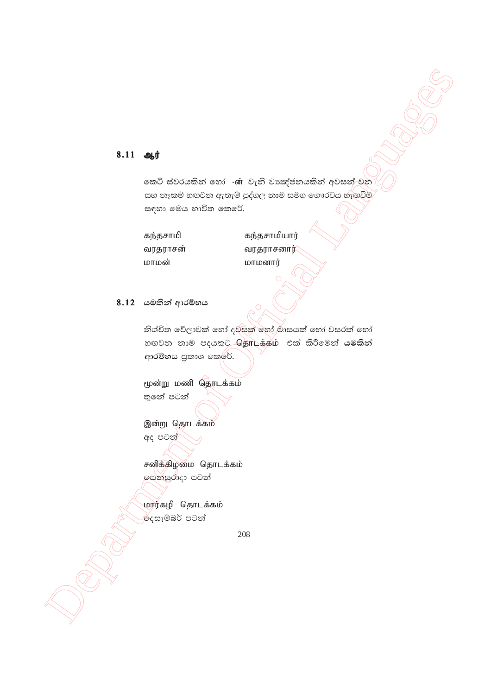# $8.11$   $9.0$

කෙටි ස්වරයකින් හෝ -ன වැනි වාඃක්ජනයකින් අවසන්-වන සහ නෑකම් හඟවන ඇතැම් පුද්ගල නාම සමග ගෞරවය හැඟවීම සඳහා මෙය භාවිත කෙරේ.

கந்தசாமி வரதராசன் மாமன்

கந்தசாமியார் வரதராசனார்/ மாமனார்

# 8.12 යමකින් ආරම්භය

නිශ්චිත වේලාවක් හෝ දවසක් හෝ මාසයක් හෝ වසරක් හෝ හඟවන නාම පදයකට தொடக்கம் එක් කිරීමෙන් යමකින් ආරම්භය පුකාශ කෙරේ.

மூன்று மணி தொடக்கம் තුතේ පටන්

இன்று தொடக்கம் අද පටන්

சனிக்கிழமை தொடக்கம் සෙනසුරාදා පටන්

மார்கழி தொடக்கம் |දෙසැම්බර් පටන්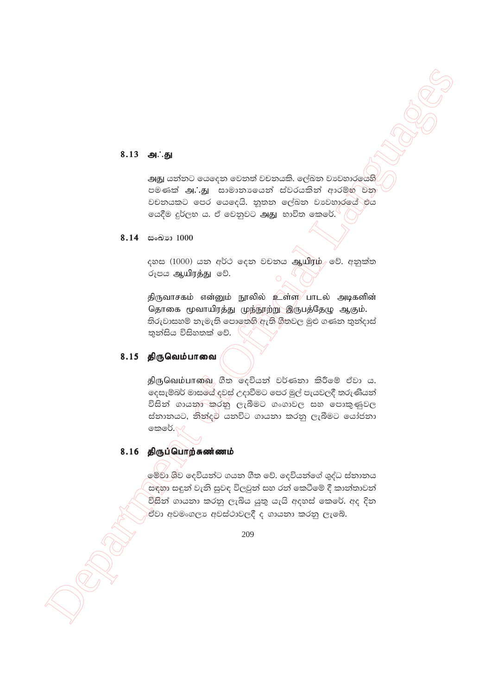### 8.13 அ∴து

அது යන්නට යෙදෙන වෙනත් වචනයකි. ලේඛන වාවහාරයෙහි පමණක් அ∴து සාමානායෙන් ස්වරයකින් ආරම්භ වන වචනයකට පෙර යෙදෙයි. නූතන ලේඛන වාවහාරයේ එය ගයදීම දූර්ලභ ය. ඒ වෙනුවට அது භාවිත කෙරේ. $\mathcal C$ 

#### 8.14 සංඛාග 1000

දහස (1000) යන අර්ථ ලදන වචනය ஆயிரம் වේ. අනුක්ත රූපය ஆயிரத்து වේ.

திருவாசகம் என்னும் நூலில் உள்ள பாடல் அடிகளின் தொகை மூவாயிரத்து முந்நூற்று இருபத்தேழு ஆகும். තිරුවාසහම් නැමැති පොතෙහි ඇති ගීතවල මුළු ගණන තුන්දාස් තුන්සිය විසිහතක් වේ.

#### 8.15 திருவெம்பாவை

திருவெம்பாவை லீன ஒரெக்கு உட்கேன் கிரே சீல் க. දෙසැම්බර් මාසයේ දවස් උදාවීමට පෙර මුල් පැයවලදී තරුණියන් විසින් ගායනා කරනු ලැබීමට ගංගාවල සහ පොකුණුවල ස්තානයට, නිිත්දුම් යනවිට ගායනා කරනු ලැබීමට යෝජනා ගකුරේ. $\vee$ 

### 8.16 திருப்பொற்சுண்ணம்

මේවා ශිව දෙවියන්ට ගයන ගීත වේ. දෙවියන්ගේ ශුද්ධ ස්නානය සඳහා සඳුන් වැනි සුවඳ විලවුන් සහ රන් කෙටීමේ දී කාන්තාවන් විසින් ගායනා කරනු ලැබිය යුතු යැයි අදහස් කෙරේ. අද දින .<br>ඒවා අවමංගලා අවස්ථාවලදී ද ගායනා කරනු ලැබේ.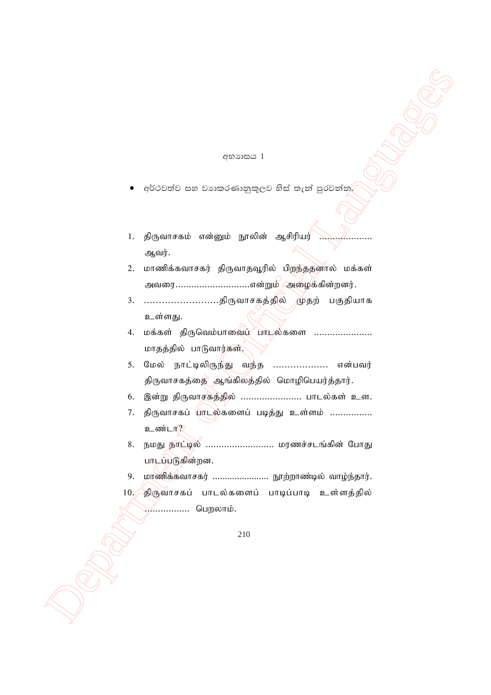#### අභාගසය 1

- අර්ථවත්ව සහ වාාකරණානුකූලව හිස් තැන් පුරවන්න.
- 1. திருவாசகம் என்னும் நூலின் ஆசிரியர் ஆவர்.
- 2. மாணிக்கவாசகர் திருவாதவூரில் பிறந்ததனால் மக்கள் அவரை..............................என்றும் /அழைக்கின்றனர்.
- 3. ............................திருவாசகத்தில் \முதற் பகுதியாக உள்ளது.
- 4. மக்கள் திருவெம்பாவைப் பாடல்களை .................... மாதத்தில் பாடுவார்கள்.
- <u>5. மேல் நாட்டிலிருந்து வந்த ....................</u> என்பவர் திருவாசகத்தை ஆங்கிலத்தில் மொழிபெயர்த்தார்.
- 6. இன்று திருவாசகத்தில் ........................ பாடல்கள் உள.
- 7. திருவாசகப் பாடல்களைப் படித்து உள்ளம் ................ உண்டா?∕
- Department of Official Languages 8. நமது நாட்டில் .......................... மரணச்சடங்கின் போது பாடப்படுகின்றன.
	- 9. மாணிக்கவாசகர் ........................ நூற்றாண்டில் வாழ்ந்தார்.
	- $10.$  திருவாசகப் பாடல்களைப் பாடிப்பாடி உள்ளத்தில் ..*.............*... பெறலாம்.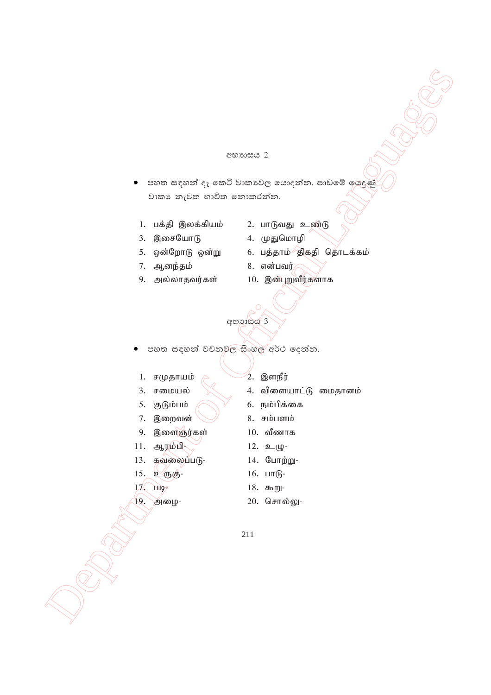#### අභාගාසය 2

- පහත සඳහන් දෑ කෙටි වාකාවල යොදන්න. පාඩමේ යෙදුණු වාකා නැවත භාවිත නොකරන්න.
	- 1. பக்தி இலக்கியம்
	- 3. இசையோடு
	- 5. ஒன்றோடு ஒன்று
- 7. ஆனந்தம்
- 9. அல்லாதவர்கள்
- 2. பாடுவது உண்டு
- 4. முதுமொழி
- 6. பத்தாம் திகதி தொடக்கம்
- 8. என்பவர்
- 10. இன்புறுவீர்களாக

අභාගයය 3

- පහත සඳහන් වචනුවල සිංහල අර්ථ දෙන්න.
	- 1. சமுதாயம்
	- 3. சமையல்
- 5. குடும்பம்
- 7. இறைவன்
- 9. இளைஞர்கள்
- 11. ஆரம்பி-
- 13. கவலைப்படு-
- 15. உருகு-
- $17$  Hig<sub>2</sub>
- 19. அழை-
- 2. இளநீர்
- 4. விளையாட்டு மைதானம்
- 6. நம்பிக்கை
- 8. சம்பளம்
- $10.$  வீணாக
- 12. உழு-
- 14. போற்று-
- 16.  $LIT$   $B$ -
- 18. கூறு-
- 20. சொல்லு-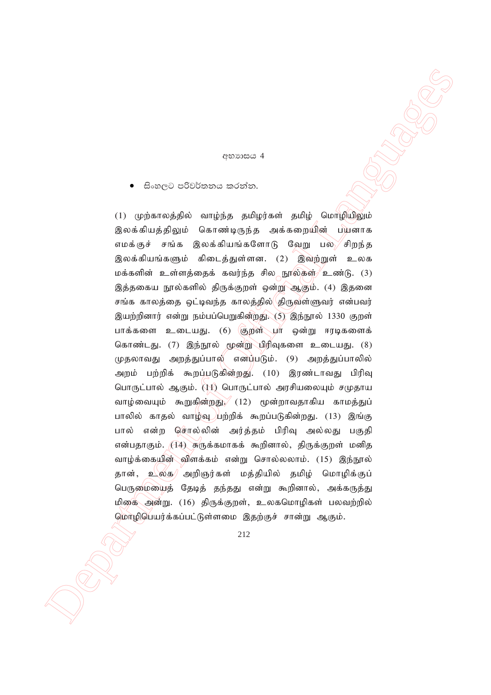#### **æ**නාසය 4

සිංහලට පරිවර්තනය කරන්න.

 $\bullet\quad \text{S.} \infty \subset \mathbb{D}\text{-S3} \text{ Conversal} \bullet \text{Suppose} \bullet \text{Suppose} \bullet \text{Suppose} \bullet \text{Suppose} \bullet \text{Suppose} \bullet \text{Suppose} \bullet \text{Suppose} \bullet \text{Suppose} \bullet \text{Suppose} \bullet \text{Suppose} \bullet \text{Suppose} \bullet \text{Suppose} \bullet \text{Suppose} \bullet \text{Suppose} \bullet \text{Suppose} \bullet \text{Suppose} \bullet \text{Suppose} \bullet \text{Suppose} \bullet \text{Suppose} \bullet \text{Suppose} \bullet \text{Suppose} \bullet \text{Suppose} \bullet \text{Suppose} \bullet \$  $(1)$  (மற்காலத்தில் வாழ்ந்த தமிழர்கள் தமிழ் மொழியிலும் இலக்கியத்திலும் கொண்டிருந்த அக்கறையின் பயனாக எமக்குச் சங்க இலக்கியங்களோடு வேறு பல சிறந்த இலக்கியங்களும் கிடைத்துள்ளன. (2) இவற்றுள் உலக மக்களின் உள்ளத்தைக் கவர்ந்த சில நூல்கள் $\ell$ உண்டு. (3) இத்தகைய நூல்களில் திருக்குறள் ஒன்று ஆகும். (4) இதனை சங்க காலத்தை ஒட்டிவந்த காலத்தில் $\langle$ திருவள்ளுவர் என்பவர் இயற்றினார் என்று நம்பப்பெறுகின்றது. (5) இந்நூல் 1330 குறள் பாக்களை உடையது. (6) குறள் பா ஒன்று ஈரடிகளைக் கொண்டது. (7) இந்நூல் மூன்று பிரிவுகளை உடையது. (8) முதலாவது அறத்துப்பால் என்ப்படும். (9) அறத்துப்பாலில் அறம் பற்றிக் கூறப்படுகின்றது. (10) இரண்டாவது பிரிவு பொருட்பால் ஆகும். (11) பொருட்பால் அரசியலையும் சமுதாய வாழ்வையும் கூறுகின்றது, (12) மூன்றாவதாகிய காமத்துப் பாலில் காதல் வாழ்வு பற்றிக் கூறப்படுகின்றது. (13) இங்கு பால் என்ற சொல்லின் அர்த்தம் பிரிவு அல்லது பகுதி என்பதாகும். (14) சுருக்கமாகக் கூறினால், திருக்குறள் மனித வாழ்க்கையின் விளக்கம் என்று சொல்லலாம். (15) இந்நூல் தான், உ $\left\langle \circlearrowright \right\rangle$  அறிஞர்கள் மத்தியில் தமிழ் மொழிக்குப் பெருமையைத் தேடித் தந்தது என்று கூறினால், அக்கருத்து மிகை அன்று. (16) திருக்குறள், உலகமொழிகள் பலவற்றில் மொழிபெயர்க்கப்பட்டுள்ளமை இதற்குச் சான்று ஆகும்.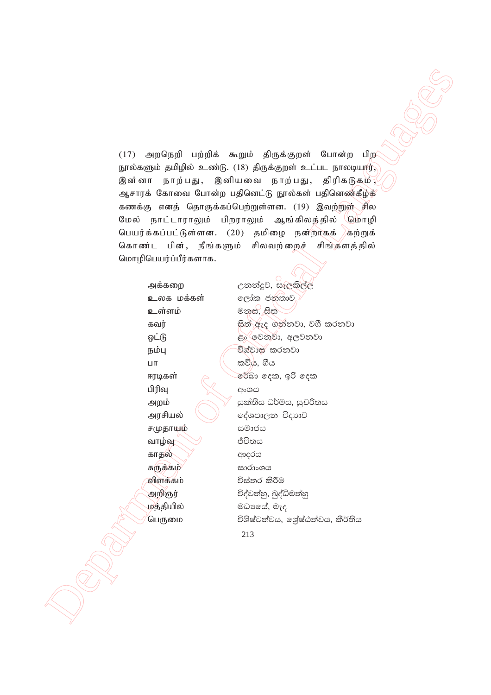$(17)$  அறநெறி பற்றிக் கூறும் திருக்குறள் போன்ற பிற நூல்களும் தமிழில் உண்டு. (18) திருக்குறள் உட்பட நாலடியார். இன்னா நாற்பது, இனியவை நாற்பது, திரிகடுகம், ஆசாரக் கோவை போன்ற பதினெட்டு நூல்கள் பதினெண்கீழ்க் கணக்கு எனத் தொகுக்கப்பெற்றுள்ளன. (19) இவற்றுள் சில மேல் நாட்டாராலும் பிறராலும் ஆங்கிலத்தில் மொழி பெயர்க்கப்பட்டுள்ளன. (20) தமிழை நன்றாகக் கற்றுக் கொண்ட பின், நீங்களும் சிலவற்றைச் சிங்களத்தில் மொழிபெயர்ப்பீர்களாக.

அக்கறை உலக மக்கள் **உள்ள**ம் கவர் ஒட்டு நம்பு  $\Box$ ensuremath{\mathsf{T}} ஈரடிகள் பிரிவு அறம் அரசியல் சமுதாயும் வாழ்வு காதல் சுருக்கம் விளக்கம் அறிஞர் மத்தியில் ,<br>பெருமை

උනන්දුව, සැලකිල්ල ලෝක ජනතාව මනස, සිත සිත් ඇද ගන්නවා, වශී කරනවා ළං වෙනුවා, අලවනවා විශ්වාස කරනවා කවිය. ගීය රේබා දෙක, ඉරි දෙක අංශය යුක්තිය ධර්මය, සුචරිතය දේශපාලන විදාහව සමාජය ජීවිතය ආදරය සාරාංශය විස්තර කිරීම විද්වත්හු, බුද්ධිමත්හු මධායේ, මැද විශිෂ්ටත්වය, ශේෂ්ඨත්වය, කීර්තිය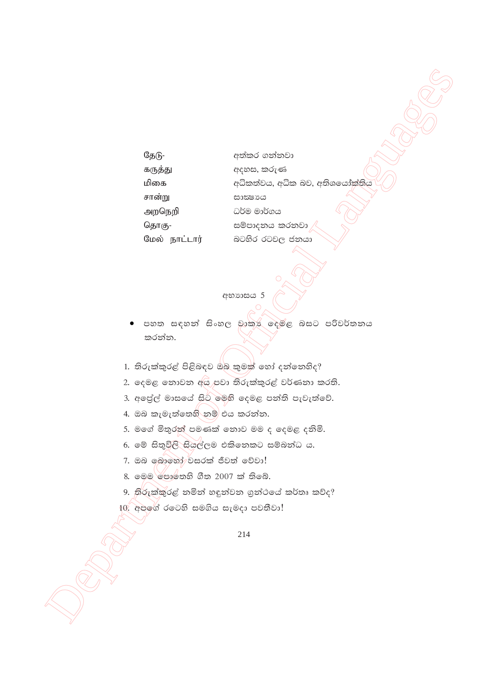| தேடு-         | අත්කර ගන්නවා                   |
|---------------|--------------------------------|
| கருத்து       | අදහස, කරුණ                     |
| மிகை          | අධිකත්වය, අධික බව, අතිශයෝක්තිය |
| சான்று        | සාක්ෂායෙ                       |
| அறநெறி        | ධර්ම මාර්ගය                    |
| தொகு-         | සම්පාදනය කරනවා                 |
| மேல் நாட்டார் | බටහිර රටවල ජනයා                |

JUNION

අභාගාසය 5

- පහත සඳහන් සිංහල වාකා දෙමළ බසට පරිවර්තනය කරන්න.
- 1. තිරුක්කුරළ් පිළිබඳව ඔබ කුමක් හෝ දත්තෙහිද?
- 2. දෙමළ තොවන අය පවා තිරුක්කුරළ් වර්ණනා කරති.
- 3. අපේල් මාසයේ සිට මෙහි දෙමළ පත්ති පැවැත්වේ.
- 4. ඔබ කැමැත්තෙහි නම් එය කරන්න.
- 5. මගේ මිතුරත් පමණක් නොව මම ද දෙමළ දනිමි.
- 6. මේ සිතුවිලි සියල්ලම එකිනෙකට සම්බන්ධ ය.
- 7. ඔබ බොහෝ වසරක් ජීවත් වේවා!
- 8. මෙම පෞතෙහි ගීත 2007 ක් තිබේ.
- 9. තිරුක්කුරළ් නමින් හඳුන්වන ගුන්ථයේ කර්තෘ කව්ද?
- 10. අපගේ රටෙහි සමගිය සැමදා පවතීවා!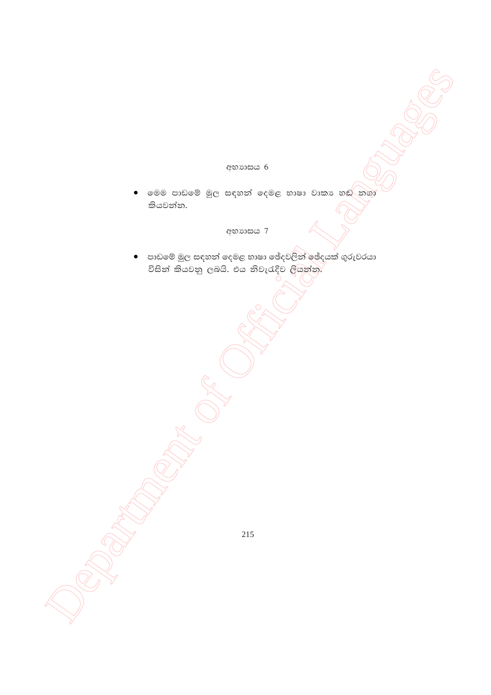### අභාගයය 6

මෙම පාඩමේ මුල සඳහන් දෙමළ භාෂා වාකා හඬ නගා  $\bullet$ කියවන්න.

# අභාගසය 7

පාඩමේ මුල සඳහන් දෙමළ භාෂා ඡේදවලින් ඡේදයක් ගුරුවරයා  $\bullet$ විසින් කියවනු ලබයි. එය නිවැරැදිව ලියන්න.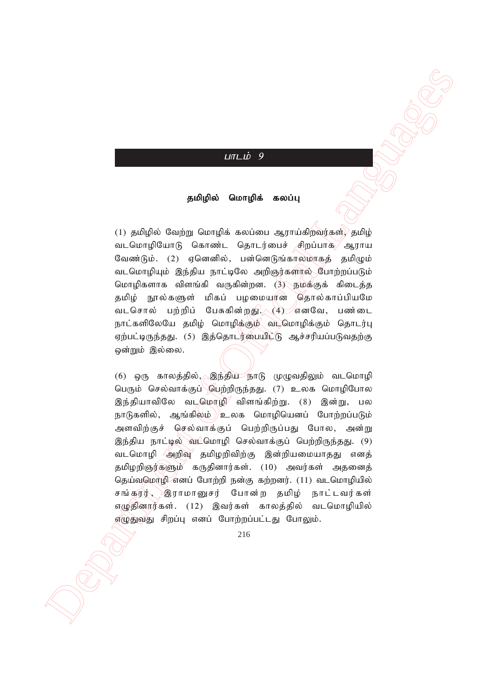# $L$  $\overline{u}$  $\overline{u}$  $\overline{u}$  $\overline{v}$  $\overline{g}$

#### தமிழில் மொழிக் கலப்பு

(1) தமிழில் வேற்று மொழிக் கலப்பை ஆராய்கிறவர்கள் $\sqrt{s}$ தமிழ் வடமொழியோடு கொண்ட தொடர்பைச் சிறப்பாக ஆராய வேண்டும். (2) எனெனில், பன்னெடுங்காலமாகக் கமிமும் வடமொழியும் இந்திய நாட்டிலே அறிஞர்களால் போற்றப்படும் மொழிகளாக விளங்கி வருகின்றன. (3) நமக்குக் கிடைத்த தமிழ் நூல்களுள் மிகப் பழமையூரன் தொல்காப்பியமே வடசொல் பற்றிப் பேசுகின்றது. (4) எனவே, பண்டை நாட்களிலேயே தமிழ் மொழிக்கும் வடமொழிக்கும் தொடர்பு ஏற்பட்டிருந்தது. (5) இத்தொடர்பையிட்டு ஆச்சரியப்படுவதற்கு ஒன்றும் இல்லை.

 Department of Official Languages  $(6)$  ஒரு காலத்தில், இந்திய நாடு முழுவதிலும் வடமொழி பெரும் செல்வாக்குப் பெற்றிருந்தது. (7) உலக மொழிபோல இந்தியாவிலே வடமொழி விளங்கிற்று. (8) இன்று, பல நாடுகளில், ஆங்கிலம் $\ell$ உலக மொழியெனப் போற்றப்படும் அளவிற்குச் செல்வாக்குப் பெற்றிருப்பது போல, அன்று இந்திய நாட்டில் வட்மொழி செல்வாக்குப் பெற்றிருந்தது. (9) வடமொழி அறிவு தமிழறிவிற்கு இன்றியமையாதது எனத் தமிழறிஞர்களும் கருதினார்கள். (10) அவர்கள் அதனைத் தெய்வமொழி எனப் போற்றி நன்கு கற்றனர். (11) வடமொழியில் சங்கருர், இராமானுசர் போன்ற தமிழ் நாட்டவர்கள் எழுதினார்கள். (12) இவர்கள் காலத்தில் வடமொழியில் எழுதுவது சிறப்பு எனப் போற்றப்பட்டது போலும்.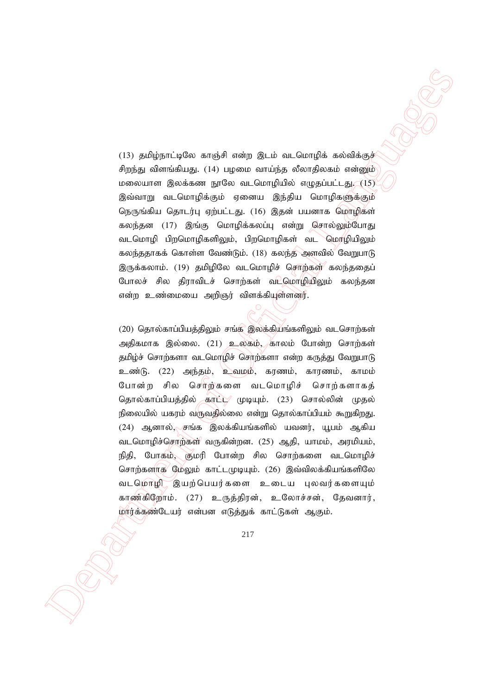$(13)$  தமிழ்நாட்டிலே காஞ்சி என்ற இடம் வடமொழிக் கல்விக்குச் சிறந்து விளங்கியது. (14) பமமை வாய்ந்த லீலாதிலகம் என்னும் மலையாள இலக்கண நூலே வடமொழியில் எழுதப்பட்டது,  $(15)$ இவ்வாறு வடமொழிக்கும் ஏனைய இந்திய மொழிகளுக்கும் நெருங்கிய தொடர்பு ஏற்பட்டது. (16) இதன் பயனாக மொழிகள் கலந்தன (17) இங்கு மொழிக்கலப்பு என்று சொல்லும்போது வடமொழி பிறமொழிகளிலும், பிறமொழிகள் வட மொழியிலும் கலந்ததாகக் கொள்ள வேண்டும். (18) கலந்த அளவில் வேறுபாடு இருக்கலாம். (19) தமிழிலே வடமொழிச் சொற்கள் கலந்ததைப் போலச் சில திராவிடச் சொற்கள் வடமொழியிலும் கலந்தன என்ற உண்மையை அறிஞர் விளக்கியூள்ளனர்.

(1) poligion implementation of original contents and all photons in the space of the space of the space of the space of the space of the space of the space of the space of the space of the space of the space of the space  $(20)$  தொல்காப்பியத்திலும் சங்க இலக்கியங்களிலும் வடசொற்கள் அதிகமாக இல்லை. (21) உலகம், காலம் போன்ற சொற்கள் தமிழ்ச் சொற்களா வடமொழிச் செர்ற்களா என்ற கருத்து வேறுபாடு உண்டு. (22) அந்தம், உவமம், கரணம், காரணம், காமம் போன்ற சில சொற்களை வடமொழிச் சொற்களாகத் தொல்காப்பியத்தில் கரட்ட முடியும். (23) சொல்லின் முதல் நிலையில் யகரம் வருவதில்லை என்று தொல்காப்பியம் கூறுகிறது.  $(24)$  ஆனால், $\sqrt{s}$ ங்க இலக்கியங்களில் யவனர், யூபம் ஆகிய வடமொழிச்சொற்கள் வருகின்றன. (25) ஆதி, யாமம், அரமியம், நிதி, போகம், குமரி போன்ற சில சொற்களை வடமொழிச் சொற்களாக மேலும் காட்டமுடியும்.  $(26)$  இவ்விலக்கியங்களிலே வடமொழி இயற்பெயர்களை உடைய புலவர்களையும் காண்கிறோம். (27) உருத்திரன், உலோச்சன், தேவனார், மார்க்கண்டேயர் என்பன எடுத்துக் காட்டுகள் ஆகும்.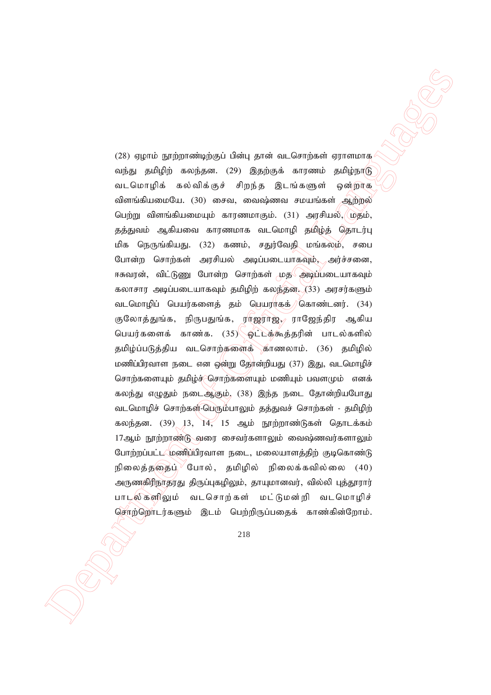23) space is projected to their general services on Carolineal symmetric projections of CAS and the Caroline of CAS and the Caroline of CAS and the Caroline of CAS and the CAS and the CAS and the CAS and the CAS and the (28) ஏழாம் நூற்றாண்டிற்குப் பின்பு தான் வடசொற்கள் ஏராளமாக வந்து தமிழிற் கலந்தன. (29) இதற்குக் காரணம் தமிழ்நாடு வடமொழிக் கல்விக்குச் சிறந்த இடங்களுள் ஒன்றாக விளங்கியமையே.  $(30)$  சைவ, வைஷ்ணவ சமயங்கள் ஆற்றல் பெற்று விளங்கியமையும் காரணமாகும். (31) அரசியல், மதம், தத்துவம் ஆகியவை காரணமாக வடமொழி தமிழ்த் தொடர்பு மிக நெருங்கியது. (32) கணம், சதுர்வேதி மங்கலம், சபை போன்ற சொற்கள் அரசியல் அடிப்படையாகவும், அர்ச்சனை, ஈசுவரன், விட்டுணு போன்ற சொற்கள் மத**் அடிப்படையாகவும்** கலாசார அடிப்படையாகவும் தமிழிற் கலந்தன.  $(33)$  அரசர்களும் வடமொழிப் பெயர்களைத் தம் பெயராகக்) கொண்டனர். (34) குலோத்துங்க, நிருபதுங்க, ராஜராஜ், ராஜேந்திர ஆகிய பெயர்களைக் காண்க. (35) ஓட்டக்கூத்தரின் பாடல்களில் தமிழ்ப்படுத்திய வடசொற்களைக் காணலாம். (36) தமிழில் மணிப்பிரவாள நடை என ஒன்று தோன்றியது (37) இது, வடமொழிச் சொற்களையும் தமிழ்ச் சொற்களையும் மணியும் பவளமும் எனக் கலந்து எழுதும் நடைஆகும். (38) இந்த நடை தோன்றியபோது வடமொழிச் சொற்கள்-பெரும்பாலும் தத்துவச் சொற்கள் - தமிழிற் கலந்தன.  $(39)$  13, 14, 15 ஆம் நூற்றாண்டுகள் தொடக்கம்  $17$ ஆம் நூற்றாண்டு வரை சைவர்களாலும் வைஷ்ணவர்களாலும் போற்றப்பட்ட மணிப்பிரவாள நடை, மலையாளத்திற் குடிகொண்டு நிலைக்கதைப் $^\vee$ போல், கமிமில் நிலைக்கவில்லை (40) அருணதிரிநாதரது திருப்புகழிலும், தாயுமானவர், வில்லி புத்தூரார் பாடல்களிலும் வடசொற்கள் மட்டுமன்றி வடமொழிச் சொற்றொடர்களும் இடம் பெற்றிருப்பதைக் காண்கின்றோம்.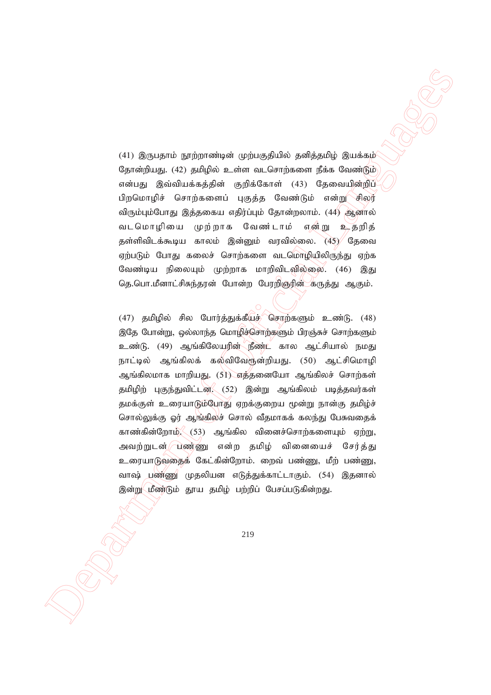$(41)$  இருபதாம் நூற்றாண்டின் முற்பகுதியில் தனித்தமிழ் இயக்கம் தோன்றியது. (42) தமிழில் உள்ள வடசொற்களை நீக்க வேண்டும் என்பது இவ்வியக்கத்தின் குறிக்கோள் (43) தேவையின்றிப் பிறமொழிச் சொற்களைப் புகுத்த வேண்டும் என்று<sup>⁄ு</sup>சிலர் விரும்பும்போது இத்தகைய எதிர்ப்பும் தோன்றலாம். (44) ஆனால் வடமொழியை முற்றாக வேண்டாம் என்று உதறித் தள்ளிவிடக்கூடிய காலம் இன்னும் வரவில்லை.  $\langle 45 \rangle$  தேவை ஏற்படும் போது கலைச் சொற்களை வடமொழியிலிருந்து ஏற்க வேண்டிய நிலையும் முற்றாக மாறிவிடவில்லை. (46) இது தெ.பொ.மீனாட்சிசுந்தரன் போன்ற பேரறிஞ்ரின் கருத்து ஆகும்.

(11) Squared projection-increase of plus galaxies periodical plus and the contents of the contents of the contents of the contents of the contents of  $\sigma$  (i.e.,  $\sigma$ ) and  $\sigma$  (i.e.,  $\sigma$ ) and  $\sigma$  (i.e.,  $\sigma$ ) and  $\sigma$  $(47)$  தமிழில் சில போர்த்துக்கீயுச் சொற்களும் உண்டு.  $(48)$ இதே போன்று, ஒல்லாந்த மொழிச்சொற்களும் பிரஞ்சுச் சொற்களும் உண்டு. (49) ஆங்கிலேயரின் நீண்ட் கால ஆட்சியால் நமது நாட்டில் ஆங்கிலக் கல்விவேரூன்றியது. (50) ஆட்சிமொழி ஆங்கிலமாக மாறியது. (51) எத்தனையோ ஆங்கிலச் சொற்கள் தமிழிற் புகுந்துவிட்டன. (52) இன்று ஆங்கிலம் படித்தவர்கள் தமக்குள் உரையாடும்போது ஏறக்குறைய மூன்று நான்கு தமிழ்ச் சொல்லுக்கு ஓர் ஆங்கிலச் சொல் வீதமாகக் கலந்து பேசுவதைக் காண்கின்றோம் $\leq$  (53) ஆங்கில வினைச்சொற்களையும் ஏற்று, அவற்றுடன் பண்ணு என்ற தமிழ் வினையைச் சேர்த்து உரையாடுவதைக் கேட்கின்றோம். றைவ் பண்ணு, மீற் பண்ணு, வாஷ் பண்ணு முதலியன எடுத்துக்காட்டாகும். (54) இதனால் இன்று மீண்டும் தூய தமிழ் பற்றிப் பேசப்படுகின்றது.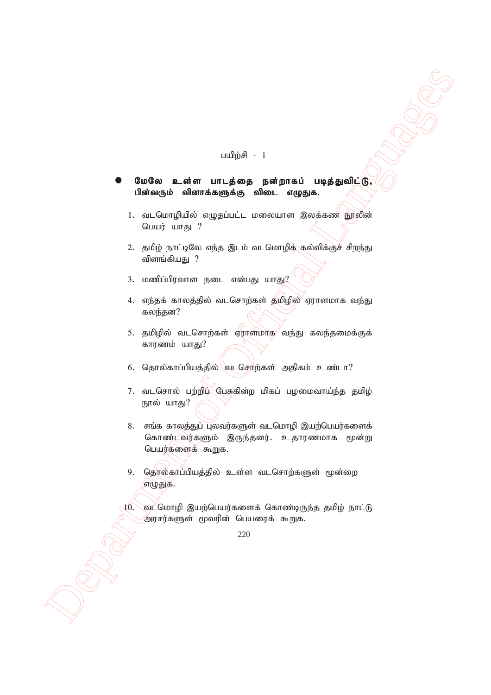#### பயி $m \neq 1$

### மேலே உள்ள பாடத்தை நன்றாகப் படித்துவிட்டு, பின்வரும் வினாக்களுக்கு விடை எழுதுக.

- 1. வடமொழியில் எழுதப்பட்ட மலையாள இலக்கண நூலின் பெயர் யாகு $\,$  ?
- 2. தமிழ் நாட்டிலே எந்த இடம் வடமொழிக்ுகல்விக்குச் சிறந்து விளங்கியது $?$
- $3.$  மணிப்பிரவாள நடை என்பது யாது $2$
- 4. எந்தக் காலத்தில் வடசொற்கள் தமிழில் ஏராளமாக வந்து கலந்தன?
- 5. தமிழில் வடசொற்கள் ஏராளமாக வந்து கலந்தமைக்குக் காரணம் யாது?
- 6. தொல்காப்பியத்தில் $\lambda$ வடசொற்கள் அதிகம் உண்டா?
- 7. வடசொல் பற்றிப் பேசுகின்ற மிகப் பழமைவாய்ந்த தமிழ் நூல் யாது?
- $\begin{array}{lllllllllll} \textbf{0.040\textbf{a} & \textbf{a\_data} & \textbf{unif $\# \textbf{0}$} \textbf{0} & \textbf{0.040\textbf{a}} & \textbf{0.040\textbf{a} & \textbf{0.040\textbf{a}} & \textbf{0.040\textbf{a} & \textbf{0.040\textbf{a}} & \textbf{0.040\textbf{a} & \textbf{0.040\textbf{a} & \textbf{0.040\textbf{a} & \textbf{0.040\textbf{a} & \textbf{0.040\textbf{a} & \$ 8. சங்க காலத்துப் புலவர்களுள் வடமொழி இயற்பெயர்களைக் கொண்டவர்களும் இருந்தனர். உதாரணமாக மூன்று பெயர்களைக் கூறுக.
	- 9. தொல்காப்பியத்தில் உள்ள வடசொற்களுள் மூன்றை எழுதுக.
	- $10$ . வட்மொழி இயற்பெயர்களைக் கொண்டிருந்த தமிழ் நாட்டு 'அரசர்களுள் மூவரின் பெயரைக் கூறுக.

<sup>220</sup>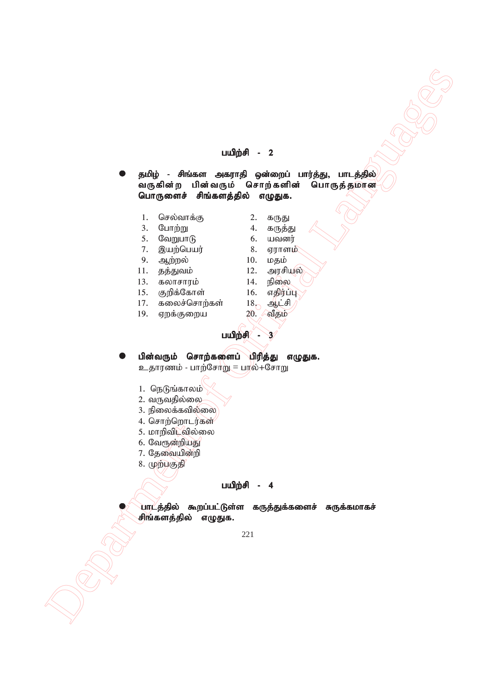#### பயிற்சி -  $2$

 $\begin{array}{lllllllllll} \textbf{1} & \textbf{1} & \textbf{0} & \textbf{0} & \textbf{0} & \textbf{0} & \textbf{0} & \textbf{0} & \textbf{0} & \textbf{0} & \textbf{0} & \textbf{0} & \textbf{0} & \textbf{0} & \textbf{0} & \textbf{0} & \textbf{0} & \textbf{0} & \textbf{0} & \textbf{0} & \textbf{0} & \textbf{0} & \textbf{0} & \textbf{0} & \textbf{0} & \textbf{0} & \textbf{0} & \textbf{0} & \textbf{0} & \textbf{0$ தமிழ் - சிங்கள அகராதி ஒன்றைப் பார்த்து, பாடத்தில் .<br>வருகின்ற பின்வரும் சொற்களின் பொருத்தமான பொருளைச் சிங்களத்தில் எழுதுக.

- 1. nry;thf;F 2. fUJ
	- 3. Nghw;W 4. fUj;J
- 
- 
- 5. NtWghL 6. atdu;
- 7. ,aw;ngau; 8. Vuhsk;  $10.$   $\mu$ g $\dot{\mu}$ 
	-
- $11.$  தத்துவம்  $12.$  அரசியல்
	-
- 13. fyhrhuk ; 14. epiy
- 15. Fwpf;Nfhs; 16. vjpu;g;G கலைச்சொர்கள்
	-
	-
	-
- $19.$  ஏறக்குறைய  $20.$  வீதம்

# பயிற்சி - 3

பின்வரும் சொற்களைப் பிரித்து எழுதுக. உதாரணம் - பாற்சோறு = பால்+சோறு

- $1.$  நெடுங்காலம்
- 2. வருவதில்லை
- 3. நிலைக்கவில்லை
- 4. சொற்றொடர்கள்
- 5. மாறிவிடவில்லை
- 6. வேரூன்றியது
- 7. தேவையின்றி
- 8. முற்பகுதி

### பயிற்சி - 4

பாடத்தில் கூறப்பட்டுள்ள கருத்துக்களைச் சுருக்கமாகச் சிங்களத்தில் எழுதுக.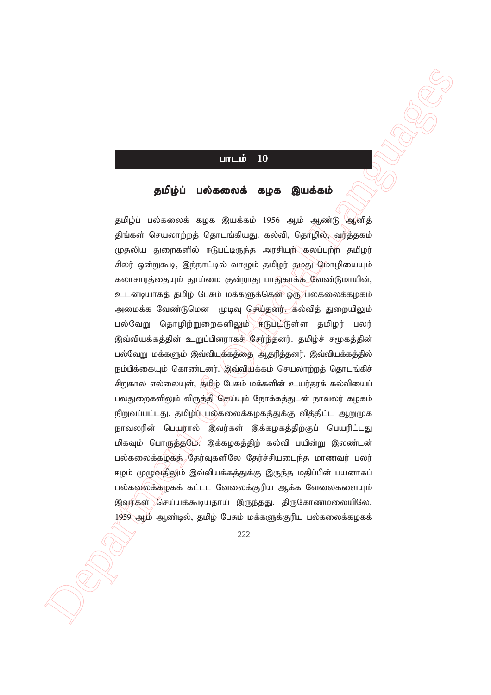## $L$

#### தமிழ்ப் பல்கலைக் கழக இயக்கம்

**LITLE 10**<br>
gubliptic moleconols angle guadrante  $\frac{1}{2}$ <br>
gubliptic moleconols angle guadrante  $\frac{1}{2}$ <br>
gubliptic moleconols angle guadrante  $\frac{1}{2}$ <br>
gubliptic moleconols angle guadrante  $\frac{1}{2}$ <br>
guadrante to conv தமிழ்ப் பல்கலைக் கழக இயக்கம் 1956 ஆம் ஆண்டு ஆனித் திங்கள் செயலாற்றத் தொடங்கியது. கல்வி, தொழில், வர்த்தகம் முதலிய துறைகளில் ஈடுபட்டிருந்த அரசியற் $\sim$ கலப்பற்ற தமிழர் சிலர் ஒன்றுகூடி, இந்நாட்டில் வாழும் தமிழர் தமது மொழியையும் கலாசாரத்தையும் தூய்மை குன்றாது பாதுகாக்க வேண்டுமாயின், உடனடியாகத் தமிழ் பேசும் மக்களுக்கென ஒரு பல்கலைக்கழகம் அமைக்க வேண்டுமென முடிவு செய்தனர். கல்வித் துறையிலும் பல்வேறு தொழிற்றுறைகளிலும் ஈடுபட்டுள்ள தமிழர் பலர் இவ்வியக்கத்தின் உறுப்பினராகச் சேர்ந்தனர். தமிழ்ச் சமூகத்தின் பல்வேறு மக்களும் இவ்வியக்கத்தை ஆதரித்தனர். இவ்வியக்கத்தில் நம்பிக்கையும் கொண்டனர். இவ்வியக்கம் செயலாற்றத் தொடங்கிச் சிறுகால எல்லையுள், தமிழ் பேசும் மக்களின் உயர்தரக் கல்வியைப் பலதுறைகளிலும் விருத்தி செய்யும் நோக்கத்துடன் நாவலர் கழகம் நிறுவப்பட்டது. தமிழ்ப் பல்கலைக்கழகத்துக்கு வித்திட்ட ஆறுமுக நாவலரின் பெயரால் இவர்கள் இக்கழகத்திற்குப் பெயரிட்டது மிகவும் பொருத்தமே. இக்கழகத்திற் கல்வி பயின்று இலண்டன் பல்கலைக்கழகத் தேர்வுகளிலே தேர்ச்சியடைந்த மாணவர் பலர் ஈழம் முழுவதிலும் இவ்வியக்கத்துக்கு இருந்த மதிப்பின் பயனாகப் பல்கலைக்கழகக் கட்டட வேலைக்குரிய ஆக்க வேலைகளையும் இவர்கள் செய்யக்கூடியதாய் இருந்தது. திருகோணமலையிலே,  $1959$  ஆம் ஆண்டில், தமிழ் பேசும் மக்களுக்குரிய பல்கலைக்கழகக்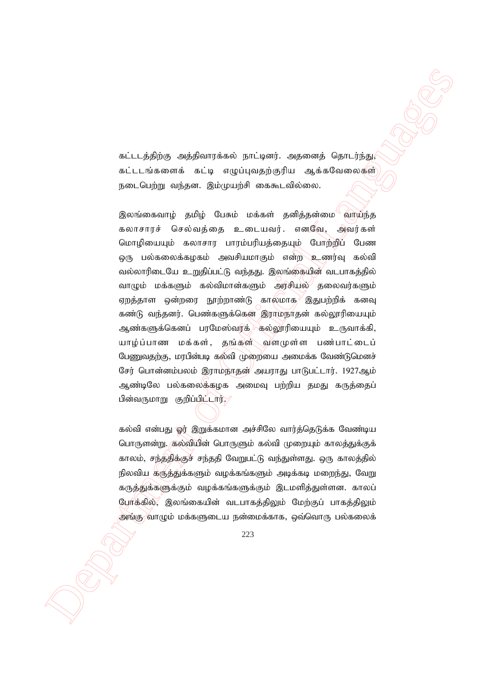கட்டடத்திற்கு அத்திவாரக்கல் நாட்டினர். அதனைத் தொடர்ந்து, கட்டடங்களைக் கட்டி எழுப்புவதற்குரிய ஆக்கவேலைகள் நடைபெற்று வந்தன. இம்முயற்சி கைகூடவில்லை.

 $\label{eq:20} \begin{array}{ll} \hline \textbf{D} & \textbf{D} & \textbf{D} & \textbf{D} \\ \hline \textbf{D} & \textbf{D} & \textbf{D} & \textbf{D} \\ \hline \textbf{D} & \textbf{D} & \textbf{D} & \textbf{D} \\ \hline \textbf{D} & \textbf{D} & \textbf{D} & \textbf{D} \\ \hline \textbf{D} & \textbf{D} & \textbf{D} & \textbf{D} \\ \hline \textbf{D} & \textbf{D} & \textbf{D} & \textbf{D} \\ \hline \textbf{D} & \textbf{D} & \text$ இலங்கைவாழ் தமிழ் பேசும் மக்கள் தனித்தன்மை<sup>்</sup>வாய்ந்த கலாசாரச் செல்வத்தை உடையவர். எனவே, அவர்கள் மொழியையும் கலாசார பாரம்பரியத்தையும் போற்றிப் பேண ஒரு பல்கலைக்கழகம் அவசியமாகும் என்ற உணர்வு கல்வி வல்லாரிடையே உறுதிப்பட்டு வந்தது. இலங்கையின் வடபாகத்தில் வாழும் மக்களும் கல்விமான்களும் அரசியல் தலைவர்களும் ஏறத்தாள ஒன்றரை நூற்றாண்டு காலமாக $\sqrt{2}$ இதுபற்றிக் கனவு கண்டு வந்தனர். பெண்களுக்கென இராமநாதன் கல்லூரியையும் ஆண்களுக்கெனப் பரமேஸ்வரக் கல்லூரியையும் உருவாக்கி, யாம்ப்பாண மக்கள், தங்கள் வளமுள்ள பண்பாட்டைப் பேணுவதற்கு, மரபின்படி கல்வி முறையை அமைக்க வேண்டுமெனச் சேர் பொன்னம்பலம் இராம்நாதன் $\!$  அயராது பாடுபட்டார். 1927ஆம் ஆண்டிலே பல்கலைக்கழக அமைவு பற்றிய தமது கருத்தைப் பின்வருமாறு குறிப்பிட்டார். $\gamma$ 

கல்வி என்பது ஓர் இறுக்கமான அச்சிலே வார்த்தெடுக்க வேண்டிய பொருளன்று. கல்வியின் பொருளும் கல்வி முறையும் காலத்துக்குக் காலம், சந்ததிக்குச் சந்ததி வேறுபட்டு வந்துள்ளது. ஒரு காலத்தில் நிலவிய கருத்துக்களும் வழக்கங்களும் அடிக்கடி மறைந்து, வேறு கருத்துக்களுக்கும் வழக்கங்களுக்கும் இடமளித்துள்ளன. காலப் போக்கில், இலங்கையின் வடபாகத்திலும் மேற்குப் பாகத்திலும் அங்கு) வாழும் மக்களுடைய நன்மைக்காக, ஒவ்வொரு பல்கலைக்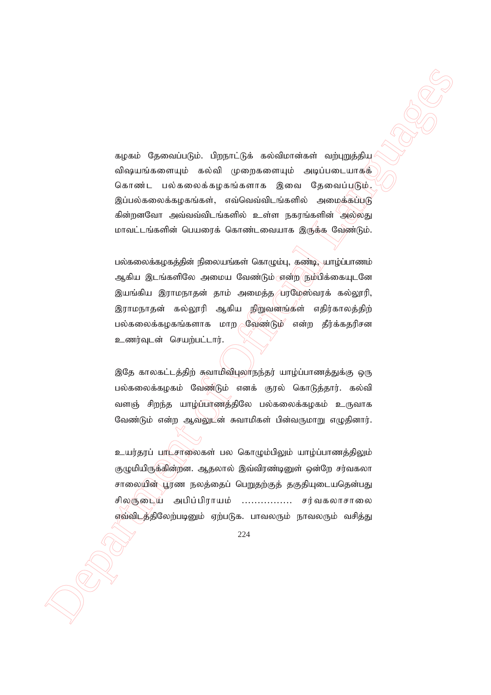கழகம் தேவைப்படும். பிறநாட்டுக் கல்விமான்கள் வற்புறுத்திய விஷயங்களையும் கல்வி முறைகளையும் அடிப்படையாகக் கொண்ட பல்கலைக்கழகங்களாக இவை தேவைப்படும். இப்பல்கலைக்கழகங்கள், எவ்வெவ்விடங்களில் அமைக்கப்படு கின்றனவோ அவ்வவ்விடங்களில் உள்ள நகரங்களின் அல்லது மாவட்டங்களின் பெயரைக் கொண்டவையாக இருக்க வேண்டும்.

 $\label{eq:21} \begin{array}{ll} \mbox{\bf square} & \mbox{\bf 0} & \mbox{\bf 0} & \mbox{\bf 0} & \mbox{\bf 0} & \mbox{\bf 0} & \mbox{\bf 0} & \mbox{\bf 0} & \mbox{\bf 0} & \mbox{\bf 0} & \mbox{\bf 0} & \mbox{\bf 0} & \mbox{\bf 0} & \mbox{\bf 0} & \mbox{\bf 0} & \mbox{\bf 0} & \mbox{\bf 0} & \mbox{\bf 0} & \mbox{\bf 0} & \mbox{\bf 0} & \mbox{\bf 0} & \mbox{\bf 0} & \mbox{\bf 0}$ பல்கலைக்கழகத்தின் நிலையங்கள் கொழும்பு, கண்டி, யாழ்ப்பாணம் ஆகிய இடங்களிலே அமைய வேண்டும்ரன்ற <mark>ந</mark>ும்பிக்கையுடனே இயங்கிய இராமநாதன் தாம் அமைத்த பரமேஸ்வரக் கல்லூரி, இராமநாதன் கல்லூரி ஆகிய நிறுவனங்கள் எதிர்காலத்திற் பல்கலைக்கழகங்களாக மாற மேண்டும் என்ற தீர்க்கதரிசன உணர்வுடன் செயற்பட்டார்.

இதே காலகட்டத்திற் சுவாமிவிபுலாநந்தர் யாழ்ப்பாணத்துக்கு ஒரு பல்கலைக்கழகம் வேண்டும் எனக் குரல் கொடுத்தார். கல்வி வளஞ் சிறந்த யாழ்ப்பாணத்திலே பல்கலைக்கழகம் உருவாக வேண்டும் என்ற ஆவலுடன் சுவாமிகள் பின்வருமாறு எழுதினார்.

உயர்தரப் பரட்சாலைகள் பல கொழும்பிலும் யாழ்ப்பாணத்திலும் குழுமியிருக்கின்றன. ஆதலால் இவ்விரண்டினுள் ஒன்றே சர்வகலா சாலையின் பூரண நலத்தைப் பெறுதற்குத் தகுதியுடையதென்பது சிலருடைய அபிப்பிராயம் .................. சர்வகலாசாலை எவ்விடத்திலேற்படினும் ஏற்படுக. பாவலரும் நாவலரும் வசித்து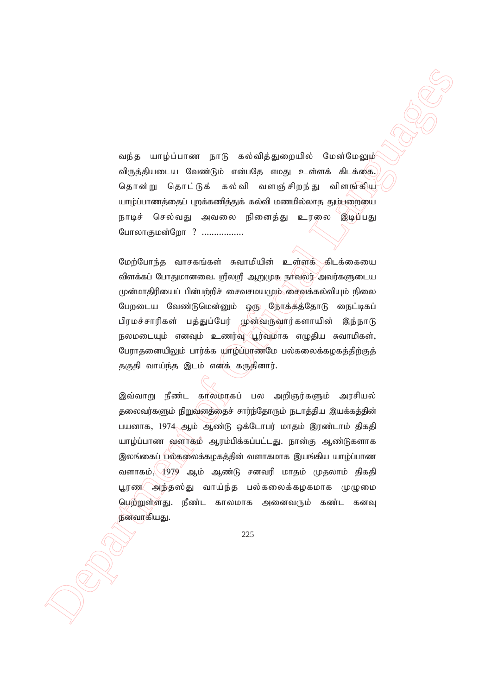வந்த யாழ்ப்பாண நாடு கல்வித்துறையில் மேன்மேலும் விருத்தியடைய வேண்டும் என்பதே எமது உள்ளக் கிடக்கை. தொன்று தொட்டுக் கல்வி வளஞ்சிறந்து விளங்கிய யாழ்ப்பாணத்தைப் புறக்கணித்துக் கல்வி மணமில்லாத தும்பறையை நாடிச் செல்வது அவலை நினைத்து உரலை இடிப்பது போலாகுமன்றோ ? .................

மேற்போந்த வாசகங்கள் சுவாமியின் உள்ளக் கிடக்கையை விளக்கப் போதுமானவை. ஸ்ரீலஸ்ரீ ஆறுமுக நாவலர் அவர்களுடைய  $\mu$ ன்மாதிரியைப் பின்பற்றிச் சைவசமய $\mu$ ம் சைவக்கல்வியும் நிலை பேறடைய வேண்டுமென்னும் ஒரு நோக்கத்தோடு நைட்டிகப் பிரமச்சாரிகள் பக்குப்பேர் முன்வருவார்களாயின் இந்நாடு நலமடையும் எனவும் உணர்வு $\langle$ பூர்வமாக எழுதிய சுவாமிகள், பேராதனையிலும் பார்க்க யாழ்ப்பாணமே பல்கலைக்கழகத்திற்குத் தகுதி வாய்ந்த இடம் எனக் கருதினார்.

eusia ung juurum pang awak ang ampulka duade pang awat ng mga dinastik ng mga banya ng mga dinastik ng mga banya awat ng mga banya awat ng mga banya awat ng mga banya awat ng mga banya awat ng mga banya awat ng mga bany இவ்வாறு நீண்ட காலமாகப் பல அறிஞர்களும் அரசியல் தலைவர்களும் நிறுவனத்தைச் சார்ந்தோரும் நடாத்திய இயக்கத்தின் பயனாக, 1974 ஆம் ஆண்டு ஒக்டோபர் மாதம் இரண்டாம் திகதி யாழ்ப்பாண வளாகம் ஆரம்பிக்கப்பட்டது. நான்கு ஆண்டுகளாக இலங்கைப் பல்கலைக்கழகத்தின் வளாகமாக இயங்கிய யாழ்ப்பாண வளாகம்,  $\sqrt{1979}$  ஆம் ஆண்டு சனவரி மாதம் முதலாம் திகதி பூரண $\sim$ அந்தஸ்து வாய்ந்த பல்கலைக்கழகமாக முழுமை பெற்றுள்ளது. நீண்ட காலமாக அனைவரும் கண்ட கனவு நனவாகியது.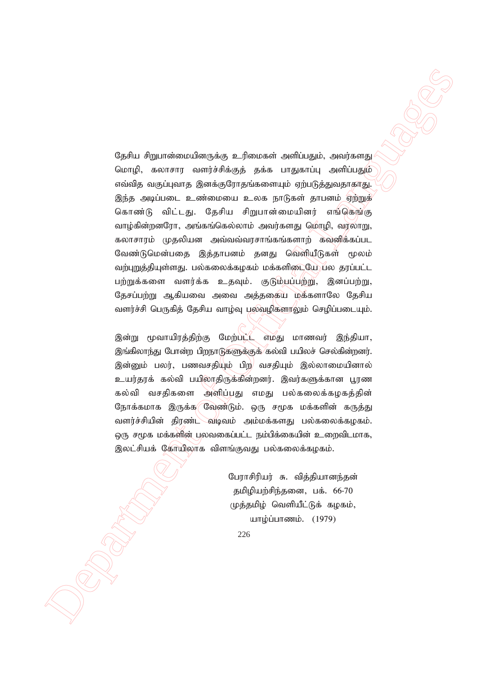Consider Agricultural methodological Communications of Communications (SP)<br>
Consider a material methodological Languages of Communications (Communications Communications of Communications (Communications Communications Co தேசிய சிறுபான்மையினருக்கு உரிமைகள் அளிப்பதும், அவர்களது மொழி, கலாசார வளர்ச்சிக்குத் தக்க பாதுகாப்பு அளிப்பதும் எவ்வித வகுப்புவாத இனக்குரோதங்களையும் ஏற்படுத்துவதாகாது. இந்த அடிப்படை உண்மையை உலக நாடுகள் தாபனம் ஏற்றுக் கொண்டு விட்டது. தேசிய சிறுபான்மையினர் எங்கெங்கு வாழ்கின்றனரோ, அங்கங்கெல்லாம் அவர்களது மொழி, வரலாறு, கலாசாரம் முதலியன அவ்வவ்வரசாங்கங்களாற் கவனிக்கப்பட வேண்டுமென்பதை இத்தாபனம் தனது வெளியீடுகள் மூலம் வற்புறுத்தியுள்ளது. பல்கலைக்கழகம் மக்களிடையே பல தரப்பட்ட பற்றுக்களை வளர்க்க உதவும். குடும்பப்பற்று, இனப்பற்று, தேசப்பற்று ஆகியவை அவை அத்ததைய மக்களாலே தேசிய வளர்ச்சி பெருகித் தேசிய வாழ்வு பலவழிகளரலும் செழிப்படையும்.

இன்று மூவாயிரத்திற்கு மேற்பட்ட எமது மாணவர் இந்தியா, இங்கிலாந்து போன்ற பிறநாடுகளுக்குக் கல்வி பயிலச் செல்கின்றனர். இன்னும் பலர், பணவசதியும் பிற வசதியும் இல்லாமையினால் உயர்தரக் கல்வி பயிலாதிருக்கின்றனர். இவர்களுக்கான பூரண கல்வி வசதிகளை அளிப்பது எமது பல்கலைக்கமகத்தின் நோக்கமாக இருக்க வேண்டும். ஒரு சமூக மக்களின் கருத்து வளர்ச்சியின் திரண்ட வடிவம் அம்மக்களது பல்கலைக்கமகம்.  $\widehat{\omega}$ ரு சமூக மக்களின் பலவகைப்பட்ட நம்பிக்கையின் உறைவிடமாக, இலட்சியக் கோயிலாக விளங்குவது பல்கலைக்கமகம்.

> பேராசிரியர் சு. வித்தியானந்தன் தமிழியற்சிந்தனை, பக். 66-70 முத்தமிழ் வெளியீட்டுக் கழகம், யாழ்ப்பாணம்.  $(1979)$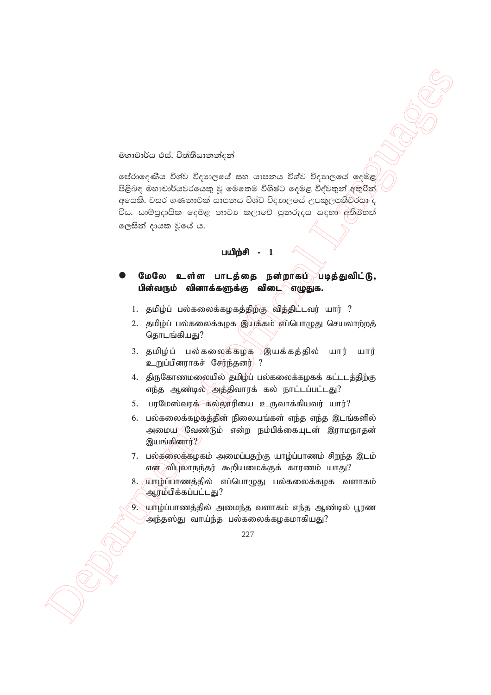#### මහාචාර්ය එස්. විත්තියානන්දන්

Sexualities of Configurations of Contents and Configurations of Contents and Configurations of Contents and Configurations and Configurations of Configurations and Configurations of Configurations and Configurations of C ලප්රාදෙණිය විශ්ව විදහාලයේ සහ යාපනය විශ්ව විදහාලයේ දෙමළ පිළිබඳ මහාචාර්යවරයෙකු වූ මෙතෙම විශිෂ්ට දෙමළ විද්වතුන් අතුරින් අයෙකි. වසර ගණනාවක් යාපනය විශ්ව විදාහලයේ උපකුලපතිවරයා ද විය. සාම්පුදායික දෙමළ නාටා කලාවේ පුනරුදය සඳහා අතිමිහත් ලෙසින් දායක වූයේ ය.

### பயிற்சி -

## மேலே உள்ள பாடத்தை நன்றாகப் படித்துவிட்டு, பின்வரும் வினாக்களுக்கு விடை $\sim$ எழுதுக.

- 1. தமிழ்ப் பல்கலைக்கழகத்திற்கு வித்திட்டவர் யார் ?
- 2. தமிழ்ப் பல்கலைக்கழக இயக்கம் எப்பொழுது செயலாற்றத் தொடங்கியது?
- 3. தமிழ்ப் பல்கலைக்கழக இயக்கத்தில் யார் யார் உறுப்பினராகச் சேர்ந்தனர் ?
- 4. திருகோணமலையில் தமிழ்ப் பல்கலைக்கழகக் கட்டடத்திற்கு எந்த ஆண்டில் அத்திவாரக் கல் நாட்டப்பட்டது?
- 5. பரமேஸ்வரக் கல்லூரியை உருவாக்கியவர் யார்?
- 6. பல்கலைக்கழகத்தின் நிலையங்கள் எந்த எந்த இடங்களில் அமைய கேண்டும் என்ற நம்பிக்கையுடன் இராமநாதன் இயங்கினார் $?$
- $7.$  பல்கலைக்கமகம் அமைப்பதற்கு யாம்ப்பாணம் சிறந்த இடம்  $\sigma$ என் $\gamma$ விபுலாநந்தர் கூறியமைக்குக் காரணம் யாது?
- 8. யாழ்ப்பாணத்தில் எப்பொழுது பல்கலைக்கழக வளாகம் ஆரம்பிக்கப்பட்டது?
- 9. யாழ்ப்பாணத்தில் அமைந்த வளாகம் எந்த ஆண்டில் பூரண அந்தஸ்து வாய்ந்த பல்கலைக்கழகமாகியது?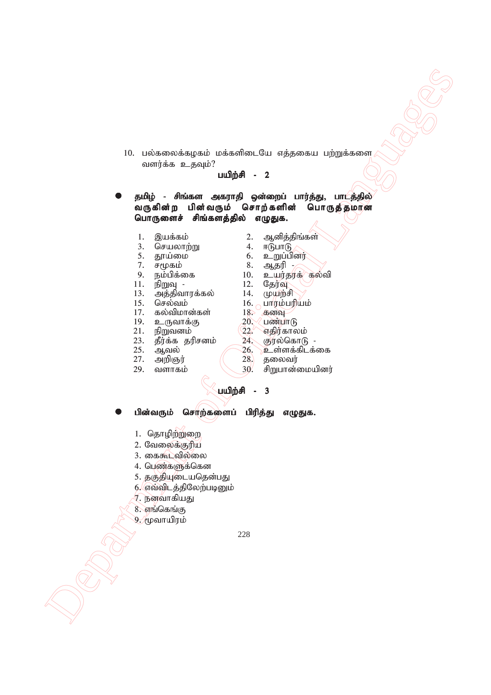10. பல்கலைக்கழகம் மக்களிடையே எத்தகைய பற்றுக்களை வளர்க்க உதவும்?

#### பயிற்சி - 2

Department of Office and Contents of Office and Contents of Office and Contents of Office and Contents of Office and Contents of Official Languages of Official Languages of Official Languages of Official Languages of Off தமிழ் - சிங்கள அகராதி ஒன்றைப் பார்த்து, பாடத்தில் வருகின்ற பின்வரும் சொற்களின் பொருத்தமான பொருளைச் சிங்களத்தில் எழுதுக.

- 
- 3. nrayhw;W 4. <LghL
- 
- 
- 
- 
- 11. epWT 12. Nju;T 13. அத்திவாரக்கல் 14.<br>15. செல்வம் 16.
- 15. nry;tk; 16. ghuk;gupak;
- $\begin{array}{lll} 17. & \text{\textit{\textbf{a}}} \text{\textit{\textbf{b}}} \text{\textit{\textbf{c}}} \text{\textit{\textbf{a}}} \text{\textit{\textbf{b}}} \text{\textit{\textbf{c}}} \text{\textit{\textbf{b}}} \text{\textit{\textbf{c}}} \text{\textit{\textbf{b}}} \text{\textit{\textbf{c}}} \text{\textit{\textbf{b}}} \text{\textit{\textbf{c}}} \text{\textit{\textbf{b}}} \text{\textit{\textbf{c}}} \text{\textit{\textbf{b}}} \text{\textit{\textbf{c}}} \text{\textit{\textbf{b}}} \text{\textit{\textbf{c}}} \text{\textit{\textbf$
- 19. உருவாக்கு  $20.$ <br>21. நிறுவனம்  $22.$
- 
- $21.$  நிறுவனம்  $22.$  எதிர்காலம்<br>23. தீர்க்க தரிசனம் 24. குரல்கொடு -23. தீர்க்க தரிசனம்  $\overline{\phantom{a}24.}$ 25. ஆவல்  $\overline{\phantom{a}26.}$
- 
- 
- 27. அறிஞர்  $(28.$  29. வளாகம்  $(30.$
- 1. ,af;fk; 2. Mdpj;jpq;fs;
- 5. J}a;ik 6. cWg;gpdu;
- 7. r%fk; 8. Mjup -
- 9. ek;gpf;if 10. cau;juf; fy;tp
	- -
		-
		-
		-
		-
		-
- 25. Mty; 26. cs;sf;fplf;if
	- வளாகம்  $\sim$  30. சிறுபான்மையினர்

பயிற்சி - 3

பின்வரும் சொற்களைப் பிரித்து எழுதுக.

- 1. தொழிற்றுறை
- 2. வேலைக்குரிய
- 3. கைகூடவில்லை
- 4. பெண்களுக்கென
- 5. தகுதியுடையதென்பது
- 6. எவ்விடத்திலேற்படினும்
- 7. நனவாகியது
- $8.$  எங்கெங்கு
- 9. முவாயிரம்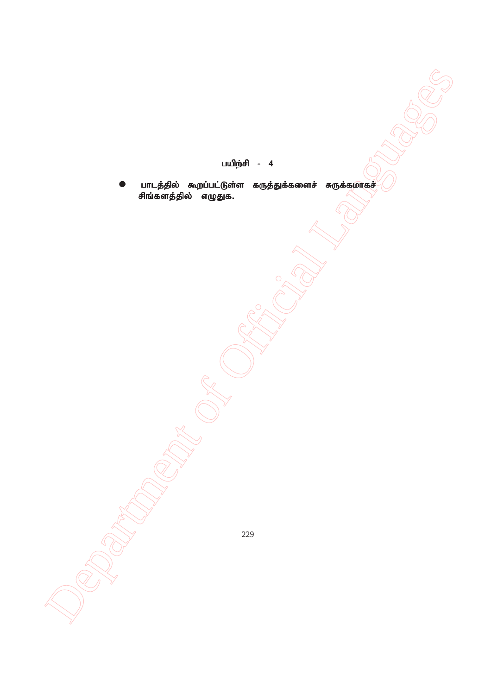- பயிற்சி 4
- Department of Official Languages  $\bullet$  பாடத்தில் கூறப்பட்டுள்ள கருத்துக்களைச் சுருக்கமாகச் சிங்களத்தில் எழுதுக.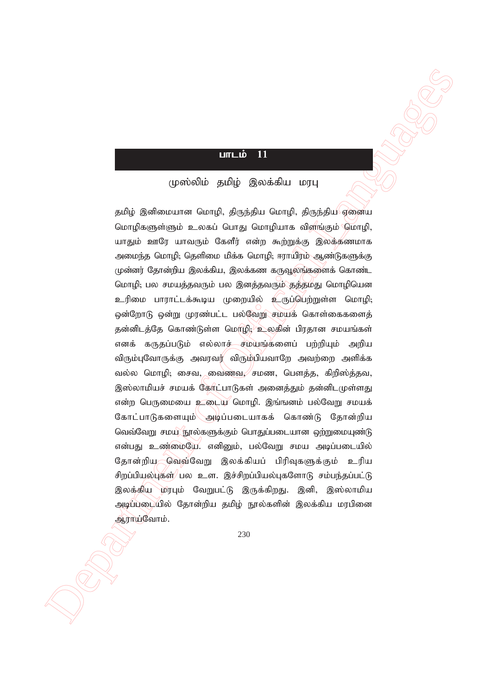# $L$ m $L$ i $\dot{\mathbf{b}}$  11

## முஸ்லிம் தமிழ் இலக்கிய மரபு

 $\label{eq:3} \begin{array}{ll} \textbf{C} & \textbf{D} & \textbf{D} & \textbf{D} \\ \hline \textbf{C} & \textbf{D} & \textbf{D} & \textbf{D} \\ \hline \textbf{D} & \textbf{D} & \textbf{D} & \textbf{D} \\ \hline \textbf{D} & \textbf{D} & \textbf{D} & \textbf{D} \\ \hline \textbf{D} & \textbf{D} & \textbf{D} & \textbf{D} \\ \hline \textbf{D} & \textbf{D} & \textbf{D} & \textbf{D} \\ \hline \textbf{D} & \textbf{D} & \textbf{D}$ தமிழ் இனிமையான மொழி, திருந்திய மொழி, திருந்திய ஏனைய மொழிகளுள்ளும் உலகப் பொது மொழியாக விளங்கும் மொமி. யாதும் ஊரே யாவரும் கேளீர் என்ற கூற்றுக்கு இலக்கணமாக அமைந்த மொழி; தெளிமை மிக்க மொழி; ஈராயிரம் ஆண்டுகளுக்கு  $\mu$ ன்னர் தோன்றிய இலக்கிய, இலக்கண கருவூலங்களைக் கொண்ட மொழி; பல சமயத்தவரும் பல இனத்தவரும் தத்தமது மொழியென உரிமை பாராட்டக்கூடிய முறையில் உருப்பெற்றுள்ள மொழி; ஒன்றோடு ஒன்று முரண்பட்ட பல்வேறு சமயக் கொள்கைகளைத் தன்னிடத்தே கொண்டுள்ள மொழி; உலகின் பிரதான சமயங்கள் எனக் கருதப்படும் எல்லாச்—சம்யங்களைப் பற்றியும் அறிய விரும்புவோருக்கு அவரவர் விரும்பியவாறே அவற்றை அளிக்க வல்ல மொழி; சைவ, வைணவ, சமண, பௌத்த, கிறிஸ்த்தவ, இஸ்லாமியச் சமயக் கேரீட்பாடுகள் அனைத்தும் தன்னிடமுள்ளது என்ற பெருமையை  $2\epsilon$ டைய மொழி. இங்ஙனம் பல்வேறு சமயக் கோட்பாடுகளையும்\அடிப்படையாகக் கொண்டு தோன்றிய வெவ்வேறு சமய நூல்களுக்கும் பொதுப்படையான ஒற்றுமையுண்டு என்பது உண்மையே. எனினும், பல்வேறு சமய அடிப்படையில் தோன்றிய வெவ்வேறு இலக்கியப் பிரிவுகளுக்கும் உரிய சிறப்பியல்புகள் பல உள. இச்சிறப்பியல்புகளோடு சம்பந்தப்பட்டு இலக்கிய மரபும் வேறுபட்டு இருக்கிறது. இனி, இஸ்லாமிய அடிப்படையில் தோன்றிய தமிழ் நூல்களின் இலக்கிய மரபினை ஆராய்வோம்.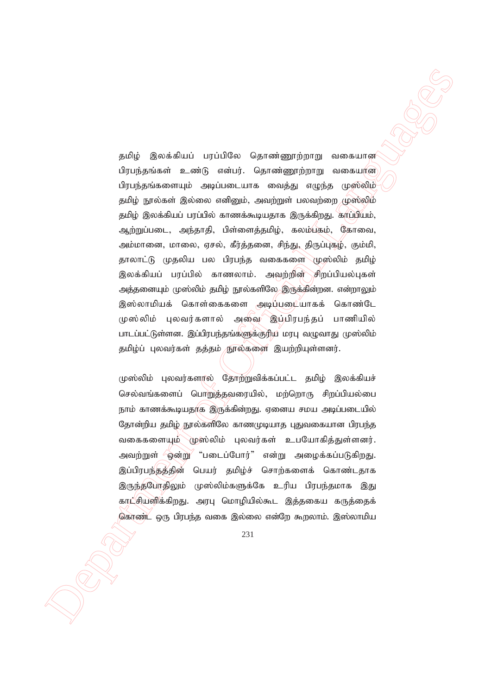$\label{eq:3} \begin{array}{ll} p_{\mathcal{A}}(i) & \textbf{g}_{\mathcal{A}}(i) & \textbf{g}_{\mathcal{A}}(i) & \textbf{g}_{\mathcal{A}}(i) & \textbf{g}_{\mathcal{A}}(i) & \textbf{g}_{\mathcal{A}}(i) & \textbf{g}_{\mathcal{A}}(i) & \textbf{g}_{\mathcal{A}}(i) & \textbf{g}_{\mathcal{A}}(i) & \textbf{g}_{\mathcal{A}}(i) & \textbf{g}_{\mathcal{A}}(i) & \textbf{g}_{\mathcal{A}}(i) & \textbf{g}_{\mathcal{A}}(i) & \text$ தமிழ் இலக்கியப் பரப்பிலே தொண்ணூற்றாறு வகையான பிரபந்தங்கள் உண்டு என்பர். தொண்ணூற்றாறு வகையான பிரபந்தங்களையும் அடிப்படையாக வைத்து எழுந்த முஸ்லிம் தமிழ் நூல்கள் இல்லை எனினும், அவற்றுள் பலவற்றை முஸ்லிம் தமிழ் இலக்கியப் பரப்பில் காணக்கூடியதாக இருக்கிறது. காப்பியம், ஆற்றுப்படை, அந்தாதி, பிள்ளைத்தமிழ், கலம்பகம், கோவை, அம்மானை, மாலை, ஏசல், கீர்த்தனை, சிந்து, திருப்புகழ், கும்மி, தாலாட்டு முதலிய பல பிரபந்த வகைகளை முஸ்லிம் தமிழ் இலக்கியப் பரப்பில் காணலாம். அவற்றின் சிறப்பியல்புகள் அத்தனையும் முஸ்லிம் தமிழ் நூல்களிலே இருக்கின்றன. என்றாலும் இஸ்லாமியக் கொள்கைகளை அடிப்படையாகக் கொண்டே முஸ்லிம் புலவர்களால் அலை இப்பிரபந்தப் பாணியில் பாடப்பட்டுள்ளன. இப்பிரபந்தங்களுக்குரிய மரபு வழுவாது முஸ்லிம் தமிழ்ப் புலவர்கள் தத்தம் சூரல்களை இயற்றியுள்ளனர்.

முஸ்லிம் புலவர்களால் தோற்றுவிக்கப்பட்ட தமிழ் இலக்கியச் செல்வங்களைப் பொறுத்தவரையில், மற்றொரு சிறப்பியல்பை நாம் காணக்கூடியதாக இருக்கின்றது. ஏனைய சமய அடிப்படையில் தோன்றிய தமிழ் நூல்களிலே காணமுடியாத புதுவகையான பிரபந்த வகைகளையும் முஸ்லிம் புலவர்கள் உபயோகித்துள்ளனர். அவற்றுள் 'ஒன்று' "படைப்போர்" என்று அழைக்கப்படுகிறது. இப்பிரபந்தத்தின் பெயர் தமிழ்ச் சொற்களைக் கொண்டதாக இருந்தபோதிலும் முஸ்லிம்களுக்கே உரிய பிரபந்தமாக இது காட்சியளிக்கிறது. அரபு மொழியில்கூட இத்தகைய கருத்தைக் கொண் $\ll$  ஒரு பிரபந்த வகை இல்லை என்றே கூறலாம். இஸ்லாமிய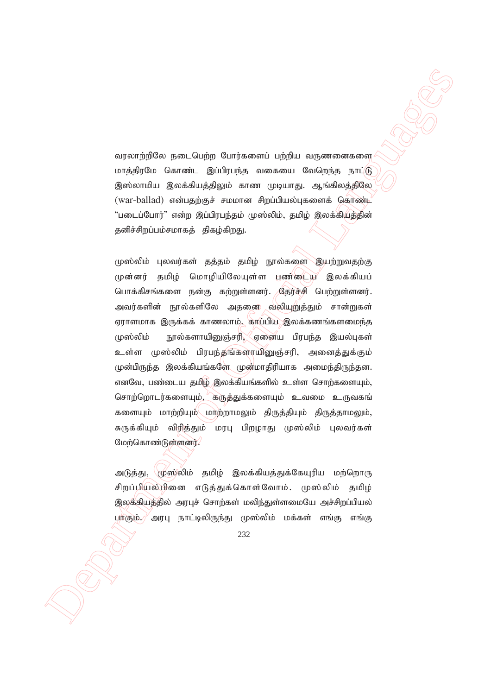வரலாற்றிலே நடைபெற்ற போர்களைப் பற்றிய வருணனைகளை மாத்திரமே கொண்ட இப்பிரபந்த வகையை வேறெந்த நாட்டு இஸ்லாமிய இலக்கியத்திலும் காண முடியாது. ஆங்கிலத்திலே  $(war-ballad)$  என்பதற்குச் சமமான சிறப்பியல்புகளைக் கொண்ட  $\degree$ படைப்போர் $\degree$  என்ற இப்பிரபந்தம் முஸ்லிம். தமிழ் இலக்கியத்தின் தனிச்சிறப்பம்சமாகத் திகழ்கிறது.

 $\label{eq:21} \begin{array}{lllllllllllllllllllll} \hline \textbf{M}(0) & \textbf{M}(0) & \textbf{M}(0) & \textbf{M}(0) & \textbf{M}(0) & \textbf{M}(0) & \textbf{M}(0) & \textbf{M}(0) & \textbf{M}(0) & \textbf{M}(0) & \textbf{M}(0) & \textbf{M}(0) & \textbf{M}(0) & \textbf{M}(0) & \textbf{M}(0) & \textbf{M}(0) & \textbf{M}(0) & \textbf{M}(0) & \textbf{M}(0) & \textbf{M}(0) & \textbf{M}(0) & \textbf$ முஸ்லிம் புலவர்கள் தத்தம் தமிழ் நூல்களை இயற்றுவதற்கு முன்னர் தமிழ் மொழியிலேயுள்ள பண்டைய இலக்கியப் பொக்கிசங்களை நன்கு கற்றுள்ளனர். தேர்ச்சி பெற்றுள்ளனர். அவர்களின் நூல்களிலே அதனை வலியுறுத்தும் சான்றுகள் ஏராளமாக இருக்கக் காணலாம், காப்பிய இலக்கணங்களமைந்த முஸ்லிம் நூல்களாயினுஞ்சரி, $\sqrt{s}$ ஏனைய பிரபந்த இயல்புகள் உள்ள முஸ்லிம் பிரபந்தங்களாயினுஞ்சரி, அனைத்துக்கும் முன்பிருந்த இலக்கியங்களே முன்மாதிரியாக அமைந்திருந்தன. எனவே, பண்டைய தமிழ் இலக்கியங்களில் உள்ள சொற்களையும், சொற்றொடர்களையும், கருத்துக்களையும் உவமை உருவகங் களையும் மாற்றியும் மாற்றாமலும் திருத்தியும் திருத்தாமலும், சுருக்கியும் விரித்தும் மரபு பிறழாது முஸ்லிம் புலவர்கள் மேற்கொண்டுள்ளனர்.

அடுத்து, முஸ்லிம் தமிழ் இலக்கியத்துக்கேயுரிய மற்றொரு சிறப்பியல்பினை எடுத்துக்கொள்வோம். முஸ்லிம் தமிழ் இலக்கியத்தில் அரபுச் சொற்கள் மலிந்துள்ளமையே அச்சிறப்பியல் பாகும்.) அரபு நாட்டிலிருந்து முஸ்லிம் மக்கள் எங்கு எங்கு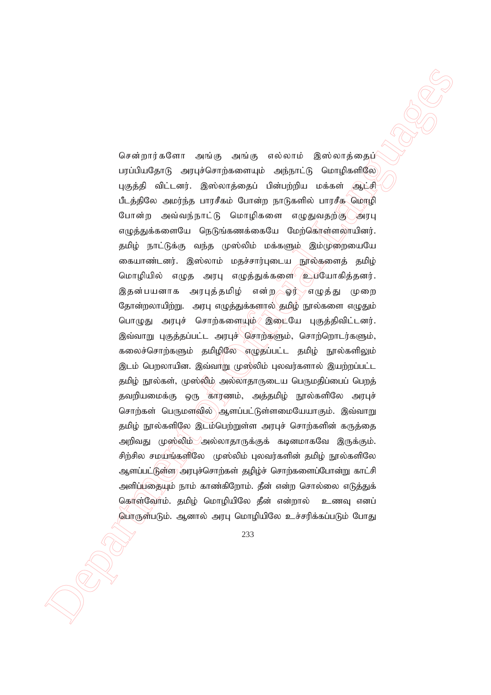$\label{eq:20} \begin{array}{ll} \textbf{G}=\text{argmin}\left(\mathbf{G},\mathbf{G},\mathbf{G}\right) = \text{argmax}\left(\mathbf{G},\mathbf{G},\mathbf{G}\right) = \text{argmax}\left(\mathbf{G},\mathbf{G}\right) = \text{argmax}\left(\mathbf{G},\mathbf{G}\right) = \text{argmax}\left(\mathbf{G},\mathbf{G}\right) = \text{argmax}\left(\mathbf{G},\mathbf{G}\right) = \text{argmax}\left(\mathbf{G},\mathbf{G}\right) = \text{argmax}\left(\mathbf{G},\mathbf{G}\right) = \text{argmax}\left(\mathbf{$ சென்றார்களோ அங்கு அங்கு எல்லாம் இஸ்லாத்தைப் பரப்பியதோடு அரபுச்சொற்களையும் அந்நாட்டு மொழிகளிலே புகுத்தி விட்டனர். இஸ்லாத்தைப் பின்பற்றிய மக்கள் ஆட்சி பீடத்திலே அமர்ந்த பாரசீகம் போன்ற நாடுகளில் பாரசீக மொழி போன்ற அவ்வந்நாட்டு மொழிகளை எழுதுவதற்கு அரபு எழுத்துக்களையே நெடுங்கணக்கையே மேற்கொள்ளலாயினர். தமிழ் நாட்டுக்கு வந்த முஸ்லிம் மக்களும் இம்முறையையே கையாண்டனர். இஸ்லாம் மதச்சார்புடைய நூல்களைத் தமிழ் மொழியில் எழுத அரபு எழுத்துக்களை உபயோகித்தனர். இதன்பயனாக அரபுத்தமிழ் என்ற ஓர் எழுத்து முறை தோன்றலாயிற்று. அரபு எழுத்துக்களால் தமிழ் நூல்களை எழுதும் பொழுது அரபுச் சொற்களையும் இடையே புகுத்திவிட்டனர். இவ்வாறு புகுத்தப்பட்ட அரபுச் சொற்களும், சொற்றொடர்களும், கலைச்சொற்களும் தமிழிலே எழுதப்பட்ட தமிழ் நூல்களிலும் இடம் பெறலாயின. இவ்வாறு முஸ்லிம் புலவர்களால் இயற்றப்பட்ட தமிழ் நூல்கள், முஸ்லிம் அல்லாதாருடைய பெருமதிப்பைப் பெறத் தவறியமைக்கு ஒரு காரணம், அத்தமிழ் நூல்களிலே அரபுச் சொற்கள் பெருமளவில் ஆளப்பட்டுள்ளமையேயாகும். இவ்வாறு தமிழ் நூல்களிலே இடம்பெற்றுள்ள அரபுச் சொற்களின் கருத்தை அறிவது முஸ்லிம் அல்லாதாருக்குக் கடினமாகவே இருக்கும். சிற்சில சமயங்களிலே முஸ்லிம் புலவர்களின் தமிழ் நூல்களிலே ஆளப்பட்டுள்ள) அரபுச்சொற்கள் தழிழ்ச் சொற்களைப்போன்று காட்சி அளிப்பதையும் நாம் காண்கிறோம். தீன் என்ற சொல்லை எடுத்துக் கொள்வோம். தமிழ் மொழியிலே தீன் என்றால் உணவு எனப் பொருள்படும். ஆனால் அரபு மொழியிலே உச்சரிக்கப்படும் போது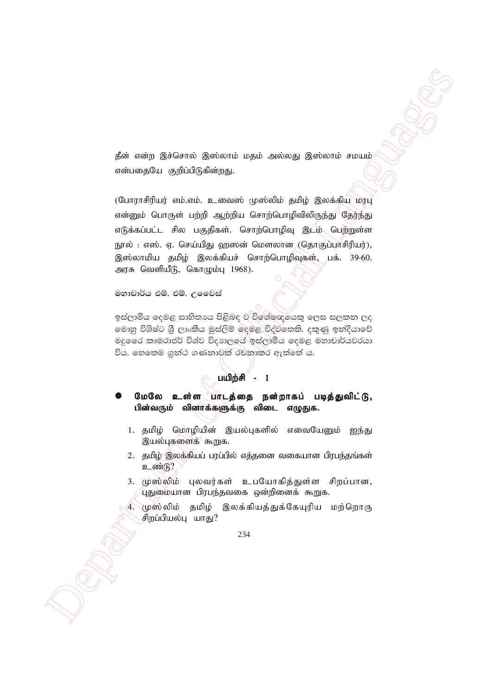தீன் என்ற இச்சொல் இஸ்லாம் மதம் அல்லது இஸ்லாம் சமயம் என்பதையே குறிப்பிடுகின்றது.

Ask assimply the spectral of Office and Containing the spectral of Office and Containing the Containing technology of Office and Containing the Containing technology of Official Languages of Containing the Containing tech (போராசிரியர் எம்.எம். உவைஸ் முஸ்லிம் தமிழ் இலக்கியு மரபு என்னும் பொருள் பற்றி ஆற்றிய சொற்பொழிவிலிருந்து தேர்ந்து எடுக்கப்பட்ட சில பகுதிகள். சொற்பொழிவு இடம் பெற்றுள்ள நூல் : எஸ். ஏ. செய்யிது ஹஸன் மௌலான (தொகுப்பாசிரியர்), இஸ்லாமிய தமிழ் இலக்கியச் சொற்பொழிவுகள், பக். 39-60. அரசு வெளியீடு, கொழும்பு  $1968$ ).

මහාචාර්ය එම්. එම්. උ**මෛස්** 

ඉස්ලාමීය දෙමළ සාහිතායෙ පිළිබඳ ව $\breve{\mathcal{B}}$ ගේෂඥයෙකු ලෙස සලකන ලද මොහු විශිෂ්ට ශී ලාංකීය මුස්ලිම් ලදමළ විද්වනෙකි. දකුණු ඉන්දියාවේ මදූ ෛ කාමරාජර් විශ්ව විදාහලයේ ඉස්ලාමීය දෙමළ මහාචාර්යවරයා විය. හෙතෙම ගුන්ථ ගණනාවකි රචනාකර ඇත්තේ ය.

# $\overline{\text{null}}$  $\overline{\text{mid}}$  - 1

மேலே உள்ள பாடத்தை நன்றாகப் படித்துவிட்டு, பின்வரும் வினாக்களுக்கு விடை எழுதுக.

- 1. தமிழ் மொழியின் இயல்புகளில் எவையேனும் ஐந்து இயல்புகளைக் கூறுக.
- 2. தமிழ் இலக்கியப் பரப்பில் எத்தனை வகையான பிரபந்தங்கள்  $2.6606$
- 3. முஸ்லிம் புலவர்கள் உபயோகித்துள்ள சிறப்பான, .<br>புதுமையான பிரபந்தவகை ஒன்றினைக் கூறுக.
- 4. `முஸ்லிம் தமிழ் இலக்கியத்துக்கேயுரிய மற்றொரு சிறப்பியல்பு யாது?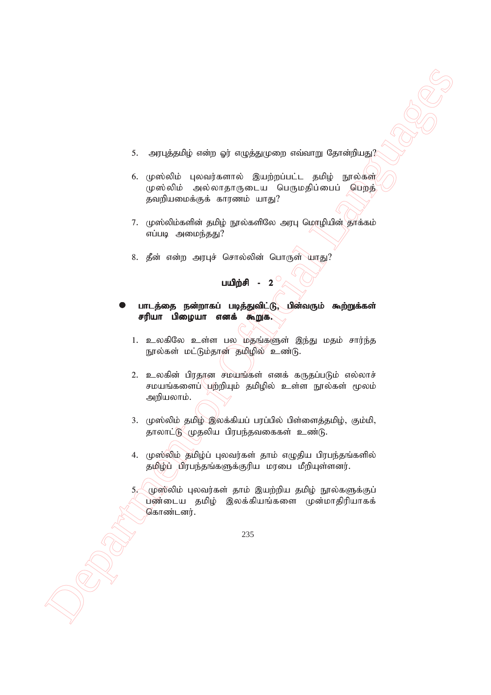- 5. அரபுத்தமிழ் என்ற ஓர் எழுத்துமுறை எவ்வாறு தோன்றியது $?$
- 6. முஸ்லிம் புலவர்களால் இயற்றப்பட்ட தமிழ் நூல்கள் முஸ்லிம் அல்லாதாருடைய பெருமதிப்பைப் பெறத் தவறியமைக்குக் காரணம் யாது?
- 7. முஸ்லிம்களின் தமிழ் நூல்களிலே அரபு மொழியின் தாக்கம் எப்படி அமைந்தது?
- 8. தீன் என்ற அரபுச் சொல்லின் பொருள் யாது?

#### பயிற்சி -  $2^{\circ}$

- பாடத்தை நன்றாகப் படித்துவிட்டு, பின்வரும் கூற்றுக்கள் சரியா பிழையா எனக் கூறுக.
	- 1. உலகிலே உள்ள பல மதங்களுள் இந்து மதம் சார்ந்த நூல்கள் மட்டும்தான் தமிழில் உண்டு.
- $\label{eq:3} \begin{array}{ll} \text{Supp}(\textit{g},\textit{c},\textit{c}) = \text{Supp}(\textit{g},\textit{c},\textit{c}) = \text{Supp}(\textit{g},\textit{c}) = \text{Supp}(\textit{g},\textit{c}) = \text{Supp}(\textit{g},\textit{c}) = \text{Supp}(\textit{g},\textit{c}) = \text{Supp}(\textit{g},\textit{c}) = \text{Supp}(\textit{g},\textit{c}) = \text{Supp}(\textit{d},\textit{c},\textit{c}) = \text{Supp}(\textit{d},\textit{c$ 2. உலகின் பிரதான சமயங்கள் எனக் கருதப்படும் எல்லாச் சமயங்களைப் $\langle$ பற்றியும் தமிழில் உள்ள நூல்கள் மூலம் அறியலாம்.
	- $3.$  (முஸ்லிம் தமிழ் இலக்கியப் பரப்பில் பிள்ளைத்தமிழ், கும்மி, தாலாட்டு முதலிய பிரபந்தவகைகள் உண்டு.
	- 4. முஸ்லிம் தமிழ்ப் புலவர்கள் தாம் எழுதிய பிரபந்தங்களில் தமிழ்ப் பிரபந்தங்களுக்குரிய மரபை மீறியுள்ளனர்.

 $5.$  (முஸ்லிம் புலவர்கள் தாம் இயற்றிய தமிழ் நூல்களுக்குப் பண்டைய தமிழ் இலக்கியங்களை முன்மாதிரியாகக் கொண்டனர்.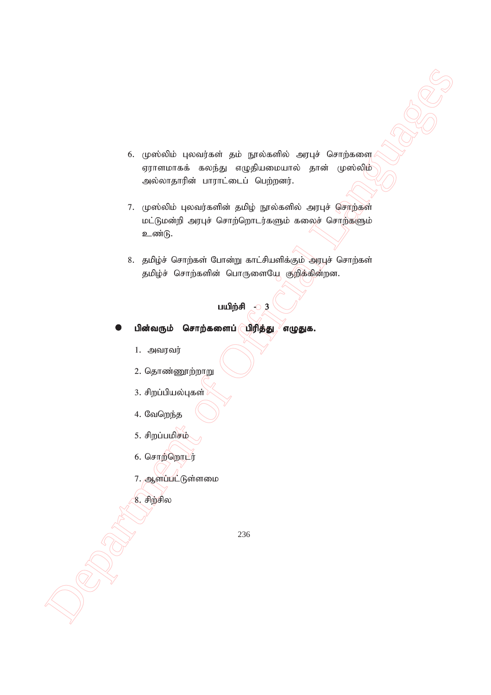- 6. முஸ்லிம் புலவர்கள் தம் நூல்களில் அரபுச் சொற்களை ஏராளமாகக் கலந்து எழுதியமையால் தான் முஸ்லிம் அல்லாதாரின் பாராட்டைப் பெற்றனர்.
- Department of Official Languages 7. முஸ்லிம் புலவர்களின் தமிழ் நூல்களில் அரபுச் சொற்கள் மட்டுமன்றி அரபுச் சொற்றொடர்களும் கலைச் சொற்களும் உண்டு.
	- 8. தமிழ்ச் சொற்கள் போன்று காட்சியளிக்கும் அரபுச் சொற்கள் தமிழ்ச் சொற்களின் பொருளையே குறிக்கின்றன.

# பயிற்சி $\geq 3$

- பின்வரும் சொற்களைப் $\lceil \text{Unif} \rceil$ த்து $\lceil \text{Unif} \rceil$ க்கு
	- $1.$  அவரவர்
	- 2. தொண்ணூற்றாறு
	- 3. சிறப்பியல்புகள்
	- 4. வேறெந்த
	- 5. சிறப்பமிசம்
	- 6. சொற்றொடர்
	- 7. ஆளப்பட்டுள்ளமை
	- $8.$  சிற்சில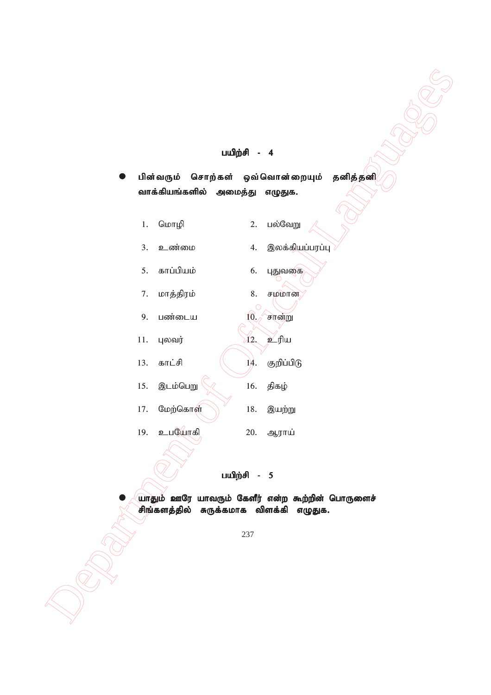# பயிற்சி - 4

|     |                                                  | பயிற்சி - 4              |          |  |
|-----|--------------------------------------------------|--------------------------|----------|--|
|     | பின்வரும் சொற்கள் ஒவ்வொன்றையும்                  |                          | தனித்தனி |  |
|     | வாக்கியங்களில் அமைத்து                           | எழுதுக.                  |          |  |
| 1.  | மொழி                                             | பல்வேறு<br>2.            |          |  |
| 3.  | உண்மை                                            | இலக்கியப்பரப்பு<br>4.    |          |  |
| 5.  | காப்பியம்                                        | 6.<br>புதுவகை            |          |  |
| 7.  | மாத்திரம்                                        | 8.<br>சமமான              |          |  |
| 9.  | பண்டைய                                           | 10.0<br>சான்று           |          |  |
| 11. | புலவர்                                           | உரிய<br>$\widetilde{A2}$ |          |  |
| 13. | காட்சி                                           | குறிப்பிடு<br>14.        |          |  |
| 15. | இடம்பெறு                                         | திகழ்<br>16.             |          |  |
| 17. | மேற்கொள்                                         | $18. \,$<br>இயற்று       |          |  |
| 19. | உபயோகி                                           | 20.<br>ஆராய்             |          |  |
|     |                                                  |                          |          |  |
|     |                                                  | பயிற்சி - 5              |          |  |
|     | யாதும் ஊரே யாவரும் கேளீர் என்ற கூற்றின் பொருளைச் |                          |          |  |
|     | சிங்களத்தில் சுருக்கமாக விளக்கி எழுதுக.          |                          |          |  |
|     |                                                  | 237                      |          |  |
|     |                                                  |                          |          |  |
|     |                                                  |                          |          |  |
|     |                                                  |                          |          |  |
|     |                                                  |                          |          |  |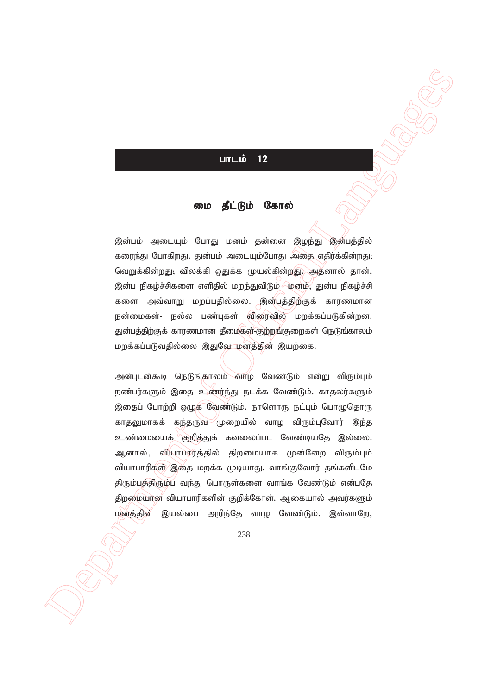# $L$

### மை தீட்டும் கோல்

இன்பம் அடையும் போது மனம் தன்னை இழந்து இன்பத்தில் கரைந்து போகிறது. துன்பம் அடையும்போது அதை எதிர்க்கின்றது; வெறுக்கின்றது; விலக்கி ஒதுக்க முயல்கின்றது. அதனால் தான், இன்ப நிகழ்ச்சிகளை எளிதில் மறந்துவிடும் ⁄மனம்⁄, துன்ப நிகழ்ச்சி களை அவ்வாறு மறப்பதில்லை. இன்பத்திற்குக் காரணமான நன்மைகள்- நல்ல பண்புகள் விரைவில் மறக்கப்படுகின்றன. துன்பத்திற்குக் காரணமான தீமைகள் குற்றங்குறைகள் நெடுங்காலம் மறக்கப்படுவதில்லை இதுவே மனத்தின் இயற்கை.

**UITED 12**<br> **Example 10**<br> **Example 10**<br> **Example 10**<br> **Example 10**<br> **Example 10**<br> **Example 10**<br> **Example 10**<br> **Example 10**<br> **Example 10**<br> **Example 10**<br> **Example 10**<br> **Example 10**<br> **Example 10**<br> **Example 10**<br> **Example 10**<br> அன்புடன்கூடி நெடுங்காலம் வாழ வேண்டும் என்று விரும்பும் நண்பர்களும் இதை உணர்ந்து நடக்க வேண்டும். காதலர்களும் இதைப் போற்றி ஒழுக வேண்டும். நாளொரு நட்பும் பொழுதொரு காதலுமாகக் கந்தருவ முறையில் வாழ விரும்புவோர் இந்த உண்மையைக் குறித்துக் கவலைப்பட வேண்டியதே இல்லை. ஆனால், வியாபாரத்தில் திறமையாக முன்னேற விரும்பும் வியாபாரிகள் இதை மறக்க முடியாது. வாங்குவோர் தங்களிடமே திரும்பத்திரும்ப வந்து பொருள்களை வாங்க வேண்டும் என்பதே திறமையான வியாபாரிகளின் குறிக்கோள். ஆகையால் அவர்களும் மனத்தின் இயல்பை அறிந்தே வாழ வேண்டும். இவ்வாறே,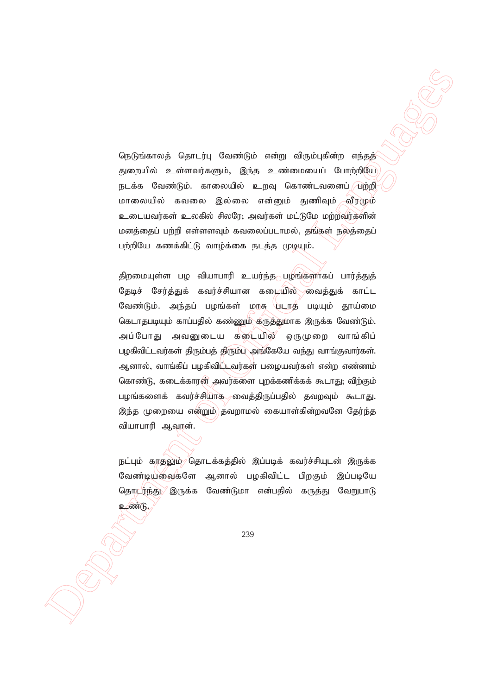நெடுங்காலத் தொடர்பு வேண்டும் என்று விரும்புகின்ற எந்தத் துறையில் உள்ளவர்களும், இந்த உண்மையைப் போற்றியே நடக்க வேண்டும். காலையில் உறவு கொண்டவனைப் *(*பற்றி மாலையில் கவலை இல்லை என்னும் துணிவும் வீரழும் உடையவர்கள் உலகில் சிலரே; அவர்கள் மட்டுமே மற்றவர்களின் மனத்தைப் பற்றி எள்ளளவும் கவலைப்படாமல், தங்கள் நலத்தைப் பற்றியே கணக்கிட்டு வாழ்க்கை நடத்த முடியும்.

 Department of Official Languages திறமையுள்ள பழ வியாபாரி உயர்ந்த $\sim$  பழங்களாகப் பார்த்துத் தேடிச் சேர்த்துக் கவர்ச்சியான கடையில் வைத்துக் காட்ட வேண்டும். அந்தப் பழங்கள் மாசு படாத படியும் தூய்மை கெடாதபடியும் காப்பதில் கண்ணும் கருத்துமாக இருக்க வேண்டும். அப்போது அவனுடைய கடையில் ஒருமுறை வாங்கிப் பழகிவிட்டவர்கள் திரும்பத் திரும்ப அங்கேயே வந்து வாங்குவார்கள். ஆனால், வாங்கிப் பழகிவிட்டவர்கள் பழையவர்கள் என்ற எண்ணம் கொண்டு, கடைக்காரன் அவர்களை புறக்கணிக்கக் கூடாது; விற்கும் பழங்களைக் கவர்ச்சியாக வைத்திருப்பதில் தவறவும் கூடாது. இந்த முறையை என்றும் தவறாமல் கையாள்கின்றவனே தேர்ந்த வியாபாரி ஆவான்.

நட்பும் காதலும்<sup>,</sup> தொடக்கத்தில் இப்படிக் கவர்ச்சியுடன் இருக்க வேண்டியவைகளே ஆனால் பழகிவிட்ட பிறகும் இப்படியே தொடர்ந்து இருக்க வேண்டுமா என்பதில் கருத்து வேறுபாடு உண்டு.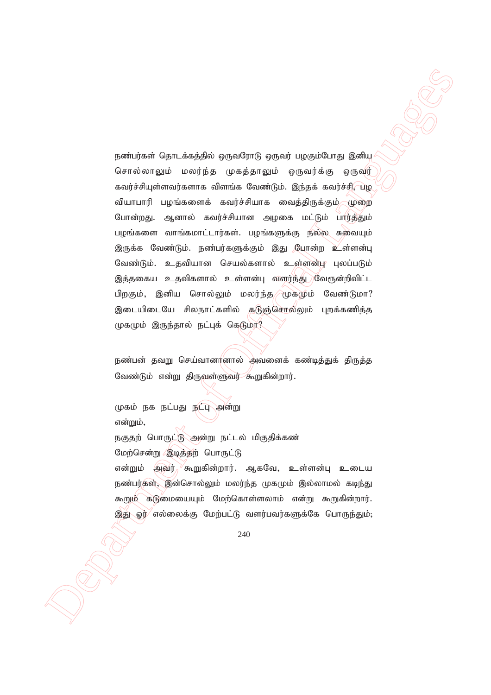particular<br>
particular Control and Apple Separation (Separation Control and Control and Control and Control and Control and Control and Control and Control and Control and Control and Control and Control and Control and நண்பர்கள் தொடக்கத்தில் ஒருவரோடு ஒருவர் பழகும்போது இனிய சொல்லாலும் மலர்ந்த முகத்தாலும் ஒருவர்க்கு ஒருவர் கவர்ச்சியுள்ளவர்களாக விளங்க வேண்டும். இந்தக் கவர்ச்சி, பழ வியாபாரி பழங்களைக் கவர்ச்சியாக வைத்திருக்கும் முறை போன்றது. ஆனால் கவர்ச்சியான அழகை மட்டும் பார்த்தும் பழங்களை வாங்கமாட்டார்கள். பழங்களுக்கு நல்ல சுவையும் இருக்க வேண்டும். நண்பர்களுக்கும் இது போன்ற உள்ளன்பு வேண்டும். உதவியான செயல்களால் உள்ளன்பு புலப்படும் இத்தகைய உதவிகளால் உள்ளன்பு வளர்ந்து வேரூன்றிவிட்ட பிறகும், இனிய சொல்லும் மலர்ந்த $\widehat{A}$ முகமும் வேண்டுமா? இடையிடையே சிலநாட்களில் கடுஞ்சொல்லும் புறக்கணித்த முகமும் இருந்தால் நட்புக் கெடுமா?

நண்பன் தவறு செய்வானானால் அவனைக் கண்டித்துக் திருத்த வேண்டும் என்று திருவள்ளுவர் கூறுகின்றார்.

முகம் நக நட்பது நட்பு அன்று என்றும், நகுதற் பொருட்டு அன்று நட்டல் மிகுதிக்கண் மேற்சென்று இடித்தற் பொருட்டு என்றும் அவர்<sup>, ⁄</sup>கூறுகின்றார். ஆகவே, உள்ளன்பு உடைய நண்பர்கள், இன்சொல்லும் மலர்ந்த முகமும் இல்லாமல் கடிந்து கூறும் கடுமையையும் மேற்கொள்ளலாம் என்று கூறுகின்றார். இது ஓர்⁄ எல்லைக்கு மேற்பட்டு வளர்பவர்களுக்கே பொருந்தும்;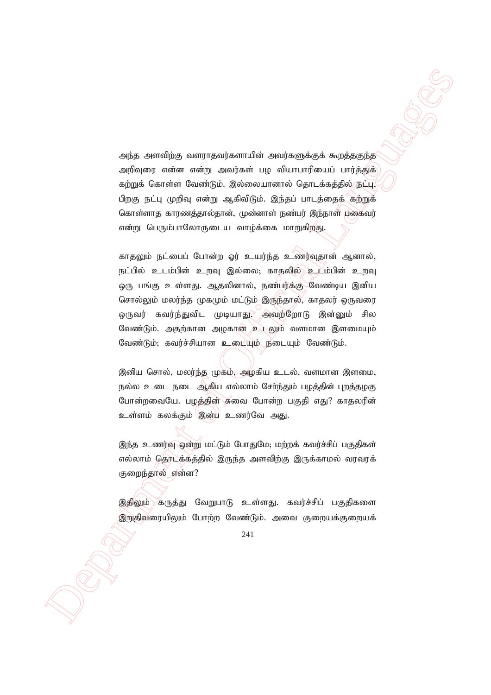அந்த அளவிற்கு வளராதவர்களாயின் அவர்களுக்குக் கூறத்தகுந்த அறிவுரை என்ன என்று அவர்கள் பழ வியாபாரியைப் பார்த்துக் கற்றுக் கொள்ள வேண்டும். இல்லையானால் தொடக்கத்தில் நட்பு, பிறகு நட்பு முறிவு என்று ஆகிவிடும். இந்தப் பாடத்தைக் கற்றுக் கொள்ளாக காரணத்தால்தான், முன்னாள் நண்பர் இந்நாள் பகைவர் என்று பெரும்பாலோருடைய வாழ்க்கை மாறுகிறது.

Adja Associaling compropriates that acceptancy<br>Adja Associaling compropriates the subsequence is applied to the<br>matrix control Christmas Consider the Subsequence of Official Language<br>
(τηλείται Christmas Consider Christ காதலும் நட்பைப் போன்ற ஓர் உயர்ந்த உணர்வுதான் ஆனால், நட்பில் உடம்பின் உறவு இல்லை; காதலில் உடம்பின் உறவு ஒரு பங்கு உள்ளது. ஆதலினால், நண்பர்க்கு வேண்டிய இனிய சொல்லும் மலர்ந்த முகமும் மட்டும் இருந்தால், காதலர் ஒருவரை ஒருவர் கவர்ந்துவிட முடியாது $\widetilde{C}$  அவற்றோடு இன்னும் சில வேண்டும். அதற்கான அழகான உடலும் வளமான இளமையும் வேண்டும்; கவர்ச்சியான உடையும் நீடையும் வேண்டும்.

இனிய சொல், மலர்ந்த முகம், அழகிய உடல், வளமான இளமை, நல்ல உடை நடை ஆகிய எல்லாம் சோ்ந்தும் பழத்தின் புறத்தழகு போன்றவையே. பழத்தின் சுவை போன்ற பகுதி எது? காதலரின் உள்ளம் கலக்கும் இன்ய உணர்வே அது.

இந்த உணர்வு ஒன்று மட்டும் போதுமே; மற்றக் கவர்ச்சிப் பகுதிகள் எல்லாம் தொடக்கத்தில் இருந்த அளவிற்கு இருக்காமல் வரவரக் குறைந்தால் என்ன?

இதிலும் கருக்கு வேறுபாடு உள்ளது. கவர்ச்சிப் பகுதிகளை இறுதிவரையிலும் போற்ற வேண்டும். அவை குறையக்குறையக்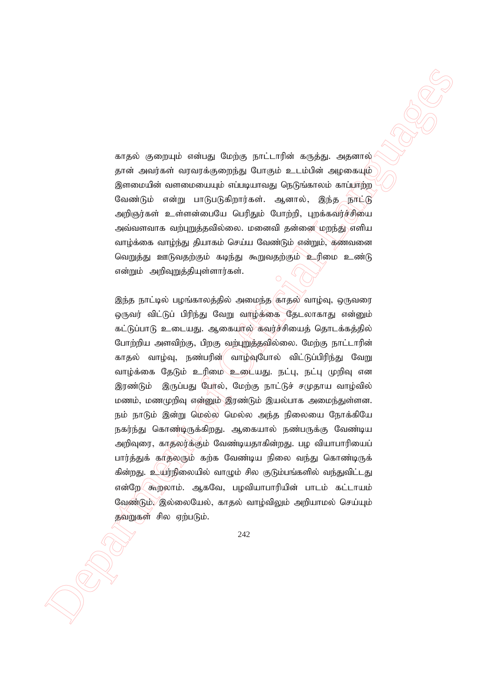காதல் குறையும் என்பது மேற்கு நாட்டாரின் கருத்து. அதனால் தான் அவர்கள் வரவரக்குறைந்து போகும் உடம்பின் அழகையும் இளமையின் வளமையையும் எப்படியாவது நெடுங்காலம் காப்பாற்ற வேண்டும் என்று பாடுபடுகிறார்கள். ஆனால், இந்த நாட்டு அறிஞர்கள் உள்ளன்பையே பெரிதும் போற்றி, புறக்கவர்ச்சியை அவ்வளவாக வற்புறுத்தவில்லை. மனைவி தன்னை மறந்து எளிய வாழ்க்கை வாழ்ந்து தியாகம் செய்ய வேண்டும் என்றும், கணவனை வெறுத்து ஊடுவதற்கும் கடிந்து கூறுவதற்கும் உரிமை உண்டு என்றும் அறிவுறுத்தியுள்ளார்கள்.

espai graduais minus George process procedure acquisite experiments)<br>
general simulation and the system of the system of the system of the system of the system of the system of the system of the system of the system of t இந்த நாட்டில் பழங்காலத்தில் அமைந்த காதல் வாழ்வு, ஒருவரை ஒருவர் விட்டுப் பிரிந்து வேறு வாழ்க்கை தேடலாகாது என்னும் கட்டுப்பாடு உடையது. ஆகையால் கவர்ச்சியைத் தொடக்கத்தில் போற்றிய அளவிற்கு, பிறகு வற்புறுத்தவில்லை. மேற்கு நாட்டாரின் காதல் வாழ்வு, நண்பரின் வாழ்வுபோல் விட்டுப்பிரிந்து வேறு வாழ்க்கை தேடும் உரிமை உடையது. நட்பு, நட்பு முறிவு என இரண்டும் இருப்பது பேர்ல், மேற்கு நாட்டுச் சமுதாய வாழ்வில் மணம், மணமுறிவு என்னும் இரண்டும் இயல்பாக அமைந்துள்ளன. நம் நாடும் இன்று மெல்ல மெல்ல அந்த நிலையை நோக்கியே நகர்ந்து கொண்டிருக்கிறது. ஆகையால் நண்பருக்கு வேண்டிய அறிவுரை, காதலர்க்கும் வேண்டியதாகின்றது. பழ வியாபாரியைப் பார்த்துக் காதலரும் கற்க வேண்டிய நிலை வந்து கொண்டிருக் கின்றது. உயர்நிலையில் வாழும் சில குடும்பங்களில் வந்துவிட்டது என்றே $\langle$  கூறலாம். ஆகவே, பழவியாபாரியின் பாடம் கட்டாயம் வேண்டும், இல்லையேல், காகல் வாம்விலும் அறியாமல் செய்யம் தவறுகள் சில ஏற்படும்.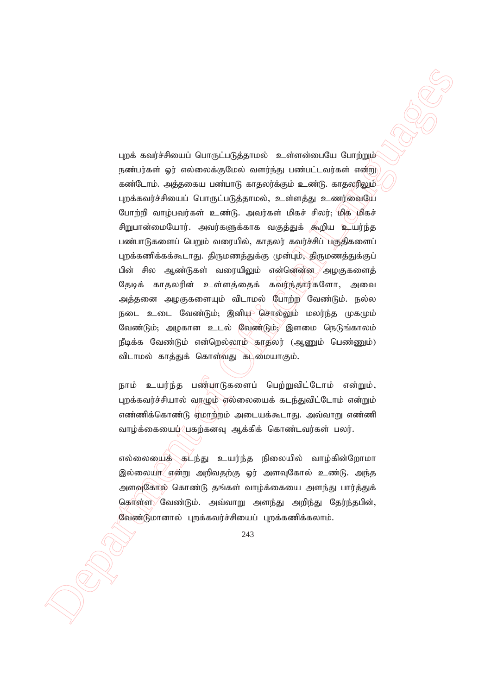Department of Official Languages புறக் கவர்ச்சியைப் பொருட்படுத்தாமல் உள்ளன்பையே போற்றும் நண்பர்கள் ஓர் எல்லைக்குமேல் வளர்ந்து பண்பட்டவர்கள் என்று கண்டோம். அத்தகைய பண்பாடு காதலர்க்கும் உண்டு. காதலரிலும் புறக்கவர்ச்சியைப் பொருட்படுத்தாமல், உள்ளத்து உணர்வையே போற்றி வாழ்பவர்கள் உண்டு. அவர்கள் மிகச் சிலர்; மிக மிகச் சிறுபான்மையோர். அவர்களுக்காக வகுத்துக் கூறிய உயர்ந்த பண்பாடுகளைப் பெறும் வரையில், காதலர் கவர்ச்சிப் பகுதிகளைப் புறக்கணிக்கக்கூடாது. திருமணத்துக்கு முன்பும், திருமணத்துக்குப் பின் சில ஆண்டுகள் வரையிலும் என்னென்ன. அழகுகளைத் தேடிக் காதலரின் உள்ளத்தைக் கவர்ந்தார்களோ, அவை அத்தனை அழகுகளையும் விடாமல் போற்ற வேண்டும். நல்ல நடை உடை வேண்டும்; இனியு சொல்லும் மலர்ந்த முகமும் வேண்டும், அழகான உடல் வேண்டும், $\ell$  இளமை நெடுங்காலம் நீடிக்க வேண்டும் என்றெல்லாம் காதலர் (ஆணும் பெண்ணும்) விடாமல் காத்துக் கொள்வது கட்மையாகும்.

நாம் உயர்ந்த பண்பாடுகளைப் பெற்றுவிட்டோம் என்றும், புறக்கவர்ச்சியால் வாழும் எல்லையைக் கடந்துவிட்டோம் என்றும் எண்ணிக்கொண்டு ஏமாற்றம் அடையக்கூடாது. அவ்வாறு எண்ணி வாழ்க்கையைப் பகற்கனவு ஆக்கிக் கொண்டவர்கள் பலர்.

எல்லையைக் கட்ந்து உயர்ந்த நிலையில் வாழ்கின்றோமா இல்லையா என்று அறிவதற்கு ஓர் அளவுகோல் உண்டு. அந்த அளவுகோல் கொண்டு தங்கள் வாழ்க்கையை அளந்து பார்த்துக் கொள்ள கேண்டும். அவ்வாறு அளந்து அறிந்து தேர்ந்தபின், வேண்டுமானால் புறக்கவர்ச்சியைப் புறக்கணிக்கலாம்.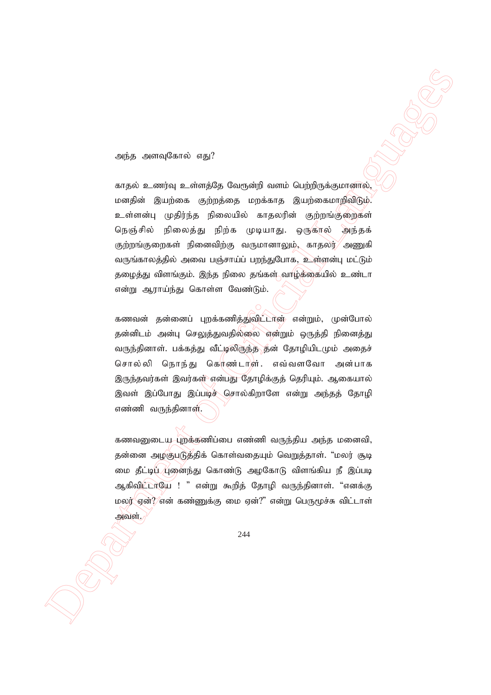அந்த அளவுகோல் எது?

 Department of Official Languages காதல் உணர்வு உள்ளத்தே வேரூன்றி வளம் பெற்றிருக்குமானால்,  $\bm{w}$ மனதின் இயற்கை குற்றத்தை மறக்காத இயற்கைமாறிவிடும். உள்ளன்பு முதிர்ந்த நிலையில் காதலரின் குற்றங்குறைகள் நெஞ்சில் நிலைத்து நிற்க முடியாது. ஒருகால் அந்தக் குற்றங்குறைகள் நினைவிற்கு வருமானாலும், காதலர் $\!/$  அணுகி வருங்காலத்தில் அவை பஞ்சாய்ப் பறந்துபோக, உள்ளன்பு மட்டும் தழைத்து விளங்கும். இந்த நிலை தங்கள் வாழ்க்கையில் உண்டா என்று ஆராய்ந்து கொள்ள வேண்டும்.

கணவன் தன்னைப் புறக்கணித்துவிட்டான் என்றும், முன்போல் தன்னிடம் அன்பு செலுத்துவதில்லை என்றும் ஒருத்தி நினைத்து வருந்தினாள். பக்கத்து வீட்டிலிருந்த தன் தோழியிடமும் அதைச் சொல்லி நொந்து கெர்ண்டாள். எவ்வளவோ அன்பாக இருந்தவர்கள் இவர்கள் என்பது தோழிக்குத் தெரியும். ஆகையால் இவள் இப்போது இப்படிச் சொல்கிறாளே என்று அந்தத் தோழி எண்ணி வருந்தினாள்.

கணவனுடைய புறக்கணிப்பை எண்ணி வருந்திய அந்த மனைவி, தன்னை அழகுபடுத்திக் கொள்வதையும் வெறுத்தாள். "மலர் சூடி மை தீட்டிய /புனைந்து கொண்டு அழகோடு விளங்கிய நீ இப்படி ஆகிவிட்டாயே ! " என்று கூறித் தோழி வருந்தினாள். "எனக்கு மலர் என்?⁄என் கண்ணுக்கு மை ஏன்?" என்று பெருமூச்சு விட்டாள் அவள்.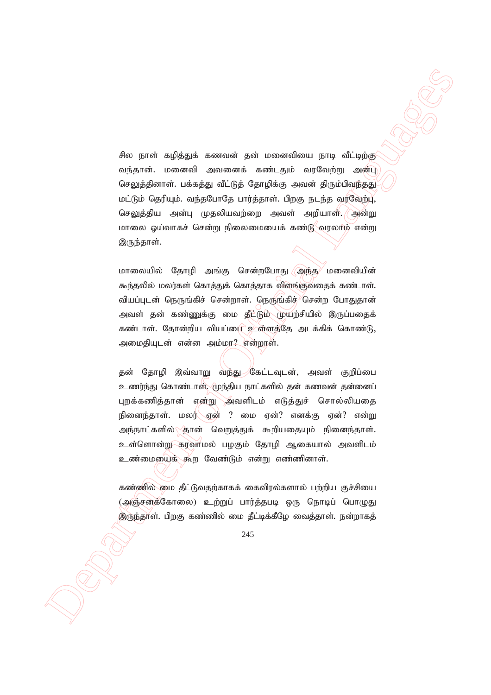Ass provincing a semantarise in constraints provided a property of the semanting and the semant of the observations of the semant of the semant of the semant of the semant of the semant of the semant of the semant of the சில நாள் கழித்துக் கணவன் தன் மனைவியை நாடி வீட்டிற்கு வந்தான். மனைவி அவனைக் கண்டதும் வரவேற்று அன்பு செலுத்தினாள். பக்கத்து வீட்டுத் தோழிக்கு அவன் திரும்பிவந்தது மட்டும் தெரியும். வந்தபோதே பார்த்தாள். பிறகு நடந்த வரவேற்பு, செலுத்திய அன்பு முதலியவற்றை அவள் அறியாள். அன்று மாலை ஓய்வாகச் சென்று நிலைமையைக் கண்டு $\sim$ வரலாம் என்று இருந்தாள்.

மாலையில் தோழி அங்கு சென்றபோது அந்த $^\vee$  மனைவியின் கூந்தலில் மலர்கள் கொத்துக் கொத்தாக விளங்குவதைக் கண்டாள். வியப்புடன் நெருங்கிச் சென்றாள். நெருங்கிச்<sup>)</sup>சென்ற போதுதான் அவள் தன் கண்ணுக்கு மை தீட்டும் முயற்சியில் இருப்பதைக் கண்டாள். தோன்றிய வியப்பை உள்ளத்தே அடக்கிக் கொண்டு, அமைதியுடன் என்ன அம்மா? என்றாள்.

தன் தோழி இவ்வாறு வந்து கேட்டவுடன், அவள் குறிப்பை உணர்ந்து கொண்டாள். முந்திய நாட்களில் தன் கணவன் தன்னைப் புறக்கணித்தான் என்று அவளிடம் எடுத்துச் சொல்லியதை நினைந்தாள். மலர் ஏன் ? மை ஏன்? எனக்கு ஏன்? என்று அந்நாட்களில்\<sup>கு</sup>ரன் வெறுத்துக் கூறியதையும் நினைந்தாள். உள்ளொன்று கரவாமல் பழகும் தோழி ஆகையால் அவளிடம் உண்மையைக் கூற வேண்டும் என்று எண்ணினாள்.

கண்ணில் மை தீட்டுவதற்காகக் கைவிரல்களால் பற்றிய குச்சியை (அஞ்சனத்கோலை) உற்றுப் பார்த்தபடி ஒரு நொடிப் பொழுது இருந்தாள். பிறகு கண்ணில் மை தீட்டிக்கீழே வைத்தாள். நன்றாகத்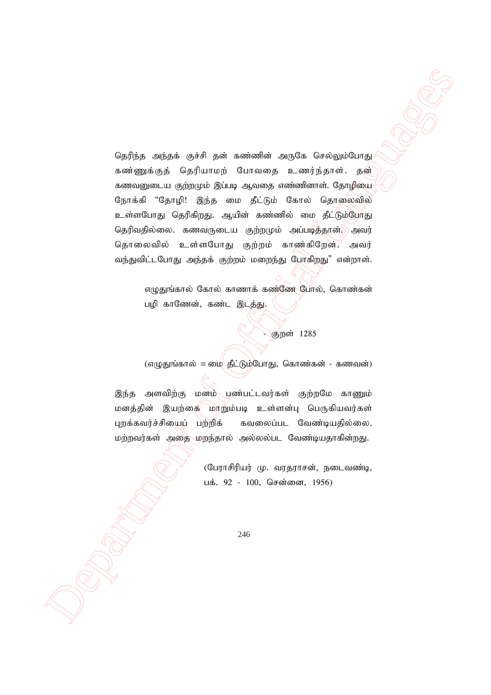$\label{eq:2.1} \begin{array}{ll} \textbf{O}(\mathbf{a})\hat{\mathbf{u}}(\mathbf{a},\text{ with } \mathbf{a})=\textbf{O}(\mathbf{a})\hat{\mathbf{u}}(\mathbf{a},\text{ with } \mathbf{a})=\textbf{O}(\mathbf{a})\hat{\mathbf{u}}(\mathbf{a},\text{ with } \mathbf{a})=\textbf{O}(\mathbf{a})\hat{\mathbf{u}}(\mathbf{a},\text{ with } \mathbf{a})=\textbf{O}(\mathbf{a})\hat{\mathbf{u}}(\mathbf{a},\text{ with } \mathbf{a})=\textbf{O}(\mathbf{a})\hat{\mathbf{u$ தெரிந்த அந்தக் குச்சி தன் கண்ணின் அருகே செல்லும்போது கண்ணுக்குத் தெரியாமற் போவதை உணர்ந்தாள். தன் கணவனுடைய குற்றமும் இப்படி ஆவதை எண்ணினாள். தோழியை நோக்கி "தோழி! இந்த மை தீட்டும் கோல் தொலைவில் உள்ளபோது தெரிகிறது. ஆயின் கண்ணில் மை தீட்டும்போது தெரிவதில்லை. கணவருடைய குற்றமும் அப்படித்தான்.) அவர் தொலைவில் உள்ளபோது குற்றம் காண்கிறேன், அவர் வந்துவிட்டபோது அந்தக் குற்றம் மறைந்து போகிறது" என்றாள்.

எழுதுங்கால் கோல் காணாக் கண்ணே போல், கொண்கன் பழி காணேன், கண்ட இடத்து.

- குறள் 1285

 $(\sigma($ ழதுங்கால் = மை $\sqrt{\sigma}$ ட்டும்போது, கொண்கன் - கணவன்)

இந்த அளவிற்கு மனம் பண்பட்டவர்கள் குற்றமே காணும் மனத்தின் இயற்கை மாறும்படி உள்ளன்பு பெருகியவர்கள் புறக்கவர்ச்சியைப் பற்றிக் கவலைப்பட வேண்டியதில்லை. மற்றவர்கள் அதை மறந்தால் அல்லல்பட வேண்டியதாகின்றது.

> (பேராசிரியர் மு. வரதராசன், நடைவண்டி, பக். 92 - 100, சென்னை, 1956)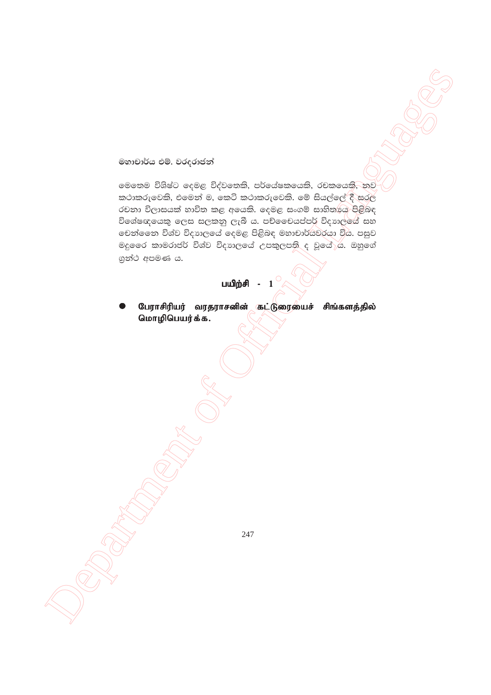මහාචාර්ය එම්. වරදරාජන්

Secretarium of Office Department of Okeanisation of Okeanisation of Okeanisation of Okeanisation of Okeanisation of Okeanisation of Okeanisation of Okeanisation of Okeanisation of Okeanisation of Okeanisation of Okeanisat මෙතෙම විශිෂ්ට දෙමළ විද්වතෙකි, පර්යේෂකයෙකි, රචකයෙකි, තව කථාකරුවෙකි, එමෙන් ම, කෙටි කථාකරුවෙකි. මේ සියල්ලේ $\langle$ ී සරල රචනා විලාසයක් හාවිත කළ අයෙකි. දෙමළ සංගම් සාහිතායෙ පිළිබඳ විශේෂඥයෙකු ලෙස සලකනු ලැබී ය. පච්චෛයප්පර් විදාහලයේ සහ  $\bullet$ චන්ගෙන විශ්ව විදාාලයේ දෙමළ පිළිබඳ මහාචාර්යවරයා විය. පසුව මදුගෙර කාමරාජර් විශ්ව විදහාලයේ උපකුලපති ද වූයේ $\rho$ ය. ඔහුගේ  $90^\circ$  අපමණ ය.

# பயிற்சி -  $1$

பேராசிரியர் வரதராசனின் கட்டுரையைச் சிங்களத்தில் மொழிபெயர்க்க.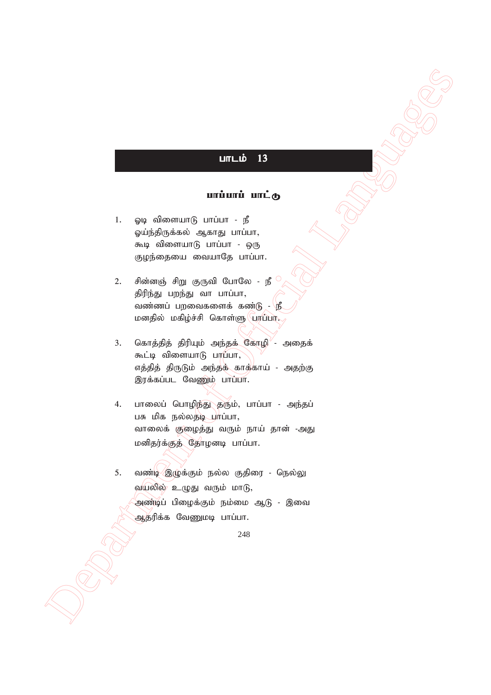# $L$

# $urivuri$   $uric$

- $1.$  ஓடி விளையாடு பாப்பா நீ ஓய்ந்திருக்கல் ஆகாது பாப்பா, கூடி விளையாடு பாப்பா - ஒரு குழந்தையை வையாதே பாப்பா.
- 2. சின்னஞ் சிறு குருவி போலே நீ திரிந்து பறந்து வா பாப்பா, வண்ணப் பறவைகளைக் கண்டு -  $\mathbf{f}_2$ மனதில் மகிழ்ச்சி கொள்ளு புரப்பா.
- 3. கொத்தித் திரியும் அந்தக் கோழி $^{\prime}$  அதைக் கூட்டி விளையா $\beta$  பாப்பா, எத்தித் திருடும் அந்தக் காக்காய் - அதற்கு இரக்கப்பட வேணும் பாப்பா.
- 4. பாலைப் பொழிந்து தரும், பாப்பா அந்தப் பசு மிக நல்லதடி பாப்பா, வாலைக் குழைத்து வரும் நாய் தான் -அது மனிதர்க்குத் தோழனடி பாப்பா.

 Department of Official Languages 5. வண்டி இழுக்கும் நல்ல குதிரை - நெல்லு வயலில் உழுது வரும் மா $(f, f)$ .<br>அண்டிப் பிழைக்கும் நம்மை ஆடு - இவை ஆதரிக்க வேணுமடி பாப்பா.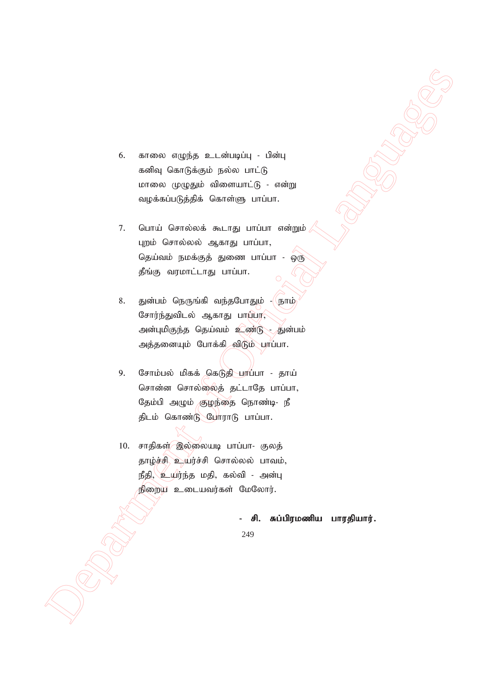- 6. காலை எழுந்த உடன்படிப்பு பின்பு கனிவு கொடுக்கும் நல்ல பாட்டு மாலை முழுதும் விளையாட்டு - என்று வழக்கப்படுத்திக் கொள்ளு பாப்பா.
- 7. பொய் சொல்லக் கூடாது பாப்பா என்றும் $\ell$ புறம் சொல்லல் ஆகாது பாப்பா, தெய்வம் நமக்குத் துணை பாப்பா - ஒரு தீங்கு வரமாட்டாது பாப்பா.
- $\begin{array}{lllllllll} \textbf{B} & \textbf{m} & \textbf{m} & \textbf{m} & \textbf{m} & \textbf{m} & \textbf{m} \\ \textbf{b} & \textbf{m} & \textbf{m} & \textbf{m} & \textbf{m} & \textbf{m} & \textbf{m} \\ \textbf{m} & \textbf{m} & \textbf{m} & \textbf{m} & \textbf{m} & \textbf{m} & \textbf{m} \\ \textbf{m} & \textbf{m} & \textbf{m} & \textbf{m} & \textbf{m} & \textbf{m} & \textbf{m} \\ \textbf{m} & \textbf{m}$ 8. துன்பம் நெருங்கி வந்தபோதும் - நாம் சோர்ந்துவிடல் ஆகாது பா $\widehat{\mathfrak{glm}}$ அன்புமிகுந்த தெய்வம் உணீடு - துன்பம் அத்தனையும் போக்கி விடும் பாப்பா.
	- 9. சோம்பல் மிகக் கெடுதி பாப்பா தாய் சொன்ன சொல்லைத் தட்டாதே பாப்பா, தேம்பி அழும் குழந்தை நொண்டி- நீ திடம் கொண்டு போராடு பாப்பா.
	- 10. சாதிகள் இல்லையடி பாப்பா- குலத் தாழ்ச்சி உயர்ச்சி சொல்லல் பாவம்,  $\mathfrak{g}$ தி, $\mathfrak{g}$ யர்ந்த மதி, கல்வி - அன்பு நிறைய உடையவர்கள் மேலோர்.

- சி. சுப்பிரமணிய பாரதியார்.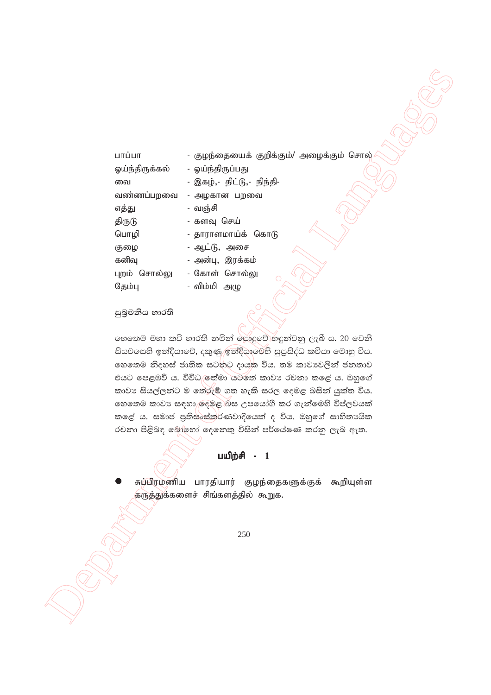| பாப்பா                                                          | - குழந்தையைக் குறிக்கும்/ அழைக்கும் சொல்                  |  |  |  |
|-----------------------------------------------------------------|-----------------------------------------------------------|--|--|--|
| ஓய்ந்திருக்கல்                                                  | - ஓய்ந்திருப்பது                                          |  |  |  |
| வை                                                              | - இகழ்,- திட்டு,- நிந்தி-                                 |  |  |  |
| வண்ணப்பறவை                                                      | - அழகான பறவை                                              |  |  |  |
| எத்து                                                           | - வஞ்சி                                                   |  |  |  |
| திருடு                                                          | - களவு செய்                                               |  |  |  |
| பொழி                                                            | - தாராளமாய்க் கொடு                                        |  |  |  |
| குழை                                                            | - ஆட்டு, அசை                                              |  |  |  |
| கனிவு                                                           | - அன்பு, இரக்கம்                                          |  |  |  |
| புறம் சொல்லு                                                    | - கோள் சொல்லு<br>$\bigcirc$                               |  |  |  |
| தேம்பு                                                          | - விம்மி அழு                                              |  |  |  |
|                                                                 |                                                           |  |  |  |
| සුබුමනිය භාරති                                                  |                                                           |  |  |  |
|                                                                 |                                                           |  |  |  |
|                                                                 | හෙතෙම මහා කවි භාරති තමින් පොදුවේ හඳුන්වනු ලැබී ය. 20 වෙනි |  |  |  |
| සියවසෙහි ඉන්දියාවේ, දකුණු ඉන්දියාවෙහි සුපුසිද්ධ කවියා මොහු විය. |                                                           |  |  |  |
|                                                                 | හෙතෙම නිදහස් ජාතික සටනට දායක විය. තම කාවාවලින් ජනතාව      |  |  |  |
| එයට පෙළඹවී ය. විවිධ ලත්මා යටතේ කාවා රචනා කළේ ය. ඔහුගේ           |                                                           |  |  |  |
| කාවා සියල්ලන්ට ම තේරුම් ගත හැකි සරල දෙමළ බසින් යුක්ත විය.       |                                                           |  |  |  |
| හෙතෙම කාවා සඳහා ලෙමළ)බස උපයෝගී කර ගැන්මෙහි විප්ලවයක්            |                                                           |  |  |  |
| කළේ ය. සමාජ පුතිසංස්කරණවාදියෙක් ද විය. ඔහුගේ සාහිතායික          |                                                           |  |  |  |
| රචනා පිළිබඳ බොහෝ දෙනෙකු විසින් පර්යේෂණ කරනු ලැබ ඇත.             |                                                           |  |  |  |
|                                                                 |                                                           |  |  |  |
|                                                                 | பயிற்சி -<br>$\blacksquare$                               |  |  |  |
|                                                                 | சுப்பிரமணிய பாரதியார் குழந்தைகளுக்குக் கூறியுள்ள          |  |  |  |
|                                                                 | கருத்துக்களைச் சிங்களத்தில் கூறுக.                        |  |  |  |
|                                                                 |                                                           |  |  |  |
|                                                                 |                                                           |  |  |  |
|                                                                 | 250                                                       |  |  |  |
|                                                                 |                                                           |  |  |  |
|                                                                 |                                                           |  |  |  |
|                                                                 |                                                           |  |  |  |
|                                                                 |                                                           |  |  |  |
|                                                                 |                                                           |  |  |  |
|                                                                 |                                                           |  |  |  |
|                                                                 |                                                           |  |  |  |

## සුබුමනිය භාරති

### பயிற்சி - 1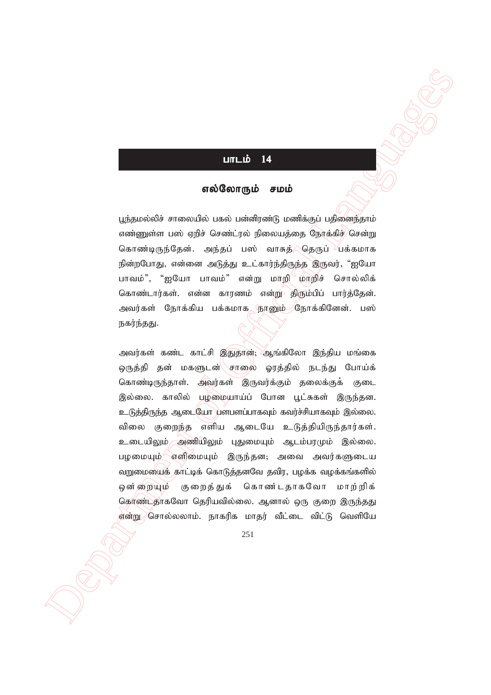# $L$

### எல்லோரும் சமம்

பூந்தமல்லிச் சாலையில் பகல் பன்னிரண்டு மணிக்குப் பதிணைந்தாம் எண்ணுள்ள பஸ் ஏறிச் செண்ட்ரல் நிலையத்தை நோக்கிச் $/$ சென்று கொண்டிருந்தேன். அந்தப் பஸ் வாசுத் இதருப் பக்கமாக நின்றபோது, என்னை அடுத்து உட்கார்ந்திருந்த இருவர், "ஐயோ பாவம்", "ஐயோ பாவம்" என்று மாறி மாறிச் சொல்லிக் கொண்டார்கள். என்ன காரணம் என்று திரும்பிப் பார்த்தேன். அவர்கள் நோக்கிய பக்கமாக <u>நூனு</u>ம் கோக்கினேன். பஸ் நகர்ந்தது.

**UNILE IX**<br> **SECOND CONFIGUES**<br>
SECOND CONFIGUES CONFIGUES CONTINUES CONTINUES CONTINUES CONTINUES CONTINUES CONTINUES CONTINUES CONTINUES CONTINUES CONTINUES CONTINUES CONTINUES CONTINUES CONTINUES CONTINUES CONTINUES CO அவர்கள் கண்ட காட்சி இதுதான்; ஆங்கிலோ இந்திய மங்கை ஒருத்தி தன் மகளுடன்\்சாலை ஓரத்தில் நடந்து போய்க் கொண்டிருந்தாள். அவர்கள் இருவர்க்கும் தலைக்குக் குடை இல்லை. காலில் பழமையாய்ப் போன பூட்சுகள் இருந்தன. உடுத்திருந்த ஆடையோ பளபளப்பாகவும் கவர்ச்சியாகவும் இல்லை. விலை குறைந்த எளிய ஆடையே உடுத்தியிருந்தார்கள். உடையிலும் அணியிலும் புதுமையும் ஆடம்பரமும் இல்லை. பழமையும் வளிமையும் இருந்தன; அவை அவர்களுடைய வறுமையைக் காட்டிக் கொடுத்தனவே தவிர, பழக்க வழக்கங்களில் ஒன்றையும் குறைத்துக் கொண்டதாகவோ மாற்றிக் கொண்டதாகவோ தெரியவில்லை. ஆனால் ஒரு குறை இருந்தது ,என்று) சொல்லலாம். நாகரிக மாதர் வீட்டை விட்டு வெளியே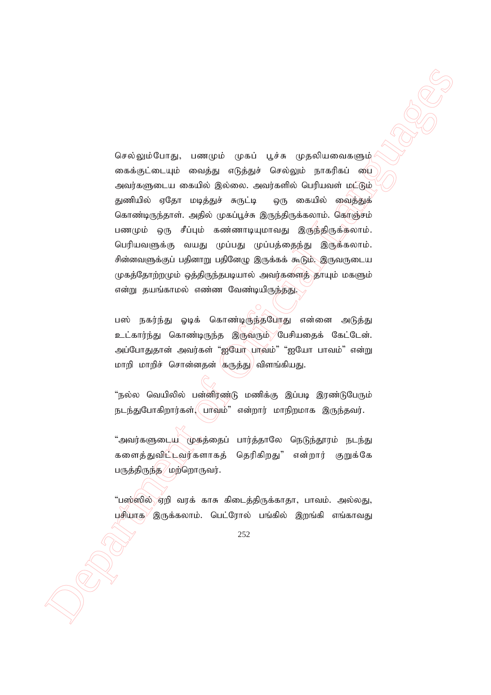Department of Official Languages செல்லும்போது, பணமும் முகப் பூச்சு முதலியவைகளும் கைக்குட்டையும் வைத்து எடுத்துச் செல்லும் நாகரிகப் பை அவர்களுடைய கையில் இல்லை. அவர்களில் பெரியவள் மட்டும் துணியில் ஏதோ மடித்துச் சுருட்டி ஒரு கையில் வைத்துக் கொண்டிருந்தாள். அதில் முகப்பூச்சு இருந்திருக்கலாம். கொஞ்சம் பணமும் ஒரு சீப்பும் கண்ணாடியுமாவது இருந்திருக்கலாம். பெரியவளுக்கு வயது முப்பது முப்பத்தைந்து இருக்கலாம். சின்னவளுக்குப் பதினாறு பதினேழு இருக்கக் கூடும். இருவருடைய முகத்தோற்றமும் ஒத்திருந்தபடியால் அவர்களைத் தாயும் மகளும் என்று தயங்காமல் எண்ண வேண்டியிருந்தது.

பஸ் நகர்ந்து ஓடிக் கொண்டிருந்தபோது என்னை அடுத்து உட்கார்ந்து கொண்டிருந்த இருவரும் பேசியதைக் கேட்டேன். அப்போதுதான் அவர்கள் "ஐயோ பாவம்" "ஐயோ பாவம்" என்று மாறி மாறிச் சொன்னதன் குருத்து/ விளங்கியது.

"நல்ல வெயிலில் பன்னிரண்டு மணிக்கு இப்படி இரண்டுபேரும்  $B$ டந்துபோகிறார்கள் $\langle$  பாவ்ம்" என்றார் மாநிறமாக இருந்தவர்.

"அவர்களுடைய முக்த்தைப் பார்த்தாலே நெடுந்தூரம் நடந்து களைத்துவிட்டவர்களாகத் தெரிகிறது" என்றார் குறுக்கே பருத்திருந்த⁄ மற்றொருவர்.

"பஸ்ஸில் ஏறி வரக் காசு கிடைத்திருக்காதா, பாவம். அல்லது, பசியாக $\sqrt{ }$ இருக்கலாம். பெட்ரோல் பங்கில் இறங்கி எங்காவது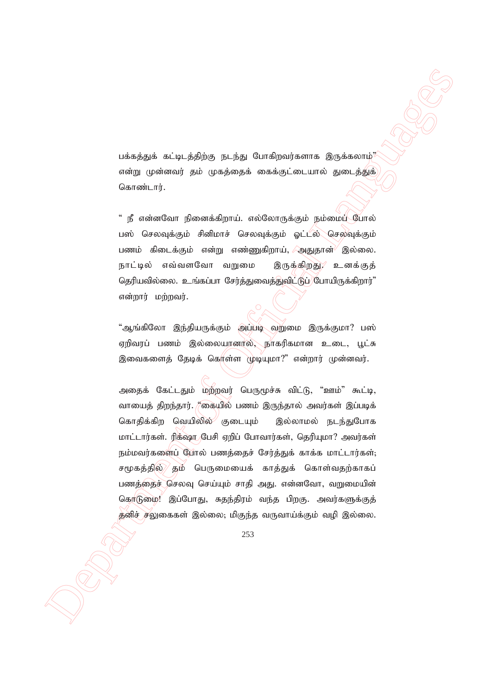பக்கத்துக் கட்டிடத்திற்கு நடந்து போகிறவர்களாக இருக்கலாம் $\frac{3}{2}$ என்று முன்னவர் தம் முகத்தைக் கைக்குட்டையால் துடைத்துக் கொண்டார்.

" நீ என்னவோ நினைக்கிறாய். எல்லோருக்கும் நம்மைப் போல் பஸ் செலவுக்கும் சினிமாச் செலவுக்கும் ஓட்டல் செலவுக்கும் பணம் கிடைக்கும் என்று எண்ணுகிறாய்,  $\Box$ அதுதான் $\Diamond$  இல்லை. நாட்டில் எவ்வளவோ வறுமை இருக்கிறது, உனக்குத் தெரியவில்லை. உங்கப்பா சேர்த்துவைத்துவிட்டுப் போயிருக்கிறார்" என்றார் மற்றவர்.

"ஆங்கிலோ இந்தியருக்கும் அப்படி வறுமை இருக்குமா? பஸ் ஏறிவரப் பணம் இல்லையானர்ல், நாகரிகமான உடை, பூட்சு இவைகளைத் தேடிக் கொள்ள முடியுமா?" என்றார் முன்னவர்.

 Department of Official Languages அதைக் கேட்டதும் மற்றவர் பெருமூச்சு விட்டு, "ஊம்" கூட்டி, வாயைத் திறந்தார். "கையில் பணம் இருந்தால் அவர்கள் இப்படிக் கொதிக்கிற வெயிலில் குடையும் இல்லாமல் நடந்துபோக மாட்டார்கள். ரிக்ஷாருபேசி ஏறிப் போவார்கள், தெரியுமா? அவர்கள் நம்மவர்களைப் போல் பணத்தைச் சேர்த்துக் காக்க மாட்டார்கள்; சமூகத்தில்/ தம் பெருமையைக் காத்துக் கொள்வதற்காகப் பணத்தைச் செலவு செய்யும் சாதி அது. என்னவோ, வறுமையின் கொடுமை! இப்போது, சுதந்திரம் வந்த பிறகு. அவர்களுக்குத் தனிச் சலுகைகள் இல்லை; மிகுந்த வருவாய்க்கும் வழி இல்லை.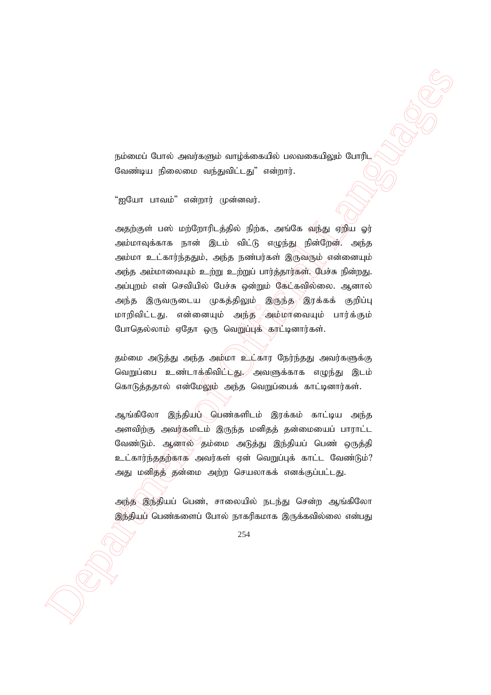நம்மைப் போல் அவர்களும் வாழ்க்கையில் பலவகையிலும் போரிட வேண்டிய நிலைமை வந்துவிட்டது" என்றார்.

"ஐயோ பாவம்" என்றார் முன்னவர்.

yabrasid Curric matrix gigh amplement of a second or any particular formula computer and the second or any particular formula continent of  $\mathcal{B}_2$  and  $\mathcal{B}_3$  and  $\mathcal{B}_4$  and  $\mathcal{B}_5$  and  $\mathcal{B}_6$  and  $\mathcal{B}_7$  a அதற்குள் பஸ் மற்றோரிடத்தில் நிற்க, அங்கே வந்து ஏறிய ஓர் அம்மாவுக்காக நான் இடம் விட்டு எழுந்து நின்றேன். அந்த அம்மா உட்கார்ந்ததும், அந்த நண்பர்கள் இருவரும் என்னையும் அந்த அம்மாவையும் உற்று உற்றுப் பார்த்தார்கள். பேச்சு நின்றது. அப்புறம் என் செவியில் பேச்சு ஒன்றும் கேட்கவில்லை. ஆனால் அந்த இருவருடைய முகத்திலும் இருந்த<sup>ு</sup>இரக்கக் குறிப்பு மாறிவிட்டது. என்னையும் அந்த அம்மாவையும் பார்க்கும் போதெல்லாம் ஏதோ ஒரு வெறுப்புக் கரட்டினார்கள்.

தம்மை அடுத்து அந்த அமீமா உட்கார நேர்ந்தது அவர்களுக்கு வெறுப்பை உண்டாக்கிவிட்டது. அவளுக்காக எழுந்து இடம் கொடுத்ததால் என்மேலும் அந்த வெறுப்பைக் காட்டினார்கள்.

ஆங்கிலோ இந்தியட்ட பெண்களிடம் இரக்கம் காட்டிய அந்த அளவிற்கு அவர்களிடம் இருந்த மனிதத் தன்மையைப் பாராட்ட வேண்டும். ஆனால் தம்மை அடுத்து இந்தியப் பெண் ஒருத்தி உட்கார்ந்ததற்காக<sup>⁄</sup> அவர்கள் ஏன் வெறுப்புக் காட்ட வேண்டும்? அது மனித்தீ தன்மை அற்ற செயலாகக் எனக்குப்பட்டது.

அந்த இந்தியப் பெண், சாலையில் நடந்து சென்ற ஆங்கிலோ இந்தியப் பெண்களைப் போல் நாகரிகமாக இருக்கவில்லை என்பது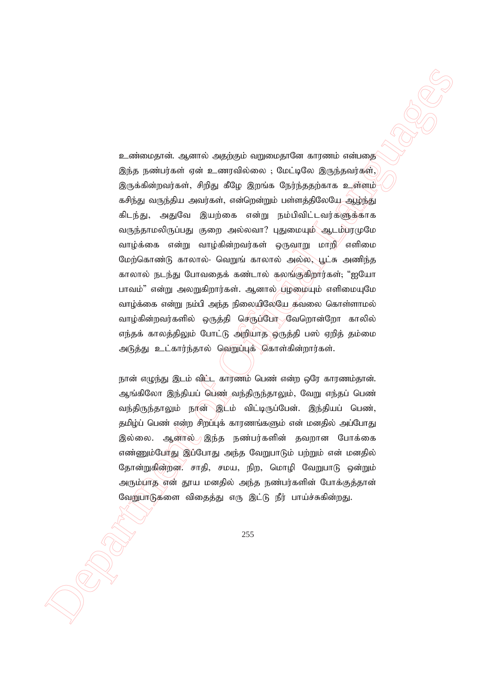Department of Official Languages உண்மைதான். ஆனால் அதற்கும் வறுமைதானே காரணம் என்பதை இந்த நண்பர்கள் ஏன் உணரவில்லை ; மேட்டிலே இருந்தவர்கள், இருக்கின்றவர்கள், சிறிது கீழே இறங்க நேர்ந்ததற்காக உள்ளம் கசிந்து வருந்திய அவர்கள், என்றென்றும் பள்ளத்திலேய<u>ே ஆழ்ந்த</u>ு கிடந்து, அதுவே இயற்கை என்று நம்பிவிட்டவர்களுக்காக வருந்தாமலிருப்பது குறை அல்லவா? புதுமையும் ஆடம்பரமுமே வாழ்க்கை என்று வாழ்கின்றவர்கள் ஒருவாறு மாறி $\!/$  எளிமை மேற்கொண்டு காலால்- வெறுங் காலால் அல்ல, பூட்சு அணிந்த காலால் நடந்து போவதைக் கண்டால் கலங்குகிறார்கள்; "ஐயோ பாவம்" என்று அலறுகிறார்கள். ஆனால் புழமையும் எளிமையுமே வாழ்க்கை என்று நம்பி அந்த நிலையிலேயே கவலை கொள்ளாமல் வாழ்கின்றவர்களில் ஒருத்தி செருப்போ வேறொன்றோ காலில் எந்தக் காலத்திலும் போட்டு அறியாத ஒருத்தி பஸ் ஏறித் தம்மை அடுத்து உட்கார்ந்தால் ஹெப்புக் கொள்கின்றார்கள்.

நான் எழுந்து இடம் விட்ட காரணம் பெண் என்ற ஒரே காரணம்தான். ஆங்கிலோ இந்தியப் பெண் வந்திருந்தாலும், வேறு எந்தப் பெண் வந்திருந்தாலும் நான் இடம் விட்டிருப்பேன். இந்தியப் பெண், தமிழ்ப் பெண் என்ற சிறப்புக் காரணங்களும் என் மனதில் அப்போது இல்லை. ஆனால் இந்த நண்பர்களின் தவறான போக்கை எண்ணும்போது இப்போது அந்த வேறுபாடும் பற்றும் என் மனதில் தோன்றுகின்றன. சாதி, சமய, நிற, மொழி வேறுபாடு ஒன்றும் அரும்பாத என் தூய மனதில் அந்த நண்பர்களின் போக்குத்தான் வேறுபாடுகளை விதைத்து எரு இட்டு நீர் பாய்ச்சுகின்றது.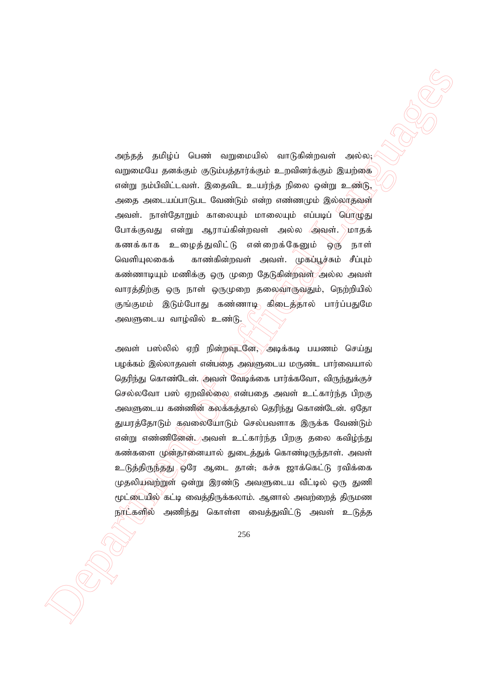அந்தத் தமிழ்ப் பெண் வறுமையில் வாடுகின்றவள் அல்ல; வறுமையே தனக்கும் குடும்பத்தார்க்கும் உறவினர்க்கும் இயற்கை என்று நம்பிவிட்டவள். இதைவிட உயர்ந்த நிலை ஒன்று உண்டு, அதை அடையப்பாடுபட வேண்டும் என்ற எண்ணமும் இல்லாதவுள் அவள். நாள்தோறும் காலையும் மாலையும் எப்படிப் பொழுது போக்குவது என்று ஆராய்கின்றவள் அல்ல ⁄அவள். மாதக் கணக்காக உழைத்துவிட்டு என்றைக்கேனும் ஒரு நாள் வெளியுலகைக் காண்கின்றவள் அவள். முகப்பூச்சும் சீப்பும் கண்ணாடியும் மணிக்கு ஒரு முறை தேடுகின்றவுள் அல்ல அவள் வாரத்திற்கு ஒரு நாள் ஒருமுறை தலைவாருவதும், நெற்றியில் குங்குமம் இடும்போது கண்ணாடி கிடைத்தால் பார்ப்பதுமே அவளுடைய வாழ்வில் உண்டு.

onthesis publicial Eurosia supposessions sumpares in a specific sumpare of  $\alpha$ <br>
sumpare in a public of Official Languages in the system of  $\alpha$ <br>
sumpare in a public of Official Language sumpare in the system of  $\alpha$ <br>
s அவள் பஸ்லில் ஏறி நின்றவுடனே, அடிக்கடி பயணம் செய்து பழக்கம் இல்லாதவள் என்பதை அவளுடைய மருண்ட பார்வையால் தெரிந்து கொண்டேன். அவள் வேடிக்கை பார்க்கவோ, விருந்துக்குச் செல்லவோ பஸ் ஏறவில்லை என்பதை அவள் உட்கார்ந்த பிறகு அவளுடைய கண்ணின் கலக்கத்தால் தெரிந்து கொண்டேன். ஏதோ துயரத்தோடும் கவலையோடும் செல்பவளாக இருக்க வேண்டும் என்று எண்ணிணேன். அவள் உட்கார்ந்த பிறகு தலை கவிழ்ந்து கண்களை முன்தானையால் துடைத்துக் கொண்டிருந்தாள். அவள் உடுத்திருந்தது) ஒரே ஆடை தான்; கச்சு ஜாக்கெட்டு ரவிக்கை முதலியவற்றுள் ஒன்று இரண்டு அவளுடைய வீட்டில் ஒரு துணி மூட்டையில் கட்டி வைத்திருக்கலாம். ஆனால் அவற்றைத் திருமண நரட்களில் அணிந்து கொள்ள வைத்துவிட்டு அவள் உடுத்த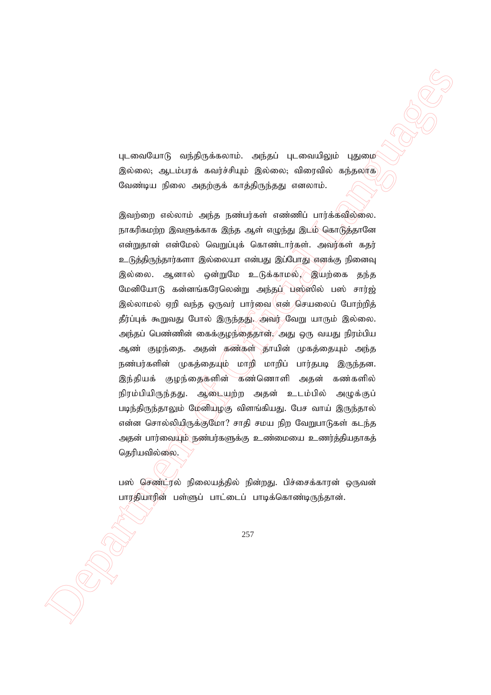புடவையோடு வந்திருக்கலாம். அந்தப் புடவையிலும் புதுமை இல்லை; ஆடம்பரக் கவர்ச்சியும் இல்லை; விரைவில் கந்தலாக வேண்டிய நிலை அதற்குக் காத்திருந்தது எனலாம்.

 Department of Official Languages இவற்றை எல்லாம் அந்த நண்பர்கள் எண்ணிப் பார்க்கவில்லை. நாகரிகமற்ற இவளுக்காக இந்த ஆள் எழுந்து இடம் கொடுத்தானே என்றுதான் என்மேல் வெறுப்புக் கொண்டார்கள். அவர்கள் கதர் உடுத்திருந்தார்களா இல்லையா என்பது இப்போது எனக்கு நினைவு இல்லை. ஆனால் ஒன்றுமே உடுக்காமல், இயற்கை தந்த மேனியோடு கன்னங்கரேலென்று அந்தப்<sup>/</sup> பஸ்ஸில் பஸ் சார்ஜ் இல்லாமல் ஏறி வந்த ஒருவர் பார்வை $\langle$ என் $\rangle$ செயலைப் போற்றித் தீர்ப்புக் கூறுவது போல் இருந்தது. அவர் வேறு யாரும் இல்லை. அந்தப் பெண்ணின் கைக்குழந்தைதான்,⁄ அது ஒரு வயது நிரம்பிய ஆண் குழந்தை. அதன் கண்கள் தாயின் முகத்தையும் அந்த நண்பர்களின் முகத்தையும் மாறி மாறிப் பார்தபடி இருந்தன. இந்தியக் குழந்தைகளின் கண்ணொளி அதன் கண்களில் நிரம்பியிருந்தது. ஆடையற்ற அதன் உடம்பில் அமுக்குப் படிந்திருந்தாலும் மேனியழகு விளங்கியது. பேச வாய் இருந்தால் என்ன சொல்லியிருக்குமோ? சாதி சமய நிற வேறுபாடுகள் கடந்த அதன் பார்வையும் நண்பர்களுக்கு உண்மையை உணர்த்தியதாகத் தெரியவில்லை.

பஸ் செண்ட்ரல் நிலையத்தில் நின்றது. பிச்சைக்காரன் ஒருவன் பாரதியாரின் பள்ளுப் பாட்டைப் பாடிக்கொண்டிருந்தான்.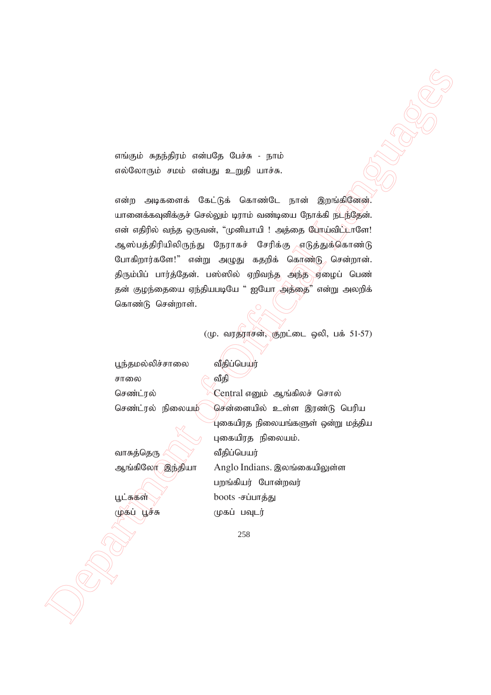எங்கும் சுதந்திரம் என்பதே பேச்சு - நாம் எல்லோரும் சமம் என்பது உறுதி யாச்சு.

ανάφού παράφθριο υπόκειθας Ωιώνα - γρατό <br>
ανάφου παρακτικά θα ίζε Ο από του προϊόπου της Αργάρια (πολ.<br>
παρακτικά στο Παρακτικά Θα ίδρα Οαπεσία Δημείος Παρακτικά Παρακτικά (πολ.<br>
παρακτικά θα παρακτικά θα ίδρα στο Παρα என்ற அடிகளைக் கேட்டுக் கொண்டே நான் இறங்கிணேன். யானைக்கவுனிக்குச் செல்லும் டிராம் வண்டியை நோக்கி நடந்தேன். என் எதிரில் வந்த ஒருவன், "முனியாயி ! அத்தை போய்விட் $\mathcal L$ ாளே! ஆஸ்பத்திரியிலிருந்து நேராகச் சேரிக்கு எடுத்துக்கொண்டு போகிறார்களே!" என்று அழுது கதறிக் கொண்டு சென்றான். திரும்பிப் பார்த்தேன். பஸ்ஸில் ஏறிவந்த அந்த ஏழைப் பெண் தன் குழந்தையை ஏந்தியபடியே " ஐயோ அத்தை" என்று அலறிக் கொண்டு சென்றாள்.

 $((\mu, \text{ any})$ நூசன், குறட்டை ஒலி, பக் 51-57)

பூந்தமல்லிச்சாலை வீதிப்பெயர் சாலை  $\theta$  வீகி

வாசுத்தெரு $\mathbb{R}\setminus\mathbb{R}$  வீதிப்பெயர்

செண்ட்ரல் **Central எனும் ஆங்கிலச் சொல்** செண்ட்ரல் நிலையம் `` சென்னையில் உள்ள இரண்டு பெரிய  $\hat{q}$ புகையிரத நிலையங்களுள் ஒன்று மத்திய புகையிரத நிலையம். ஆங்கிலோ இந்தியா Anglo Indians. இலங்கையிலுள்ள பறங்கியர் போன்றவர் பூட்சுகள் $\bigvee$  boots -சப்பாத்து (ழகப் பூச்சு ) முகப் பவுடர்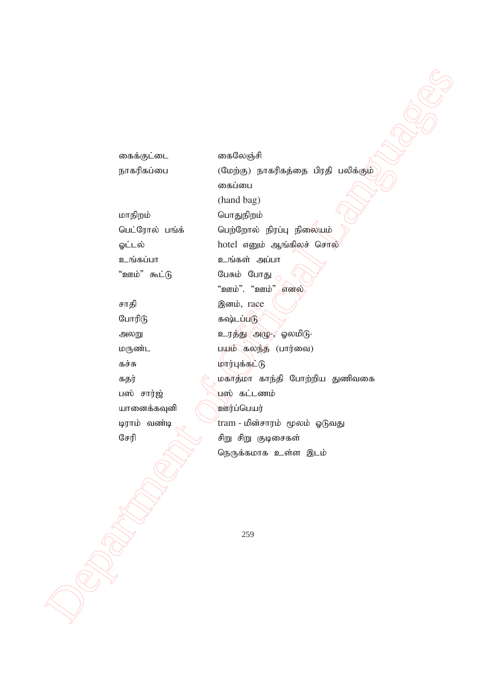Department of Official Languages கைக்குட்டை கைலேஞ்சி நாகரிகப்பை (மேற்கு) நாகரிகத்தை பிரதி பலிக்கும் கைப்பை (hand bag) மாநிறம் வாதுநிறம் பெட்ரோல் பங்க் பெற்றோல் நிரப்பு நிலையும் ஓட்டல் hotel எனும் ஆங்கிலச் சொல் உங்கப்பா உங்கள் அப்பா "ஊம்" கூட்டு பேசும் போது அ "ஊம்". "ஊம்" எனல் சாதி கூறு இனம், race போரிடு கல்டப்படு $\delta$ அலறு *உ*ரத்து $\chi$ அழு- $\chi$  ஓலமிடு-மருண்ட மயம் கலந்த (பார்வை) கச்சு மார்புக்கட்டு கதர் $\beta$  மகாத்மா காந்தி போற்றிய துணிவகை பஸ் சார்ஜ் , வெல் கட்டணம் யானைக்கவுனி (அன்ர்ப்பெயர் டிராம் வண்டி $\begin{pmatrix} \frac{1}{2} & \frac{1}{2} \\ \frac{1}{2} & \frac{1}{2} \end{pmatrix}$  tram - மின்சாரம் மூலம் ஓடுவது சேரி கூல சிறு சிறு குடிசைகள் நெருக்கமாக உள்ள இடம்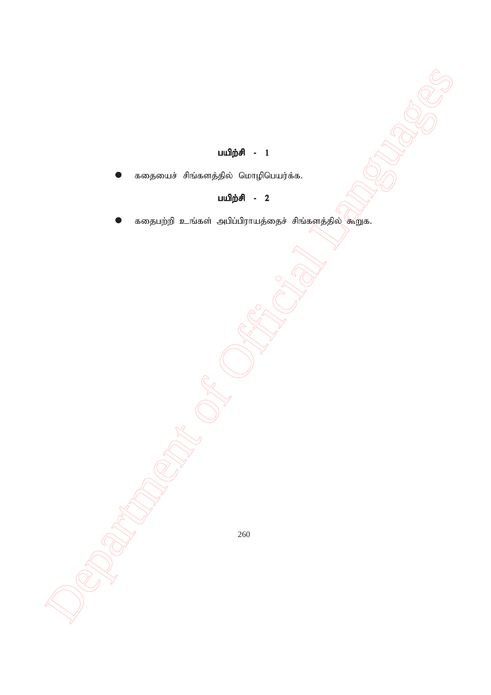## பயிற்சி -  $1$

கதையைச் சிங்களத்தில் மொழிபெயர்க்க.

## பயிற்சி - 2

 Department of Official Languages கதைபற்றி உங்கள் அபிப்பிராயத்தைச் சிங்களத்தில் கூறுக.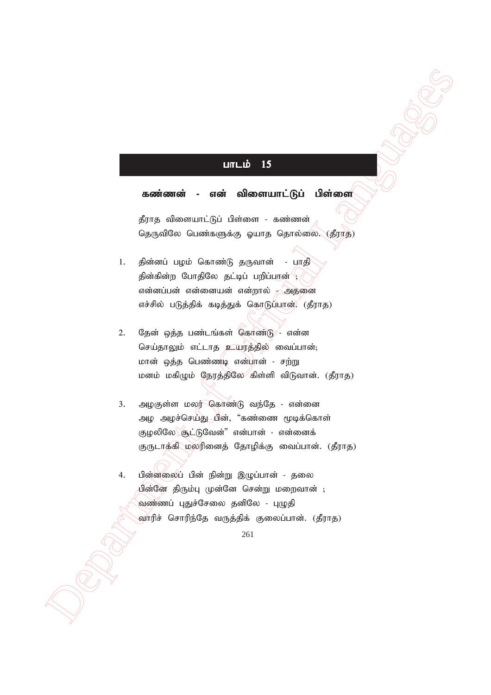#### $L$ m $L$ ம் 15

#### கண்ணன் - என் விளையாட்டுப் பிள்ளை

தீராத விளையாட்டுப் பிள்ளை - கண்ணன் தெருவிலே பெண்களுக்கு ஓயாத தொல்லை. (தீராத)

- 1. தின்னப் பழம் கொண்டு தருவான் பாதி தின்கின்ற போதிலே தட்டிப் பறிப்பான் <sup>(</sup> என்னப்பன் என்னையன் என்றால் - அதனை எச்சில் படுத்திக் கடித்துக் கொடுப்பான். (தீராத)
- 2. தேன் ஒத்த பண்டங்கள் கொண்டு என்ன செய்தாலும் எட்டாத உயரத்தில் வைப்பான்; மான் ஒத்த பெண்ணடி என்பான் - சற்று மனம் மகிழும் நேரத்திலே கிள்ளி விடுவான். (தீராத)
- **Unrub IS**<br> **A. contextual A.** context of Official Languages<br>
furns also context of Official Languages of Context<br>
Englished C. Cutarinages also guarts Generation (57%)<br>
L. given the Laguage Security of Context of The Con 3. அழகுள்ள மலர் கொண்டு வந்தே - என்னை அழ அழச்செய்து மின், "கண்ணை மூடிக்கொள் குழலிலே சூட்டுவேன்" என்பான் - என்னைக் குருடாக்கி மலரினைத் தோழிக்கு வைப்பான். (தீராத)
	- 4. பின்னலைப் பின் நின்று இழுப்பான் தலை <u>பின்</u>னே திரும்பு முன்னே சென்று மறைவான் ; வண்ணப் புதுச்சேலை தனிலே - புழுதி வாரிச் சொரிந்தே வருத்திக் குலைப்பான். (தீராத)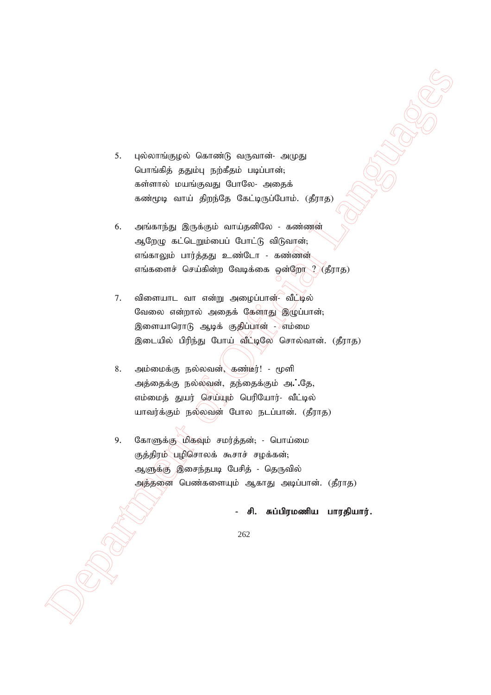- 5. புல்லாங்குழல் கொண்டு வருவான்- அமுது பொங்கித் ததும்பு நற்கீதம் படிப்பான்; கள்ளால் மயங்குவது போலே- அதைக் கண்மூடி வாய் திறந்தே கேட்டிருப்போம். (தீராத)
- 6. அங்காந்து இருக்கும் வாய்தனிலே கண்ணன் ஆறேழு கட்டெறும்பைப் போட்டு விடுவான்; எங்காலும் பார்த்தது உண்டோ - கண்ணன் எங்களைச் செய்கின்ற வேடிக்கை ஒன்றோ $\mathcal{R}\left(\mathcal{L}\right)$ ராத)
- Department of Official Languages 7. விளையாட வா என்று அழைப்பான்- வீட்டில் வேலை என்றால் அதைக் கேளர்து இழுப்பான்; இளையாரொடு ஆடிக் குதிப்பான் - எம்மை இடையில் பிரிந்து போய் வீட்டிலே சொல்வான். (தீராத)
	- 8. அம்மைக்கு நல்லவன், கண்டீர்! மூளி அத்தைக்கு நல்லவன், தந்தைக்கும் அ. தே, எம்மைத் துயர் செய்யும் பெரியோர்- வீட்டில் யாவர்க்கும் நல்லவன் போல நடப்பான். (கீராக)
	- 9. கோளுக்கு மிகவும் சமர்த்தன்; பொய்மை குத்திரம் பழிசொலக் கூசாச் சழக்கன்; ஆளுக்கு )இசைந்தபடி பேசித் - தெருவில் அத்தனை பெண்களையும் ஆகாது அடிப்பான். (தீராத)

#### சி. சுப்பிரமணிய பாரதியார்.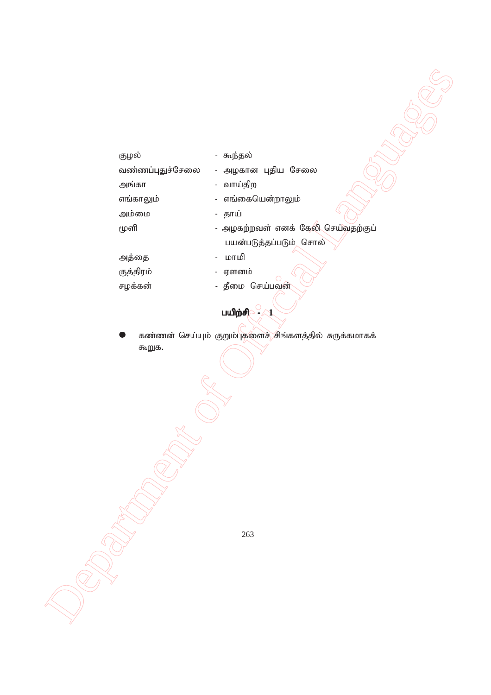| குழல்            | - கூந்தல்                                               |
|------------------|---------------------------------------------------------|
| வண்ணப்புதுச்சேலை | - அழகான புதிய சேலை                                      |
| அங்கா            | - வாய்திற                                               |
| எங்காலும்        | - எங்கையென்றாலும்                                       |
| அம்மை            | - தாய்                                                  |
| மூளி             | - அழகற்றவள் எனக் கேலி செய்வதற்குப்                      |
|                  | பயன்படுத்தப்படும் சொல்                                  |
| அத்தை            | மாமி<br>$\overline{\phantom{a}}$                        |
| குத்திரம்        | - ஏளனம்                                                 |
| சழக்கன்          | - தீமை செய்பவன்                                         |
|                  |                                                         |
|                  | <b>பயிற்சி</b><br>4                                     |
|                  | கண்ணன் செய்யும் குறும்புகளைச் சிங்களத்தில் சுருக்கமாகக் |
| கூறுக.           |                                                         |
|                  |                                                         |
|                  |                                                         |
|                  |                                                         |
|                  |                                                         |
|                  |                                                         |
|                  |                                                         |
|                  |                                                         |
|                  |                                                         |
|                  |                                                         |
|                  |                                                         |
|                  |                                                         |
|                  |                                                         |
|                  |                                                         |
|                  | 263                                                     |
|                  |                                                         |
|                  |                                                         |
|                  |                                                         |
|                  |                                                         |
|                  |                                                         |
|                  |                                                         |
|                  |                                                         |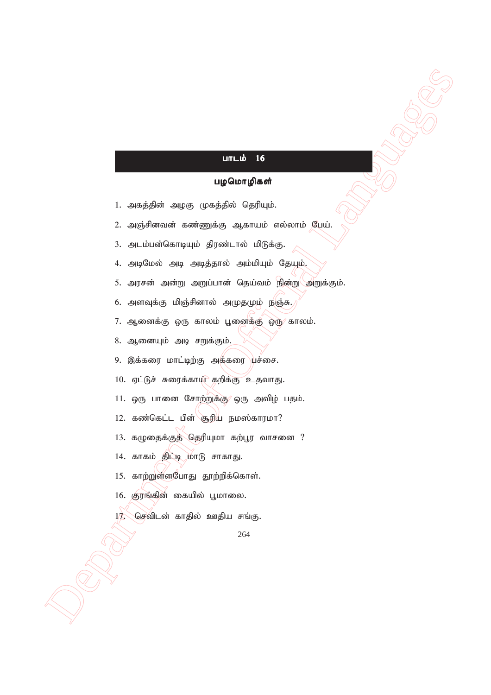### பாடம்  $16$

#### பழமொழிகள்

- 1. அகத்தின் அழகு முகத்தில் தெரியும்.
- 2. அஞ்சினவன் கண்ணுக்கு ஆகாயம் எல்லாம் பேய்.
- 3. அடம்பன்கொடியும் திரண்டால் மிடுக்கு.
- 4. அடிமேல் அடி அடித்தால் அம்மியும் தேயும்.
- **Department of Controlling Controlling Controlling Controlling Controlling Controlling Controlling Controlling Controlling Controlling Controlling Controlling Controlling Controlling Controlling Controlling Controlling Co** 5. அரசன் அன்று அறுப்பான் தெய்வம் நின்று அறுக்கும்.
	- $6.$  அளவுக்கு மிஞ்சினால் அமுதமும் நஞ்சு.)
	- 7. ஆனைக்கு ஒரு காலம் பூனைக்கு ஒரு காலம்.
	- 8. ஆனையும் அடி சறுக்கும்.
	- 9. இக்கரை மாட்டிற்கு அக்கரை பச்சை.
	- 10. ஏட்டுச் சுரைக்காய் கறிக்கு உதவாது.
	- $11.$  ஒரு பானை சோற்றுக்கு $\gamma$  ஒரு அவிழ் பதம்.
	- 12. கண்கெட்ட பின் சூரிய நமஸ்காரமா?
	- 13. கழுதைக்குத் தெரியுமா கற்பூர வாசனை ?
	- 14. காகம் திட்டி மாடு சாகாது.
	- 15. காற்றுள்ளபோது தூற்றிக்கொள்.
	- 16. குரங்கின் கையில் பூமாலை.
	- $17$ . செவிடன் காதில் ஊதிய சங்கு.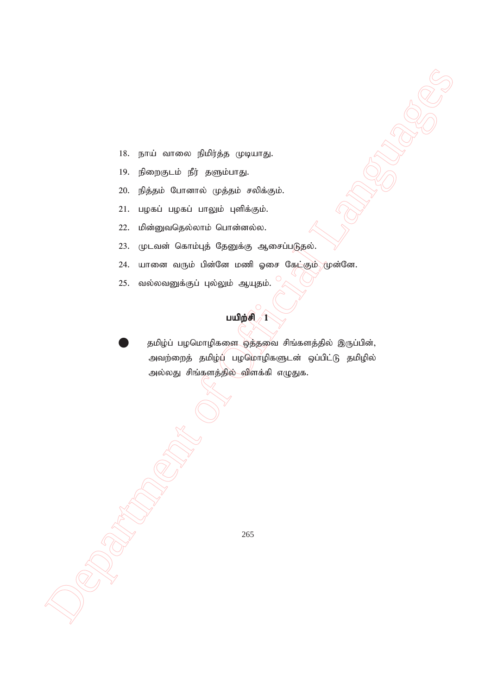- 18. நாய் வாலை நிமிர்த்த முடியாது.
- 19. நிறைகுடம் நீர் தளும்பாது.
- 20. நித்தம் போனால் முத்தம் சலிக்கும்.
- 21. பழகப் பழகப் பாலும் புளிக்கும்.
- 22. மின்னுவதெல்லாம் பொன்னல்ல.
- 23. முடவன் கொம்புத் தேனுக்கு ஆசைப்படுதல்.
- 24. யானை வரும் பின்னே மணி ஓசை கேட்கும் முன்னே.
- 25. வல்லவனுக்குப் புல்லும் ஆயுதம்.

## பயிற் $\epsilon$  $\sqrt{1}$

18. parti sammen (political computer).<br>
19. particular for acquisiting.<br>
19. particular department of Academic Contributions.<br>
21. impact ingress including the Acquisition (computer).<br>
22. although a final computer partic தமிழ்ப் பழமொழிகளை ஒத்தவை சிங்களத்தில் இருப்பின், அவற்றைத் தமிழ்ப் பழமொழிகளுடன் ஒப்பிட்டு தமிழில் அல்லது சிங்களத்தில் விளக்கி எழுதுக.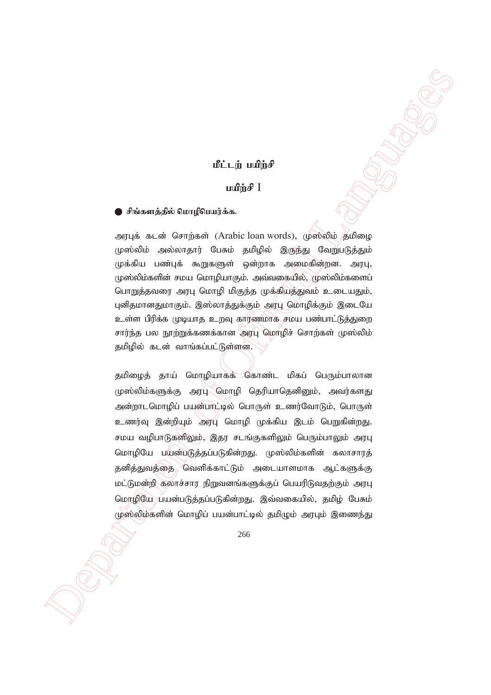#### நீட்டம் பயிர்சி

#### uufing I

#### ு சிங்களத்தில் மொழிபெயர்க்க.

அரபுக் கடன் சொற்கள் (Arabic loan words), முஸ்லிம் தமிழை முஸ்லிம் அல்லாதார் பேசும் தமிழில் இருந்து வேறுபடுத்தும் முக்கிய பண்புக் கூறுகளுள் ஒன்றாக அமைகின்றன. அரபு,  $\mu$ ஸ்லிம்களின் சமய மொழியாகும். அவ்வகையில், முஸ்லிம்களைப் பொறுத்தவரை அரபு மொழி மிகுந்த முக்கியத்துவம் உடையதும், புனிதமானதுமாகும். இஸ்லாத்துக்கும் அரபு மொழிக்கும் இடையே உள்ள பிரிக்க முடியாத உறவு காரணமாக சமய பண்பாட்டுத்துறை சார்ந்த பல நூற்றுக்கணக்கான அரபு மொழிச் சொற்கள் முஸ்லிம் தமிழில் கடன் வாங்கப்பட்டுள்ளன.

 $\label{eq:22} \begin{array}{ll} \mbox{\bf R1. i}, \dot{y}, \text{ and } \dot{y}_0 \in \mathbb{R}^n \longrightarrow \mathbb{R}^n \longrightarrow \mathbb{R}^n \longrightarrow \mathbb{R}^n \longrightarrow \mathbb{R}^n \longrightarrow \mathbb{R}^n \longrightarrow \mathbb{R}^n \longrightarrow \mathbb{R}^n \longrightarrow \mathbb{R}^n \longrightarrow \mathbb{R}^n \longrightarrow \mathbb{R}^n \longrightarrow \mathbb{R}^n \longrightarrow \mathbb{R}^n \longrightarrow \mathbb{R}^n \longrightarrow \mathbb{R}^n \longrightarrow \mathbb{R}^n \longrightarrow \mathbb{R}^n \longrightarrow \mathbb{R}^$ தமிழைத் தாய் மொழியாகக் கொண்ட மிகப் பெரும்பாலான முஸ்லிம்களுக்கு அரப் மொழி தெரியாதெனினும், அவர்களது அன்றாடமொழிப் பயன்பாட்டில் பொருள் உணர்வோடும், பொருள் உணர்வு இன்றியும் அரபு மொழி முக்கிய இடம் பெறுகின்றது. சமய வழிபாடுகளிலும், இதர சடங்குகளிலும் பெரும்பாலும் அரபு மொழியே பயன்படுத்தப்படுகின்றது. முஸ்லிம்களின் கலாசாரத் தனித்துவத்தை\ <sup>)</sup>வெளிக்காட்டும் அடையாளமாக ஆட்களுக்கு மட்டுமன்றி கலாச்சார நிறுவனங்களுக்குப் பெயரிடுவதற்கும் அரபு மொழியே பயன்படுத்தப்படுகின்றது. இவ்வகையில், தமிழ் பேசும் முஸ்லிம்களின் மொழிப் பயன்பாட்டில் தமிழும் அரபும் இணைந்து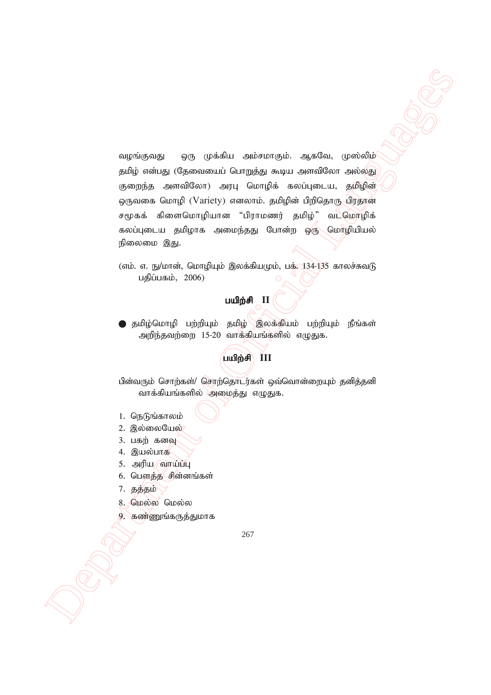$\label{eq:2.1} \begin{array}{ll} \mbox{supmin}_{\mathcal{B} \in \mathcal{B}} \; & \mbox{supmin}_{\mathcal{B} \in \mathcal{B}} \; & \mbox{supmax}_{\mathcal{B} \in \mathcal{B}} \; & \mbox{supmax}_{\mathcal{B} \in \mathcal{B}} \; & \mbox{supmax}_{\mathcal{B} \in \mathcal{B}} \; \\ \mbox{supmax}_{\mathcal{B} \in \mathcal{B}} \; & \mbox{supmax}_{\mathcal{B} \in \mathcal{B}} \; & \mbox{supmax}_{\mathcal{B} \in \mathcal{B}} \; & \mbox{supmax}_{\mathcal{B$ வழங்குவது ஒரு முக்கிய அம்சமாகும். ஆகவே, முஸ்லிழ் தமிழ் என்பது (தேவையைப் பொறுத்து கூடிய அளவிலோ அல்லது குறைந்த அளவிலோ) அரபு மொழிக் கலப்புடைய, தமிழின் ஒருவகை மொழி (Variety) எனலாம். தமிழின் பிறிதொரு–பிரதான் சமூகக் கிளைமொழியான "பிராமணர் தமிழ்" வடமொழிக் கலப்புடைய தமிழாக அமைந்தது போன்ற ஒரு மொழியியல் நிலைமை இது.

(எம். எ. நு/மான், மொழியும் இலக்கியமும், பக் $\sim$ 134-135 காலச்சுவடு பகிப்பகம்,  $2006$ )

#### gapw;rp **II**

 jkpo;nkhop gw;wpAk; jkpo; ,yf;fpak; gw;wpAk; ePq;fs; அறிந்தவற்றை 15-20 வாக்கியங்களில் எழுதுக.

# $\overline{\mathbf{u}}$ யிற்சி  $\overline{\mathbf{H}}$

பின்வரும் சொற்கள்/ சொற்தொடர்கள் ஒவ்வொன்றையும் தனித்தனி வாக்கியங்களில் `அமைத்து எழுதுக.

- 1. நெடுங்காலம்
- 2. இல்லையேல்
- 3. பகற்கனவு
- $4.$  இயல்பாக்
- $5.$   $\Theta$ ரிய வாய்ப்பு
- $6.$  பௌத்த $\epsilon$ சின்னங்கள்
- 7. தத்தம்
- 8. மெல்ல மெல்ல
- 9. கண்ணுங்கருத்துமாக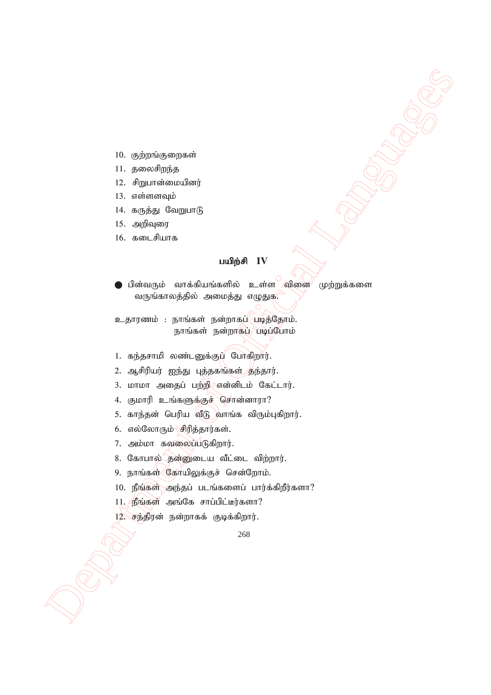- 10. குற்றங்குறைகள்
- $11.$  தலைசிறந்த
- 12. சிறுபான்மையினர்
- $13.$  எள்ளளவும்
- $14.$  கருத்து வேறுபாடு
- $15.$  அறிவுரை
- $16.$  கடைசியாக

#### $\mu$ யிற்சி  $\text{IV}$

- Department of Official Languages of Office<br>
2. Algo residence and the second of Algo Residence and the second of Official Language<br>
1. Algo residence and the second of Official Languages and Algo Residence and Algo Reside பின்வரும் வாக்கியங்களில் உள்ள வினை முற்றுக்களை வருங்காலத்தில் அமைத்து எழுதுக*.* 
	- உதாரணம் : நாங்கள் நன்றாகப் படித்தோம். நாங்கள் நன்றாகப் படிப்போம்
	- 1. கந்தசாமி லண்டனுக்குப் போகிறார்.
	- 2. ஆசிரியர் ஐந்து புத்தகங்கள் தந்தார்.
	- $3.$  மாமா அதைப் பற்றி $\ell$ என்னிடம் கேட்டார்.
	- 4. குமாரி உங்களுக்குச் சொன்னாரா?
	- 5. காந்தன் பெரிய வீடு வாங்க விரும்புகிறார்.
	- 6. எல்லோரும் $\sqrt{2\pi}$ ரித்தார்கள்.
	- 7. அம்மா கவலைப்படுகிறார்.
	- 8. கோபால் தன்னுடைய வீட்டை விற்றார்.
	- 9. நாங்கள் கோயிலுக்குச் சென்றோம்.
	- $10.$  நீங்கள் அந்தப் படங்களைப் பார்க்கிறீர்களா?
	- $11.$   $B$ ங்கள் அங்கே சாப்பிட்டீர்களா?
	- $12.$  சந்திரன் நன்றாகக் குடிக்கிறார்.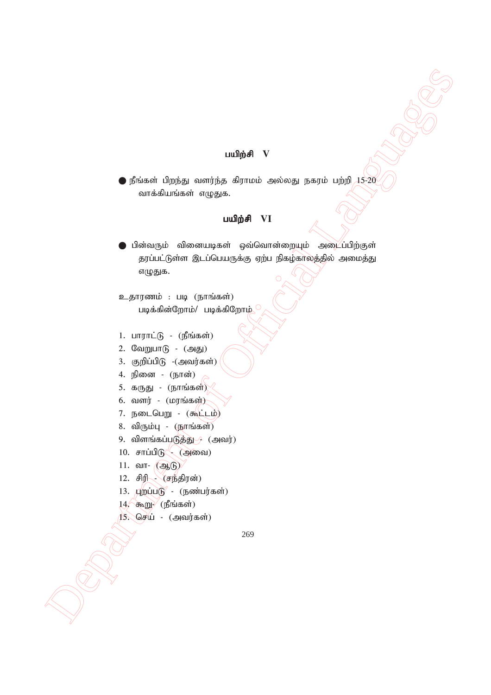#### $u$ யிற்சி  $V$

 $\bullet$  நீங்கள் பிறந்து வளர்ந்த கிராமம் அல்லது நகரம் பற்றி  $15\text{-}20$ வாக்கியங்கள் எழுதுக.

#### **பயிற்சி VI**

 $\begin{minipage}[c]{0.9cm} {\footnotesize \begin{tabular}{|c|c|} \hline & \multicolumn{3}{|c|}{\hline \multicolumn{3}{c}{\hline \multicolumn{3}{c}{\hline \multicolumn{3}{c}{\hline \multicolumn{3}{c}{\hline \multicolumn{3}{c}{\hline \multicolumn{3}{c}{\hline \multicolumn{3}{c}{\hline \multicolumn{3}{c}{\hline \multicolumn{3}{c}{\hline \multicolumn{3}{c}{\hline \multicolumn{3}{c}{\hline \multicolumn{3}{c}{\hline \multicolumn{3}{c}{\hline \multicolumn{3}{c}{\hline \multicolumn$  $\bigodot$  பின்வரும் வினையடிகள் ஒவ்வொன்றையும் அழைப்பிற்குள் தரப்பட்டுள்ள இடப்பெயருக்கு ஏற்ப நிகழ்காலத்தில் அமைத்து எழுதுக.

உதாரணம் : படி (நாங்கள்) படிக்கின்றோம்/ படிக்கிறோம் $\gamma$ 

- $1.$  பாராட்டு (நீங்கள்)
- $2.$  வேறுபா $($  $6 ($ அது $)$
- 3. குறிப்பி $(\beta)$  - $(\alpha)$ வர்கள்)
- 4. நினை (நான்)
- 5. கருது (நாங்கள்)
- $6.$  வளர்  $($ மரங்கள் $)$
- 7. நடைபெறு (கூட்டம்)
- 8. விரும்பு  $(f_{\rm B}$ ரங்கள் $)$
- 9. விளங்கப்படுத்து / (அவர்)
- $10.$  சாப்பிடு $\sim$  (அவை)
- $11.$  வா- $\bigcirc$ ஆடு)
- 12.  $\theta$
- $13.$   $\mu$ றப்படு (நண்பர்கள்)
- $14.$  கூறு $/$  (நீங்கள்)
- $15.$  செய் (அவர்கள்)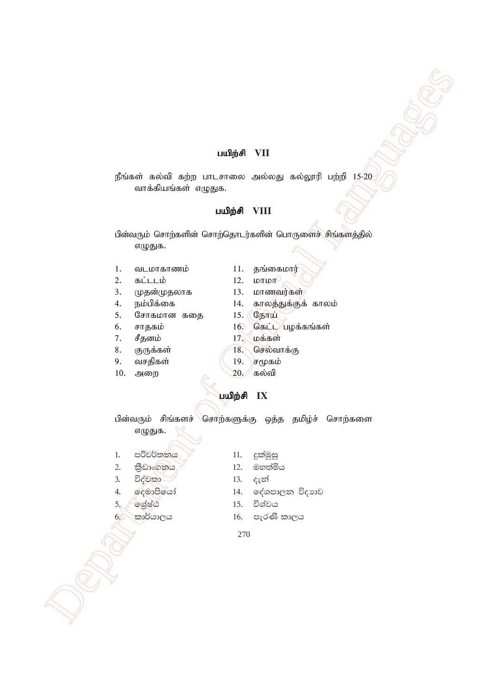#### gapw;rp **VII**

நீங்கள் கல்வி கற்ற பாடசாலை அல்லது கல்லூரி பற்றி  $15\text{-}20$ வாக்கியங்கள் எழுதுக.

#### gapw;rp **VIII**

 Department of Official Languages பின்வரும் சொற்களின் சொற்தொடர்களின் பொருளைச் சிங்களத்தில் எழுதுக.

- 1. வடமாகாணம்  $11.$  தங்கைமார்
- 2.  $\overline{a}$   $\overline{b}$   $\overline{c}$   $\overline{c}$   $\overline{d}$   $\overline{d}$   $\overline{d}$   $\overline{d}$   $\overline{d}$   $\overline{d}$   $\overline{d}$   $\overline{d}$   $\overline{d}$   $\overline{d}$   $\overline{d}$   $\overline{d}$   $\overline{d}$   $\overline{d}$   $\overline{d}$   $\overline{d}$   $\overline{d}$   $\overline{d}$   $\overline{d}$   $\overline{d}$   $\$
- 3. முதன்முதலாக 13. மாணவர்கள்
- 
- 5. சோகமான கதை 15. (நோய்)
- 
- $7.$  சீதனம்  $17.$  மக்கள்
- 
- 9. வசதிகள்  $(19.)$ சமூகம்
- 10. அறை  $20.$  கல்வி
- 
- 
- 4. ek;gpf;if 14. fhyj;Jf;Ff; fhyk;
	-
- 6. சாதகம்  $16$ . கெட்ட $\overline{\phantom{a}}$ பழக்கங்கள்
	-
- 8. குருக்கள் 78. செல்வாக்கு
	-
	-

 $\mu$ யிற்சி IX

பின்வரும் சிங்களச் சொற்களுக்கு ஒத்த தமிழ்ச் சொற்களை எழுதுக.

- 1. පරිවර්තනය <sup>7</sup> 11. දුක්මුසු
- 2. කිඩාංගනය / 12. මහත්මිය
- 3. විද්වතා $\bigcup$  13.  $\epsilon_7$ න්
- 
- 
- 
- 
- 
- 
- 4. දෙමාපියෝ 14. දේශපාලන විදාහව
- 5. **fooded** 15. විශ්වය
- $6$ ් කාර්යාලය  $16.$  පැරණි කාලය
	- 270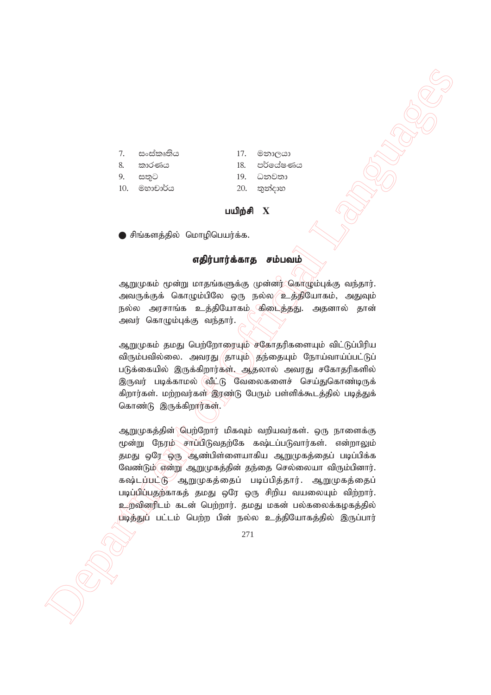- 
- 7. සංස්කෘතිය 17. මනාලයා
- 8' ldrKh 18' m¾fhaIKh
	-
- 
- 9. සතුට 19. ධනවතා
- 10. මහාචාර්ය 20. තුන්දාහ

#### $\boldsymbol{\mu}$ யிற்சி  $\boldsymbol{X}$

 $\bullet$  சிங்களத்தில் மொழிபெயர்க்க.

#### எதிர்பார்க்காத சம்பவம்

ஆறுமுகம் மூன்று மாதங்களுக்கு முன்னர் கொழும்புக்கு வந்தார். அவருக்குக் கொழும்பிலே ஒரு நல்ல*⁄ு*உத்தியோகம், அதுவும் நல்ல அரசாங்க உத்தியோகம் கிடைத்தது. அதனால் தான் அவர் கொழும்புக்கு வந்தார்.

ஆறுமுகம் தமது பெற்றோரையும் சகோதரிகளையும் விட்டுப்பிரிய விரும்பவில்லை. அவரது $\langle$ தாயும் $\rangle$ தந்தையும் நோய்வாய்ப்பட்டுப் படுக்கையில் இருக்கிறார்கள். ஆதலால் அவரது சகோதரிகளில் இருவர் படிக்காமல் வீட்டு வேலைகளைச் செய்துகொண்டிருக் கிறார்கள். மற்றவர்கள் இரண்டு பேரும் பள்ளிக்கூடத்தில் படித்துக் கொண்டு இருக்கிறார்கள். $\frac{1}{2}$ 

 Department of Official Languages ஆறுமுகத்தின்\ பேற்றோர் மிகவும் வறியவர்கள். ஒரு நாளைக்கு மூன்று நேரம் சாப்பிடுவதற்கே கஷ்டப்படுவார்கள். என்றாலும் தமது ஒரே ஒரு ஆண்பிள்ளையாகிய ஆறுமுகத்தைப் படிப்பிக்க வேண்டும் என்று ஆறுமுகத்தின் தந்தை செல்லையா விரும்பினார். கஷ்டப்பட்டு ஆறுமுகத்தைப் படிப்பித்தார். ஆறுமுகத்தைப் படிப்பிப்பதற்காகத் தமது ஒரே ஒரு சிறிய வயலையும் விற்றார். உறவினரிடம் கடன் பெற்றார். தமது மகன் பல்கலைக்கழகத்தில் diடித்துப் பட்டம் பெற்ற பின் நல்ல உத்தியோகத்தில் இருப்பார்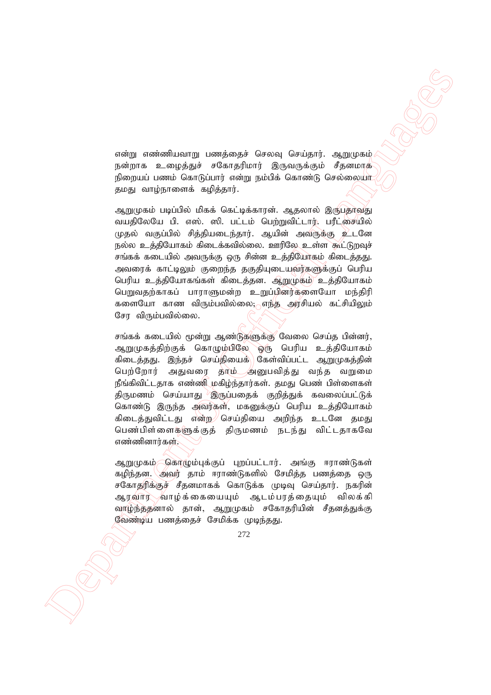என்று எண்ணியவாறு பணத்தைச் செலவு செய்தார். ஆறுமுகம் நன்றாக உழைத்துச் சகோதரிமார் இருவருக்கும் சீதனமாக நிறையப் பணம் கொடுப்பார் என்று நம்பிக் கொண்டு செல்லைய<mark>ா</mark> தமது வாம்நாளைக் கழித்தார்.

iskej aminalistasjų tempėsesis formos formingi - αμητηγού - αμητηγού - αμητηγού - αμητηγού - αμετηγού - αμετηγού - αμετηγού - αμετηγού - αμετηγού - αμετηγού - αμετηγού - αμετηγού - αμετηγού - αμετηγού - αμετηγού - αμετη ஆறுமுகம் படிப்பில் மிகக் கெட்டிக்காரன். ஆதலால் இருபதாவது வயதிலேயே பி. எஸ். ஸி. பட்டம் பெற்றுவிட்டார். பரீட்சையில் முதல் வகுப்பில் சிக்கியடைந்தார். ஆயின் அவருக்கு உடனே நல்ல உத்தியோகம் கிடைக்கவில்லை. ஊரிலே உள்ள கூட்டுறவுச் சங்கக் கடையில் அவருக்கு ஒரு சின்ன உத்தியோகம் கிடைத்தது. அவரைக் காட்டிலும் குறைந்த தகுதியுடையவர்களுக்குப் பெரிய பெரிய உத்தியோகங்கள் கிடைத்தன. ஆறுமுகம் உத்தியோகம் பெறுவதற்காகப் பாராளுமன்ற உறுப்பினர்களையோ மந்திரி களையோ காண விரும்பவில்லை; எந்த அரசியல் கட்சியிலும் சோ விரும்பவில்லை.

சங்கக் கடையில் மூன்று ஆண்டுகளுக்கு வேலை செய்த பின்னர், ஆறுமுகத்திற்குக் கொழும்பிலே ஒரு பெரிய உத்தியோகம் கிடைத்தது. இந்தச் செய்தியைக்\ கேள்விப்பட்ட ஆறுமுகத்தின் பெற்றோர் அதுவரை தாம்—அனுபவித்து வந்த வறுமை நீங்கிவிட்டதாக எண்ணி மகிழ்ந்தார்கள். தமது பெண் பிள்ளைகள் திருமணம் செய்யாது<sup>, )</sup>இருப்பதைக் குறித்துக் கவலைப்பட்டுக் கொண்டு இருந்த அவர்கள், மகனுக்குப் பெரிய உத்தியோகம் கிடைத்துவிட்டது என்ற செய்தியை அறிந்த உடனே தமது பெண்பிள்ளைகளுக்குத் திருமணம் நடந்து விட்டதாகவே எண்ணினார்கள்.

ஆறுமுகம் கொழும்புக்குப் புறப்பட்டார். அங்கு ஈராண்டுகள் கழிந்தன. அவர் தாம் ஈராண்டுகளில் சேமித்த பணத்தை ஒரு சகோதரிக்குச் சீதனமாகக் கொடுக்க முடிவு செய்தார். நகரின் ஆரவார் வாழ்க்கையையும் ஆடம்பரத்தையும் விலக்கி வாழ்ந்த்தனால் தான், ஆறுமுகம் சகோதரியின் சீதனத்துக்கு வேண்டிய பணத்தைச் சேமிக்க முடிந்தது.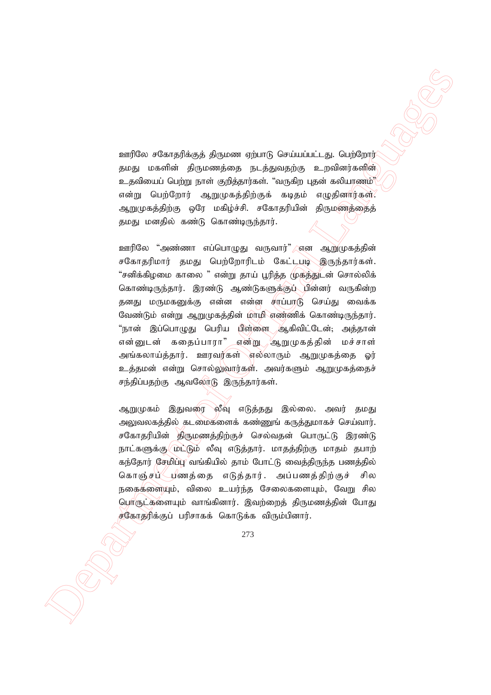<u>ஊரி</u>லே சகோதரிக்குத் திருமண ஏற்பாடு செய்யப்பட்டது. பெற்றோர் தமது மகளின் திருமணத்தை நடத்துவதற்கு உறவினர்களின் உதவியைப் பெற்று நாள் குறித்தார்கள். "வருகிற புதன் கலியாணம்"( என்று பெற்றோர் ஆறுமுகத்திற்குக் கடிதம் எழுதினார்கள். ஆறுமுகத்திற்கு ஒரே மகிழ்ச்சி. சகோதரியின் திருமணத்தைத் தமது மனதில் கண்டு கொண்டிருந்தார்.

 $\label{eq:20} \begin{array}{c} \mbox{Cov}[\widehat{\text{Ga}}_{\text{in}}\sigma\widehat{\text{Ga}}_{\text{in}}\widehat{\text{Sp}}(\text{a})\otimes\widehat{\text{Sp}}(\text{a})\otimes\widehat{\text{Sp}}(\text{a})\otimes\widehat{\text{Sp}}(\text{a})\otimes\widehat{\text{Sp}}(\text{a})\otimes\widehat{\text{Sp}}(\text{a})\otimes\widehat{\text{Sp}}(\text{a})\otimes\widehat{\text{Sp}}(\text{a})\otimes\widehat{\text{Sp}}(\text{a})\otimes\widehat{\text{Sp}}(\text{a})\otimes\widehat{\text{Sp}}$ ஊரிலே "அண்ணா எப்பொழுது வருவார்" ளன ஆறுமுகத்தின் சகோதரிமார் தமது பெற்றோரிடம் கேட்டபடி இருந்தார்கள். "சனிக்கிழமை காலை " என்று தாய் பூரித்த முகத்துடன் சொல்லிக் கொண்டிருந்தார். இரண்டு ஆண்டுகளுக்குப் பின்னர் வருகின்ற தனது மருமகனுக்கு என்ன என்ன சாப்பாடு செய்து வைக்க வேண்டும் என்று ஆறுமுகத்தின் மாமி எண்ணிக் கொண்டிருந்தார். "நான் இப்பொழுது பெரிய யிள்ளை ஆகிவிட்டேன்; அத்தான் என்னுடன் கதைப்பாரா" என்று ஆறுமுகத்தின் மச்சாள் அங்கலாய்த்தார். ஊரவர்கள் எல்லாரும் ஆறுமுகத்தை ஓர் உத்தமன் என்று சொல்லுவார்கள். அவர்களும் ஆறுமுகத்தைச் சந்திப்பதற்கு ஆவலோடு இருந்தார்கள்.

ஆறுமுகம் இதுவரை லீவு எடுத்தது இல்லை. அவர் தமது அலுவலகத்தில் கடமைகளைக் கண்ணுங் கருத்துமாகச் செய்வார். சகோதரியின் திருமணத்திற்குச் செல்வதன் பொருட்டு இரண்டு நாட்களுக்கு மெட்டும் லீவு எடுத்தார். மாதத்திற்கு மாதம் தபாற் கந்தோர் சேமிப்பு வங்கியில் தாம் போட்டு வைத்திருந்த பணத்தில் கொஞ்சப் புணத்தை எடுத்தார். அப்பணத்திற்குச் சில நகைகளையும், விலை உயர்ந்த சேலைகளையும், வேறு சில பொருட்களையும் வாங்கினார். இவற்றைக் கிருமணக்கின் போகு சகோதரிக்குப் பரிசாகக் கொடுக்க விரும்பினார்.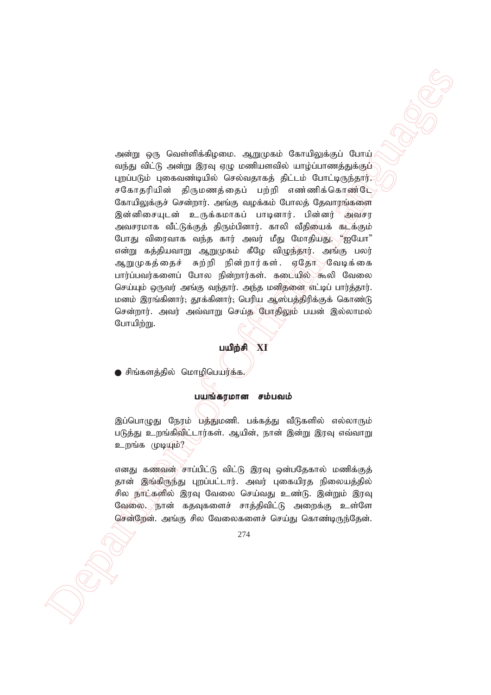Department of Official Languages அன்று ஒரு வெள்ளிக்கிழமை. ஆறுமுகம் கோயிலுக்குப் போய் வந்து விட்டு அன்று இரவு ஏழு மணியளவில் யாழ்ப்பாணத்துக்குப் பறப்படும் பகைவண்டியில் செல்வகாகக் கிட்டம் போட்டிருந்தார். சகோதரியின் திருமணத்தைப் பற்றி எண்ணிக்கொண்டே கோயிலுக்குச் சென்றார். அங்கு வழக்கம் போலத் தேவாரங்களை இன்னிசையுடன் உருக்கமாகப் பாடினார். பின்னர் அவசர அவசரமாக வீட்டுக்குத் திரும்பினார். காலி வீதியைக் கடக்கும் போது விரைவாக வந்த கார் அவர் மீது மோதியது. "ஐயோ" என்று கத்தியவாறு ஆறுமுகம் கீழே விழுந்தார். அங்கு பலர் ஆறுமுகத்தைச் சுற்றி நின்றார்கள். ஏதோ வேடிக்கை பார்ப்பவர்களைப் போல நின்றார்கள். கடையில் கூலி வேலை செய்யும் ஒருவர் அங்கு வந்தார். அந்த மனிதனை எட்டிப் பார்த்தார். மனம் இரங்கினார்; தூக்கினார்; பெரிய ஆஸ்பத்திரிக்குக் கொண்டு சென்றார். அவர் அவ்வாறு செய்த போதிலும் பயன் இல்லாமல் போயிற்று.

#### gapw;rp **XI**

) சிங்களத்தில் மொழிபெயர்க்க.

#### பயங்கரமான சம்பவம்

இப்பொழுது நேரம் பத்துமணி. பக்கத்து வீடுகளில் எல்லாரும் படுத்து உறங்கிவிட்டார்கள். ஆயின், நான் இன்று இரவு எவ்வாறு உறங்க முடியும்?

எனது கணவன் <sup>⁄</sup>சாப்பிட்டு விட்டு இரவு ஒன்பதேகால் மணிக்குத் தான் இங்கிருந்து புறப்பட்டார். அவர் புகையிரத நிலையத்தில் சில நாட்களில் இரவு வேலை செய்வது உண்டு. இன்றும் இரவு வேலை. நான் கதவுகளைச் சாத்திவிட்டு அறைக்கு உள்ளே சென்றேன். அங்கு சில வேலைகளைச் செய்து கொண்டிருந்தேன்.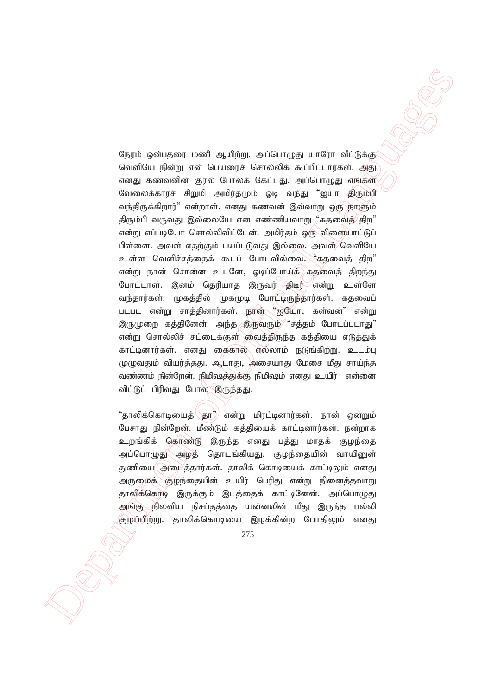Ognie geologies (κατά 4μβα) κατάκτης η υπογή τάτος (φαρτιστικού)<br>
Caseffold βάθης τον θεμικογέν θεπτώνδεν κατάκτης (φαρτιστικού)<br>
Caseffold βάθης τον θεμικογέν θεπτώνδεν κατάκτης (φαρτιστικού)<br>
Caseffold Barbara Article நேரம் ஒன்பதரை மணி ஆயிற்று. அப்பொழுது யாரோ வீட்டுக்கு வெளியே நின்று என் பெயரைச் சொல்லிக் கூப்பிட்டார்கள். அது எனது கணவனின் குரல் போலக் கேட்டது. அப்பொழுது எங்கள் வேலைக்காரச் சிறுமி அமிர்தமும் ஓடி வந்து "ஐயா திரும்பி வந்திருக்கிறார்" என்றாள். எனது கணவன் இவ்வாறு ஒரு நாளும் திரும்பி வருவது இல்லையே என எண்ணியவாறு ""கதவைத் $\ket{\mathcal{B}}$ ற" என்று எப்படியோ சொல்லிவிட்டேன். அமிர்தம் ஒரு விளையாட்டுப் பிள்ளை. அவள் எதற்கும் பயப்படுவது இல்லை. அவள்/வெளியே உள்ள வெளிச்சத்தைக் கூடப் போடவில்லை. "கதவைத் திற" என்று நான் சொன்ன உடனே, ஓடிப்போய்க் கதவைத் திறந்து போட்டாள். இனம் தெரியாக இருவர் திடீர் என்று உள்ளே வந்தார்கள். முகத்தில் முகமூடி போட்டிருந்தார்கள். கதவைப் படபட என்று சாத்தினார்கள். நான் "ஐயோ, கள்வன்" என்று இருமுறை கத்தினேன். அந்த இருவரும்⁄ "சத்தம் போடப்படாது" என்று சொல்லிச் சட்டைக்குள் வைத்திருந்த கத்தியை எடுத்துக் காட்டினார்கள். எனகு கைகால் எல்லாம் நடுங்கிற்று. உடம்ப முழுவதும் வியர்த்தது. ஆடாது, அசையாது மேசை மீது சாய்ந்த வண்ணம் நின்றேன். நிமிஷத்துக்கு நிமிஷம் எனது உயிர் என்னை விட்டுப் பிரிவது போல இருந்தது.

"தாலிக்கொடியைத் $\langle$ தூ $^*\!\rangle$  என்று மிரட்டினார்கள். நான் ஒன்றும் பேசாது நின்றேன். மீண்டும் கத்தியைக் காட்டினார்கள். நன்றாக உறங்கிக் கொண்டு இருந்த எனது பத்து மாதக் குழந்தை அப்பொழுது அழத் தொடங்கியது. குழந்தையின் வாயினுள் துணியை(அடைத்தார்கள். தாலிக் கொடியைக் காட்டிலும் எனது அருமைக் குழந்தையின் உயிர் பெரிது என்று நினைத்தவாறு தாலிக்கொடி இருக்கும் இடத்தைக் காட்டினேன். அப்பொழுது அங்கு நிலவிய நிசப்தத்தை யன்னலின் மீது இருந்த பல்லி குழப்பிற்று. தாலிக்கொடியை இழக்கின்ற போதிலும் எனது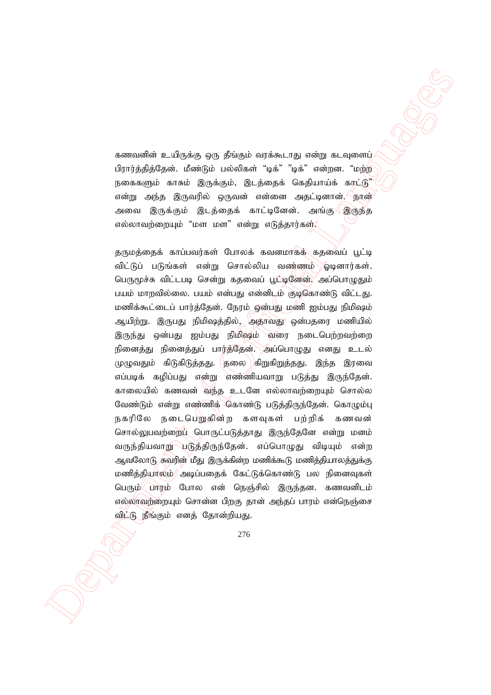கணவனின் உயிருக்கு ஒரு தீங்கும் வரக்கூடாது என்று கடவுளைப் பிாார்க்கிக்கேன். மீண்டும் பல்லிகள் "டிக்" "டிக்" என்றன. "மற்ற நகைகளும் காசும் இருக்கும், இடத்தைக் கெதியாய்க் காட்டு" என்று அந்த இருவரில் ஒருவன் என்னை அதட்டினான்.*்*நான் அவை இருக்கும் இடத்தைக் காட்டினேன். அங்கு இருந்த எல்லாவற்றையும் "மள மள" என்று எடுத்தார்கள் $\ell$ 

 Department of Official Languages தருமத்தைக் காப்பவர்கள் போலக் கவனமாகத் கதவைப் பூட்டி விட்டுப் படுங்கள் என்று சொல்லிய வண்ணம் ஓடினார்கள். பெருமூச்சு விட்டபடி சென்று கதவைப் பூட்டினேன். அப்பொழுதும் பயம் மாறவில்லை. பயம் என்பது என்னிடம் குடிகொண்டு விட்டது. மணிக்கூட்டைப் பார்த்தேன். நேரம் ஒன்பது மணி ஐம்பது நிமிஷம் ஆயிற்று. இருபது நிமிஷத்தில், அதாவது ஒன்பதரை மணியில் இருந்து ஒன்பது ஐம்பது நிமிஷம் வரை நடைபெற்றவற்றை நினைத்து நினைத்துப் பார்த்தேன். அப்பொழுது எனது உடல் முழுவதும் கிடுகிடுத்தது. தலை கிறுகிறுத்தது. இந்த இரவை எப்படிக் கழிப்பது என்று எண்ணியவாறு படுத்து இருந்தேன். காலையில் கணவன் வந்த உடனே எல்லாவற்றையும் சொல்ல வேண்டும் என்று எண்ணிக் கொண்டு படுத்திருந்தேன். கொழும்பு நகரிலே நடைபெறுகின்ற களவுகள் பற்றிக் கணவன் சொல்லுபவற்றைப் பொருட்படுத்தாது இருந்தேனே என்று மனம் வருந்தியவாறு படுத்திருந்தேன். எப்பொழுது விடியும் என்ற ஆவலோடு சுவரின் மீது இருக்கின்ற மணிக்கூடு மணித்தியாலத்துக்கு மணித்தியாலம்<sup>)</sup> அடிப்பதைக் கேட்டுக்கொண்டு பல நினைவுகள் பெரும் பாரம் போல என் நெஞ்சில் இருந்தன. கணவனிடம் எல்லாவற்றையும் சொன்ன பிறகு தான் அந்தப் பாரம் என்நெஞ்சை விட்டு நீங்கும் எனத் தோன்றியது.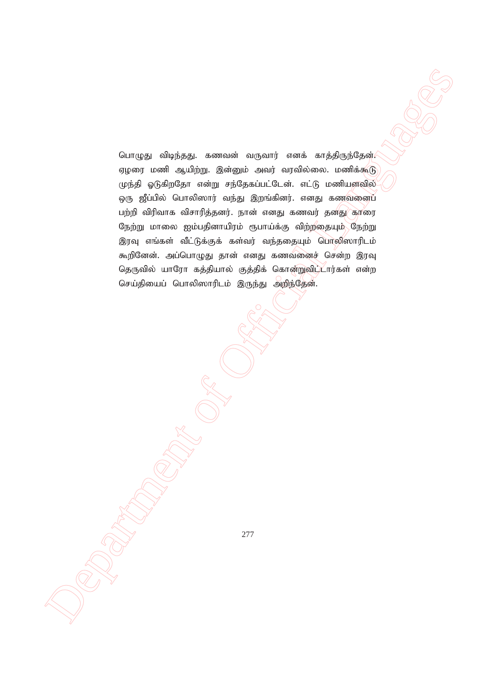Department of Official Languages பொழுது விடிந்தது. கணவன் வருவார் எனக் காத்திருந்தேன். ஏழரை மணி ஆயிற்று. இன்னும் அவர் வரவில்லை. மணிக்கூடு முந்தி ஓடுகிறதோ என்று சந்தேகப்பட்டேன். எட்டு மணியளவில் ஒரு ஜீப்பில் பொலிஸார் வந்து இறங்கினர். எனது கணவனைப் பற்றி விரிவாக விசாரித்தனர். நான் எனது கணவர் தனது காரை நேற்று மாலை ஐம்பதினாயிரம் ரூபாய்க்கு விற்றதையும் கேற்று இரவு எங்கள் வீட்டுக்குக் கள்வர் வந்ததையும் பொலிஸாரிடம் கூறினேன். அப்பொழுது தான் எனது கணவனைச் சென்ற இரவு தெருவில் யாரோ கத்தியால் குத்திக் கொன்றுவிப்டார்கள் என்ற செய்தியைப் பொலிஸாரிடம் இருந்து அறிந்தேன்.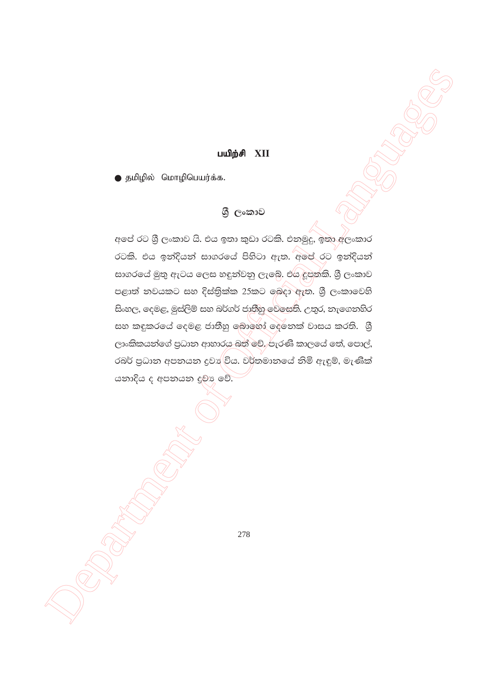#### பயிற்சி XII

● தமிழில் மொழிபெயர்க்க.

### ශී ලංකාව

අපේ රට ශී ලංකාව යි. එය ඉතා කුඩා රටකි. එනමුදු, ඉතා අලංකාර රටකි. එය ඉන්දියන් සාගරයේ පිහිටා ඇත. අපේ රට ඉන්දියන් සාගරයේ මුතු ඇටය ලෙස හඳුන්වනු ලැබේ. එය දූපතකි. ශී ලංකාව පළාත් තවයකට සහ දිස්තිුක්ක 25කට ඉබදා ඇත. ශුී ලංකාවෙහි සිංහල, දෙමළ, මුස්ලිම් සහ බර්ගර් ජාතීහු වෙසෙති. උතුර, නැගෙනහිර සහ කඳුකරයේ දෙමළ ජාතීහු බොහෝ දෙනෙක් වාසය කරති. ශූී ලාංකිකයන්ගේ පුධාන ආහාරය බත් වේ. පැරණි කාලයේ තේ, පොල්, රබර් පුධාන අපනයන දුවා විය. වර්තමානයේ නිමි ඇඳුම්, මැණික් යනාදිය ද අපනයන දුවා වේ.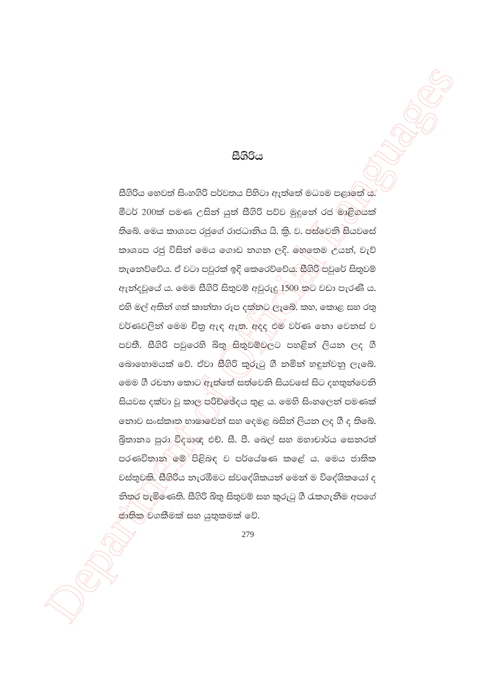#### සීගිරිය

සීගිරිය හෙවත් සිංහගිරි පර්වතය පිහිටා ඇත්තේ මධාාම පළාතේ ය මීටර් 200ක් පමණ උසින් යුත් සීගිරි පව්ව මුදුනේ රජ මාළිගයක් තිබේ. මෙය කාශාප රජුගේ රාජධානිය යි. කි. ව. ජස්වෙනි සියවසේ කාශාප රජු විසින් මෙය ගොඩ නගන ලදි. මහතෙම උයන්, වැව් තැනෙව්වේය. ඒ වටා පවුරක් ඉදි කෙරෙව්වේය. සීගිරි පවුරේ සිතුවම් ඇත්දවුයේ ය. මෙම සීගිරි සිතුවම් අවුරුදු 1500 කට වඩා පැරණි ය. එහි මල් අතින් ගත් කාන්තා රූප දක්නට ලැබේ. කහ, කොළ සහ රතු වර්ණවලින් මෙම චිතු ඇඳ ඇත. අදද එම වර්ණ නො වෙනස් ව පවතී. සීගිරි පවුරෙහි බිතු සිතුවම්වලට පහළිත් ලියන ලද ගී බොහොමයක් වේ. ඒවා සීගිරි කුරුටු ගී තමින් හඳුන්වනු ලැබේ. මෙම ගී රචනා කොට ඇත්තේ සත්වෙනි සියවසේ සිට දහතුන්වෙනි සියවස දක්වා වු කාල පරිච්ඡේදය තුළ ය. මෙහි සිංහලෙන් පමණක් නොව සංස්කෘත භාෂාවේන් සහ දෙමළ බසින් ලියන ලද ගී ද තිබේ. බිතානා පුරා විදහාඥ එච්. සී. පී. ඉබල් සහ මහාචාර්ය සෙනරත් පරණවිතාන මම පිළිබඳ ව පර්යේෂණ කළේ ය. මෙය ජාතික වස්තුවකි. සීගිරිය නැරඹීමට ස්වදේශිකයන් මෙන් ම විදේශිකයෝ ද නිතුර පැමිණෙති. සීගිරි බිතු සිතුවම් සහ කුරුටු ගී රැකගැනීම අපගේ ජාතික වගකීමක් සහ යුතුකමක් වේ.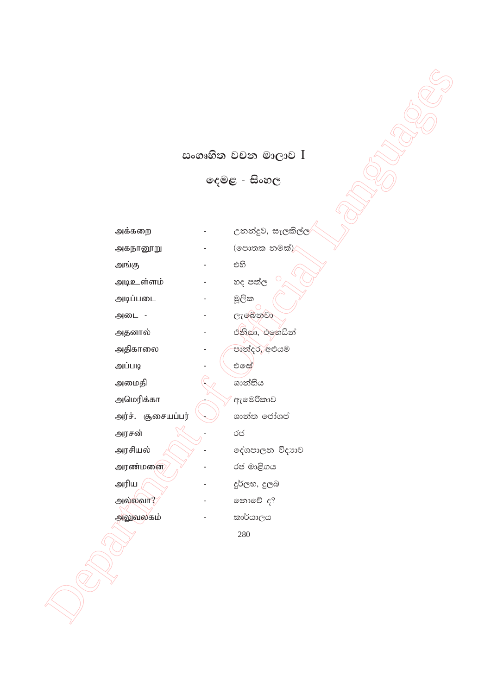# සංගෘහිත වචන මාලාව I

දෙමළ - සිංහල

அகநானூறு

அங்கு அடிஉள்ளம்

அடிப்படை

அடை -

அதனால்

அதிகாலை

அப்படி

அமைதி

அமெரிக்கா

அர்ச். சூசையப்பர்

அரசன் அரசியல் அரண்மனை அரிய

அல்லவா?

அலுவலகம்

උනන්දුව, සැලකිල්ල (පොතක නමක්) $/$ එහි හද පත්ල මූලික ලැබෙනුවා එනිසා, එහෙයින් පාන්දර, අළුයම **එ**සේ ශාන්තිය ඇමෙරිකාව ශාන්ත ජෝශප් රජ දේශපාලන විදාහව රජ මාළිගය දුර්ලභ, දුලබ තොවේ ද? කාර්යාලය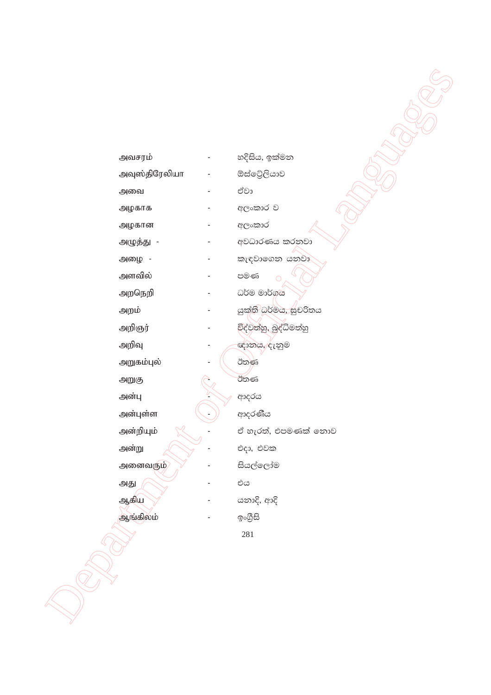| அவசரம்        | හදිසිය, ඉක්මන                       |
|---------------|-------------------------------------|
| அவுஸ்திரேலியா | ඕස්ටේලියාව                          |
| அவை           | ඒවා                                 |
| அழகாக         | අලංකාර ව                            |
| அழகான         | අලංකාර                              |
| அழுத்து -     | අවධාරණය කරනවා                       |
| அழை -         | කැඳවාගෙන යනවා                       |
| அளவில்        | පමණ<br>$\circ$                      |
| அறநெறி        | ධර්ම මාර්ගය                         |
| அறம்          | යුක් <mark>ති</mark> ඛර්මය, සුචරිතය |
| அறிஞர்        | විද්වත්හු, බුද්ධිමත්හු              |
| அறிவு         | ඥානය, දැනුම                         |
| அறுகம்புல்    | ඊතණ                                 |
| அறுகு         | ඊතණ                                 |
| அன்பு         | ආදරය                                |
| அன்புள்ள      | ආදරණීය                              |
| அன்றியும்     | ඒ හැරත්, එපමණක් නොව                 |
| அன்று         | එදා, එවක                            |
| அனைவரும்      | සියල්ලෝම                            |
| அது           | ಲಿದ                                 |
| ஆகிய          | යනාදි, ආදි                          |
| ஆங்கிலம்      | ඉංගීසි                              |
|               | 281                                 |
|               |                                     |
|               |                                     |
|               |                                     |
|               |                                     |
|               |                                     |
|               |                                     |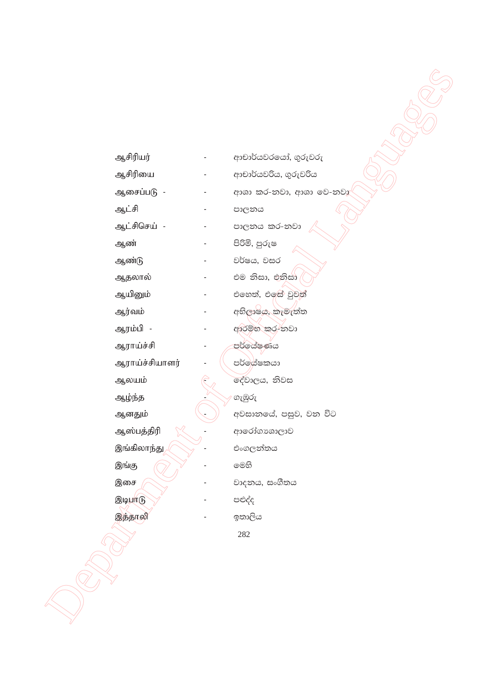| ஆசிரியர்<br>ආචාර්යවරයෝ, ගුරුවරු<br>ஆசிரியை<br>ආචාර්යවරිය, ගුරුවරිය<br>-<br>ஆசைப்படு -<br>ආශා කර-නවා, ආශා වෙ-නවා<br>ஆட்சி<br>පාලනය<br>ஆட்சிசெய் -<br>පාලනය කර-නවා<br>පිරිමි, පුරුෂ<br>ஆண்<br>වර්ෂය, වසර<br>ஆண்டு<br>එම නිසා, එනිසා<br>ஆதலால்<br>එහෙත්, එඉස් වුවත්<br>ஆயினும்<br>$\overline{\phantom{a}}$<br>අභිලාෂය, කැමැත්ත<br>ஆர்வம்<br>ஆரம்பி -<br>අාරම්භ කර-්නවා |
|---------------------------------------------------------------------------------------------------------------------------------------------------------------------------------------------------------------------------------------------------------------------------------------------------------------------------------------------------------------------|
|                                                                                                                                                                                                                                                                                                                                                                     |
|                                                                                                                                                                                                                                                                                                                                                                     |
|                                                                                                                                                                                                                                                                                                                                                                     |
|                                                                                                                                                                                                                                                                                                                                                                     |
|                                                                                                                                                                                                                                                                                                                                                                     |
|                                                                                                                                                                                                                                                                                                                                                                     |
|                                                                                                                                                                                                                                                                                                                                                                     |
|                                                                                                                                                                                                                                                                                                                                                                     |
|                                                                                                                                                                                                                                                                                                                                                                     |
|                                                                                                                                                                                                                                                                                                                                                                     |
|                                                                                                                                                                                                                                                                                                                                                                     |
|                                                                                                                                                                                                                                                                                                                                                                     |
|                                                                                                                                                                                                                                                                                                                                                                     |
|                                                                                                                                                                                                                                                                                                                                                                     |
|                                                                                                                                                                                                                                                                                                                                                                     |
| පර්ලේෂණය<br>ஆராய்ச்சி<br>පර්ලේශීෂකයා                                                                                                                                                                                                                                                                                                                                |
| ஆராய்ச்சியாளர்<br>දේවාලය, නිවස                                                                                                                                                                                                                                                                                                                                      |
| ஆலயம்                                                                                                                                                                                                                                                                                                                                                               |
| ගැඹුරු<br>ஆழ்ந்த<br>අවසානයේ, පසුව, වන විට                                                                                                                                                                                                                                                                                                                           |
| ஆனதும்                                                                                                                                                                                                                                                                                                                                                              |
| ஆஸ்பத்திரி<br>ආරෝගාශාලාව<br>இங்கிலாந்து <sub>,</sub><br>එංගලන්තය                                                                                                                                                                                                                                                                                                    |
| මෙහි<br>இங்கு                                                                                                                                                                                                                                                                                                                                                       |
| වාදනය, සංගීතය<br>இசை                                                                                                                                                                                                                                                                                                                                                |
| இடிபாடு<br>පළුද්ද                                                                                                                                                                                                                                                                                                                                                   |
| இத்தாலி<br>ඉතාලිය                                                                                                                                                                                                                                                                                                                                                   |
| 282                                                                                                                                                                                                                                                                                                                                                                 |
|                                                                                                                                                                                                                                                                                                                                                                     |
|                                                                                                                                                                                                                                                                                                                                                                     |
|                                                                                                                                                                                                                                                                                                                                                                     |
|                                                                                                                                                                                                                                                                                                                                                                     |
|                                                                                                                                                                                                                                                                                                                                                                     |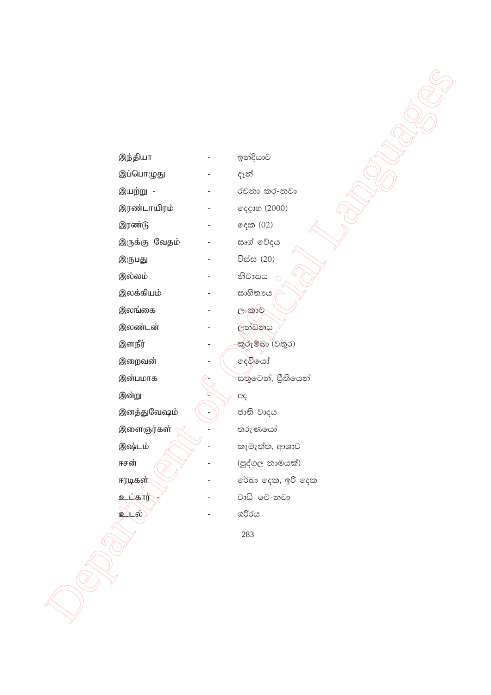| இந்தியா       | ඉන්දියාව            |
|---------------|---------------------|
| இப்பொழுது     | දැන්                |
| இயற்று -      | රචනා කර-නවා         |
| இரண்டாயிரம்   | දෙදාහ (2000)        |
| இரண்டு        | දෙක (02)            |
| இருக்கு வேதம் | සෘග් වේදය           |
| இருபது        | විස්ස (20)          |
| இல்லம்        | නිවාසය<br>$\bigcap$ |
| இலக்கியம்     | සාහිතායෙ            |
| இலங்கை        | <b>၉</b> ၀အားချ     |
| இலண்டன்       | ලත්ඩනය              |
| இளநீர்        | කුරුම්බා (වතුර)     |
| இறைவன்        | දෙවියෝ              |
| இன்பமாக       | සතුටෙන්, පීතියෙන්   |
| இன்று         | අද                  |
| இனத்துவேஷம்   | ජාති වාදය           |
| இளைஞர்கள்     | තරුණයෝ              |
| இஷ்டம்        | කැමැත්ත, ආශාව       |
| ஈசன்          | (පුද්ගල නාමයක්)     |
| ஈரடிகள்       | රේබා දෙක, ඉරි දෙක   |
| உட்கார்       | වාඩි මෙ-නවා         |
| உடல்          | ශරීරය               |
|               | 283                 |
|               |                     |
|               |                     |
|               |                     |
|               |                     |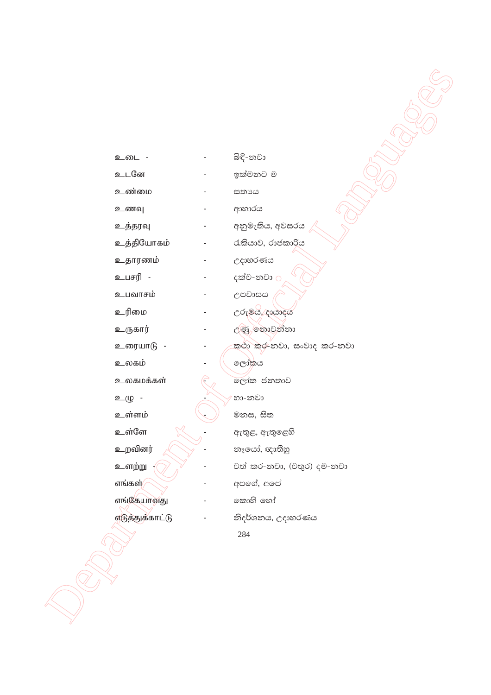| உடை             |  |
|-----------------|--|
| உடனே            |  |
| உண்மை           |  |
| உணவு            |  |
| உத்தரவு         |  |
| உத்தியோகம்      |  |
| உதாரணம்         |  |
| உபசரி           |  |
| உபவாசம்         |  |
| உரிமை           |  |
| உருகார்         |  |
| உரையாடு         |  |
| உலகம்           |  |
| உலகமக்கள்       |  |
| உழு             |  |
| உள்ளம்          |  |
| உள்ளே           |  |
| உறவினர்         |  |
| உளற்று          |  |
| எங்கள்/         |  |
| எங்கேயாவது      |  |
| எடுத்துக்காட்டு |  |
|                 |  |
|                 |  |

| බිඳි-නවා                  |
|---------------------------|
| ඉක්මනට ම                  |
| සතාය                      |
| ආහාරය                     |
| අනුමැතිය, අවසරය           |
| රැකියාව, රාජකාරිය         |
| උදාහරණය                   |
| දක්ව-නවා <u>0</u>         |
| උපවාසය                    |
| උරුමය, දායාදය             |
| උණු නොවන්නා               |
| කථා කර-නවා, සංවාද කර-නවා  |
| ලෝකය                      |
| ලෝක ජනතාව                 |
| හා-නවා                    |
| මනස, සිත                  |
| ඇතුළ, ඇතුළෙහි             |
| නෑයෝ, ඥාතීහු              |
| වත් කර-නවා, (වතුර) දම-නවා |
| අපගේ, අපේ                 |
| කොහි හෝ                   |
| නිදර්ශනය, උදාහරණය         |
| 284                       |

**CONSCRIPTION**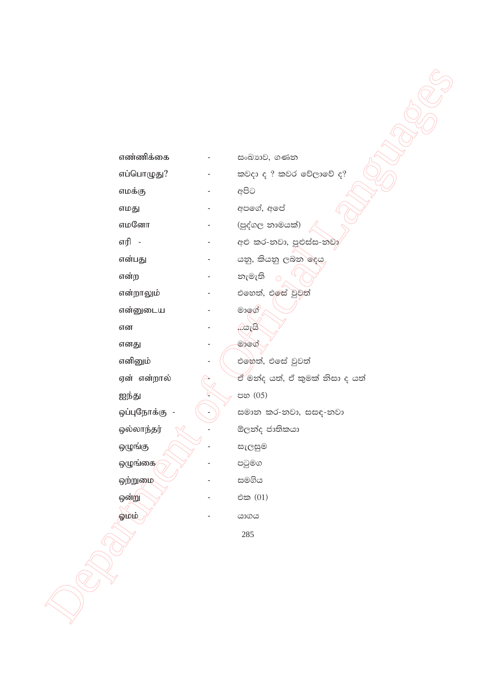| எண்ணிக்கை            | සංඛාගව, ගණන                    |
|----------------------|--------------------------------|
| எப்பொழுது?           | කවදා ද ? කවර වේලාවේ ද?         |
| எமக்கு               | අපිට                           |
| எமது                 | අපගේ, අපේ                      |
| எமனோ                 | (පුද්ගල නාමයක්)                |
| எரி -                | අළු කර-නවා, පුළුස්ස-නවා        |
| என்பது               | යනු, කියනු ලබන දෙය             |
| என்ற                 | නැමැති<br>$\circ$              |
| என்றாலும்            | එහෙත්, එලස් වුවත්              |
| என்னுடைய             | මාඉග්                          |
| என                   | <u>යැයි,</u>                   |
| எனது                 | මාගේ                           |
| எனினும்              | එහෙත්, එසේ වුවත්               |
| ஏன் என்றால்          | ඒ මන්ද යත්, ඒ කුමක් නිසා ද යත් |
| ஐந்து                | පහ (05)                        |
| ஒப்புநோக்கு          | සමාන කර-නවා, සසඳ-නවා           |
| ஒல்லாந்தர்           | ඕලන්ද ජාතිකයා                  |
| ஒழுங்கு              | සැලසුම                         |
| ஒழுங்கை <sub>/</sub> | පටුමග                          |
| ஒற்றுமை              | සමගිය                          |
| ஒன்று                | එක (01)                        |
| ல்வடு                | යාගය                           |
|                      | 285                            |
|                      |                                |
|                      |                                |
|                      |                                |
|                      |                                |
|                      |                                |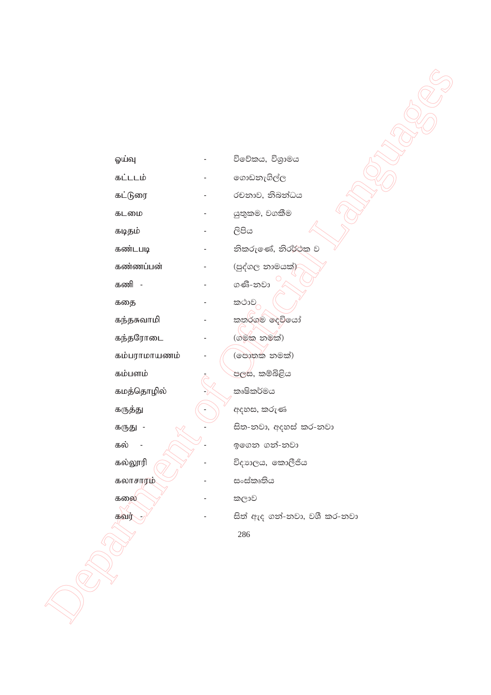ஓய்வு

විවේකය, විශුාමය

෩ඩනැගිල්ල

රචනාව, නිබන්ධය

නිකරුණේ, නිරර්ථක ව

යුතුකම, වගකීම

සිපිය

கட்டடம்

கட்டுரை

கடமை

கடிதம்

கண்டபடி

கண்ணப்பன்

கணி -

கதை

கந்தசுவாமி

கந்தரோடை

கம்பராமாயணம்

கம்பளம்

கமத்தொழில்

கருத்து

கருது -

கல்

கல்லூரி

கலாசாரம்

கலை கவர்

(පුද්ගල නාමයක්) ගණි-නවා කථාව කතුර්ගම් දෙවියෝ (ගමක නමක්) (පොතක නමක්) <mark>පලස</mark>, කම්බිළිය කෘෂිකර්මය අදහස, කරුණ සිත-නවා, අදහස් කර-නවා ඉගෙන ගන්-නවා

විදාහලය, කොලීජිය

සංස්කෘතිය

කලාව

සිත් ඇද ගත්-නවා, වශී කර-නවා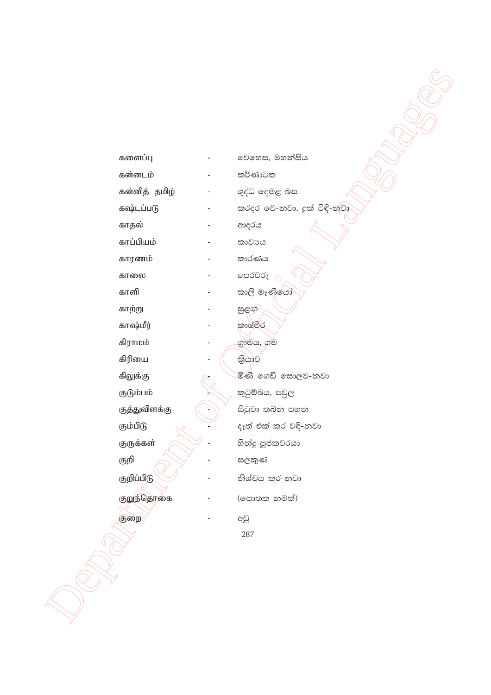|          | களைப்பு       | වෙහෙස, මහන්සිය             |
|----------|---------------|----------------------------|
|          | கன்னடம்       | කර්ණාටක                    |
|          | கன்னித் தமிழ் | ශුද්ධ දෙමළ බස              |
|          | கஷ்டப்படு     | කරදර වෙ-නවා, දුක් විඳි-නවා |
| காதல்    |               | ආදරය                       |
|          | காப்பியம்     | කාවාය                      |
|          | காரணம்        | කාරණය                      |
| காலை     |               | පෙරවරු <sub>O</sub>        |
| காளி     |               | කාලි මෑණිලයා               |
| காற்று   |               | සුළඟ                       |
|          | காஷ்மீர்      | කාෂ්මීර                    |
| கிராமம்  |               | ගුාමය, ග්ම                 |
| கிரியை   |               | තියාව                      |
| கிலுக்கு |               | මිණි ගෙඩි සොලව-නවා         |
|          | குடும்பம்     | කුටුම්බය, පවුල             |
|          | குத்துவிளக்கு | සිටුවා තබන පහත             |
| கும்பிடு |               | දැත් එක් කර වදි-නවා        |
|          | குருக்கள்     | හිත්දු පූජකවරයා            |
| குறி     |               | සලකුණ                      |
|          | குறிப்பிடு    | නිශ්චය කර-නවා              |
|          | குறுந்தொகை    | (පොතක නමක්)                |
| குறை     |               | අඩු                        |
|          |               | 287                        |
|          |               |                            |
|          |               |                            |
|          |               |                            |
|          |               |                            |
|          |               |                            |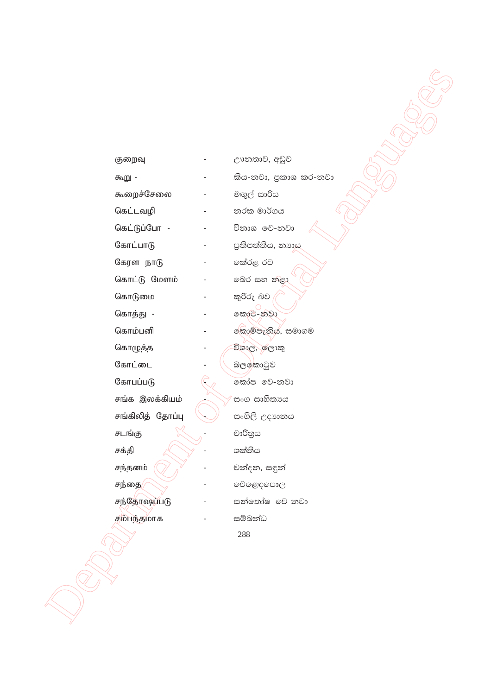| குறைவு           | ඌනතාව, අඩුව           |
|------------------|-----------------------|
| கூறு -           | කිය-නවා, පුකාශ කර-නවා |
| கூறைச்சேலை       | මඟුල් සාරිය           |
| கெட்டவழி         | නරක මාර්ගය            |
| கெட்டுப்போ -     | විනාශ වෙ-නවා          |
| கோட்பாடு         | පුතිපත්තිය, නාහය      |
| கேரள நாடு        | කේරළ රට               |
| கொட்டு மேளம்     | බෙර සහ නළා            |
| கொடுமை           | කුරිරු බව             |
| கொத்து -         | කොට-නවා               |
| கொம்பனி          | කොම්පැනිය, සමාගම      |
| கொழுத்த          | විශාල, රලාකු          |
| கோட்டை           | බලඉකාටුව              |
| கோபப்படு         | කෝප වෙ-නවා            |
| சங்க இலக்கியம்   | සංග සාහිතායෙ          |
| சங்கிலித் தோப்பு | සංගිලි උදාහනය         |
| சடங்கு           | චාරිතුය               |
| சக்தி            | ශක්තිය                |
| சந்தனம்          | චන්දන, සඳුන්          |
| சந்தை            | වෙළෙඳපොල              |
| சந்தோஷப்படு      | සන්තෝෂ වෙ-නවා         |
| சம்பந்தமாக       | සම්බන්ධ               |
|                  | 288                   |
|                  |                       |
|                  |                       |
|                  |                       |
|                  |                       |
|                  |                       |
|                  |                       |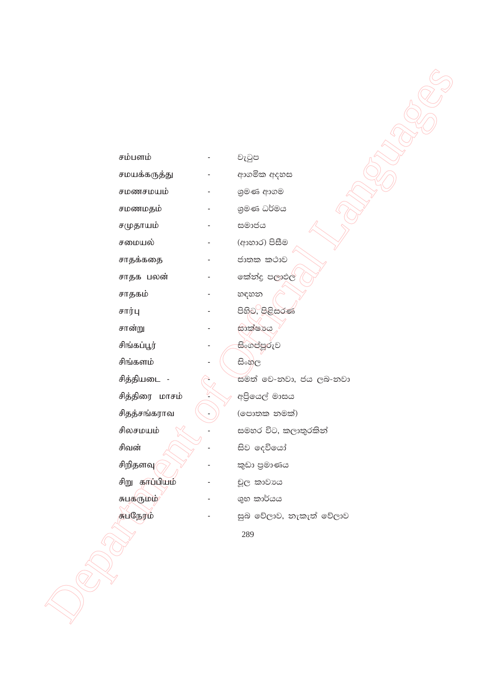| சம்பளம்        | වැටුප                   |
|----------------|-------------------------|
| சமயக்கருத்து   | ආගමික අදහස              |
| சமணசமயம்       | ශුමණ ආගම                |
| சமணமதம்        | ශුමණ ධර්මය              |
| சமுதாயம்       | සමාජය                   |
| சமையல்         | (ආහාර) පිසීම            |
| சாதக்கதை       | ජාතක කථාව               |
| சாதக பலன்      | කේන්දු පලාඵල            |
| சாதகம்         | හඳහන                    |
| சார்பு         | පිහිට, පිළිසරණ          |
| சான்று         | භාක්ෂාය                 |
| சிங்கப்பூர்    | සිංගප්පූරුව             |
| சிங்களம்       | සිංහල                   |
| சித்தியடை -    | සමත් වෙ-නවා, ජය ලබ-නවා  |
| சித்திரை மாசம் | අපිියෙල් මාසය           |
| சிதத்சங்கராவ   | (පොතක නමක්)             |
| சிலசமயம்       | සමහර විට, කලාතුරකින්    |
| சிவன்          | සිව දෙවියෝ              |
| சிறிதளவு/      | කුඩා පුමාණය             |
| சிறு காப்பியம் | චූල කාවාය               |
| சுபதருமம்      | ශුභ කාර්යය              |
| சுபநேரம்       | සුබ වේලාව, නැකැත් වේලාව |
|                | 289                     |
|                |                         |
|                |                         |
|                |                         |
|                |                         |
|                |                         |
|                |                         |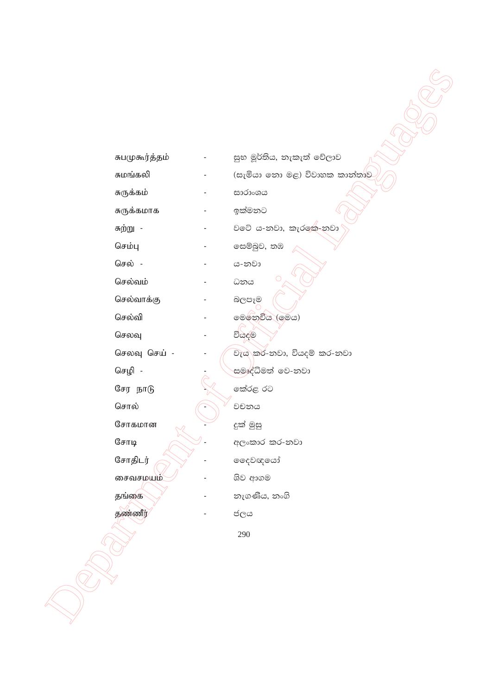| சுபமுகூர்த்தம் | සුභ මූර්තිය, නැකැත් වේලාව     |
|----------------|-------------------------------|
| சுமங்கலி       | (සැමියා නො මළ) විවාහක කාන්තාව |
| சுருக்கம்      | සාරාංශය                       |
| சுருக்கமாக     | ඉක්මනට                        |
| சுற்று -       | වටේ ය-නවා, කැරකෙ-නවා          |
| செம்பு         | සෙම්බුව, තඹ                   |
| செல் -         | ය-නවා                         |
| செல்வம்        | O<br>ධනය                      |
| செல்வாக்கு     | බලපෑම                         |
| செல்வி         | මෙනෙවිය (මෙය)                 |
| செலவு          | වියදම                         |
| செலவு செய் -   | වැය කර-නවා, වියදම් කර-නවා     |
| செழி -         | සමෘද්ධිමත් වෙ-නවා             |
| சேர நாடு       | කේරළ රට                       |
| சொல்           | වචනය                          |
| சோகமான         | දුක් මුසු                     |
| $@$ சாடி       | අලංකාර කර-නවා                 |
| சோதிடர்        | ෛවඥයෝ                         |
| சைவசமயம்       | ශිව ආගම                       |
| தங்கை          | නැගණිය, නංගි                  |
| தண்ணீர்        | ජලය                           |
|                | 290                           |
|                |                               |
|                |                               |
|                |                               |
|                |                               |
|                |                               |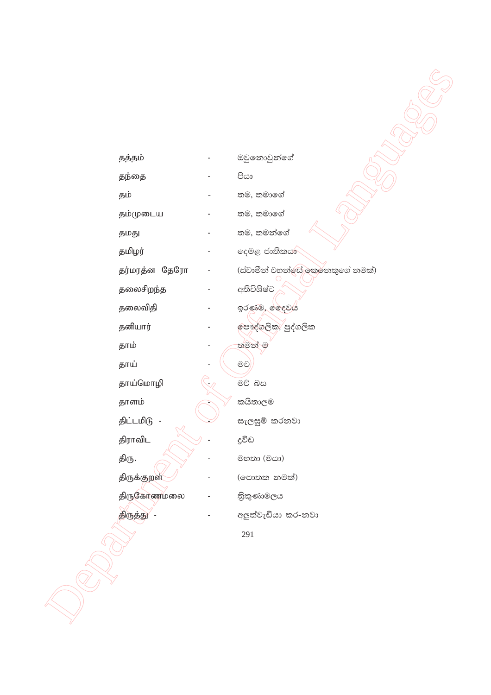| தத்தம்        | ඔවුනොවුන්ගේ                     |
|---------------|---------------------------------|
| தந்தை         | පියා                            |
| தம்           | තම, තමාගේ                       |
| தம்முடைய      | තම, තමාගේ                       |
|               | තම, තමන්ගේ                      |
| தமது          |                                 |
| தமிழர்        | දෙමළ ජාතිකයා                    |
| தர்மரத்ன தேரோ | (ස්වාමීන් වහන්සේ කෙනෙකුගේ නමක්) |
| தலைசிறந்த     | අතිවිශිෂ්ට                      |
| தலைவிதி       | ඉරණුම, ලේදවය                    |
| தனியார்       | පෞද්ගලික, පුද්ගලික              |
| தாம்          | තමන් ම                          |
| தாய்          | මව                              |
| தாய்மொழி      | මව් බස                          |
| தாளம்         | කයිතාලම                         |
| திட்டமிடு     | සැලසුම් කරනවා                   |
| திராவிட       | දුවිඩ                           |
| திரு.         | මහතා (මයා)                      |
| திருக்குறள்   | (පොතක නමක්)                     |
| திருகோணமலை    | තිකුණාමලය                       |
| திருத்து      | අලුත්වැඩියා කර-නවා              |
|               | 291                             |
|               |                                 |
|               |                                 |
|               |                                 |
|               |                                 |
|               |                                 |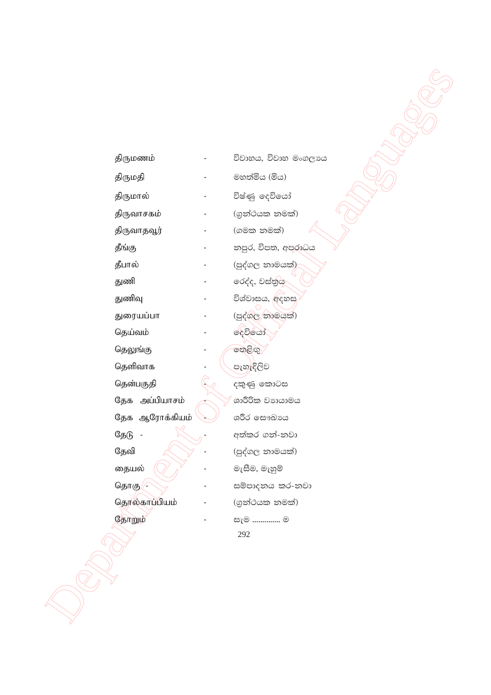திருமணம் திருமதி திருமால் திருவாசகம் திருவாதவூர் தீங்கு தீபால் துணி துணிவு துரையப்பா தெய்வம் தெலுங்கு தெளிவாக தென்பகுதி தேக அப்பியாசம் தேக ஆரோக்கியம் தேடு -தேவி தையல் தொகு தொல்காப்பியம் தோறும்

විවාහය, විවාහ මංගලායෙ මහත්මිය (මිය) විෂ්ණු දෙවියෝ (ගුන්ථයක නමක්) (ගමක නමක්) නපුර, විපත, අපරාධය (පුද්ගල නාමයක්) රෙද්ද, වස්තුය විශ්වාසය, අදහස (පුද්ගල නාමයක්) දෙවියෝ තෙළිඟු පැහැදිලිව දකුණු කොටස ශාරීරික වාායාමය ශරීර සෞඛාපය අත්කර ගන්-නවා (පුද්ගල නාමයක්) මැසීම, මැහුම් සම්පාදනය කර-නවා (ගුන්ථයක නමක්) .<br>සැම .............. ම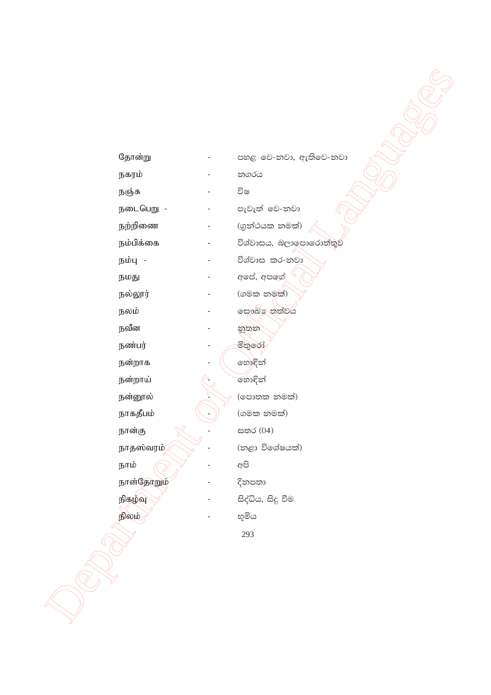| தோன்று                 | පහළ වෙ-නවා, ඇතිවෙ-නවා   |
|------------------------|-------------------------|
| நகரம்                  | නගරය                    |
| நஞ்சு                  | විෂ                     |
| நடைபெறு -              | පැවැත් වෙ-නවා           |
| நற்றிணை                | (ගුන්ථයක නමක්)          |
| நம்பிக்கை              | විශ්වාසය, බලාලපාරොත්තුව |
| நம்பு -                | විශ්වාස කර-නවා          |
| நமது                   | අපේ, අපගේ               |
| நல்லூர்                | (ගමක නමක්)              |
| நலம்                   | ලසෟඛ්ර තත්වය            |
| நவீன                   | නුතුන                   |
| நண்பர்                 | මිතුරෝ                  |
| நன்றாக                 | හොඳින්                  |
| நன்றாய்                | හොඳින්                  |
| நன்னூல்                | (පොතක නමක්)             |
| நாகதீபம்               | (ගමක නමක්)              |
| நான்கு                 | සතර (04)                |
| நாதஸ்வரம் <sub>/</sub> | (නළා විශේෂයක්)          |
| நாம்                   | අපි                     |
| நாள்தோறும்             | දිනපතා                  |
| நிகழ்வு                | සිද්ධිය, සිදු වීම       |
| நிலம்                  | භූමිය                   |
|                        | 293                     |
|                        |                         |
|                        |                         |
|                        |                         |
|                        |                         |
|                        |                         |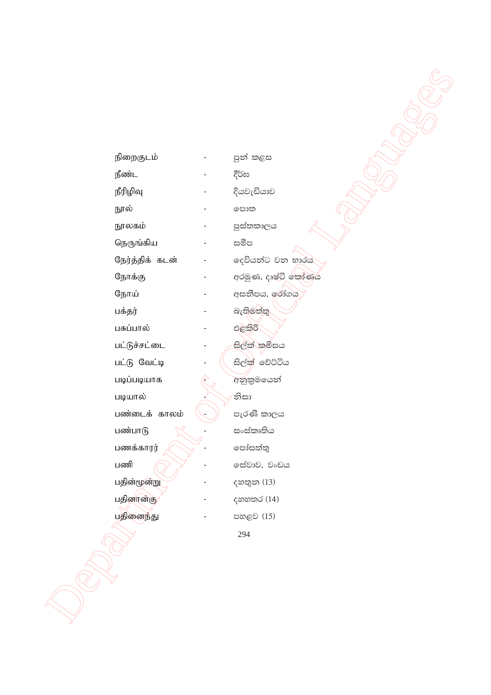| நிறைகுடம்       | පුන් කළස           |
|-----------------|--------------------|
| நீண்ட           | දීර්ඝ              |
| நீரிழிவு        | දියවැඩියාව         |
| நூல்            | පොත                |
| நூலகம்          | පුස්තකාලය          |
| நெருங்கிய       | සමීප               |
| நேர்த்திக் கடன் | දෙවියන්ට වන භාරය   |
| நோக்கு          | අරමුණ, දෘෂ්ටි කෝණය |
| நோய்            | අසනීපය, රෝගය       |
| பக்தர்          | බැතිමත්තු          |
| பசுப்பால்       | එළකිරි             |
| பட்டுச்சட்டை    | සිල්ක් කමිසය       |
| பட்டு வேட்டி    | සිල්ක් වේට්ටිය     |
| படிப்படியாக     | අනුකුමයෙන්         |
| படியால்         | නිසා               |
| பண்டைக் காலம்   | පැරණි කාලය         |
| பண்பாடு         | සංස්කෘතිය          |
| பணக்காரர்       | පෝසත්තු            |
| பணி             | ලස්වාව, වංඩය       |
| பதின்மூன்று     | දහතුන (13)         |
| பதினான்கு       | දහහතර (14)         |
| பதினைந்து       | පහළව (15)          |
|                 | 294                |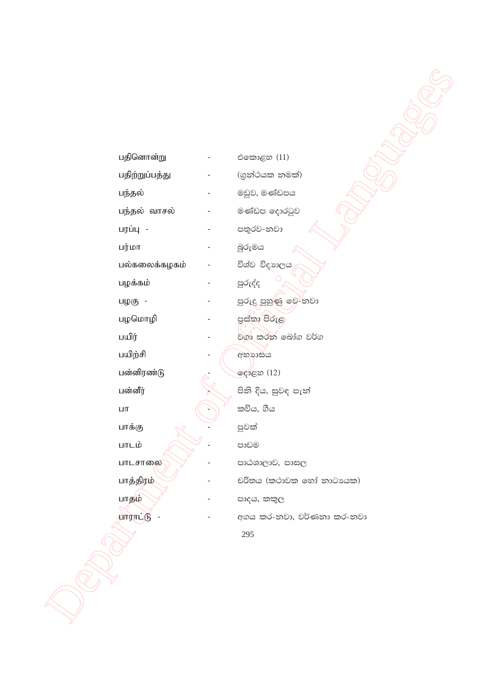| பதினொன்று       |                              | එකොළහ (11)                |
|-----------------|------------------------------|---------------------------|
| பதிற்றுப்பத்து  |                              | (ගුන්ථයක නමක්)            |
| பந்தல்          |                              | මඩුව, මණ්ඩපය              |
| பந்தல் வாசல்    |                              | මණ්ඩප දොරටුව              |
| பரப்பு -        |                              | පතුරව-නවා                 |
| பர்மா           |                              | බුරුමය                    |
| பல்கலைக்கழகம்   |                              | විශ්ව විදාහලය             |
| பழக்கம்         |                              | පුරුද්ද                   |
| பழகு -          |                              | පුරුදු පුහුණු ඉව-්නවා     |
| பழமொழி          |                              | පස්තා පිරුළ               |
| பயிர்           |                              | වගා කරන බෝග වර්ග          |
| பயிற்சி         | $\qquad \qquad \blacksquare$ | අභාගසය                    |
| பன்னிரண்டு      |                              | දෝළහ (12)                 |
| பன்னீர்         |                              | පිනි දිය, සුවඳ පැන්       |
| $\mathsf{LIT}$  |                              | කවිය, ගීය                 |
| பாக்கு          |                              | පුවක්                     |
| பாடம்           |                              | පාඩම                      |
| பாடசாலை         |                              | පාඨශාලාව, පාසල            |
| பாத்திரம்       |                              | චරිතය (කථාවක හෝ නාටායක)   |
| பாதும்          |                              | පාදය, කකුල                |
| <b>PULLITER</b> |                              | අගය කර-නවා, වර්ණනා කර-නවා |
|                 |                              | 295                       |
|                 |                              |                           |
|                 |                              |                           |
|                 |                              |                           |
|                 |                              |                           |
|                 |                              |                           |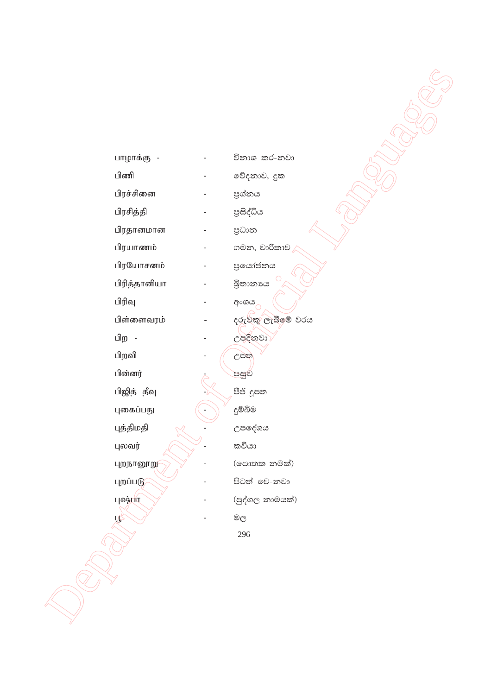| பாழாக்கு     | විනාශ කර-නවා      |
|--------------|-------------------|
| பிணி         | වේදනාව, දුක       |
| பிரச்சினை    | පුශ්නය            |
| பிரசித்தி    | පුසිද්ධිය         |
| பிரதானமான    | පුධාන             |
| பிரயாணம்     | ගමන, චාරිකාව      |
| பிரயோசனம்    | පුයෝජනය           |
| பிரித்தானியா | බිතානාය           |
| பிரிவு       | අංශය              |
| பிள்ளைவரம்   | දරුවකු ලැබීමේ වරය |
| பிற          | උපදිනවා           |
| பிறவி        | උපත               |
| பின்னர்      | පසුව              |
| பிஜித் தீவு  | පීජි දූපත         |
| புகைப்பது    | දුම්බීම           |
| புத்திமதி    | උපදේශය            |
| புலவர்       | කවියා             |
| புறநானூறு    | (පොතක නමක්)       |
| புறப்படு     | පිටත් වෙ-නවා      |
| புஷ்பா       | (පුද්ගල නාමයක්)   |
| ழ            | මල                |
|              | 296               |
|              |                   |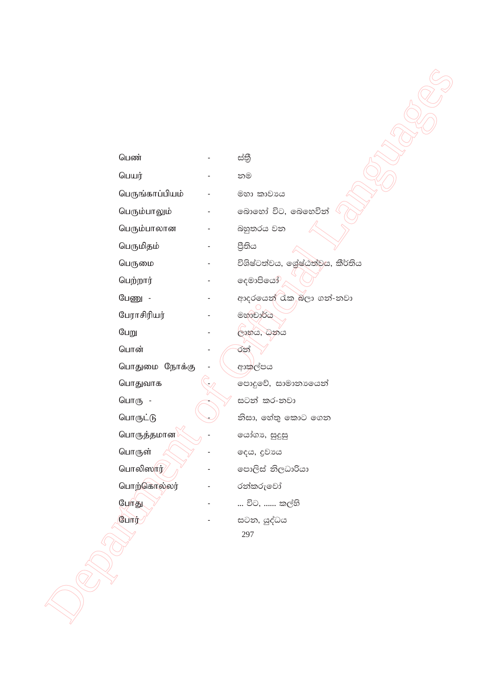| பெண்            | ස්තී                            |
|-----------------|---------------------------------|
| பெயர்           | නම                              |
| பெருங்காப்பியம் | මහා කාවාය                       |
| பெரும்பாலும்    | බොහෝ විට, බෙහෙවින්              |
| பெரும்பாலான     | බහුතරය වන                       |
| பெருமிதம்       | පීතිය                           |
| பெருமை          | විශිෂ්ටත්වය, ශේෂ්ඨත්වය, කීර්තිය |
| பெற்றார்        | දෙමාපියෝ                        |
| பேணு -          | ආදරයෙන් රැකු බලා ගන්-නවා        |
| பேராசிரியர்     | මහාචාර්ය                        |
| பேறு            | ලාභය, ධනය                       |
| பொன்            | රන්                             |
| பொதுமை நோக்கு   | ආකල්පය                          |
| பொதுவாக         | පොදුවේ, සාමානායෙන්              |
| பொரு -          | සටන් කර-නවා                     |
| பொருட்டு        | නිසා, හේතු කොට ගෙන              |
| பொருத்தமான      | යෝගා, සුදුසු                    |
| பொருள்          | දෙය, දුවායය                     |
| பொலிஸார்        | පොලිස් නිලධාරියා                |
| பொற்கொல்லர்     | රන්කරුවෝ                        |
| போது            | … විට, …… කල්හි                 |
| போர்            | සටන, යුද්ධය<br>297              |
|                 |                                 |
|                 |                                 |
|                 |                                 |
|                 |                                 |
|                 |                                 |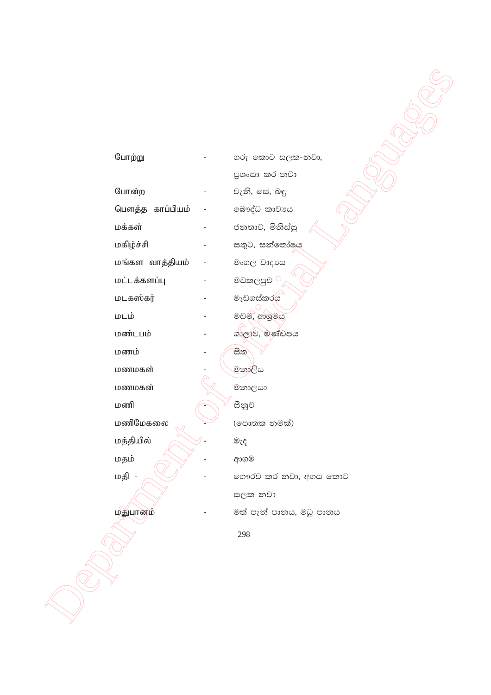| போற்று          | ගරු කොට සලක-නවා,        |
|-----------------|-------------------------|
|                 | පුශංසා කර-නවා           |
| போன்ற           | වැනි, සේ, බඳු           |
| பௌத்த காப்பியம் | බෞද්ධ කාවාය             |
| மக்கள்          | ජනතාව, මිනිස්සු         |
| மகிழ்ச்சி       | සතුට, සන්තෝෂය           |
| மங்கள வாத்தியம் | මංගල වාදායෙ             |
| மட்டக்களப்பு    | මඩකලපුව $^\circ$        |
| மடகஸ்கர்        | මැඩගස්කරය               |
| மடம்            | මඩම, ආශුමය              |
| மண்டபம்         | ශාලාව, මණ්ඩපය           |
| மணம்            | සිත                     |
| மணமகள்          | මනාලිය                  |
| மணமகன்          | මනාලයා                  |
| மணி             | සීනුව                   |
| மணிமேகலை        | (පොතක නමක්)             |
| மத்தியில்       | මැද                     |
| மதம்            | ආගම                     |
| மதி             | ගෞරව කර-නවා, අගය කොට    |
|                 | සලක-නවා                 |
| மதுபானம்        | මත් පැන් පානය, මධු පානය |
|                 | 298                     |

 $\frac{1}{\sqrt{2}}$ 

**CARL SERVICE**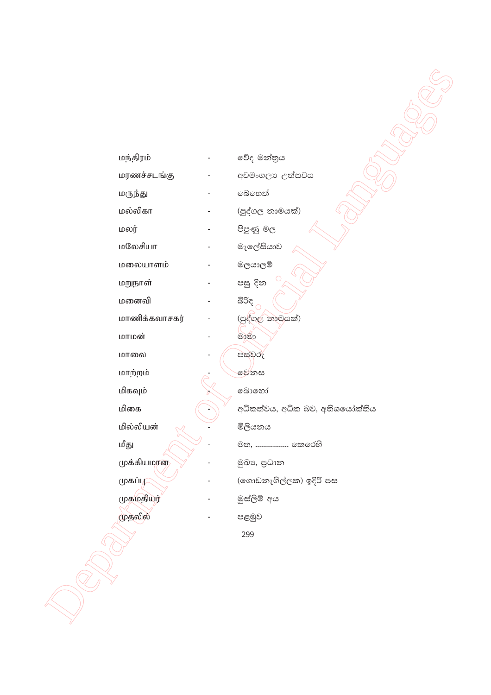| மந்திரம்               | වේද මන්තුය                     |
|------------------------|--------------------------------|
| மரணச்சடங்கு            | අවමංගලා උත්සවය<br>බෙහෙත්       |
| மருந்து<br>மல்லிகா     |                                |
|                        | (පුද්ගල නාමයක්)                |
| மலர்<br>மலேசியா        | පිපුණු මල                      |
|                        | මැලේසියාව                      |
| மலையாளம்               | මලයාලම්                        |
| மறுநாள்<br>மனைவி       | පසු දින                        |
|                        | බිරිඳ                          |
| மாணிக்கவாசகர்<br>மாமன் | (පුද්ගල නාමයක්)                |
|                        | මාමා                           |
| மாலை                   | පස්වරු                         |
| மாற்றம்                | මෙනස                           |
| மிகவும்                | බොහෝ                           |
| மிகை                   | අධිකත්වය, අධික බව, අතිශයෝක්තිය |
| மில்லியன்              | මිලියනය                        |
| மீது                   | මත,  කෙරෙහි                    |
| முக்கியமான             | මුඛා, පුධාන                    |
| முகப்பு                | (ගොඩනැගිල්ලක) ඉදිරි පස         |
| முகமதியர்              | මුස්ලිම් අය                    |
| முதலில்                | පළමුව                          |
|                        | 299                            |
|                        |                                |
|                        |                                |
|                        |                                |
|                        |                                |
|                        |                                |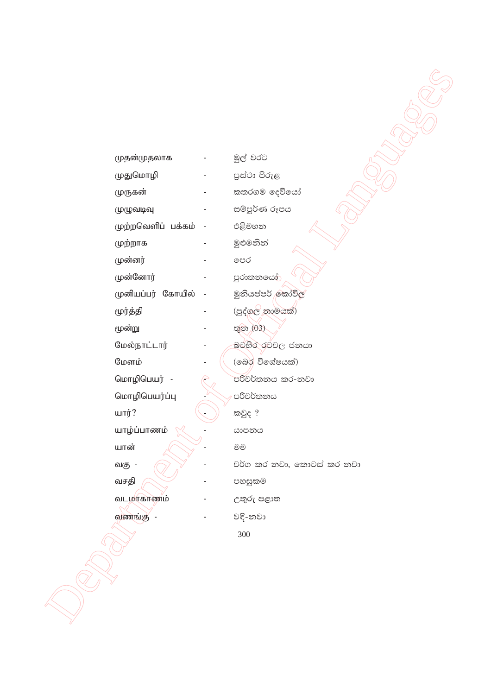| முதன்முதலாக          | මුල් වරට                  |
|----------------------|---------------------------|
| முதுமொழி             | පුස්ථා පිරුළ              |
| முருகன்              | කතරගම දෙවියෝ              |
| முழுவடிவு            | සම්පූර්ණ රූපය             |
| முற்றவெளிப் பக்கம் - | එළිමහන                    |
| முற்றாக              | මුළුමනින්                 |
| முன்னர்              | පෙර                       |
| முன்னோர்             | පුරාතනයෝ                  |
| முனியப்பர் கோயில்    | මුනියප්පර් කෝවිල          |
| மூர்த்தி             | (පුද්ගල නාමයක්)           |
| மூன்று               | තුන (03)                  |
| மேல்நாட்டார்         | බටහිර රටවල ජනයා           |
| மேளம்                | (බෙර විශේෂයක්)            |
| மொழிபெயர் -          | පරිවර්තනය කර-නවා          |
| மொழிபெயர்ப்பு        | පරිවර්තනය                 |
| யார்?                | කවුද ?                    |
| யாழ்ப்பாணம்          | යාපනය                     |
| யான்                 | @@                        |
| வகு -                | වර්ග කර-නවා, කොටස් කර-නවා |
| வசதி                 | පහසුකම                    |
| வடமாகாணம்            | උතුරු පළාත                |
| வணங்கு               | වදි-නවා                   |
|                      | 300                       |

**CALLED MANUSCRIPTION**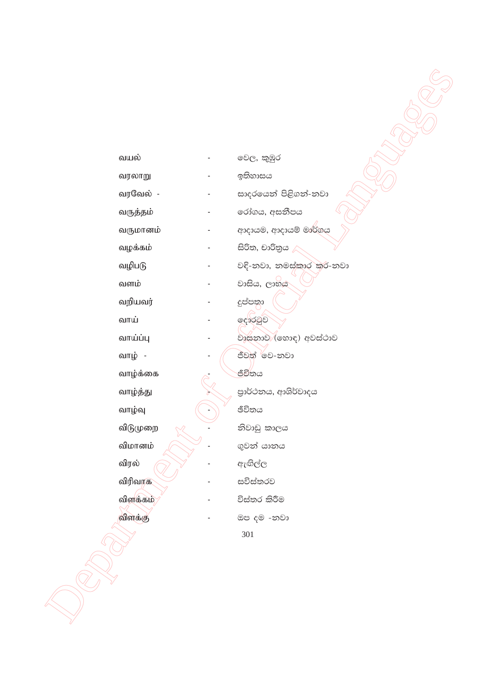வயல் වෙල, කුඹුර வரலாறு ඉතිහාසය வரவேல் -සාදරයෙන් පිළිගන්-නවා රෝගය, අසනීපය வருத்தம் ආදායම, ආදායම් මාර්ගය வருமானம் සිරිත, චාරිතුය / வழக்கம் වඳි-නවා, නමස්කාර කර-නවා வழிபடு வளம் වාසිය, ලාභය வறியவர் දුප්පතා දොරටුව வாய் වාසනාව (හොඳ) අවස්ථාව வாய்ப்பு ජීවත් 'වෙ-නවා வாழ் -வாழ்க்கை ජීවිතය පාර්ථනය, ආශිර්වාදය வாழ்த்து ඡිවිතය வாழ்வு விடுமுறை නිවාඩු කාලය ගුවන් යානය விமானம் விரல் ඇඟිල්ල விரிவாக සවිස්තරව விளக்கம் විස්තර කිරීම விளக்கு ඔප දම -නවා 301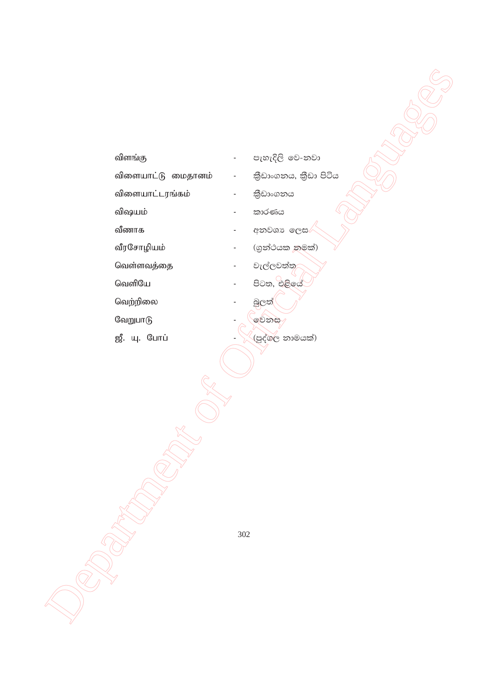| விளங்கு            |                          | පැහැදිලි වෙ-නවා      |  |
|--------------------|--------------------------|----------------------|--|
| விளையாட்டு மைதானம் | $\blacksquare$           | තීඩාංගනය, තීඩා පිටිය |  |
| விளையாட்டரங்கம்    |                          | කිඩාංගනය             |  |
| விஷயம்             |                          | කාරණය                |  |
| வீணாக              |                          | අනවශා ලෙස/           |  |
| வீரசோழியம்         | $\overline{\phantom{m}}$ | (ගුන්ථයක නුමක්)      |  |
| வெள்ளவத்தை         |                          | වැල්ලවත්තු           |  |
| வெளியே             |                          | පිටත, එළියේ          |  |
| வெற்றிலை           |                          | බුලත්(               |  |
| வேறுபாடு           |                          | මෙනස                 |  |
| ஜீ. யு. போப்       |                          | (පුද්ගල නාමයක්)      |  |
|                    |                          |                      |  |
|                    |                          |                      |  |
|                    |                          |                      |  |
|                    |                          |                      |  |
|                    |                          |                      |  |
|                    |                          |                      |  |
|                    |                          |                      |  |
|                    |                          |                      |  |
|                    |                          |                      |  |
|                    | 302                      |                      |  |
|                    |                          |                      |  |
|                    |                          |                      |  |
|                    |                          |                      |  |
|                    |                          |                      |  |
|                    |                          |                      |  |
|                    |                          |                      |  |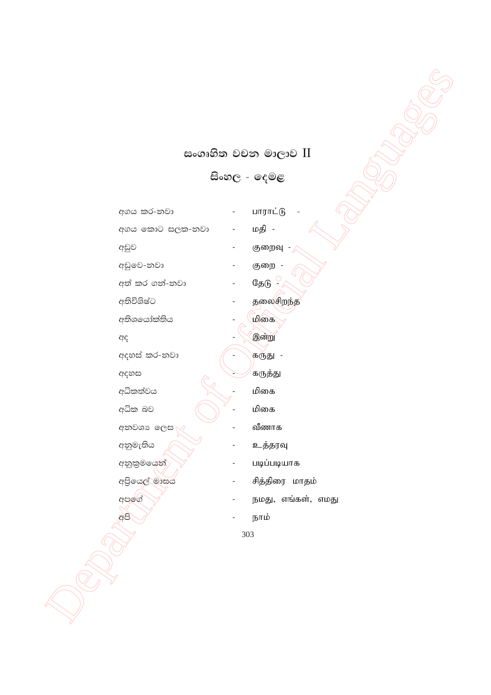## සංගෘහිත වචන මාලාව **II**

**isxy, - fou<**

|                 | සංගෘහිත වචන මාලාව II |  |
|-----------------|----------------------|--|
|                 | සිංහල - දෙමළ         |  |
|                 |                      |  |
| අගය කර-නවා      | பாராட்டு             |  |
| අගය කොට සලක-නවා | மதி -                |  |
| අඩුව            | குறைவு               |  |
| අඩුවෙ-නවා       | குறை -               |  |
| අත් කර ගන්-නවා  | தேடு -               |  |
| අතිවිශිෂ්ට      | தலைசிறந்த            |  |
| අතිශයෝක්තිය     | மிகை                 |  |
| ඇද              | இன்று                |  |
| අදහස් කර-නවා    | கருது -              |  |
| අදහස            | கருத்து              |  |
| අධිකත්වය        | மிகை                 |  |
| අධික බව         | மிகை                 |  |
| අනවශා ලෙස       | வீணாக                |  |
| අනුමැතිය        | உத்தரவு              |  |
| අනුකුමයෙන්      | படிப்படியாக          |  |
| අපියෙල් මාසය    | சித்திரை மாதம்       |  |
| අපල්ග්          | நமது, எங்கள், எமது   |  |
| අපි             | நாம்                 |  |
|                 | 303                  |  |
|                 |                      |  |
|                 |                      |  |
|                 |                      |  |
|                 |                      |  |
|                 |                      |  |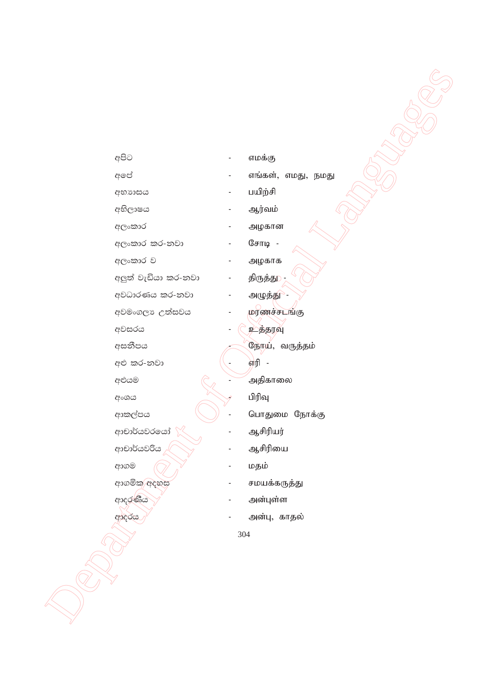| අපිට                | $\overline{\phantom{0}}$ | எமக்கு             |
|---------------------|--------------------------|--------------------|
| අපේ                 |                          | எங்கள், எமது, நமது |
| අභාගයය              | -                        | பயிற்சி            |
| අභිලාෂය             |                          | ஆர்வம்             |
| අලංකාර              | $\overline{a}$           | அழகான              |
| අලංකාර කර-නවා       |                          | சோடி -             |
| අලංකාර ව            |                          | அழகாக              |
| අලුත් වැඩියා කර-නවා |                          | திருத்து           |
| අවධාරණය කර-නවා      |                          | அழுத்து -          |
| අවමංගලා උත්සවය      |                          | றரணச்சடங்கு        |
| අවසරය               |                          | <u>உத்தர</u> வு    |
| අසනීපය              |                          | நோய், வருத்தம்     |
| අළු කර-නවා          |                          | 劬 -                |
| අළුයම               |                          | அதிகாலை            |
| අංශය                |                          | பிரிவு             |
| ආකල්පය              |                          | பொதுமை நோக்கு      |
| ආචාර්යවරයෝ          |                          | ஆசிரியர்           |
| ආචාර්යවරිය          |                          | ஆசிரியை            |
| ආගම                 |                          | மதம்               |
| ආගමික අදහස          |                          | சமயக்கருத்து       |
| ආදරණීය              |                          | அன்புள்ள           |
| ආදරය                |                          | அன்பு, காதல்       |
|                     |                          | 304                |
|                     |                          |                    |
|                     |                          |                    |
|                     |                          |                    |
|                     |                          |                    |
|                     |                          |                    |
|                     |                          |                    |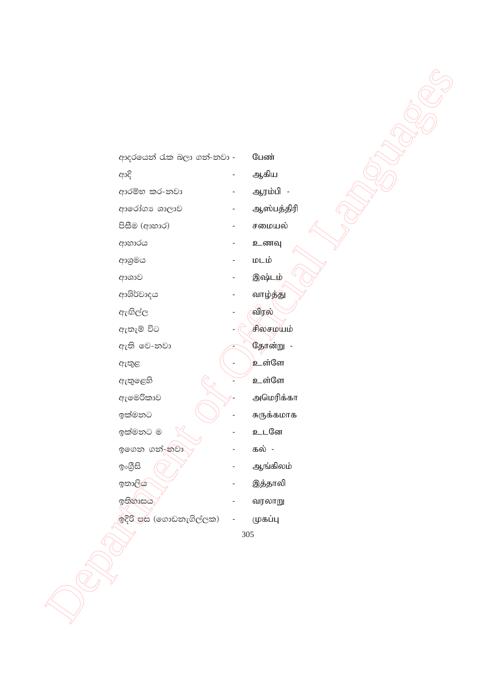| ආදරයෙන් රැක බලා ගන්-නවා - |         | பேண்       |
|---------------------------|---------|------------|
| ආදි                       |         | ஆகிய       |
| ආරම්භ කර-නවා              |         | ஆரம்பி -   |
| ආරෝගා ශාලාව               |         | ஆஸ்பத்திரி |
| පිසීම (ආහාර)              |         | சமையல்     |
| ආහාරය                     |         | உணவு       |
| ආශුමය                     |         | மடம்       |
| ආශාව                      |         | இஷ்டம்     |
| ආශිර්වාදය                 |         | வாழ்த்து   |
| ඇඟිල්ල                    |         | விரல்      |
| ඇතැම් විට                 |         | சிலசமயம்   |
| ඇති වෙ-නවා                |         | தோன்று -   |
| ඇතුළ                      |         | உள்ளே      |
| ඇතුළෙහි                   |         | உள்ளே      |
| ඇමෙරිකාව                  |         | அமெரிக்கா  |
| ඉක්මනට                    |         | சுருக்கமாக |
| ඉක්මනට ම                  |         | உடனே       |
| ඉගෙන ගන්-ුනවා             |         | கல் -      |
| ඉංගීුසි                   |         | ஆங்கிலம்   |
| ඉතාලිය                    |         | இத்தாலி    |
| ඉතිහාසය                   |         | வரலாறு     |
| ඉදිරි පස (ගොඩනැගිල්ලක)    |         | முகப்பு    |
|                           | $305\,$ |            |
|                           |         |            |
|                           |         |            |
|                           |         |            |
|                           |         |            |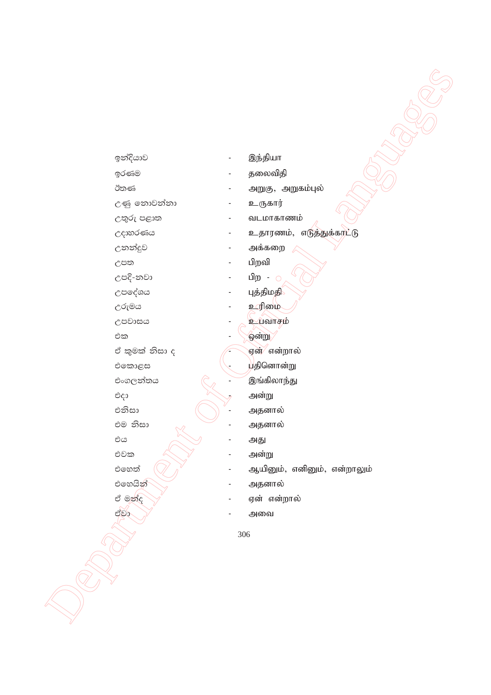| ඉන්දියාව       | இந்தியா                     |
|----------------|-----------------------------|
| ඉරණම           | தலைவிதி                     |
| ඊතණ            | அறுகு, அறுகம்புல்           |
| උණු තොවන්නා    | உருகார்                     |
| උතුරු පළාත     | வடமாகாணம்                   |
| උදාහරණය        | உதாரணம், எடுத்துக்கரட்டு    |
| උනන්දුව        | அக்கறை                      |
| උපත            | பிறவி                       |
| උපදි-නවා       | பிற - ்                     |
| උපදේශය         | புத்திமத <mark>ி</mark>     |
| උරුමය          | உரிமை                       |
| උපවාසය         | உப்வாசம்                    |
| එක             | ஒன்று                       |
| ඒ කුමක් නිසා ද | ஏன்⁄ என்றால்                |
| එකොළස          | யதினொன்று                   |
| එංගලන්තය       | இங்கிலாந்து                 |
| එදා            | அன்று                       |
| එනිසා          | அதனால்                      |
| එම නිසා        | அதனால்                      |
| එය             | அது                         |
| එවක            | அன்று                       |
| එහෙත්          | ஆயினும், எனினும், என்றாலும் |
| එහෙයින්        | அதனால்                      |
| ඒ මන්ද         | ஏன் என்றால்                 |
| ಲ್ಲಿಶ್ರ        | அவை                         |
|                | 306                         |
|                |                             |
|                |                             |
|                |                             |
|                |                             |
|                |                             |
|                |                             |
|                |                             |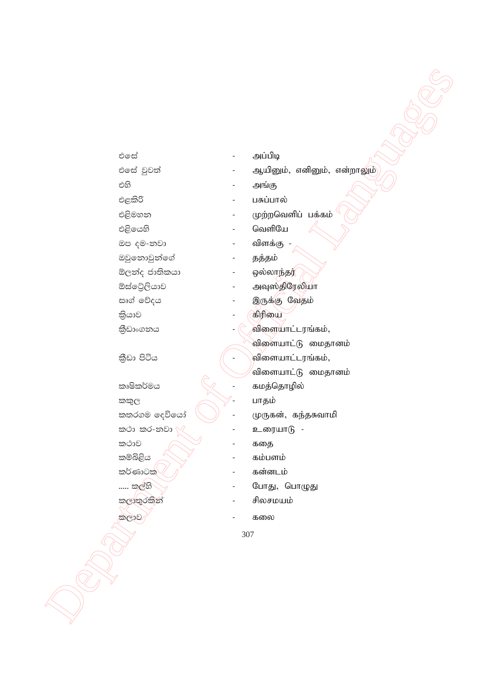- එලස් அப்பிடி එසේ වුවත් ஆயினும், எனினும், என்றாலும் එහි அங்கு එළකිරි பசுப்பால் එළිමහන முற்றவெளிப் பக்கம் வெளியே එළියෙහි ඔප දම-නවා விளக்கு ඔවුනොවුන්ගේ தத்தம் ඕලන්ද ජාතිකයා ஒல்லாந்தர் ඕස්ටේලියාව அவுஸ்திரேலியா සෘග් වේදය இருக்கு வேதம் கிரியை කියාව කීඩාංගනය விளையாட்டரங்கம், விளையாட்டு மைதானம் කීඩා පිටිය விளையாட்டரங்கம், <sup>⁄</sup>விளையாட்டு மைதானம் කෘෂිකර්මය கமத்தொழில்
	- කකුල කතරගම දෙවියෝ කථා කර-නවා කථාව කම්බිළිය කර්ණාටක් ..... කල්හි කලාතුරකින් කලාව
- உரையாடு -கதை கம்பளம் கன்னடம் போது, பொழுது

பாதம்

முருகன், கந்தசுவாமி

- சிலசமயம்
- கலை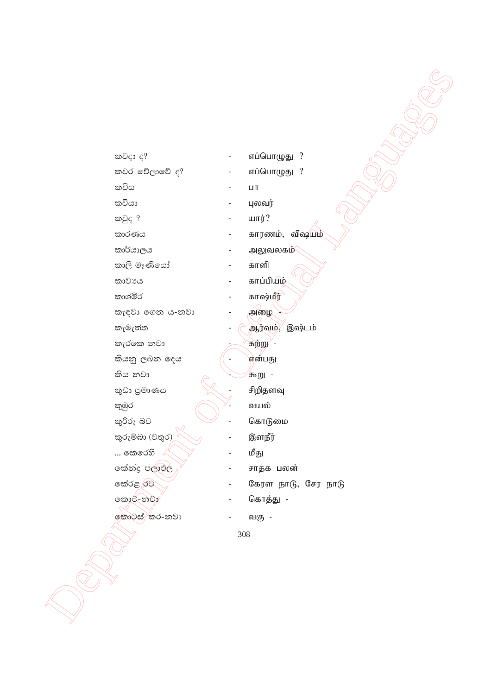கூ உரும் *விப்பொழுது*? ljr fõ,dfõ o@ - vg;nghOJ ? lúh - gh lúhd - Gytu; ljqo @ - ahu;? ldrKh - fhuzk;> tp\ak; ld¾hd,h - mYtyfk; ld,s uEKsfhda - fhsp කාවාය **- காப்பியி**ழ் ldYaór - fh\;kPu; le|jd f.k h-kjd - mio - කැමැත්ත $\qquad \qquad \qquad$  ஆர்வும், இஷ்டம் lerfl-kjd - Rw;W - ဆိုအသု ၉ခါဆ စင္ေဆာင္ကို အက်ိဳးျဖစ္သြား කිය-නවා  $\overline{\mathscr{A}}$  -  $\overline{\mathscr{A}}$  -  $\overline{\mathscr{A}}$  -  $\overline{\mathscr{A}}$  -  $\overline{\mathscr{A}}$  -  $\overline{\mathscr{A}}$  -  $\overline{\mathscr{A}}$  -  $\overline{\mathscr{A}}$  -  $\overline{\mathscr{A}}$  -  $\overline{\mathscr{A}}$  -  $\overline{\mathscr{A}}$  -  $\overline{\mathscr{A}}$  -  $\overline{\mathscr{A}}$  -  $\overline{\mathscr{A}}$  -  $\overline{\mathscr{A}}$  -  $\$  $\widehat{z}$ ඩා පුමාණය  $\widehat{z}$  - சிறிதளவு කුඹුර  $\bigcirc$  - வயல் l=ßre nj - nfhLik කුරුම්බා $(2a)$  \  $\vee$  $\ldots$  කෙරෙහි  $\mathbb{C}$   $\searrow$   $\qquad$  - மீது කේන්දු පලාමල $\mathbb{R}^{\vee}$  - சாதக பலன் කොට්-නවා $\sim$  - வொத்து fldgia lr-kjd - tF -

 Department of Official Languages  $\infty$   $\infty$   $\infty$   $\infty$   $\infty$   $\infty$   $\infty$   $\infty$   $\infty$   $\infty$   $\infty$   $\infty$   $\infty$   $\infty$   $\infty$   $\infty$   $\infty$   $\infty$   $\infty$   $\infty$   $\infty$   $\infty$   $\infty$   $\infty$   $\infty$   $\infty$   $\infty$   $\infty$   $\infty$   $\infty$   $\infty$   $\infty$   $\infty$   $\infty$   $\infty$   $\infty$   $\infty$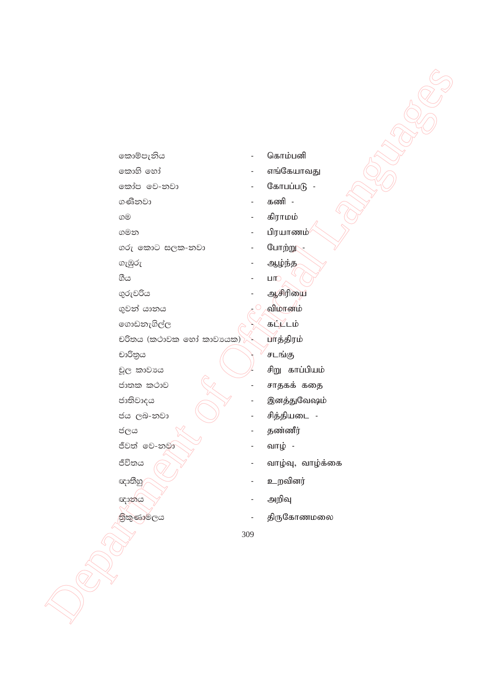කොම්පැනිය කොහි හෝ කෝප වෙ-නවා ගණිනවා ගම ගමන ගරු කොට සලක-නවා ගැඹුරු ගිය ගුරුවරිය ගුවන් යානය ගොඩනැගිල්ල චරිතය (කථාවක හෝ කාවායක) $\rangle$ චාරිතුය චූල කාවාය ජාතක කථාව ජාතිවාදය ජය ලබ-නවා ජලය ජීවත් වෙ-නුවා ජීවිතය ඥාතීහු ඥානය තිකුණාමලය

- கொம்பனி
- எங்கேயாவது
- கோபப்படு -
- கணி -
- கிராமம்
- பிரயாணம்
- போற்று
- ஆழ்ந்த
- ЦЮ ஆசிரியை
- விமானம்
- 
- கப்ட்டம்
- யாத்திரம்
- சடங்கு
- சிறு காப்பியம்
- சாதகக் கதை
- இனத்துவேஷம்
- சித்தியடை -
- தண்ணீர்
- வாழ் -
- வாழ்வு, வாழ்க்கை
- உறவினர்
- அறிவு
- திருகோணமலை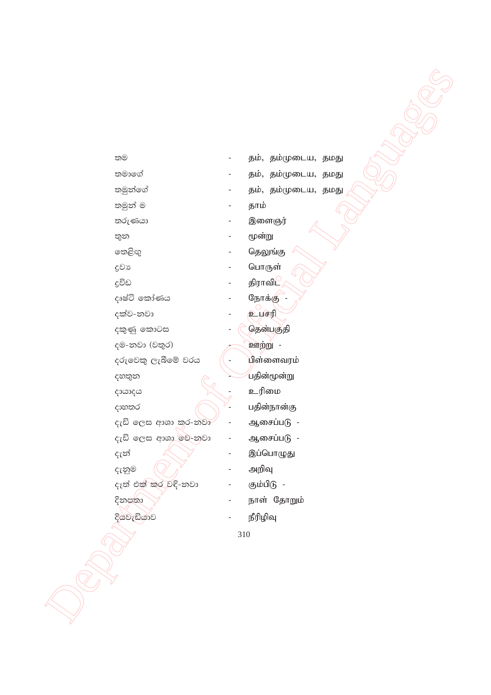| තම    |                     |     | தம், தம்முடைய, தமது |
|-------|---------------------|-----|---------------------|
|       | තමාගේ               |     | தம், தம்முடைய, தமது |
|       | තමුන්ගේ             |     | தம், தம்முடைய, தமது |
|       | තමුන් ම             |     | தாம்                |
|       | තරුණයා              |     | இளைஞர்              |
| තුන   |                     |     | மூன்று              |
|       | තෙළිඟු              |     | தெலுங்கு            |
| දුවා  |                     |     | பொருள்              |
| දුවිඩ |                     |     | திராவிட             |
|       | දෘෂ්ටි කෝණය         |     | நோக்கு              |
|       | දක්ව-නවා            |     | <b>பர்</b>          |
|       | දකුණු කොටස          |     | தென்பகுதி           |
|       | දම-නවා (වතුර)       |     | ஊற்று -             |
|       | දරුවෙකු ලැබීමේ වරය  |     | பிள்ளைவரம்          |
|       | දහතුන               |     | பதின்மூன்று         |
|       | දායාදය              |     | உரிமை               |
|       | දාහතර               |     | பதின்நான்கு         |
|       | දැඩි ලෙස ආශා කර-නවා |     | ஆசைப்படு -          |
|       | දැඩි ලෙස ආශා මව-නවා |     | ஆசைப்படு -          |
| දැන්  |                     |     | இப்பொழுது           |
|       | දැනුම               |     | அறிவு               |
|       | දැත් එක් කර වදි-නවා |     | கும்பிடு -          |
|       | දිනපතා              |     | நாள் தோறும்         |
|       | දියවැඩියාව          |     | நீரிழிவு            |
|       |                     | 310 |                     |
|       |                     |     |                     |
|       |                     |     |                     |
|       |                     |     |                     |
|       |                     |     |                     |
|       |                     |     |                     |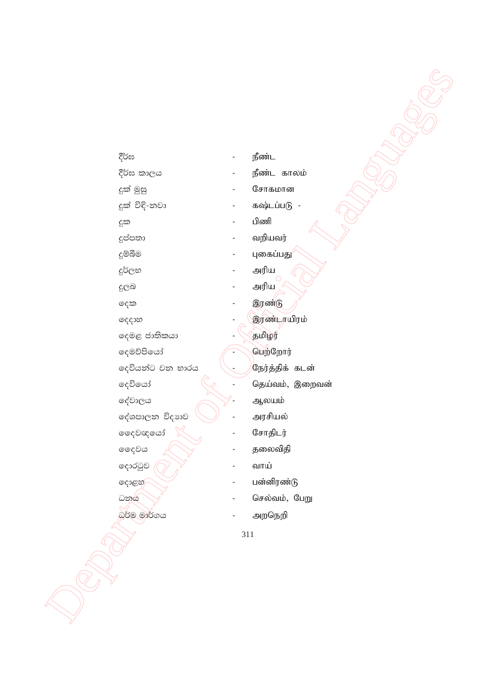| දීර්ඝ |                                        |     | நீண்ட           |
|-------|----------------------------------------|-----|-----------------|
|       | දීර්ඝ කාලය                             |     | நீண்ட காலம்     |
|       | දුක් මුසු                              |     | சோகமான          |
|       | දුක් විදි-නවා                          |     | கஷ்டப்படு -     |
| දුක   | $\overline{\phantom{a}}$               |     | பிணி            |
|       | දුප්පතා                                |     | வறியவர்         |
|       | දුම්බීම                                |     | புகைப்பது       |
|       | දුර්ලභ                                 |     | அரிய            |
| දුලබ  |                                        |     | அரிய            |
| දෙක   |                                        |     | இரண்டு          |
|       | ලදදාහ                                  |     | இரண்டாயிரம்     |
|       | දෙමළ ජාතිකයා                           |     | தமிழர்          |
|       | දෙමව්පියෝ                              |     | பெற்றோர்        |
|       | දෙවියන්ට වන භාරය                       |     | நேர்த்திக் கடன் |
|       | දෙවියෝ                                 |     | தெய்வம், இறைவன் |
|       | දේවාලය                                 |     | ஆலயம்           |
|       | දේශපාලන විදාහව                         |     | அரசியல்         |
|       | <b>ෙ</b> දවඥයෝ                         |     | சோதிடர்         |
|       | ෛවය                                    |     | தலைவிதி         |
|       | දොරටුව<br>$\qquad \qquad \blacksquare$ |     | வாய்            |
|       | දොළහ⁄                                  |     | பன்னிரண்டு      |
|       | ධනය                                    |     | செல்வம், பேறு   |
|       | බර්ම මාර්ගය                            |     | அறநெறி          |
|       |                                        | 311 |                 |
|       |                                        |     |                 |
|       |                                        |     |                 |
|       |                                        |     |                 |
|       |                                        |     |                 |
|       |                                        |     |                 |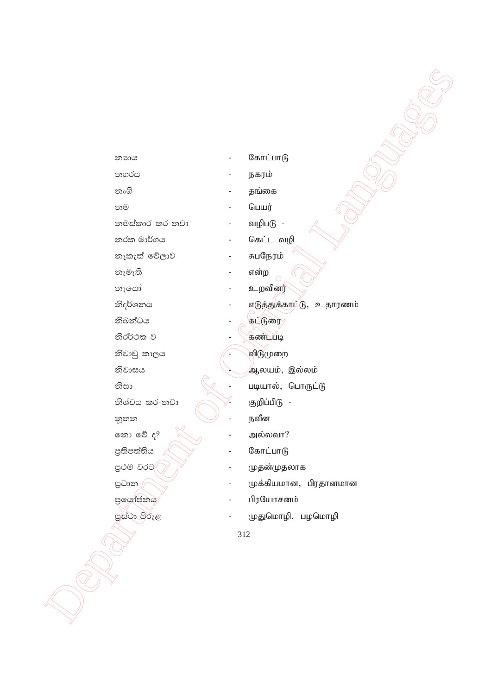| නාාය           |                | கோட்பாடு                 |
|----------------|----------------|--------------------------|
| නගරය           |                | நகரம்                    |
| නංගි           |                | தங்கை                    |
| නම             |                | பெயர்                    |
| නමස්කාර කර-නවා |                | வழிபடு -                 |
| නරක මාර්ගය     | $\blacksquare$ | கெட்ட வழி                |
| නැකැත් වේලාව   |                | சுபநேரம்                 |
| නැමැති         |                | என்ற                     |
| නෑයෝ           |                | உறவினர்                  |
| නිදර්ශනය       |                | எடுத்துக்காட்டு, உதாரணம் |
| නිබන්ධය        |                | கட்டுரை                  |
| නිරර්ථක ව      |                | கண்டபடி                  |
| නිවාඩු කාලය    |                | விடுமுறை                 |
| නිවාසය         |                | ஆலயம், இல்லம்            |
| නිසා           |                | படியால், பொருட்டு        |
| නිශ්චය කර-නවා  |                | குறிப்பிடு -             |
| නූතන           |                | நவீன                     |
| තො වේ ද?       |                | அல்லவா?                  |
| පුතිපත්තිය     |                | கோட்பாடு                 |
| පුථම වරට       |                | முதன்முதலாக              |
| පුධාන          |                | முக்கியமான, பிரதானமான    |
| පුයෝජනය        |                | பிரயோசனம்                |
| පස්ථා පිරුළ    |                | முதுமொழி, பழமொழி         |
|                | 312            |                          |
|                |                |                          |
|                |                |                          |
|                |                |                          |
|                |                |                          |
|                |                |                          |
|                |                |                          |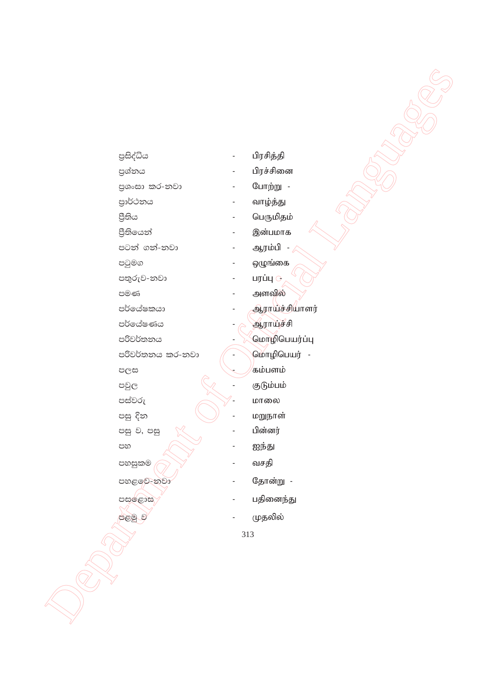| පුසිද්ධිය        |     | பிரசித்தி      |
|------------------|-----|----------------|
| පුශ්නය           |     | பிரச்சினை      |
| පුශංසා කර-නවා    |     | போற்று -       |
| පාර්ථනය          |     | வாழ்த்து       |
| පිතිය            |     | பெருமிதம்      |
| පීතියෙන්         |     | இன்பமாக        |
| පටන් ගන්-නවා     |     | ஆரம்பி         |
| පටුමග            |     | ஒழுங்கை        |
| පතුරුව-නවා       |     | பரப்பு ்       |
| පමණ              |     | அளவில்         |
| පර්යේෂකයා        |     | ஆராய்ச்சியாளர் |
| පර්යේෂණය         |     | ஆராய்ச்சி      |
| පරිවර්තනය        |     | மொழிபெயர்ப்பு  |
| පරිවර්තනය කර-නවා |     | மொழிபெயர் -    |
| පලස              |     | கம்பளம்        |
| පවුල             |     | குடும்பம்      |
| පස්වරු           |     | மாலை           |
| පසු දින          |     | மறுநாள்        |
| පසු ව, පසු       |     | பின்னர்        |
| පහ               |     | ஐந்து          |
| පහසුකම           |     | வசதி           |
| පහළ වෙ-නවා       |     | தோன்று -       |
| පසල්ළාස          |     | பதினைந்து      |
| පළමු ව           |     | முதலில்        |
|                  | 313 |                |
|                  |     |                |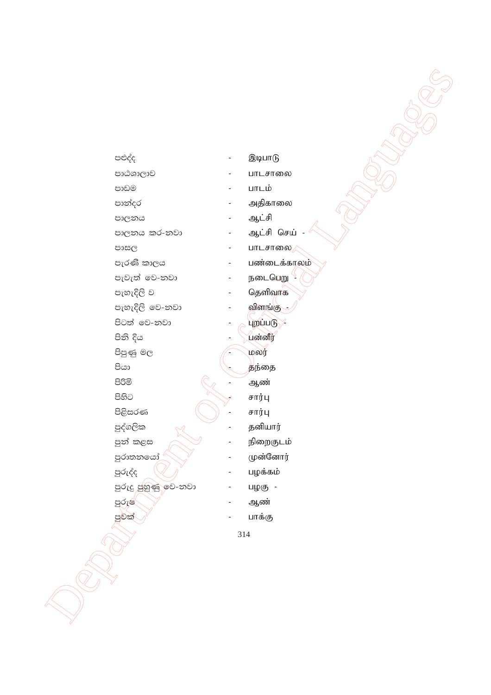$\begin{CD} \text{Cov} \\ \text{Cov} \\ \text{Cov} \\ \text{Cov} \\ \text{Cov} \\ \text{Cov} \\ \text{Cov} \\ \text{Cov} \\ \text{Cov} \\ \text{Cov} \\ \text{Cov} \\ \text{Cov} \\ \text{Cov} \\ \text{Cov} \\ \text{Cov} \\ \text{Cov} \\ \text{Cov} \\ \text{Cov} \\ \text{Cov} \\ \text{Cov} \\ \text{Cov} \\ \text{Cov} \\ \text{Cov} \\ \text{Cov} \\ \text{Cov} \\ \text{Cov} \\ \text{Cov} \\ \text{Cov} \\ \text{Cov} \\ \text{Cov} \\ \text{Cov$ 314 පළුද්ද $\blacksquare$ පළුද්ද mdGYd,dj - ghlrhiy පාඩම  $\blacksquare$ පාන්දර  $-$  அதிகாலை md,kh - Ml;rp md,kh lr-kjd - Ml;rp nra; - පාසල  $\blacksquare$  -  $\blacksquare$ பாடசாலை ுர் கிரைக்காலம்<br>சார்த்திரை - முன்டைக்காலம் meje;a fj-kjd - eilngW - පැහැදිලි ව $\qquad \qquad \qquad$  - ගිதளிவாக meyeÈ,s fj-kjd - tpsq;F - පිටත් වෙ-නවා  $\overline{\phantom{a}}$  -  $\overline{\phantom{a}}$  $\overline{\phantom{a}}$ පිනි දිය  $\qquad \qquad \qquad$   $\qquad \qquad$   $\qquad \qquad$   $\qquad$   $\qquad \qquad$   $\qquad$   $\qquad$   $\qquad$   $\qquad$   $\qquad$   $\qquad$   $\qquad$   $\qquad$   $\qquad$   $\qquad$   $\qquad$   $\qquad$   $\qquad$   $\qquad$   $\qquad$   $\qquad$   $\qquad$   $\qquad$   $\qquad$   $\qquad$   $\qquad$   $\qquad$   $\qquad$   $\qquad$   $\qquad$   $\qquad$   $\qquad$   $\qquad$ පිපුණු මල $\begin{matrix} \begin{matrix} - & \text{1} & \text{1} & \text{1} & \text{1} & \text{1} & \text{1} & \text{1} & \text{1} & \text{1} & \text{1} & \text{1} & \text{1} & \text{1} & \text{1} & \text{1} & \text{1} & \text{1} & \text{1} & \text{1} & \text{1} & \text{1} & \text{1} & \text{1} & \text{1} & \text{1} & \text{1} & \text{1} & \text{1} & \text{1} & \text{1} & \text{1} & \text{1} & \text{1} &$  $\mathcal{B}_{\text{G3}}$  .  $\mathcal{B}_{\text{B}}$ ந்தை msßñ - Mz;  $\overbrace{ }$   $\overbrace{ }$   $\overbrace{ }$   $\overbrace{ }$   $\overbrace{ }$   $\overbrace{ }$   $\overbrace{ }$   $\overbrace{ }$   $\overbrace{ }$   $\overbrace{ }$   $\overbrace{ }$   $\overbrace{ }$   $\overbrace{ }$   $\overbrace{ }$   $\overbrace{ }$   $\overbrace{ }$   $\overbrace{ }$   $\overbrace{ }$   $\overbrace{ }$   $\overbrace{ }$   $\overbrace{ }$   $\overbrace{ }$   $\overbrace{ }$   $\overbrace{ }$   $\overbrace{ }$   $\overbrace{ }$   $\overbrace{ }$   $\overbrace{$  $\mathcal{B}$ ළිසරණ  $(\bigcap)$  - சார்பு පුද්ගලික  $\sqrt{2}$  - தனியார் පුන් කළස $\bigotimes$  - நிறைகுடம் පුරාතනයෝ $\bigotimes$  - முன்னோர் පුරුද්ද  $\left(\bigvee\right)^{k}$  - பழக்கம் mqreÿ mqyqKq fj-kjd - goF -  $\log$ ്ര $\sim$  20 $\sim$  20 $\sim$  30 $\sim$ පුවක් $\bigcup^{\vee}$  - பாக்கு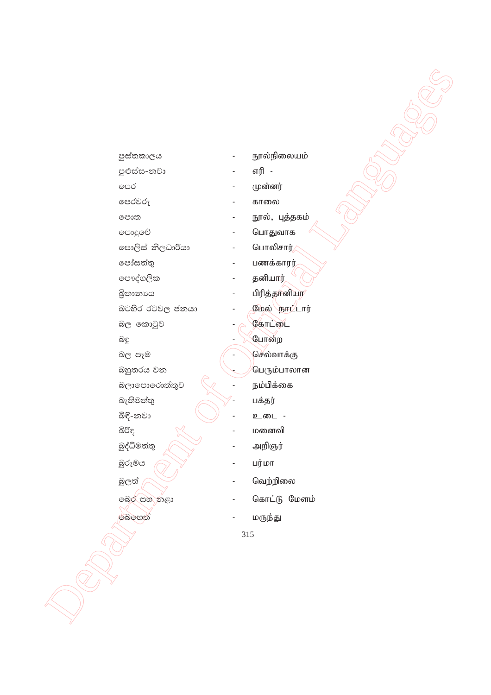| පුස්තකාලය               | நூல்நிலையம்    |
|-------------------------|----------------|
| පුළුස්ස-නවා             | எரி            |
| පෙර                     | முன்னர்        |
| පෙරවරු                  | காலை           |
| පොත                     | நூல், புத்தகம் |
| පොදුවේ                  | பொதுவாக        |
| පොලිස් නිලධාරියා        | பொலிசார்       |
| පෝසත්තු                 | பணக்காரர்      |
| පෞද්ගලික                | தனியார்        |
| බුිතානාය                | பிரித்தானியர   |
| බටහිර රටවල ජනයා         | மேல் `நாட்டார் |
| බල කොටුව                | கோட்டை         |
| බඳු                     | போன்ற          |
| බල පෑම                  | செல்வாக்கு     |
| බහු <mark>තරය</mark> වන | பெரும்பாலான    |
| බලාපොරොත්තුව            | நம்பிக்கை      |
| බැතිමත්තු               | பக்தர்         |
| බිඳි-නවා                | உடை -          |
| බිරිද                   | மனைவி          |
| බුද්ධිමත්තු             | அறிஞர்         |
| බුරුමය                  | பர்மா          |
| බුලත්                   | வெற்றிலை       |
| බෙර සහ නළා              | கொட்டு மேளம்   |
| බෙහෙත්                  | மருந்து        |
|                         | 315            |
|                         |                |
|                         |                |
|                         |                |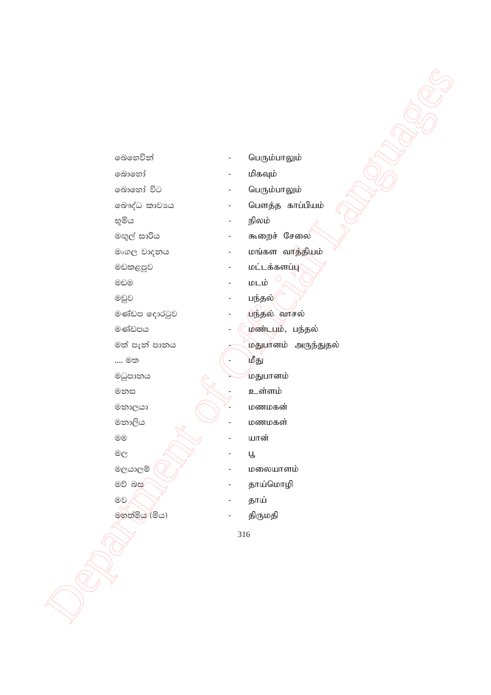| ෧බහෙවින්                    |     | பெரும்பாலும்        |
|-----------------------------|-----|---------------------|
| බොහෝ                        |     | மிகவும்             |
| බොහෝ විට                    |     | பெரும்பாலும்        |
| බෞද්ධ කාවායෙ                |     | பௌத்த காப்பியம்     |
| භූමිය                       |     | நிலம்               |
| මඟුල් සාරිය                 |     | கூறைச் சேலை         |
| මංගල වාදනය                  |     | மங்கள வாத்தியம்     |
| මඩකළපුව                     |     | மட்டக்களப்டு        |
| මඩම                         |     | மடம்                |
| මඩුව                        |     | பந்தல் <i>(</i>     |
| මණ්ඩප දොරටුව                |     | பந்தல் வாசல்        |
| මණ්ඩපය                      |     | ழண்டபும், பந்தல்    |
| මත් පැන් පානය               |     | மதுபானம் அருந்துதல் |
| … මත                        |     | ழீது                |
| මධුපානය                     |     | மதுபானம்            |
| මනස                         |     | உள்ளம்              |
| මනාලයා                      |     | மணமகன்              |
| මනාලිය                      |     | மணமகள்              |
| $_{\textcircled{\tiny{0}}}$ |     | யான்                |
| $^\circledR$                |     | Ц                   |
| මලයාලම්                     |     | மலையாளம்            |
| මව් බස                      |     | தாய்மொழி            |
| මව                          |     | தாய்                |
| මහත්මිය (මිය)               |     | திருமதி             |
|                             | 316 |                     |
|                             |     |                     |
|                             |     |                     |
|                             |     |                     |
|                             |     |                     |
|                             |     |                     |
|                             |     |                     |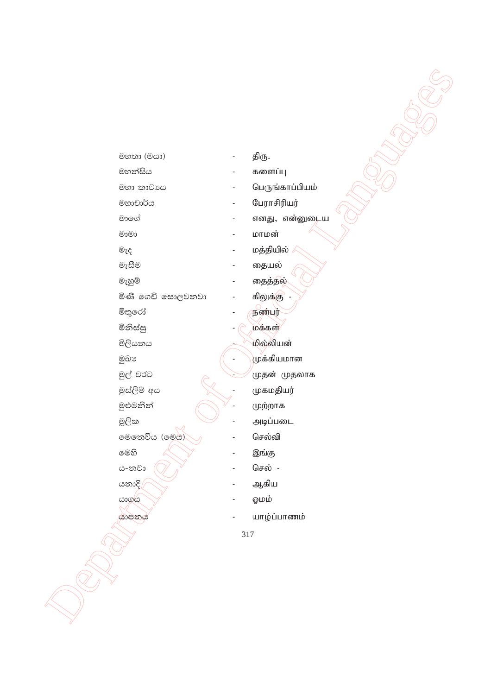| මහතා (මයා)             |     | திரு.           |
|------------------------|-----|-----------------|
| මහන්සිය                |     | களைப்பு         |
| මහා කාවාය              |     | பெருங்காப்பியம் |
| මහාචාර්ය               |     | பேராசிரியர்     |
| මාගේ                   |     | எனது, என்னுடைய  |
| $@$ 00                 |     | மாமன்           |
| $\circledcirc_{\zeta}$ |     | மத்தியில்       |
| මැසීම                  |     | தையல்           |
| මැහුම්                 |     | தைத்தல்         |
| මිණි ගෙඩි සොලවනවා      |     | கிலுக்கு        |
| මිතුරෝ                 |     | நண்பர்          |
| මිනිස්සු               |     | மக்கள்          |
| මිලියනය                |     | மில்லியன்       |
| මුඛා                   |     | முக்கியமான      |
| මුල් වරට               |     | முதன் முதலாக    |
| මුස්ලිම් අය            |     | முகமதியர்       |
| මුළුමනින්              |     | முற்றாக         |
| මූලික                  |     | அடிப்படை        |
| මෙනෙවිය (මෙය)          |     | செல்வி          |
| මෙහි                   |     | இங்கு           |
| ය-නවා                  |     | செல் -          |
| යනාදි                  |     | ஆகிய            |
| යාගය                   |     | டுமம்           |
| යාපනය                  |     | யாழ்ப்பாணம்     |
|                        | 317 |                 |
|                        |     |                 |
|                        |     |                 |
|                        |     |                 |
|                        |     |                 |
|                        |     |                 |
|                        |     |                 |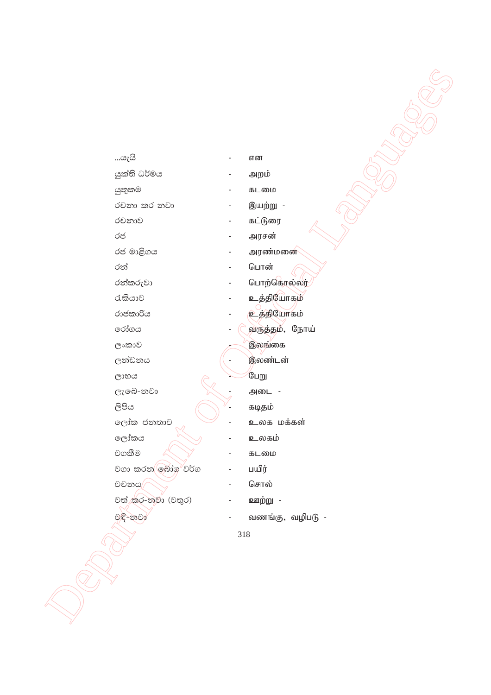| …යැයි             | $\qquad \qquad \blacksquare$ | என                |
|-------------------|------------------------------|-------------------|
| යුක්ති ධර්මය      | $\blacksquare$               | அறம்              |
| යුතුකම            |                              | கடமை              |
| රචනා කර-නවා       |                              | இயற்று -          |
| රචනාව             | -                            | கட்டுரை           |
| රජ                |                              | அரசன்             |
| රජ මාළිගය         |                              | அரண்மனை           |
| රන්               |                              | பொன்              |
| රන්කරුවා          |                              | பொற்கொல்லர்       |
| රැකියාව           |                              | உத்தியோகம்        |
| රාජකාරිය          |                              | <b>உத்தியோகம்</b> |
| රෝගය              | $\blacksquare$               | வருத்தம், நோய்    |
| ලංකාව             |                              | இலங்கை            |
| ලන්ඩනය            | $\blacksquare$               | இலண்டன்           |
| ලාභය              |                              | பேறு              |
| ලැබෙ-නවා          |                              | அடை -             |
| ලිපිය             |                              | கடிதம்            |
| ලෝක ජනතාව         |                              | உலக மக்கள்        |
| ලෝකය              |                              | உலகம்             |
| වගකීම             |                              | கடமை              |
| වගා කරන ලබාග වර්ග |                              | பயிர்             |
| වචනය              | $\overline{a}$               | சொல்              |
| වත් කර-නවා (වතුර) |                              | ஊற்று -           |
| වඳි-නවා           |                              | வணங்கு, வழிபடு -  |
|                   | $318\,$                      |                   |
|                   |                              |                   |
|                   |                              |                   |
|                   |                              |                   |
|                   |                              |                   |
|                   |                              |                   |
|                   |                              |                   |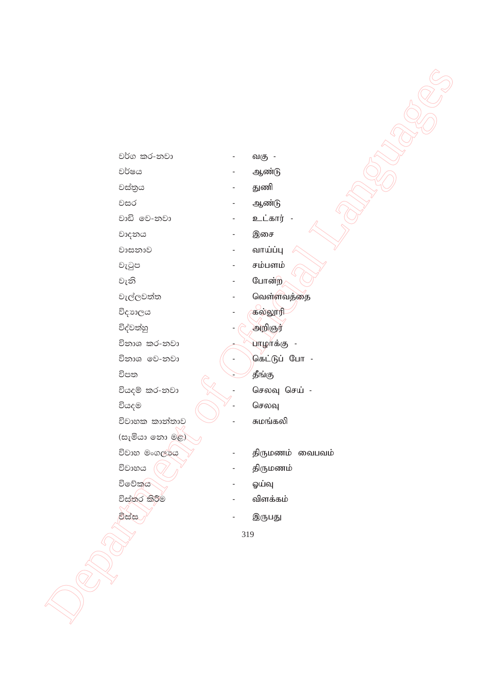| වර්ග කර-නවා    |     | வகு -           |
|----------------|-----|-----------------|
| වර්ෂය          |     | ஆண்டு           |
| වස්තුය         |     | துணி            |
| වසර            |     | ஆண்டு           |
| වාඩි මෙ-නවා    |     | உட்கார் -       |
| වාදනය          |     | இசை             |
| වාසනාව         |     | வாய்ப்பு        |
| වැටුප          |     | சம்பளம்         |
| වැනි           |     | போன்ற           |
| වැල්ලවත්ත      |     | வெள்ளவத்தை      |
| විදාාලය        |     | கல்லூரி         |
| විද්වත්හු      |     | அறிஞர்          |
| විනාශ කර-නවා   |     | பாழாக்கு -      |
| විනාශ වෙ-නවා   |     | கெட்டுப் போ -   |
| විපත           |     | தீங்கு          |
| වියදම් කර-නවා  |     | செலவு செய் -    |
| වියදම          |     | செலவு           |
| විවාහක කාන්තාව |     | சுமங்கலி        |
| (සැමියා නො මළ) |     |                 |
| විවාහ මංගල්පය  |     | திருமணம் வைபவம் |
| විවාහය         |     | திருமணம்        |
| විවේකය         |     | ஓய்வு           |
| විස්තර කිරීම   |     | விளக்கம்        |
| විස්ස          |     | இருபது          |
|                | 319 |                 |
|                |     |                 |
|                |     |                 |
|                |     |                 |
|                |     |                 |
|                |     |                 |
|                |     |                 |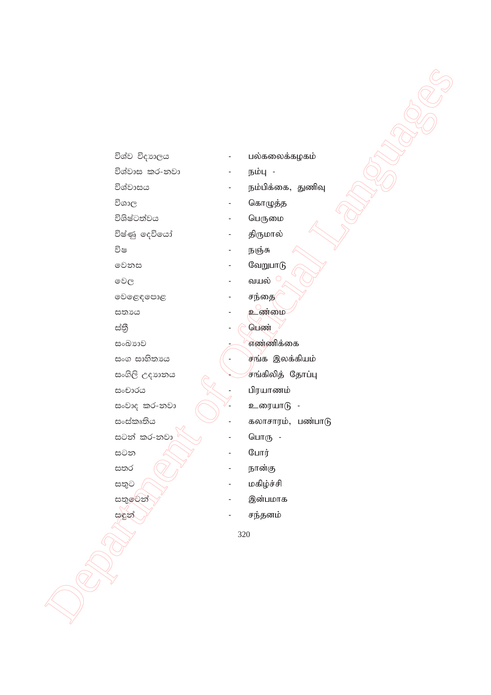| විශ්ව විදාහලය  |     | பல்கலைக்கழகம்     |
|----------------|-----|-------------------|
| විශ්වාස කර-නවා |     | நம்பு -           |
| විශ්වාසය       |     | நம்பிக்கை, துணிவு |
| විශාල          |     | கொழுத்த           |
| විශිෂ්ටත්වය    |     | பெருமை            |
| විෂ්ණු දෙවියෝ  |     | திருமால்          |
| විෂ            |     | நஞ்சு             |
| මෙනස           |     | வேறுபாடு          |
| වෙල            |     | வயல் $^{\circ}$   |
| වෙළෙඳපොළ       |     | சந்தை             |
| සතාය           |     | உண்மை             |
| ස්තී           |     | பெண்              |
| සංඛාගව         |     | எண்ணிக்கை         |
| සංග සාහිතාය    |     | சங்க இலக்கியம்    |
| සංගිලි උදාහනය  |     | சங்கிலித் தோப்பு  |
| සංචාරය         |     | பிரயாணம்          |
| සංවාද කර-නවා   |     | உரையாடு -         |
| සංස්කෘතිය      |     | கலாசாரம், பண்பாடு |
| සටන් කර-නවා    |     | பொரு -            |
| සටන            |     | போர்              |
| සතර            |     | நான்கு            |
| සතුට           |     | மகிழ்ச்சி         |
| සතුවෙන්        |     | இன்பமாக           |
| සඳුන්          |     | சந்தனம்           |
|                | 320 |                   |
|                |     |                   |
|                |     |                   |
|                |     |                   |
|                |     |                   |
|                |     |                   |
|                |     |                   |

- )கலைக்கழகம்
- 
- <sup>)</sup>பிக்கை, துணிவு
- <sub>்</sub><br>எழுத்த
- ருமை
- நமால்
- 
- <mark>ற</mark>ுபாடு
- 
- 
- ண்மை
- 
- .<br><del>வனி</del>க்கை
- ,<br>பக இலக்கியம்
- iகிலித் தோப்பு
	- யாணம்
- ரையாடு -
- லாசாரம், பண்பாடு
- $\overline{\mathbb{F}(F)}$  -
- 
- ன்கு
- $\mathfrak{g}_{\dot{\mathbf{p}}\dot{\mathbf{p}}\dot{\mathbf{p}}\dot{\mathbf{p}}}$
- .<br>ள்பமாக
- தனம்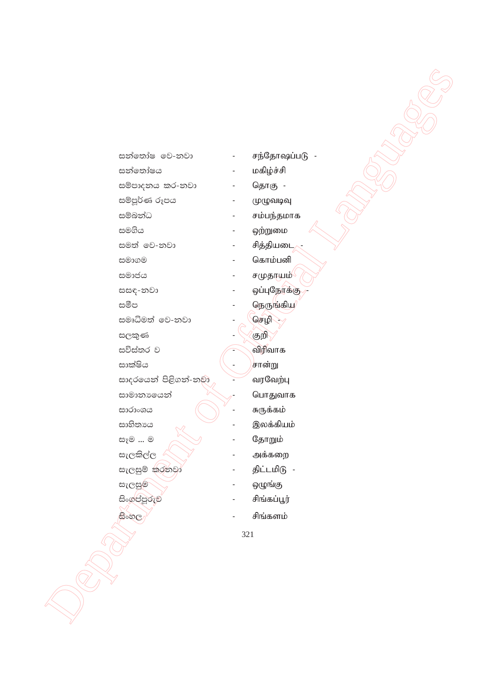| සන්තෝෂ වෙ-නවා         |     | சந்தோஷப்படு -         |
|-----------------------|-----|-----------------------|
| සන්තෝෂය               |     | மகிழ்ச்சி             |
| සම්පාදනය කර-නවා       |     | தொகு -                |
| සම්පූර්ණ රූපය         |     | முழுவடிவு             |
| සම්බන්ධ               |     | சம்பந்தமாக            |
| සමගිය                 |     | ஒற்றுமை               |
| සමත් මෙ-නවා           |     | சித்தியடை             |
| සමාගම                 |     | கொம்பனி               |
| සමාජය                 |     | சமுதரபம் <sup>(</sup> |
| සසඳ-නවා               |     | ஒப்புநோக்கு           |
| සමීප                  |     | நெருங்கிய             |
| සමෘධිමත් වෙ-නවා       |     | செழி                  |
| සලකුණ                 |     | குறி                  |
| සවිස්තර ව             |     | விரிவாக               |
| සාක්ෂිය               |     | சான்று                |
| සාදරයෙන් පිළිගන්-නුමා |     | வரவேற்பு              |
| සාමානායෙන්            |     | பொதுவாக               |
| සාරාංශය               |     | சுருக்கம்             |
| සාහිතායෙ              |     | இலக்கியம்             |
| සෑම  ම                |     | தோறும்                |
| සැලකිල්ල              |     | அக்கறை                |
| සැලසුම් කුරනවා        |     | திட்டமிடு -           |
| සැලසුම                |     | ஒழுங்கு               |
| සිංගුප්පූරුව          |     | சிங்கப்பூர்           |
| සිංහල                 |     | சிங்களம்              |
|                       | 321 |                       |
|                       |     |                       |
|                       |     |                       |
|                       |     |                       |
|                       |     |                       |
|                       |     |                       |
|                       |     |                       |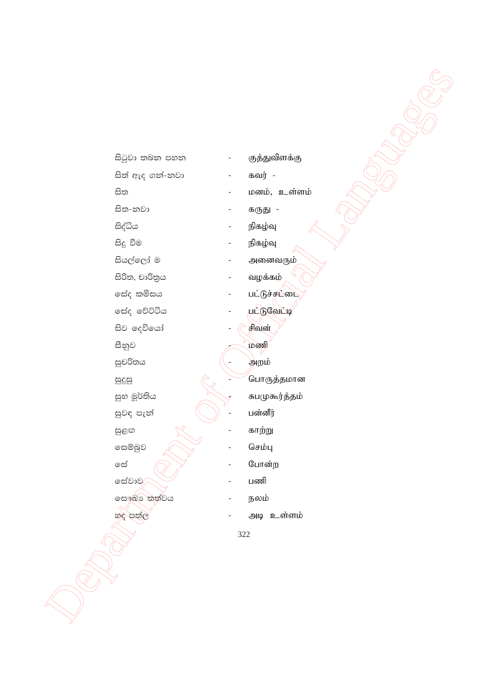|        | සිටුවා තබන පහත           |     | குத்துவிளக்கு        |
|--------|--------------------------|-----|----------------------|
|        | සිත් ඇද ගන්-නවා          |     | கவர் -               |
| සිත    | $\overline{\phantom{0}}$ |     | மனம், உள்ளம்         |
|        | සිත-නවා                  |     | கருது -              |
|        | සිද්ධිය                  |     | நிகழ்வு              |
|        | සිදු වීම                 |     | நிகழ்வு              |
|        | සියල්ලෝ ම                |     | அனைவரும்             |
|        | සිරිත, චාරිතුය           |     | வழக்கம்              |
|        | සේද කමිසය                |     | பட்டுச்ச <b>்</b> டை |
|        | සේද වේට්ටිය              |     | <u>பட்டுவேட்டி</u>   |
|        | සිව දෙවියෝ               |     | சிவன்                |
| සීනුව  |                          |     | மணி                  |
|        | සුචරිතය                  |     | அறம்                 |
| සුදුසු |                          |     | பொருத்தமான           |
|        | සුභ මූර්තිය              |     | சுபமுகூர்த்தம்       |
|        | සුවඳ පැන්                |     | பன்னீர்              |
| සුළඟ   |                          |     | காற்று               |
|        | සෙම්බුව                  |     | செம்பு               |
| ලැ<br> | ۰                        |     | போன்ற                |
|        | සේවාව/                   |     | பணி                  |
|        | සෞඛ්ය තත්වය              |     | நலம்                 |
|        | හද පත්ල                  |     | அடி உள்ளம்           |
|        |                          | 322 |                      |
|        |                          |     |                      |
|        |                          |     |                      |
|        |                          |     |                      |
|        |                          |     |                      |
|        |                          |     |                      |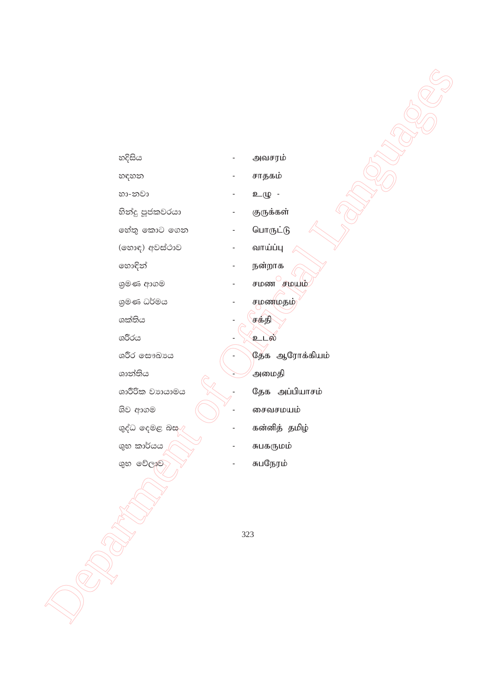323

ශිව ආගම ශුද්ධ දෙමළ බස**ැ** ශුභ කාර්යය ශුභ වේලාව

- 
- ශාරීරික වාායාමය
- ශාන්තිය
- ශරීර ලසෟඛායෙ
- ශරීරය
- ශක්තිය
- ශුමණ ධර්මය
- 
- ශුමණ ආගම
- 
- 
- 
- 
- 
- හොඳින්
- 
- 
- 

හදිසිය

හඳහන

හා-නවා

- 
- 
- (හොඳ) අවස්ථාව
- 
- 
- 
- 
- හේතු කොට ගෙන

හින්දු පූජකවරයා

- 
- 
- 
- 
- 
- 
- 
- 
- 
- 
- 
- 
- 
- 
- - வாய்ப்பு
- -

நன்றாக

சமண <u>சமயம்</u>

தேக ஆரோக்கியம்

தேக அப்பியாசம்

சைவசமயம்

சுபகருமம்

சுபநேரம்

கன்னித் தமிழ்

சமணமதம்

சக்தி

உடல்

,<br>அமைதி

- பொருட்டு
- 
- குருக்கள்
- சாதகம் உழு -
- அவசரம்
-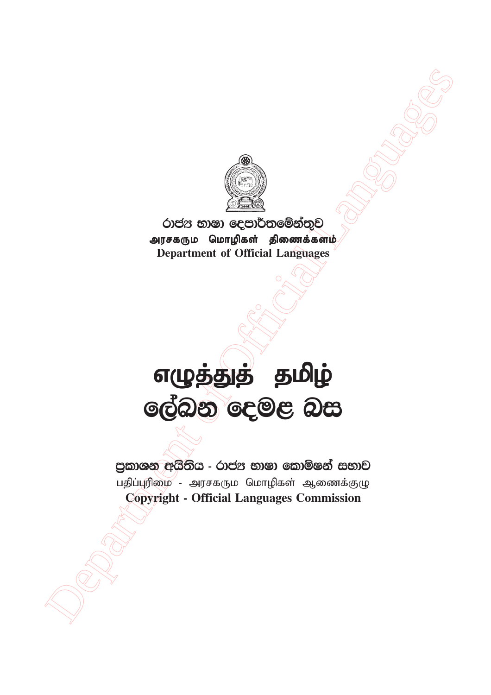

රාජය භාෂා දෙපාර්තමේන්තුව அரசகரும மொழிகள் திணைக்களம் **Department of Official Languages**

## Department of Official Languages எழுத்துத் தமிழ் ලේඛන දෙමළ බස

පුකාශන අයිතිය - රාජන භාෂා කොමිෂන් සභාව பதிப்புரிமை - அரசகரும மொழிகள் ஆணைக்குழு **Copyright - Official Languages Commission**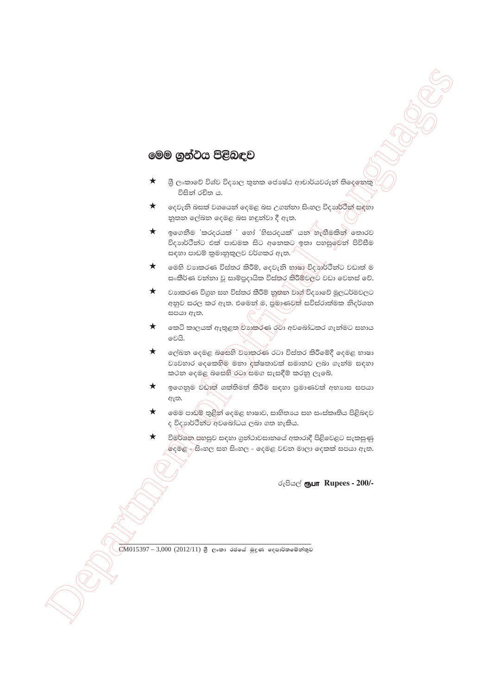## මෙම ගුන්ටය පිළිබඳව

- ශී ලංකාවේ විශ්ව විදාහල තුනක ජොෂ්ඨ ආචාර්යවරුන් තිදෙනෙකු ★ විසින් රචිත ය.
- $\star$ දෙවැනි බසක් වශයෙන් දෙමළ බස උගන්නා සිංහල විදාහර්ථින් සඳහා නුතන ලේඛන දෙමළ බස හඳුන්වා දී ඇත.
- $\star$ ඉගෙනීම 'කරදරයක් ' හෝ 'හිසරදයක්' යන හැඟීමකින් තොරව විදාහර්ථීන්ට එක් පාඩමක සිට අනෙකට ඉතා පහසුමෙන් පිවිසීම සඳහා පාඩම් කුමානුකුලව වර්ගකර ඇත.  $\not$
- මෙහි වාහකරණ විස්තර කිරීම්, දෙවැනි භූෂා විදහාර්ථීන්ට වඩාත් ම  $\star$ සංකීර්ණ වන්නා වූ සාම්පුදායික විස්තර කිරීම්වලට වඩා වෙනස් වේ.
- $\star$ වාහකරණ විගුහ සහ විස්තර කීරීම් නූතන වාග් විදාහවේ මූලධර්මවලට අනුව සරල කර ඇත. එමෙන් ම, පුමාණවුත් සවිස්රාත්මක නිදර්ශන සපයා ඇත.
- ★ කෙටි කාලයක් ඇතුළත/ව්යාකරණ රවා අවබෝධකර ගැන්මට සහාය වෙයි.
- $\star$ ලේඛන දෙමළ බලසහි වහාකරණ රටා විස්තර කිරීමේදී දෙමළ භාෂා වාවහාර දෙකෙහිම මනා දක්ෂතාවක් සමානව ලබා ගැන්ම සඳහා කථන දෙමළ බසෙහි රටා සමග සැසඳීම් කරනු ලැබේ.
- $\star$ ඉගෙනුම වඩාත් ශක්තිමත් කිරීම සඳහා පුමාණවත් අභාගස සපයා ඇත.
- $\star$ මෙම පාඩම් තුළින් දෙමළ භාෂාව, සාහිතායෙ සහ සංස්කෘතිය පිළිබඳව ද විදහාර්ථීන්ට අවබෝධය ලබා ගත හැකිය.
- විමර්ශන ජනසුව සඳහා ගුන්ථාවසානයේ අකාරාදී පිළිවෙළට සැකසුණු දෙමළ - සිංහල සහ සිංහල - දෙමළ වචන මාලා දෙකක් සපයා ඇත.

රුපියල් **ரூபா Rupees - 200/-**

 $\mathbb{C}$ M $015397 - 3,000$  (2012/11) යුී ලංකා රජයේ මුදණ දෙපාර්තමේන්තුව